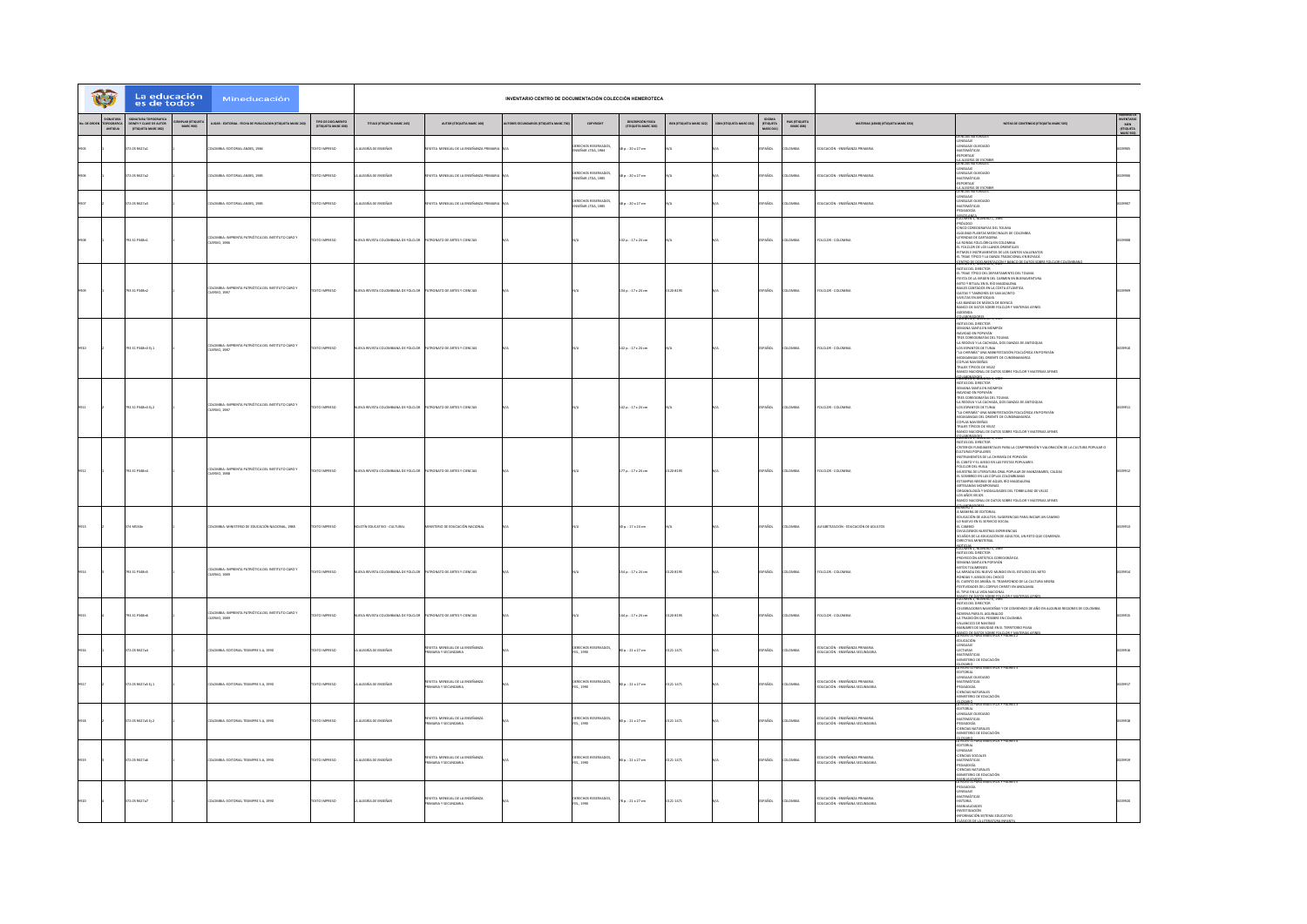| t                                   | La educación<br>es de todos                                            |                            | Mineducación                                                       |                                          |                                                                  |                                                             | INVENTARIO CENTRO DE DOCUMENTACIÓN COLECCIÓN HEMEROTECA |                                                      |                                           |                         |                         |                                  |                             |                                                                   |                                                                                                                                                                                                                                                                                                                                                                                                                                                                                                                                                                                      |                                                       |
|-------------------------------------|------------------------------------------------------------------------|----------------------------|--------------------------------------------------------------------|------------------------------------------|------------------------------------------------------------------|-------------------------------------------------------------|---------------------------------------------------------|------------------------------------------------------|-------------------------------------------|-------------------------|-------------------------|----------------------------------|-----------------------------|-------------------------------------------------------------------|--------------------------------------------------------------------------------------------------------------------------------------------------------------------------------------------------------------------------------------------------------------------------------------------------------------------------------------------------------------------------------------------------------------------------------------------------------------------------------------------------------------------------------------------------------------------------------------|-------------------------------------------------------|
| SIGNATURA<br>TOPOGRAFICI<br>ANTIGUA | SIGNATURA TOPOGRAFICA<br>DEWEY Y CLAVE DE AUTOR<br>(ETIQUETA MARC 082) | APLAR (ETIQUE<br>MARC 900) | UGAR - EDITORIAL - FECHA DE PUBLICACIÓN (ETIQUETA MARC 260)        | TIPO DE DOCUMENTO<br>(ETIQUETA MARC 006) | TITULO (ETIQUETA MARC 245)                                       | AUTOR (ETIQUETA MARC 100)                                   | ORES SECUNDARIOS (ETIQUETA MARC 70                      | COPYRIGHT                                            | DESCRIPCIÓN FISICA<br>(ETIQUETA MARC 200) | SSN (ETIQUETA MARC 022) | ISBN (CTIQUETA MARC 020 | IDIOMA<br>(ETIQUETA<br>MARC 041) | PAIS (ETIQUETA<br>MARC 008) | MATERIAS (LEMII) (CTIQUETA MARC 650)                              | NOTAS DE CONTENIDO (ETIQUETA MARC SOS)                                                                                                                                                                                                                                                                                                                                                                                                                                                                                                                                               | <b>INVENTARIO<br/>MEN<br/>(ETIQUETA<br/>MARC 9001</b> |
|                                     | 72.05 R627a1                                                           |                            | DLOMBIA: EDITORIAL ANDES, 1984                                     | EXTO IMPRESO                             | ALEGRÍA DE ENSEÑAR                                               | <b>EVISTA MENSUAL DE LA ENSEÑANZA PRIMARI</b>               |                                                         | <b>ECHOS RESERVADO</b><br>SERAR LTDA, 1984           | $1:20 \times 27$ cm                       |                         |                         | PAÑOL                            | <b>AIRMO</b>                | EDUCACIÓN - ENSEÑANZA PRIMARIA                                    | <b>VEIAS NATURA</b><br>LENGUAIE<br>LENGUAIE OLVIDADO<br>-MATEMÁTICAS<br>-REPORTAIE<br>LA ALEGRÍA DE ESC                                                                                                                                                                                                                                                                                                                                                                                                                                                                              | oon*                                                  |
|                                     | 72.05 R527a2                                                           |                            | OMBIA-FOTOBIAI ANDES 1985                                          | OPERATIONS                               | ALFORD OF FRONT AR                                               | <b>KTA MENSIAI DE LA FRIEÑANZA DEIM</b>                     |                                                         | <b>IRECHOS RESERVADOS</b><br><b>GERAR LTDA, 1985</b> | $1:20 \times 27$ cm                       |                         |                         | PAÑOL                            |                             | THICACIÓN - FMSFRANZA PRIMARIA                                    | -LENGUAIE<br>-LENGUAIE<br>-MATEMÁTICAS<br><b>TATTER</b>                                                                                                                                                                                                                                                                                                                                                                                                                                                                                                                              |                                                       |
|                                     | 172.05 R627a3                                                          |                            | OMBIA: EDITORIAL ANDES, 1985                                       | EXTO IMPRESO                             | ALEGRÍA DE ENSEÑAR                                               | STA MENSUAL DE LA ENSEÑANZA PRIM                            |                                                         | RECHOS RESERVAD<br>ISEÑAR LTDA, 1985                 | $: 20 \times 27$ cm                       |                         |                         | PAÑOL                            |                             | DUCACIÓN - ENSEÑANZA PRIMARIA                                     | <b><i>HAALTGRÍA DE ESCRIBILIA ALEGRÍA DE ESCRIBILITATURALES<br/>CENCIARE<br/>CENGUARE OLVIDADO<br/>ARATEMÁTICAS<br/>PEDAGOGÍA</i></b><br>MISCELANEA                                                                                                                                                                                                                                                                                                                                                                                                                                  |                                                       |
|                                     | 93.31 P348n1                                                           |                            | OMBIA: IMPRENTA PATRIÓTICA DEL INSTITUTO CARO Y<br>CUERVO, 1986    | <b>IMPRESO</b>                           | A REVISTA COLOMBIANA DE FOLCLO                                   | TRONATO DE ARTES Y CIENCIA                                  |                                                         |                                                      | 12 p.: 17 x 24 cm                         |                         |                         | AÑOL                             |                             | <b>DECLOR - COLOMBIA</b>                                          | VOLUMENT, INDIANERO 1, 1986<br>490000 CORODOMIA SOEI TOURA<br>4.1020045 D'ANTAS MEDICINALES DE COLOMBIA<br>4.1020045 D'ANTAS MEDICINALES DE COLOMBIA<br>4.18 RONDA POLCÓBICA EN COLOMBIA<br>4.18 RONDA DE COS LANDOS DIBITALES<br>4.18 RONDA DE<br>SHINGH ROWNSY 1987                                                                                                                                                                                                                                                                                                                |                                                       |
|                                     | 793.31 P348n2                                                          |                            | COLOMBIA: IMPRENTA PATRIÓTICA DEL INSTITUTO CARO Y<br>CUERVO, 1987 | <b>CERRINI OTX</b>                       | IVA REVISTA COLOMBIANA DE FOLCLOR                                | ATRONATO DE ARTES Y CIENCIAS                                |                                                         |                                                      | 34 p. : 17 x 24 cm                        | 20-8195                 |                         | PAÑOL                            | <b>OMBIA</b>                | <b>DLCLOR - COLOMBIA</b>                                          | NOTAS DEL DIRECTOR<br>«EL TRAJE TÍPICO DEL DEPARTAMENTO DEL TOLIMA<br>FIESTA DE LA VIRGEN DEL CARMEN EN BUENAVENTURA<br>MITO Y RITUAL EN EL RÍO MAGIONAENA<br>-BAILES CANTADOS EN LA COSTA ATLÁNTICA<br>-GAITAS Y TAMBORES DE SAN JACINTO<br>-VUELTAS EN ANTIOQUIA<br>-LAS BANDAS DE MÚSICA DE BOYACÁ<br>-BANCO DE DATOS SOBRE FOLCLOR Y MATERIAS AFINES<br>ADDENDA<br>CLABORATORES                                                                                                                                                                                                  |                                                       |
|                                     | 793.31 P348n3 D.1                                                      |                            | OMBIA: IMPRENTA PATRIÓTICA DEL INSTITUTO CARO Y<br>CUERVO, 1987    | OZBRRA OTX                               | EVA REVISTA COLOMBIANA DE FOLCLOR PATRONATO DE ARTES Y CIENCIAS  |                                                             |                                                         |                                                      | 42 p.: 17 x 24 cm                         |                         |                         | PAÑOL                            | <b>OMBV</b>                 | FOLCLOR - COLOMBIA                                                | NOTAS DEL DIRECTOR<br>SEMANA SANTA EN MOMPOX<br>SANYONO EN POPAYÁN<br>-NANIOAD EN POPAYÁN<br>-TRES COREOGRAFÍAS DEL TOLIMA<br>-LA REDOVA Y LA CACHADA, DOS DANZAS DE ANTIOQUIA<br>-LOS ESPANTOS DE TUNIA<br>-"LA CHIRIMÍA" UNA MANIFESTACIÓN FOLCLÓRICA EN POPAYÁN<br>MOJIGANGAS DEL ORIENTE DE CUNDINAMARCA<br>COPLAS NAVIDERAS<br>TRAJES TÍPICOS DE VELEZ<br>-BANCO NACIONAL DE DATOS SOBRE FOLCLOR Y MATERIAS AFINES                                                                                                                                                              |                                                       |
|                                     | 03.31 P348n3 D.2                                                       |                            | MBIA: IMPRENTA PATRIÓTICA DEL INSTITUTO CARO Y<br>CUERVO, 1987     | OPERATIONS                               | VA REVISTA COLOMBIANA DE EDICIOR                                 | ATRONATO DE ARTES Y CIENCIAS                                |                                                         |                                                      | 42 p.: 17 x 24 cm                         |                         |                         | PAÑOL                            | <b>CARDIA</b>               | DUCLOR - COLOMBIA                                                 | -BANCO NACIONAL DE DRI OS SOBR<br>AGENERAL PREMIERO 3, 1987<br>-NOTAS DEL DIRECTOR<br>-SEMANA SANTA EN MOMPOX<br>-NAVIDAD EN POPAYÁN<br>-TRES COREOGRAFÍAS DEL TOUMA<br>-1 RES LUREDARMINS DEL TULIMA<br>-LA REDOVA Y LA CACINDA, DOS DANZAS DE ANTIOQUIA<br>-LOS ESPANTOS DE TUNIA<br>-"LA CHIRIMÍA" UNA MANIFESTACIÓN FOLCLÓRICA EN POPAYÁN<br>UIGANGAS DEL ORIENTE DE CUNDINAMARCA<br>COPLAS NAVIDERAS<br>TRAJES TÍPICOS DE VELEZ<br>BANCO NACIONAL DE DATOS SOBRE FOLCLOR Y MATERIAS AFINES                                                                                      |                                                       |
|                                     | 793.31 P348n4                                                          |                            | COLOMBIA: IMPRENTA PATRIÓTICA DEL INSTITUTO CARO Y<br>CUERVO, 1988 | DZER BARTOTEK                            | EVA REVISTA COLOMBIANA DE EDICIOR                                | <b>STRONATO DE ARTES Y CIENCIAS</b>                         |                                                         |                                                      | 77 p.: 17 x 24 cm                         | 20-8195                 |                         | <b>ESPAÑOL</b>                   | <b>DLOMBIA</b>              | FOLCLOR - COLOMBIA                                                | $\begin{array}{l} \textbf{GALMAP}(\textbf{GALO}, \textbf{m}, \textbf{m}, \textbf{m}) \\ \textbf{GALMAP}(\textbf{GALO}, \textbf{m}, \textbf{m}, \textbf{m}) \\ \textbf{GALO}(\textbf{GALO}, \textbf{m}, \textbf{m}, \textbf{m}) \\ \textbf{GALO}(\textbf{GALO}, \textbf{m}, \textbf{m}, \textbf{m}, \textbf{m}, \textbf{m}) \\ \textbf{GALO}(\textbf{GALO}, \textbf{m}, \textbf{m}, \textbf{m}, \textbf{m}) \\ \textbf{GALO}(\textbf{GALO}, \text$<br>ORGANOLOGÍA Y MODALIDADES DEL TORBELLINO DE VELEZ<br>LOS AÑOS VIEIDS<br>BANCO NACIONAL DE DATOS SOBRE FOLCLOR Y MATERIAS AFINES |                                                       |
|                                     | 4 M534b                                                                |                            | OMBIA: MINISTERIO DE EDUCACIÓN NACIONAL, 1988                      | EXTO IMPRESO                             | OLETÍN EDUCATIVO - CULTURAL                                      | TERIO DE EDUCACIÓN NACIONAL                                 |                                                         |                                                      | p.: 17 x 24 cm                            |                         |                         | PAÑOL                            |                             | ALFABETIZACIÓN - EDUCACIÓN DE ADULTOS                             | NUMERO 1<br>-A MANERA DE EDITORIAL<br>-EDUCACIÓN DE ADULTOS: SUGERENCIAS PARA INICIAR UN CAMBIO<br>40 NUEVO EN EL SERVICIO SOCIAL<br>41 NUEVO EN EL SERVICIO SOCIAL<br>-DIVULGENIOS NUESTRAS EXPERENCIAS<br>-DIVULGENIOS NUESTRAS EXPERENCIAS<br>-DIVULGENIOS LA EDUCACIÓN DE ADULTOS, UN RETO QUE COMIENZA<br>IRECTIVA MINISTERIAL<br><b>GROTILIAS - ALIMANIA - IGAS</b>                                                                                                                                                                                                            |                                                       |
|                                     | 793.31 P348n5                                                          |                            | LOMBIA: IMPRENTA PATRIÓTICA DEL INSTITUTO CARO Y<br>CUERVO, 1989   | <b>DZERNI OTX3</b>                       | UEVA REVISTA COLOMBIANA DE FOLCLOR PATRONATO DE ARTES Y CIENCIAS |                                                             |                                                         |                                                      | 54 p. : 17 x 24 cm                        | 120-8195                |                         | <b>SPAÑOL</b>                    | <b>DLOMBIA</b>              | FOLCLOR - COLOMBIA                                                | <b>YOUTURE 1, NUMERO, 1,189</b><br>- MOTAS DE DRECTOR<br>- SENARA SANTA EN PORTOGRÁFICA<br>- SENARA SANTA EN PORTÁN<br>- SENARA SANTA EN PORTÓN<br>- LA CARNID DE ARAIVO NUMERO DE LA CULTURA NEGRA<br>- LA CARNID DE ARAÍÑA: EL TRANSIONDO DE LA CUL<br>FESTIVIDADES DEL CORPUS CHRISTI EN ANCLAIMA<br>EL TIPLE EN LA VIDA NACIONAL<br><b>BANGARY PANGARORE FOLLOW Y MATERIAL A</b>                                                                                                                                                                                                 |                                                       |
|                                     | 93.31 P348n5                                                           |                            | COLOMBIA: IMPRENTA PATRIÓTICA DEL INSTITUTO CARO Y<br>CUERVO, 1989 | CTO IMPRESO                              | EVA REVISTA COLOMBIANA DE FOLCLOR                                | PATRONATO DE ARTES Y CIENCIAS                               |                                                         |                                                      | 4p.: 17 x 24 cm                           | 20-8195                 |                         | AÑOL                             | MISMA                       | DLCLOR - COLOMBIA                                                 | NOTAS DEL DIRECTOR<br>CELEBRACIONES NAVIDEÑAS Y DE COMIENSOS DE AÑO EN ALGUNAS REGIONES DE COLOMBIA<br>NOVENA PARA EL AGUINALDO<br>LA TRADICIÓN DEL PESEBRE EN COLOMBIA<br>-VILLANCICO DE NAVIDAD<br>-MANIARES DE NAVIDAD EN EL TERRITORIO PAISA<br><b>JEANCO DE DATOS SOBRE FOLCLOR Y MATERIAS ARE</b><br>LA REVISTA PARA MAESTROS Y PADRES 2                                                                                                                                                                                                                                       |                                                       |
|                                     | 372.05 R527a4                                                          |                            | COLOMBIA: EDITORIAL TESIMPRE S.A. 1990                             | <b>DZERNI OTXT</b>                       | A ALEGRÍA DE ENSEÑAR                                             | <b>EVSTA MENSUAL DE LA ENSEÑANZA</b><br>IMARIA Y SECUNDARIA |                                                         | DERECHOS RESERVADOS,<br>FES., 1990                   | $0.0121 + 27$ cm                          | 121-1471                |                         | PAÑOL                            | AIBMO.                      | DUCACIÓN - ENSEÑANZA PRIMARIA<br>DUCACIÓN - ENSEÑANA SECUNDARIA   | -EDUCACIÓN<br>-LENGUAIE<br>-LENGUAL<br>-LECTURAS<br>-MINISTERIO DE EDUCACIÓN                                                                                                                                                                                                                                                                                                                                                                                                                                                                                                         |                                                       |
|                                     | 172.05 RE27x5 Ej.1                                                     |                            | OMBIA: EDITORIAL TESIMPRE S.A, 1990                                | <b>EXTO IMPRESO</b>                      | ALEGRÍA DE ENSEÑA                                                | REVISTA MENSUAL DE LA ENSEÑANZA<br>MARIA Y SECUNDARIA       |                                                         | DERECHOS RESERVADOS,<br>FES., 1990                   | $p.:21 \times 27$ cm                      | 21-1471                 |                         | PAÑOL                            |                             | DUCACIÓN - ENSEÑANZA PRIMARIA<br>EDUCACIÓN - ENSEÑANA SECUNDARIA  | GLOSARIO<br>LA REVISTA PARA MAE<br>LA REVISTA PARA MAES<br>-LENGUAIE OLVIDADO<br>-MATEMÁTICAS<br>-PEDAGOGÍA<br>-CIENCIAS NATURALES<br>-CIENCIAS NATURALES<br>MINISTERIO DE EDUCACIÓN                                                                                                                                                                                                                                                                                                                                                                                                 |                                                       |
|                                     | 372.05 R627a5 Ej.2                                                     |                            | OLOMBIA: EDITORIAL TESIMPRE S.A, 1990                              | EXTO IMPRESO                             | A ALEGRÍA DE ENSEÑAR                                             | IEVSTA MENSUAL DE LA ENSEÑANZA<br>ARRAY SECUNDARIA          |                                                         | DERECHOS RESERVADOS,<br>FES., 1990                   | $p. : 21 \times 27$ cm                    | 121-1471                |                         | PAÑOL                            | MISMA                       | DUCACIÓN - ENSEÑANZA PRIMARIA<br>EDUCACIÓN - ENSEÑANA SECUNDARIA  | ZUOSABIO<br>LA REVISTA PARA MAESTRO<br>LA REVISI A PARA MAIS<br>-LENGUAIE OLVIDADO<br>-MATEMÁTICAS<br>-PEDAGOGÍA<br>-CIENCIAS NATURALES<br>MINISTERIO DE EDUCACIÓN<br><b>CHOSARIO</b> PARA                                                                                                                                                                                                                                                                                                                                                                                           |                                                       |
|                                     | 172.05 R627a6                                                          |                            | .<br>COLOMBIA: EDITORIAL TESMPRE S.A., 1990                        | DZERNI OTXIT                             | ALEGRÍA DE ENSEÑAR                                               | ievista mensual de la enseñanza<br>Rimaria y secundaria     |                                                         | XERECHOS RESERVADOS,<br>ES., 1990                    | $p.:21 \times 27$ cm                      | 121-1471                |                         | SPAÑOL                           | was                         | DUCACIÓN - ENSEÑANZA PRIMARIA<br>DUCACIÓN - ENSEÑANA SECUNDARIA   | LA REVISION<br>CENTORIAL<br>CENGUARE<br>CENGUARE<br>CENGUARE<br>PROMOCÓN<br>CENGUARE<br>CENGUARE<br>MARRITALITADRES<br>MARRITALITADRES<br>MARRITALITADRES<br>MARRITALITADRES<br><b>MIRINERIS</b>                                                                                                                                                                                                                                                                                                                                                                                     |                                                       |
|                                     | 372.05 R627a7                                                          |                            | LOMBIA: EDITORIAL TESIMPRE S.A. 1990                               | EXTO IMPRESO                             | A ALEGRÍA DE ENSEÑAR                                             | REVISTA MENSUAL DE LA ENSEÑANZA<br>PRIMARIA Y SECUNDARIA    |                                                         | DERECHOS RESERVADOS,<br>FES., 1990                   | 8 p.: 21 x 27 cm                          | 21-1471                 |                         | PAÑOL                            | <b>LOMBA</b>                | educación - Enseñanza Primaria<br>Educación - Enseñana Secundaria | LA REVISTA PARA MAESTROS Y PAORES<br>1990 - LENGUAR<br>MATEMÁTICAS<br>1990 - LENGUAR<br>1990 - MARIALDON<br>1990 - MARIALDON<br>2007 - MARIALDON<br>2007 - MARIALDON<br>2007 - MARIALDON<br>2007 - MARIALDON                                                                                                                                                                                                                                                                                                                                                                         |                                                       |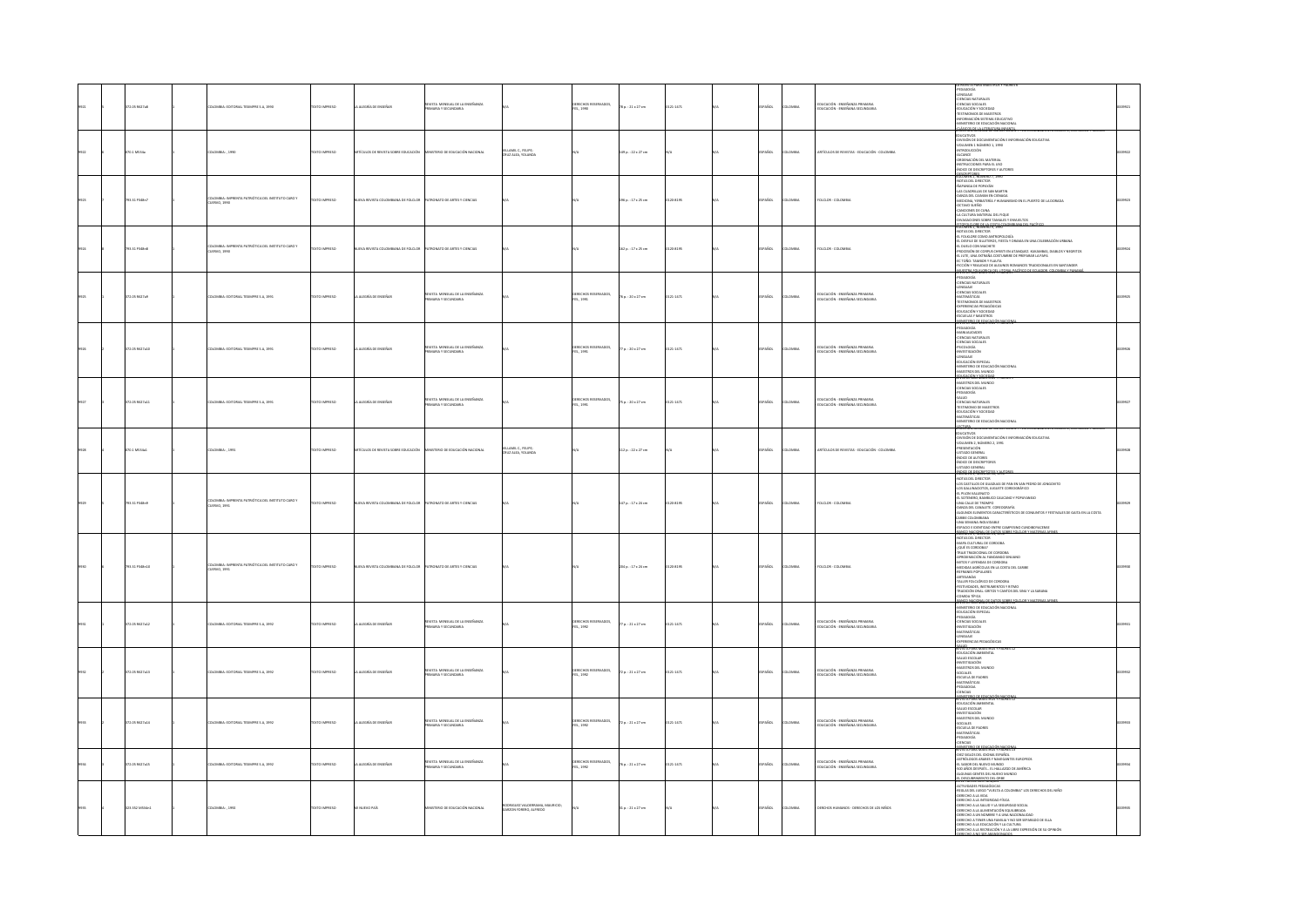|  |                |                                                                 |                      |                                            |                                                            |                                                       |                                          |                     |              |               |               |                                                                   | LA REVISTA PARA MAISTRI                                                                                                                                                                                                                                                                                                                                                                                                                                                  |  |
|--|----------------|-----------------------------------------------------------------|----------------------|--------------------------------------------|------------------------------------------------------------|-------------------------------------------------------|------------------------------------------|---------------------|--------------|---------------|---------------|-------------------------------------------------------------------|--------------------------------------------------------------------------------------------------------------------------------------------------------------------------------------------------------------------------------------------------------------------------------------------------------------------------------------------------------------------------------------------------------------------------------------------------------------------------|--|
|  | 2.05 R527a8    | LOMBIA: EDITORIAL TESMPRE S.A., 1990                            | XTO IMPRESO          | ALEGRÍA DE ENSEÑAR                         | REVISTA MENSUAL DE LA ENSEÑANZA                            |                                                       | DERECHOS RESERVADOS,<br>FES., 1990       | 78 p. : 21 x 27 cm  | 121-1471     | AÑOL          | oway          | educación - enseñanza primaria<br>Educación - enseñana secundaria | LA REVISTA PARA MAESTROS Y PADRES<br>- EENGLOGÍA<br>- EENGLOAT<br>- EENGLOAT<br>- CERCAS SOCIALES<br>- CERCAS SOCIALES<br>- TESTINGORO DE MAESTROS<br>- TESTINGORO DE ESCLOCACIÓN<br>- AFRICANACIÓN SISTEMA EDUCATIVO<br>- AFRICATERO DE ESCLOCACIÓN NACI<br><b>ANGOS REJAJUTATURA PITANGU</b>                                                                                                                                                                           |  |
|  | 70.1 M534a     | ILOMBIA:, 1990                                                  | OZSRRMI OTX3         | TÍCULOS DE REVISTA SOBRE EDUCACIÓN         | INSTERIO DE EDUCACIÓN NACIONAL                             | VILLAMIL C., FELIPE;<br>CRUZ ALEA, YOLANDA            |                                          | 149 p.: 22 x 27 cm  |              | PAÑOL         | OMBIA         | ATÍCULOS DE REVISTAS - EDUCACIÓN - COLOMBIA                       | JEATIVOS<br>JISIÓN DE DOCUMENTACIÓN E INFORMACIÓN EDUCATIVA<br>DLUMEN 1 NÚMERO 1, 1990<br>-VOLUMENT I NUMERO I, 1990<br>- ALCANCE<br>- ORDENACIÓN DEL MATERIAL<br>- RESTRUCCIONES PARA EL USO<br>- ANDER DE DESCRIPTORES Y AUTORES<br>- ANDER DESCRIPTORES                                                                                                                                                                                                               |  |
|  | 793.31 P348n7  | OMBIA: IMPRENTA PATRIÓTICA DEL INSTITUTO CARO Y<br>JERVO, 1990  | TO IMPRESO           | EVA REVISTA COLOMBIANA DE FOLCLOR          | <b>TRONATO DE ARTES Y CIENCIAS</b>                         |                                                       |                                          | 196 p. : 17 x 25 cm | 120-8195     | SPAÑOL        | LOMBIA        | FOLCLOR - COLOMBU                                                 | <b>Magners</b> away 7 1995<br>NOTAS DEL DIRECTOR<br>APANGA DE POPAYÁN<br>-LAS CUADRILLAS DE SAN MARTIN<br>-DANZA DEL CAIMAN EN CIENAGA<br>-SIMIZA OLI LAMANTIN L'INDIANANISMO EN EL PUERTO DE LA DORADA<br>-MEDICINA, YERBATERÍA Y HUMANISMO EN EL PUERTO DE LA DORADA<br>-CITAVO SUEÑO<br>-LA CULTURA MATERIAL DEL FIQUE<br>-MAGACIONIS SOBRE TAMALES Y ENVUELTOS<br>-MYAGACIONIS SOBR                                                                                  |  |
|  | 793.31 P348n8  | LOMBIA: IMPRENTA PATRIÓTICA DEL INSTITUTO CARO Y<br>JERVO, 1990 | <b>DZERNI OTXI</b>   | VUEVA REVISTA COLOMBIANA DE FOLCLOR        | ATRONATO DE ARTES Y CIENCIAS                               |                                                       |                                          | 162 p. : 17 x 25 cm | 120-8195     | SPAÑOL        | LOMBIA        | FOLCLOR - COLOMBIA                                                | NOTAS DEL DIRECTOR<br>EL FOLKLORE COMO ANTROPOLOGÍA<br>EL DESFILE DE SILLETEROS. FIESTA Y DRAMA EN UNA CELEBRACIÓN URBANA<br>-EL DUELO CON MACHETE<br>- EL DUELO CON MACHETE<br>- PROCESIÓN DE CORPUS CHRISTI EN ATANQUEZ, KUKAMBAS, DIABILOS Y NEGRITOS<br>ISTA PARA DIARETA SA HASIBIL PA                                                                                                                                                                              |  |
|  | 72.05 R627a9   | <b>JLOMBIA: EDITORIAL TESMPRE S.A, 1991</b>                     | <b>DZERNI OTXIT</b>  | A ALEGRÍA DE ENSEÑAR                       | REVISTA MENSUAL DE LA ENSEÑANZA<br><b>MARAY SECUNDARIA</b> |                                                       | DERECHOS RESERVADOS,<br>FES., 1991       | 76 p.: 20 x 27 cm   | 121-1471     | SPAÑOL        | LOMBIA        | educación - enseñanza primaria<br>Educación - enseñana secundaria | <b>EDAGOGÍA</b><br>JENGIAS NATURALES<br>-LENGUAIE<br>-CENCIAS SOCIALES<br>-MATEMÁTICAS<br><b>TESTIMONIOS DE MAESTROS</b><br>EXPERIENCIAS PEDAGÓGICAS<br>EDUCACIÓN Y SOCIEDAD<br>ESCUELAS Y MAESTROS<br>WITHOUT FOOT AGE                                                                                                                                                                                                                                                  |  |
|  | 72.05 R527a10  | <b>JLOMBIA: EDITORIAL TESIMPRE S.A. 1991</b>                    | DESIRAN OTX3T        | A ALEGRÍA DE ENSEÑA                        | REVISTA MENSUAL DE LA ENSEÑANZA<br>MARIA Y SECUNDARIA      |                                                       | ERECHOS RESERVADOS,<br>FES., 1991        | 77 p.: 20 x 27 cm   | 121-1471     | SPAÑOL        | LOMBA         | EDUCACIÓN - ENSEÑANZA PRIMARIA<br>EDUCACIÓN - ENSEÑANA SECUNDARIA | <b>PEDAGOGÍA</b><br>MANUALIDADES<br>CIENCIAS NATURALES<br>CIENCIAS SOCIALES<br>-LIENUAS SUGHAES<br>- INVESTIGACIÓN<br>- ENVESTIGACIÓN<br>- ENVESTIGO DE EDUCACIÓN NACIONAL<br>- MARSTRIO DE EDUCACIÓN NACIONAL<br>- MARSTRIO DE EDUCACIÓN NACIONAL<br>- MARSTRIO DE INUNIO                                                                                                                                                                                               |  |
|  | 72.05 R527a11  | KOMBIA: EDITORIAL TESMPRE S.A, 1991                             | EXTO IMPRESO         | A ALEGRÍA DE ENSEÑA                        | IEVISTA MENSUAL DE LA ENSEÑANZA<br>HIMARIA Y SECUNDARIA    |                                                       | DERECHOS RESERVADOS,<br>1ES., 1991       | 75 p. : 20 x 27 cm  | $121 - 1471$ | SPAÑOL        | LOMBIA        | educación - enseñanza primaria<br>Educación - enseñana secundaria | <del>KATÉRI KONTINY</del><br>MAESTROS DEL MUNDO<br>CIENCIAS SOCIALES<br><b>PEDAGOGÍA</b><br>-SALUD<br>-CIENCIAS NATURALES<br>-TESTIMONIO DE MAESTROS<br>«EDUCACIÓN Y SOCIEDAD<br>«MATEMÁTICAS<br>«METEMO DE EDUCACIÓN NACIONAL<br>» METURS                                                                                                                                                                                                                               |  |
|  | 70.1 MS34a1    | 10MBIA: , 1991                                                  | EXTO IMPRESO         | <b>ITÍCULOS DE REVISTA SOBRE EDUCACIÓN</b> | ANSTERIO DE EDUCACIÓN NACIONAL                             | VILLAMIL C., FELIPE;<br>CRUZ ALEA, YOLANDA            |                                          | 112 p.: 22 x 27 cm  |              | SPAÑOL        | LOMBIA        | ATÍCULOS DE REVISTAS - EDUCACIÓN - COLOMBIA                       | <b>THIN CHARGE OF CARD</b><br><b>DUCATIVOS</b><br>ISIÓN DE DOCUMENTACIÓN E INFORMACIÓN EDUCATIVA<br>-DIVISION DE DOCUMENTACION<br>-PRESENTACIÓN<br>-PRESENTACIÓN<br>-LISTADO GENERAL<br>-MIDICE DE AUTORES<br>-MIDICE DE DISCRIPTORES<br>-LISTADO GENERAL<br>-LISTADO GENERAL<br>-LISTADO GENERAL<br>NOCE DE PESCRIPTOTES Y.AL                                                                                                                                           |  |
|  | 793.31 P348m9  | OMBIA: IMPRENTA PATRIÓTICA DEL INSTITUTO CARO Y<br>JERVO, 1991  | <b>DZSRRMI OTX</b>   | IVA REVISTA COLOMBIANA DE FOLCLOR          | RONATO DE ARTES Y CIENCIAS                                 |                                                       |                                          | 147 p. : 17 x 24 cm | 120-8195     | <b>SPAÑOL</b> | LOMBIA        | FOLCLOR - COLOMBI                                                 | -<br>NOTAS DEL DIRECTOR<br>-LOS CASTILLOS DE GUADUAS DE PAN EN SAN PEDRO DE JONGOVITO<br>- LOS GALLINACIOTOS, JUGUETE CORDOGRÁFICO<br>- LOS GALLINACIOTOS, JUGUETE CORDOGRÁFICO<br>- EL SOTENERO, BAMBUCO CAUCANO Y POPAYANEJO<br>STAUTENBURG MORDERLU VALIMAN T FANN PAREJU<br>ARCHIM CALLER ET MORDERLU VALIMAN PAREJUS DE CONLINITOS Y FESTIVALES DE GAITA EN LA COSTA<br>ARCHIMOS FLEMANTOS CARACTERÍSTICOS DE CONLINITOS Y FESTIVALES DE GAITA EN LA COSTA<br>CARBE |  |
|  | 03.31 P348n20  | NTA PATRIÓTICA DEL INSTITUTO CARO Y<br>IERVO, 1991              | CESRRINI OTX         | JEVA REVISTA COLOMBIANA DE FOLCLOR         | <b>TRONATO DE ARTES Y CIENCIAS</b>                         |                                                       |                                          | 204 p.: 17 x 24 cm  | 120-8195     | <b>SPAÑOL</b> | LOMBIA        | FOLCLOR - COLOMB                                                  | -APROXIMACION AL FANDANGO SINUANO<br>-MITOS Y LEYENDAS DE CORDOBA<br>-MITOIDAS AGRÍCOLAS EN LA COSTA DEL CARIBE<br>-REFRANES POPULARES<br>HANNA PUNUMA<br>-RRTESANÍAS<br>-TALLER FOLCLÓRICO DE CORDOBA<br>-FESTIVIDADES, INSTRUMENTOS Y RITMO<br>TRADICIÓN CRAL GRITOS Y CANTOS DEL SINU Y LA SABANA<br>AIDA TÍPICA<br><u>uka kieran matvianism</u>                                                                                                                      |  |
|  | 372.05 R627a12 | <b>JLOMBIA: EDITORIAL TESMPRE S.A, 1992</b>                     | <b>DESIRAN OTX3T</b> | LA ALEGRÍA DE ENSEÑAR                      | REVISTA MENSUAL DE LA ENSEÑANZA<br>MARIA Y SECUNDARIA      |                                                       | <b>IRECHOS RESERVADOS,</b><br>FES., 1992 | 77 p. : 21 x 27 cm  | 121-1471     | <b>SPAÑOL</b> | LOMBIA        | EDUCACIÓN - ENSEÑANZA PRIMARIA<br>EDUCACIÓN - ENSEÑANA SECUNDARIA | REVISTA PARA MAESTROS Y PADRES 30<br>ADUCACIÓN ESPECIAL<br>«FEDUCACIÓN ESPECIAL<br>«FEDACIOSIA<br>«INTERNATION<br>«FEDACION<br>»<br>APUCSTIGACIÓN<br>«INTERNATION»<br>GUAJE<br>ERIENCIAS PEDAGÓGICAS<br><b>NIP AND DESCRIPTION</b>                                                                                                                                                                                                                                       |  |
|  | 72.05 R627a13  | <b>JLOMBIA: EDITORIAL TESMPRE S.A, 1992</b>                     | DZERNI OTX3T         | LA ALEGRÍA DE ENSEÑAR                      | REVISTA MENSUAL DE LA ENSEÑANZA<br>AREA Y SECUNDARIA       |                                                       | DERECHOS RESERVADOS,<br>FES., 1992       | 72 p. : 21 x 27 cm  | 121-1471     | SPAÑOL        | LOMBIA        | educación - enseñanza primaria<br>Educación - enseñana secundaria | EDUCACIÓN AMB<br>SALUD ESCOLAR<br>-<br>MAESTIGACIÓN<br>-MAESTINOS DEL MUNDO<br>SOCIALES<br>ESCUELA DE PADRES<br>MATEMÁTICAS<br>PEDAGOGÍA<br><b>ENCIAS</b>                                                                                                                                                                                                                                                                                                                |  |
|  | 72.05 R527a14  | LOMBIA: EDITORIAL TESIMPRE S.A. 1992                            | OZSRRNI OTX3         | A ALEGRÍA DE ENSEÑAR                       | EVISTA MENSUAL DE LA ENSEÑANZA<br>AREA Y SECUNDARIA        |                                                       | DERECHOS RESERVADOS,<br>TES., 1992       | 72 p. : 21 x 27 cm  | 121-1471     | SPAÑOL        | <b>LOMBIA</b> | educación - enseñanza primaria<br>Educación - enseñana secundaria | NSTRIGPLERYAS<br>REVISIA PARA MAESI RU<br>-EDUCACIÓN AMBIENTA<br>-SALUD ESCOLAR<br>-INVESTIGACIÓN<br>MAESTROS DEL MUNDO<br>-SOCIALES<br>-ESCUELA DE PADRES<br><b>MATEMÁTICAS</b><br>DAGOGÍA<br>INCIAS                                                                                                                                                                                                                                                                    |  |
|  | 72.05 R627a15  | .<br>ILOMBIA: EDITORIAL TESIMPRE S.A., 1992                     | OZERNI OTXI          | LA ALEGRÍA DE ENSEÑAR                      | STA MENSUAL DE LA ENSEÑANZA<br>AARIA Y SECUNDARIA          |                                                       | DERECHOS RESERVADOS,<br>1ES., 1992       | 76 p. : 21 x 27 cm  | $121 - 1471$ | PAÑOL         | owax          | educación - enseñanza primaria<br>Educación - enseñana secundaria | MARTERO PLAYAGA (MANGER)<br>REVISIA PARA MAESI ROS V PAIDES 13<br>- ORT SHOOS DEL IDIOMA ESPAÑOL<br>-KSTRÓLOGOS ARABES Y RAVIGANTES EUROPEOS<br>-EL SAGOR DEL NULVO MUNDO<br>-SLOURIAS GENTES DEL NULVO MUNDO<br>-ALGURIAS GENTES DEL NULVO MUNDO<br>RESCUENTIONS ON ONE                                                                                                                                                                                                 |  |
|  | 3.352 M534n3   | LOMBIA: , 1992                                                  | TO IMPRESO           | utvo país                                  | ERIO DE EDUCACIÓN NACIONAL                                 | ORIGUEZ VALDERRAMA, MAURICIO;<br>RZON FORERO, ALFREDO |                                          | 11 p. : 21 x 27 cm  |              |               | .<br>MBA      | ERCHOS HUMANOS - DERECHOS DE LOS NIÑOS                            | TIVIDADES PEDAGÓGICAS<br>REGLAS DEL JUEGO "VUELTA A COLOMBIA" LOS DERECHOS DEL NIÑO<br>-DERECHO A LA VIDA<br>-DERECHO A LA INTEGRIDAD FÍSICA<br>NAINTEN A LA SALUD V LA SEGUIRIDAD SOCIAL<br>CONTECTO A LA SALUD V LA SEGUIRIDAD SOCIAL<br>CONTECTO A LA VAIMENTACIÓN EQUILIBIDAD<br>CONTECTO A UN NOMERCY A UNA INCLONALIDAD<br>CONTECTO A TANTA UNA FAMILIA Y NO SER SEPARADO DE ELLA<br>CO                                                                            |  |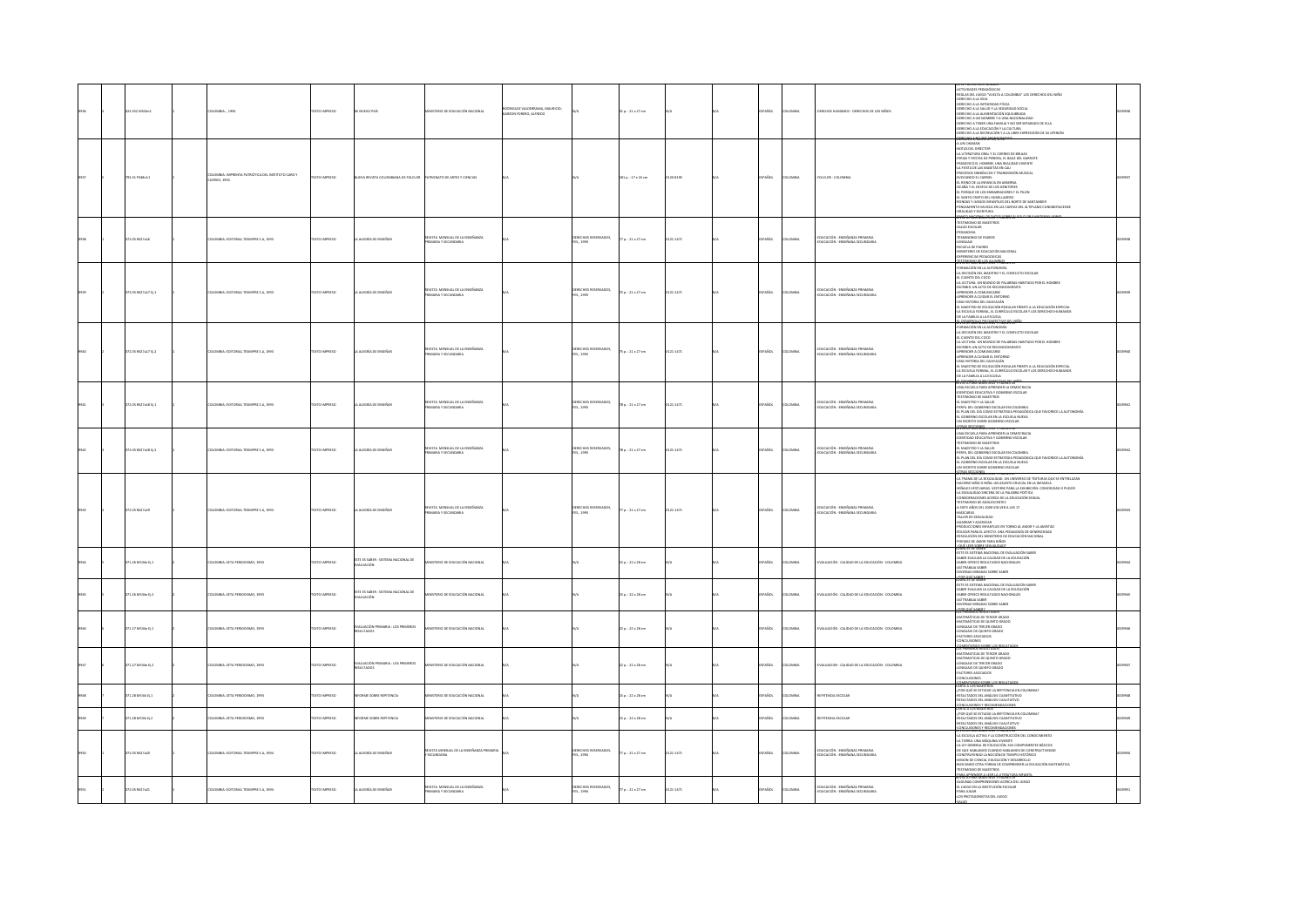|  | 23.352 MS34n2         | LOMBIA: 1992                                            | OZSRRNI OTX3       | I NUEVO PAÍS                                      | ISTERIO DE EDUCACIÓN NACIONAL                            | GUEZ VALDERRAMA, MAURICIO:<br><b>RZON FORERO, ALFREDO</b> |                                        | 31a. : 21x27cm          |           | PAÑOL         | LOMBIA         | DERCHOS HUMANOS - DERECHOS DE LOS NIÑOS                                | TIVIDADES PEDAGÓGICAS<br>REGLAS DEL JUEGO "VUELTA A COLOMBIA" LOS DERECHOS DEL NIÑO<br>DERECHO A LA VIDA<br>OERECHO A LA INTEGRIDAD FÍSICA<br>OERECHO A LA SALUD Y LA SEGURIDAD SOCIAL<br>OERECHO A LA ALIMENTACIÓN EQUILIBRADA<br>OERECHO A UN NOMBRE Y A UNA NACIONALIDAD<br>OERECHO A TENER UNA FAMILIA Y NO SER SEPARADO DE ELLA<br>OERECHO A LA EDUCACIÓN Y LA CULTURA<br>OERECHO A LA RECREACIÓN Y A LA LIBRE EXPRESIDÓN DE SU OPINIÓN<br>5669.1, NOMENO 12, 2002 POM          |  |
|--|-----------------------|---------------------------------------------------------|--------------------|---------------------------------------------------|----------------------------------------------------------|-----------------------------------------------------------|----------------------------------------|-------------------------|-----------|---------------|----------------|------------------------------------------------------------------------|--------------------------------------------------------------------------------------------------------------------------------------------------------------------------------------------------------------------------------------------------------------------------------------------------------------------------------------------------------------------------------------------------------------------------------------------------------------------------------------|--|
|  | 3.31 P348n13          | ILOMBIA: IMPRENTA PATRIÓTICA DEL INSTITU<br>JERVO, 1992 |                    |                                                   |                                                          |                                                           |                                        | 181 p.: 17 x 24 cm      | 20-8195   | <b>Scc</b>    | oway           | <b>DLCLOR-COLO</b>                                                     | $\begin{split} &\frac{\partial \mathbf{G}(\mathbf{W},\mathbf{W})}{\partial \mathbf{W}}\mathbf{H}(\mathbf{W},\mathbf{W})\mathbf{H}(\mathbf{W},\mathbf{W})\mathbf{H}(\mathbf{W},\mathbf{W})\\ &\mathbf{A}(\mathbf{W},\mathbf{W},\mathbf{W},\mathbf{W},\mathbf{W},\mathbf{W},\mathbf{W},\mathbf{W},\mathbf{W},\mathbf{W},\mathbf{W},\mathbf{W},\mathbf{W},\mathbf{W},\mathbf{W},\mathbf{W},\mathbf{W},\mathbf{W},\mathbf{W},\mathbf{W},\$                                               |  |
|  | 2.05 R627a16          | LOMBIA: EDITORIAL TESIMPRE S.A. 1993                    | OZSRRNI OTXT       | LA ALEGRÍA DE ENSEÑAR                             | IEVISTA MENSUAL DE LA ENSEÑANZA<br>MARIA Y SECUNDARIA    |                                                           | ERECHOS RESERVADOS.<br>ES., 1993       | 77 p. : 21 x 27 cm      | 121-1471  | PAÑOL         | OMBA           | EDUCACIÓN - ENSEÑANZA PRIMARIA<br>EDUCACIÓN - ENSEÑANA SECUNDARIA      | 1513 KARA MALEMBER YANGI<br><b>TESTIMONIO DE MAESTROS</b><br>ALUD ESCOLAR<br>PEDAGOGIA<br>TESMINONIO DE PADRES<br>LENGUAJE<br>ESCUELA DE PADRES<br>NISTERIO DE EDUCACIÓN NACIONAL<br><b>PERMITAS PEDAGOGICAS</b><br><b>MONGLIS NUMBER</b>                                                                                                                                                                                                                                            |  |
|  | 372.05 R627a17 EL1    | <b>JLOMBIA: EDITORIAL TESIMPRE S.A. 1993</b>            | OZSRRNI OTX        | A ALEGRÍA DE ENSEÑAR                              | EVISTA MENSUAL DE LA ENSEÑANZA<br><b>MRAY SECUNDARIA</b> |                                                           | RECHOS RESERVADOS.<br>ES. 1993         | 75 p. : 21 x 27 cm      | 121-1471  | SPAÑOL        | <b>LOMBIA</b>  | EDUCACIÓN - ENSEÑANZA PRIMARIA<br>EDUCACIÓN - ENSEÑANA SECUNDARIA      | <b>RMACIÓN EN LA AUTONOMÍA</b><br>DECISIÓN DEL MAESTRO Y EL CONFUCTO ESCOLAR<br>CUENTO DEL COCO<br>A LECTURA: UN MUNDO DE PALABRAS HABITADO POR EL HOMBRE<br>ESCRIBIR: UN ACTO DE RECONOCIMENTO<br>APRENDER A COMUNICARSE<br>OWNERS IN BARILO & BRITISH<br>UNA HISTORIA DEL GUAYACÁN<br>L MAESTRO DE EDUCACIÓN REGULAR FRENTE A LA EDUCACIÓN ESPECIAL<br>A ESCUELA FORMAL. EL CURRÍCULO ESCOLAR Y LOS DERECHOS HUMANOS<br>LA FAMILIA A LA ESCUELA<br><b>EXPROVABIONST TAINES 15"</b> |  |
|  | 72.05 R627a17 Ej.2    | <b>JLOMBIA: EDITORIAL TESMPRE S.A, 1993</b>             | DZERRIO INTE       | A ALEGRÍA DE ENSEÑAR                              | REVISTA MENSUAL DE LA ENSEÑANZA<br>MARA Y SECUNDARIA     |                                                           | ERECHOS RESERVADOS,<br>ES., 1993       | 75 p. : 21 x 27 cm      | 121-1471  | PAÑOL         | LOMBIA         | EDUCACIÓN - ENSEÑANZA PRIMARIA<br>EDUCACIÓN - ENSEÑANA SECUNDARIA      | JRMACIÓN EN LA AUTONOMÍA<br>I DECISIÓN DEL MAESTRO Y EL CONFLICTO ESCOLAR<br>-EL CUENTO DEL COCO<br>-LA LECTURA: UN MUNDO DE PALABRAS HABITADO POR EL HOMBRE<br>-ESCRIBR: UN ACTO DE RECONOCIMIENTO<br>APRINDER A COMUNICARSE<br>APRENDER A CUIDAR EL ENTORNO<br>-UNA HISTORIA DEL GUAYACÁN<br>EL MAESTRO DE EDUCACIÓN REGULAR FRENTE A LA EDUCACIÓN ESPECIAL<br>-LA ESCUELA FORMAL, EL CURRÍCULO ESCOLAR Y LOS DERECHOS HUMANOS<br>OE LA FAMILIA A LA ESCUELA                       |  |
|  | $2.05$ RS27a18 Ej.1   | LOMBA: EDITORIAL TESIMPRE S.A. 1993                     | EXTO IMPRESO       | ALEGRÍA DE ENSEÑAR                                | REVISTA MENSUAL DE LA ENSEÑANZA                          |                                                           | DERECHOS RESERVADOS,<br>FES., 1993     | 78 p.: 21 x 27 cm       | 121-1471  | AÑOL          | LOMBIA         | educación - enseñanza primaria<br>Educación - enseñana secundaria      | sta boon oarsynssy boons 12"<br>matato coña mesatrua y prunta 26<br>-UNA ESCUELA PARA APRENDER LA DEMOCRACIA<br>-IDENTIDAD EDUCATIVA Y GOBIERNO ESCOLAR<br>-TESTIMONIO DE MAESTROS<br>-EL MAESTRO Y LA SALUD<br>-PERFIL DEL GOBIERNO ESCOLAR EN COLOMBIA<br>L PLAN DEL DÍA COMO ESTRATEGIA PEDAGÓGICA QUE FAVORECE LA AUTONOMÍA<br>L GOBIERNO ESCOLAR EN LA ESCUELA NUEVA<br>N SECRETO SOBRE GOBIERNO ESCOLAR                                                                        |  |
|  | 72.05 R627a18 tj.2    | <b>ILOMBIA: EDITORIAL TESMPRE S.A., 1993</b>            | EXTO IMPRESO       | A ALEGRÍA DE ENSEÑAR                              | VSTA MENSUAL DE LA ENSEÑANZA<br>ARIA Y SECUNDARIA        |                                                           | XERECHOS RESERVADOS,<br>ES., 1993      | 78 p. : 21 x 27 cm      | 0121-1471 | SPAÑOL        | LOMBIA         | educación - enseñanza primaria<br>Educación - enseñana secundaria      | VISTA PARA MAESTROS Y PADRES 16<br>REVISTA PARA MAESTROS Y PADRES 16<br>-UNA ESCUELA PARA APRENDER LA DEMOCRACIA<br>-IDENTIDAD EDUCATIVA Y GOBIERNO ESCOLAR<br>SUERIIMONU EXIOARITY TUGUEENIU ESCULINI<br>- TESTIMONUO DE MAESTROS<br>- FESTIMONUO DE MAESTROS<br>- FERITA DEL CIÒRENDO ESCULAR EN COLOMBIA<br>- EL GOBIERNO ESCULAR EN LA ESCUELA NURVA<br>- EL GOBIERNO ESCULAR EN LA ESCUELA NURVA<br>N SECRETO SOBRE GOBIERNO ESCOLAR<br>RAS SECCIONES                           |  |
|  | 2.05 R627a19          | LOMBIA: EDITORIAL TESIMPRE S.A, 1991                    | O23R900 OTX        | A ALEGRÍA DE ENSEÑAR                              | VISTA MENSUAL DE LA ENSEÑANZA<br>ARIA Y SECUNDARIA       |                                                           | <b>IECHOS RESERVADOS,</b><br>IS., 1993 | 77 p. : 21 x 27 cm      | 121-1471  | PAÑOL         | wax            | EDUCACIÓN - ENSEÑANZA PRIMARIA<br>DUCACIÓN - ENSEÑANA SECUNDARIA       | A SITE AROS DEL 2002<br>VOLVER A LOS 21<br>CAMBRA Y ACARCAN<br>CAMBRA Y ACARCAN<br>CAMBRA Y ACARCAN<br>CAMBRA Y ACARCAN<br>CAMBRA ES PROVIDEN ES PERIODO A AMORTIA CON PRODUCCIÓN NACIONAL<br>COMANDO DE ANOS PARA NIÑOS<br>COMANDO DE ANOS PARA NIÑO<br>d-ven/exav-                                                                                                                                                                                                                 |  |
|  | <b>TI 26 MARGARET</b> | COMILA-TETA DEBIOTISMO 1991                             | CONSIGN CITY       | ISTE ES SABER : SISTEMA NACIONAL DE<br>IVALUACIÓN | STERO DE EDUCACIÓN NACIONAL                              |                                                           |                                        | $15a : 22 \times 28$ cm |           | a Sm          | numa           | VALUACIÓN - CALIDAD DE LA EDUCACIÓN - COLOMNA                          | ESTE ES SISTEMA NACIONAL DE EVALUACIÓN SABER<br>SABER EVALUAR LA CALIDAD DE LA EDUCACIÓN<br>SABER OFRECE RESULTADOS NACIONALES<br><b>BURN GIARDS</b><br><b>TRSAS MIRADAS SOBRE SABER</b><br>conquisance?                                                                                                                                                                                                                                                                             |  |
|  | 1.26 MS34e tj.2       | LOMBIA: ZETA PERIODISMO, 1991                           | <b>XTO IMPRESO</b> | ESTE ES SABER : SISTEMA NACIONAL DE<br>EVALUACIÓN | TERIO DE EDUCACIÓN NACIONAL                              |                                                           |                                        | 15 p. : 22 x 28 cm      |           | AÑOL          | LOMBIA         | VALUACIÓN - CALIDAD DE LA EDUCACIÓN - COLOMBIA                         | ANNALES DE SARRIA<br>- SATE ES SISTEMA NACIONAL DE EVALUADÓN SARER<br>- SARER EVALUAR LA CALIDAD DE LA EDUCADÓN<br>- SARER DYRECE RESULTADOS NACIONALES<br>- SAYER DANA SARER<br>- OVERSAS MIRADAS SORRE SARER<br>- OVERSAS MIRADAS SORRE SARER<br>JPOR QUÉ SABER)<br>OS PRIMEROS RESULTADOS                                                                                                                                                                                         |  |
|  | 71.27 MS34e Ej.1      | <b>ILOMBIA: ZETA PERIODISMO, 1993</b>                   | EXTO IMPRESO       | LUACIÓN PRIMARIA : LOS PRIMEROS<br>SULTADOS       | STERIO DE EDUCACIÓN NACIONAL                             |                                                           |                                        | 22 p.: 22 x 28 cm       |           | <b>SPAÑOL</b> | LOMBIA         | VALUACIÓN - CALIDAD DE LA EDUCACIÓN - COLOMBIA                         | -MATEMÁTICAS DE TERCER GRADO<br>-MATEMÁTICAS DE QUINTO GRADO<br>-LENGUAJE DE TERCER GRADO<br>-LENGUAIE DE QUINTO GRADO<br>-FACTORES ASOCIADOS<br>NCLUSIONES<br>45YTABOS SORRE LOS 2                                                                                                                                                                                                                                                                                                  |  |
|  | 71.27 MS34e D.2       | <b>ILOMBIA: ZETA PERIODISMO, 1991</b>                   | OZSRRNI OTX3       | LUACIÓN PRIMARIA : LOS PRIMEROS<br>ESULTADOS      | VISTERIO DE EDUCACIÓN NACIONAL                           |                                                           |                                        | $22a : 22 \times 28$ cm |           | SPAÑOL        | <b>COMBIA</b>  | EVALUACION - CALIDAD DE LA EDUCACIÓN - COLOMBIA                        | <b>MATEMATICAS DE TERCER GRADO</b><br>ATEMATICAS DE QUINTO GRADO<br>ENGUAIE DE TERCER GRADO<br>LENGUAJE DE QUINTO GRADO<br>FACTORES ASOCIADOS<br><b>CLUSIONES</b>                                                                                                                                                                                                                                                                                                                    |  |
|  | 1.28 MS34 D.1         | HOMBIA-7FTA PERIODISMO 1991                             | <b>XTO IMPRESO</b> | <b>IRME SOBRE REPITENCIA</b>                      | STERO DE EDUCACIÓN NACIONAL                              |                                                           |                                        | $15a : 22 \times 28$ cm |           | <b>AROL</b>   | owaw           | <b>EPITENCIA ESCOLAR</b>                                               | .<br>GMENTARIOS SOBRELOS<br>JAVIA A LUS MARSI HUSS<br>EPOR QUÉ SE ESTUDIO LA REPITENCIA EN COLOMBIA?<br>RESULTADOS DEL ANÁLISIS CUANTITATIVO<br>RESULTADOS DEL ANÁLISIS CUALITATIVO                                                                                                                                                                                                                                                                                                  |  |
|  | 1.28 M534 E12         | LOMBIA: ZETA PERIODISMO, 1991                           | <b>XTO IMPRESO</b> | DRME SOBRE REPITENCIA                             | STERIO DE EDUCACIÓN NACIONAL                             |                                                           |                                        | 15 p.: 22 x 28 cm       |           | AÑOL          | oway           | EPITENCIA ESCOLAR                                                      | CONCLUSIONES Y RECOMENDACIÓN<br>CARTA A LOS MAESTROS<br>-POR QUÉ SE ESTUDIO LA REPITENCIA EN COLOMBIA?<br>RESULTADOS DEL ANÁLISIS CUANTITATIVO<br>485ULTADOS DEL ANÁLISIS CUALITATIVO<br>NCLUSIONES Y RECOMENDACIONES                                                                                                                                                                                                                                                                |  |
|  | 72.05 R527x20         | DLOMBIA: EDITORIAL TESIMPRE S.A. 1994                   | DZERNI OTXIT       | LA ALEGRÍA DE ENSEÑAR                             | STA MENSUAL DE LA ENSEÑANZA PRIMA<br>SECUNDARIA          |                                                           | ECHOS RESERVADOS,<br>ES., 1994         | 77 p. : 21 x 27 cm      | 0121-1471 | SPAÑOL        | <b>AIRMOJO</b> | educación - enseñanza primaria<br>Educación - enseñana secundaria      | LA ESCUELA ACTIVA Y LA CONSTRUCCIÓN DEL CONOCIMIENTO<br>A TIERRA: UNA MÁQUINA VIVIENTE<br>LA LEY GENERAL DE EDUCACIÓN, SUS COMPONENTES BÁSICOS<br>-<br>DE QUE HABLAMOS CUANDO HABLAMOS DE CONSTRUCTIVISMO<br>- CONSTRUYENDO LA NOCIÓN DE TIEMPO HISTÓRICO<br><b>INSION DE CIENCIA, EDUCACIÓN Y DESARROLLO</b><br>SCANDO OTRA FORMA DE COMPRENDER LA EDUCACIÓN MATEMÁTICA<br>IMONIO DE MAESTROS<br>.<br>BA APRENCER A LEER LA LITERATURA INFANT<br>ISTA PARA MALSI ROS Y PADRES 19    |  |
|  | 2.05 R627x21          | LOMBIA: EDITORIAL TESIMPRE S.A., 1994                   | DZERRAI OT         | ALEGRÍA DE ENSEÑAR                                | VSTA MENSUAL DE LA ENSEÑANZA                             |                                                           | DERECHOS RESERVADOS,<br>TES., 1994     | 77 p. : 21 x 27 cm      | 121-1471  | .<br>Vice     | .<br>Danma     | .<br>Educación - Enseñanza Primaria<br>Educación - Enseñana secundaria |                                                                                                                                                                                                                                                                                                                                                                                                                                                                                      |  |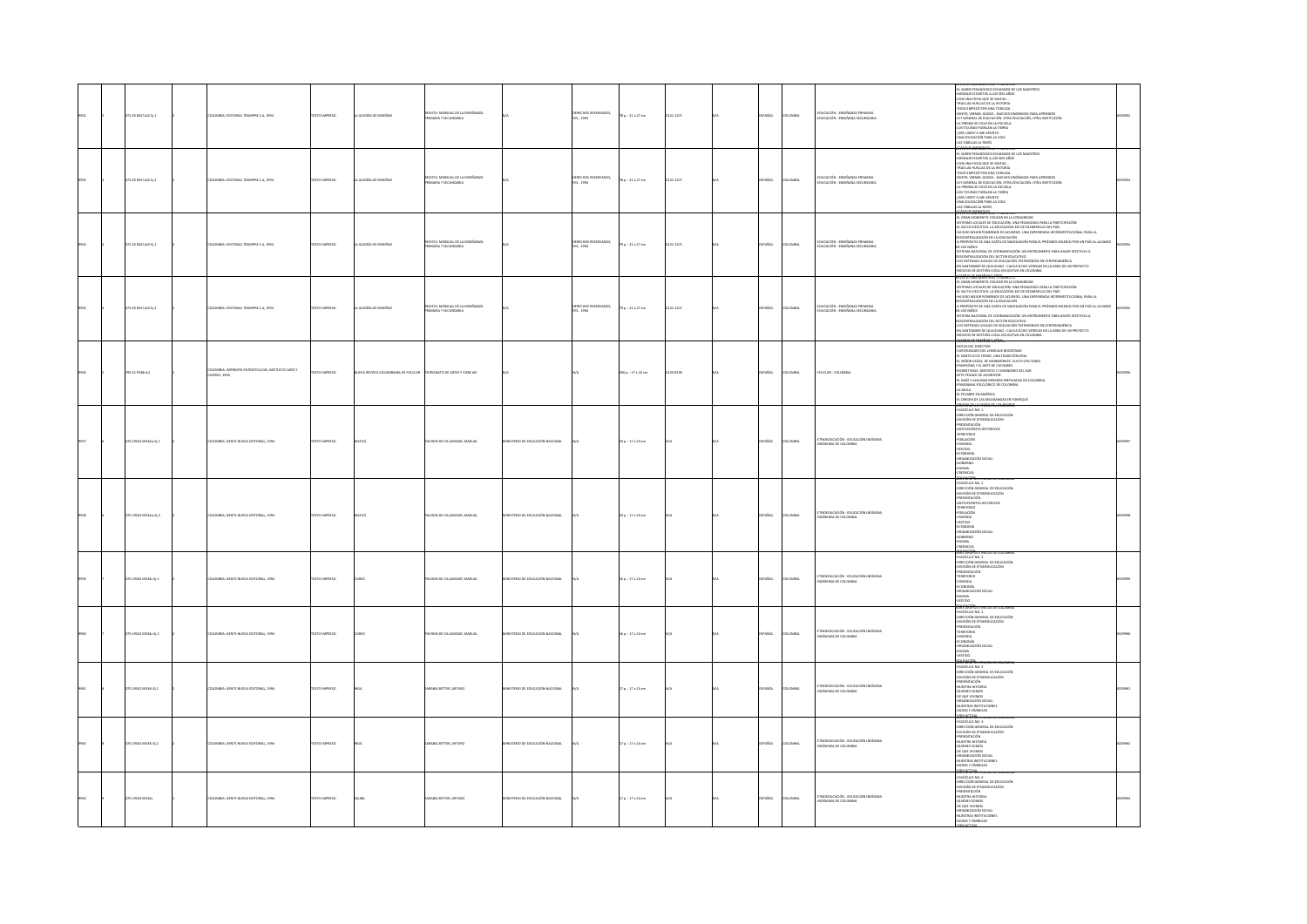|  | 372.05 RE27a22 Ej.1       | LOMBIA: EDITORIAL TESMPRE S.A, 1994                                     | DZERNA OTXIT         | A ALEGRÍA DE ENSEÑAR             | revista mensual de la enseñanza<br>Primaria y secundaria    |                                | DERECHOS RESERVADOS,<br>FES., 1994        | 78 p. : 21 x 27 cm      | 21-1471    | PAÑOL         | LOMBIA         | iducación - Enseñanza Primaria<br>Iducación - Enseñana Secundaria       | EL SABER PEDAGÓGICO EN MANOS DE LOS MAESTROS<br>MENSAJES ESCRITOS A LOS SEIS AÑOS<br>CON UNA FICHA QUE SE MUEVA<br>TRAS LAS HUELLAS DE LA HISTORIA<br>TODO EMPEZÓ POR UNA TORCAZA<br>-TODO IMPOIDS ON UNA COSCAL AND CONSUMING PARA APRINGER<br>SENTRI VIENAS, GODAL - NUCHOS SPIÓNINGS PARA APRINGER<br>4. A PRINSA EL COLO CADA CON EDUCACIÓN, OTRA INSTITUCIÓN<br>4. A PRINSA EL COLO DE LA ESCUELA<br>4. A PRINSA EL COLO D                                                                          |  |
|--|---------------------------|-------------------------------------------------------------------------|----------------------|----------------------------------|-------------------------------------------------------------|--------------------------------|-------------------------------------------|-------------------------|------------|---------------|----------------|-------------------------------------------------------------------------|----------------------------------------------------------------------------------------------------------------------------------------------------------------------------------------------------------------------------------------------------------------------------------------------------------------------------------------------------------------------------------------------------------------------------------------------------------------------------------------------------------|--|
|  | 72.05 MS27a22 tj.2        | ABIA: EDITORIAL TESMPRE S.A, 1994                                       | O IMPRESO            | LEGRÍA DE ENSEÑA                 | STA MENSUAL DE LA ENSEÑANZA                                 |                                | XERECHOS RESERVADOS,<br>ES., 1994         | $p. : 21 \times 27$ cm  |            |               |                | .<br>Ducación - Enseñanza Primaria<br>Ducación - Enseñana Secundar      | <b>STATARA MAESTROS</b><br>-EL SABER PEDAGÓGICO EN MANOS DE LOS MAESTROS<br>-EL SABER PEDAGÓGICO EN MANOS DE LOS MAESTROS<br>-CON UNA FICHA QUE SE MUEVA<br>COM UNA FORM QUE MININA.<br>C-TRA LAS HUGHA COM EN ARTICULA<br>STAN LAS HUGHA COMA - NUCHOS SINÓNIMOS PARA APRENDER<br>STANTA, VIERA GLODAC - NUCHOS SINÓNIMOS PARA APRENDER<br>STANTA MURA COLO PALA COMA<br>SA PRENSA SE COLÓ PALA LA                                                                                                      |  |
|  | .<br>172.05 R627a23 Ej. 1 | .<br>OMBIA: EDITORIAL TESIMPRE S.A., 1994                               | DESERVAL OTXET       | ALEGRÍA DE ENSEÑA                | EVISTA MENSUAL DE LA ENSEÑANZA<br><br>IARIA Y SECUNDARI     |                                | ERECHOS RESERVADOS,<br>ES., 1994          | 79 p. : 21 x 27 cm      | $1 - 1471$ | AÑOL          | oway           | EDUCACIÓN - ENSEÑANZA PRIMARIA<br>DUCACIÓN - ENSEÑANA SECUNDARIA        | LAS MAIUS AL RIVER<br>ACTIVITY AND MANUS COMPANY COMPANY OF PRODUCTION AND A PARTICULAR COMPANY OF THE STATE OF PRODUCTS AND A STATE OF PRODUCTS AND A STATE OF PRODUCTS AND A STATE OF PRODUCTS AND A STATE OF THE STATE OF THE<br>MINIMUM MANDADI DE SE CONTINUATION DE LA MINIMUM DE FANATIONALE EN EL INFRANCIA<br>DES CENTRALIZACIÓN DEL SECTOR EDUCATIVO<br>-EN SANTANDER DE QUILICHAO - CAUCA OCHO VEREDAS EN LA MIRA DE UN PROYECTO<br>INDICIOS DE GESTIÓN LOCAL EDUCATIVA EN COLOMBIA           |  |
|  | 372.05 R627x23 EL2        | COMBIA: EDITORIAL TESIMPRE S.A. 1994                                    | DZERNI OTXIT         | A ALDGRÍA DE ENSEÑAR             | EVISTA MENSUAL DE LA ENSEÑANZA<br><b>MARIA Y SECUNDARIA</b> |                                | <b>DERECHOS RESERVADOS,<br/>ES., 1994</b> | $9a. : 21 \times 27$ cm | $1-1471$   | PAÑOL         | LOMBIA         | :<br>Ducación - Enseñanza Primaria<br>:Ducación - Enseñana Secundaria   | -RODOS DE GESTÓN LOCA LOCATA EN COLOMBIA<br>4 MAY 100 - MARCIA DE COLOR EN LA COLORIDA<br>5 MAI 100 - MARCIA DE COLOR DE VIA COMUNIDADO I PARA LA PARTIDIPADÓN<br>45 MAI 100 MADEMINO, DE DEUCACIÓN: UNA PEDAGOGÍA PARA LA PARTIDIPADÓN<br>A RIDROXITO DE UNA CARTA DE NAVERACIÓN PARA EL PROXIMO MELNIO POR UN PAÍS.<br>DE LOS NIÑOS COMA DE COFINANCACIÓN, UN POTRUMINTO PARA NACER BECTIVA LA<br>RELOCTIVITALIZACIÓN DE LECTOR EDUCATOR<br>LECTORITALIZACIÓN DE COLUCIÓN TESTI<br>1008101100000014905 |  |
|  | 793.31 P348n12            | LOMBIA: IMPRENTA PATRIÓTICA DEL INSTITUTO CARO Y<br><b>CUERVO, 1994</b> | <b>DZERNI OTX3</b>   | EVA REVISTA COLOMBIANA DE FOLCLO | ATRONATO DE ARTES Y CIENCIAS                                |                                |                                           | 00 p.: 17 x 24 cm       | 20-8195    | PAÑOL         | AIRMOJO        | FOLCLOR - COLOMBIA                                                      | NOTAS DEL DIRECTOR<br>CURIOSIDADES DEL LENGUAJE BOGOTANO<br>"CALSANTO ECCE HOMO, UNA TRADICIÓN ORAL<br>"EL SANTO ECCE HOMO, UNA TRADICIÓN ORAL<br>"EL SEÑOR CAÍDO, DE MONSERRATE: CULTO UTILITARIO"<br>-PARKIUMA TELAKIE DE LOCHARES<br>-ROBERT ROSS: DENTISTA Y CURANDERO DEL SUR<br>-ESTE PEDAZO DE ACORDEÓN<br>-EL MAÍZ Y ALGUNAS MEDIDAS EMPLEADAS EN COLOMBIA<br>PANORAMA FOLCLÓRICO DE COLOMBIA<br>-FAMILIA<br>-EA MULA<br>-EL PESABRE EN AMÉRICA<br>-EL ORIGEN DE LAS MOJIGANGAS EN FOMEQUE       |  |
|  | 370.19342 MS34w Ej.1      | KOMBIA: GENTE NUEVA EDITORIAL, 1994                                     | DESERVAL OTXET       |                                  | CHON DE VILLAMIZAR, MARUJA                                  | ISTERIO DE EDUCACIÓN NACIONAL  |                                           | 9 p. : 17 x 24 cm       |            | PAÑOL         | toway          | OEDUCACIÓN - EDUCACIÓN INDÍGENA<br><b>GENAS DE COLOMBI</b>              | RE CHORAS ENREGISTA EGADINA<br>FASCÍCULO NO. 1<br>-DIRECCIÓN GENERAL DE EDUCACIÓN<br>ORIECCON GENERAL DE EDUCACIÓN<br>ORIENTACIÓN<br>PRISTENCIÓN<br>FRISTENCIÓN<br>TERRITORIOS<br>TERRITORIO<br>CORIENTACIÓN<br>CORIENTACIÓN<br>CORIENTACIÓN<br>CORIENTACIÓN<br>CORIENTACIÓN<br>CORIENTACIÓN<br>CORIENTACIÓN<br>CORIENTACIÓN<br>CORIENTACIÓN<br>CORIENTACIÓN                                                                                                                                             |  |
|  | 370.19342 MS34w Ei.2      | DLOMBIA: GENTE NUEVA EDITORIAL, 1994                                    | DZERNI OTXIT         |                                  | PACHON DE VILLAMIZAR, MARUJA                                | MSTERIO DE EDUCACIÓN NACIONAL  |                                           | 9 p. : 17 x 24 cm       |            | SPAÑOL        | AIRMOJO        | TNOEDUCACIÓN - EDUCACIÓN INDÍGENA<br>DIGENAS DE COLOMBIA                | CRITICION<br>THE CONTRACT CONTRACT CONTRACT CONTRACT CONTRACT CONTRACT CONTRACT CONTRACT CONTRACT CONTRACT CONTRACT CONTRACT CONTRACT CONTRACT CONTRACT CONTRACT CONTRACT CONTRACT CONTRACT CONTRACT CONTRACT CONTRACT CONTRACT<br>-VESTIGO<br>-ECONOMÍA<br>-ORGANIZACIÓN SOCIAL<br>GOBERNO<br>-GOBERNO<br>-CREDICAS                                                                                                                                                                                     |  |
|  | 170.19342 MS34c Ej.1      | LOMBIA: GENTE NUEVA EDITORIAL, 1994                                     | <b>DZERRINI OTX:</b> |                                  | CHON DE VILLAMIZAR, MARLIJA                                 | STERIO DE EDUCACIÓN NACIONAL   |                                           | 6p.: 17 x 24 cm         |            | AÑOL          | LOMBIA         | AVISION KÖLSKOLD - VÖLSKOLDUTS<br><b>SIGENAS DE COLOMBIA</b>            | SERIE GRUPOS ETNICOS DE COLOMBIA<br>-FASCÍCULO NO. 2<br>-DIRECCIÓN GENERAL DE EDUCACIÓN<br>DIVISIÓN DE ETNOEDUCACIÓN<br><i>PRESENTACIÓN</i><br>-TERRITORIO<br>-<br>NVIENDA<br>-DRGANIZACIÓN SOCIAL<br>AMORE-<br>OCITZZY-<br><b>DUCACIÓN</b>                                                                                                                                                                                                                                                              |  |
|  | 370.19342 MS34c D.2       | DLOMBIA: GENTE NUEVA EDITORIAL, 1994                                    | DZERNI OTXIT         | <b>IBFO</b>                      | ACHON DE VILLAMIZAR, MARUJA                                 | ISTERIO DE EDUCACIÓN NACIONAL  |                                           | $6a. : 17x24$ cm        |            | PAÑOL         | <b>LOMBIA</b>  | <b>ETNOEDUCACIÓN - EDUCACIÓN INDÍGENA</b><br>DÍGENAS DE COLOMBIA        | SERIE GRUPUS ETNICUS DE CUL<br>-FASCÍCULO NO. 2<br>-DIRECCIÓN GENERAL DE EDUCI<br>AL DE EDUCACIÓN<br>-PRESENTACIÓN<br>-TERRITORIO<br>-NWIENDA<br>-ECONOMÍA<br>ORGANIZACIÓN SOCIAL<br>-IDIOMA<br>-VESTIDO                                                                                                                                                                                                                                                                                                 |  |
|  | 370.19342 MS34 EL1        | DLOMBIA: GENTE NUEVA EDITORIAL, 1994                                    | <b>DZERNI OTX3</b>   |                                  | ARABIA BETTER, ARTURO                                       | ISTERIO DE EDUCACIÓN NACIONAL  |                                           | 7a. : 17x24cm           |            | PAÑOL         | <b>LOMBIA</b>  | ANSIGNI KÓLOACIÓN - KÖLDATUGEDAT<br>DÍGENAS DE COLOMBIA                 | SERIE GROPOS ETNICOS DE COLOMBIA<br>FASCÍCULO NO. 3<br>-DIRECCIÓN GENERAL DE EDUCACIÓN<br>-DIRECCION GENERAL DE EDUCA<br>-DIVISIÓN DE ETNOEDUCACIÓN<br>-PRESENTACIÓN<br>-NUESTRA HISTORIA<br>-NULSING HUIDEAN<br>-QUIENES SOMOS<br>-ORGANIZACIÓN SOCIAL<br>NUESTRAS INSTITUCIONES                                                                                                                                                                                                                        |  |
|  | 370.19342 MS34 Ej.2       | 100514- GENTE NUEVA EDITORIAL 1994                                      | TEXTO IMPRESO        |                                  | SARADIA BETTER, ARTURO                                      | INSTERIO DE EDUCACIÓN NACIONAL |                                           | 7p.: 17 x 24 cm         |            | <b>SPAÑOL</b> | <b>OLOMBIA</b> | <b>ETNOEDUCACIÓN - EDUCACIÓN INDÍGENA</b><br>DIGENAS DE COLOMBIA        | -DIDISE V SIMIDIOS<br>SENSI ACTIVIS - THE CONTRACT MANUSCRIPS<br>- ANGELIUS NO. 3<br>- ONCECLON GRAVEN LIE EDUCACIÓN<br>- ONCESSINACIÓN<br>- PRESENTACIÓN<br>- SULTENES SCIMIOS<br>- OU VUINTES SCIMIOS<br>- OU VUINTES SCIMIOS<br>- OU QUE VUIN<br>-DE COL VIVINGS<br>-NUESTRAS INSTITUCIONES<br>-DIOSES Y SÍMBOLOS                                                                                                                                                                                     |  |
|  | 370.19342 MS34s           | DLOMBIA: GENTE NUEVA EDITORIAL, 1994                                    | TEXTO IMPRESO        |                                  | ARABIA BETTER, ARTURO                                       | NSTERIO DE EDUCACIÓN NACIONAL  |                                           | 7p.: 17 x 24 cm         |            | PAÑOL         | <b>DLOMBIA</b> | <b>IDI ICACIÓN - FOI ICACIÓN INDÍGENA</b><br><b>DIGENAS DE COLOMBIA</b> | RÉ GROVOS ETNICO<br>SENE GAUPOS ENCORRENA<br>TRACICLION NO. 4<br>CONSIDERATION CONTRAL DE EDUCACIÓN<br>CONSIDERAT EN ENTORIO CONSIDERAT<br>PRESENTACIÓN<br>-<br>PRESENTACIÓN<br>CO QUERES SCANDES<br>CO QUERES SCANDES<br>CO QUERES SCANDES<br>CO QUERES SCANDES<br>CONS<br>20JOBNEY STORES                                                                                                                                                                                                              |  |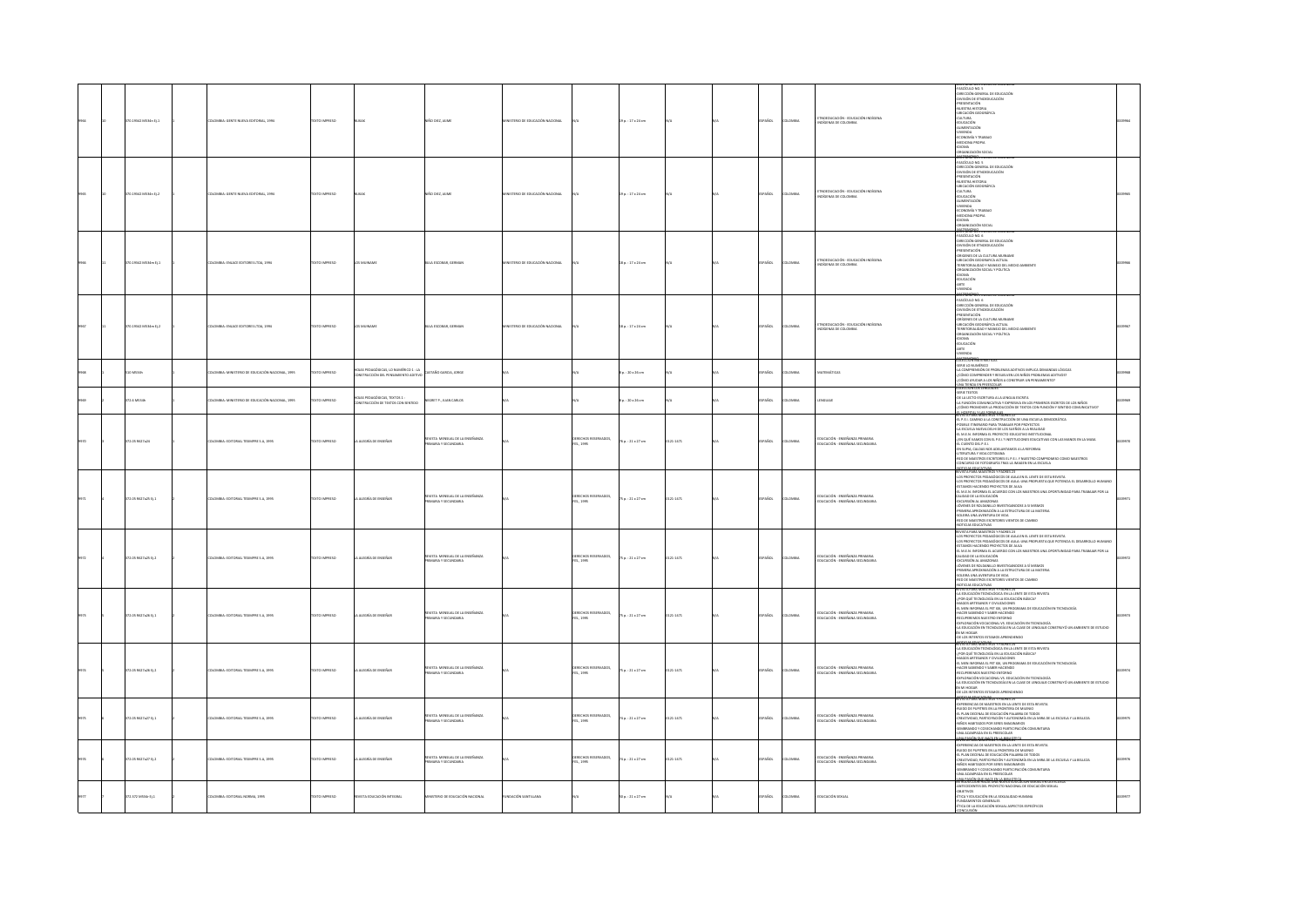|  | 70.19342 MS34n Ej.1  | OMBIA: GENTE NUEVA EDITORIAL, 1994           | <b>CTO IMPRESO</b> |                                                                       | NO DEZ, JAIME                                            | ISTERIO DE EDUCACIÓN NACIONAL |                                         | 9 p.: 17 x 24 cm      |          | AÑOL        | <b>OMBY</b> | OFDUCACIÓN - FEUCACIÓN IN<br><b>CENAS DE COLO</b>                       | <b>THE WISPON EINER DE LOCUMIER</b><br>FORECON GENERAL DE EDUCACIÓN<br>FORECOÓN GENERAL DE EDUCACIÓN<br>FRESENTACIÓN<br>NUESTRA HISTORIA<br>FUELSTRA HISTORIA<br>-DISEALIAN GELA<br>-EDUCACIÓN<br>-EDUCACIÓN<br>-ALIMENTACIÓN<br>-NIVENDA<br>-ECONOMÍA Y TRABAJO<br>-MEDICINA PROPIA<br><b>AMONA</b><br>ORGANIZACIÓN SOCIAL<br>marca<br>FASCÍCULO NO. 5<br>AL DE EDUCACIÓN                                                                                                                                                                                                                                                                 |  |
|--|----------------------|----------------------------------------------|--------------------|-----------------------------------------------------------------------|----------------------------------------------------------|-------------------------------|-----------------------------------------|-----------------------|----------|-------------|-------------|-------------------------------------------------------------------------|--------------------------------------------------------------------------------------------------------------------------------------------------------------------------------------------------------------------------------------------------------------------------------------------------------------------------------------------------------------------------------------------------------------------------------------------------------------------------------------------------------------------------------------------------------------------------------------------------------------------------------------------|--|
|  | 370.19342 MS34n EL2  | CMBLA: GENER NUEVA EDITORIAL 1994            | OZERNI OTXT        |                                                                       | NGO DEZ, JAME                                            | MSTERIO DE EDUCACIÓN NACIONAL |                                         | 9 p.: 17 x 24 cm      |          | PAÑOL       | LOMBIA      | TNOEDUCACIÓN - EDUCACIÓN INDÍGENA<br><b>SCENAS DE COLOMBI</b>           | -DIRECCION GENERAL LA LAYAN<br>-DIVISIÓN DE ETNOEDUCACIÓN<br>PRESENTACIÓN<br>-NUESTRA HISTORIA<br>-UBICACIÓN GEOGRÁFICA<br>CULTURA<br>EDUCACIÓN<br>-ALIMENTACIÓN<br>NUMBER<br>-NWIENDA<br>-BECHONA PROPIA<br>-<br>DRGANIZACIÓN SOCIAL                                                                                                                                                                                                                                                                                                                                                                                                      |  |
|  | 370.19342 MS34m EL1  | DLOMBIA: ENLACE EDITORES LTDA. 2994          | DZERNIK OTXET      | LOS MEINAME                                                           | <b>NILA FSCORAR GERMAN</b>                               | MSTERIO DE EDUCACIÓN NACIONAL |                                         | $8a. : 17x24$ cm      |          | PAÑOL       | LOMBIA      | <b>TNOFOLICACIÓN - FOLICACIÓN INDÍGENA</b><br>GENAS DE COLO             | ORGANIZACION SOCIAL<br>AMERICANO NO SERVIZACION<br>CHINECON GENERAL DE EDUCACIÓN<br>CHINECON GENERAL DE EDUCACIÓN<br>CHINECON GENERAL CULTURA MUINAME<br>CHINECON GENERAL CULTURA MUINAME<br>CHINECON GENERAL CALLONA<br>CHINECON GENERAL COMPANDO<br>DRGANIZACIÓN SOCIAL Y POLITICA<br>ninas<br>EDUCACIÓN<br>$\begin{array}{c} \text{Jtx.}\\ \text{ARTI}\\ \text{WENDA}\\ \text{W} \end{array}$                                                                                                                                                                                                                                           |  |
|  | 170.19342 MS34m Ej.2 | .<br>OMBIA: ENLACE EDITORES LTDA, 2994       | EXTO IMPRESO       | OS MUINAM                                                             | ILA ESCOBAR, GERMAN                                      | STERIO DE EDUCACIÓN NACIONAL  |                                         | 8 p.: 17 x 24 cm      |          | son-        | owas        | teucación - Educación int<br>DÍGENAS DE COLOMBIA                        | $\begin{minipage}[t]{.0\textwidth}\begin{subfigure}[t]{.0\textwidth}\begin{subfigure}[t]{.0\textwidth}\begin{subfigure}[t]{.0\textwidth}\begin{subfigure}[t]{.0\textwidth}\begin{subfigure}[t]{.0\textwidth}\begin{subfigure}[t]{.0\textwidth}\begin{subfigure}[t]{.0\textwidth}\begin{subfigure}[t]{.0\textwidth}\begin{subfigure}[t]{.0\textwidth}\begin{subfigure}[t]{.0\textwidth}\begin{subfigure}[t]{.0\textwidth}\begin{subfigure}[t]{.0\textwidth}\begin{subfigure}[t]{.0\textwidth}\begin{subfigure}[t]{.0\textwidth}\begin{subfigure}[t]{.0\textwidth}\begin{subfigure}[t]{.0\$<br><b>AANTRIAPINAS<br/>TOLECCIÓN MATEMÁTICAS</b> |  |
|  |                      |                                              |                    | DIAS PEDAGÓGICAS, LO NUMÉRICO 1 : LA<br>NSTRUCCIÓN DEL PENSAMIENTO AD | TAÑO GARCIA, JORGE                                       |                               |                                         | : 20 x 26 cm          |          | .<br>No     |             |                                                                         | SERIE LO NUMÉRICO<br>-LA COMPRENSIÓN DE PROBLEMAS ADITIVOS IMPLICA DEMANDAS LÓGICAS<br>.<br>CÓMO COMPRENDER Y RESUELVEN LOS NIÑOS PROBLEMAS ADITIVOS?<br>CÓMO AYUDAR A LOS NIÑOS A CONSTRUIR UN PENSAMIENTO?<br>.<br>INA TIENDA EN PREESCOLAR                                                                                                                                                                                                                                                                                                                                                                                              |  |
|  | 2.6 MS34             | MBIA: MINISTERIO DE EDUCACIÓN NACIONAL, 1995 | XTO IMPRESO        | AS PEDAGÓGICAS, TEXTOS 1 :<br>ISTRUCCIÓN DE TEXTOS CON SENTIDO        | NEGRET P., JUAN CARLOS                                   |                               |                                         | : 20 x 26 cm          |          | .<br>Not    | .<br>Wili   | GUAIL                                                                   |                                                                                                                                                                                                                                                                                                                                                                                                                                                                                                                                                                                                                                            |  |
|  | 2.05 R\$27a24        | MBIA: EDITORIAL TESMPRE S.A, 1995            | EXTO IMPRESO       | ALEGRÍA DE ENSEÑAR                                                    | FUSTA MENSIAI DE LA FINERANZA<br>.<br>MARA Y SECUNDARIA  |                               | ERECHOS RESERVADOS.<br>ES., 1995        | 6 p. : 21 x 27 cm     | 1471     | .<br>Scc    |             | THICACIÓN - FMSFRANZA PRIMARIA<br><b>DUCACIÓN - ENSEÑANA SECUNDARIA</b> | $\begin{tabular}{l c c c} \hline & \multicolumn{2}{l}{\multicolumn{2}{l}{\multicolumn{2}{l}{\multicolumn{2}{l}{\multicolumn{2}{l}{\multicolumn{2}{l}{\multicolumn{2}{l}{\multicolumn{2}{l}{\multicolumn{2}{l}{\multicolumn{2}{l}{\multicolumn{2}{l}{\multicolumn{2}{l}{\multicolumn{2}{l}{\multicolumn{2}{l}{\multicolumn{2}{l}{\multicolumn{2}{l}{\multicolumn{2}{l}{\hskip .}}} \hline & \multicolumn{2}{l}{\multicolumn{2}{l}{\hskip .}}} \hline & \multicolumn{2}{l}{\hskip .$                                                                                                                                                         |  |
|  | 372.05 R627a25 Ej.1  | LOMBIA: EDITORIAL TESMPRE S.A, 1995          | DZERNA OTXIT       | LA ALEGRÍA DE ENSEÑA                                                  | IEVISTA MENSUAL DE LA ENSEÑANZA<br>ARAY SECUNDARIA       |                               | XERECHOS RESERVADOS,<br>ES., 1995       | 5 p. : 21 x 27 cm     | 21-1471  | PAÑOL       | LOMBY       | jucación - Enseñanza Primaria<br>Jucación - Enseñana Secundaria         | CARRONO DE VIDORES TEMPORADO E EN EL CARRON DE SETA EL VISTA DE MESTINA EL CARRON EN EN EL CARRONO DE MESTINA<br>LES PROPECTOS PEDAGÓGICOS DE AULA EN EL LENTE DE ESTA ELVISTA<br>LES PROPECTOS PEDAGÓGICOS DE AULA UN EL LENTE DE E<br>ESTADOS MAININGOS EN EN ALIGREO CON LOS MASTROS UNA OTORTUNIDAD PARA TRABANA POE LA GUERRA DE ALIGREO CON LOS MASTROS UNA OTORTUNIDAD PARA TRABANA POE LA GUERRA DE ANALISA<br>CALICADE NA ARADINA<br>CALICADE NA ARADINA<br>POEMA ARA                                                                                                                                                             |  |
|  | 172.05 R627x25 EL2   | OMBIA: EDITORIAL TESIMPRE S.A. 1995          | DZERNIK OTXET      | A ALDGRÍA DE ENSEÑAR                                                  | revista mensual de la enseñanza<br>Primaria y secundaria |                               | DERECHOS RESERVADOS,<br>FES., 1995      | $5p.:21 \times 27$ cm | $1-1471$ | <b>AROL</b> | LOMBIA      | educación - enseñanza primaria<br>Educación - enseñana secundaria       | RVISTA PARA MAESTROS Y PADRES 23<br>LOS PROYECTOS PEDAGÓGICOS DE AULA EN EL LENTE DE ESTA REVISTA<br>NAI FRONCEIOS FEDROÓDICOS DE AUAN UNA PROPUESTA QUE POTENCIA EL DESARROLLO HUMANO<br>455 FRONCEIOS FEDROÓDICOS DE AUAN.<br>41 M.E.N. INFORMA EL ACUERDO CON LOS MAESTROS UNA OPORTUNIDAD PARA TRABAJAR POR LA<br>CALIDAD DE LA EDUCACIÓN<br>-EXCURSIÓN AL AMAZONAS<br>JOVENES DE ROLDANILLO INVESTIGANDOSE A SÍ MISMOS<br>PRIMERA APROXIMACIÓN A LA ESTRUCTURA DE LA MATERIA<br>AGU 30 ARUTHER AVENUES DE<br>RED DE MAESTROS ESCRITORES VIENTOS DE CAMBIO<br>NOTICIAS EDUCATIVAS<br>RIVISTA PARA MAESTROS Y PADRES 24                 |  |
|  | 372.05 R627a26 Ej.1  | KOMBIA: EDITORIAL TESMPRE S.A., 1995         | DZERNA OTXIT       | LA ALEGRÍA DE ENSEÑAR                                                 | REVISTA MENSUAL DE LA ENSEÑANZA<br>PRIMARIA Y SECUNDARIA |                               | ERECHOS RESERVADOS,<br>ES., 1995        | 75 p. : 21 x 27 cm    | 21-1471  | PAÑOL       | <b>OMBY</b> | )<br>JUCACIÓN - ENSEÑANZA PRIM<br>JUCACIÓN - ENSEÑANA SECUN             | <b>NOTE AN ABSORPED THAN A MANY BY ESTATION AND A MANY BOARD OF A MANY BOARD OF A MANY BOARD OF A MANY BOARD OF A MANY BOARD OF A MANY BOARD OF A MANY BOARD OF A MANY BOARD OF A MANY BOARD OF A MANY BOARD OF A MANY BOARD OF</b>                                                                                                                                                                                                                                                                                                                                                                                                        |  |
|  | 372.05 R627a26 Ej.2  | DLOMBIA: EDITORIAL TESMPRE S.A, 1995         | TEXTO IMPRESO      | LA ALEGRÍA DE ENSEÑAR                                                 | EVISTA MENSUAL DE LA ENSEÑANZA<br>MARIA Y SECUNDARIA     |                               | CRECHOS RESERVADOS,<br>FES., 1995       | 75 p. : 21 x 27 cm    | 21-1471  | PAÑOL       | LOMBIA      | EDUCACIÓN - ENSEÑANZA PRIMARIA<br>EDUCACIÓN - ENSEÑANA SECUNDARIA       | <b>ALOTSIA VADU GATISMU</b> S 1 PALMES 24<br>-LA EDUCACIÓN TECNOLÓGICA EN LA LENTE DE ESTA REVISTA<br>JPDR QUÉ TECNOLOGÍA EN LA EDUCACIÓN BÁSICA?<br>MAGOS ARTESANOS Y CIVILIZACIONES<br>-EL MEN INFORMA EL PET XXI, UN PROGRAMA DE EDUCACIÓN EN TECNOLOGÍA<br>HACER SABIENDO Y SABER HACIENDO<br>-RECUPEREMOS NUESTRO ENTORNO<br>-EXPLORACIÓN VOCACIONAL VS. EDUCACIÓN EN TECNOLOGÍA<br>LA EDUCACIÓN EN TECNOLOGÍA EN LA CLASE DE LENGUAJE CONSTRUYÓ UN AMBIENTE DE ESTUDIO<br>EN MI HOGAR<br>-DE LOS INTENTOS ESTAMOS APRENDIENDO                                                                                                        |  |
|  | 172.05 M527a27 Ej.1  | <b>DLOMBIA: EDITORIAL TESPAPRE S.A. 1995</b> | EXTO IMPRESO       | ALEGRÍA DE ENSEÑA                                                     | ISTA MENSUAL DE LA ENSEÑANZA<br>AARIA Y SECUNDARIA       |                               | XERECHOS RESERVADOS,<br>ES., 1995       | 4 p. : 21 x 27 cm     | 121-1471 | AÑOL        | <b>OMBI</b> | ducación - Enseñanza Primaria<br>Ducación - Enseñana Secundaria         | SI CUS INTERNOS ESTADOS APRIMONIDOS<br>ARTES DE ANGUESA EN ANCIENTE ESTADOS EN ANGUESA EL ENTRE EN ANGUESA EL ENTRE EN ANGUESA EL ENTRE EN ANGUESA EL ENTRE EN ANGUESA EL ENTRE EN ANGUESA EL ENTRE EN ANGUESA EL ENTRE EN ANGUE<br><b>10 PASON OUT MEETS LA RIBUOTE</b>                                                                                                                                                                                                                                                                                                                                                                   |  |
|  | 2.05 R627a27 EJ.2    | OMBIA: EDITORIAL TESIMPRE S.A. 1995          | OZERNA OTX:        | ALDGRÍA DE ENSEÑAR                                                    | .<br>VSTA MENSUAL DE LA ENSEÑANZA<br>IMARIA Y SECUNDARIA |                               | <b>ERECHOS RESERVADOS,</b><br>ES., 1995 | 74 p. : 21 x 27 cm    | 1471     | <b>Scc</b>  | MB)         | :<br>Ducación - Enseñanza Primaria<br>Ducación - Enseñana Secundar      | ROTOR FANK MARTÍNSKÝ FRÁNDES SE<br>4 sverienna se oracstros en la lente de esta revista<br>4 sveriennas de marstros en la lente de esta revista<br>4 si fuan decenia de educación palabra de todos<br>4 síños habitados for seres imaginar<br>:<br>MIERANDO Y COSECHANDO PARTICIPACIÓN COMUNITARIA<br>NA ACAMPADA EN EL PREESCOLAR<br>.<br>Na pasión que nace en la biblioteca.<br>Troduction hacia una nueva educación sexual en la escuela                                                                                                                                                                                               |  |
|  | 372.372 M534r Ej.1   | DLOMBIA: EDITORIAL NORMA, 1995               | EXTO IMPRESO       | <b>EVISTA EDUCACIÓN INTEGRAL</b>                                      | STERIO DE EDUCACIÓN NACIONAL                             | DADON SANTH LANA              |                                         | 0p.: 21 x 27 cm       |          | AÑOL        | LOMBY       | EDUCACIÓN SEXUAL                                                        | <b>FTO NATIONAL DE EDIT</b><br>)<br>Dejetivos<br>(Tica y Educación en la sexualidad Humania)<br><b>ENTOS GENER</b><br>-FUNDAMENTOS GENERALES<br>-ÉTICA DE LA EDUCACIÓN SEXUAL ASPECTOS ESPECÍFICOS                                                                                                                                                                                                                                                                                                                                                                                                                                         |  |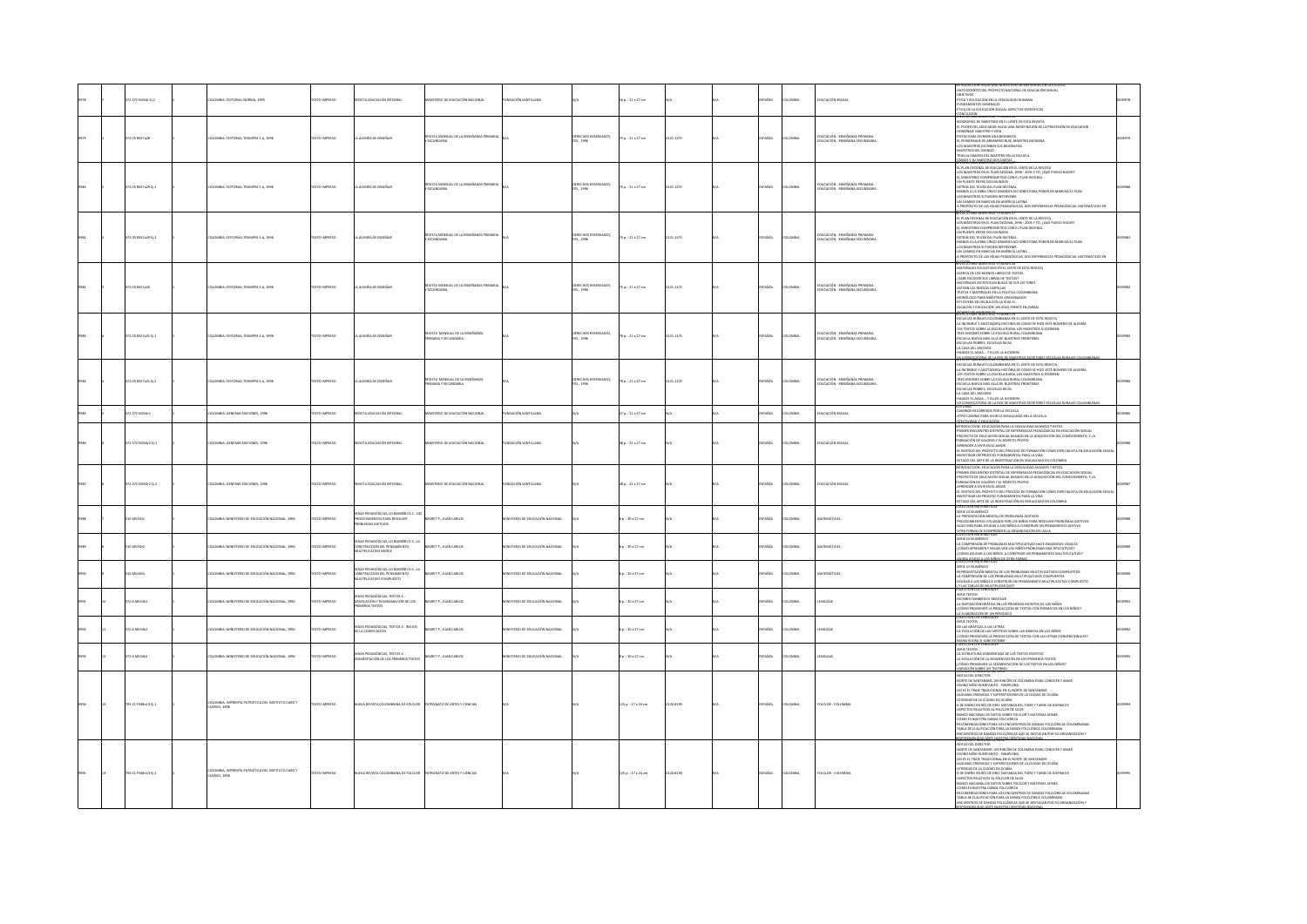|  |                     |                                                                        |                      |                                                                                                   |                                                               |                               |                                    |                         |          |                             |                                                                   | ITECEDENTES DEL PROYECTO NACIONAL DE EDUCACIÓN SEXUAL                                                                                                                                                                                                                                                                                                                                                                                                                                                                                                                                                                                                                                                                                                                    |  |
|--|---------------------|------------------------------------------------------------------------|----------------------|---------------------------------------------------------------------------------------------------|---------------------------------------------------------------|-------------------------------|------------------------------------|-------------------------|----------|-----------------------------|-------------------------------------------------------------------|--------------------------------------------------------------------------------------------------------------------------------------------------------------------------------------------------------------------------------------------------------------------------------------------------------------------------------------------------------------------------------------------------------------------------------------------------------------------------------------------------------------------------------------------------------------------------------------------------------------------------------------------------------------------------------------------------------------------------------------------------------------------------|--|
|  | 2.372 MS34r Ej.2    | OMBIA: EDITORIAL NORMA, 1995                                           |                      |                                                                                                   | ERIO DE EDUCACIÓN NACIONAL                                    | ACIÓN SANTILLAN               |                                    | $p. : 21 \times 27$ cm  |          |                             | <b>UCACIÓN SEXUAI</b>                                             | BJETIVOS<br>NGA Y EDUCACIÓN EN LA SEXUALIDAD HUMANA<br>JNDAMENTOS GENERALES<br>NCA DE LA EDUCACIÓN SEXUAL ASPECTOS ESPECÍFICOS                                                                                                                                                                                                                                                                                                                                                                                                                                                                                                                                                                                                                                           |  |
|  | 2.05 R527a28        | OMBIA: EDITORIAL TESIMPRE S.A, 1996                                    | XTO IMPRESO          | <b>LEGRÍA DE ENSEÑA</b>                                                                           | REVISTA MENSUAL DE LA ENSEÑANZA PRIMAR<br>Y SECUNDARIA        |                               | DERECHOS RESERVADOS,<br>FES., 1996 | $9p.:21 \times 27$ cm   | 21-1471  | Acc.<br>owau                | DUCACIÓN - ENSEÑANZA PRIMARIA<br>DUCACIÓN - ENSEÑANA SECUNDARI    | CONCLUSIÓN<br>VISÍA PARA MARISTROS Y PADRES 26<br>LOGRAFÍAS DE MARISTROS EN EL LENTE DE ESTA REVISTA<br>L PODER DEL EDUCADOR HACIA UNA REDEFINICIÓN DE LA PROFESIÓN DE EDUCADOR<br>OMENAJE MAESTRO Y VIDA<br>STAS PARA ESCRIBIR UNA BIOGRAFÍA<br>: PERIGRINAJE DE ARGEMIRO RUIZ, MAESTRO INDÍGENA<br>.<br>OS MAESTROS ESCRIBEN SUS BIOGRAFÍAS<br>1945 LA IMAGEN DEL MAESTRO EN LA ESCUELA                                                                                                                                                                                                                                                                                                                                                                                |  |
|  | 2.05 R627a29 EJ.1   | .<br>Mila: Editorial Tesimpre S.A, 1996                                | O IMPRESO            | EGRÍA DE ENSEÑA                                                                                   | ISTA MENSUAL DE LA ENSEÑA<br>:CUNDARIA                        |                               | DERECHOS RESERVADOS,<br>FES., 1996 | sp.: 21 x 27 cm         | $-1471$  |                             | DUCACIÓN - ENSEÑANZA PRIM<br>DUCACIÓN - ENSEÑANA SECUN            | MAIS ISSUANISTRO RESIGNATION<br><del>CAN DI XWENDER THOMAS (VI)</del><br>EL PARAMENTAL DE ENGUACIÓN PUE LEUTE DE LA REVISTA<br>LOS MARCINAL DE ENGUACIÓN PUE LEUTE DE LA REVISTA<br>LOS MARCINA DE PARA DESCRITA DE PUES DE CANADO HECHA<br>CHIVAR DE TURIO DE JA AN ESCRITA<br>CHIVAR                                                                                                                                                                                                                                                                                                                                                                                                                                                                                   |  |
|  | 72.05 R527x29 EL2   | DLOMBIA: EDITORIAL TESMPRE S.A. 1996                                   | OZSRRA OTX:          | ALEGRÍA DE ENSEÑAR                                                                                | VISTA MENSUAL DE LA ENSEÑANZA PRIMAR<br>o'ri iwnama           |                               | ERECHOS RESERVADOS.<br>FES., 1996  | 75a.:21x27cm            | 121-1471 | <b>AROL</b><br>LOMBIA       | DUCACIÓN - ENSEÑANZA PRIMARIA<br>DICACIÓN - ENSEÑANA SECUNDARIA   | <b>SEEP BLES MAP CENTRY BANKER 37</b><br>EL PLAN DECENAL DE EDUCACIÓN EN EL LENTE DE LA REVISTA<br>)<br>MARSTROS EN EL PLAN DECENAL 1996 - 2005 Y YO, ¿QUÉ PUEDO HACER?<br>MINISTERIO COMPROMETIDO CON EL PLAN DECENAL<br>N PUENTE ENTRE DOS MUNDOS<br>AT POURTIL UN TIN USA PROVINCIAL<br>INTRÁS DEL TELON DEL PLAN DECENAL<br>INNIOS À LA OBRA CINCO GRANDES ACCIONES PARA PONER EN MARCHA EL PLAN<br>IOS MARSTROS SI PUEDEN INTERVENIR<br>.<br>V CAMBIO EN MARCHA EN AMÉRICA LATINA<br>PROPÓSITO DE LAS HOIAS PEDAGÓGICAS. DOS EXPERIENCIAS PEDAGÓGICAS: MATEMÁTICAS EN<br><b>STATING MAESTROS Y PADRES 28</b>                                                                                                                                                        |  |
|  | 72.05 R527a30       | LOMBIA: EDITORIAL TESMPRE S.A., 1996                                   | EXTO IMPRESO         | ALEGRÍA DE ENSEÑAR                                                                                | <b>IEVISTA MENSUAL DE LA ENSEÑANZA PRIMARI</b><br>SECUNDARIA  |                               | DERECHOS RESERVADOS,<br>FES., 1996 | 75 p. : 21 x 27 cm      | 21-1471  | <b>ACC</b><br>oway          | educación - enseñanza primaria<br>Educación - enseñana secundaria | ARTERIALES EDUCATIVOS EN EL LENTE DE ESTA REVISTA<br>CERCA DE LOS BUENOS LIBROS DE TEXTOS<br>ABE ESCOGER SUS UBROS DE TEXTI<br>ATERIALES ESCRITOS EN BUSCA DE SUS LECTORES<br>SÍ SON LAS NUEVAS CARTILLAS<br><b>COS Y MATERIALES EN LA POLÍTICA COLOMBIANA</b><br>ONOLOGO PARA MAESTROS APASIONADOS<br>TUVIERA EN DEUDA CON LA VIDA SI.<br>CALDÍA Y EDUCACIÓN: UN SOLO FRENTE EN ZARZAL                                                                                                                                                                                                                                                                                                                                                                                  |  |
|  | 72.05 R627a31 Ej.1  | <b>JLOMBIA: EDITORIAL TESIMPRE S.A. 1996</b>                           | DZERRAI OTX31        | ALEGRÍA DE ENSEÑA                                                                                 | EVISTA MENSUAL DE LA ENSEÑANZA<br><b><i>RAY SECUNDARY</i></b> |                               | DERECHOS RESERVADOS,<br>FES., 1996 | 78 p. : 21 x 27 cm      | 121-1471 | AÑOL<br>OMBIA               | DUCACIÓN - ENSEÑANZA PRIMARIA<br>UCACIÓN - ENSEÑANA SECUND        | ILICALIST I LUGUARIANI, UN JUGU FRANCIA RASSIGNI.<br>VISITA PARA MARSISTOS Y PARAIS 25<br>SCUELAS RURALES COLOMBIANAS EN EL LENTE DE ESTA REVISTA.<br>A INCREBILE Y AGOTADORA HISTORIA DE COMO SE HIZO ESTE NÚMERO DE ALEGRÍA.<br>53 TEXTOS SOBRE LA ESCUELA RURAL LOS MAESTROS SI ESCRIBEN<br>RES VISIONES SOBRE LA ESCUELA RURAL COLOMBIANA<br>ICUELA NUEVA MÁS ALLÁ DE NUESTRAS FRONTERAS<br>SCUELAS POBRES, ESCUELAS RICAS<br>LCASA DEL ARCOIRIS<br>AGASE EL AGUA Y ELLOS LA HICIERON<br>CONVOCATIONA DE LA RED DE MAISTROS ESCRITORES ESCUELAS                                                                                                                                                                                                                      |  |
|  | 2.05 MS27x31 Ej.2   | .<br>CMBIA: EDITORIAL TESIMPRE S.A, 1996                               | XTO IMPRESO          | ALDGRÍA DE ENSEÑA                                                                                 | <b>EVSTA MENSUAL DE LA ENSEÑANZA</b><br>ARIA Y SECUNDARIA     |                               | DERECHOS RESERVADOS,<br>FES., 1996 | 78 p. : 21 x 27 cm      | 21-1471  | Acc.<br>OMBI                | DUCACIÓN - ENSEÑANZA PRIMARIA<br>DUCACIÓN - ENSEÑANA SECUNDARIA   | EVISIA PARA MAESI KUS TYAUKES 2N ELENTE DE ESTA REVISTA.<br>SCUELAS RUPALES COLONIBANAS EN EL LENTE DE ESTA REVISTA.<br>A INCREIBLE Y AGOTADORA HISTORIA DE COMO SE HIZO ESTE NÚMERO DE ALEGRÍA.<br>ISI TEXTOS SOBRE LA ESCUELA RUPAL L<br>RES VISIONES SOBRE LA ESCUELA RURAL COLOMBIANA<br>SCUELA NUEVA MAS ALLÁ DE NUESTRAS FRONTERAS<br>SCUELAS POBRES, ESCUELAS RICAS<br>A CASA DEL ARCOIRIS<br>IAGASE EL AGUA Y ELLOS LA HICIEROI<br>CONVOCATORIA DE LA RED DE MAESTRO                                                                                                                                                                                                                                                                                             |  |
|  | 72.372 M534r1       | LOMBIA: GENERAR EDICIONES, 1996                                        | <b>DESIRAIO DTX:</b> | VISTA EDUCACIÓN INTEGRAL                                                                          | STERIO DE EDUCACIÓN NACIONAL                                  | <b>VDACIÓN SANTILLANA</b>     |                                    | 7p.: 21 x 27 cm         |          | <b>AÑOL</b><br><b>AIGMO</b> | DUCACIÓN SEXUAL                                                   | CAMINOS RECORRIDOS POR LA ESCUELA<br>TRO CAMINO PARA VIVIR LA SEXUALIDAD EN LA ESCUELA                                                                                                                                                                                                                                                                                                                                                                                                                                                                                                                                                                                                                                                                                   |  |
|  | 72.372 MS34r2 B.1   | LOMBIA: GENERAR EDICIONES, 1996                                        | <b>DZERNI OTX3</b>   | VISTA EDUCACIÓN INTEGRAL                                                                          | STERIO DE EDUCACIÓN NACIONAL                                  | <b>DACIÓN SANTILLANA</b>      |                                    | $48a : 21 \times 27$ cm |          | <b>AROL</b><br>LOMBIA       | DUCACIÓN SEXUAL                                                   | NECTIVIDAD Y EDUCACIÓN<br>ITRODUCCIÓN: EDUCACIÓN PARA LA SEXUALIDAD AVANCES Y RETOS<br>PRIMER ENCUENTRO DISTRITAL DE EXPERIENCIAS PEDAGÓGICAS EN EDUCACIÓN SEXUAL<br>PROYECTO DE EDUCACIÓN SEXUAL BASADO EN LA ADQUISICIÓN DEL CONOCIMIENTO, Y LA<br>RMACIÓN DE VALORES Y EL RESPETO PROPIO<br>PRENDER A VIVIR EN EL AMOR<br>UYRINDER A VIVIR EN EL AMOR<br>L'SENTIDO DEL PROYECTO DEL PROCESO DE FORMACIÓN COMO ESPECIALISTA EN EDUCACIÓN SEXUA<br>VESTIGAR UN PROCESO FUNDAMENTAL PARA LA VIDA<br>TADO DEL ARTE DE LA INVESTIGACIÓN EN SEXUALIDAD EN COLOMBIA                                                                                                                                                                                                          |  |
|  | 72.372 MS34r2 8:2   | DLOMBIA: GENERAR EDICIONES, 1996                                       | DZERNI OTXIT         | WASTA EDUCACIÓN INTEGRAL                                                                          | INSTERIO DE EDUCACIÓN NACIONAL                                | NDADON SANTILLANA             |                                    | $48a : 21 \times 27$ cm |          | PAÑOL<br>LOMBIA             | EDUCACIÓN SEXUAL                                                  | ITRODUCEIÓN: EDUCACIÓN PARA LA SEXUALIDAD AVANCES Y RETOS<br>RIMER ENCUENTRO DISTRITAL DE EXPERIENCIAS PEDAGÓGICAS EN EDUCACIÓN SEXUAL<br>OYECTO DE EDUCACIÓN SEXUAL BASADO EN LA ADQUISICIÓN DEL CONOCIMIENTO, Y LA<br>MACIÓN DE VALORES Y EL RESPETO PROPIO<br>PRENDER A VIVIR EN EL AMOR<br>L SENTIDO DEL PROYECTO DEL PROCESO DE FORMACIÓN COMO ESPECIALISTA EN EDUCACIÓN SEXUA<br>ESTIGAR UN PROCESO FUNDAMENTAL PARA LA VIDA<br>TADO DEL ARTE DE LA INVESTIGACIÓN EN SEXUALIDAD EN COLOMBIA                                                                                                                                                                                                                                                                        |  |
|  | 0 MS34h1            | LOMBIA: MINISTERIO DE EDUCACIÓN NACIONAL, 1996                         | CESRRINI OTX         | UAS PEDAGÓGICAS, LO NUMÉRICO 2 : LOS<br>ROCEDIMENTOS PARA RESOLVER<br><b>OBLEMAS ADITIVOS</b>     | <b>NEGRET P., JUAN CARLOS</b>                                 | ISTERIO DE EDUCACIÓN NACIONAL |                                    | $1:20 \times 27$ cm     |          | <b>AROL</b><br>LOMBIA       | ATEMÁTICAS                                                        | <b>DLECCIÓN MATEMÁTICAS</b><br><b>SERIE LO NUMÉRICO</b><br>PRESENTACIÓN MENTAL DE PROBI FMAS ADITIVOS<br>OCEDIMENTOS UTILIZADOS POR LOS NIÑOS PARA RESOLVER PROBLEMAS ADITIVOS<br>LGO MÁS PARA AYUDAR A LOS NIÑOS A CONSTRUIR UN PENSAMIENTO ADITIVO<br>BA FORMA DE COMPRENDER LA ORGANIZACIÓN DEL AULA                                                                                                                                                                                                                                                                                                                                                                                                                                                                  |  |
|  | .<br>MS34h2         |                                                                        | <b>SAMARY</b>        | DIAS PEDAGÓGICAS, LO NUMÉRICO 3 : LA<br>INSTRUCCIÓN DEL PENSAMENTO<br>ULTIPLICATIVO SIMPLE        | <b>SET P., JUAN CARLOT</b>                                    |                               |                                    | : 20 x 27 cm            |          |                             |                                                                   | <b>COLICION MATERIA</b><br>HA COMPRESIÓN DE PROBLEMAS MULTPULATIVOS HACE EXIGENCIAS LÓGICAS<br>-{CÓMEO APRENDEN Y RESUELVEN LOS NIÑOS PROBLEMAS MULTIPULATIVOS?<br>-{CÓMEO APRENDEN Y RESUELVEN LOS NIÑOS PROBLEMAS MULTIPULATIVOS?<br>-{CÓMEO<br>(HORA AYUDO A LOS NIÑOS DE OTRA FORMA<br>DLECCIÓN MATEMÁTICAS                                                                                                                                                                                                                                                                                                                                                                                                                                                          |  |
|  | 0 MS34h3            | OMBIA: MINISTERIO DE EDUCACIÓN NACIONAL, 1996                          | TO IMPRESO           | PEDAGÓGICAS, LO NUMÉRICO 4 : LA<br>ONSTRUCCIÓN DEL PENSAMENTO<br>ITIPLICATIVO COMPUESTO           | NEGRET P., JUAN CARLOS                                        | STERIO DE EDUCACIÓN NACIONAL  |                                    | $1:20 \times 27$ cm     |          | <b>ACC</b><br>owau          | TEMÁTICAS                                                         | COUNTINUM OJ 1R12<br>RESENTACIÓN MENTAL DE LOS PROBLEMAS MULTIPLICATIVOS COMPUESTOS<br>A COMPRESIÓN DE LOS PROBLEMAS MULTIPLICATIVOS COMPUESTOS<br>VIUDAR A LOS NIÑOS A CONSTRUIR UN PENSAMIENTO MULTIPLICATIVO COMPUESTO<br>Y LAS TABLAS DE MULTIPLICAR QUÉ?                                                                                                                                                                                                                                                                                                                                                                                                                                                                                                            |  |
|  | 72.6 MS14h1         | LOMBIA: MINISTERIO DE EDUCACIÓN NACIONAL, 1996                         | OZERNI OTX           | as presendencas Tratos 2 -<br><b>JRAFICACIÓN Y DIAGRAT</b><br>AADON DE LOS<br><b>ALROS TEXTOS</b> | NEGRET P., JUAN CARLOS                                        | AMODAM MÓLIACIÓN ED OIRETZIA  |                                    | $120 \times 27$ cm      |          | <b>AROL</b><br>oway         | <b>INGUAJE</b>                                                    | SERIE TEXTOS<br>CRISIS TAMBIÉN PS CRAFICAR<br>.<br>L'OISPOSICIÓN GRÁFICA EN LOS PRIMEROS ESCRITOS DE LOS NIÑOS<br>CÓMO PROMOVER LA PRODUCCIÓN DE TEXTOS CON FORMATOS EN LOS NIÑOS?<br><b>ELABORACIÓN DE UN PERIÓDICO</b><br>ILECCIÓN LOS LENGUAJES                                                                                                                                                                                                                                                                                                                                                                                                                                                                                                                       |  |
|  | 6 MS34k2            | MBIA: MINISTERIO DE EDUCACIÓN NACIONAL, 1996                           | <b>IMPRESO</b>       | S PEDAGÓGICAS, TEXTOS 3 : INICIOS<br>E LA CODIFICACIÓN                                            | CORET P., JUAN CARLOS                                         | TERIO DE EDUCACIÓN NACIONAL   |                                    | : 20 x 27 cm            |          |                             |                                                                   | IERIE TEXTOS<br>JE LAS GRÁFICAS A LAS LETRAS<br>L INN MARILINA A LAS LEI IMAS<br>L'EVOLUCIÓN DE LAS HIPÓTESIS SOBRE LAS GRAFÍAS EN LOS NIÑOS<br>LÓMO PROMOVER LA PRODUCCIÓN DE TEXTOS CON LAS LETRAS CONVENCIONALES?<br>AARIA ELVIRA SI SABE ESCRIBIR.<br>OLECCIÓN LOS LENGUAJES                                                                                                                                                                                                                                                                                                                                                                                                                                                                                         |  |
|  | 72.6 MS34h3         | KOMBIA: MINISTERIO DE EDUCACIÓN NACIONAL, 2996                         | <b>CERRINI OTX</b>   | 103AS PEDAGÓGICAS, TEXTOS 4 :<br><b>AENTACIÓN DE LOS PR</b><br>tos TEXTOS                         | NEGRET P., JUAN CARLOS                                        | JAMODAM MÓCACIÓN SO CIRTIER   |                                    | $1.120 \times 27$ cm    |          | AÑOL<br>oway                | <b>ENGUAJE</b>                                                    | ERE TEXTOS<br>LA ESTRUCTURA SEGMENTADA DE LOS TEXTOS ESCRITOS<br>A EVOLUCIÓN DE LA SEGMENTACIÓN EN LOS PRIMEROS TEXTOS<br>(CÓMO PROMOVER LA SEGMENTACIÓN DE LOS TEXTOS EN LOS NIÑOS?<br>CONTENT BU 19902 VORMAN                                                                                                                                                                                                                                                                                                                                                                                                                                                                                                                                                          |  |
|  | 93.31 P348n13 Ej.1  | IMPRENTA PATRIÓTICA DEL INSTITUTO CARO Y<br>ILOMBIA: IM<br>IERVO, 1996 | <b>CTO IMPRESO</b>   | VA REVISTA COLOMBIANA DE FOLCLOR                                                                  | ATRONATO DE ARTES Y CIENCIA                                   |                               |                                    | 125 p.: 17 x 24 cm      | 120-8195 | AÑOL<br>LOMBU               | FOLCLOR - COLON                                                   | OTAS DEL DIRECTOR<br>ORTE DE SANTANDER, UN RINCÓN DE COLOMBIA PARA CONOCER Y AMAR.<br>VINO NIÑO HUERFANTO - PAMPLONA.<br>ASÍ ES EL TRAJE TRADICIONAL EN EL NORTE DE SANTANDER<br>LGURAS CREENCIAS Y SUPERSTICIONES DE LA CIUDAD DE OCAÑA<br>MENDAS DE LA CIUDAD DE OCAÑA<br>MENDAS DE LA CIUDAD DE OCAÑA<br>6 DE ENERO EN RÍO DE ORO: MATANZA DEL TIGRE Y TARDE DE DISFRACES<br>SPECTOS RELATIVOS AL FOLCLOR DE SILOS<br>NICO NACIONAL DE DATOS SOBRE FOLCLOR Y MATERIAS AFINES<br>COMO ES NUESTRA DANZA FOLCLÓRICA<br>RECOMENDACIONES PRRA LOS ENCUENTROS DE DANZAS FOLCLÓRICAS COLOMBIANAS<br>TABLA DE CLALIFICACIÓN PARA LA DANZA FOLCLÓRICA COLOMBIANA<br>ENCUENTROS DE DANZAS FOLCLÓRICAS QUE SE DESTACAN POR SU ORGA                                               |  |
|  | 793.31 P348n13 Ej.2 | COMBIA: IMPRENTA PATRIÓTICA DEL INSTITUTO CARO Y<br>UERVO, 1996        | OZSRRNI OTX          | VA REVISTA COLOMBIANA DE FOLCLOR                                                                  | ATRONATO DE ARTES Y CIENCIAS                                  |                               |                                    | 125 p.: 17 x 24 cm      | 120-8195 | AÑOL<br>OMBIA               | FOLCLOR - COLOMBIA                                                | <b>COMA'S, ROGANTIA, 2008 * *</b><br>OTAS DEL DIRECTOR<br>ORTE DE SANTANDER, UN RINCÓN DE COLOMBIA PARA CONOCER Y AMAR<br>VINO NIÑO HUERFANITO - PAMPLONA<br>ASÍ ES EL TRAJE TRADICIONAL EN EL NORTE DE SANTANDER<br>GUNAS CREENCIAS Y SUPERSTICIONES DE LA CIUDAD DE OCAÑA<br>EYENDAS DE LA CIUDAD DE OCAÑA<br>6 DE ENERO EN RÍO DE ORO: MATANZA DEL TIGRE Y TARDE DE DISFRACES<br>SPECTOS RELATIVOS AL FOLCLOR DE SILOS<br>MNCO NACIONAL DE DATOS SOBRE FOLCLOR Y MATERIAS AFINES<br>OMO ES NUESTRA DANZA FOLCLÓRICA<br>COMENDACIONES PARA LOS ENCUENTROS DE DANZAS FOLCLÓRICAS COLOMBIANAS<br>ABLA DE CLALIFICACIÓN PARA LA DANZA FOLCLÓRICA COLOMBIANA<br>ENCUENTROS DE DANZAS FOLCLÓRICAS QUE SE DESTACAN POR SU ORGANIZACIÓN Y<br>IF ARE ITAIN A MTF ACCEPTED INCH |  |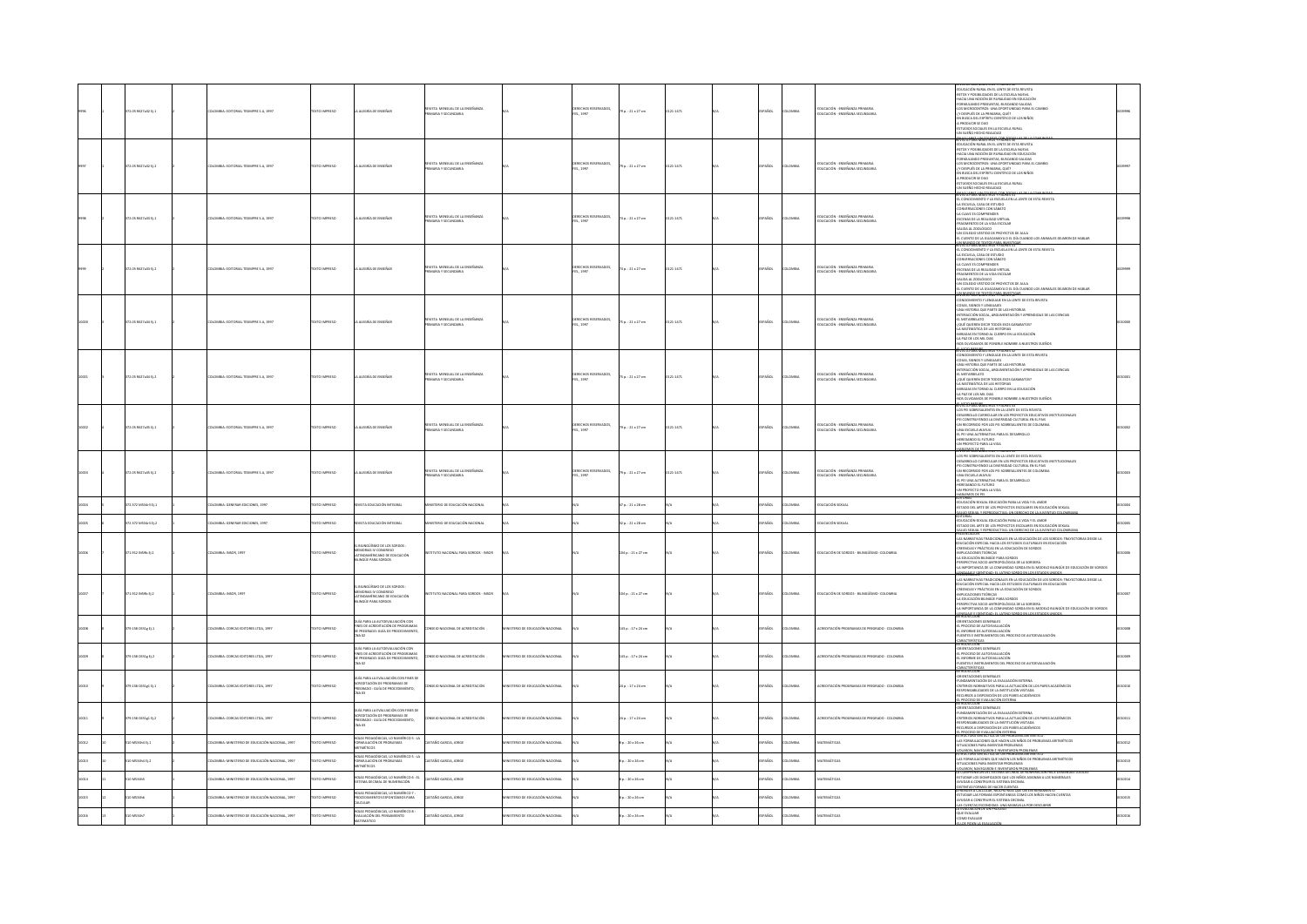|  | 2.05 R627a32 EJ.3        | OMBIA: EDITORIAL TESMPRE S.A, 1997             | <b>CTO IMPRESO</b>  | <b>LLEGRÍA DE ENSEÑA</b>                                                                                          | EVSTA MENSUAL DE LA ENSEÑANZA                                  |                              | ERECHOS RESERVADOS,<br>IS., 1997      | 79 p.: 21 x 27 cm       | 121-1471     |               | MBI.         | educación - enseñanza primaria<br>Educación - enseñana secundari      | EDUCACIÓN RURAL EN EL LENTE DE ESTA REVISTA<br>TOS Y POSIBILIDADES DE LA ESCUELA NUEVA<br>CIA UNA NOCIÓN DE RURALIDAD EN EDUCACIÓN<br>FORM OR MISCONTA HUMANISMO PRINCIPAL AND SALEDAS<br>LOS MICHOLOGENEOS: UNA OFICIALISMO SPARA EL CAMBIO<br>JC DESPUÉS DE LA PRINARA, QUÉ?<br>EN REGIA DE LES PRINARA, QUÉ?<br>EN REGIA DE LES PRINARA QUÉ?<br>ESTUDOS SCAURE EN LA ESCUELA RUR                                                                                                                          |  |
|--|--------------------------|------------------------------------------------|---------------------|-------------------------------------------------------------------------------------------------------------------|----------------------------------------------------------------|------------------------------|---------------------------------------|-------------------------|--------------|---------------|--------------|-----------------------------------------------------------------------|--------------------------------------------------------------------------------------------------------------------------------------------------------------------------------------------------------------------------------------------------------------------------------------------------------------------------------------------------------------------------------------------------------------------------------------------------------------------------------------------------------------|--|
|  | 2.05 R627a32 Ej.2        | LOMBIA: EDITORIAL TESIMPRE S.A, 1997           | XTO IMPRESO         | ALDGRÍA DE ENSEÑAR                                                                                                | REVISTA MERSUAL DE LA ENSEÑANZA                                |                              | DERECHOS RESERVADOS,<br>"ES., 1997    | 79 p. : 21 x 27 cm      | 121-1471     | AÑOL          | oway         | .<br>Educación - Enseñanza Primaria<br>Educación - Enseñana Secundari | YA YAKA YAKEYNSEY YAYABILIYI<br><b>UCACIÓN RURAL EN EL LENTE DE ESTA REVISTA</b><br>TOS Y POSIBILIDADES DE LA ESCUELA NUEVA<br>-HACIA UNA NOCIÓN DE RURALIDAD EN EDUCACIÓN<br>-FORMULANDO PREGUNTAS, BUSCANDO SALIDAS<br>-LOS MICROCENTROS: UNA OPORTUNIDAD PARA EL CAMBIO<br>NAMES CONTRACT AND MANUAL CONTRACT CONTRACT CONTRACT CONTRACT CONTRACT CONTRACT CONTRACT CONTRACT CONTRACT CONTRACT CONTRACT CONTRACT CONTRACT CONTRACT CONTRACT CONTRACT CONTRACT CONTRACT CONTRACT CONTRACT CONTRACT CONTRAC |  |
|  | 72.05 R627a33 Ej.1       | LOMBIA: EDITORIAL TESMPRE S.A. 1997            | <b>DZSRRMI OTX3</b> | A ALEGRÍA DE ENSEÑAR                                                                                              | EVSTA MENSUAL DE LA ENSEÑANZA<br><b>MEAY SECUNDARIA</b>        |                              | DERECHOS RESERVADOS,<br>FES., 1997    | 74 p. : 21 x 27 cm      | 121-1471     | <b>SPAÑOL</b> | <b>LOMBA</b> | educación - enseñanza primaria<br>Educación - enseñana secundaria     | 114986-1866516081-598-8251<br>L CONOCIMIENTO Y LA ESCUELA EN LA LENTE DE ESTA REVISTA<br>ESCUELA, CASA DE ESTUDIO<br>NVERSACIONES CON SÁBATO<br>LA CLAVE ES COMPRENDER<br>CENAS DE LA REALIDAD VIRTUAL<br>AGMENTOS DE LA VIDA ESCOLAR<br>-SALIDA AL ZODLÓGICO<br>-UN COLEGIO VESTIDO DE PROYECTOS DE AULA<br>-EL CUENTO DE LA GUACAMAYA O EL DÍA CUANDO LOS ANIMALES DEIARON DE HABLAR<br>MUNDO PEZIXTOS EN A INVESTIGAR                                                                                     |  |
|  | 372.05 R627a33 Ej.2      | <b>JLOMBIA: EDITORIAL TESMPRE S.A, 1997</b>    | DZERNI OTX3T        | LA ALEGRÍA DE ENSEÑAR                                                                                             | EVSTA MENSUAL DE LA ENSEÑANZA<br>AIRANDRUZZ Y AIRAN            |                              | RECHOS RESERVADOS,<br>FES., 1997      | 74 p. : 21 x 27 cm      | 121-1471     | <b>SPAÑOL</b> | LOMBIA       | EDUCACIÓN - ENSEÑANZA PRIMARIA<br>EDUCACIÓN - ENSEÑANA SECUNDARIA     | .<br>CONOCIMIENTO Y LA ESCUELA EN LA LENTE DE ESTA REVISTA.<br>ESCUELA: CASA DE ESTUDIO<br><b>JONES CON SABATO</b><br>LA CLAVE ES COMPRENDER<br>ESCENAS DE LA REALIDAD VIRTUA<br>FRAGMENTOS DE LA VIDA ESCOLAR<br>SALIDA AL ZOOLÓGICO<br>IN COLEGIO VESTIDO DE PROYECTOS DE AULA<br>CUENTO DE LA GUACAMAYA O EL DÍA CUANDO LOS ANIMALES DEJARON DE HABLAR                                                                                                                                                    |  |
|  | 72.05 R\$27a34 EL1       | <b>JLOMBIA: EDITORIAL TESIMPRE S.A. 1997</b>   | <b>XTO IMPRESO</b>  | A ALEGRÍA DE ENSEÑAR                                                                                              | STA MENSUAL DE LA ENSEÑANZA<br>ARIA Y SECUNI                   |                              | CHOS RESERVADOS,<br>TES., 1997        | 75 p. : 21 x 27 cm      | 121-1471     | SPAÑOL        | LOMBIA       | educación - enseñanza primaria<br>Educación - enseñana secundaria     | EC CORNUL DE TANDARIAN DE LONGO LOS ANIMATIONS<br>CONOCIMENTO Y LENGUAR EN LA LENTE DE ESTA RENSTA<br>CONOCIMENTO Y LENGUAR EN LA LENTE DE ESTA RENSTA<br>AUNA SISTORIA QUE PARTE DE LAS HISTORIAS<br>AVEN RISTORIA QUE PARTE DE LAS HISTO<br><b>IDIZAJE DE LAS CIENCIAS</b><br>QUÉ QUIEREN DECIR TODOS ESOS GARABATOS?<br>A MATEMÁTICA DE LAS HISTORIAS<br>ADAS EN TORNO AL CUERPO EN LA EDUCACIÓN<br>LA PAZ DE LOS MIL DIAS<br><b>KOLVIN</b><br>MOS DE PONERLE NOMBRE A NUESTROS SUEÑOS                    |  |
|  | 72.05 R627a34 EL2        | .<br>Camia-Fritrina: Tesaster S.A. 1997        | XTO IMPRESO         | LA ALEGRÍA DE ENSEÑAR                                                                                             | VISTA MENSUAL DE LA ENSEÑANZA<br>ABAY SECURE                   |                              | <b>IECHOS RESERVADOS,</b><br>ES. 1997 | 75 p. : 21 x 27 cm      | 121-1471     | PAÑOL         | LOMBIA       | EDUCACIÓN - ENSEÑANZA PRIMARIA<br>EDUCACIÓN - ENSEÑANA SECUNDARIA     | AIGN CHARAMOS DE POMERA INVANIRA A NUESTROS SUEÑOS<br>ALANCA MARIA EN EN LA LENTE DE ESTA REVISTA.<br>COMO DATATO V LENGUALE EN LA LENTE DE ESTA REVISTA.<br>COMO MARIO Y LENGUALES<br>ALANCARENDO SOCIA, ARGUMENTACIÓN Y APRENDIZAJE DE<br>DIZA IF DE LAS CIENCIAS<br><b>RADAS EN TORNO AL CUERPO EN LA EDUCACIÓN</b><br>LA PAZ DE LOS MIL DIAS<br>OS OLVIDAMOS DE PONERLE NOMBRE A NUESTROS SUEÑOS                                                                                                         |  |
|  | .<br>72.05 R627a35 Ej. 1 | .<br>ILOMBIA: EDITORIAL TESIMPRE S.A., 1997    | <b>EXTO IMPRESO</b> | A ALEGRÍA DE ENSEÑAR                                                                                              | STA MENSUAL DE LA ENSEÑANZA                                    |                              | ERECHOS RESERVADOS,<br>IS., 1997      | 79 p. : 21 x 27 cm      | $121 - 1471$ | PAÑOL         | owax         | educación - enseñanza primaria<br>Educación - enseñana secundaria     | AND CANONAIGN EXPORTED THE NEWSTAPE AND MONEY AND SERVED ASSAULTED FOR THE MAIN PROPERTY AND SERVED ASSAULT IN THE SERVED AND CONSIDER CONSIDERATION OF THE SERVED ASSAULT CONSIDER A CONSIDERATION OF THE SERVED ASSAULT CON<br><b>BEAMS AND STROS Y PADRES AT</b>                                                                                                                                                                                                                                          |  |
|  | 72.05 R627a35 Ej.2       | <b>JLOMBIA: EDITORIAL TESMPRE S.A, 1997</b>    | DZERRIO INTE        | A ALEGRÍA DE ENSEÑAR                                                                                              | VSTA MENSUAL DE LA ENSEÑANZA<br><b><i>REA Y SECUNDARIA</i></b> |                              | XERECHOS RESERVADOS,<br>ES., 1997     | 79 p. : 21 x 27 cm      | 121-1471     | PAÑOL         | LOMBIA       | EDUCACIÓN - ENSEÑANZA PRIMARIA<br>DUCACIÓN - ENSEÑANA SECUNDARIA      | NINTAIN FORMESALENTES EN LA LENTE DE ESTA REVISTA<br>-LOS PEI SOBRESALIENTES EN LA LENTE DE ESTA REVISTA<br>-DESARROLLO CURRICULAR EN LOS PROVECTOS EDUCATIVOS INSTITUCIONALES<br>PEI CONSTRUYENDO LA DIVERSIDAD CULTURAL EN EL PAÍS<br>-UN RECORRIDO POR LOS PEI SOBRESALIENTES DE COLOMBIA<br>UNA ESCUELA WAYUU<br>EL PEI UNA ALTERNATIVA PARA EL DESARROLLO<br>REDANDO EL FUTURO<br>I PROYECTO PARA LA VIDA<br>HARLEMAN DE DEL                                                                            |  |
|  | 72.372 MS34r3 EJ.1       | LOMBIA: GENERAR EDICIONES, 1997                | TO IMPRESO          | STA EDUCACIÓN INTEGRAL                                                                                            | STERIO DE EDUCACIÓN NACIONAL                                   |                              |                                       | .<br>7 p.: 21 x 28 cm   |              | usce.         | <b>OMBIA</b> | DUCACIÓN SEXUAL                                                       | EDITORIAL<br>-EDUCACIÓN SEXUAL EDUCACIÓN PARA LA VIDA Y EL AMOR<br>-ESTADO DEL ARTE DE LOS PROYECTOS ESCOLARES EN EDUCACIÓN SEXUAL<br>SALUD SEXUAL Y REPRODUCTIVA: UN DERECHO DE LA JUVENTUD COLOMB                                                                                                                                                                                                                                                                                                          |  |
|  | 2.372 MS34r3 B.2         | COMBIA: GENERAR EDICIONES, 1997                | OZSRRNI OTX         | VISTA EDUCACIÓN INTEGRAL                                                                                          | STERO DE EDUCACIÓN NACIONAL                                    |                              |                                       | 12 o. : 21 x 28 cm      |              | <b>Vice</b>   | owax         | DUCACIÓN SEXUAL                                                       | EDUCACIÓN SEXUAL EDUCACIÓN PARA LA VIDA Y EL AMOR<br>TADO DEL ARTE DE LOS PROYECTOS ESCOLARES EN EDUCACIÓN SEXUAL<br>LUD SERIJAL Y REPRODUCTIVA: UN DERECHO DE LA JUVENITUD COLOMBIAN<br>ISENTACION                                                                                                                                                                                                                                                                                                          |  |
|  | 71.912 INS9b EJ.1        | <b>ILOMBIA: INSOR, 1997</b>                    | DZERRIO INTE        | BILINGÜÍSMO DE LOS SORDOS :<br>MEMORIAS IV CONGRESO<br>LATINOAMÉRICANO DE EDUCACIÓN<br>INGÜE PARA SORDOS          | TUTO NACIONAL PARA SORDOS - INSOR                              |                              |                                       | 104 p.: 21 x 27 cm      |              | PAÑOL         | LOMBIA       | EDUCACIÓN DE SORDOS - BILINGÚÍSMO -COLOMBIA                           | AS NARRATIVAS TRADICIONALES EN LA EDUCACIÓN DE LOS SORDOS: TRAYECTORIAS DESDE LA<br>CACIÓN ESPECIAL HACIA LOS ESTUDIOS CULTURALES EN EDUCACIÓN<br>REENCIAS Y PRÁCTICAS EN LA EDUCACIÓN DE SORDOS<br><b>IPUCACIONES TEÓRICAS</b><br>LA EDUCACIÓN BILINGÚE PARA SORDOS<br>RSPECTIVA SOCIO ANTROPOLÓGICA DE LA SORDERA<br>LA IMPORTANCIA DE LA COMUNIDAD SORDA EN EL MODELO BILINGÜE DE EDUCACIÓN DE SORDOS<br>GUARE EUDENTIDAD: EL LATINO SOBDO EN LOS ESTADOS LIB                                             |  |
|  | 1.912 INS9b EJ.2         | OMBIA: INSOR, 1997                             | TO IMPRESO          | el Bilingüísmo de los sordos :<br>Memorias IV congreso<br>Latingaméricano de educación<br>Bilingüe Para sordos    | UTO NACIONAL PARA SORDOS - INSOR                               |                              |                                       | 104 p. : 21 x 27 cm     |              | AÑOL          | owas         | DUCACIÓN DE SORDOS - BILING                                           | PREMINANON<br>LAS MARIATIVAS TRADICIONALES EN LA EDUCACIÓN DE LOS SORDOS: TRAVECTORIAS DEDE LA<br>CALINOACHI PERSA, INCA EL ESTADO CALINIARIS EN EUGLICIÓN<br>CALINOACHI PERSA, EN LA EDUCACIÓN DE SORDOS<br>CALINOACHI PERSA, EN LA EDUCA<br>FRED LAST E STEWERS                                                                                                                                                                                                                                            |  |
|  | 9.158 C651e EL1          | CMBLA: CORCAS FOCTORES LTDA 1997               | <b>DIMENS</b>       | .<br>JUÍA PARA LA AUTOEVALUACIÓN CON<br>INES DE ACREDITACIÓN DE PROGRAMAS                                         | NACIONAL DE ACREDITACIÓN                                       | TERIO DE EDUCACIÓN NACIONA   |                                       | 43 p. : 17 x 24 cm      |              | <b>AROL</b>   | was          | <b>BAND COLORADO</b>                                                  | INGODEDIA<br>RENTACIONES GENERALES<br>- PROCESO DE AUTOEVALUACIÓN<br>MEDIANE DE AUTOEVALUACIÓN<br>NTORME DE AUTOEVALUACIÓN<br>NTES E INSTRUMENTOS DEL PROCESO DE AUTOEVALUACIÓN                                                                                                                                                                                                                                                                                                                              |  |
|  | 9.158 $C651g$ $t$ $2$    | LOMBIA: CORCAS EDITORES LTDA. 1997             | TO IMPRESO          | JÍA PARA LA AUTOEVALUACIÓN CON<br>NES DE ACREDITACIÓN DE PROGRAMAS<br>! PREGRADO: GUÍA DE PROCEDIMIENTO,<br>4A 02 | EIO NACIONAL DE ACREDITACIÓN                                   |                              |                                       | 143 p.: 17 x 24 cm      |              | <b>SOL</b>    | owas         |                                                                       | <b><i>BACTERÍSTICAS</i></b><br>RODUCION<br>FRICESO DE AUTOEVALISA<br>PROCESO DE AUTOEVALUACIÓN<br>INTES E INSTRUMENTOS DEL PROCESO DE AUTOEVALUACIÓN<br>ENTES E INSTRUMENTOS DEL PROCESO DE AUTOEVALUACIÓN<br>ABACTERÍSTICAS                                                                                                                                                                                                                                                                                 |  |
|  | 9.158 C651g1 tj.1        | LOMBIA: CORCAS EDITORES LTDA, 2997             | <b>XTO IMPRESO</b>  | GUÍA PARA LA EVALUACIÓN CON FINES DE<br>ACREDITACIÓN DE PROGRAMAS DE<br>PREGRADO : GUÍA DE PROCEDIMIENTO,<br>1000 | SEIO NACIONAL DE ACREDITACIÓN                                  |                              |                                       | .<br>24 p. : 17 x 24 cm |              | <b>ARDL</b>   | owax         | 445 DE REFORADO - COLOMBI                                             | <b>WENTPIRG"</b><br>ARMARTMANIS GENERALES<br>UNDAMENTACIÓN DE LA EVALUACIÓN EXTERNA<br>RITERAS NORMANIVOS PARA LA ACTUACIÓN DE LOS PARIS ACADÉMICOS<br>ESPONSABILIDADES DE LA INSTITUCIÓN VISITADA<br>ECURIOS A DISPOSICIÓN DE LOS PARIS ACADÉMICO                                                                                                                                                                                                                                                           |  |
|  | 9.158 0551x1 ti.2        | CMBLA-CORCAS FOCTORES LTDA 1997                | TO IMPERSO          | JÍA PARA LA EVALUACIÓN CON FINES DE<br>TREDITACIÓN DE PROGRAMAS DE<br>IEGRADO : GUÍA DE PROCEDIMIENTO,            | IO NACIONAL DE ACREDITACIÓN                                    | FRIO DE EDUCACIÓN NACIONAL   |                                       | 14 m · 17 x 14 cm       |              | usni          | numa         | <b>BEDITACIÓN PROGRAMAS DE PREGRADO - COLOMBIA</b>                    | 800850.08<br><b>PENTACIONES GENERALES</b><br>IENI MUUNES UENENALES<br>NEMMENT ACIÓN DE LA EVALUACIÓN EXTERNA<br>ITERIOS NORMATIVOS PARA LA ACTUACIÓN DE LOS PARES ACADÉMICOS<br>SPONSABILIDADES DE LA INSTITUCIÓN VISITADA<br>UPSOS A DISPOSICIÓN DE LOS PARES ACADÉMICOS                                                                                                                                                                                                                                    |  |
|  | 0 MS34b4 Ej.1            | LOMBIA: MINISTERIO DE EDUCACIÓN NACIONAL, 1997 | <b>Dansen</b>       | HOJAS PEDAGÓGICAS, LO NUMÉRICO 5 : LA<br>FORMULACIÓN DE PROBLEMAS<br>ARTIMÉTICOS                                  | STAÑO GARCIA, JORGE                                            | STERIO DE EDUCACIÓN NACIONAL |                                       | p.: 20 x 26 cm          |              | <b>Vice</b>   | <b>OMBIA</b> | TEMÁTICAS                                                             | RALINGUA FUGU CADINALIS IN LUITENIA<br>EL PROCESO DE EVALUACIÓN EXTERNA<br>LAS FORMULACIONES QUE UN PROBLEMA ARITMÉTICO<br>LAS FORMULACIONES QUE HACEN LOS NIÑOS DE PROBLEMAS ARITMÉTICOS<br>SITUACIONES PARA INVENTAR PROBLEMAS                                                                                                                                                                                                                                                                             |  |
|  | 0 MS34h4 Ej.2            | LOMBIA: MINISTERIO DE EDUCACIÓN NACIONAL, 1997 | O IMPRESO           | MAS PEDAGÓGICAS, LO NUMÉRICO 5 : LA<br><b>IRMULACIÓN DE PROBLEMAS</b><br>MÉTICOS                                  | AÑO GARCIA, JORGE                                              | TERIO DE EDUCACIÓN NACIONAL  |                                       | p.: 20 x 26 cm          |              | <b>SOL</b>    | <b>OMBIA</b> | TEMÁTICAS                                                             | <u>VOLARON, NAVEGARON E INVENTARON PROBLEMAS.</u><br>STRUCTURA SINTÁCTICA DE UN PROBLEMA ARITMÉTICI<br>S FORMULACIONES QUE HACEN LOS NIÑOS DE PROBLEMAS ARITMÉTICOS<br>JACIONES PARA INVENTAR PROBLEMAS<br>-VOLARON, NAVEGARON E INVENTABON PROBLEMAS<br>LA COMPRENSIÓN DEL SISTEMA DECIMAL DE NUMERACIÓN HACE DEMANDAS LÓ                                                                                                                                                                                   |  |
|  | 0 MS34h5                 | LOMBIA: MINISTERIO DE EDUCACIÓN NACIONAL, 1997 | TO IMPRESO          | .<br>DJAS PEDAGÓGICAS, LO NUMÉRICO 6 : EL<br>EMA DECIMAL DE NUMERACIÓN                                            | STAÑO GARCIA, JORGE                                            | JANOIDAN NÒCACIÓN NACIONAL   |                                       | 0.120 x 26 cm           |              | <b>Sm</b>     | LOMBIA       | <b>STEMATICAS</b>                                                     | -<br>Estudiar los significados que los niños asignan a los numerales<br>Ayudar a construir el sistema decimal<br>.<br>HE TINTAS FORMAS DE HACER CUENTAS.<br>PRENIDER A CALCULAR : MUCHO MAS OUR UN ENTRENAMIENTO                                                                                                                                                                                                                                                                                             |  |
|  | O MS34h6                 | OMBIA: MINISTERIO DE EDUCACIÓN NACIONAL, 1997  | <b>DIMENSION</b>    | DIAS PEDAGÓGICAS, LO NUMÉRICO :<br><b>CULAR</b>                                                                   | AÑO GARCIA, JORGE                                              | TERIO DE EDUCACIÓN NACIONAL  |                                       | p.: 20 x 26 cm          |              |               | <b>OMBIA</b> | <b>ATEMÁTICAS</b>                                                     | HAFTN FURNTAS<br>ESTUDIAR LAS FORMAS ESPONTANEAS COMO COS NIN<br>AYUDAR A CONSTRUIR EL SISTEMA DECIMAL<br><u>LAS CUENTAS ESCONDIDAS: UNA MARAVIUA POR DES</u><br>LA EVALUACIÓN DE UN PROCESO                                                                                                                                                                                                                                                                                                                 |  |
|  | 0 MS34h7                 | OMBIA: MINISTERIO DE EDUCACIÓN NACIONAL, 1997  | TO IMPRESO          | 101AS PEDAGÓGICAS, LO NUMÉRICO B :<br>UADÓN DEL PENSAMIENTO<br><b>MÁTICO</b>                                      | AÑO GARCIA, JORGE                                              | TERIO DE EDUCACIÓN NACIONAL  |                                       | p.: 20 x 26 cm          |              |               | AIDMO        | TEMÁTICAS                                                             | QUE EVALUAR<br>COMO EVALUAR<br>-ELLOS PIDEN LA EVALUACIÓN                                                                                                                                                                                                                                                                                                                                                                                                                                                    |  |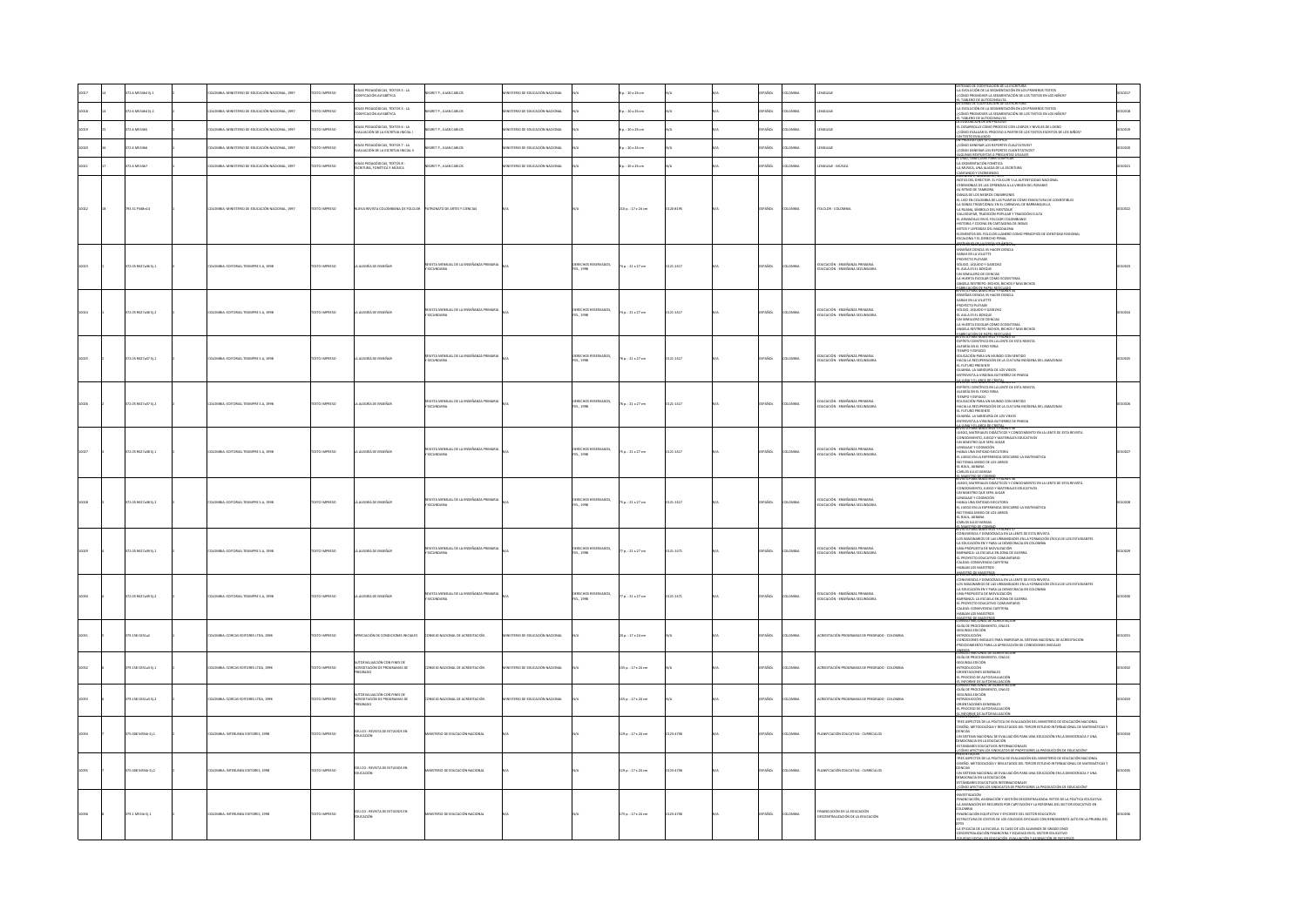|  | 2.6 MS14b4 D.1      | MBIA: MINISTERIO DE EDUCACIÓN NACIONAL, 1997  | OZSRRNI OTX        | OJAS PEDAGÓGICAS, TEXTOS S : LA<br>DDIFICACIÓN ALFABÉTICA                 | <b>NEGRET P., JUAN CARLOS</b>                         | STERIO DE EDUCACIÓN NACIONAL        |                                                 | $1.120 \times 26$ cm  |          |             |               |                                                                        | <b>SSTEMAS DE CODIEICACIÓN DE LA ESCRITURA -</b><br>-LA EVOLUCIÓN DE LA SEGMENTACIÓN EN LOS PRIMEROS TEXTOS<br>-{CÓMO PROMOVER LA SEGMENTACIÓN DE LOS TEXTOS EN LOS NIÑOS?<br>ILTABLERO DE AUTOCONSULTA.<br>STEMAS DE CODIFICACIÓN DE LA ESCRITURA                                                                                                                                                                                                                                                                                                                             |  |
|--|---------------------|-----------------------------------------------|--------------------|---------------------------------------------------------------------------|-------------------------------------------------------|-------------------------------------|-------------------------------------------------|-----------------------|----------|-------------|---------------|------------------------------------------------------------------------|--------------------------------------------------------------------------------------------------------------------------------------------------------------------------------------------------------------------------------------------------------------------------------------------------------------------------------------------------------------------------------------------------------------------------------------------------------------------------------------------------------------------------------------------------------------------------------|--|
|  | 2.6 M53464 E/2      | OMBIA: MINISTERIO DE EDUCACIÓN NACIONAL, 1997 | TO IMPRESO         | IOJAS PEDAGÓGICAS, TEXTOS 5 : LA<br>IODIFICACIÓN ALFABÉTICA               | CORET P., JUAN CARLOS                                 | <b>STERIO DE EDUCACIÓN NACIONAL</b> |                                                 | : 20 x 26 cm          |          |             | .<br>Danima   | GUAIL                                                                  | .<br>Evolución de la segmentación en los primeros textos<br>Ómo promover la segmentación de los textos en los niños?<br>-<br>LA EVALUACIÓN DE UN PROCESO                                                                                                                                                                                                                                                                                                                                                                                                                       |  |
|  | 2.6 MS34hS          | MILA: MINISTERIO DE EDUCACIÓN NACIONAL, 1997  | TO IMPRESO         | .<br>NS PEDAGÓGICAS, TEXTOS 6 : LA<br>LUACIÓN DE LA ESCRITUA INICIAL I    | GRET P., JUAN CARLOS                                  | TERIO DE EDUCACIÓN NACIONAL         |                                                 | : 20 x 26 cm          |          |             | owaw          |                                                                        | EVALUALIUN DE UN PROCESO<br>DESARROLLO COMO PROCESO CON LOGROS Y NIVELES DE LOGRO<br>ÓMO EVALUAR EL PROCESO A PARTIR DE LOS TEXTOS ESCRITOS DE LOS NIÑOS?                                                                                                                                                                                                                                                                                                                                                                                                                      |  |
|  | 2.6 MS34h5          | MBIA: MINISTERIO DE EDUCACIÓN NACIONAL, 1997  | TO IMPRESO         | OJAS PEDAGÓGICAS, TEXTOS 7 : LA<br>LUACIÓN DE LA ESCRITUA INICIAL II      | GRET P., JUAN CARLOS                                  | TERIO DE EDUCACIÓN NACIONAL         |                                                 | : 20 x 26 cm          |          | kо.         | .<br>Mili     | <b>SUAJE</b>                                                           | -UN TEXTO EVALUADO<br>UN PROCESO QUE SE CUANTIFICA<br>-{CÓMO GENERAR LOS REPORTES CUALITATIVOS?<br>CMO GENERAR LOS REPORTES CUANTITATIVOS                                                                                                                                                                                                                                                                                                                                                                                                                                      |  |
|  | 2.6 MS34h7          | OMBIA: MINISTERIO DE EDUCACIÓN NACIONAL, 1997 | TO IMPRESO         | DIAS PEDAGÓGICAS, TEXTOS 8:<br><b>JEITURA, FONÉTICA Y MÚSICA</b>          | EGRET P., JUAN CARLOS                                 | STERIO DE EDUCACIÓN NACIONAL        |                                                 | $: 20 \times 26$ cm   |          | AROL        | <b>AIBMO</b>  | NGUAIL - MÚSICA                                                        | <b>NGUNAS RESPUESTAS A PREGUNTAS USUALES.</b><br>LOIDO, UNA CLAVE PARA CODIFICAR<br>LA SEGMENTACIÓN FONÉTICA<br>LA MÚSICA, UNA ALIADA DE LA ESCRITURA                                                                                                                                                                                                                                                                                                                                                                                                                          |  |
|  |                     |                                               |                    |                                                                           |                                                       |                                     |                                                 |                       |          |             |               |                                                                        | CANTANDO Y ESCRIBIENDO                                                                                                                                                                                                                                                                                                                                                                                                                                                                                                                                                         |  |
|  | 93.31 P348n14       | OMBIA: MINISTERIO DE EDUCACIÓN NACIONAL, 1997 | OZSRRA OTX:        | VA REVISTA COLOMBIANA DE FOLCLOR                                          | ATRONATO DE ARTES Y CIENCIAS                          |                                     |                                                 | 210 p. : 17 x 24 cm   | 120-8195 | SPAÑOL      | <b>COMBIA</b> | FOLCLOR - COLOMBIA                                                     | RODINITY, NIMINY OF THE FOLLOW Y LA AUTHYMICIDAD INGLOMAL<br>ANOTAS DEL DIRECTOR EL FOLLOWY LA AUTHYMICIDAD INGLOMAL<br>AL BITMO DE TAMBORS CHAMBONES<br>AL BITMO DE TAMBORS CHAMBONES<br>EL DID DE TAMBORS CHAMBONES<br>EL DID DE TAMBORS CH<br>-<br>-<br>- VALLEDUPAR, TRADICIÓN POPULAR Y TRADICIÓN CULTA<br>EL ARMADILLO EN EL FOLCLOR COLOMBIANO<br>-HISTORIA Y COCINA EN CARTAGENA DE INDIAS<br>-MITOS Y LEYERIAS DEL MAGDALERIA<br>-ELEMENTOS DEL FOLCLOR LLANERO COMO PRINCIPIOS DE IDENTIDAD R<br>-ESCALONA Y EL DERECHO PENAL<br>-ESCALONA Y EL DERECHO PENAL        |  |
|  | 172.05 R627a36 Ej.1 | LOMBIA: EDITORIAL TESMPRE S.A., 1998          | EXTO IMPRESO       | ALDGRÍA DE ENSEÑA                                                         | EVISTA MENSUAL DE LA ENSEÑANZA PRIMAR<br>SECUNDARIA   |                                     | XERECHOS RESERVADOS,<br>ES., 1998               | 74 p. : 21 x 27 cm    | 121-1417 | PAÑOL       | OMBIA         | educación - enseñanza primaria<br>Educación - enseñana secundaria      | <b><i>REPORTED A CORPORATION CONTROLLED</i></b><br>-<br>ENSEÑAR CENCIA VS HACER CIENCIA<br>-SARAH EN LA VILLETTE<br><b>PROYECTO PLEYADE</b><br>SÓLIDO, LÍQUIDO Y GASEOSO<br>-EL AULA ES EL BOSQUE<br><b>NATIONAL COMPANY CONTRACTS</b><br>- UN SEMILIERO DE CIENCIAS<br>- LA HUERTA ESCOLAR COMO ECOSISTEMA<br>- ANGELA RESTREPO: BICHOS, BICHOS V MAS BICHOS<br>- ANGELA PORA BIALSITAIS I PRUNES 34                                                                                                                                                                          |  |
|  | 172.05 R627a36 Ej.2 | OMBIA: EDITORIAL TESIMPRE S.A. 1998           | EXTO IMPRESO       | ALEGRÍA DE ENSEÑAR                                                        | EVISTA MENSUAL DE LA ENSEÑANZA PRIMARIA<br>ECUNDARIA  |                                     | RECHOS RESERVADOS.<br>ES., 1998                 | 4p.: 21 x 27 cm       | 121-1417 | PAÑOL       | LOMBIA        | educación - enseñanza primaria<br>Educación - enseñana secundaria      | -<br>ENSEÑAR CIENCIA VS HACER CIENCIA<br>SARAH EN LA VILLETTE<br><b>PROYECTO PLEYADE</b><br>sóupo, ulguipo y gastoso<br>-SOURO, URUNDO VANSIOSO<br>-EL AULA ES EL BOSQUE<br>-UN SEMILLENO DE CIENCIAS<br>-ANUERTA ESCOLAR CONGES<br>-ANUELA ESTREPO: BICHOS, BICHOS Y MAS BICHOS<br>-BINNEA PARA ERASTROS Y PACINES 35<br>-BINNEA PARA ERASTROS Y PACINES 35                                                                                                                                                                                                                   |  |
|  | 172.05 R627a37 EL1  | LOMBIA: EDITORIAL TESMPRE S.A. 1998           | OZERNI OTX         | ALEGRÍA DE ENSEÑAR                                                        | EVISTA MENSUAL DE LA ENSEÑANZA PRIMAR<br>SECUNDARIA   |                                     | <b>IRECHOS RESERVADOS,</b><br><b>FES., 1998</b> | 6a.21x27cm            | 121-1417 | PAÑOL       | <b>OMBA</b>   | EDUCACIÓN - ENSEÑANZA PRIMARIA<br>EDUCACIÓN - ENSEÑANA SECUNDARIA      | maturi PMM MME31MJ3 Y PADRES 35<br>-ESPÍNITU CIENTÍFICO EN LA LENTE DE ESTA REVISTA<br>-ALEGRÍA EN EL FORO FERIA<br>-<br>TIEMPO Y ESPACIO<br>-EDUCACIÓN PARA UN MUNDO CON SENTIDO<br>-HACIA LA RECUPERACIÓN DE LA CULTURA NIDÍGENA DEL AMAZONAS<br>-EL FUTURO PRESENTE<br>-GUANNÍA: LA SABIDURÍA DE LOS VIEIOS<br>-ENTREVISTA A VIRGINIA GUITERREZ DE PINEDA                                                                                                                                                                                                                   |  |
|  | 172.05 R627a37 EL2  | OMBIA: EDITORIAL TESIMPRE S.A. 1998           | OZSRRA OTX:        | ALEGRÍA DE ENSEÑAR                                                        | EVISTA MENSUAL DE LA ENSEÑANZA PRIMAR<br>SECUNDARIA   |                                     | RECHOS RESERVADOS.<br>ES., 1998                 | 6a:21x27cm            | 121-1417 | PAÑOL       | <b>OMBIA</b>  | educación - enseñanza primaria<br>Educación - enseñana secundaria      | 44 I INVANTO ARCA DE CRISTAL<br>REVISIÓ PARA IMAESI PASS Y PADRES 35<br>-ESPÍRITU CIENTÍFICO EN LA LENTE DE ESTA REVISTA<br>-ALEGRÍA EN EL FORO FERIA<br>-<br>EDUCACIÓN PARA UN MUNDO CON SENTIDO<br>HACIA LA RECUPERACIÓN DE LA CULTURA INDÍGENA DEL AMAZONAS<br>EL FUTURO PRESENTE<br>: FUTURO PRESENTE<br>UAINÍA: LA SABIDURÍA DE LOS VIEJOS<br>VIREVISTA A VIRGINIA GUTIERREZ DE PINEDA                                                                                                                                                                                    |  |
|  | 172.05 R627a38 EL1  | DLOMBIA: EDITORIAL TESIMPRE S.A. 1998         | TEXTO IMPRESO      | ALDGRÍA DE ENSEÑAR                                                        | STA MENSUAL DE LA ENSEÑANZA PRIMAR<br>SECUNDARIA      |                                     | ECHOS RESERVADOS,<br><b>FES., 1998</b>          | 75a::21×27cm          | 121-1417 | SPAÑOL      | <b>AIRMOJ</b> | EDUCACIÓN - ENSEÑANZA PRIMARIA<br>EDUCACIÓN - ENSEÑANA SECUNDARIA      | <b>STRUCTURE AND AN ANGELE AND AN ANNOUNCEMENT OF STARTING AND AN ANTIFACTOR CONSUMER SCOPE AND AN ANNOUNCEMENT OF STARTING AN ANOTHER CONSUMER CONSUMER AND AN ANGELE OF STARTING AN AN ANGELE OF STARTING AND AN ANGELE OF STA</b><br>THE JUSTICE EN LA EXPERIENCIA DESCUBRO LA MATEMÁTICA<br>410 TENGA MIEDO DE LOS LIBROS<br>411 BAUL, JABANA<br>CARLOS JULIO VARGAS<br>AMESTRO DE COMPO                                                                                                                                                                                   |  |
|  | 172.05 R627a38 EL2  | LOMBIA: EDITORIAL TESMPRE S.A. 1998           | EXTO IMPRESO       | ALDGRÍA DE ENSEÑAR                                                        | EVISTA MENSUAL DE LA ENSEÑANZA PRIB<br>SECUNDARIA     |                                     | RECHOS RESERVADOS,<br>ES. 1998                  | $50.121 \times 27$ cm | 121-1417 | PAÑOL       | LOMBIA        | EDUCACIÓN - ENSEÑANZA PRIMARIA<br>EDUCACIÓN - ENSEÑANA SECUNDARIA      | REVISIA PARA RAISINUS T PAURES 36<br>-JUEGO, MATERIALES DIDÁCTICOS Y CONOCIMIENTO EN LA LENTE DE ESTA REVISTA<br>-CONOCIMIENTO, JUEGO Y MATERIALES EDUCATIVOS<br>-UN MAESTRO QUE SEPA JUGAR<br>-UM IMMATING ADDITIONAL MODERN<br>- LENGUAIE Y COGNICIÓN<br>- HABLA UNA ENTIDAD EJECUTORA<br>- EL JUEGO EN LA EXPERIENCIA DESCUBRO LA MATEMÁTICA<br>NO TENGA MIEDO DE LOS LIBROS<br>-EL BAUL, JAIBANA<br>-CARLOS JULIO VARGAS                                                                                                                                                   |  |
|  | 172.05 R627a39 EL1  | LOMBIA: EDITORIAL TESMPRE S.A. 1998           | EXTO IMPRESO       | ALEGRÍA DE ENSEÑAR                                                        | EVISTA MENSUAL DE LA ENSEÑANZA PRIMARIA<br>SECUNDARIA |                                     | RECHOS RESERVADOS.<br>ES. 1998                  | $70.121 \times 27$ cm | 121-1471 | PAÑOL       | owaw          | EDUCACIÓN - ENSEÑANZA PRIMARIA<br>EDUCACIÓN - ENSEÑANA SECUNDARIA      | <b>MHERBARGANYA YANAK 17</b><br>EVISIA MARA MASSI RUSI T PRURES 3/<br>CONVIVENCIA Y DEMOCRACIA EN LA LENTE DE ESTA REVISTA<br>.05 IMAGINARIOS DE LAS URBANDADES EN LA FORMACIÓN CÍVICA DE LOS EST<br>.A EDUCACIÓN EN Y PARA LA DEMOCRACIA EN COLOMBIA<br>UNA PROPUESTA DE MOVILIZACIÓN<br>BARRANCA: LA ESCUELA EN ZONA DE GUERRA<br>-EL PROYECTO EDUCATIVO COMUNITARIO<br>-CALDAS: CONVIVENCIA CAFETERA<br>HABLAN LOS MAESTROS<br>MISTRO DE MAESTROS                                                                                                                           |  |
|  | 172.05 R627a39 EL2  | OMBIA: EDITORIAL TESIMPRE S.A. 1998           | EXTO IMPRESO       | ALEGRÍA DE ENSEÑAR                                                        | EVISTA MENSUAL DE LA ENSEÑANZA PRIMARIA<br>SECUNDARIA |                                     | <b>IERECHOS RESERVADOS,</b><br>ES., 1998        | $n: 21 \times 27$ cm  | 21-1471  | PAÑOL       | owaw          | .<br>Educación - Enseñanza Primaria<br>Educación - Enseñana Secundaria | EVISION PANA MAESTICIS Y PADISS 37<br>CONVIVENCIA Y DEMOCRACIA EN LA LENTE DE ESTA REVISTA<br>LOS IMAGINARIOS DE LAS URBANDADES EN LA FORMACIÓN CÍVICA DE LOS ESTU<br>A EDUCADÓN EN Y PARA LA DEMOCRACIA EN COLOMBIA<br>JINA PROPULSTA DE<br>BARRANCA: LA ESCUELA EN ZONA DE GUERRA<br>-<br>- EL PROYECTO EDUCATIVO COMUNITARIO<br>- CALDAS: CONVIVENCIA CAFETERA<br>-HABLAN LOS MAESTROS<br>MASSIBO DE MAESTROS.<br>CONSEJO NACIONAL DE ACREDITACION                                                                                                                          |  |
|  | 179.158 C651a2      | OMBIA: CORCAS EDITORES LTDA. 1998             | <b>XTO IMPRESO</b> | CIACIÓN DE CONDIC<br><b>ONES INICIALES</b>                                | INSEIO NACIONAL DE ACREDITACIÓN                       | <b>TERIO DE EDISCACIÓN NACIONAL</b> |                                                 | 0 p.: 17 x 24 cm      |          | ARCC.       | wa            |                                                                        | LOUGICI OMALING CE MARICI IALEM<br>- GULUNDA RISIONI (MICHAEL CE MARI)<br>- GULUNDA RISIONI (MICHAEL PARA INGRISAR AL SISTEMA NACIONAL DE ACREDITACION<br>- CONDICIONARINTO PARA LA APRECIACIÓN DE CONDICIONIS INICIALIS<br>- PROCEDIMENTO<br>exios<br>NSEIO NACIONAL DE ACREDIT                                                                                                                                                                                                                                                                                               |  |
|  | 79.158 C651a3 D.1   | OMBIA: CORCAS EDITORES LTDA. 2998             | CO IMPRESO         | .<br>Waliozaliwana wa mwaka mwaka<br>CREDITACIÓN DE PROGRAMAS DE<br>GRADO | SEIO NACIONAL DE ACREDITACIÓN                         | <b>TRIO DE EDUCACIÓN NACIONAL</b>   |                                                 | 55 p. : 17 x 24 cm    |          | <b>AROL</b> | owaw          | MAS DE REFORADO - COLOMBIA                                             | CONSEIO NACIONAL DE ALREDITAL<br>-GUÍA DE PROCEDIMIENTO, CNA 02<br>-SEGUNDA EDICIÓN<br>-INTRODUCCIÓN<br>CREWTACHOMES GENERALES<br>PROCESO DE AUTOEVALUACIÓN<br>INFORME DE ANTOEVALUACIÓ                                                                                                                                                                                                                                                                                                                                                                                        |  |
|  | 79.158 0551a3 tj.2  | OMBIA: CORCAS EDITORES LTDA, 1998             | OZSRRNI OTX        | DEVALUACIÓN CON FINES DE<br>CREDITACIÓN DE PROGRAMAS DE<br>SRADO          | SEIO NACIONAL DE ACREDITACIÓN                         | TERIO DE EDUCACIÓN NACIONAL         |                                                 | 155 p.: 17 x 24 cm    |          | AÑOL        | MAGIA         | AS DE PREGRADO - COLOMBI                                               | GUÍA DE PROCEDIMIENTO, CNA 02<br>SEGUNDA EDICIÓN<br>«INTRODUCCIÓN<br>ORENTACIONES GENERALES<br>PROCESO DE AUTOEVALUA<br><b>EL INFORME DE AUTOEVALUACIÓN</b>                                                                                                                                                                                                                                                                                                                                                                                                                    |  |
|  | 5.008 MS34r DL1     | CMBLA-INTERLINEA FOITCRES, 1998               | OZERNI OTX:        | EDU.CO : REVISTA DE ESTUDIOS EN<br>EDUCACIÓN                              | TERIO DE EDUCACIÓN NACIONAL                           |                                     |                                                 | 19 p.: 17 x 24 cm     | 14706    | AÑDL        | wax           | NECACIÓN FOI CATIVA - CURRÍCULO                                        | MESINIMADE<br>- THE ASPECTOR DE LA POLÍTICA DE PVALUACIÓN DEL RANSITERO DE EDUCACIÓN NACIONAL<br>- GRESIA), NETODO CALVI PESIA POLÍTICA DE TRICEN ESTUDO INTENSACIONAL DE NATIONATICA Y<br>- UN SISTEMA NACIONAL DE FUNLUACIÓN PARA UNA<br>ACÓMIO ARTICONA (OS SIMPACATOS DE DECEPTORES LA DECOVATIÓN<br>PRESENTACIÓN                                                                                                                                                                                                                                                          |  |
|  | 15.008 MS34r Ej.2   | OMBIA: INTERLINEA EDITORES, 1998              | DZERRINI OTX3      | <b>3U.CO : REVISTA DE ESTUDIOS EN</b><br><b>DUCACIÓN</b>                  | TERIO DE EDUCACIÓN NACIONAL                           |                                     |                                                 | 19 p.: 17 x 24 cm     | 123-4705 | Acc.        | MAGIA         | LANIFICACIÓN EDUCATIVA - CURRÍCULOS                                    | TRES ASPECTOS DE LA POLÍTICA DE EVALUACIÓN DEL MINISTERIO DE EDUCACIÓN NACIONAL<br>-DISEÑO, METODOLOGÍA Y RESULTADOS DEL TERCER ESTUDIO INTERNACIONAL DE MATEMÁTICAS Y<br><b>CENCIAS</b><br>-UN SISTEMA NACIONAL DE EVALUACIÓN PARA UNA EDUCACIÓN EN LA DEMOCRACIA Y UNA<br>DEMOCRACIA EN LA EDUCACIÓN<br>MRES EDUCATIVOS INTERNACIONALES<br>OMO ASICTAN LOS SNOVESTOS DE DECEESDE                                                                                                                                                                                             |  |
|  | 79.1 MS14r EL1      | <b>LOMBIA: INTERLINEA EDITORES, 1998</b>      | OZSRRNI OTXT       | IDU.CO : REVISTA DE ESTUDIOS EN<br>IDUCACIÓN                              | STERIO DE EDUCACIÓN NACIONAL                          |                                     |                                                 | 175 p. : 17 x 24 cm   | 123-4705 | SPAÑOL      | <b>AIRMOJ</b> | FINANCIACIÓN DE LA EDUCACIÓN<br>DESCENTRALIZACIÓN DE LA EDUCACIÓN      | ESTIGACIÓN<br>ANCIACIÓN, ASIGNACIÓN Y GESTIÓN DESCENTRALIZADA: RETOS DE LA POLÍTICA EDUCATIVA<br>ASIGNACIÓN DE RECURSOS POR CAPITACIÓN Y LA REFORMA DEL SECTOR EDUCATIVO EN<br>— — — ;<br>-<br>-<br>FINANCIACIÓN EQUITATIVA Y EFICIENTE DEL SECTOR EDUCATIVO<br>-ESTRUCTURA DE COSTOS DE LOS COLEGIOS OFICIALES CON REND<br><b>CORCIALES CON RENDIMENTO ALTO EN LA RELIERA DE</b><br>-LA EFICACIA DE LA ESCUELA: EL CASO DE LOS ALUMNOS DE GRADO ONCE<br>SCENTRALIZACIÓN FINANCIERA Y EQUIDAD EN EL SECTOR EDUCATIVO<br>DAD SOCIAL EN EDUCACIÓN, EVALUACIÓN Y ASISNACIÓN DE RE |  |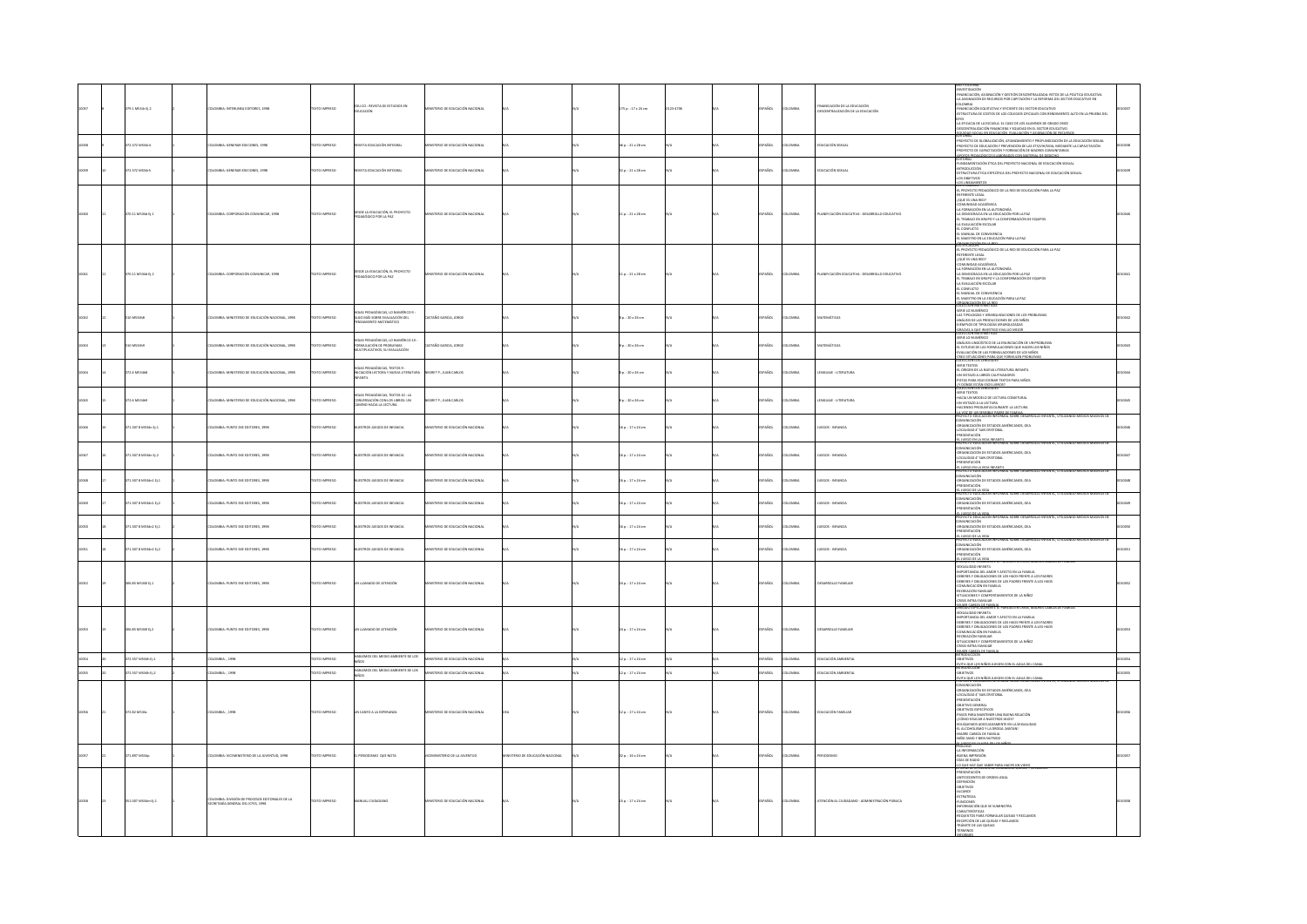|  |                      |                                                                                           |                      |                                                                                                   |                                      |                                  |                          |          |               |               |                                                                   | .<br>NESTIGACIÓN<br>NANCIACIÓN, ASIGNACIÓN Y GESTIÓN DESCENTRALIZADA: RETOS DE LA POLÍTICA EDUCATIVA.                                                                                                                                               |  |
|--|----------------------|-------------------------------------------------------------------------------------------|----------------------|---------------------------------------------------------------------------------------------------|--------------------------------------|----------------------------------|--------------------------|----------|---------------|---------------|-------------------------------------------------------------------|-----------------------------------------------------------------------------------------------------------------------------------------------------------------------------------------------------------------------------------------------------|--|
|  | 79.1 MS34r Ej.2      | LOMBIA: INTERLINEA EDITORES, 1998                                                         | DZERRINI OTX31       | U.CD : REVISTA DE ESTUDIOS EN                                                                     | STERIO DE EDUCACIÓN NACIONAL         |                                  | 75 p.: 17 x 24 cm        | 123-4705 | AÑDL          | <b>AIRMOJ</b> | 'INANCIACIÓN DE LA EDUCACIÓN<br>JESCENTRALIZACIÓN DE LA EDUCACIÓN | A ASIGNACIÓN DE RECURSOS POR CAPITACIÓN Y LA REFORMA DEL SECTOR EDUCATIVO EN<br>OLOMBIA<br>FINANCIACIÓN EQUITATIVA Y EFICIENTE DEL SECTOR EDUCATIVO                                                                                                 |  |
|  |                      |                                                                                           |                      | <b>JCACIÓN</b>                                                                                    |                                      |                                  |                          |          |               |               |                                                                   | STRUCTURA DE COSTOS DE LOS COLEGIOS ORICIALES CON RENDIMIENTO ALTO EN LA PRUEBA DEL                                                                                                                                                                 |  |
|  |                      |                                                                                           |                      |                                                                                                   |                                      |                                  |                          |          |               |               |                                                                   | KTES<br>-LA EFICACIA DE LA ESCUELA: EL CASO DE LOS ALUMNOS DE GRADO ONCE<br>-DESCENTRALIZACIÓN FINANCIERA Y EQUIDADE EN EL SECUENTATO DE 2000                                                                                                       |  |
|  |                      |                                                                                           |                      |                                                                                                   |                                      |                                  |                          |          |               |               |                                                                   | ICERDAD SOCIAL EN EDUCACIÓN, EVALUACIÓN Y ASID<br>DISORIAL                                                                                                                                                                                          |  |
|  | 2.372 M534r4         | MILA: GENERAR EDICIONES, 1998                                                             | CTO IMPRESO          | TA EDUCACIÓN INTEGRAL                                                                             | TERIO DE EDUCACIÓN NACIONAL          |                                  | $p.:21 \times 28$ cm     |          |               |               | <b>UCACIÓN SEXUAL</b>                                             | EDITORIAL<br>-PROYECTO DE GLOBALIZACIÓN, AFIANZAMIENTO Y PROFUNDIZACIÓN DE LA EDUCACIÓN SEXUAL<br>-PROYECTO DE EDUCACIÓN Y PROYENCIÓN DE LAS ETS/VIH/SIDA, MEDIANTE LA CAPACITACIÓN<br>-REDYECTO DE CRUACICIÓN Y PROYENCIÓN DE LAS ETS/             |  |
|  |                      |                                                                                           |                      |                                                                                                   |                                      |                                  |                          |          |               |               |                                                                   | <b>EDITORIAL ANNIMATES TURICRADOR COM MATERIA DE DESENIO<br/>PURSON COM CON ÍTICA DEL PROTECTO MACIONAL DE EDUTADO MONAL ATITICADOR COM MATERIA EN ENFORMACIÓN SON<br/>ATITICADADES<br/>AD MONTENOS<br/>AD MONDENTOS<br/>AD MONDENTOS</b>           |  |
|  | 2.372 MS34r5         | MINA: GENERAR EDICIONES, 1998                                                             | <b>XTO IMPRESO</b>   | .<br>Tá FDI CáclÓN INTEGRA                                                                        | .<br>TERIO DE EDUCACIÓN NACIONAL     |                                  | $p. : 21 \times 28$ cm   |          |               |               | <b>UCACIÓN SEXUA</b>                                              |                                                                                                                                                                                                                                                     |  |
|  |                      |                                                                                           |                      |                                                                                                   |                                      |                                  |                          |          |               |               |                                                                   |                                                                                                                                                                                                                                                     |  |
|  |                      |                                                                                           |                      |                                                                                                   |                                      |                                  |                          |          |               |               |                                                                   |                                                                                                                                                                                                                                                     |  |
|  |                      |                                                                                           |                      |                                                                                                   |                                      |                                  |                          |          |               |               |                                                                   | ANII INDIECTO PEDAGÓGICO DE LA RED DE EDUCACIÓN PARA LA PAZ<br>-REPERENTE LEGAL<br>-{QUÉ ES UNA RED?                                                                                                                                                |  |
|  | 70.11 MS34d Ej.1     | ILOMBIA: CORPORACIÓN COMUNICAR, 1998                                                      | EXTO IMPRESO         | SDE LA EDUCACIÓN, EL PROYECTO                                                                     | STERIO DE EDUCACIÓN NACIONAL         |                                  | $1 p. : 21 \times 28$ cm |          | PAÑOL         | MON           | LANFICACIÓN EDUCATIVA - DESARROLLO EDUCATIVO                      | -<br>COMUNIDAD ACADÉMICA<br>-LA DEMOCRACIA EN LA AUTONOMÍA<br>-LA DEMOCRACIA EN LA EDUCACIÓN POR LA PAZ                                                                                                                                             |  |
|  |                      |                                                                                           |                      | AGÓGICO POR LA PAZ                                                                                |                                      |                                  |                          |          |               |               |                                                                   |                                                                                                                                                                                                                                                     |  |
|  |                      |                                                                                           |                      |                                                                                                   |                                      |                                  |                          |          |               |               |                                                                   |                                                                                                                                                                                                                                                     |  |
|  |                      |                                                                                           |                      |                                                                                                   |                                      |                                  |                          |          |               |               |                                                                   | 4A DEBRACAMENTE DE COMPONACIÓN DE EQUIPOS<br>41 TRABAD EN GRUPO Y LA COMPONACIÓN DE EQUIPOS<br>41 CONFLETO<br>41 CONFLETO<br>41 MARSTRO EN LA EDUCACIÓN PARA LA PAZ<br>62 MARSTRO EN LA EDUCACIÓN PARA LA PAZ<br>62 MARSTRO EN LA EDUCACIÓN PARA    |  |
|  |                      |                                                                                           |                      |                                                                                                   |                                      |                                  |                          |          |               |               |                                                                   | IL PROYECTO PEDAGÓGICO DE LA RED DE EDUCACIÓN PARA LA PAZ                                                                                                                                                                                           |  |
|  |                      |                                                                                           |                      |                                                                                                   |                                      |                                  |                          |          |               |               |                                                                   | -EL PROYECTO PEDAGOGICO DE LA RED DE EDUCAC<br>- REPERINTE LEGAL<br>- CQUÉ ES UNA RED)<br>- CQUÉ ES UNA RED)<br>- LA FORMACIÓN EN LA AUTONOMÍA<br>- LA TORNACIANA EN LA EDUCACIÓN POR LA PAZ<br>- EL TRABAD EN GRUPO Y LA CONFORMACIÓN DE E<br>- EL |  |
|  | 70.11 MS34d tj.2     | OMBIA: CORPORACIÓN COMUNICAR, 1998                                                        | XTO IMPRESO          | DE LA EDUCACIÓN, EL PROYECTO<br>NGÔGICO POR LA PAZ                                                | <b>STERIO DE EDUCACIÓN NACIONAL</b>  |                                  | $1p.:21\times28$ cm      |          | AÑOL          |               | .<br>ANIFICACIÓN EDUCATIVA - DESARROLLO EDUCATIVO                 | .<br>Ny fir Frictions                                                                                                                                                                                                                               |  |
|  |                      |                                                                                           |                      |                                                                                                   |                                      |                                  |                          |          |               |               |                                                                   |                                                                                                                                                                                                                                                     |  |
|  |                      |                                                                                           |                      |                                                                                                   |                                      |                                  |                          |          |               |               |                                                                   | SA LEONFLISTO<br>EL CONFLICTO<br>EL MANUAL DE CONVIVENCIA<br>EL MAESTRO EN LA EDUCACIÓN PARA LA PAZ                                                                                                                                                 |  |
|  |                      |                                                                                           |                      |                                                                                                   |                                      |                                  |                          |          |               |               |                                                                   | <b>COLECCIÓN MATEMATICAS</b><br>GOINBAN OJ 3R12                                                                                                                                                                                                     |  |
|  | 849425               | MBIA: MINISTERIO DE EDUCACIÓN NACIONAL, 1998                                              | CTO IMPRESO          | AS PEDAGÓGICAS, LO NUMÉRICO 9 :<br>LGO MÁS SOBRE EVALUACIÓN DEL<br>ENSAMIENTO MATEMÁTICO          | STAÑO GARCIA, JORGE                  |                                  | $1:20 \times 26$ cm      |          | AÑOL          | MBM           | ATEMÁTICAS                                                        | -LAS TIPOLOGÍAS Y JERARQUIZACIONES DE LOS PROBLEMAS<br>-ANÁLISIS DE LAS PRODUCCIONES DE LOS NIÑOS<br>-EJEMPLOS DE TIPOLOGÍAS JERARQUIZADAS                                                                                                          |  |
|  |                      |                                                                                           |                      |                                                                                                   |                                      |                                  |                          |          |               |               |                                                                   | SENSORA CULINATION EVALUO MEIOR                                                                                                                                                                                                                     |  |
|  |                      |                                                                                           |                      |                                                                                                   |                                      |                                  |                          |          |               |               |                                                                   |                                                                                                                                                                                                                                                     |  |
|  |                      | OMBIA: MINISTERIO DE EDUCACIÓN NACIONAL, 1998                                             | CTO IMPRESO          | HOJAS PEDAGÓGICAS, LO NUMÉRICO 10 :<br>FORMULACIÓN DE PROBLEMAS<br>MULTIPLICATIVOS, SU EVALUACIÓN | TAÑO GARCIA, JORGE                   |                                  | $\ldots$ 20 x 26 cm      |          | <b>ACC</b>    |               | <b>TEMÁTICA</b>                                                   |                                                                                                                                                                                                                                                     |  |
|  |                      |                                                                                           |                      |                                                                                                   |                                      |                                  |                          |          |               |               |                                                                   | SOURCED MUMERICS<br>-SERIE LO NUMÉRICO<br>-SERIE LO NUMÉRICO DE LA ENUNCIACIÓN DE UN PROBLEMA<br>-SL ESTUDIO DE LAS FORMULACIONES QUE INICEN LOS NIÑOS<br>-SVALUACIÓN DE LAS FORMULACIONES DE LOS NIÑOS<br>-SULCEOON LOS LENGUAIS<br>-COLECCIÓN     |  |
|  | 5 MS34h3             | MILA: MINISTERIO DE EDUCACIÓN NACIONAL, 1998                                              | TO IMPRESO           | UAS PEDAGÓGICAS, TEXTOS 9 :<br>CIACIÓN LECTORA Y NUEVA LITERATURA                                 | CGRET P., JUAN CARLOS                |                                  | $1:20 \times 26$ cm      |          | AÑOL          |               | NGUAIE - LITERATURA                                               | COLENA-HOT ----<br>- SERIE TEXTOS<br>- EL ORIGEN DE LA NUEVA LITERATURA INFANTIL<br>- ----------- A I IRROS CAUTIVADORES                                                                                                                            |  |
|  |                      |                                                                                           |                      |                                                                                                   |                                      |                                  |                          |          |               |               |                                                                   | -UN VISTAZO A LIBROS CAUTIVADORES<br>-PISTAS PARA SELECCIONAR TEXTOS PARA NIÑOS                                                                                                                                                                     |  |
|  |                      |                                                                                           |                      |                                                                                                   |                                      |                                  |                          |          |               |               |                                                                   | -/Y DÓNDE ESTÁN ESOS UBRO<br>COLECCIÓN LOS LENGUAJES                                                                                                                                                                                                |  |
|  | 6 MS146              | MBIA: MINISTERIO DE EDUCACIÓN NACIONAL, 1998                                              | TO IMPRESO           | AS PEDAGÓGICAS, TEXTOS 10 : LA<br>INERSACIÓN CON LOS LIBROS: UN<br>EINO HACIA LA LECTURA          | GRET P., JUAN CARLOS                 |                                  | : 20 x 26 cm             |          |               |               | NGUAIE - LITERATUR                                                | COLECCION LOS LENGUAIES<br>-SERE TEXTOS<br>-HACIA UN MICOELO DE LECTURA CONJETURAL<br>-UN VISTAZO A LA LECTURA<br>-HACIENDO PREGUNTAS DURANTE LA LECTURA                                                                                            |  |
|  |                      |                                                                                           |                      |                                                                                                   |                                      |                                  |                          |          |               |               |                                                                   | LA VOZ DE UN SENSIBLE PADRE DE FAMILIA                                                                                                                                                                                                              |  |
|  | 1.307 8 MS34n EL1    | OMBIA: PUNTO EXE EDITORES, 1998                                                           | DO IMPRESO           | TROS JUEGOS DE INFANCIA                                                                           | <b>TERO DE EDICACIÓN NACIONAL</b>    |                                  | $n: 17 \times 24$ cm     |          | Srx           |               | <b>UEGOS - INFANCIA</b>                                           | PROTEL IU Londendum<br>Comunicación<br>-Organización de Estados Américanos, OEA<br>-LOCALIDAD 4" SAN CRISTOBAL                                                                                                                                      |  |
|  |                      |                                                                                           |                      |                                                                                                   |                                      |                                  |                          |          |               |               |                                                                   | mitarión                                                                                                                                                                                                                                            |  |
|  |                      |                                                                                           |                      |                                                                                                   |                                      |                                  |                          |          |               |               |                                                                   | -PRESEN I MULIUN<br>- 41. IURGO EN LA VIDA INFANTIL<br>PROYECTO EDUCACIÓN INFORMAL SOBRE DESARROLLO INFANTIL, UTILIZAN                                                                                                                              |  |
|  | 1.307 8 M534n Ej.2   | .<br>MBIA: PUNTO EXE EDITORES, 1998                                                       | CTO IMPRESO          | STROS JUEGOS DE INFANCIA                                                                          | .<br>TERIO DE EDUCACIÓN NACIONAL     |                                  | sp.: 17 x 24 cm          |          | AÑOL          |               | UEGOS - INFANCIA                                                  | TONUNICACIÓN<br>OMUNICACIÓN<br>ORGANIZACIÓN DE ESTADOS AMÉRICANOS, OEA<br>LOCALIDAD 4" SAN CRISTOBAL                                                                                                                                                |  |
|  |                      |                                                                                           |                      |                                                                                                   |                                      |                                  |                          |          |               |               |                                                                   |                                                                                                                                                                                                                                                     |  |
|  | 1.307 8 MS34n1 D.1   | MBIA: PUNTO EXE EDITORES, 1998                                                            | TO IMPERSO           | TROS ILIFOOS DE INFANCIA                                                                          | <b>TERO DE EDUCACIÓN NACIONAL</b>    |                                  | $n: 17 \times 24$ cm     |          | stra          |               | <b>UEGOS - INFANCIA</b>                                           | PROYECTO ELHURITAN HIPPANILLE ----<br>COMUNICACIÓN<br>-ORGANIZACIÓN DE ESTADOS AMÉRICANOS, OEA<br>-PRESENTACIÓN                                                                                                                                     |  |
|  |                      |                                                                                           |                      |                                                                                                   |                                      |                                  |                          |          |               |               |                                                                   |                                                                                                                                                                                                                                                     |  |
|  |                      | MBIA: PUNTO EXE EDITORES, 1998                                                            | <b>XTO IMPRESO</b>   | TROS JUEGOS DE INFANCIA                                                                           | <b>TERO DE EDUCACIÓN NACIONAL</b>    |                                  | $n: 17 \times 24$ cm     |          | stra          | was           |                                                                   | 41 RIEGO DE LA VIDA<br>PROYECTO EDUCACIÓN INFORMAL SOBRE DESARROLLO INFANTIL, UTILI<br>ROYECTO EDUCACION INFORM<br>OMUNICACIÓN<br>JRGANIZACIÓN DE ESTADOS /<br>PRESENTACIÓN                                                                         |  |
|  | 1.307 8 MS34n1 Ej.2  |                                                                                           |                      |                                                                                                   |                                      |                                  |                          |          |               |               | <b>UEGOS - INFANCIA</b>                                           | ANOS, OEA                                                                                                                                                                                                                                           |  |
|  |                      |                                                                                           |                      |                                                                                                   |                                      |                                  |                          |          |               |               |                                                                   | TREASTREAD.<br>- EL BUEGO DE LA VIDA<br>FROYECTO EDUCACIÓN INFORMAL SOBRE DESARROLLO INFA                                                                                                                                                           |  |
|  | 1.307 8 MS34n2 tj.1  | MILA: PUNTO EXE EDITORES, 1998                                                            | TO IMPRESO           | TROS JUEGOS DE INFANCIA                                                                           | TERIO DE EDUCACIÓN NACIONAL          |                                  | p.: 17 x 24 cm           |          | <b>vice</b>   |               | UEGOS - INFANCIA                                                  | COMUNICACIÓN<br>COMUNICACIÓN<br>-PRESENTACIÓN DE ESTADOS AMÉRICANOS, OEA                                                                                                                                                                            |  |
|  |                      |                                                                                           |                      |                                                                                                   |                                      |                                  |                          |          |               |               |                                                                   | -EL JUEGO DE LA VIDA<br>PROYECTO EDUCACIÓN INFORMAL SOBRE DESARROLLO INFANTIL; UTIL                                                                                                                                                                 |  |
|  | $1.3078$ MS34n2 tj.2 | MINA: PUNTO EXE EDITORES, 1998                                                            | XTO IMPRESO          | STROS JUEGOS DE INFANCIA                                                                          | TERIO DE EDUCACIÓN NACIONAL          |                                  | p.: 17 x 24 cm           |          |               |               | EGOS - INFANCIA                                                   | COMUNICACIÓN<br>- ORGANIZACIÓN DE ESTADOS AMÉRICANOS, OEA<br>- FRESENTACIÓN<br>- ALURGO DE LA VIDA<br>- DRIGEO ESPECIALMENTE A: PAREJAS EN CRISIS, N                                                                                                |  |
|  |                      |                                                                                           |                      |                                                                                                   |                                      |                                  |                          |          |               |               |                                                                   |                                                                                                                                                                                                                                                     |  |
|  |                      |                                                                                           |                      |                                                                                                   |                                      |                                  |                          |          |               |               |                                                                   | SEXUALIDAD INFANTIL<br>-SEXUALIDAD INFANTIL<br>-IMPORTANCIA DEL AMOR Y AFECTO EN LA FAMILIA                                                                                                                                                         |  |
|  | 05.85 M534 LEL1      | LOMBIA: PUNTO EXE EDITORES, 1998                                                          | OZSRRNI OTXT         | LLAMADO DE ATENCIÓN                                                                               | STERIO DE EDUCACIÓN NACIONAL         |                                  | $4a. : 17 \times 24$ cm  |          | ARCC.         | LOMBIA        | <b>ESARROLLO FAMILIAR</b>                                         | -IMPURTANCIA DEL AMORT ARECTO EN LA FAMILIA<br>-DEBERES Y OBLIGACIONES DE LOS HUOS FRENTE A LOS PADRES<br>-DEBERES Y OBLIGACIONES DE LOS PADRES FRENTE A LOS HIJOS<br>-COMUNICACIÓN EN FAMILIA                                                      |  |
|  |                      |                                                                                           |                      |                                                                                                   |                                      |                                  |                          |          |               |               |                                                                   | <b>RECREACIÓN FAMILIAR</b><br>SITUACIONES Y COMPORTAMIENTOS DE LA NIÑEZ<br>CRISIS INTRA FAMILIAR                                                                                                                                                    |  |
|  |                      |                                                                                           |                      |                                                                                                   |                                      |                                  |                          |          |               |               |                                                                   | <b>MUSIC PERFORMAN</b>                                                                                                                                                                                                                              |  |
|  |                      |                                                                                           |                      |                                                                                                   |                                      |                                  |                          |          |               |               |                                                                   | DIRIGID L'ESPERANTIER : PORTAS EN CRISI, MAURES CARE<br>- SEXUALIDAD INFANTI.<br>- SEXUALIDAD INFANTI.<br>- DEBIERES Y OBLIGACIONES DE LOS HUGS FRENTE A LOS PADRES<br>- DEBIERES Y OBLIGACIONES DE LOS PADRES FRENTE A LOS HUGS<br>- CERRICI       |  |
|  | 36.85 MS34II Ej.2    | LOMBIA: PUNTO EXE EDITORES, 1998                                                          | DZERNI OTXT          | LLAMADO DE ATENCIÓN                                                                               | <b>ISTERIO DE EDUCACIÓN NACIONAL</b> |                                  | p.: 17 x 24 cm           |          | AÑDL          | wax           | <b>ESARROLLO FAMILIAR</b>                                         |                                                                                                                                                                                                                                                     |  |
|  |                      |                                                                                           |                      |                                                                                                   |                                      |                                  |                          |          |               |               |                                                                   |                                                                                                                                                                                                                                                     |  |
|  |                      |                                                                                           |                      |                                                                                                   |                                      |                                  |                          |          |               |               |                                                                   | SITUACIONES Y COMPORTAMIENTOS DE LA NIÑEZ<br>CRISIS INTRA FAMILIAR<br>MUER CABEZA DE FAM                                                                                                                                                            |  |
|  | 12.357 MS34h EL1     | 300MBIA: . 1998                                                                           | <b>EXTO IMPRESO</b>  | HABLEMOS DEL MEDIO AMBIENTE DE LOS                                                                | STERIO DE EDUCACIÓN NACIONAL         |                                  | 2a:17x24cm               |          | SPAÑOL        | AIRMOJO       | DUCACIÓN AMBIENTA                                                 | CONTTACS                                                                                                                                                                                                                                            |  |
|  | 72.357 M534h Ej.2    | LOMBIA: , 1998                                                                            | XTO IMPRESO          | HABLEMOS DEL MEDIO AMBIENTE DE LOS                                                                | .<br>STERIO DE EDUCACIÓN NACIONAL    |                                  | 2 p. : 17 x 24 cm        |          | PAÑOL         | <b>MEN</b>    | <b>UCACIÓN AMBIENTAL</b>                                          | -<br>- EVITA QUE LOS NIÑOS JUEGEN CON EL AGUA DEL CAN<br>- INTRODUCCIÓN<br>- OBJETIVOS                                                                                                                                                              |  |
|  |                      |                                                                                           |                      |                                                                                                   |                                      |                                  |                          |          |               |               |                                                                   | -<br>EVITA QUE LOS NIÑOS JUEGEN CON EL AGUA DEI                                                                                                                                                                                                     |  |
|  |                      |                                                                                           |                      |                                                                                                   |                                      |                                  |                          |          |               |               |                                                                   | PRUTEL TO EDUCATION INFORMAL SOBRE DESNIR<br>COMMUNICACIÓN<br>-ORGANIZACIÓN DE ESTADOS AMÉRICANOS, OEA<br>-EOCALIDAD 4" SAN CRISTOBAL<br>-PRESENTACIÓN                                                                                              |  |
|  |                      |                                                                                           |                      |                                                                                                   |                                      |                                  |                          |          |               |               |                                                                   | -<br>-OBJETIVO GENERAL<br>-OBJETIVOS ESPECÍFICOS                                                                                                                                                                                                    |  |
|  | 72.82 MS34c          | COLOMBIA: . 1998                                                                          | <b>OZSRRINI OTXT</b> | IN CANTO A LA ESPERANZA                                                                           | INSTERIO DE EDUCACIÓN NACIONAL       |                                  | $12a. : 17x24$ cm        |          | <b>SPAROL</b> | AIRMOJO       | EDUCACIÓN FAMILIAI                                                | PASOS PARA MANTENER UNA BUENA RELACIÓN                                                                                                                                                                                                              |  |
|  |                      |                                                                                           |                      |                                                                                                   |                                      |                                  |                          |          |               |               |                                                                   | CÓMO EDUCAR A NUESTROS HUOS?<br>.<br>EDUQUEMOS ADECUADAMENTE EN LA SEXUALIDAD<br>EL ALCOHOLISMO Y LA DROGA (MATAN)                                                                                                                                  |  |
|  |                      |                                                                                           |                      |                                                                                                   |                                      |                                  |                          |          |               |               |                                                                   | -MADRE CABEZA DE FAMILIA<br>-NIÑO SANO Y BIEN NUTRIDO                                                                                                                                                                                               |  |
|  |                      |                                                                                           |                      |                                                                                                   |                                      |                                  |                          |          |               |               |                                                                   | FROLOGO <sup>RE</sup>                                                                                                                                                                                                                               |  |
|  | 1.897 MS34p          | MBIA: VICEMINISTERIO DE LA JUVENTUD, 1998                                                 | TO IMPRESO           | .<br>ERIODISMO QUE NOTA                                                                           | CUTHTING A 3D GIRSTENN               | .<br>TERIO DE EDUCACIÓN NACIONAL | 2 p. : 16 x 24 cm        |          | .<br>Viol     |               |                                                                   | -<br>- LA INFORMACIÓN<br>- GUENA IMPRESIÓN<br>- DÍAS DE RADIO                                                                                                                                                                                       |  |
|  |                      |                                                                                           |                      |                                                                                                   |                                      |                                  |                          |          |               |               |                                                                   | <b><i>SRSNA DESTRASOR</i></b>                                                                                                                                                                                                                       |  |
|  |                      |                                                                                           |                      |                                                                                                   |                                      |                                  |                          |          |               |               |                                                                   | -PRESENTACIÓN<br>-ANTECEDENTES DE ORDEN LEGAL                                                                                                                                                                                                       |  |
|  |                      |                                                                                           |                      |                                                                                                   |                                      |                                  |                          |          |               |               |                                                                   | OEFINICIÓN<br>-OBJETIVOS                                                                                                                                                                                                                            |  |
|  | $1.007 M534m$ Ej.1   | :<br>OLOMBIA: DIVISIÓN DE PROCESOS EDITORIALES DE LA<br>ECRETARÍA GENERAL DEL ICFES, 1998 | TO IMPRESO           | UAL CIUDADANO                                                                                     | .<br>STERIO DE EDUCACIÓN NACIONA     |                                  | p.: 17 x 24 cm           |          |               |               | TENCIÓN AL CIUDADANO - ADMINISTRACIÓN PÚBLICA                     | ALCANCE<br>ESTRATEGIA                                                                                                                                                                                                                               |  |
|  |                      |                                                                                           |                      |                                                                                                   |                                      |                                  |                          |          |               |               |                                                                   | "-<br> -<br> -UNCONES<br> - CARACTERÍSTICAS<br> -<br> -TRÁNITE DE LAS QUELAS Y RECLAMOS<br> -TRÁNITE DE LAS QUELAS<br> -TRÁNITE DE LAS QUELAS<br> -TRÁNITE DE LAS QUELAS                                                                            |  |
|  |                      |                                                                                           |                      |                                                                                                   |                                      |                                  |                          |          |               |               |                                                                   |                                                                                                                                                                                                                                                     |  |
|  |                      |                                                                                           |                      |                                                                                                   |                                      |                                  |                          |          |               |               |                                                                   | TÉRMINOS                                                                                                                                                                                                                                            |  |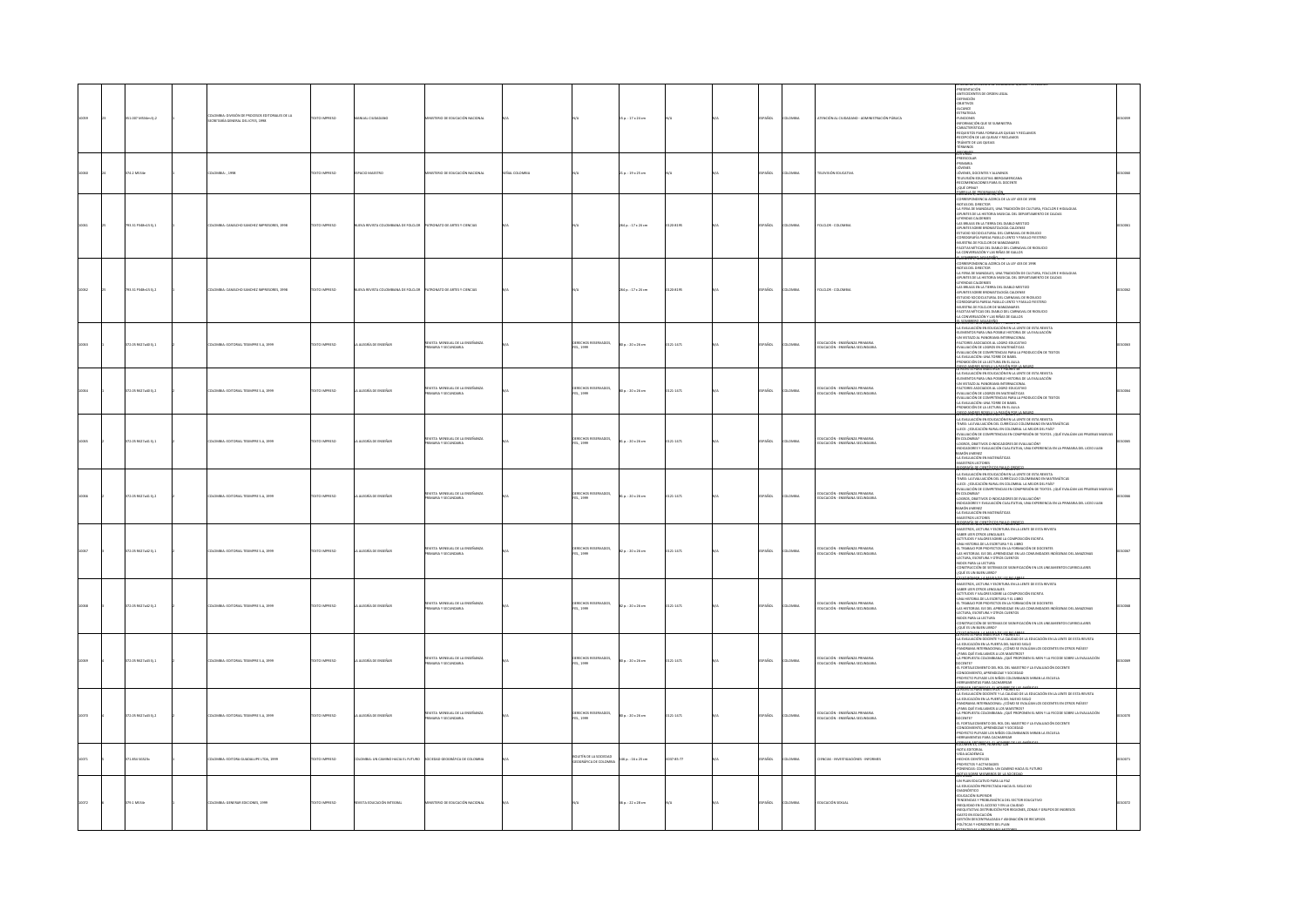|  | 351.007 M534m Ej.2  | MBIA: DIVISIÓN DE PROCESOS EDITORIALES DE LA<br>CRETARÍA GENERAL DEL ICFES, 1998 | <b>CERRIN OTX</b>    | NUAL CIUDADAN                                                     | TERIO DE EDUCACIÓN NACIONA                                    |            |                                                  | 15 p.: 17 x 24 cm   |              | AÑOL        | <b>OMBIA</b>   | ENCIÓN AL CIUDADANO - AD<br>MOÓN PÚBLICA                              | -PRESENTACIÓN<br>-ANTECEDENTES DE ORDEN LEGAL<br>-DEFINICIÓN<br>-OBJETIVOS<br>-ALCANCE<br>MARINE<br>ASTRATIGIA<br>ANNODRAS<br>ANNONACIÓN QUE SE SUMINISTRA<br>AEQUISITOS PRIA FORMULAR QUEIXA Y RECLANDS<br>AEQUISITOS PRIA FORMULAR Y RECLANDS<br>-TRÁMITIDE LAS QUEIXA Y RECLANDS<br>-TRÁMITIDE LAS QUEIXA Y RECLANDS<br>-TRÁMITIDE LAS QUEIXA<br>TÉRMINOS                                                                                                                                                                                                                          |  |
|--|---------------------|----------------------------------------------------------------------------------|----------------------|-------------------------------------------------------------------|---------------------------------------------------------------|------------|--------------------------------------------------|---------------------|--------------|-------------|----------------|-----------------------------------------------------------------------|---------------------------------------------------------------------------------------------------------------------------------------------------------------------------------------------------------------------------------------------------------------------------------------------------------------------------------------------------------------------------------------------------------------------------------------------------------------------------------------------------------------------------------------------------------------------------------------|--|
|  | 4.2 MS34e           | LOMBIA:, 1998                                                                    | XTO IMPRESO          | LOD MAESTRO                                                       | STERIO DE EDUCACIÓN NACIONAL                                  | AL COLOMBY |                                                  | 21 p. : 19 x 25 cm  |              | PAÑOL       |                | <b>TLEVISIÓN EDUCATIV</b>                                             | ENTONAL<br>-PRIMARIA<br>-JÓVENES<br>-JÓVENES, DOCENTES Y ALUMNOS<br>-TELEVISIÓN EDUCATIVA IBERDAMERICANA<br>-RECOMENDACIONES PARA EL DOCENTE<br>-{QUÉ OPINA?<br>.<br>Minala sy regoerately si                                                                                                                                                                                                                                                                                                                                                                                         |  |
|  | 793.31 P348n15 Ej.1 | ILOMBIA: CAMACHO SANCHEZ IMPRESORES, 1998                                        | DZERRA OTX           | NA DE FOLCLOR<br>VA REVISTA COLOR                                 | ATRONATO DE ARTES Y CIENCIAS                                  |            |                                                  | 264 p. : 17 x 24 cm | 0120-8195    | SPAÑOL      | <b>DLOMBIA</b> | <b>DLCLOR - COLOMB</b>                                                | FANAHEN 3, NUMERU 18, ZWB<br>CORRESPONDENCIA ACERCA DE LA LEY 433 DE 1998<br>-NOTAS DEL DIRECTOR<br>NOTAS DE DRECTOR (1994)<br>A ATRIS DE MANESALES, UNA TRADICIÓN DE CALTURA, FOICIDE E HEMIGUIA<br>4.4 FERING CALTURES (1994)<br>A ATRIS DE MANESALES (1994)<br>A AS BRUAIS TAN ACTIVATIVA DEL DANADO LA COLORES (1994)<br>A ATRIS DE MANESALE<br>LA CONVERSACIÓN Y LAS RIÑAS DE GALLOS                                                                                                                                                                                             |  |
|  | 793.31 P348n15 EL2  | LOMBIA: CAMACHO SANCHEZ IMPRESORES, 1998                                         | OZERNI OTX           | A REVISTA COLOMBIANA DE FOLCLOR                                   | ATRONATO DE ARTES Y CIENCIAS                                  |            |                                                  | 264 p.: 17 x 24 cm  | 120-8195     | PAÑOL       | oway           | DLCLOR - COLOMBIA                                                     | LA CONVIRTACIÓN VAS BIÑAS EN GALLOS<br>ANGONO PRODUCTIVA ACERCA DE LA LEY SI DE 1998<br>ANGONO PRODUCTA ACERCA DE LA LEY 433 DE 1998<br>ANGONO DE DIRECTOR<br>LA PUNTAS DE LA HISTORIA MUSICAL DEL DEPARTAMENTO DE CALDAS<br>AFUNTAS DE LA HI<br>-LAS BRUIAS EN LA ITERRA DEL DIABLO MESTIZO<br>-APUNTES SOBRE BROMATOLOGÍA CALDENSE<br>-ESTUDIO SOCIOEULTURAL DEL CARNAVAL DE RICISUCIO<br>-COREOGRAFÍA PAREIA PASILLO LENTO Y PASILLO FIESTERO<br>MUESTRA DE FOLCLOR DE MANZANARES<br>FACETAS MÍTICAS DEL DIABLO DEL CARNAVAL DE RIOSUCIO<br>-LA CONVERSACIÓN Y LAS RIÑAS DE GALLOS |  |
|  | 172.05 R627a40 EL1  | OOK A 2 NORMAL TECHNICAL SIDNAL                                                  | <b>OZSRRINI OTXT</b> | ALFORM OF FRONTA                                                  | IEVISTA MENSUAL DE LA ENSEÑANZA<br>FRIMARIA Y SECUNDARIA      |            | <b>DERECHOS RESERVADOS,<br/>ES., 1999</b>        | 80 p. : 20 x 26 cm  | 0121-1471    | SPAÑOL      | COMBA          | :<br>Ducación - Enseñanza Primaria<br>:Ducación - Enseñana Secundaria | <b>AL SENSITATION WAS CITED AND ASSESSED AT A TANGULAR POWERFUL ASSESSED AND A TABLE OF STAR PAYSTAL AND ASSESSED AT A TABLE OF STAR PAYSTAL AND AND ASSESSED AT A TABLE OF STAR PAYSTAL AND A TABLE OF STAR PAYSTAL AND A TABLE</b><br>-UN VISIAGO AL PANORAMA INIERIBEIGINA<br>-FACTORES ASOCIADOS AL LOGRO EDUCATIVO<br>-EVALUACIÓN DE COMPETENCIAS PARA LA PRODUCCIÓN DE TEXTOS<br>-EVALUACIÓN DE COMPETENCIAS PARA LA PRODUCCIÓN DE TEXTOS<br>LA EVALUACIÓN: UNA TORRE DE BABEL<br><b>PROMOCIÓN DE LA LECTURA EN EL AULA</b>                                                     |  |
|  | 172.05 RE27a40 Ej.2 | LOMBIA: EDITORIAL TESIMPRE S.A, 1999                                             | EXTO IMPRESO         | ALEGRÍA DE ENSEÑAR                                                | revista mensual de la enseñanza<br>Primaria y secundaria      |            | DERECHOS RESER<br>1ES., 1999<br>ADOS,            | 00 p. : 20 x 26 cm  | $121 - 1471$ | AÑOL        | mau            | .<br>Ducación - Enseñanza Primaria<br>Ducación - Enseñana Secundar    | <b>PROMOCION DE LA LICENTE DE AUGUST MEN AUGUST DE LA CARACTER DE LA REVISIÓ DE LA CARACTER EN LA CARACTER EN LA<br/>EL MONTANT DE LA CARACTER DE LA CARACTER DE LA REVISIÓ DE LA CARACTER EL LA CARACTER EL LA CARACTER EL LA CARAC</b><br>ción de textos<br><b><i>REGANDEL ROXUMAE VERMISTA"</i></b>                                                                                                                                                                                                                                                                                |  |
|  | 72.05 R627a41 Ej.1  | LOMBIA: EDITORIAL TESIMPRE S.A. 1999                                             | XTO IMPRESO          | ALEGRÍA DE ENSEÑAR                                                | .<br>Revista mensual de la enseñanza<br>Primaria y secundaria |            | XERECHOS RESERVADOS,<br>ES., 1999                | 81 p. : 20 x 26 cm  | $121 - 1471$ | añol        | mau            | EDUCACIÓN - ENSEÑANZA PRIMARIA<br>EDUCACIÓN - ENSEÑANA SECUNDARI      | -LA EVALUACIÓN EN EDUCACIÓN EN LA LENTE DE ESTA REVISTA<br>-TIMSS: LA EVALUACIÓN DEL CURRÍCULO COLOMBIANO EN MATEMÁTICAS<br><b>THIS LIFE VALUADO PRO CHINECIA COLORINALES IN MATEMATICA SECURE ACCORDINATION CONTINUES ANOTHER COMMISSION CONTINUES AND COMMISSION CONTINUES AND COMMISSION CONTINUES AND COMMISSION CONTINUES AND COMMISSION CONTINUES AND</b>                                                                                                                                                                                                                       |  |
|  | 72.05 R627a41 Ej.2  | OMBIA: EDITORIAL TESMPRE S.A, 1991                                               | XTO IMPRESO          | ALEGRÍA DE ENSEÑA                                                 | EVSTA MENSUAL DE LA ENSEÑANZA<br>ARAY SECUNDARIA              |            | XERECHOS RESERVADOS,<br>ES., 1999                | 81 p. : 20 x 26 cm  | 121-1471     | <b>Vice</b> |                | educación - enseñanza primaria<br>educación - enseñana secundaria     | LA EVISIA PARA MAESIRUS 1 PAURES 39<br>-LA EVALUACIÓN EN EDUCACIÓN EN LA LENTE DE ESTA REVISTA<br>TIMSS: LA EVALUACIÓN DEL CURRÍCULO COLOMBIANO EN MATEMÁTICAS<br>-LLECE : ¿EDUCACIÓN RURAL EN COLOMBIA. LA MEJOR DEL PAÍS?<br>EVALUACIÓN DE COMPETENCIAS EN COMPRESIÓN DE TEXTOS. ¿QUÉ EVALÚAN LAS PRUEBAS MAS<br>EVALUACIÓN DE LORES-LA HINA (HALLACIÓN)<br>CLORICO, CRETINO O INDICADORES DE EVALUACIÓN)<br>MIDICACIÓNES Y EVALUACIÓN CUALITATIVA, UNA EXPERIENCIA EN LA FRIMARIA DEL LICEO JUAN<br>MIDICACIÓNES IMPORTANTES<br>ARADIANO ELECTRICHE MANETA                         |  |
|  | 172.05 R627a42 Ej.1 | LOMBIA: EDITORIAL TESIMPRE S.A. 1999                                             | <b>DESIRAIO DTX:</b> | ALEGRÍA DE ENSEÑA                                                 | REVISTA MENSUAL DE LA ENSEÑANZA<br>PRIMARIA Y SECUNDARIA      |            | DERECHOS RESERVADOS,<br>TES., 1999               | 82 p.: 20 x 26 cm   | 121-1471     | AÑOL        | MOV            | educación - enseñanza primaria<br>Educación - enseñana secundari      | -MAESTROS, LECTURA Y ESCRITURA EN LA LENTE DE ESTA REVISTA<br>-MAESTROS, LECTURA Y ESCRITURA EN LA LENTE DE ESTA REVISTA<br>-ACTITUDES Y VALORES SOBRE LA COMPOSICIÓN ESCRITA<br>ARTHURE TWO MORE SORE AND COMPOSITION ENTIRE CONTRACT AND A THROUGH A CHARGE CONTRACT AND A CHARGE CONTRACT AND CONSULTED A CHARGE CONTRACT AND CONSULTED AND CONSULTED AND CONSULTED AND CONSULTED AND CONSULTED AND CONSULT                                                                                                                                                                        |  |
|  | 72.05 R627a42 tj.2  | LOMBIA: EDITORIAL TESMPRE S.A., 1999                                             | XTO IMPRESO          | ALEGRÍA DE ENSEÑAR                                                | .<br>Nivsta mensual de la enseñanza<br>Nimaria y secundaria   |            | DERECHOS RESERVADOS,<br>TES., 1999               | 12 p. : 20 x 26 cm  | 121-1471     | AÑOL        |                | educación - Enseñanza Primaria<br>Educación - Enseñana Secundar       | SAMEL HER UNIDS LANGUAGE LA COMPOSICIÓN ESCRITA<br>ACTIVIDES Y VALORES SOME LA COMPOSICIÓN ESCRITA<br>CAN HISTORICAL EL CERTAIN Y EL COMPOSICIÓN DE COCENTES<br>ACTIVIDES DE SERVITORIO EN EN LA CONDINIDADE INGÍGEIRAS DEL AMAIGUNA<br>C<br><b>EQSONANZAMESTING TVASALS RT*</b>                                                                                                                                                                                                                                                                                                      |  |
|  | 72.05 R627a43 Ej.1  | OMBIA: EDITORIAL TESIMPRE S.A. 1999                                              | XTO IMPRESO          | ALEGRÍA DE ENSEÑA                                                 | REVISTA MENSUAL DE LA ENSEÑANZA<br>PRIMARIA Y SECUNDARIA      |            | DERECHOS RESERVADOS,<br>FES., 1999               | 00 p. : 20 x 26 cm  | 121-1471     | So.         | usu            | educación - enseñanza primaria<br>Educación - enseñana secundari      | .<br>LA EVALUACIÓN DOCENTE Y LA CAUDAD DE LA EDUCACIÓN EN LA LENTE DE ESTA REVISTA.<br>-LA EDUCACIÓN EN LA PUERTA DEL NUEVO SIGLO<br>-PANCRAMA INTERNACIONAL: ¿CÓMO SE EVALÚAN LOS DOCENTES EN OTROS PAÍSES?<br>-PARAMAM INTERNACIONAL (COMO SE FANLUARI LOS DOCENTES EN OTROS PARSES<br>-{PRAR QUE EVALUADOS A LOS MARSITIOS}<br>-{PRAR QUE EVALUADOS A LOS MARSITIOS}<br>-{PRAR QUE EVALUADOS IN ES (QUE PROPORTE EL MEN Y LA FECIDE SOBRE LA EVALUAC<br><b><i>KROSYATSEKTERISTINSEYTABARS!</i></b>                                                                                 |  |
|  | 2.05 R627a43 Ej.2   | OMBIA: EDITORIAL TESMPRE S.A., 1999                                              | CTO IMPRESO          | ALEGRÍA DE ENSEÑAR                                                | .<br>Nivsta mensual de la enseñanza<br>Nimaria y secundaria   |            | DERECHOS RESERVADOS,<br>1ES., 1999               | 80 p. : 20 x 26 cm  | 121-1471     | AÑOL        |                | EDUCACIÓN - ENSEÑANZA PRIMARIA<br>EDUCACIÓN - ENSEÑANA SECUNDARI      | THE MANAGEMENT REPORTED TO INVESTIGATION CONTINUES IN OTHER PRODUCTS AND A SHARAR QUE WAS CONSIDERED UNITS AND CONTINUES IN OTHER PARTICULAR CONSIDERATION CONTINUES IN OUR CONSIDERATION OF A SHARAR COMPANY CONSIDERATION C<br><b>BIOMAN AT THE NUMBER THE</b>                                                                                                                                                                                                                                                                                                                      |  |
|  | 171.854 5G523c      | LOMBIA: EDITORA GUADALUPE LTDA, 1999                                             | <b>DZSRRMI OTX3</b>  | LOMBIA: UN CAMINO HACIA EL FUTURO 50CIEDAD GEOGRÁFICA DE COLOMBIA |                                                               |            | IOLETÍN DE LA SOCIEDAD<br>JEOGRÁFICA DE COLOMBIA | 146 p.: 16 x 23 cm  | 0037-85-77   | PAÑOL       | OMBIA          | CIENCIAS - INVESTIGACIÓNES - INFORMES                                 | NOTA EDITORIAL<br>-VIDA ACADÉMICA<br>-HECHOS CENTÍFICOS<br>-PROVECTOS Y ACTIVIDADES<br>NENCIAS: COLOMBIA: UN CAMINO HACIA EL FUTURO<br>NOTAS SOBRE MIEMBROS DE LA SOCIEDA                                                                                                                                                                                                                                                                                                                                                                                                             |  |
|  | 79.1 MS14           | HOMILA-GENERAR FOICIONES, 1999                                                   | <b>DZERNI OTXE</b>   | MSTA FRICACIÓN INTEGRAL                                           | <b>ISTERO DE EDUCACIÓN NACIONAL</b>                           |            |                                                  | 6 p.: 22 x 28 cm    |              | PAÑOL       | LOMBIA         | NUCACIÓN SEXUAL                                                       | $\frac{\text{AGW}(\text{MSE})}{\text{AGW}(\text{MSE})} \begin{minipage}{0.99\text{--0.5}} \begin{tabular}{ l l } \hline \text{AGW}(\text{MSE}) & \text{AGW}(\text{MSE}) & \text{AGW}(\text{MSE}) \\ \hline \text{GW}(\text{MSE}) & \text{GW}(\text{MSE}) & \text{GW}(\text{MSE}) \\ \hline \text{GW}(\text{MSE}) & \text{GW}(\text{MSE}) & \text{GW}(\text{MSE}) & \text{GW}(\text{MSE}) \\ \hline \text{GW}(\text{MSE}) & \text{GW}$<br>POLÍTICAS Y HORIZONTE DEL PLAN                                                                                                               |  |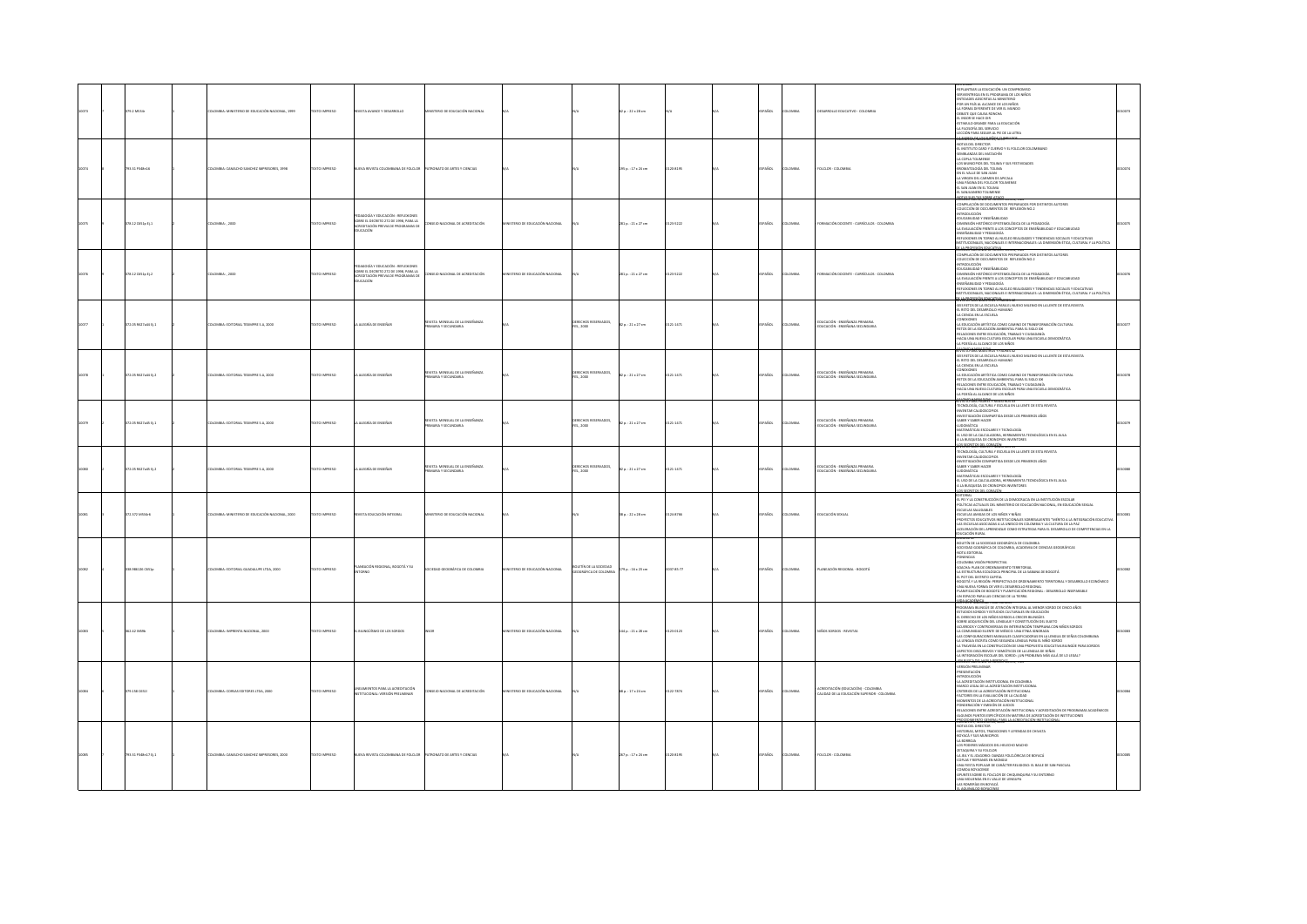| <b>DEPARTMENT</b>       | COMILE-MINISTERIO DE EDUCACIÓN NACIONAL 1999  | OZSRRNI OTX3        | OUNTA AVANCE Y DESARROU O                                                                                                          | <b>MSTERO DE EDUCACIÓN NACIONAL</b>                       |                                 |                                              | $20.122 \times 28$ cm    |           | nasne        | numa          | <b>PSAROLLO FDUCATIVO - COLOMBIA</b>                                                              | REPLANTEAR LA EDUCACIÓN: UN COMPROMISO<br>SERVIENTREGA EN EL PROGRAMA DE LOS NIÑOS<br><b>ENTIDADES ADSCRITAS AL MINISTERIC</b><br>FOR UN PAÍS AL ALCANCE DE LOS NIÑOS<br>A FORMA DIFFERATE DE VER EL MUNDO<br>OEBATE QUE CAUSA RONCHA<br>EL INSOR SE HACE OIR<br>EL MARK AL MALE UN<br>ESTIMULO GRANDE PARA LA EDUCACIÓN<br>ELECCIÓN PARA SEGUIR AL PIE DE LA LETRA                                                                                                                                                                                                                                                                                                                                                                                                                                                                                                                                                                                                                                     |  |
|-------------------------|-----------------------------------------------|---------------------|------------------------------------------------------------------------------------------------------------------------------------|-----------------------------------------------------------|---------------------------------|----------------------------------------------|--------------------------|-----------|--------------|---------------|---------------------------------------------------------------------------------------------------|---------------------------------------------------------------------------------------------------------------------------------------------------------------------------------------------------------------------------------------------------------------------------------------------------------------------------------------------------------------------------------------------------------------------------------------------------------------------------------------------------------------------------------------------------------------------------------------------------------------------------------------------------------------------------------------------------------------------------------------------------------------------------------------------------------------------------------------------------------------------------------------------------------------------------------------------------------------------------------------------------------|--|
| 03.31 P348n10           | CMBLE-CAMACHO SANCHEZ IMPRESORES, 1998        | <b>CERRINI OTX</b>  | EVA REVISTA COLOMBIANA DE EDICIOR                                                                                                  | <b>TRONATO DE ARTES Y CIENCIAS</b>                        |                                 |                                              | 15 p.: 17 x 24 cm        | 120-8195  | <b>PAROL</b> | <b>DAMINA</b> | DLCLOR - COLOMBI                                                                                  | <b>MARY CRANDED BOARD</b><br>VOLUMEN v, morti rat, arr.<br>-NOTAS DEL DIRECTOR<br>-EL INSTITUTO CARD Y CUERVO Y EL FOLCLOR COLOMBIANO<br>-SEMBLANZAS DEL MATACHÍN<br>SANIDANAS DEL INTERNA<br>LA COPLA TOLIMENSE<br>-LOS MUNICIPIOS DEL TOLIMA Y SUS FESTIVIDADES<br>-BROMATOLOGÍA DEL TOLIMA<br>-<br>HIVER VALLE DE SAN JUAN<br>-LA VIRGEN DEL CARMEN DE APICALA<br>-UNA PÁGINA DEL FOLCLOR TOLIMENSI<br>-EL SAN JUAN EN EL TOLIMA<br>-EL SAN JUAN EN EL TOLIMA<br>L SANJUANERO TOLIMENSI                                                                                                                                                                                                                                                                                                                                                                                                                                                                                                              |  |
| 178.12 C651p Ej.1       | OMBIA:, 2000                                  | <b>XTO IMPRESO</b>  | Y EDUCACIÓN : REFLEXIONE<br>SOBRE EL DECRETO 272 DE 1998, PARA LA<br>EREDITACIÓN PREVIA DE PROGRAMAS DE<br>JUCACIÓN                | ISEIO NACIONAL DE ACREDITACIÓN                            | STERIO DE EDUCACIÓN NACIONAL    |                                              | 281 p. : 21 x 27 cm      | 23-5222   | PAÑOL        |               | MMACIÓN DOCENTE - CURRÍCULOS - COLOMBIA                                                           | 0385580385509918360<br>LONDAU MANAMA LA MANAMINALAN, UN<br>-COMPLIACIÓN DE DOCUMENTOS PREPARADOS POR DISTINTOS AUTORES<br>-COMPLIACIÓN DE DOCUMENTOS DE REFLEXIÓN NO 2<br>-REUCABILIDAD Y ENSEÑABILIDAD<br>-EDUCABILIDAD Y ENSEÑABILIDAD<br>"-DIMENSIÓN HISTÓRICO EPISTEMOLÓGICA DE LA PEDAGOGÍA<br>-DIMENSIÓN HISTÓRICO EPISTEMOLÓGICA DE LA PEDAGOGÍA<br>-LA EVALUACIÓN FRENTE A LOS CONCEPTOS DE ENSEÑABLIDAD Y EDUCABIUDAD<br>ENSEÑABLIDAD Y PEDAGOGÍA<br>REFLEXIONES EN TORNO AL NUCLEO REALIDADES Y TENDENCIAS SOCIALES Y EDUCATIVAS<br>TUCIONALES, NACIONALES E INTERNACIONALES: LA DIMENSIÓN ÉTICA, CULTURAL Y LA POLÍTICA<br><b>THA BEFREEDINGERE AERO THE CARE</b>                                                                                                                                                                                                                                                                                                                            |  |
| 78.12 C651o E1.2        | LOMBIA: 2000                                  | OZSRRNI OTX         | OGÍA Y EDUCACIÓN : REFLEXIONES<br>SOBRE EL DECRETO 272 DE 1998, PARA LA<br>ACREDITACIÓN PREVIA DE PROGRAMAS DE<br><b>EDUCACIÓN</b> | DNSEJO NACIONAL DE ACREDITACIÓN                           | INSTERIO DE EDUCACIÓN NACIONAL  |                                              | 281 p. : 21 x 27 cm      | 23-5222   | PAÑOL        | <b>AIRMOJ</b> | DRMACIÓN DOCENTE - CURRÍCULOS - COLOMBIA                                                          | COMPILACIÓN DE DOCUMENTOS PREPARADOS POR DISTINTOS AUTORES<br>COLECCIÓN DE DOCUMENTOS DE REFLEXIÓN NO.2<br>WIRDCUCDON<br>EDUCABILIDAD Y ENSEÑABILIDAD<br>OMENSIÓN HISTÓRICO EPISTEMOLÓGICA DE LA PEDAGOGÍA<br>LA EVALUACIÓN FRENTE A LOS CONCEPTOS DE ENSEÑABLIDAD Y EDUCABLIDAD<br>INSEÑABLIDAD Y PEDAGOGÍA<br>TUCIONALES. NACIONALES E INTERNACIONALES: LA DIMENSIÓN ÉTICA, CULTURAL Y LA POLÍTICA<br>VARTEKKY ONESHAS V PADRES 42                                                                                                                                                                                                                                                                                                                                                                                                                                                                                                                                                                    |  |
| <b>T2 OS BEZTABERLY</b> | THOMAS - FORTOBLE TESTAPER S.A. 2000          | OZSRRNI OTXT        | A ALFORÍA DE FINIFÍAR                                                                                                              | FUSTA MENSIAI DE LA FINERANZA<br>ama y seri inmany        |                                 | <b>IECHOS RESERVADOS</b><br>ES. 2000         | 20.2227                  | 121.1471  | nasne        | numa          | .<br>Ducación - Enseñanza Primaria<br>Ducación - Enseñana Secundaria                              | SEIS RETOS DE LA ESCUELA PARA EL NUEVO MILENIO EN LA LENTE DE ESTA REVISTA<br>SEE RITO DE LA MEGUELA PARA EL VIROYO MILENO DE LA LIBERTO DE SESA RIE AL ESTO DEL OBSARDALLO FURANDO<br>4. IL RETO DEL OBSARDALLO FURANDO<br>4. IL RETO DEL OBSARDALLO FURANDO<br>4. IL REULCADO DE ANTIGITA COMO CAMBIO DE TRANSFORM                                                                                                                                                                                                                                                                                                                                                                                                                                                                                                                                                                                                                                                                                    |  |
| 172.05 R627a44 Ej.2     | OMBIA: EDITORIAL TESIMPRE S.A. 2000           | EXTO IMPRESO        | ALEGRÍA DE ENSEÑAR                                                                                                                 | REVISTA MENSUAL DE LA ENSEÑANZA<br><b>MEAY SECUNDARIA</b> |                                 | XERECHOS RESERVADOS,<br>ES., 2000            | 12 p. : 21 x 27 cm       | 121-1471  | AÑOL         |               | educación - enseñanza primaria<br>Educación - enseñana secundaria                                 | AMONA PANCAROON<br>RIVISTA PANCAROSTROS Y PADRES 42<br>41 RETO DEL DESARROLLA PARA EL NUEVO MILENIO EN LA LENTE DE ESTA REVISTA<br>41 RETO DEL DESARROLLO HUMANO<br>44 CIENCIA EN LA ESCUELA<br>CONEXIONES<br>LA EDUCACIÓN ARTÍSTICA COMO CAMINO DE TRANSFORMACIÓN CULTURAL<br>-BETOS DE LA EDUCACIÓN AMBIENTAL PARA EL SIGLO XXI<br>-BELACIONES ENTRE EDUCACIÓN, TRABAJO Y CIUDADANÍA<br>-HACIA UNA NUEVA CULTURA ESCOLAR PARA UNA ESCUELA DEMOCRÁTICA<br>LA POESÍA AL ALCANCE DE LOS NIÑOS                                                                                                                                                                                                                                                                                                                                                                                                                                                                                                            |  |
| 172.05 R627a45 EL1      | DLOMBIA: EDITORIAL TESMPRE S.A. 2000          | <b>OZSRRINI OTX</b> | A ALEGRÍA DE ENSEÑAR                                                                                                               | EVSTA MENSUAL DE LA ENSEÑANZA<br><b>MRAY SECUNDARIA</b>   |                                 | <b>RECHOS RESERVADOS.</b><br>FES., 2000      | 2a:21x27cm               | 121-1471  | PAÑOL        | DMBIA         | EDUCACIÓN - ENSEÑANZA PRIMARIA<br>EDUCACIÓN - ENSEÑANA SECUNDARIA                                 | <b>TIMALSINUS</b> 4<br>TECNOLOGÍA, CULTURA Y ESCUELA EN LA LENTE DE ESTA REVISTA<br>INVENTAR CALIDOSCOPIOS<br>INVESTIGACIÓN COMPARTIDA DESDE LOS PRIMEROS AÑOS<br>SABER Y SABER HACER<br>LUDOMÁTICA<br>MATEMÁTICAS ESCOLARES Y TECNOLOGÍA<br>IL USO DE LA CALCULADORA, HERRAMIENTA TECNOLÓGICA EN EL AULA<br>LA BUSQUEDA DE CRONOPIOS INVENTORES<br>OS SECRETOS DEL CORAZÓN<br>VISTA PARA PAURES T MARSIRUS 43                                                                                                                                                                                                                                                                                                                                                                                                                                                                                                                                                                                          |  |
| 2.05 RE27a45 Ej.2       | MINA: EDITORIAL TESMPRE S.A, 2000             | <b>CESTRATION</b>   | A ALEGRÍA DE ENSEÑAR                                                                                                               | REVISTA MENSUAL DE LA ENSEÑANZ<br>PRIMARIA Y SECUNDARIA   |                                 | DERECHOS RESERVADOS,<br>FES., 2000           | 12 p. : 21 x 27 cm       | 21-1471   | <b>AROL</b>  |               | .<br>Educación - Enseñanza Primaria<br>Iducación - Enseñana Secundar                              | TECNOLOGÍA, CULTURA Y ESCUELA EN LA LENTE DE ESTA REVISTA<br><b>NVENTAR CALIDOSCOPIC</b><br>NESTIGACIÓN COMPARTIDA DESDE LOS PRIMEROS AÑOS<br>-INVESTIGATION COMPARTION DESDE LOS<br>-SABER Y SABER HACER<br>-LUDOMÁTICA<br>-MATEMÁTICAS ESCOLARES Y TECNOLOGÍA<br>EL USO DE LA CALCULADORA, HERRAMENTA TECNOLÓGICA EN EL AULA.<br>A LA BUSQUEDA DE CRONOPIOS INVENTORES                                                                                                                                                                                                                                                                                                                                                                                                                                                                                                                                                                                                                                |  |
| 172.372 MS34r6          | OMBIA: MINISTERIO DE EDUCACIÓN NACIONAL, 2000 | XTO IMPRESO         | IVISTA EDUCACIÓN INTEGRAL                                                                                                          | TERIO DE EDUCACIÓN NACIONAL                               |                                 |                                              | ili p.: 22 x 28 cm       | 124-8705  | PAÑOL        | OMBIA         | DUCACIÓN SEXUA                                                                                    | EDITORIAL<br>EDITORIAL<br>-EL PEI Y LA CONSTRUCCIÓN DE LA DEMOCRACIA EN LA INSTITUCIÓN ESCOLAR<br>POLÍTICAS ACTUALES DEL MINISTERIO DE EDUCACIÓN NACIONAL, EN EDUCACIÓN SEXUAL<br>-ESCUELAS SALUDABLES<br>-ESCUELAS AMIGAS DE LOS NIÑOS Y NIÑAS<br>-<br>PROYECTOS EDUCATIVOS INSTITUCIONALES SOBRESALEINTES "MÉRITO A LA INTEGRACIÓN EDUCATIVA<br>-LAS ESCUELAS ASOCIADAS A LA UNESCO EN COLOMBIA Y LA CULTURA DE LA PAZ.<br>-ACELERACIÓN DEL APRENDIZAIE COMO ESTRATEGIA PARA EL DESARROL<br>EDUCACIÓN RURAL                                                                                                                                                                                                                                                                                                                                                                                                                                                                                           |  |
| 338.986126 C651p        | COMBIA: EDITORIAL GUADALUPE LTDA, 2000        | OZSRRNI OTX3        | PLANEACIÓN REGIONAL, BOGOTÁ Y SU<br>company                                                                                        | CCEDAD GEOGRÁFICA DE COLOMBIA                             | INISTERIO DE EDUCACIÓN NACIONAL | OLETÍN DE LA SOCIEDAD<br>GRÁFICA DE COLOMBIA | $179a : 16 \times 23$ cm | 037-85-77 | PAÑOL        | LOMBIA        | PLANEACIÓN REGIONAL - BOGOTÁ                                                                      | -BOLETÍN DE LA SOCIEDAD GEOGRÁFICA DE COLOMBIA<br>-SOCIEDAD GOGRÁFICA DE COLOMBIA, ACADEMIA DE CIENCIAS GEOGRÁFICAS<br>MOTA EDITORIAL<br><b>PONENCIAS</b><br>COLOMBIA VISIÓN PROSPECTIVA<br>SOACHA: PLAN DE ORDENAMIENTO TERRITORIAL<br>LA ESTRUCTURA ECOLÓGICA PRINCIPAL DE LA SABANA DE BOGOTÁ<br>EL POT DEL DISTRITO CAPITAL<br>DOGOTÁ Y LA REGIÓN: PERSPECTIVA DE ORDENAMIENTO TERRITORIAL Y DESARROLLO ECONÓMICO<br>UNA NUEVA FORMA DE VER EL DESARROLLO REGIONAL<br>.<br>FLANIFICACIÓN DE BOGOTÁ Y FLANIFICACIÓN REGIONAL : DESARROLLO INSEPARABLE<br>UN ESPACIO PARA LAS CIENCIAS DE LA TIERRA.                                                                                                                                                                                                                                                                                                                                                                                                  |  |
| 2.42 INSID              | OMBIA: IMPRENTA NACIONAL, 2000                | XTO IMPRESO         | BLINGUÍSMO DE LOS SORDOS                                                                                                           |                                                           | ISTERIO DE EDUCACIÓN NACIONAL   |                                              | 144 p. : 21 x 28 cm      | 23-0123   | PAÑOL        |               | <b>INOS SORDOS - REVISTA</b>                                                                      | SIMBER DELEN PROVINCIA SERVICIS<br>PROGRAMA BILINGÜE DE ATENCIÓN INTEGRAL AL MENOR SORDO DE CINCO AÑOS<br>ESTUDIOS SORDOS Y ESTUDIOS CULTURALES EN EDUCACIÓN<br>EL DERECHO DE LOS NIÑOS SORDOS A CRECER BILINGÜES<br>SOBRE ADQUISICIÓN DEL LENGUAJE Y CONSTITUCIÓN DEL SUJETO<br>ACUERDOS Y CONTROVERSIAS EN INTERVENCIÓN TEMPRANA CON NIÑOS SORDOS<br>MINIMUMO E LUMENTO DE MÉSICO: UNA ETRIA IDRIVIMUM NUN HINDO AUROLO<br>LA COMUNIDAD SILENTE DE MÉSICO: UNA ETRIA IDRIVINDA<br>LAS COMUGURACIONES MANUALES CLASIFICADORAS EN LA LENGUA DE SEÑAS COLOMBIANA<br>LA LENGUA ESCRITA COMO SEGU<br>LA SERVICA EJERNIA CONTO JEGONIA LENGUA PARA LE NINO JOROGO.<br>LA TRAVISÍA FIN LA CONSTRUCCIÓN DE LINA DECIRIESTA FOLICATIVA BILINGÜE PARA SORDOS.<br>LA INTEGRACIÓN ESCOLAR DEL SORDO: ¿UN PROBLEMA MÁS ALLÁ DE LO LEGAL?<br>ASPECTOS DESCURSIVOS Y SEMBÓTICOS DE LA LENGUA DE SEÑAS<br>LA INTEGRACIÓN ESCOLAR DEL SORDO: ¿UN PROBLEMA MÁS ALLÁ DE LO LEGAL?<br><b>DISTIGADE MALL SERIORA TOTAL</b> |  |
| 1.158 0551              | DMBIA: CORSAS EDITORES LTDA, 2000             | XTO IMPRESO         | LINEAMIENTOS PARA LA ACREDITACIÓN<br>INSTITUCIONAL: VERSIÓN PRELIMINAR                                                             | <b>ISEIO NACIONAL DE ACREDITACIÓN</b>                     | ISTERIO DE EDUCACIÓN NACIONAL   |                                              | 58 p. : 17 x 24 cm       | 122-7874  | AÑOL         |               | .<br>CREDITACIÓN (EDUCACIÓN) - COLOMBIA<br>ALIDAD DE LA EDUCACIÓN SUPERIOR - C<br>tion - colombia | VERSIÓN PRELIMINA<br><b>REFORMED TO</b><br>vremor in niño<br>A ACREDITACIÓN INSTITUCIONAL EN COLOMINA<br>-LA ACREDITACIÓN RENTUCIONAL EN COLORADO<br>- CARTIFICIO ES LA ACREDITACIÓN RENTUCIONAL<br>- FACTORIS EN LA EVALUACIÓN RENTUCIONAL<br>- FACTORIS EN LA EVALUACIÓN DE LA CALIDAD<br>- FACTORIS COLORADOR DE LA CALIDA<br>- FACTORIS EN LA EVA                                                                                                                                                                                                                                                                                                                                                                                                                                                                                                                                                                                                                                                   |  |
| 793.31 P348n17 Ej.1     | DMBIA: CAMACHO SANCHEZ IMPRESORES, 2000       |                     |                                                                                                                                    |                                                           |                                 |                                              | 157 p. : 17 x 24 cm      | 120-8195  | PAÑOL        |               | DLCLOR - COLOMBI                                                                                  | <b>ROCKER ETNORGETAL 200</b><br>NOTAS DEL DIRECTOR<br>-NOTAS DEL DRECTOR<br>- HISTORIAS, MITOS, TRADICIONES Y LEVENDAS DE CHIVATA<br>- 41 ADORPOLIA<br>- 4.4 BORROLIS<br>- 4.5 PORTUS MÁGICOS DEL HELECHO MACHO<br>- 4.7 REQUIRAY SU FOLCLOR<br>- 4.7 REL INCIGORIO - DAVAS FOLCLÓRICAS DE BOYACÁ<br>- 4.<br>COPLAS Y REFRANES EN MONGUI<br>UNA FIESTA POPULAR DE CARÁCTER RELIGIOSO: EL BAILE DE SAN PASCUAL<br>CMIDA BOYACENSE<br>APUNTES SOBRE EL FOLCLOR DE CHIQUINQUIRA Y SU ENTORNO<br>-UNA MOLIENDA EN EL VALLE DE LENGUPA<br>-LAS ROMERÍAS EN BOYACÁ<br>CURRENT BOULDINGS                                                                                                                                                                                                                                                                                                                                                                                                                       |  |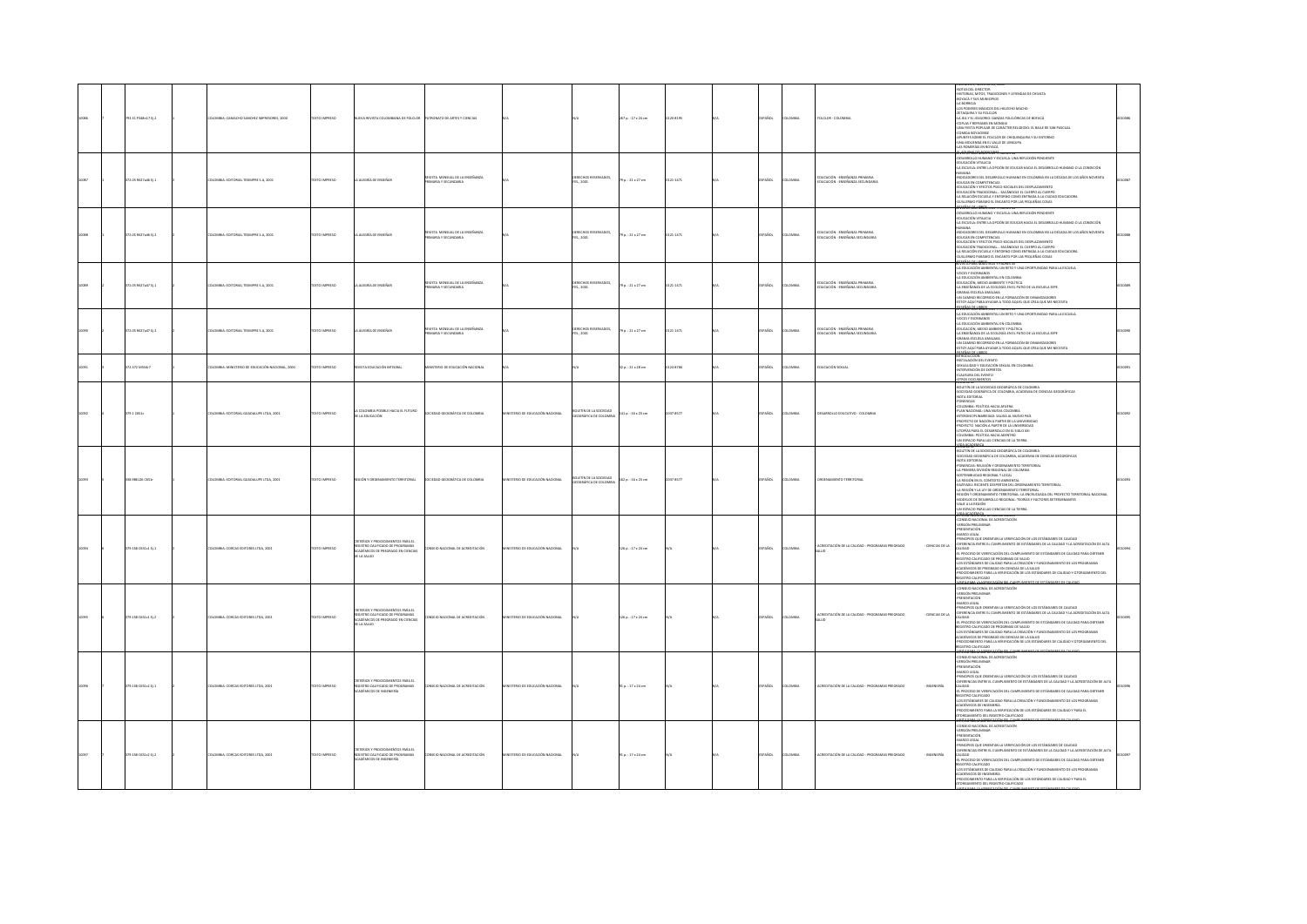|  | 93.31 P348n17 Ej.2  | ILOMBIA: CAMACHO SANCHEZ IMPRESORES, 2000      | TO IMPRESO         | EVA REVISTA COLOMBIANA DE FOLCLOF                                                                                            | <b>ONATO DE ARTES Y CIENCIAS</b>                     |                            |                                            | 267 p. : 17 x 24 cm | 120-8195     | AÑOL          | LOMBIA       | FOLCLOR - COLOMBIA                                                      | POLIVINTA RUMANTA (UNIX 2002)<br>460 MONARCHI (UNIX 2003)<br>460 MONARCHI (UNIX 2004 MONARCHI 12 LEVENDAS DE CHIVATA<br>460 MONARCHI (UNIX 2004 MONARCHI)<br>475 MONARCHI (UNIX 2004 MONARCHI 12004 MONARCHI 14 MONARCHI 14 MONARCHI 14 MO<br>-UNA FIESTA POPULAR DE CARÁCTER RELIGIOSO: EL BAILE DE SAN PASCUAL<br>-COMIDA BOYACENSE<br>-APUNTES SOBRE EL FOLCLOR DE CHIQUINQUIRA Y SU ENTORNO<br>UNA MOLIENDA EN EL VALLE DE LENGUPA<br>LAS ROMERÍAS EN BOYACÁ<br><b>ACUMULADORFERME.</b>                                                                                                                                                                                                                                  |  |
|--|---------------------|------------------------------------------------|--------------------|------------------------------------------------------------------------------------------------------------------------------|------------------------------------------------------|----------------------------|--------------------------------------------|---------------------|--------------|---------------|--------------|-------------------------------------------------------------------------|------------------------------------------------------------------------------------------------------------------------------------------------------------------------------------------------------------------------------------------------------------------------------------------------------------------------------------------------------------------------------------------------------------------------------------------------------------------------------------------------------------------------------------------------------------------------------------------------------------------------------------------------------------------------------------------------------------------------------|--|
|  | 72.05 R627a46 Ej.1  | <b>JLOMBIA: EDITORIAL TESIMPRE S.A. 2001</b>   | DESIRAN OTX3T      | LA ALEGRÍA DE ENSEÑAR                                                                                                        | REVISTA MENSUAL DE LA ENSEÑANZA<br>ARIA Y SECUNDARIA |                            | DERECHOS RESERVADOS,<br>1ES., 2001         | 79 p. : 21 x 27 cm  | $121 - 1471$ | SPAÑOL        | LOMBIA       | .<br>Educación - Enseñanza Primaria<br>Educación - Enseñanza Secundaria | VISIA PARA ROMENTALE I PAURES 44<br>ESARDOLLO HUMANO Y ESCUELA: UNA REFLEXIÓN PENDIENTE<br>15ICACIÓN VITALIOA<br>15ICHILA: ENTRE LA OPCIÓN DE EDUCAR HACIA EL DESARROLLO HUMANO O LA CONDICIÓN<br>15ICHILA: ENTRE LA OPCIÓN DE EDUCAR HACI<br>HUMANA<br>«NDICADORES DEL DESARROLLO HUMANO EN COLOMBIA EN LA DÉCADA DE LOS AÑOS NOVENTA<br><b>JUCAR EN COMPETENCIAS</b><br>EDUCACIÓN Y EFECTOS PSICO-SOCIALES DEL DESPLAZAMIENTO<br>-EDUCACIÓN TRADICIONAL SACÁNDOLE EL CUERPO AL CUERPO<br>-LA RELACIÓN ESCUELA Y ENTORNO COMO ENTRADA A LA CIUDAD EDUCADORA<br>ILLERMO PÁRAMO EL ENCANTO POR LAS PEQUEÑAS COSAS                                                                                                             |  |
|  | 372.05 R627a46 Ej.2 | DLOMBIA: EDITORIAL TESIMPRE S.A, 2001          | DZERNI OTX3T       | LA ALEGRÍA DE ENSEÑAR                                                                                                        | VSTA MENSUAL DE LA ENSEÑANZA<br>ARIA Y SECUNDARIA    |                            | DERECHOS RESERVADOS,<br>res., 2001         | 79 p. : 21 x 27 cm  | 0121-1471    | SPAÑOL        | <b>LOMBA</b> | EDUCACIÓN - ENSEÑANZA PRIMARIA<br>EDUCACIÓN - ENSEÑANA SECUNDARIA       | NOTIFICATION AND LE ENSINO FOR DISPLACIONAL CODE<br>LA ESCUELA: ENTRE LA OPCIÓN DE EDUCAR HACIA EL DESARROLLO HUMANO O LA CONDICIÓN<br>HUMANA<br>«NDICADORES DEL DESARROLLO HUMANO EN COLOMBIA EN LA DÉCADA DE LOS AÑOS NOVENTA<br>EDUCAR EN COMPETENCIAS<br>-EDUCAR EN CUMPETENCIAS<br>-EDUCACIÓN Y EFECTOS PSICO-SOCIALES DEL DESPLAZAMIENTO<br>EDUCACIÓN TRADICIONAL SACÁNDOLE EL CUERPO AL CUERPO<br>LA RELACIÓN ESCUELA Y ENTORNO COMO ENTRADA A LA CIUDAD EDUCADORA<br>LLERMO PARAMO EL ENCANTO POR LAS PEQUEÑAS COSAS<br><b>ISTA DALA MARISTROS Y PADRES 45</b>                                                                                                                                                       |  |
|  | 72.05 R627a47 EL1   | <b>JLOMBIA: EDITORIAL TESIMPRE S.A. 2001</b>   | OZSRRNI OTXT       | LA ALEGRÍA DE ENSEÑAR                                                                                                        | EVISTA MENSUAL DE LA ENSEÑANZA<br>MRAY SECUNDARY     |                            | RECHOS RESERVADOS,<br>ES., 2001            | 79 p. : 21 x 27 cm  | 0121-1471    | <b>SPAÑOL</b> | LOMBIA       | EDUCACIÓN - ENSEÑANZA PRIMARIA<br>EDUCACIÓN - ENSEÑANA SECUNDARIA       | LA EDUCACIÓN AMBIENTAL UN RETO Y UNA OPORTUNIDAD PARA LA ESCUELA<br>OCES Y ESCRIBANOS<br>A FOUCACIÓN AMERICAS EN COLOMBIA<br>EDUCACIÓN, MEDIO AMBIENTE Y POLÍTICA<br>A ENSEÑANZA DE LA ECOLOGÍA EN EL PATIO DE LA ESCUELA EEPE<br>ANIA-ESCUELA AMALAKA<br>N CAMINO RECORREDO EN LA FORMACIÓN DE DINAMIZADORES<br>OY AQUÍ PARA AYUDAR A TODO AQUEL QUE CREA QUE ME NECESITA<br><b>SERAS DE LIBROS</b><br>ISTA PARA MAESTRUS T PAURES 45                                                                                                                                                                                                                                                                                       |  |
|  | 2.05 R627a47 Ej.2   | LOMBIA: EDITORIAL TESIMPRE S.A, 2001           | EXTO IMPRESO       | ALDGRÍA DE ENSEÑAR                                                                                                           | REVISTA MENSUAL DE LA ENSEÑANZA<br>ARIA Y SECUNDARIA |                            | DERECHOS RESERVADOS,<br>1ES., 2001         | 79 p. : 21 x 27 cm  | 121-1471     | PAÑOL         | oway         | educación - enseñanza primaria<br>educación - enseñana secundaria       | RUTALI PAPA ROSLAVIA TEMUNIS AS<br>LA EDUCACIÓN AMBERITAL UN RETO Y UNA OPORTUNIDAD PARA LA ESCUELA<br>LA EDUCACIÓN AMBERITAL EN COLOMBIA<br>EDUCACIÓN AMBERITAL EN COLOMBIA<br>EDUCACIÓN, MENO AMBERITAL TOUÍTICA<br>JA ENGÉÑARZA DE LA ECOL<br>I CAMINO RECORRIDO EN LA FORMACIÓN DE DINAMIZADORES<br>TOY AQUÍ PARA AYUDAR A TODO AQUEL QUE CREA QUE ME NECESITA                                                                                                                                                                                                                                                                                                                                                           |  |
|  | 72.372 MS34r7       | COMBIA: MINISTERIO DE EDUCACIÓN NACIONAL, 2000 | OZSRRNI OTX        | WASTA EDUCACIÓN INTEGRAL                                                                                                     | VISTERIO DE EDUCACIÓN NACIONAL                       |                            |                                            | 12 p.: 21 x 28 cm   | 124-8705     | PAÑOL         | LOMBIA       | EDUCACIÓN SEXUAL                                                        | <b>FOR AS DE LIBROS.</b><br>FRODUCCIÓN<br>INSTALACIÓN DEL EVENTO<br>SEXUALIDAD Y EDUCACIÓN SEXUAL EN COLOMBIA<br>TERVENCIÓN DE EXPERTOS<br>CRUSURA DEL EVENTO<br>OS DOCUMENTOS                                                                                                                                                                                                                                                                                                                                                                                                                                                                                                                                               |  |
|  | 9.1 C651c           | LOMBIA: EDITORIAL GUADALUPE LTDA, 2001         | <b>XTO IMPRESO</b> | COLOMBIA POSIBLE HACIA EL FUTURO<br>E LA EDUCACIÓN                                                                           | GRÁFICA DE COLOMBIA                                  | 10 DE EDUCACIÓN NACIONAL   | <b>Influence Association</b>               | 141 p.: 16 x 23 cm  | 037-8577     | AÑOL          | oway         | ESARROLLO EDUCATIVO - COLI                                              | OLETÍN DE LA SOCIEDAD GEOGRÁFICA DE COLOMBIA<br>CIEDAD GOGRÁFICA DE COLOMBIA, ACADEMIA DE CIENCIAS GEOGRÁFICAS<br>ALROTORIAL<br><b>NENETAS</b><br>- UNIVERSITY<br>COLOMBIA - POLÍTICA HACIA ATLIEBA<br>COLOMBIA: POLÍTICA HACIA AFUERA<br>LIAN NACIONAL: UNA NUEVA COLOMBIA<br>PITEROSCIPLINABIEDAD: SALIDA AL NUEVO PAÍS<br>PIOYECTO DE NACIÓN A PARTIR DE LA UNIVERSIDAD<br>PIOYECTO NACIÓN A PARTIR LO EN EL SIGLO XVI<br>LITOPÁS PARA EL DESARRO<br>UN ESPACIO PARA LAS CIENCIAS DE LA TIERRA                                                                                                                                                                                                                            |  |
|  | 8.986126 0651r      | <b>ILOMBIA: EDITORIAL GUADALUPE LTDA, 2001</b> |                    |                                                                                                                              | GRÁFICA DE COLOMBIA                                  | TRIO DE EDUCACIÓN NACIONAL | etín de la sociedad<br>Igráfica de Colombi | 162 p.: 16 x 23 cm  | 037-8577     | PAÑOL         | owax         |                                                                         | waran<br>BOLETÍN DE LA SOCIEDAD GEOGRÁFICA DE COLOMBIA<br>OEDAD GEOGRÁFICA DE COLOMBIA, ACADEMIA DE OENCIAS GEOGRÁFICAS<br>NOTA EDITORIAL<br>FONENCIAS: RELIGIÓN Y ORDENAMIENTO TERRITORIAL<br>LA PRIMERA ENISIÓN REGIONAL DE COLOMBIA<br>LA PRIMERIADA REGIONAL Y LOCAL<br>LA REGIÓN EN EL CONTEXTORIA DI LORDENAMIENTO T<br>PATRAPIA INFIRIETE DESPREJA DI LORDENAMIEN<br>-<br>-KAZIYADU: RECENTE DESPERTAR DEL ORDENAMIENTO TERRITORIAL<br>-LA REGIÓN Y LA LEY DE ORDENAMIENTO TERRITORIAL<br>-REGIÓN Y ORDENAMIENTO TERRITORIAL: LA ENCRUCIADA DEL PROYECTO TERRITORIAL NACIONAL<br>MODELOS DE DESARROLLO REGIONAL: TEORÍAS Y FACTORES DETERMINANTES<br>-VIAIE A LA REGIÓN<br>-UN ESPACIO PARA LAS CIENCIAS DE LA TIERRA |  |
|  | 9.158 C651c1 Ej.1   | LOMBIA: CORCAS EDITORES LTDA, 2001             | TO IMPRES          | criterios y procedimientos para el<br>registro calificado de programas<br>readémicos de pregrado en cienci<br>de la salud    | EIO NACIONAL DE ACREDITACIÓN                         | TRIO DE EDUCACIÓN NACIONAL |                                            | 126 p. : 17 x 24 cm |              | AÑOL          | .<br>DMBIA   | ACREDITACIÓN DE LA CALIDAD - PROGRAMA<br>REGRADO<br>- CIENCIAS DE LA    | macadata, u punu nu<br>ONSEJO NACIONAL DE ACREDITACIÓN<br><b>RSIÓN PRELIMINAR</b><br>KRISON PRISLIMINAR<br>ANCOL LIGAL<br>PRISENTACIÓN<br>JIRINGPOSI QUE ORIENTAN LA VERIFICACIÓN DE LOS ESTÁNDARES DE CALIDAD<br>JIRINGO, ENTRE EL CUMPLIMIENTO DE ESTÁNDARES DE LA CALIDAD Y LA ACREDITACIÓN DE ALTA<br>ALIDAD<br>-EL PROCESO DE VERIFICACIÓN DEL CUMPLIMIENTO DE ESTÁNDARES DE CALIDAD PARA OBTENER<br><b>STATISTICS AND AN INFORMATION CONTINUES IN CHARGE PRODUCTION CONTINUES.</b><br><b>EXAMPLE CONTRACT CONTINUES IN A CHARGE PRODUCT TRANSPORTED IN LOS PROGRAMAS</b><br><b>PRODUCTION CONTRACT CONTINUES IN A CHARGE PRODUCT CONTINUES IN A CA</b><br><b>ATA PART LA LEAST ACÉA DE L'UR</b>                        |  |
|  | 9.158 C651c1 tj.2   | LOMBIA: CORCAS EDITORES LTDA, 2001             |                    | CRITERIOS Y PROCEDIMIENTOS PARA EL<br>REGISTRO CALIFICADO DE PROGRAMAS<br>NEVATÁNICOS DE PREGRADO EN CIENCIAS<br>DE LA SALUD | EIO NACIONAL DE ACREDITACIÓN                         | 10 DE EDUCACIÓN NACIONAL   |                                            | 126 p.: 17 x 24 cm  |              | AÑOL          | owax         | CREDITACIÓN DE LA CALIDAD - PROGRAMAS PREGRADO<br>CENCIAS DE LA         | SANTAN MARAMARKAN SERIKAN DI MENUNJUK DI SEBENJARAN SELI BILI DI SERIKAN DI SERIKAN DI SERIKAN DI SERIKAN DI S<br>2006 DENGARKAN DI SERIKAN MARAMARKAN DI SERIKA SERIKAN DI SERIKAN<br>2006 DENGAN<br>2018 DENGARKAN DI SERIKA LAWAHINT<br>CALIDAD<br>-EL PROCESO DE VERIFICACIÓN DEL CUMPUMIENTO DE ESTÁNDARES DE CALIDAD PARA OBTENER<br>ISTRO CALIFICADO DE PROGRIMAS DE SALUD<br>S ESTÁNDARES DE CALIDAD PARA LA CREACIÓN Y FUNCIONA<br>ENTO DE LOS PROGRAMAS<br>ACADÉMICOS DE PREGIADO EN CIENCAS DE LA SALUD<br>- PROCEDIMENTO PARA LA VERIFICACIÓN DE LOS ESTÁNDARES DE CALIDAD Y OTORGAMIENTO DEL<br>REGISTRO CALINCADO<br><b><i>TAANALANDROOT</i></b>                                                               |  |
|  | 158 0551c2 tj.1     | DMBIA: CORCAS EDITORES LTDA, 2001              |                    | RITERIOS Y PROCEDIMIENTOS PARA EL<br>"GISTRO CALIFICADO DE PROGRAMAS<br>"ADÉMICOS DE INGENIERÍA                              | <b>EJO NACIONAL DE ACREDITACIÓN</b>                  | 10 DE EDUCACIÓN NACIONAL   |                                            | 1 p.: 17 x 24 cm    |              |               |              |                                                                         | CONSEIO NACIONAL DE ACREDITACIÓN<br>-VERSIÓN PRELIMINAR<br>-PRESENTACIÓN<br>-PRESIDENCIA/I<br>- SAMECO LICAL<br>- SPANCIPOLICAL CRIENTANI LA VERIFICACIÓN DE LOS ESTÁNDARES DE CALIDAD Y LA ACREDITACIÓN DE ALTA<br>- CHIPRIPICAS ENTRE EL CUMPLIMIENTO DE ESTÁNDARES DE LA CALIDAD Y LA ACREDITACIÓN DE ALTA<br>- CHI<br>-EL PROCESO DE VERIFICACIÓN DEL CUMPLIMIENTO DE ESTÁNDARES DE CALIDAD PARA OBTENER<br>GISTRO CALIFICADO<br>405 ESTÁNDARES DE CALIDAD PARA LA CREACIÓN Y FUNCIONAMIENTO DE LOS PROGRAMAS<br>ACADÉMICOS DE INGENERÍA<br>-PROCEDIMENTO PARA LA VERIFICACIÓN DE LOS ESTÁNDARES DE CALIDAD Y PARA EL<br>ORGAMIENTO DEL REGISTRO CAUFICADO<br>1204100100002020020170.001                                 |  |
|  | 9.158 C651c2 tj.2   | ILOMBIA: CORCAS EDITORES LTDA, 2001            | <b>CTO IMPRESO</b> | EERIOS Y PROCEDIMIENTOS PARA EL<br>ISTRO CALIFICADO DE PROGRAMAS<br>IDÉMICOS DE INGENIERÍA                                   | EIO NACIONAL DE ACREDITACIÓN                         | ERIO DE EDUCACIÓN NACIONAL |                                            | 11 p.: 17 x 24 cm   |              |               | wa.          | CREDITACIÓN DE LA CALIDAD - PROGR                                       | HEMA NALIUNAL LE ALRELEHALUN<br>DNSEJO NACIONAL DE ACREDITACIÓN<br>ERSIÓN PRELIMINAR<br>RESENTACIÓN<br>IDSA (MANI).<br>RINGO IDGAL<br>RINGO IDGAL CRIENTAN LA VERIFICACIÓN DE LOS ESTÁNDARES DE CALIDAD Y LA ACREDITACIÓN DE ALTA<br>IFRENCIAS DITRE EL CUMPLIMIENTO DE ESTÁNDARES DE LA CALIDAD Y LA ACREDITACIÓN DE ALTA<br>PROCESO DE VERIFICACIÓN DEL CUMPUMIENTO DE ESTÁNDARES DE CALIDAD PARA OBTENER<br>ISTRO CALIFICADO<br>35 ESTÁNDARES DE CALIDAD PARA LA CREACIÓN Y FUNCIONAMIENTO DE LOS PROGRAMAS<br>OÉMICOS DE INGENERÍA<br>DESDIMENTO PARA LA VERIFICACIÓN DE LOS ESTÁNDARES DE CALIDAD Y PARA EL<br>CRGAMIENTO DEL REGISTRO CAUFICADO<br><b>BARA LA VERIENCACIÓN DEL CURAN</b>                               |  |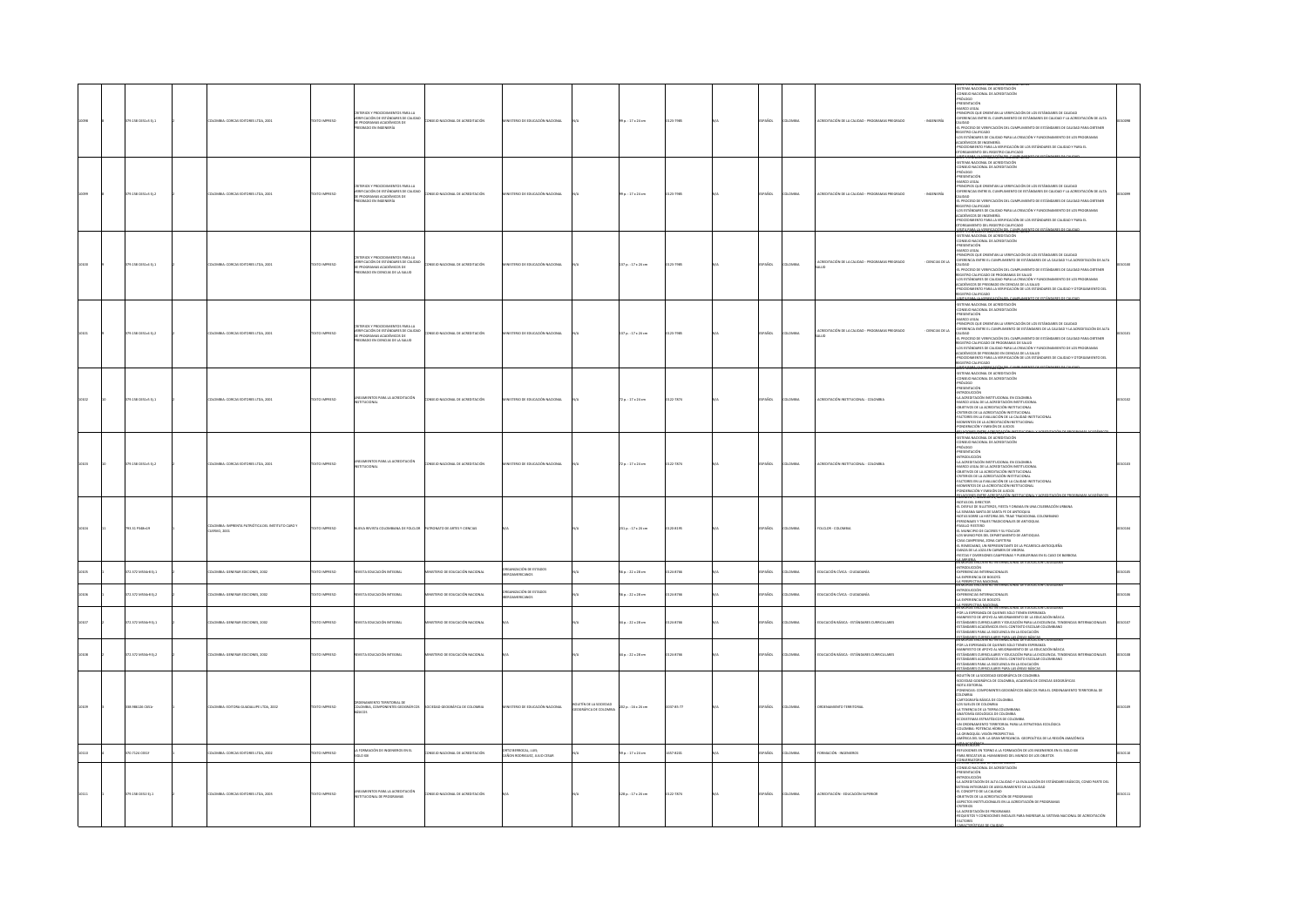|  | 158 0551c3 tj.1     |                                                                 |                      | FRICK Y PROCEDIMIENTOS PARA LA<br>UNTERIUS T PRUCECIMIENTOS PARA LA<br>VERIFICACIÓN DE ESTÁNDARES DE CALIDA<br>DE PROGRAMAS ACADÉMICOS DE<br>PREGRADO EN INGENIERÍA         | MACIONAL DE ACREDITACIÓN            |                                                                |                       | p.: 17 x 24 cm          |           |        |               |                                                                    | STEMA NACIONAL DE ACREDITACIÓN<br>XISEIO NACIONAL DE ACREDITACIÓN<br>IÓLOGO<br>ANALYS<br>HARDWOOD COMPANY IN VERIFICADIN DE LOS ESTÁNDARES DE CALIDAD<br>PROCEITORADO<br>ORIGENICANO DE ORIENTAN LA VERIFICADIN DE LOS ESTÁNDARES DE CALIDAD VIA ACIEDITADOÑ DE ALTA<br>ORIENTACAS DIFINE EL CAMPLIMIENTO DE ESTÁNDARE<br>ASSISTING CALIFICADO<br>-LOS ESTÁNDARES DE CALIDAD PARA LA CREACIÓN Y FUNCIONAMIENTO DE LOS PROGRAMAS<br>ACADÉMICOS DE INGENIERÍA<br>-PROCEDIMENTO PARA LA VERIFICACIÓN DE LOS ESTÁNDARES DE CALIDAD Y PARA EL<br>OTORGAMIENTO DEL REGISTRO CAUFICADO<br><b>21.9100.0007000000000000000</b>                                                                                 |  |
|--|---------------------|-----------------------------------------------------------------|----------------------|-----------------------------------------------------------------------------------------------------------------------------------------------------------------------------|-------------------------------------|----------------------------------------------------------------|-----------------------|-------------------------|-----------|--------|---------------|--------------------------------------------------------------------|-------------------------------------------------------------------------------------------------------------------------------------------------------------------------------------------------------------------------------------------------------------------------------------------------------------------------------------------------------------------------------------------------------------------------------------------------------------------------------------------------------------------------------------------------------------------------------------------------------------------------------------------------------------------------------------------------------|--|
|  | 379.158 C651c3 tj.2 | LOMBIA: CORCAS EDITORES LTDA, 2001                              | <b>DZERRINI OTX:</b> | ERIOS Y PROCEDIMIENTOS PARA LA<br>VERIFICACIÓN DE ESTÁNDARES DE CALIDAD<br>DE PROGRAMAS ACADÉMICOS DE<br>PREGRADO EN INGENIERÍA                                             | NSEIO NACIONAL DE ACREDITACIÓN      | STERIO DE EDUCACIÓN NACIONAL                                   |                       | 99 p.: 17 x 24 cm       | 23-7985   | PAÑOL  | OMBIA         | REDITACIÓN DE LA CALIDAD - PROGRAMAS PREGRADO<br><b>INGENIERÍA</b> | -<br>SISTEMA NACIONAL DE ACREDITACIÓN<br>-CONSEJO NACIONAL DE ACREDITACIÓN<br>coojóns-<br><b>PRESENTACIÓN</b><br>-MARCO LEGAL<br>-PRINCIPIOS QUE ORIENTAN LA VERIFICACIÓN DE LOS ESTÁNDARES DE CALIDAD<br>OFFIENCIAS ENTRE EL CUMPUMIENTO DE ESTÁNDARES DE CALIDAD Y LA ACREDITACIÓN DE ALTA.<br>CALIDAD<br>CALIDAD<br>-EL PROCESO DE VERIFICACIÓN DEL CUMPUMIENTO DE ESTÁNDARES DE CALIDAD PARA OBTENER<br>ESCRIPTORA DE MARIA DE MARIA CON EN EL CONTRADO DE LA PARADIANA DE LOS CARRIEROS DE LA CARRIERA DE LA CARRIERA<br>CON ESTÁNGIMES DE CALIDAD PARA LA CIENCIÓN Y FUNCIONAMENTE DE LOS PROGRAMAS<br>CONDIÁNCIOS DE NORMERÍA VERIFICACIÓ                                                      |  |
|  | 79.158 C651o4 tj.1  | OMBIA: CORCAS EDITORES LTDA, 2001                               | <b>XTO IMPRESO</b>   | <b>ICS Y DROCYTIMETATOS DARA LA</b><br>I ERROS T PROCEDIMIENTOS PARA LA<br>RIFICACIÓN DE ESTÁNDARES DE CALIDAD<br>PROGRAMAS ACADÉMICOS DE<br>IGRADO EN CIENCIAS DE LA SALUD | NSEIO NACIONAL DE ACREDITACIÓN      | TERIO DE EDUCACIÓN NACIONAL                                    |                       | 137 p. : 17 x 24 cm     | 123-7985  | PAÑOL  | owax          | - OENCIAS DE LA                                                    | -SISTEMA NACIONAL DE ACREDITACIÓN<br>-CONSEJO NACIONAL DE ACREDITACIÓN<br>-PRESENTACIÓN<br>-BANKO LEGAL<br>-BRINENCIO QUE ORIENTAN LA VERIFICACIÓN DE LOS ESTÁNDARES DE CALIDAD<br>-DIFIENDICO<br>CALIDAD<br>CALIDAD<br>REGISTRO CALIFICADO DE PROGRAMAS DE SALUD<br>-LOS ESTÁNDARES DE CALIDAD PARA LA CREADÓN Y FUNCIONAMIENTO DE LOS PROGRAMAS<br>O EMICOS DE PREGRADO EN CIENCIAS DE LA SALUD<br>PROCEDIMENTO PARA LA VERIFICACIÓN DE LOS ESTÁNDARES DE CALIDAD Y OTORGAMIENTO DE<br>OGAZITILAD ORTZE<br>www.assettech.com                                                                                                                                                                        |  |
|  | 379.158 C651o4 EL2  | LOMBIA: CORCAS EDITORES LTDA, 2001                              | OZSRRA OTX:          | ERIOS Y PROCEDIMIENTOS PARA LA<br>-<br>VERIFICACIÓN DE ESTÁNDARES DE CALIDAD<br>DE PROGRAMAS ACADÉMICOS DE<br>PREGRADO EN CIENCIAS DE LA SALUD                              | NSEIO NACIONAL DE ACREDITACIÓN      | TERIO DE EDUCACIÓN NACIONAL                                    |                       | 137 p. : 17 x 24 cm     | 123-7985  | SPAÑOL | <b>LOMBIA</b> | ACREDITACIÓN DE LA CALIDAD - PROGRAMAS PREGRADO<br>- DENCIAS DE LA | SERIE: ESTANDARES BASILUS DE CALIDA<br>SISTEMA NACIONAL DE ACREDITACIÓN<br>-<br>PRESENTACIÓN<br>MARCO LEGA<br>INCIDIOS OLIF ORIENTAN LA VERIEICACIÓN DE LOS ESTÁNDARES DE CALIDAD<br>ERENCIA ENTRE EL CUMPLIMIENTO DE ESTÁNDARES DE LA CALIDAD Y LA ACREDITACIÓN DE ALTA<br>CALIDAD<br>EL PROCESO DE VERIFICACIÓN DEL CUMPUMIENTO DE ESTÁNDARES DE CALIDAD PARA OBTENER<br>REGISTRO CALIFICADO DE PROGRAMAS DE SALUD<br>-LOS ESTÁNDARES DE CALIDAD PARA LA CREACIÓN Y FUNCIONAMIENTO DE LOS PROGRAMAS<br>ACADÉMICOS DE PREGRADO EN CIENCIAS DE LA SALUD<br><b>IENTO DEL</b>                                                                                                                           |  |
|  | 79.158 C651c5 Ej.1  | OMBIA: CORCAS EDITORES LTDA, 2001                               | <b>XTO IMPRESO</b>   | NEAMIENTOS PARA LA ACREDITACIÓN<br>STITUCIONAL                                                                                                                              | SEIO NACIONAL DE ACREDITACIÓN       |                                                                |                       | $2 p. : 17 * 24 cm$     | 22-7874   | Acc    | LOMBIA        | DÓN INSTITUCIONAL - COLON                                          | <b>IETULICUMENTOSTIMOVÉ</b><br>SISTEMA NACIONAL DE ACREDITACIÓN<br>CONSEJO NACIONAL DE ACREDITACIÓN<br>00000044<br>PRESENTACIÓN<br>INTRODUCCIÓN<br>-LA ACREDITACIÓN INSTITUCIONAL EN COLOMBIA<br>-MARCO LEGAL DE LA ACREDITACIÓN INSTITUCIONAL<br>-OBJETIVOS DE LA ACREDITACIÓN INSTITUCIONAL<br>-CRITERIOS DE LA ACREDITACIÓN INSTITUCIONAL<br>CTORES EN LA EVALUACIÓN DE LA CALIDAD INSTITUCIONAL<br>OMENTOS DE LA ACREDITACIÓN INSTITUCIONAL<br>INDERACIÓN Y EMISIÓN DE JUICIOS<br><b><i>ECONOMISTIC CARACTER</i></b>                                                                                                                                                                              |  |
|  | 379.158 C651c5 tj.2 | <b>ILOMBIA: CORCAS EDITORES LTDA, 2001</b>                      | DESRRAI OTXT         | LINEAMIENTOS PARA LA ACREDITACIÓN<br>NSTITUCIONAL                                                                                                                           | NSEJO NACIONAL DE ACREDITACIÓN      | TERIO DE EDUCACIÓN NACIONAL                                    |                       | 72 p. : 17 x 24 cm      | 122-7874  | SPAÑOL | LOMBIA        | CREDITACIÓN INSTITUCIONAL - COLOR                                  | -SISTEMA NACIONAL DE ACREDITACIÓN<br>CONSEJO NACIONAL DE ACREDITACIÓN<br>ODOJÓR4-<br>-<br>PRESENTACIÓN<br><b>INTRODUCCIÓN</b><br>-RETRODUCION<br>ALACEDOTACIÓN INSTITUCIONAL EN COLOMBIA<br>AMACO LIGAL DE LA ACEDITACIÓN INSTITUCIONAL<br>CRIETINGS DE LA ACEDITACIÓN INSTITUCIONAL<br>CRIETINGS DE LA ACEDITACIÓN INSTITUCIONAL<br>ACEDITACIÓN INSTITUCIONAL<br>ACEDITACIÓN Y E<br><b>SGEN'T, ASSIMATELY 2001</b>                                                                                                                                                                                                                                                                                   |  |
|  | 3.31 P348n25        | XOMBIA: IMPRENTA PATRIÓTICA DEL INSTITUTO CARO Y<br>JERVO, 2001 | TO IMPRESO           |                                                                                                                                                                             | DE ARTES Y CIENCIA                  |                                                                |                       | 12 p. : 17 x 24 cm      | 0-8195    |        |               | $occon-co$                                                         | TAS DEL DIRECTOR<br>ADVIS ON ORIGINAL RESULTING, A RESULTING AND AN UNIVERSIDAD COMMUNISTIC CONTINUES AND CONSULTING AN INTERFERING CONTINUES AND CONSULTING A SUB-TROOP OF THE STATE AND CONTINUES ARE CONTINUES AND CONTINUES ARE CONTINUES AND                                                                                                                                                                                                                                                                                                                                                                                                                                                     |  |
|  | 172.372 MS34rB tj.1 | LOMBIA: GENERAR EDICIONES, 2002                                 | <b>DZERNI OTXE</b>   | <b>ISTA EDUCACIÓN INTEGRAL</b>                                                                                                                                              | STERIO DE EDUCACIÓN NACIONAL        | <b>COANZACIÓN DE ESTADOS</b><br><b>DAMERICANOS</b>             |                       | 56 p.: 22 x 28 cm       | 124-8705  | AÑOL   | LOMBIA        | DUCACIÓN CÍVICA - CIUDADANÍA                                       | ANGELIA<br>MORIAS ENCUENTRO INTERNI<br><b>INTRODUCCIÓN</b><br><b>EXPERIENCIAS INTERNACIONALES</b><br>ATODOB 30 ADMISSION<br><b>PERSPECTIVA NACIONAL</b><br>MORIAS ENCUENTRO INTERNACIONAL DE EDUCACIÓN                                                                                                                                                                                                                                                                                                                                                                                                                                                                                                |  |
|  | 72.372 MS34r8 B.2   | LOMBIA: GENERAR EDICIONES, 2002                                 | OZSRRNI OTX3         | <b>ISTA EDUCACIÓN INTEGRAL</b>                                                                                                                                              | STERIO DE EDUCACIÓN NACIONAL        | ANIZACIÓN DE ESTADOS<br><b>DAMERICANOS</b>                     |                       | $6a. : 22 \times 28$ cm | 124-8705  | PAÑOL  | <b>LOMBIA</b> | EDUCACIÓN CÍVICA - CIUDADANÍA                                      | TRODUCEIÓN<br>PERIENCIAS INTERNACIONALES<br>EXPERIENCIA DE BOGOTÁ<br>PERSPECTIVA NACIONAL<br>MORIAS ENCUENTRO INTERNACIONAL DE EDUCACION QUE                                                                                                                                                                                                                                                                                                                                                                                                                                                                                                                                                          |  |
|  | 72.372 M534r9 EJ.1  | LOMBIA: GENERAR EDICIONES, 2002                                 | OZSRRNI OTXT         | <b>STA FOUCACIÓN INTEGRAL</b>                                                                                                                                               | <b>STERIO DE EDUCACIÓN NACIONAL</b> |                                                                |                       | $a. : 22 \times 28$ cm  | 24-8705   | PAÑOL  | LOMBIA        | DUCACIÓN BÁSICA - ESTÁNDARES CURRICULARES                          | <b>MEMORIAS ENCUENTRE) RITERRACIONAL EX EUGLALIUM LIGUINUMIN<br/>400 LA ESPERANZA DE QUIENTS SOLO TERNE ESPERANZA</b><br>4MANIFIESTO DE APOYO AL MELORAMIENTO DE LA EDUCACIÓN BÁSICA<br>4STÁNDARES CURRICULARES Y EDUCACIÓN PARA LA EXCELENCI<br>TÁNDARES ACADÉMICOS EN EL CONTEXTO ESCOLAR COLOMBIANO<br>TÁNDARES PARA LA EXCELENCIA EN LA EDUCACIÓN                                                                                                                                                                                                                                                                                                                                                 |  |
|  | 372.372 MS34r9 EL2  | DLOMBIA: GENERAR EDICIONES, 2002                                | DZER WIOTEKT         | EVISTA EDUCACIÓN INTEGRAL                                                                                                                                                   | INSTERIO DE EDUCACIÓN NACIONAL      |                                                                |                       | $44a:22 \times 28$ cm   | 124-8705  | SPAÑOL | LOMBIA        | EDUCACIÓN BÁSICA - ESTÁNDARES CURRICULARES                         | .<br>STÁNDARES CURRICULARES PARA LAS ÁREAS BÁSICAS.<br>EMORIAS ENCUENTRO INTERNACIONAL DE EDUCACIÓN CIUDADAN<br>NIMINING DINLUIN INI INI ENIMALIONAL OK EUGLALIUM LIGUNUMIN<br>40R ILA ESPERARZA DE QUIENES SOLO TIENEN ESPERARZA<br>4MARIFIESTO DE APOYO AL MEJORAMIENTO DE LA EDUCACIÓN BÁSICA<br>4STÁNIDARES ACADÉMICOS EN EL CONTEXTO ESCILAR COLOM<br>ANDARES PARA LA EXCELENCIA EN LA EDUCACIÓN                                                                                                                                                                                                                                                                                                 |  |
|  | 138.986126 C651r    | OMBIA: EDITORA GUADALUPE LTDA, 2002                             | O23RWH 0TX:          | ENTO TERRITORIAL DE<br>COLOMBIA COMPO                                                                                                                                       | <b>TEDAD GEOGRÁFICA DE COLOMBIA</b> | MESO DE EDUCACIÓN NACIONAL                                     | OLETÍN DE LA SOCIEDAD | 102 p. : 16 x 24 cm     | 037-85-77 | PAÑOL  | <b>COMBIA</b> |                                                                    | ESTÁNDARES CURRICULARES PARA LAS ÁREAS BÁSICAS<br>$\begin{split} &\underbrace{\textbf{G}[\textbf{G}[\textbf{G}]\textbf{G}[\textbf{G}]\textbf{G}[\textbf{G}]\textbf{G}[\textbf{G}]\textbf{G}[\textbf{G}] \textbf{G}[\textbf{G}] \textbf{G}[\textbf{G}] \textbf{G}[\textbf{G}] \textbf{G}[\textbf{G}] \textbf{G}[\textbf{G}] \textbf{G}[\textbf{G}] \textbf{G}[\textbf{G}] \textbf{G}[\textbf{G}] \textbf{G}[\textbf{G}] \textbf{G}[\textbf{G}] \textbf{G}[\textbf{G}] \textbf{G}[\textbf{G}] \$<br>UN ORDENAMIENTO TERRITORIAL PARA LA ESTRATEGIA ECOLÓGICA.<br>COLOMBIA: POTENCIA HÍDRICA<br>LA ORNOQUÍA: VISIÓN PROSPECTIVA<br>VÉRICA DEL SUR: LA GRAN MERCANCIA, GEOPOLÍTICA DE LA REGIÓN AMAZÓNICA |  |
|  | 0.7124 0851f        | LOMBIA: CORCAS EDITORES LTDA, 2002                              | OZERNO DTX:          | LA FORMACIÓN DE INGENIEROS EN EL<br>SIGLO XXI                                                                                                                               | MODARDONAL DE ACREDITACIÓN          | )<br>Añon Rodriguez, Juio Cesar<br>Añon Rodriguez, Julio Cesar |                       | 9 p. : 17 x 24 cm       | 57-8201   | AÑOL   | <b>OMBIA</b>  | CRMACIÓN - INGENIEROS                                              | <b>DAACADÓME</b><br>PRESENTACION<br>-REFLEXIONES EN TORNO A LA FORMACIÓN DE LOS INGENIEROS EN EL SIGLO XXI<br>-PARA RESCATAR AL HUMANISMO DEL MUNDO DE LOS OBJETOS                                                                                                                                                                                                                                                                                                                                                                                                                                                                                                                                    |  |
|  | 379.158 C651 Ej.1   | LOMBIA: CORCAS EDITORES LTDA, 2003                              | <b>DZERNI OTXIT</b>  | LINEAMIENTOS PARA LA ACREDITACIÓN<br>NSTITUCIONAL DE PROGRAMAS                                                                                                              | INSEIO NACIONAL DE ACREDITACIÓN     |                                                                |                       | 128 p.: 17 x 24 cm      | 122-7874  | PAÑOL  | LOMBIA        | <b>ACREDITACIÓN - FOI MACIÓN SI REBIOS</b>                         | INVERSATORIO.<br>IEMA RALIONAL DE ALREDITALIONI<br>CONSEJO NACIONAL DE ACREDITACIÓN<br>CONDID MAGNETICAL<br>SATURD MAGNETICAL CONTINUES INTO A DISPOSIT BACK COMO PART DEL<br>SATURD MAGNETICAL CONTINUES IN A NA LANDA VIA LA CAUSA COMO PART DE<br>SATURA NATIONALE DE LA CAUSA PARTINHA DE LA CAUSA<br>SATURD DE LA CAUSA CON<br>QUISITOS Y CONDICIONES INICIALES PARA INGRESAR AL SISTEMA NACIONAL DE ACREDITACIÓN<br><b>FACTORES</b>                                                                                                                                                                                                                                                             |  |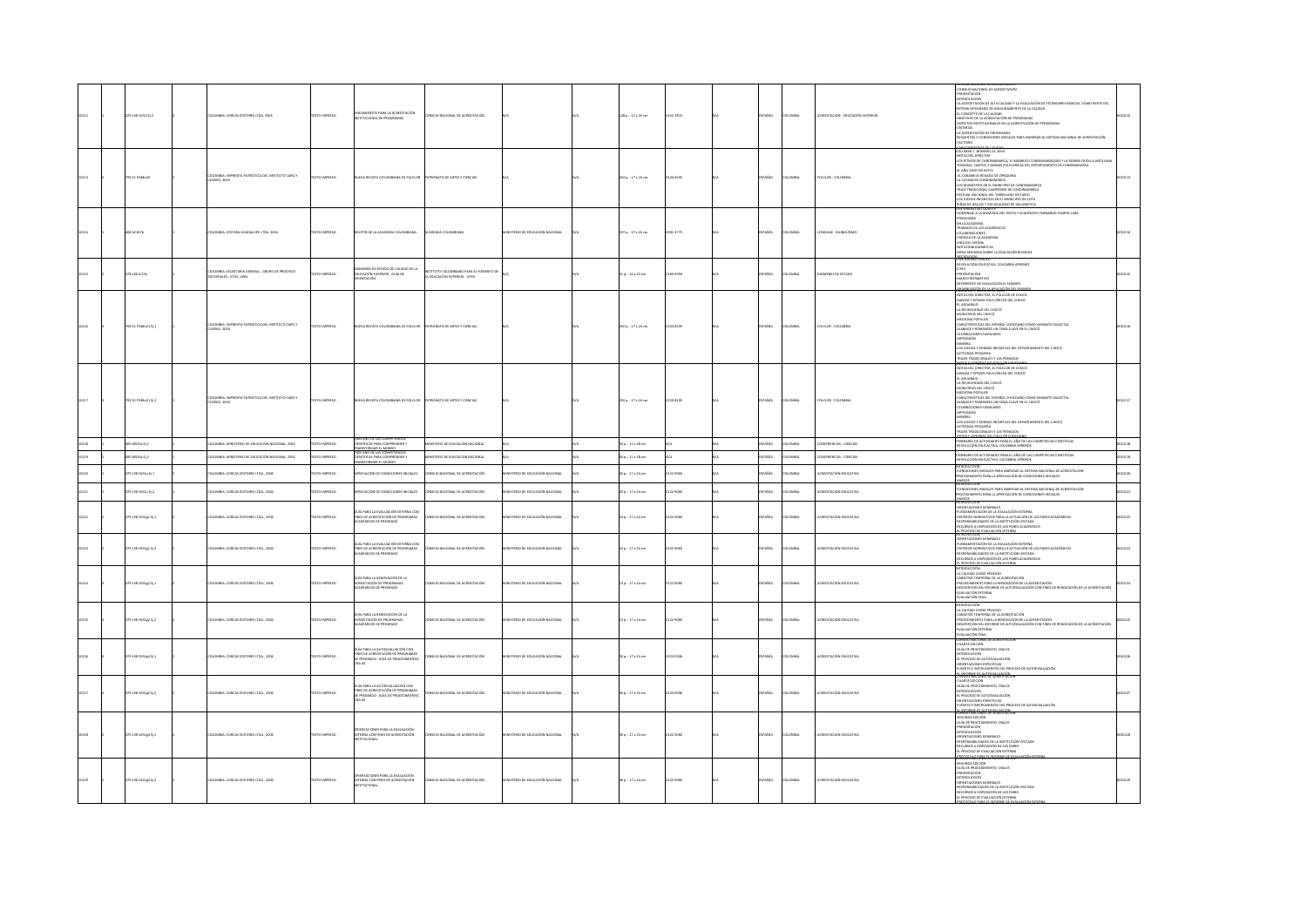|  | 79.158 C651 Ej.2          | LOMBIA: CORCAS EDITORES LTDA, 2003                                        | <b>XTO IMPRESO</b>  | .<br>MENTOS PARA LA ACREDITACIÓN<br>AWELL WATER ALL                                                                         | SEIO NACIONAL DE ACREDITACIÓN                                            |                               | 128 p.: 17 x 24 cm  | 122-7874  | PAÑOL         | LOMBIA         | CREDITACIÓN - EDUCACIÓN :    | SOLIDINA MALIONAL DE ACRIDITATION<br>-PRESENTACIÓN<br>-RESENTACIÓN<br>-LA ACREDITACIÓN DE ALTA CALIDAD Y LA EVALUACIÓN DE ESTÁNDARES BÁSICOS, COMO PARTE DEL<br>-LA ACREDITACIÓN DE ALTA CALIDAD Y LA EVALUACIÓN DE ESTÁNDARES BÁSICOS, CO<br>$\downarrow$ a Acatemicach de Alta (Calinar) e l'a publicache destàrbanes básicos, como parte del<br>1537 dans integrado de Assolumentato de La Calinar<br>1537 dans integrado de Assolumentato de La Calinary<br>Aspectos IV dans integradore<br>CTORES                                                          | 0112 |
|--|---------------------------|---------------------------------------------------------------------------|---------------------|-----------------------------------------------------------------------------------------------------------------------------|--------------------------------------------------------------------------|-------------------------------|---------------------|-----------|---------------|----------------|------------------------------|-----------------------------------------------------------------------------------------------------------------------------------------------------------------------------------------------------------------------------------------------------------------------------------------------------------------------------------------------------------------------------------------------------------------------------------------------------------------------------------------------------------------------------------------------------------------|------|
|  | 793.31 P348n20            | XOMBIA: IMPRENTA PATRIÓTICA DEL INSTITUTO CARO Y<br>JERVO, 2003           | O23R9001 OTX        | UEVA REVISTA COLOMBIANA DE FOLCLOR                                                                                          | TRONATO DE ARTES Y CIENCIAS                                              |                               | 254 p.: 17 x 24 cm  | 120-8195  | SPAÑOL        | <b>LOMBA</b>   | FOLCLOR - COLOMBIA           | VOLUMEN 7. NÚMERO 22. 2003<br>NOTAS DEL DIRECTOR<br>-NOI AS USE LUBEC (UN DINAMARCA, EL BAMBUCO CUNDINAMERQUES Y LA RUMBA CRIOLLA ANTILLANA<br>-EONADAS, CANTOS Y DANZAS FOLCLORICAS DEL DEPARTAMENTO DE CUNDINAMARCA<br>ATON RI OLIV ORA J3-<br>LL CARAMELO ROSADO DE ZIPAQUIRA<br>-LA COCINA EN CUNDINAMARCA<br>LOS MUNICIPIOS EN EL MUNICIPIO DE CUNDINAMARCA<br>TRAJE TRADICIONAL CAMPESINO DE CUNDINAMARCA<br>-FESTIVAL NACIONAL DEL TORBELLINO EN TABIO<br>LOS JUEGOS INFANTILES EN EL MUNICIPIO DE COTA<br>RIÑAS DE GALLOS Y VOCAVULARIO DE GALLINISTICA |      |
|  | <b>408 AC167b</b>         | ILOMBIA: EDITORA GUADALUPE LTDA, 2004                                     | EXTO IMPRESO        | <b>JOUT IN DE LA ACADEMIA COLOMBANA</b>                                                                                     | ADEMIA COLOMBIANA                                                        | JANOIDAN NÒIDADOS 30 OIRSTE   | 197 p.: 17 x 24 cm  | 0001-1773 | SPAÑOL        | <b>ILOMBIA</b> | ENGUAIE - BILINGÜÍSMO        | HOMENAUE A LA MEMORIA DEL POETA Y ACADÉMICO FERNANDO CHARRY LARA<br>-POSESIONES<br>-EN LA ACADEMIA<br>-TRABAJOS DE LOS ACADÉMICOS<br>-COLABORACIONES<br>-CRÓNICA DE LA ACADEMIA<br>-VIDA DEL IDIOMA<br>-NOTAS BIBLIOGRÁFICAS<br>-MESA REDONDA SOBRE LA EDUCACIÓN BILINGÜE                                                                                                                                                                                                                                                                                       |      |
|  | 78.1661C15e               | XOMBIA: SECRETARÍA GENERAL , GRUPO DE PROCESOS<br>XTORIALES - ICFES, 2004 | O23R9MI OTX         | INES DE ESTADO DE CALIDAD DE LA<br>EDUCACIÓN SUPERIOR ; GUÍA DE<br>ORIENTACIÓN                                              | INSTITUTO COLOMBIANO PARA EL FOMENTO DE<br>LA EDUCACIÓN SUPERIOR - ICFES |                               | 31 p.: 16 x 23 cm   | 194-595X  | PAÑOL         | LOMBIA         | <b>KÁMENES DE ESTADO</b>     | <b>MARISORA PUBLICA</b><br>NIADUMA FUBULA<br>VOLUCIÓN EDUCATIVA, COLOMBIA APRENDE<br>$rac{1}{2}$<br>-K-FES<br>-PRESENTACIÓN<br>-REFERENTES DE EVALUACIÓN EL EXAMEN                                                                                                                                                                                                                                                                                                                                                                                              |      |
|  | 93.31 P348n21 Ej.1        | LOMBIA: IMPRENTA PATRIÓTICA DEL INSTITUTO CARO Y<br>IERVO, 2004           | TO IMPRESO          | EVA REVISTA COLOM<br>MNA DE FOLCLOP                                                                                         | <b>ONATO DE ARTES Y CIENCIAS</b>                                         |                               | 292 p. : 17 x 24 cm | 120-8195  | PAÑOL         | LOMBIA         | <b>DLCLOR - COLOMB</b>       | GANIZACIÓN DE LA APLICACIÓN DEL EXAM<br>$\begin{array}{l} \frac{\partial \mathbf{G}(\mathbf{X},\mathbf{X},\mathbf{X},\mathbf{X},\mathbf{X},\mathbf{X},\mathbf{X},\mathbf{X},\mathbf{X},\mathbf{X},\mathbf{X},\mathbf{X},\mathbf{X},\mathbf{X},\mathbf{X},\mathbf{X},\mathbf{X},\mathbf{X},\mathbf{X},\mathbf{X},\mathbf{X},\mathbf{X},\mathbf{X},\mathbf{X},\mathbf{X},\mathbf{X},\mathbf{X},\mathbf{X},\mathbf{X},\mathbf{X},\mathbf{X},\mathbf{X},\mathbf{X},\mathbf{X$<br>ACTIVIDAD PESQUERA<br>TRAJES TRADICIONALES Y LOS PEINADOS                          |      |
|  | 793.31 P348n21 B12        | CIMBIA: IMPRENTA PATRIÓTICA DEL INSTITUTO CARO Y<br>UERVO, 2004           | OZSRRNI OTX         | UEVA REVISTA COLOMBIANA DE FOLCLOR                                                                                          | TRONATO DE ARTES Y CIENCIAS                                              |                               | 202 p. : 17 x 24 cm | 0120-8195 | SPAÑOL        | <b>COMBIA</b>  | FOLCLOR - COLOMBIA           | <b>AUCORAL PYRIGME AT LE VIGAT CHOCONIO.</b><br>-NOTAS DEL DIRECTOR, EL FOLCLOR DE CHOCÓ<br>DANZAS Y RITMOS FOLCLÓRICOS DEL CHOCÓ<br>EL AGUABAJO<br>-LA RELIGIOSIDAD DEL CHOCÓ<br>-<br>-MUNICIPIOS DEL CHOCÓ<br>-<br>-CARACTERÍSTICAS DEL ESPAÑOL CHOCOANO COMO VARIANTE DIALECTAL<br>ALABAOS Y ROMANCES UN TEMA CLAVE EN EL CHOCÓ<br>CELEBRACIONES FAMILIARES<br>ARTESANÍAS<br><b>MINERÍA</b><br>-LOS JUEGOS Y RONDAS INFANTILES DEL DEPARTAMENTO DEL CHOCÓ<br>ACTIVIDAD PESQUERA<br>TRAJES TRADICIONALES Y LOS PEINADOS                                       |      |
|  | 0 MS34a Ej.1              | KOMBIA: MINISTERIO DE EDUCACIÓN NACIONAL, 2005                            | O23R900 OTX         | 1005 AÑO DE LAS COMPETENCIAS<br>ENTÍFICAS PARA COMPRENDER Y                                                                 | <b>ISTERIO DE EDUCACIÓN NACIONAL</b>                                     |                               | 34 p.: 11 x 28 cm   |           | PAÑOL         | <b>AIRMOJ</b>  | INFERENCIAS - CIENCIAS       | MITOS Y LINERAIS DEL FOLCLOR CHOCOANO.<br>ITINERARIO DE ACTIVIDADES PARA EL AÑO DE LAS COMPETECIAS CIENTÍFICAS.<br>REVOLUCIÓN EDUCACTIVA, COLOMBIA APRENDE                                                                                                                                                                                                                                                                                                                                                                                                      |      |
|  | MS34a tj.2                | LOMBIA: MINISTERIO DE EDUCACIÓN NACIONAL, 2005                            | TO IMPRESO          | ANSFORMAR EL MUNDO<br>05 AÑO DE LAS COMPETENCIAS<br>INTÍFICAS PARA COMPRENDER Y<br>ANSFORMAR EL MUNDO                       | <b>TERIO DE EDUCACIÓN NACIONAL</b>                                       |                               | 34 p. : 11 x 28 cm  |           | Acc.          | .<br>DMBIA     | <b>IFERENCIAS - CIENCIAS</b> | ITINERARIO DE ACTIVIDADES PARA EL AÑO DE LAS COMPETECIAS CIENTÍFICAS<br>-REVOLUCIÓN EDUCACTIVA, COLOMBIA APRENDE                                                                                                                                                                                                                                                                                                                                                                                                                                                |      |
|  | 9.158 C651a E11           | LOMBIA: CORCAS EDITORES LTDA., 2006                                       | TO IMPRESO          | CIACIÓN DE CONDICIONES INICIALES                                                                                            | SEIO NACIONAL DE ACREDITACIÓN                                            | STERIO DE EDUCACIÓN NACIONAL  | 20 p.: 17 x 24 cm   | 22-9050   | <b>AROL</b>   | owax           | CREDITACIÓN FOI CATIVA       | NTRODUCCIÓN<br>.<br>CONDICIONES INCIALES PARA INGRESAR AL SISTEMA NACIONAL DE ACREDITACIÓN<br>PROCEDIMIENTO PARA LA APRECIACIÓN DE CONDICIONES INICIALES<br>ANEXOS<br>MTRODUCCIÓN                                                                                                                                                                                                                                                                                                                                                                               |      |
|  | 9.158 $C651a$ $t$ $j$ $2$ | LOMBIA: CORCAS EDITORES LTDA., 2006                                       | <b>DZERRAI OTX</b>  | CIACIÓN DE CONDICIONES INICIALES                                                                                            | NSEJO NACIONAL DE ACREDITACIÓN                                           | JANODAN NÓCACIÓN SER ESTERIO  | 20 p. : 17 x 24 cm  | 22-9050   | AÑOL          | <b>AIRMO</b>   | <b>REDITACIÓN EDUCATIVA</b>  | INTRODUCIÓN<br>-CONDICIONES INICIALES PARA INGRESAR AL SISTEMA NACIONAL DE ACREDITACIÓN<br>-PROCEDIMIENTO PARA LA APRECIACIÓN DE CONDICIONES INICIALES<br>ANEXOS<br>AMERICACION                                                                                                                                                                                                                                                                                                                                                                                 |      |
|  | 79.158 C651e1 D.1         | DLOMBIA: CORCAS EDITORES LTDA., 2006                                      | OZSRRNI OTX         | (A PARA LA EVALUACIÓN EXTERNA CON<br>TINES DE ACREDITACIÓN DE PROGRAMAS<br>ADÉMICOS DE PREGRADO                             | INSEIO NACIONAL DE ACREDITACIÓN                                          | JAMOIDAN MÓLIADUSE ED OIRETT  | 24 p.: 17 x 24 cm   | 122-9050  | SPAÑOL        | <b>COMBIA</b>  | ACREDITACIÓN EDUCATIVA       | .<br>Orientaciones generales<br>Fundamentación de la evaluación externa<br>CRITERIOS NORMATIVOS PARA LA ACTUACIÓN DE LOS PARES ACADÉMICOS<br>ESPONSABILIDADES DE LA INSTITUCIÓN VISITADA<br>ECURSOS A DISPOSICIÓN DE LOS PARES ACADÉMICOS<br><b>PROCESO DE EVALUACIÓN EXTERNA</b><br>TRODUCTION                                                                                                                                                                                                                                                                 |      |
|  | 9.158 C651g1 tj.2         | LOMBIA: CORCAS EDITORES LTDA., 2006                                       | TO IMPRESO          | UÍA PARA LA EVALUACIÓN EXTERNA CON<br>INES DE ACREDITACIÓN DE PROGRAMAS<br>CADÉMICOS DE PREGRADO                            | SEIO NACIONAL DE ACREDITACIÓN                                            | TERIO DE EDUCACIÓN NACIONAL   | 24 p.: 17 x 24 cm   | 22-9050   | AÑOL          | .<br>DMBIA     | <b>BEDITACIÓN FOLICATIVA</b> |                                                                                                                                                                                                                                                                                                                                                                                                                                                                                                                                                                 |      |
|  | 9.158 C651g2 tj.1         | LOMBIA: CORCAS EDITORES LTDA., 2006                                       | TO IMPRESO          | (Á PARA LA RENOVACIÓN DE LA<br>REDITACIÓN DE PROGRAMAS<br>ADÉMICOS DE PREGRADO                                              | EIO NACIONAL DE ACREDITACIÓN                                             | TRIO DE EDUCACIÓN NACIONAL    | 13 p.: 17 x 24 cm   | 122-9050  | usce.         | .<br>DMBIA     | CREDITACIÓN EDUCATIVA        | $\begin{split} &\frac{\partial \mathbf{H}(\mathbf{R}(\mathbf{R}(\mathbf{R}(\mathbf{R}(\mathbf{R}(\mathbf{R}(\mathbf{R}(\mathbf{R}(\mathbf{R}(\mathbf{R}(\mathbf{R}(\mathbf{R}(\mathbf{R}(\mathbf{R}(\mathbf{R}(\mathbf{R}(\mathbf{R}(\mathbf{R}(\mathbf{R}(\mathbf{R}(\mathbf{R}(\mathbf{R}(\mathbf{R}(\mathbf{R}(\mathbf{R}(\mathbf{R}(\mathbf{R}(\mathbf{R}(\mathbf{R}(\mathbf{R}(\mathbf{R}(\mathbf{R}(\mathbf{R}(\mathbf{R}$                                                                                                                                |      |
|  | 79.158 C651g2 tj.2        | <b>ILOMBIA: CORCAS EDITORES LTDA., 2006</b>                               | EXTO IMPRESO        | GUÍA PARA LA RENOVACIÓN DE LA<br>ACREDITACIÓN DE PROGRAMAS<br>ADÉMICOS DE PREGRADO                                          | ISEIO NACIONAL DE ACREDITACIÓN                                           | TERIO DE EDUCACIÓN NACIONAL   | 13 p. : 17 x 24 cm  | 122-9050  | SPAÑOL        | LOMBIA         | ACREDITACIÓN EDUCATIVA       | WIRDDUCDÓN<br>-LA CALIDAD COMO PROCESO<br>-<br>- CARÁCTER TEMPORAL DE LA ACREDITACIÓN<br>- PROCEDIMIENTO PARA LA RENOVACIÓN DE LA ACREDITACIÓN<br>OESCRIPCIÓN DEL INFORME DE AUTOEVALUACIÓN CON FINES DE RENOVACIÓN DE LA ACREDITACIÓN<br>AWRITKI WÓDALIAV3-<br>ALUACIÓN FINAL                                                                                                                                                                                                                                                                                  |      |
|  | 79.158 C651g3 Ej.1        | ILOMBIA: CORCAS EDITORES LTDA., 2006                                      | <b>CESRRINI OTX</b> | JÍA PARA LA AUTOEVALUACIÓN CON<br>FINES DE ACREDITACIÓN DE PROGRAMAS<br>DE PREGRADO : GUÍA DE PROCEDIMENTO.<br>ZAA 03       | INSEIO NACIONAL DE ACREDITACIÓN                                          | STERIO DE EDUCACIÓN NACIONAL  | 30 p.: 17 x 24 cm   | 123-0506  | SPAÑOL        | <b>LOMBA</b>   | ACREDITACIÓN EDUCATIVA       | CONSEJO NACIONAL DE ACREDITACIÓN<br><b>CUARTA EDICIÓN</b><br>GUÍA DE PROCEDIMIENTO, CNA 03<br><b>INTRODUCCIÓN</b><br>EL PROCESO DE AUTOEVALUACIÓN<br>ORENTACIONES ESPECÍFICAS<br>FUENTES E INSTRUMENTOS DEL PROCESO DE AUTOEVALUACIÓN                                                                                                                                                                                                                                                                                                                           |      |
|  | 79.158 C651e3 D.2         | LOMBIA: CORCAS EDITORES LTDA., 2006                                       | <b>XTO IMPRESO</b>  | JÍA PARA LA AUTOEVALUACIÓN CON<br><b>FINES DE ACREDITACIÓN DE PROGRAMAS</b><br>E PREGRADO : GUÍA DE PROCEDIMENTO,<br>ED ANT | ISEIO NACIONAL DE ACREDITACIÓN                                           | JANOIDAN NÒCACIÓN NACIONAL    | 30 p.: 17 x 24 cm   | 123-0506  | SPAÑOL        | <b>LOMBIA</b>  | CREDITACIÓN EDUCATIVA        | INFORME DE AUTORVALIJACIÓN<br>-<br>GUARTA EDICIÓN<br>GUÍA DE PROCEDIMIENTO, CNA 03<br>-<br>EL PRODUCCIÓN<br>EL PROCESO DE AUTOEVALUACIÓN<br>ORENTACIONES ESPECÍFICAS<br>ENTES E INSTRUMENTOS DEL REOCESO DE AUTORVALUACIÓN                                                                                                                                                                                                                                                                                                                                      |      |
|  | 79.158 C651g4 EJ.1        | <b>ILOMBIA: CORCAS EDITORES LTDA., 2006</b>                               | XTO IMPRESO         | ENTACIONES PARA LA EVALUACIÓN<br>ERNA CON FINES DE ACREDITACIÓN<br>TITUCIONAL                                               | SEIO NACIONAL DE ACREDITACIÓN                                            | STERIO DE EDUCACIÓN NACIONAL  | 36 p.: 17 x 24 cm   | 122-9050  | <b>SPAÑOL</b> | <b>LOMBIA</b>  | ACREDITACIÓN EDUCATIVA       | <b>REGENLES ALTER XENEGRAM</b><br>SEGUNDA EDICIÓN<br>GUÍA DE PROCEDIMIENTO, CNA 05<br>-PRESENTACIÓN<br>-INTRODUCCIÓN<br>ORENTACIONES GENERALES<br>-RESPONSABILIDADES DE LA INSTITUCIÓN VISITADA<br>-RECURSOS A DISPOSICIÓN DE LOS PARES<br><b>PROCESO DE EVALUACIÓN EXTERNA</b><br><b>REDEFILE BANAL LE XERIBITAT EN</b>                                                                                                                                                                                                                                        |      |
|  | 79.158 C651g4 tj.2        | LOMBIA: CORCAS EDITORES LTDA., 2006                                       | <b>DZERNI OTXIT</b> | INTACIONES PARA LA EVALUACIÓN<br>EXTERNA CON FINES DE ACREDITACIÓN<br>TITUCIONAL                                            | <b>NSEIO NACIONAL DE ACREDITACIÓN</b>                                    | JAMOIDAN MÒIDADES SO OIRSTEIN | 36 p. : 17 x 24 cm  | 0122-9050 | SPAÑOL        | <b>AIRMOJ</b>  | ACREDITACIÓN EDUCATIVA       | SEGUNDA EDICIÓN<br>GUÍA DE PROCEDIMIENTO, CNA 05<br>-PRESENTACIÓN<br>-INTRODUCCIÓN<br>ORENTACIONES GENERALES<br><b>BESPONSABILIDADES DE LA INSTITUCIÓN VISITADA</b><br>RECURSOS A DISPOSICIÓN DE LOS PARES<br>PROCESO DE EVALUACIÓN EXTERNA                                                                                                                                                                                                                                                                                                                     |      |
|  |                           |                                                                           |                     |                                                                                                                             |                                                                          |                               |                     |           |               |                |                              |                                                                                                                                                                                                                                                                                                                                                                                                                                                                                                                                                                 |      |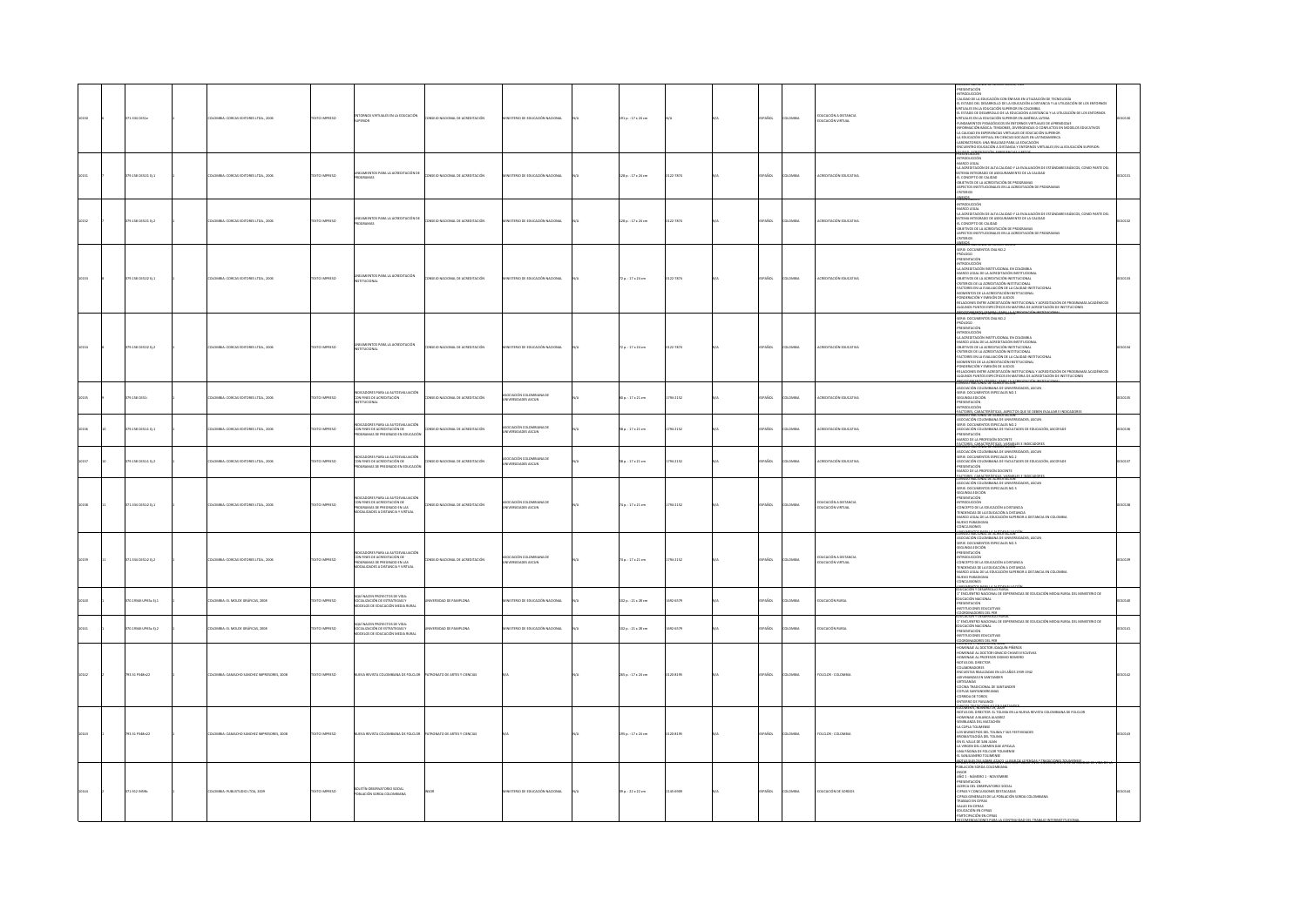|  | 71.334 CS51e            | OMBIA: CORCAS EDITORES LTDA., 2006      | EXTO IMPRESO         | INGS VIRTUALES EN LA EDUCACIÓN                                                                                                              | ONSEIO NACIONAL DE ACREDITACIÓN        | STERIO DE EDUCACIÓN NACIONAL                    | 191 p.: 17 x 24 cm       |           | SPAÑOL      | LOMBA          | EDUCACIÓN A DISTANCIA<br>EDUCACIÓN VIRTUAL | PRESENTACIÓN<br>«INTRODUCCIÓN<br>CALIDAD DE LA EDUCACIÓN CON ÉNFASIS EN UTILIZACIÓN DE TECNOLOGÍA<br>-EL ESTADO DEL DESARROLLO DE LA EDUCACIÓN A DISTANCIA Y LA UTILIZACIÓN DE LOS ENTORNOS<br>VIRTUALES EN LA EDUCACIÓN SUPERIOR EN COLOMBIA<br>-<br>- EL ESTADO DE DESARROLLO DE LA EDUCACIÓN A DISTANCIA Y LA UTILIZACIÓN DE LOS ENTORNOS<br>VIRTUALES EN LA EDUCACIÓN SUPERIOR EN AMÉRICA LATINA<br>-FUNDAMENTOS PEDAGÓGICOS EN ENTORNOS VIRTUALES DE APRENDIZAJE<br>-FURDINGITIGS YNDIAGOGIOUS DY INTOINING YN IN OLAIS AN AMENIADAIR DY CHRONICHION INDIANA CHRONICAL COMPANY (CHRONICAL CHRONICAL CHRONICAL CHRONICAL CHRONICAL CHRONICAL CHRONICAL CHRONICAL CHRONICAL CHRONICAL CHRONICAL CHRO<br><b>ERNIACOR</b> |  |
|--|-------------------------|-----------------------------------------|----------------------|---------------------------------------------------------------------------------------------------------------------------------------------|----------------------------------------|-------------------------------------------------|--------------------------|-----------|-------------|----------------|--------------------------------------------|----------------------------------------------------------------------------------------------------------------------------------------------------------------------------------------------------------------------------------------------------------------------------------------------------------------------------------------------------------------------------------------------------------------------------------------------------------------------------------------------------------------------------------------------------------------------------------------------------------------------------------------------------------------------------------------------------------------------------|--|
|  | 179.158 C65111 Ej.1     | LOMBIA: CORCAS EDITORES LTDA., 2006     | DZERNI OTXIT         | LINEAMIENTOS PARA LA ACREDITACIÓN DE<br>PROGRAMAS                                                                                           | CONSEIO NACIONAL DE ACREDITACIÓN       | STERIO DE EDUCACIÓN NACIONAL                    | 128 p.: 17 x 24 cm       | 0122-7874 | PAÑOL       | LOMBIA         | ACREDITACIÓN EDUCATIVA                     | <b>INTRODUCCIÓN</b><br>MARCO LEGAL<br>-LA ACREDITACIÓN DE ALTA CALIDAD Y LA EVALUACIÓN DE ESTÁNDARES BÁSICOS, COMO PARTE DEL<br>SISTEMA INTEGRADO DE ASEGURAMENTO DE LA CALIDAD<br>-EL CONCEPTO DE CALIDAD<br>-<br>- OBJETIVOS DE LA ACREDITACIÓN DE PROGRAMAS<br>- ASPECTOS INSTITUCIONALES EN LA ACREDITACIÓN DE PROGRAMAS<br>- CRITERIOS<br>ANTICS                                                                                                                                                                                                                                                                                                                                                                      |  |
|  | 179.158 C65111 EL2      | LOMBIA: CORCAS EDITORES LTDA., 2006     | OZERNI OTX           | TOS PARA LA ACREDITACIÓN DE<br>70000                                                                                                        | CONSEJO NACIONAL DE ACREDITACIÓN       | <b>TERIO DE EDISCACIÓN NACIONAL</b>             | 128 p.: 17 x 24 cm       | 122-7874  | PAÑOL       | <b>OMBA</b>    | <b>ACREDITACIÓN FOLICATIVA</b>             | FRAMININAIRE<br>-INTRODUCCIÓN<br>-MARCO LEGAL<br>-LA ALRESTIALIUN DE AL IA CALINAD T LA EVALUADON DE<br>SISTEMA INTEGRADO DE ASEGURAMIENTO DE LA CALIDAD<br>-EL CONCEPTO DE CALIDAD<br>-OBJETIVOS DE LA ACREDITACIÓN DE PROGRAMAS<br>-<br>ASPECTOS INSTITUCIONALES EN LA ACREDITACIÓN DE PROGRAMAS<br>-CRITERIOS<br>ANDUDS                                                                                                                                                                                                                                                                                                                                                                                                 |  |
|  | 19.158 C65112 Ej.1      | VISIA: CORCAS EDITORES LTDA., 2006      | <b>DIMPRESO</b>      | EAMENTOS PARA LA ACREDITACIÓN<br>TITUCIONAL                                                                                                 | O NACIONAL DE ACREDITACIÓN             |                                                 | 2p.: 17 x 24 cm          |           |             | us.            |                                            | -<br>-FONDERACIÓN Y EMISIÓN DE JUICIOS<br>-RELACIONES ENTRE ACREDITACIÓN INSTITUCIONAL Y ACREDITACIÓN DE PROGRAMAS ACADÉMICOS<br>LGUNOS PUNTOS ESPECÍFICOS EN MATERIA DE ACREDITACIÓN DE INSTITUCIONES                                                                                                                                                                                                                                                                                                                                                                                                                                                                                                                     |  |
|  | 379.158 06510 012       | OMBIA: CORCAS EDITORES LTDA., 2006      | OZSRRNI OTXT         | INEAMIENTOS PARA LA ACREDITACIÓN<br>NSTITUCIONAL                                                                                            | SEIO NACIONAL DE ACREDITACIÓN          | TERIO DE EDUCACIÓN NACIONAL                     | $72a. : 17 \times 24$ cm | 122-7874  | SPAÑOL      | LOMBIA         | ACREDITACIÓN EDUCATIVA                     | -MOMENTOS DE LA ACREDITACIÓN INSTITUCIONAL<br>-PONDERACIÓN Y EMISIÓN DE JULCIOS<br>RELACIONES ENTRE ACREDITACIÓN INSTITUCIONAL Y ACREDITACIÓN DE PROGRAMAS ACADÉMICOS<br>ALGUNOS PUNTOS ESPECÍFICOS EN MATERIA DE ACREDITACIÓN DE INSTITUCIONES                                                                                                                                                                                                                                                                                                                                                                                                                                                                            |  |
|  | 79.158 C651             | MBIA: CORCAS EDITORES LTDA., 2006       | XTO IMPRESO          | INDICADORES PARA LA AUTOEVALUACIÓN<br>CON FINES DE ACREDITACIÓN<br>INSTITUCIONAL                                                            | <b>SEIO NACIONAL DE ACREDITACIÓN</b>   | CIACIÓN COLOMBIANA DE<br>VERSIDADES ASCUN       | $0p.:17\times21$ cm      | 94-2152   | io.         | <b>MEN</b>     |                                            | REDEMARKADE REABHALLAN<br><b>IDADES, ASCUN</b><br>NAMEN' MALUMAL DE MUSEUITACION<br>- SERIE: DOCUMENTOS ESPECIALES NO.1<br>- SERIE: DOCUMENTOS ESPECIALES NO.1<br>- PRESENTACIÓN<br>- REFERENCION<br>- REFERENCE CHRACTER(STICAL, APPERTOR)<br>FACTORES, CARACTERÍSTICAS, ASPECTOS QU                                                                                                                                                                                                                                                                                                                                                                                                                                      |  |
|  | .<br>79.158 C65111 Ej.1 | .<br>CMMIA: CORCAS EDITORES LTDA., 2006 | XTO IMPRESO          | INDICADORES PARA LA AUTOEVALUACIÓN<br>CON FINES DE ACREDITACIÓN DE<br>PROGRAMAS DE PREGRADO EN EDUCACIÓN                                    | SEJO NACIONAL DE ACREDITACIÓN          | JACIÓN COLOMBIANA DE<br>ERSIDADES ASCUN         | il p. : 17 x 21 cm       | 794-2152  | AÑOL        | .<br>DMBIA     | CREDITACIÓN EDUCATIVA                      | -<br>- ASOCIACIÓN COLOMBIANA DE UNIVERSIDADES, ASCUN<br>- SERIE: DOCUMENTOS ESPECIALES NO.2<br>- ASOCIACIÓN COLOMBIANA DE FACULTADES DE EDUCACIÓN, ASCOFADE<br>ASOCIACIÓN COLOMBIANA DE FACUL<br>PRESENTACIÓN<br>MARCO DE LA PROFESIÓN DOCENTE<br>ACTORES, CARACTERÍSTICAS, VARIABL<br>ONSEIG NACIONAL DE ACREDITACIÓN                                                                                                                                                                                                                                                                                                                                                                                                     |  |
|  | 19.158 C65111 Ej.2      | OMBIA: CORCAS EDITORES LTDA., 2006      | XTO IMPRESO          | INDICADORES PARA LA AUTOEVALUACIÓN<br>CON FINES DE ACREDITACIÓN DE<br>PROGRAMAS DE PREGRADO EN EDUCACIÓN                                    | SEJO NACIONAL DE ACREDITACIÓN          | )<br>CIACIÓN COLOMBIANA D<br>IVERSIDADES ASCUN  | 8 p. : 17 x 21 cm        | 34-2152   | AÑOL        | ovax           | REDITACIÓN EDUCATIVA                       | CONSIDE VACOUR L'EXPRESSIONALES, ASCAN<br>ASOCIACIÓN COLOMBIANA DE UNIVERSIDADES, ASCAN<br>ASOCIACIÓN COLOMBIANA DE UNIVERSIDADES, ASCAN<br>PRESENTACIÓN COLOMBIANA DE FACULTADES DE EDUCACIÓN, ASCOFADE<br>PRESENTACIÓN<br>ASANCO DE LA PROF                                                                                                                                                                                                                                                                                                                                                                                                                                                                              |  |
|  | 371.334 05512 011       | LOMBIA: CORCAS EDITORES LTDA., 2006     | TEXTO IMPRESO        | DICADORES PARA LA AUTOEVALUACIÓN<br>CON FINES DE ACREDITACIÓN DE<br>PROGRAMAS DE PREGRADO EN LAS<br>MODALIDADES A DISTANCIA Y VIRTUAL       | <b>SEIO NACIONAL DE ACREDITACIÓN</b>   | OCIACIÓN COLOMBIANA DE<br>IVERSIDADES ASCUN     | 74 p. : 17 x 21 cm       | 794-2152  | SPAÑOL      | <b>COMBIA</b>  | EDUCACIÓN A DISTANCIA<br>EDUCACIÓN VIRTUAL | LOINSEU NAULINAL DE ALREDITALIUN<br>ASOCIACIÓN COLOMBIANA DE UNIVERSIDADES, ASCUN<br>-SERIE: DOCUMENTOS ESPECIALES NO.3<br>-SEGUNDA EDICIÓN<br>PRESENTACIÓN<br>INTRODUCCIÓN<br>CONCEPTO DE LA EDUCACIÓN A DISTANCIA<br>TO THE REAL CONSUMERS AN INTERNATIONAL STATE OF COLOMBIA<br>TRIVICENCIAS DE LA EDUCACIÓN SUPERIOR A DISTANCIA EN COLOMBIA<br>-NUEVO PARADIGMA<br><b>CONCLUSIONES</b>                                                                                                                                                                                                                                                                                                                                |  |
|  | 171.334 C6512 EL2       | DLOMBIA: CORCAS EDITORES LTDA., 2006    | TEXTO IMPRESO        | <b>CORES PARA LA AUTOEVALUACIÓN</b><br>CON FINES DE ACREDITACIÓN DE<br>PROGRAMAS DE PREGRADO EN LAS<br>.<br>Militares a restancia v vietual | <b>DISEIO NACIONAL DE ACREDITACIÓN</b> | <b>CALLON COLOMBIANA DE</b><br>VERSIDADES ASCUN | 74a. : 17x21cm           | 794-2152  | SPAÑOL      | <b>AIRMOJO</b> | EDUCACIÓN A DISTANCIA<br>EDUCACIÓN VIRTUAL | CONCLUSIONS<br>CONSULTING AND CONSULTING AND ASSOCIATION<br>ASSOCIATION COLOMINAN DE UNIVERSIDADES, ASCUN<br>SERIE DOCUMENTOS ESPECIALES NO.3<br>SERIENTACIÓN<br>SERIENTACIÓN<br>SERIENTACIÓN<br>SERIENTACIÓN<br>-INTRUDUCTUR<br>- CONCEPTO DE LA EDUCACIÓN A DISTANCIA<br>- TENDENCIAS DE LA EDUCACIÓN A DISTANCIA<br>-MARCO LEGAL DE LA EDUCACIÓN SUPERIOR A DISTANCIA EN COLOMBIA<br>NUEVO PARADIGMA<br><b>CLUSIONES</b><br>INFAMENTOS PARA LA AUTORVALL<br>DUCACIÓN Y DESARROLLO RURAL                                                                                                                                                                                                                                 |  |
|  | 70.19346 UP65a Ej.1     | LOMBIA: EL MOLDE GRÁFICAS, 2008         | DZERRAI OTX31        | QUÍ NACEN PROYECTOS DE VIDA:<br>SOCIALIZACIÓN DE ESTRATEGIAS Y<br>MODELOS DE EDUCACIÓN MEDIA RURAL                                          | ERSIDAD DE PAMPLONA                    | STERIO DE EDUCACIÓN NACIONAL                    | 102 p.: 21 x 28 cm       | 032-6579  | <b>AÑOL</b> | <b>OMBIA</b>   | EDUCACIÓN RURAL                            | 1" ENCUENTRO NACIONAL DE EXPERIENCIAS DE EDUCACIÓN MEDIA RURAL DEL MINISTERIO DE<br>CACIÓN NACIONAL<br><b><i>PRESENTACIÓN</i></b><br>INSTITUCIONES EDUCATIVAS<br>COORDINADORES DEL PER<br>EDUCACIÓN Y DESARROLLO RURAL                                                                                                                                                                                                                                                                                                                                                                                                                                                                                                     |  |
|  | 70.19346 UP65a EL2      | LOMBIA: EL MOLDE GRÁFICAS, 2008         | OZERNI OTX           | QUÍ NACEN PROYECTOS DE VIDA:<br>SOCIALIZACIÓN DE ESTRATEGIAS Y<br>ODELOS DE EDUCACIÓN MEDIA RURAL                                           | <b>RSIDAD DE PAMPLONA</b>              | JAKODAN KÖLNZUCH 30 ORTH                        | 102 p.: 21 x 28 cm       | 0324579   | PAÑOL       | <b>OMBA</b>    | <b>EDUCACIÓN RURAL</b>                     | " ENCUENTRO NACIONAL DE EXPERIENCIAS DE EDUCACIÓN MEDIA RURAL DEL MINISTERIO DE<br>UCACIÓN NACIONAL<br>PRESENTACIÓN<br><b>ISTITUCIONES EDUCATIVAS</b>                                                                                                                                                                                                                                                                                                                                                                                                                                                                                                                                                                      |  |
|  | 33.31 P348n22           | MILA: CAMACHO SANCHEZ IMPRESORES, 2008  | <b>IMPRESO</b>       | STA COLOMBIANA DE FOLCLO                                                                                                                    | O DE ARTES Y CIENCIA                   |                                                 | 165 p. : 17 x 24 cm      | 04195     |             |                | <b>DLCLOR - COLOMI</b>                     | CONSINADORES DEL PER<br>VICONIER 7, ROMERO 29, 2008<br>HOMENAIE AL DOCTOR JOAQUÍN PIÑEROS<br>HOMENAIE AL DOCTOR IGNACIO CHAVES ESCUEVAS<br>HOMESTAN AL DOCTOR ISRAEL ON MAYS ESCURA<br>AL MARINE AL PROFESOR DIGINAL DIGINAL CONTRACTOR COMMISSION CONTRACTOR<br>CON MARINE AL PROFESOR EN LOS AÑOS 3393-3942<br>ARTISANIAS<br>ARTISANIAS<br>COMAS ARATADORAS DE SANTANDER<br>COMAS ARATADO                                                                                                                                                                                                                                                                                                                                |  |
|  | 93.31 P348n22           | OMBIA: CAMACHO SANCHEZ IMPRESORES, 2008 | <b>DESIRAIO DTX:</b> | EVA REVISTA COLOMBIANA DE FOLCLOR                                                                                                           | PATRONATO DE ARTES Y CIENCIAS          |                                                 | 195 p. : 17 x 24 cm      | 120-8195  | AÑOL        | <b>OMBIA</b>   | FOLCLOR - COLOMBIA                         | <b>1946-78-RIGHTS-19-20</b><br>NOTAS DEL DIRECTOR, EL TOUMA EN LA NUEVA REVISTA COLOMBIANA DE FOLCLOR<br>-HOMENAIE A BLANCA ALVAREZ<br>-SEMBLANZA DEL MATACHÍN<br>STANDARIZA DEL MATACHIN<br>1. A COPLA TOLIMENSE<br>1. AS COPLA TOLIMENSE<br>1. AS MUNICIPOS DEL TOLIMA Y SUS FESTIVIDADES<br>1.<br>4. NAVISCIN DE SAN JUAN<br>1. AN INGENI DEL CARMEN DEL ANTI-LUI AU PÁGINA<br>1. AN INGENIO DE LO COMMENCE<br>2. NAV<br>0285 5182 785 50886 87600 J                                                                                                                                                                                                                                                                    |  |
|  | 171.912 INS9b           | LOMBIA: PUBLISTUDIO LTDA, 2009          | DZERNI OTXIT         | BOLETÍN OBSERVATORIO SOCIAL<br>POBLACIÓN SORDA COLOMBIANA                                                                                   |                                        | STERIO DE EDUCACIÓN NACIONAL                    | 39 p.: 22 x 22 cm        | 145-6509  | PAÑOL       | <b>OMBA</b>    | EDUCACIÓN DE SORDOS                        | POBLACIÓN SORDA COLOMBIANA<br>PASOR<br>-BASOR<br>-BASOR<br>-PRESENTACIÓN<br>-BCERCA DEL OBSERVATORIO SOCIAL<br>CIFRAS Y CONCLUSIONES DESTACADAS<br>CIFRAS GENERALES DE LA POBLACIÓN SORDA COLOMBIANA<br>-TRABAJO EN CIFRAS<br>-SALUD EN CIFRAS<br>EDUCACIÓN EN CIFRAS<br>-PARTICIPACIÓN EN CIFRAS<br>CASTMO ACSONTS 1                                                                                                                                                                                                                                                                                                                                                                                                      |  |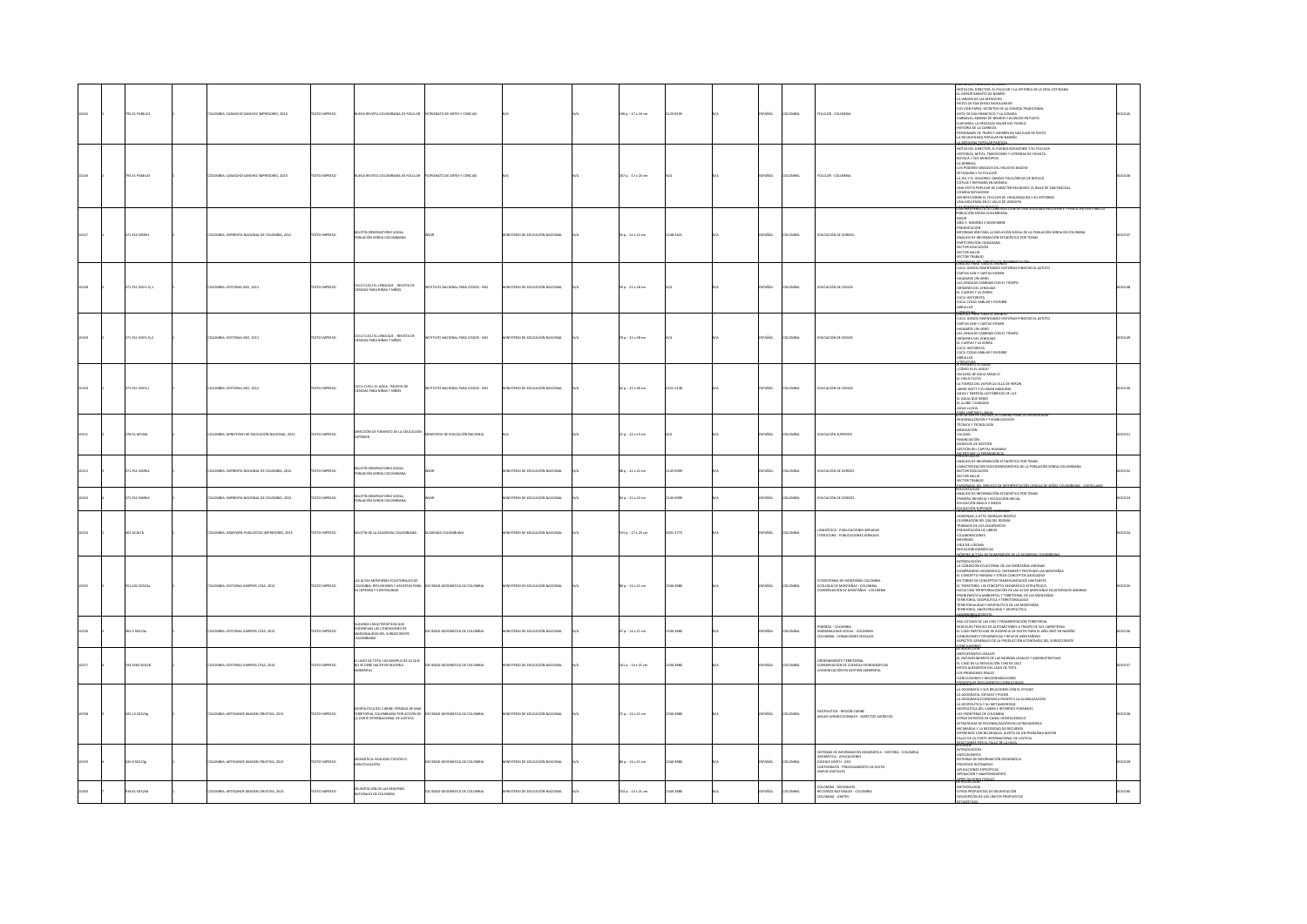| 1.11 P348n23        | MBIA: CAMACHO SANCHEZ IMPRESORES, 2010          | O IMPRESO           |                                                                                                                   | <b>RONATO DE ARTES Y CIENCIAS</b> |                                  | 6 p. : 17 x 24 cm         | 20-8195  | <b>AROL</b>  |               | <b>DLCLOR - COLOMB</b>                                                                                                                                            | VOLUMEN 3, NUMERO 13, AUGU<br>AIOTAS DEL DRECTOR, EL FOLCLOR Y LA HISTORIA DE LA VIDA COTIDIANA<br>41. DEPARTAMENTO DE NARIÑO<br>4N STA DE SAN DIEGO MUELLAMUES<br>FIESTA DE SAN DIEGO MUELLAMUES<br>-FIESTA DE SAN UNEGO MUELLIAMUS<br>- CAT CON PAPAS, SECRETOS DE LA COMIDA TRADICIONAL<br>- ANTO DE SAN FIRANCISCO Y LA COMIDA<br>- CARRAVIAL ANONO DE NEGROS Y BLANCOS EN PASTO<br>- LA RENGONA, LA DESCALZA MUERI DEL PUEBLO<br>- HISTORIA D                                                                                                                                      |  |
|---------------------|-------------------------------------------------|---------------------|-------------------------------------------------------------------------------------------------------------------|-----------------------------------|----------------------------------|---------------------------|----------|--------------|---------------|-------------------------------------------------------------------------------------------------------------------------------------------------------------------|-----------------------------------------------------------------------------------------------------------------------------------------------------------------------------------------------------------------------------------------------------------------------------------------------------------------------------------------------------------------------------------------------------------------------------------------------------------------------------------------------------------------------------------------------------------------------------------------|--|
| 733.31 P348n23      | DMBIA: CAMACHO SANCHEZ IMPRESORES, 2010         | TO IMPRESO          | A REVISTA COLOMBIANA DE EDUCIOR                                                                                   | RONATO DE ARTES Y CIENCIAS        |                                  | 167 p.: 17 x 24 cm        |          | AÑOL         | <b>AIRMOJ</b> | FOLCLOR - COLOMB                                                                                                                                                  | NOTAS DEL DIRECTOR, EL PUEBLO BOYACENSE Y SU FOLCLOR<br>HISTORIAS, MITOS, TRADICIONES Y LEYENDAS DE CHIVATA<br><b>BOYACÁ Y SUS MUNICIPIOS</b><br>-LA BORRAJA<br>-LOS PODERES MÁGICOS DEL HELECHO MACHO<br>ZETAQUIRA Y SU FOLCLOR<br>-GEINGUIRA T SU FULLUR.<br>-LA JEA TEL JOUGORIO: DANZAS FOLCLÓRICAS DE BOYACÁ.<br>-COPLAS Y REFRANES EN MONGUI<br>-<br>COMIDA BOYACENSE<br>-APUNTES SOBRE EL FOLCLOR DE CHIQUINQUIRA Y SU ENTORNO<br>UNA MOLIENDA EN EL VALLE DE LENGUPA                                                                                                            |  |
| 1.912 (N59b1        | MBIA: IMPRENTA NACIONAL DE COLOMBIA, 2011       | <b>CERRINI OTX</b>  | IOLETÍN OBSERVATORIO SOCIAL<br>POBLACIÓN SORDA COLOMBIANA                                                         |                                   | STERIO DE EDUCACIÓN NACIONAL     | 55 p.: 22 x 22 cm         | 148-5821 | AÑOL         |               | DUCACIÓN DE SORDO                                                                                                                                                 | CONTROLOGY AND COLOMBIANA<br>-insor<br>-año 2- número 2 noviembre<br>-presentación<br>-INFORMACIÓN PARA LA INCLUSIÓN SOCIAL DE LA POBLACIÓN SORIA EN COLOMBIA<br>-AMÁLISE DE INFORMACIÓN ESTADÍSTICA POR TEMAS<br>-PARTICIPACIÓN CIUDADANA<br>SECTOR EDUCACIÓN<br>-SECTOR SALUD<br>-SECTOR TRABAIO                                                                                                                                                                                                                                                                                      |  |
| 1.911 IN37c tj.1    | DMBIA: EDITORIAL INCI, 2011                     | TO IMPRESO          | LÍ CUCLÍ EL LENGUAJE : REVISTA DE<br>ICIAS PARA NIÑAS Y NIÑOS                                                     | TUTO NACIONAL PARA CIEGOS - INCI  | TERIO DE EDUCACIÓN NACIONAL      | p.: 22 x 28 cm            |          | AÑOL         |               | <b>UCACIÓN DE CIEGOS</b>                                                                                                                                          | SECON TRANSIC CONTROL DESIGNATION CONTROL CONTROL CONTROL CONTROL CONTROL CONTROL CONTROL CONTROL CONTROL CONTROL CONTROL CONTROL CONTROL CONTROL CONTROL CONTROL CONTROL CONTROL CONTROL CONTROL CONTROL CONTROL CONTROL CON<br><b>CONTRACT WALL TO POST BEING</b>                                                                                                                                                                                                                                                                                                                     |  |
| $71.911$ IN37c Ej.2 | LOMBIA: EDITORIAL INCI, 2011                    | EXTO IMPRESO        | CUCLÍ CUCLÍ EL LENGUAJE : REVISTA DE<br>CIENCIAS PARA NIÑAS Y NIÑOS                                               | TUTO NACIONAL PARA CIEGOS - INCI  | AMOUNT REQUIRED IN STREET        | s9 p. : 22 x 28 cm        |          | AÑOL         |               | DUCACIÓN DE CI                                                                                                                                                    | <b>HOMOR WAN TOO IS INVESTIGATION AND A STATISTICS INVESTIGATION OF A STATISTIC CANNOT AND A STATISTIC CONTINUOUS PROCESS IN A STATISTIC CONTINUOUS CONTINUOUS CONTINUOUS CONTINUOUS CONTINUOUS CONTINUOUS CONTINUOUS CONTINUOUS</b><br><b>STRATURA</b>                                                                                                                                                                                                                                                                                                                                 |  |
| 1.911 IN37c1        | MILA: EDITORIAL INCI, 2012                      | TO IMPRESO          | .<br>Cucli cucli, el agua : revista de<br>Cifronas para niñas y miños                                             | TUTO NACIONAL PARA CIEGOS - INCI  | TERIO DE EDUCACIÓN NACIONAL      | 2 p. : 22 x 28 cm         | 21-3148  | vios.        |               | UCACIÓN DE CIEGO                                                                                                                                                  | $\begin{array}{l} \textbf{H}^2 \textbf{W} \textbf{R} \textbf{M} \textbf{M} \textbf{R} \textbf{B} \textbf{B} \textbf{R} \textbf{B} \textbf{M} \textbf{M} \textbf{N} \textbf{N} \\ \textbf{Q} \textbf{C} \textbf{M} \textbf{D} \textbf{S} \textbf{I} \textbf{A} \textbf{B} \textbf{M} \textbf{A} \textbf{M} \textbf{A} \textbf{C} \textbf{D} \\ \textbf{Q} \textbf{M} \textbf{W} \textbf{M} \textbf{D} \textbf{B} \textbf{A$<br>1494/14948-1440                                                                                                                                           |  |
| DAC2M 10.85         | DLOMBIA: MINISTERIO DE EDUCACIÓN NACIONAL, 2012 | OZSRRNI OTXT        | DIRECCIÓN DE FOMENTO DE LA EDUCACIÓN                                                                              | INSTERIO DE EDUCACIÓN NACIONAL    |                                  | $2a. : 22 \times 15$ cm   |          | <b>PAROL</b> | LOMBIA        | DUCACIÓN SUPERIOR                                                                                                                                                 | ADOCALISM DE CALIFIC, LE CARRIER<br>-REGIONALIZACIÓN Y FLEXIBLIZACIÓN<br>-RINGVACIÓN<br>-INNOVACION<br>-CALIDAD<br>-FINANCIACIÓN<br>-MODELOS DE GESTIÓN<br>ESTIÓN DEL CAPITAL HUMANO<br>PRESENTACIÓN                                                                                                                                                                                                                                                                                                                                                                                    |  |
| 1.912 INS9b3        | OMBIA: IMPRENTA NACIONAL DE COLOMBIA, 2012      | TO IMPRESO          | OLETÍN OBSERVATORIO SOCIAL<br>DBLACIÓN SORDA COLOMBIANA                                                           |                                   | STERIO DE EDUCACIÓN NACIONAL     | 8 p.: 22 x 22 cm          | 15-6509  | AÑOL         |               | DUCACIÓN DE SORDOS                                                                                                                                                | PRESENTACIÓN<br>- AMÁLTES DE INFORMACIÓN ESTACÍSTICA POR TEMAS<br>- CAMACTESIZACIÓN SOCIOEMOGRÁFICA DE LA POBLACIÓN SORDA COLOMBIANA<br>- SECTOR ERAUG<br>- SECTOR TRABAJO<br>- SECTOR TRABAJO                                                                                                                                                                                                                                                                                                                                                                                          |  |
| 19121N5963          | OMBIA: IMPRENTA NACIONAL DE COLOMBIA, 2012      | TO IMPRESO          | ALDOZ QURDTANRERD IT<br>DELACIÓN SORDA COLOMBIANA                                                                 |                                   | STERIO DE EDUCACIÓN NACIONAL     | 1p.: 22 x 22 cm           | 15-6509  | AÑOL         | MBA           | DUCACIÓN DE SORDOS                                                                                                                                                | PANCISAMA DEL S<br>PRESENTACIÓN<br>ANÁLISIS DE INFORMACIÓN ESTADÍSTICA POR TEMAS<br>-PRIMERA INFANCIA Y EDUCACIÓN INICIAL<br>-EDUCACIÓN BÁSICA Y MEDIA<br><b>DUCACIÓN SUPERIOR</b><br>DIMENSIÓN ELECTROLIC CARRA                                                                                                                                                                                                                                                                                                                                                                        |  |
| 33 AC167b           | OMBIA: GRAFIWEB PUBLICISTAS IMPRESORES, 2013    | <b>CERRINI OTX</b>  | OLETÍN DE LA ACADEMIA COLOMBIANA                                                                                  | CADEMIA COLOMBIANA                | NSTERIO DE EDUCACIÓN NACIONAL    | $191a. : 17 \times 23$ cm | 01-1771  | PAÑOL        | owaw          | INGÜÍSTICA - PUBLICACIONES SERIADAS<br>ITERATURA - PUBLICACIONES SERIADAS                                                                                         | HOMENAIE A OTTO MORALES BENITEZ<br>CELEBRACIÓN DEL DÍA DEL IDIOMA<br>TRABAJOS DE LOS ACADÉMICOS<br>PRESENTACIÓN DE LIBROS<br><b>COLABORACIONES</b><br><b>INFORMES</b><br>-<br>NDA DEL IDIOMA<br>NOTAS BIBLIOGRÁFICAS                                                                                                                                                                                                                                                                                                                                                                    |  |
| 51.432 56523a       | LOMBIA: EDITORIAL KIMPRES LTDA, 2013            | XTO IMPRESO         | <b>LAS ALTAS MONTAÑAS ECUATORIALES DE</b><br>COLOMBIA: REFLEXIONES Y APUESTAS PARA<br>DEFENSA Y CONTINUIDAD       | COCEDAD GEOGRÁFICA DE COLOMBIA    | INSTERIO DE EDUCACIÓN NACIONAL   | 00 p.: 14 x 21 cm         | 46-3880  | AÑOL         | MBA           | COSISTEMAS DE MONTAÑAS COLOMBIA<br>ECOLOGÍA DE MONTAÑAS - COLOMBIA<br>ONSERVACIÓN DE MONTAÑAS - COLOMBIA                                                          | <b>MANA ACTUAL OF</b><br>WIRDUCEDN<br>A CONDICIÓN ECUATORIAL DE LAS MONTAÑAS ANDINAS<br>COMPROMISO GEOGRÁFICO: DEFENDER Y PROTEGER LAS MONTAÑAS<br>EL CONCEPTO PÁRAMO Y OTROS CONCEPTOS ASOCIADOS<br>EN TORNO DE CONCEPTOS TRANSPLANTADOS LIMITANTES<br>EL TERRITORIO, UN CONCEPTO GEOGRÁFICO ESTRATÉGICO<br>HACIA UNA TERRITORIALIZACIÓN DE LAS ALTAS MONTAÑAS ECUATORIALES ANDINAS<br>-PROBLEMÁTICA AMBIENTAL Y TERRITORIAL DE LAS MONTAÑAS<br>-TERRITORIO, GEOPOLÍTICA Y TERRITORIALIDAD<br>TERRITORIALIDAD Y GEOPOLÍTICA DE LAS MONTAÑAS<br>TERRITORIO, ANCESTRALIDAD Y GEOPOLÍTICA |  |
| 12.5 50523a         | OMBIA: EDITORIAL KIMPRES LTDA, 2013             | OZSRRNI OTX         | LGUNAS CARACTERÍSTICAS QUE<br>EVIDENCIAN LAS CONDICIONES DE<br>MARGINALIDAD DEL SUROCCIDENTE<br>OMBIANO           | OCEDAD GEOGRÁFICA DE COLOMBIA     | ISTERIO DE EDUCACIÓN NACIONAL    | 7p.:14×21cm               | 0881-091 | AÑOL         | MAGIA         | OBREZA - COLOMBIA<br>AARGINALIDAD SOCIAL - COLOMBIA<br>OLOMBIA - CONDICIONES SOCIALES                                                                             | <b>ENTREND CORATA</b><br>-MAL ESTADO DE LAS VÍAS Y FRAGMENTACIÓN TERRITORIAL<br>reducido tráfico de automotores a través de sus carreteras<br>El caso particular de ausencia de datos para el año 2007 en Nariño<br>CONDICIONES TOPOGRÁFICAS Y RELIEVE MONTAÑOSO<br>ASPECTOS GENERALES DE LA PRODUCCIÓN ECONÓMICA DEL SUROCCIDENTE                                                                                                                                                                                                                                                      |  |
| 1220223-012         | DLOMBIA: EDITORIAL KIMPRES LTDA. 2013           | <b>EXTO IMPRESO</b> | LAGO DE TOTA: UN EJEMPLO DE LO QUE<br>NO SE DEBE HACER EN MATERIA<br><b>SENTAL</b>                                | CCEDAD GEOGRÁFICA DE COLOMBIA     | INISTERIO DE EDUCACIÓN NACIONAL  | $161a:14 \times 21 cm$    | 146-1830 | PAÑOL        | <b>CMBIA</b>  | ROENAMIENTO TERRITORIAL<br>ONSERVACIÓN DE CUENCAS HIDROGRÁFICAS<br>OMUNICACIÓN EN GESTIÓN AMBIENTAL                                                               | ONCLUSIONES<br>TRODUCCION<br>ANTECEDENTES LEGALES<br>-EL INCUMPLIMIENTO DE LAS NORMAS LEGALES Y ADMINISTRATIVAS<br>-EL CASO DE LA RESOLUCIÓN 1786 DE 2012<br>MITOS ALREDEDOR DEL LAGO DE TOTA<br>LOS PROBLEMAS REALES<br>CONCLUSIONES Y RECOMENDACIONES<br><b>BOGEN IS DO LIMINOS CONSULTADO</b>                                                                                                                                                                                                                                                                                        |  |
| 00.12 56523e        | LOMBIA: ARTESANOS IMAGEN CREATIVA, 2013         | <b>XTO IMPRESO</b>  | GEOPOLÍTICA DEL CARIBE: PÉRDIDA DE MAR<br>TERRITORIAL COLOMBIANO POR ACCIÓN DE<br>CORTE INTERNACIONAL DE JUSTICIA | SOCIEDAD GEOGRÁFICA DE COLOMBIA   | MINISTERIO DE EDUCACIÓN NACIONAL | 10.14x21cm                | 146-1830 | PAÑOL        | LOMBIA        | GEOPOLÍTICA - REGIÓN CARIBE<br>AGUAS JURISDICCIONALES - ASPECTOS JURÍDICOS                                                                                        | -LA GEOGRAFÍA Y SUS RELACIONES CON EL ESTADO<br>LA GEOGRAFÍA, ESPACIO Y PODER<br>LA GEOGRAFÍA ECONÓMICA FRENTE A LA GLOBALIZACIÓN<br>LA GEOPOLÍTICA Y SU METAMORFOSIS<br>GEOPOLÍTICA DEL CARIBE E INTERESES FORÁNEOS<br>LAS FRONTERAS DE COLOMBIA<br>OTROS INTENTOS DE CANAL INTEROCEÁNICO<br>ESTRATEGIAS DE RECONOLIZACIÓN EN LATINOAMÉRICA<br>NICARAGUA Y LA NECESIDAD DE RECURSOS<br>TERENDO CON NICARAGUA, ALERTA DE UN PROBLEMA MAYOR<br>ALLO DE LA CORTE INTERNACIONAL DE JUSTICIA<br><b>BAGGION</b>                                                                              |  |
| 26.8505234          | LOMBIA: ARTESANOS IMAGEN CREATIVA, 2013         | OZSRRNI OTX3        | GEOMÁTICA: REALIDAD FICCIÓN O<br><b>KÓLNSTEITUDU</b>                                                              | OCEDAD GEOGRÁFICA DE COLOMBIA     | MINISTERIO DE EDUCACIÓN NACIONAL | 0a:14x21cm                | 146-1830 | AÑOL         | <b>AIGMO</b>  | STEMAS DE INFORMACIÓN GEOGRÁFICA - HISTORIA - COLOMBIA<br>EDMÁTICA - APLICACIONES<br>OZU - HTRA3 3.0000<br>ARTOGRAFÍA - PROCESAMIENTO DE DATOS<br>AAPAS DIGITALES | -INTRODUCCIÓN<br>ANTECEDENTES<br>SISTEMAS DE INFORMACIÓN GEOGRÁFICA<br>PROCESOS RUTINARIOS<br>APLICACIONES ESPECÍFICAS<br><b>DPERACIÓN Y MANTENIMIENTO</b>                                                                                                                                                                                                                                                                                                                                                                                                                              |  |
| 8.61 50523d         | OMBIA: ARTESANOS IMAGEN CREATIVA, 2013          | O IMPRESO           | MITACIÓN DE LAS REGIONES<br>RALES                                                                                 | CEDAD GEOGRÁFICA DE COLOMBIA      | ISTERIO DE EDUCACIÓN NACIONAL    | 13 p.: 14 x 21 cm         | 46-1880  | <b>AROL</b>  | Maia          | OLOMBIA - GEOGRAFÍA<br>ECURSOS NATURALES - COLOMBIA<br>OLOMBIA - LÍMITES                                                                                          | APRECIACIONES FINALES<br>INTRODUCLUM<br>ANETODOLOGÍA<br>-OTRAS PROPUESTAS DE DELIMITACIÓN<br>-OESCRIPCIÓN DE LOS LÍMITES PROPUESTOS                                                                                                                                                                                                                                                                                                                                                                                                                                                     |  |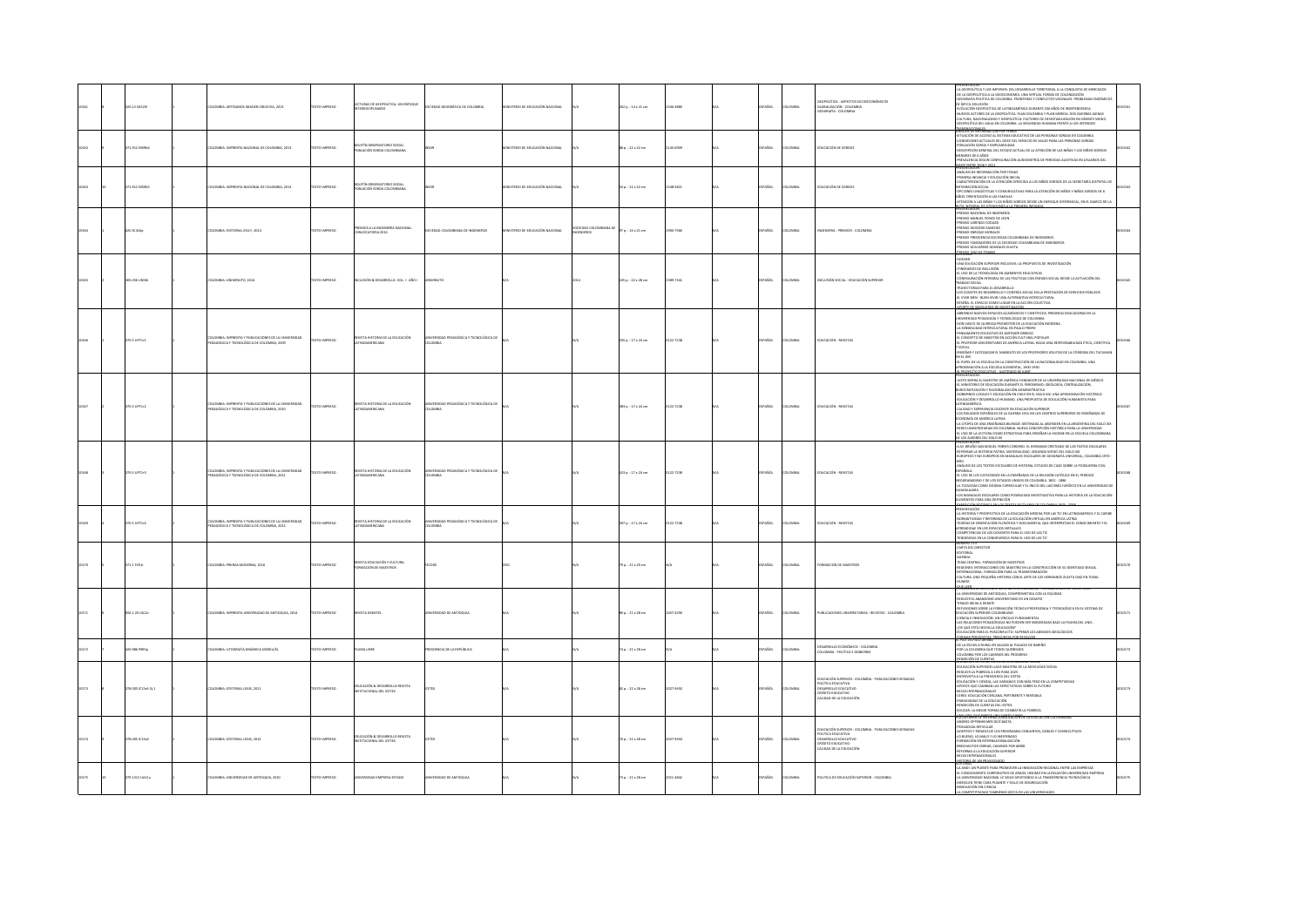|  | 20.12 50523        | LOMBIA: ARTESANOS IMAGEN CREATIVA, 2013                                                           | <b>OZSRRINI OTX3T</b> | CTURAS DE GEOPOLÍTICA: UN ENFOQUE<br><b>BOISORI</b>              | SOCIEDAD GEOGRÁFICA DE COLOMBIA                     | INISTERIO DE EDUCACIÓN NACIONAL |                       | $262a : 14 \times 21$ cm | 2346-3800      | <b>PAROL</b>  | <b>LOMBIA</b>  | <b>POROLÍTICA - ASPETOS SOCIOECONÓMICO</b><br>GLOBALIZACIÓN - COLOMBIA<br>AUDIOIR - COLOMBIA                                                                    | GEOPOLÍTICA Y LOS IMPERIOS: DEL DESARROLLO TERRITORIAL A LA CONQUISTA DE MERCADOS<br>OE LA GEOPOLÍTICA A LA GEOECONOMÍA, UNA VIRTUAL FORMA DE COLONIZACIÓN<br>OGRAFÍA POLÍTICA DE COLOMBIA. FRONTERAS Y CONFLICTOS VECINALES: PROBLEMAS ENDÉMICO<br>DIRETT SOLUCIÓN<br>UEVOS ACTORES DE LA GEOPOLÍTICA, PLAN COLOMBIA Y PLAN MERIDA: DOS GUERRAS AJENAS<br>LTURA, NACIONALISMO Y GEOPOLÍTICA: FACTORES DE DESESTABILIZACIÓN EN ORIENTE MEDIO<br>DPOLÍTICA DEL AGUA EN COLOMBIA: LA SEGURIDAD HUMANA FRENTE A LOS INTERESES<br><b>BANSNACIONALES</b><br>MANGUARD MANGE 2000 DE 1000 VIII 2000                                                                                                                                                                                                                                                                          |  |
|--|--------------------|---------------------------------------------------------------------------------------------------|-----------------------|------------------------------------------------------------------|-----------------------------------------------------|---------------------------------|-----------------------|--------------------------|----------------|---------------|----------------|-----------------------------------------------------------------------------------------------------------------------------------------------------------------|-----------------------------------------------------------------------------------------------------------------------------------------------------------------------------------------------------------------------------------------------------------------------------------------------------------------------------------------------------------------------------------------------------------------------------------------------------------------------------------------------------------------------------------------------------------------------------------------------------------------------------------------------------------------------------------------------------------------------------------------------------------------------------------------------------------------------------------------------------------------------|--|
|  | 1.912 (NS9b        | MBIA: IMPRENTA NACIONAL DE COLOMBIA, 2013                                                         |                       | BOLETÍN OBSERVATORIO SOCIAL<br>POBLACIÓN SORDA COLOMBIANA        |                                                     | TERIO DE EDUCACIÓN NACIONAL     |                       | 8 p.: 22 x 22 cm         |                | Řск.          |                | DUCACIÓN DE SORDOS                                                                                                                                              | 44LISS DE IMPOMANCION FOR TEMAS<br>CINACIÓN DE ACCESO AL SISTEMA EDUCATIVO DE LAS PERSONAS SORDAS EN COLOMBIA<br>ONDICIONES ACTUALES DEL GOCE DEL SERVICIO DE SALUD PARA LAS PERSONAS SORDAS<br>OSLADÓIÓN GENERAL DEL ESTADO ACTUAL DE<br>NORES DE 6 AÑOS<br>EVALENCIA SEGÚN CONFIGURACIÓN AUDIOMETRÍA DE PERDIDAS AUDITIVAS EN USUARIOS DEL<br>SOR ENTRE 2006 Y 2011<br>ESENTACIÓN                                                                                                                                                                                                                                                                                                                                                                                                                                                                                   |  |
|  | 71.912 INS955      | DLOMBIA: IMPRENTA NACIONAL DE COLOMBIA, 2013                                                      | <b>DZERRI OTXIT</b>   | JADO2 OUROTAVATORIO SOCIAL<br>DELACIÓN SORDA COLOMBIANA          |                                                     | ARCOUNT ROUGHAUDS 30 ORTHUM     |                       | 54 p. : 22 x 22 cm       | 248-5821       | PAÑOL         | LOMBIA         | EDUCACIÓN DE SORDOS                                                                                                                                             | SENTALIUN<br>IÁLISIS DE INFORMACIÓN POR TEMAS<br>IMERA INFANCIA Y EDUCACIÓN INICIAL<br>CARACTERIZACIÓN DE LA ATENCIÓN OFRECIDA A LOS NIÑOS SORDOS DE LA SECRETARÍA DISTRITAL DE<br>INTEGRACIÓN SOCIAL<br>OPCIONES LINGÜÍSTICAS Y COMUNICATIVAS PARA LA ATENCIÓN DE NIÑOS Y NIÑAS SORDOS DE 6<br>AÑOS: ORIENTACIÓN A LAS FAMILIAS<br>ius: Unien iaciun a las familias<br>Tención a las niñas y los niños sordos desde un enfoque diferencial, en el marco de la<br><b>VOLUSIAL DE ATENCIONES A LA DISABERA INFANC</b>                                                                                                                                                                                                                                                                                                                                                  |  |
|  | 20 sc416           | NOMBLE-FORDBILL KELLY 2014                                                                        | DZERNI OTYTE          | MIOS A LA INGENIERÍA NACIONAL:<br>MATCHERS 2014                  | CERNA COLOMBIANA DE INCENIEROS                      | NISTERIO DE EDUCACIÓN NACIONAL  | EDAD COLOME<br>ENEROS | $27n - 14 + 21$ cm.      | <b>NAT COD</b> | <b>COARCH</b> | <b>VOMBIA</b>  | <b>NOTINITELA</b> - PETRAIOS - COLOMBIA                                                                                                                         | PREMIO NACIONAL DE INGENIERÍA<br>-PREMIO MANUEL PONCE DE LEON<br>PREMIO LORENZO CODAZZ<br>PREMIO DIODORO SANCHEZ<br><b>JOENNA FMELOUR MORALES</b><br>EMIO PRESIDENCIA SOCIEDAD COLOMBIANA DE INGENIEROS<br>PREMIO FUNDADORES DE LA SOCIEDAD COLOMBIANA DE INGENIEROS<br>THE FILE 29 LADING COMPANY COMPT<br><b>DANGE</b>                                                                                                                                                                                                                                                                                                                                                                                                                                                                                                                                              |  |
|  | <b>COSTINARY</b>   | CMBLA-TINIMINITIO 2014                                                                            | DZER BRAND            | LORAL LOV OURBOUR & MORLEY                                       |                                                     |                                 |                       | $050:22 \times 28$ cm    | 189,750        | <b>PAROL</b>  | course         | <b>SCUTS WALLER LEDGED AND MOREON</b>                                                                                                                           | UNA EDUCACIÓN SUPERIOR INCLUSIVA: LA PROPUESTA DE INVESTIGACIÓN<br>UM NORONOM SIPERIOR INCLUSIVE DI FRUTOLITA DE INVESTIGACIÓN<br>TENERARIOS DE INCLUSIÓN<br>L'USO DE LA TECNOLOGÍA EN AMBIENTES EDUCATIVAS<br>CONFIGURACIÓN INTEGRAL DE LAS POLÍTICAS CON ÉNFASIS SOCIAL DESDE LA ACTUACIÓN DEL<br>CONFIDUANCIÓN INTEGRAL DE LAS POLÍTICAS CON ÉMPASS SOCIAL DESDE LA ACTUACIÓN DEL<br>XRANO XOCIAL PARA LE DESARROLLO Y CONTINUES DEL DEL ATA ESTATION DE SERVICIOS PÚBLICOS<br>LOS CONTES DE DESARROLLO Y CONTINUES DOCALE DEL APRIST                                                                                                                                                                                                                                                                                                                              |  |
|  | 0.5 UP71r1         | MBIA: IMPRENTA Y PUBLICACIONES DE LA UNIVERSIDAD<br>GÓGICA Y TECNOLÓGICA DE COLOMBIA, 2009        | <b>DZERNI OTX3</b>    | VSTA HISTORIA DE LA EDUCACIÓN                                    | RSIDAD PEDAGÓGICA Y TECNOLÓGICA DI<br><b>AIRMOJ</b> |                                 |                       | 135 p. : 17 x 24 cm      | 0122-7238      | SPAÑOL        | LOMBIA         | EDUCACIÓN - REVISTAS                                                                                                                                            | BRIENDO NUEVOS ESPACIOS ACADÉMICOS Y OENTÍFICOS: PRIMERAS EDUCADORAS EN LA<br>VERSIDAD PEDAGOGÍA Y TECNOLÓGICA DE COLOMBIA<br>ON VASCO DE QUIROGA PROMOTOR DE LA EDUCACIÓN INDÍGENA<br>A STASIBULDAD INTERCULTURAL EN PAULO EREIRI<br>INSAMENTO FOLICATIVO DE ANTENOS OSPECO<br>L'EDIRENTO LOGONTRO DE PRI L'INOR ORIGINAL<br>L'EDIRESTO DE MAESTRO EN ACCIÓN CULTURAL POPULAR<br>L'PROFESOR UNIVERSITARIO DE AMÉRICA LATINA: HACIA UNA RESPO<br>LIDAD ÉTICA, CIENTÍFICA<br>$\overline{\phantom{a}}$<br>NAURA.<br>RSEÑAR Y CATEQUIZAR EL MANDATO DE LOS PROFESORES JESUITAS DE LA CÓRDOBA DEL TUCUMA<br>LEL XVII<br>L'PAPEL DE LA ESCUELA EN LA CONSTRUCCIÓN DE LA NACIONALIDAD EN COLOMBIA. UNA                                                                                                                                                                      |  |
|  | 0.5102322          | MINA: IMPRENTA Y PUBLICACIONES DE LA UNIVERSIDAD<br><b>IGÓGICA Y TECNOLÓGICA DE COLOMBIA 2010</b> | DZERMI OTYT           | <b>MTA HISTORIA DE LA EDUCACIÓN</b>                              | FUDAD PEDAGÓGICA Y TECNOLÓGICA D<br><b>HOMES</b>    |                                 |                       | 83 p. : 17 x 24 cm       | 0122-7238      | <b>PAROL</b>  | LOMBIA         | <b>POLICACIÓN - BENISTAS</b>                                                                                                                                    | MACIÓN A LA ESCUELA ELEMENTAL, 1900-1930<br>PRESENTACIÓN<br>JUSTO SIDRA EL MAESTRO DE AMÉRICA FUNDADOR DE LA UNIVERSIDAD NACIONAL DE MÉXICO<br>L MINISTERIO DE EDUCACIÓN DURANTE EL PERONISMO: IDEOLOGÍA, CENTRALIZACIÓN.<br>BURDCRATIZACIÓN Y RACIONALIZACIÓN ADMINISTRATIVA<br>CONTRIVOS LOCALES Y EDUCACIÓN EN CHILE EN EL SIGLO XIX: UNA APROXIMACIÓN HISTÓRICA<br>EDUCACIÓN Y DESARROLLO HUMANO, UNA PROPUESTA DE EDUCACIÓN HUMANISTA PARA<br><b>TROAMFRITA</b><br>.<br>Caliban y fxofeifivola doctivite en educación superior<br>OS EXILIADOS ESPAÑOLES DE LA GUERRA CIVIL EN LOS CENTROS SUPERIORES DE ENSEÑANZA DE<br>OS KRIÁROS ESPANOLIS DE LA GUERRA CIVIL EN LOS CENTROS SUPERIORIS DE ENSENANZA DE<br>CONDAÑA DE AMÉRICA LATINA<br>A UTORIA DE QUA ENFERÍANZA BILINGUE DESTINDA A ADDIDISTA EN LA ARGENTENA DEI SULO XIX<br>LOSO DE LA INVENTIVARIA EN C |  |
|  | 70.5 UP71r3        | MBIA: IMPRENTA Y PUBLICACIONES DE LA UNIVERSIDAD<br>AGÓGICA Y TECNOLÓGICA DE COLOMBIA, 2011       | <b>OZSRRI OTXT</b>    | VIOLATION OF LA EDUCACIÓN<br><b>TINOAMERICANA</b>                | SIDAD PEDAGÓGICA Y TECNOLÓGICA DI<br><b>AIRMOJO</b> |                                 |                       | 123 p. : 17 x 24 cm      | 0122-7238      | SPAÑOL        | <b>COMBIA</b>  | EDUCACIÓN - REVISTAS                                                                                                                                            | G.M. BRUÑO SAN MIGUEL FEBRES CORDERO. EL HERMANO CRISTIANO DE LOS TEXTOS ESCOLARES<br>NSAR LA HISTORIA PATRIA: MATERIALIDAD, SEGUNDA MITAD DEL SIGLO XIX<br>EUROPEOS Y NO EUROPEOS EN MANUALES ESCOLARES DE GEOGRAFÍA UNIVERSAL, COLOMBIA 1970<br>-<br>-ANÁLISIS DE LOS TEXTOS ESCOLARES DE HISTORIA. ESTUDIO DE CASO SOBRE LA POSGUERRA CIVIL.<br><b>ESPAÑOLA</b><br>EL USO DE LOS CATEGISMOS EN LA ENSEÑANZA DE LA RELIGIÓN CATÓLICA EN EL PERÍODO<br>-LA TEOLOGÍA COMO DOGAA CURRICULAR Y EL INICIO DEL LAICISMO JURÍDICO EN LA UNIVERSIDAD DE<br>-<br>-LA TEOLOGÍA COMO DOGAA CURRICULAR Y EL INICIO DEL LAICISMO JURÍDICO EN LA UNIVERSIDAD DE<br>LIADALAJARA<br>.05 MANUALES ESCOLARES COMO POSIBILIDAD INVESTIGATIVA PARA LA HISTORIA DE LA EDUCACIÓN<br>N'AVIANA 2222<br>VTOS PARA UNA D<br><b>Promotion</b> Burner                                           |  |
|  | 1.5 UP71r4         | LOMBIA: IMPRENTA Y PUBLICACIONES DE LA UNIVERSIDAD<br>GÓGICA Y TECNOLÓGICA DE COLOMBIA, 2012      | OZSRRNI OTX3          | REVISTA HISTORIA DE LA EDUCACIÓN                                 | ERSIDAD PEDAGÓGICA Y TECNOLÓGICA DE<br>Chesa        |                                 |                       | 97 p.: 17 x 24 cm        | 0122-7238      | AÑOL          | owau           | <b>JUCACIÓN - REVISTAS</b>                                                                                                                                      | <b>BESENTACIÓN</b><br>"AN INITIATAL FRANKELINNA DE LA EDUCACIÓN VIRTUAL EN AMÉRICA LATINA.<br>"ADRIANTNIDAD Y REFORMAS DE LA EDUCACIÓN VIRTUAL EN AMÉRICA LATINA.<br>APERIQUEM E NI LOS SPACION PRIDADES Y DOCUMENTAL QUE INTERPRETAN EL CONDOMIENTO Y EL<br><br>INDENCIAS EN LA CONGRUENCIA PARA EL USO DE LAS TIC                                                                                                                                                                                                                                                                                                                                                                                                                                                                                                                                                   |  |
|  | 171.1 1291         | LOMBIA: PRENSA MODERNA, 2016                                                                      | TEXTO IMPRESO         | IEVISTA EDUCACIÓN Y CULTURA:<br>IORMACIÓN DE MAESTROS            |                                                     |                                 |                       | 9 p.: 21 x 29 cm         |                | PAÑOL         | LOMBIA         | <b>ORMACIÓN DE MAESTRO</b>                                                                                                                                      | CARTA DEL DIRECTOR<br><b>ORIAL</b><br>-TEMA CENTRAL: FORMACIÓN DE MAESTROS<br>-TEMA CENTRAL: FORMACIÓN ES DEL MAESTRO EN LA CONSTRUCCIÓN DE SU IDENTIDAD SEXUAL<br>-INTERNACIONAL: FORMACIÓN PARA LA TRANSFORMACIÓN<br>-CULTURA: UNA PEQUEÑA HISTORIA CON EL ARTE DE LOS HERMANOS ZULETA DIAZ EN TUNIA<br><b>MOR</b>                                                                                                                                                                                                                                                                                                                                                                                                                                                                                                                                                  |  |
|  | 56.120 UA11r       | MILA: IMPRENTA UNIVERSIDAD DE ANTIOQUIA, 2014                                                     | <b>DZERNI OTXT</b>    | VISTA DEBATES                                                    | RSIDAD DE ANTIOQUIA                                 |                                 |                       | $9p.:21 \times 28$ cm    | 657-429X       | PAÑOL         | LOMBIA         | PUBLICACIONES UNIVERSITARIAS - REVISTAS - COLOMBIA                                                                                                              | <b>DUE LEER</b><br>-LA UNIVERSIDAD DE ANTIOQUIA, COMPROMETIDA CON LA EQUIDAD<br>-REDUCIR EL ABANDONO UNIVERSITARIO ES UN DESAFÍO<br><b>BADO MEILA A DEBATE</b><br>-HIRNO WILLIA KANNI.<br>AEFLEXIONES SOBRE LA FORMACIÓN TÉCNICA PROFESIONAL Y TECNOLÓGICA EN EL SISTEMA DE<br>EDUCACIÓN SUPERIOR COLOMBIANO<br>-CIENCIA E INNOVACIÓN: UN VÍNCULO FUNDAMENTAL<br>LAS RELACIONES PEDAGÓGICAS NO PUEDEN SER MODERADAS BAJO LA FIGURA DEL UNO<br>FOR OUR ESTA HECHA LA EDUCACIÓN?<br>CACIÓN PARA EL POSCONFLICTO: SUPERAR LOS ABISMOS IDEOLÓGICOS                                                                                                                                                                                                                                                                                                                        |  |
|  | 0.986 PBSSo        | OMBIA- I ITOGRAFÍA DINÁMICA MEDIELÍN                                                              | <b>XTO IMPRESO</b>    | <b>MA LIBRE</b>                                                  | DENCIA DE LA REPÚBLICA                              |                                 |                       | $4 p. : 21 \times 28$ cm |                | <b>AROL</b>   | OMBIA          | DESARROLLO ECONÓMICO - COLOMBIA<br>OLOMBA - POLÍTICA Y GOBIERNO                                                                                                 | .<br>DEMAN PERCOVATAS: PREGUNTAS DOR RES<br>PAÍS VA PALO ARRIBA<br>EL PAIS VA PALO ARRIBA<br>-DE LA ESCUELA RURAL EN SALGAR AL PALACIO DE NARIÑO<br>-POR LA COLOMBIA QUE TODOS QUEREMOS<br>-COLOMBIA POR LOS CAMINOS DEL PROGRESO                                                                                                                                                                                                                                                                                                                                                                                                                                                                                                                                                                                                                                     |  |
|  | 78.005 IC15e1 Ej.1 | OMBIA: EDITORIAL LEGIS, 2011                                                                      | <b>EXTO IMPRES</b>    | <b>UCACIÓN &amp; DESARROLLO REVISTA</b><br>TITUCIONAL DEL ICETEX |                                                     |                                 |                       | 12 p. : 22 x 28 cm       | 127-9450       | AÑOL          |                | - EDUCACIÓN SUPERIOR - COLOMBIA - PUBLICACIONES SERIADAS<br>- POLÍTICA EDUCATIVA<br>- DESARROLLO EDUCATIVO<br>- CRÉIREO LODUCATIVO<br>- CALIDAD DE LA EDUCACIÓN | CALORING PRODUCTION COLUMNATION<br>CONTROL CONTROL CONTROL CONTROL CONTROL CONTROL CONTROL CONTROL CONTROL CONTROL CONTROL CONTROL CONTROL CONTROL CONTROL CONTROL CONTROL CONTROL CONTROL CONTROL CONTROL CONTROL CONTROL CONTR<br>-PARADIGMAS DE LA EDUCACIÓN<br>-RENDICIÓN DE CUENTAS DEL ICETEX<br>-EDUCAR: LA MEJOR FORMA DE COMBATIR LA POBREZA<br><b>TELEPHOLEN PRINTENSY GATEITS CHRIS</b>                                                                                                                                                                                                                                                                                                                                                                                                                                                                    |  |
|  | 78.005 IC15e2      | LOMBIA: EDITORIAL LEGIS, 2012                                                                     | DZSRRMI OTX3T         | DUCACIÓN & DESARROLLO REVISTA<br><b>ITUCIONAL DEL ICETEX</b>     |                                                     |                                 |                       | 0 p.: 22 x 28 cm         | 027-9450       | PAÑOL         | DMBIA          | EDUCACIÓN SUPERIOR - COLOMBIA - PUBLICACIONES SERIADAS<br>- POLÍTICA EDUCATIVA<br>- DESARROLLO EDUCATIVO<br>OVITADUCA OTICIA<br>CALIDAD DE LA EDUCACIÓN         | DRES OPPENHEIMER DICE BASTA<br>DAGOGÍA RETICULAR<br>ACIDITOS Y RIESGOS DE LOS PROGRAMAS CONJUNTOS, DOBLES Y CONSECUTIVOS<br>40 BUENO, LO MALO Y LO INESPERADO<br>MACIÓN EN INTERNACIONALIZACIÓN<br>BRECHAS POR CERRAR, CAMINOS POR ABRIR<br>REFORMA A LA EDUCACIÓN SUPERIOR<br>BECAS INTERNACIONALES                                                                                                                                                                                                                                                                                                                                                                                                                                                                                                                                                                  |  |
|  | 379.1212 UA11u     | COLOMBIA: UNIVERSIDAD DE ANTIOQUIA, 2010                                                          | OZSRRNI OTX3          | ODATES AZERRING GACIER SY                                        | ERSIDAD DE ANTIQQUIA                                |                                 |                       | $73a. : 21 \times 28$ cm | 011-4842       | PAÑOL         | <b>AIRMOJO</b> | POLITICA DE EDUCACIÓN SUPERIOR - COLOMBIA                                                                                                                       | 2014 OF UN 00 NY FOLK<br>A ANTE- UN DUPNTE DARA DROMOVER LA INNOVACIÓN REGIONAL ENTRE LAS FREDESAS<br>CONOCIMIENTO CORPORATIVO DE ARGOS. INSUMO EN LA RELACIÓN UNIVERSIDAD-EMPRESA<br>A UNIVERSIDAD NACIONAL LE SIGUE APOSTANDO A LA TRANSFERENCIA TECNOLÓGICA<br>DELLIN TIENE CARA PUJANTE Y SELLO DE DISGREGACIÓN<br>ACCORDO MA MODARNIA<br>COMPETITIVIDAD TAMBIENSE GESTA EN LAS UNIVERSI                                                                                                                                                                                                                                                                                                                                                                                                                                                                          |  |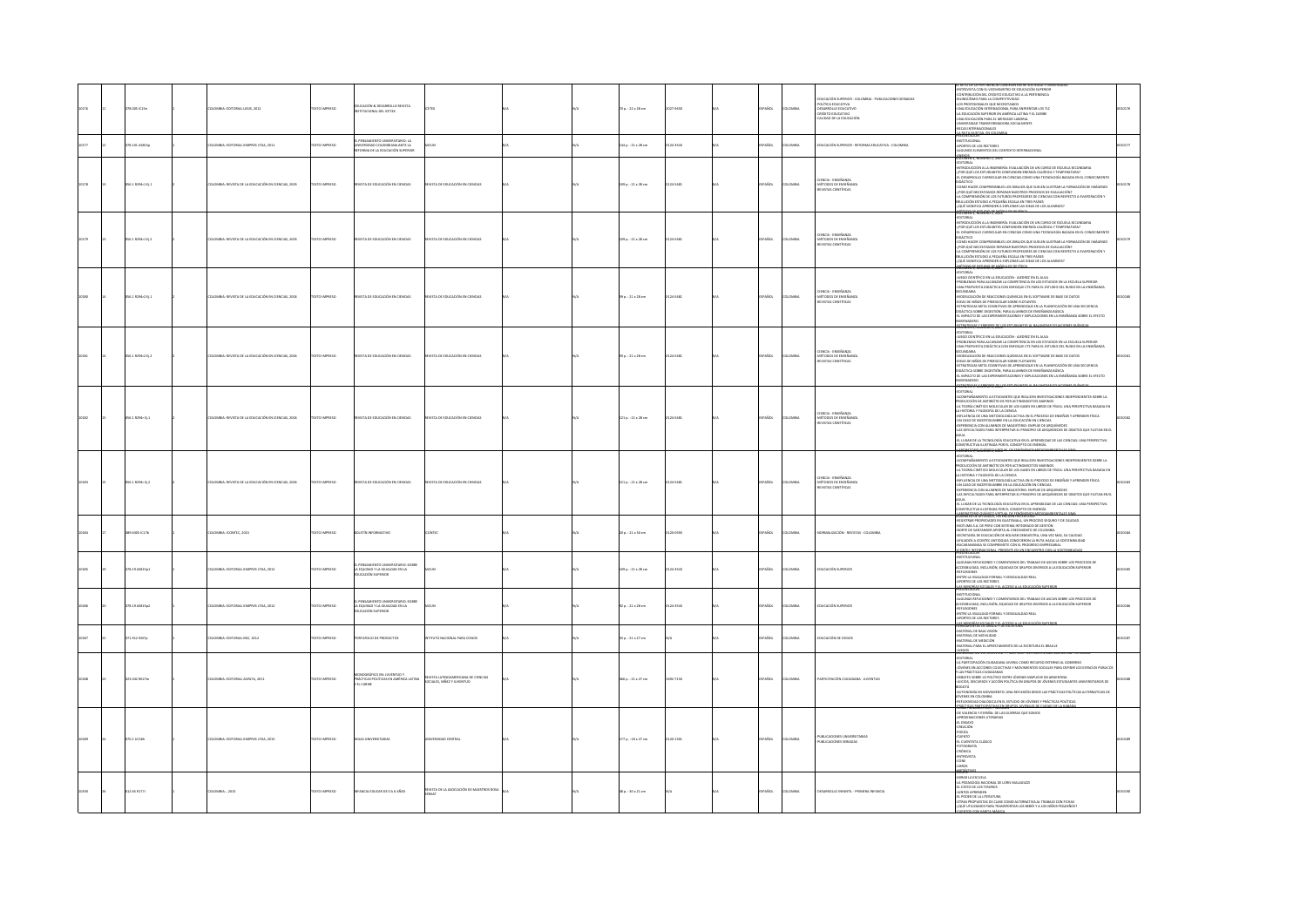|       | 1.005 IC15e      | MBIA: EDITORIAL LEGIS, 2012                        | DZED BARTINI          | DUCACIÓN & DESARROLLO REVISTA<br>AL DEL ICETE                                                     |                                                                          |  | $0.122 \times 28$ cm    | 7-9450    |              |                | <b>UCACIÓN SUPERIOR - COLOMBIA - PUBLICACIONES SERIADAS</b><br><b>POLÍTICA EDUCATIVA</b><br>DESARROLLO EDUCATIVO<br>reform mural<br>CALIDAD DE LA EDUCACIÓN | L'RETO DE LA PERTINENCIA CONEXION ENTRE SOCIEDAD Y UNI<br>INTRIVISTA CON EL VICEMINISTRO DE EDUCACIÓN SUPERIOR<br>CONTRIBUCIÓN DEL CRÉOTTO EDUCATIVO A LA PERTINENCIA<br>JEUNGÓÉMIO PARA LA COMPETITIVIDAD<br>OS PROFESIONALIS QUE NECESIT<br>JINA ELIULACION INI LANTAJONAL FARA LIA ILLI ILLI ILLI<br>JA EDUCACIÓN SUPERIOR EN AMÉRICA LATINA Y EL CARIEE<br>A LUUCHUM SUYLIIGIN LII MIRISIO LABORAL<br>JNN EDUCACIÓN PARA EL MERCADO LABORAL<br>JNIVERSIDAD TRANSFORMADORA SOCIALMENTE<br><b>ECAS INTERNACIONALES</b><br>LA BUTA QUETZAL EN COLOR<br>VIESENTACIÓN                                                                                                                                                                                                                                                 |        |
|-------|------------------|----------------------------------------------------|-----------------------|---------------------------------------------------------------------------------------------------|--------------------------------------------------------------------------|--|-------------------------|-----------|--------------|----------------|-------------------------------------------------------------------------------------------------------------------------------------------------------------|----------------------------------------------------------------------------------------------------------------------------------------------------------------------------------------------------------------------------------------------------------------------------------------------------------------------------------------------------------------------------------------------------------------------------------------------------------------------------------------------------------------------------------------------------------------------------------------------------------------------------------------------------------------------------------------------------------------------------------------------------------------------------------------------------------------------|--------|
| 10177 | 78.101 ASB15p    | LOMBIA: EDITORIAL KIMPRES LTDA, 2011               | DZER BARTOTEK         | PENSAMIENTO UNIVERSITARIO: LA<br>VIVERSIDAD COLOMBIANA ANTE LA<br>TRAAL DE LA FELICACIÓN SUPERIOR |                                                                          |  | 144 p.: 21 x 28 cm      | 124.3541  | <b>PAROL</b> | LOMBIA         | EDUCACIÓN SUPERIOR - REFORMA EDUCATIVA - COLOMBIA                                                                                                           | ESEMPRANI<br><i>G</i> TOTUCIONAL<br>JORTES DE LOS RECTORES<br>JUGUNOS ELEMENTOS DEL CONTEXTO INTERNACIONAL<br><b>NEXOS</b>                                                                                                                                                                                                                                                                                                                                                                                                                                                                                                                                                                                                                                                                                           |        |
| 10178 | 056.1 R294r1 EL1 | LOMBIA: REVISTA DE LA EDUCACIÓN EN CIENCIAS, 2003  | <b>OZSRRINI OTX3T</b> | <b>EVISTA DE EDUCACIÓN EN CIENCIAS</b>                                                            | <b>NSTA DE EDUCACIÓN EN CIENCIAS</b>                                     |  | 109 p.: 21 x 28 cm      | 124-5481  | SPAÑOL       | LOMBIA         | -<br>Cencia - Enseñanza<br>- Nétodos de Enseñan<br>- Revistas Científicas                                                                                   | ITORIAL<br>TRODUCCIÓN A LA INGENIERÍA: EVALUACIÓN DE UN CURSO DE ESCUELA SECUNDARIA<br>iana nufuntina<br>I INSUCCIÓN A UN INSURANCE L'ENSIMILIA DE UN CONSULTAT TEMPERATURA?<br>COLQUÉ LOS ESTUDIANTES CONFUNDEN ENERGÍA CALÓRICA Y TEMPERATURA?<br>L'OESARROLLO CURRICULAR EN CIENCIAS COMO UNA TECNOLOGÍA BASADA EN EL CONOCIMIENTO<br>LUMO PALEK COMPRINSIBLES LOS URBUSOS QUE SUELEN ILUS HANCA TORNAULUN DE INAUENES<br>POR QUÉ RECESTAMOS REPARAR NUESTROS PROCESOS DE EVALUACIÓN?<br>A COMPRENSIÓN DE LOS FUTUROS PROFESORES DE CIENCIAS CON RESPECTO A EVAPORACIÓN Y<br><br><b>VOLUTION TERMINE TO ANTIQUARE LICENSE IN THE FOULD ALUMNOS?</b><br>VOLUTION TERMINE TO AND THE HISTORICAL CONTRACTS ALUMNOS?                                                                                                  | 100178 |
|       | 36.1 R294r1 Ej.2 | LOMBIA: REVISTA DE LA EDUCACIÓN EN CIENCIAS, 2003  | EXTO IMPRESO          | IVISTA DE EDUCACIÓN EN CIENCIAS                                                                   | EVISTA DE EDUCACIÓN EN CIENCIAS                                          |  | 09 p. : 21 x 28 cm      | 124-5481  | PAÑOL        | oway           | - OENCIA - ENSEÑANZA<br>- MÉTODOS DE ENSEÑANZ<br>EVISTAS CENTÍFICAS                                                                                         | <b>JAIROTH</b><br>-MITRODUCCIÓN A LA INGENIERÍA: EVALUACIÓN DE UN CURSO DE ESCUELA SECUNDARIA<br>-<br>- FOR QUÉ LOS ESTUDIANTES CONFUNDEN ENERGÍA CALÓRICA Y TEMPERATURA?<br>- EL DESARROLLO CURRICULAR EN CIENCIAS COMO UNA TECNOLOGÍA BASADA EN EL CONOCIMENTO<br>DIDÁCTICO<br>-COMO HACER COMPRENSIBLES LOS DIBLUOS QUE SUELEN ILUSTRAR LA FORMACIÓN DE IMÁGENES<br>-{FOR QUÉ NECESITAMOS REPARAR NUESTROS PROCESOS DE EVALUACIÓN?<br>-LA COMPRENSIÓN DE LOS FUTUROS PROFESORES DE CIENCIAS CON RESPECTO A EVAPORACIÓN Y<br>ULLICIÓN ESTUDIO A PEQUEÑA ESCALA EN TRES PAÍSES<br>JUÉ SIGNIFICA APRENDER A EXPLORAR LAS IDEAS DE LOS ALUMNOS?<br>Afraga or Assured or Marin                                                                                                                                         |        |
|       | 6.1 R294r2 EL1   | MILA-BEVITA DE LA EDUCACIÓN EN CIENCIAS, 2004      | TO IMPRESO            | <b>PATA DE EDUCACIÓN EN CIENCIAS</b>                                                              | .<br>Sta ne ensirarido en ciencias                                       |  | $39a.:21 \times 28$ cm  | 4,5481    | <b>PAROL</b> | LOMBIA         | - CIENCIA - ENSEÑANZA<br>- MÉTODOS DE ENSEÑANZ<br>- REVISTAS CIENTÍFICAS                                                                                    | EDITORIAL<br>JUEGO CIENTÍRCO EN LA EDUCACIÓN - AUDREZ EN EL AULA<br>PROBLEMAS PARA ALCANZAR LA COMPETENCIA EN LOS ESTUDIOS EN LA ESCUELA SUPEROR<br>UNA PROPUESTA DIDÁCTICA CON ENFOQUE CTS PARA EL ESTUDIO DEL RUIDO EN LA ENSEÑANZA<br>ECUNDARIA<br>MODELIZACIÓN DE REACCIONES QUÍMICAS EN EL SOFTWARE DE BASE DE DATOS<br>-BOLAS DE NIÑOS DE PREESCOLAR SOBRE FLOTANTES<br>IURAS DE NINAS DE MEESLUGAN SOBRE FUJIANIES<br>ESTRATEGAS META COGINTIVAS DE APRENDIZAJE EN LA PLANFICACIÓN DE UNA SECUENCIA<br>DIDÁCTICA SOBRE DIGESTIÓN, PARA ALUMNOS DE ENSEÑANZA BÁSICA<br>EL IMPACTO DE LAS EXPERIMENTACIONES Y EX<br><b>BNADFEO</b>                                                                                                                                                                              |        |
|       | 6.1 R294/2 Ej.2  | LOMBIA: REVISTA DE LA EDUCACIÓN EN CIENCIAS, 2004  | EXTO IMPRESO          | VISTA DE EDUCACIÓN EN CIENCIAS                                                                    | ASTA DE EDUCACIÓN EN CIENCIAS                                            |  | 9 p.: 21 x 28 cm        |           | PAÑOL        | owau           | - CIENCIA - ENSEÑANZA<br>- MÉTODOS DE ENSEÑANZ<br>- REVISTAS CIENTÍFICAS                                                                                    | -EDITORIAL<br>-JUEGO CHIVITATO EN LA EDUCACIÓN - ARDREZ EN EL AULA<br>-PROBLEMAS PARA ALCANZAR LA COMPETENCIA EN LOS ESTUDIOS EN LA ESCUELA SUPERIOR<br>-UNO PROPUESTA DIDÁCTICA CON ENFOQUE CTS PARA EL ESTUDIO DEL RUIDO EN LA ENSEÑA<br><b>MITCHING AND ANNOUNCEMENT CONTINUES IN A REPORT OF THE CONTINUES AND A SCIENCE AND A SCIENCE AND A SCIENCE AND A SCIENCE AND A SCIENCE AND A SCIENCE AND A SCIENCE AND A SCIENCE AND A SCIENCE AND A SCIENCE AND A STATE AND </b><br><b>TOATOGOAS ACARDOSES DE LOS FSTUDIANTES AL BALAN</b>                                                                                                                                                                                                                                                                            |        |
| 10182 | 056.1 R294r EL1  | DLOMBIA: REVISTA DE LA EDUCACIÓN EN CIENCIAS, 2004 | DZERNI OTXIT          | EVISTA DE EDUCACIÓN EN CIENCIAS                                                                   | EVISTA DE EDUCACIÓN EN CIENCIAS                                          |  | $121a:21 \times 28$ cm  | 0124-5481 | SPAÑOL       | <b>AIRMOJO</b> | CIENCIA - ENSEÑANZA<br>- MÉTODOS DE ENSEÑANZA<br>INSTAS CENTÍFICAS                                                                                          | <b>LOTORIAL</b><br><b>OUCCIÓN DE ANTIBIÓTICOS POR ACTINOMICETOS MARINOS</b><br>-LA TEORÍA CINÉTICO MOLECULAR DE LOS GASES EN UBROS DE FÍSICA: UNA PERSPECTIVA BASADA EN<br>HISTORIA Y FILOSOFÍA DE LA CIENCIA<br>INFLUENCIA DE UNA METODOLOGÍA ACTIVA EN EL PROCESO DE ENSEÑAR Y APRENDER FÍSICA<br>-UN CASO DE INCERTIDUMERE EN LA EDUCACIÓN EN CIENCIAS<br>-DWORD DE INCENTIDOMINE DE DI EDUCACION EN CENCIAL<br>-EXPERIENCIA CON ALUMNOS DE MAGISTERIO: EMPUJE DE ARQUÍMEDES<br>-LAS DIFICULTADES PARA INTERPRETAR EL PRINCIPIO DE ARQUÍMEDES DE OBJETOS QUE FLOTAN EN EL<br>ONSTRUCTIVA ILUSTRADA POR EL CONCEPTO DE ENERGÍA                                                                                                                                                                                     |        |
|       | 56.1 R294r EL2   | LOMBIA: REVISTA DE LA EDUCACIÓN EN CIENCIAS, 2004  | <b>OZSRRINI OTX3T</b> | IVISTA DE EDUCACIÓN EN CIENCIAS                                                                   | VISTA DE EDUCACIÓN EN CIENCIAS                                           |  | 121 p.: 21 x 28 cm      | 0124-5481 | SPAÑOL       | LOMBIA         | - CENCIA - ENSEÑANZA<br>- MÉTODOS DE ENSEÑANZ<br>- REVISTAS CIENTÍFICAS                                                                                     | <b>100273.9000002.2000 mm</b><br>RENTO A ESTUDIANTES QUE REALICEN INVESTIGACIONES INDEPENDIENTES SOBRE LA<br>DE ANTIBIÓTICOS POR ACTINOMICETOS MARINOS<br><b>NICOÓN DE ANTIN</b><br>PRODUCCION DE ANTIBIOTICOS POR ACTINOMICETOS MARINOS<br>4.A TEORÍA CINÉTICO MOLECULAR DE LOS GASES EN LIBROS DE FÍSICA: UNA PERSPECTIVA BASADA EN<br>1.A HISTORIA Y FILOSOFÍA DE LA CIENCIA<br>«INFLUENCIA DE UNA METODOLOGÍA ACTIVA EN<br>INFLUENCIA DE DINA INELIGIDADUM ACTIVA EN EL PIRACISO DE ENSENANT TAPIENDEN FISICA<br>UN CASO DE INCERTIDUMIBIE EN LA EDUCACIÓN EN CENCIAS<br>LISPERENCIA CON ALUMNOS DE MAGISTERIO: EMPUJE DE ARQUÍMIEDES<br>LAS DIFICULTADES PARA INT<br>.<br>LUGAR DE LA TECNOLOGÍA EDUCATIVA EN EL APRENDIZAJE DE LAS CIENCIAS: UNA PERSPECTIVA<br>STRUCTIVA ILUSTRADA POR EL CONCEPTO DE ENERGÍA |        |
|       | 89.6305 IC17b    | DLOMBIA: ICONTEC, 2015                             | <b>DZERRINI OTX3T</b> | CATAMING THE RITIGS                                                                               | <b>NTEC</b>                                                              |  | 20 p.: 21 x 30 cm       | 0120-0593 | PAÑOL        | LOMBIA         | NORMALIZACIÓN - REVISTAS - COLOMBIA                                                                                                                         | <b>GOBLER'S ANDREE, ORTHUGENTES EXPESSIVE PRO</b><br>APARILLA DE AFIDADES EN GUATEMALA, UN PROCESO SEGURO Y DE CALIDAD<br>MOTUMA S.A. DE PERÚ CON SISTEMA INTEGRADO DE GESTIÓN<br>-NORTE DE SANTANDER APORTA AL CRECIMIENTO DE COLOMBIA<br>-SECRETARÍA DE EDUCACIÓN DE BOLIVAR DEMUESTRA, UNA VEZ MAS, SU CALIDAD<br>ARUADOS A ICONTEC ANTIOQUIA CONOCIERON LA RUTA HACIA LA SOSTENBILIDAD<br>SUCARAMANGA SE COMPREMETE CON EL PROGRESO EMPRESARIAL<br>«CONTEC INTERNACIONAL PRESENTE EN UN ENCUENTRO CON LA SOS<br><b>AVEC INTER</b>                                                                                                                                                                                                                                                                                |        |
|       | 178.19 AS\$15p1  | LOMBIA: EDITORIAL KIMPRES LTDA, 2012               | EXTO IMPRESO          | ENSAMIENTO UNIVERSITARIO: SOBRE<br>VEGUIDAD Y LA IGUALDAD EN LA<br>JUCACIÓN SUPERIOR              | scuw                                                                     |  | 09 p.: 21 x 28 cm       | 0124-1541 | PAÑOL        | LOMBIA         | DUCACIÓN SUPERIOR                                                                                                                                           | INSTITUCIONAL<br>ALGUNAS REFLEXIONES Y COMENTARIOS DEL TRABAJO DE ASCUN SOBRE LOS PROCESOS DE<br>CESIBILIDAD, INCLUSIÓN, EQUIDAD DE GRUPOS DIVERSOS A LA EDUCACIÓN SUPERIOR<br><b>AUTLEXIONES</b><br>ENTRE LA IGUALDAD FORMAL Y DESIGUALDAD REAL<br>FORTES DE LOS RECTORES<br>AS MINORÍAS SOCIALES Y EL ACCESO A LA EDUCACIÓN 5<br>IESENTACIÓN                                                                                                                                                                                                                                                                                                                                                                                                                                                                       |        |
|       | 178.19 AS815p2   | LOMBIA: EDITORIAL KIMPRES LTDA, 2012               | DZERRAI OTX31         | ENSAMIENTO UNIVERSITARIO: SOBRE<br>EQUIDAD Y LA IGUALDAD EN LA<br><b>UCACIÓN SUPERIOR</b>         | scur                                                                     |  | 22 p.: 21 x 28 cm       | 0124-1541 | PAÑOL        | LOMBIA         | EDUCACIÓN SUPERIOR                                                                                                                                          | NSTITUCIONAL<br>ALGUNAS REFLEXIONES Y COMENTARIOS DEL TRABAJO DE ASCUN SOBRE LOS PROCESOS DE<br>ACCESIBILIDAD, INCLUSIÓN, EQUIDAD DE GRUPOS DIVERSOS A LA EDUCACIÓN SUPERIOR<br><b>ASTLEXIONES</b><br>-ENTRE LA IGUALDAD FORMAL Y DESIGUALDAD REAL<br>ORTES DE LOS RECTORES<br>.<br>LAS MINORÍAS SOCIALES Y EL ACCESO A LA EDUCA<br>HERRAMIENTAS DE DIBUJO Y DE ESCRITURA                                                                                                                                                                                                                                                                                                                                                                                                                                            |        |
|       | 71.912 IN37o     | DLOMBIA: EDITORIAL INCI, 2012                      | <b>DZERNI OTXT</b>    | RTAFOLIO DE PRODUCTOS                                                                             | UTO NACIONAL PARA CIEGOS                                                 |  | $13a : 21 \times 27$ cm |           | PAÑOL        | LOMBIA         | EDUCACIÓN DE CIEGOS                                                                                                                                         | MATERIAL DE BAJA VISIÓN<br>ATERIAL DE MOVIUDAD<br>MATERIAL DE MEDICIÓN<br>ATERIAL PARA EL APRESTAMIENTO DE LA ESCRITURA EL BRAILLE                                                                                                                                                                                                                                                                                                                                                                                                                                                                                                                                                                                                                                                                                   |        |
|       | 123.042 R627m    | OLOMBIA: EDITORIAL ZAPATA, 2011                    | <b>DZERRINI GTX31</b> | DGRÁFICO EN: JUVENTUD Y<br>PRÁCTICAS POLÍTICAS EN AMÉRICA LATINA<br>EL CARIBE                     | IEVISTA LATINOAMERICANA DE CIENCIAS<br><b>SOCIALES, NIÑEZ Y JUVENTUD</b> |  | 66 p. : 21 x 27 cm      | 1092-715X | SPAÑOL       | LOMBIA         | PARTICIPACIÓN CIUDADANA - JUVENTUD                                                                                                                          | EGOS<br>NIGGRAFICO ERE JUVENTUO Y PRACTICAS POLITICAS EN AMERICA LATINA Y EL CAR<br><b>JAIROTH</b><br>LA PARTICIPACIÓN CIUDADANA JUVENIL COMO RECURSO EXTERNO AL GOBIERNO<br>OVENES EN ACCIONES COLECTIVAS Y MOVIMIENTOS SOCIALES PARA DEFINIR LOS ESPACIOS PÚBLICOS<br><b>Y LAS PRÁCTICAS CIUDADANAS</b><br>T DIS PRACTICAS CIUDADINAIS<br>-DEBATES SOBRE LO POLÍTICO ENTRE JÓVENES MAPUCHE EN ARGENTINA<br>JUICIOS, DISCURSOS Y ACCIÓN POLÍTICA EN GRUPOS DE JÓVENES ESTUDIANTES UNIVERSITARIOS DE<br><b>GOTA</b><br>JÓVENES EN COLOMBIA<br>VENES EN COLONIAN.<br>D'ELYAVIDAD DIALÓGICA EN EL ESTUDIO DE JÓVENES Y PRÁCTICAS POLÍTICAS<br>BÉCTICAS PARTICIPATIVAS EN CIRIENTS ILIMENTES DE CHIDAD DE LA HAB                                                                                                        | 10188  |
|       | 70.1 UC16h       | .<br>CMBIA: EDITORIAL KIMPRES LTDA, 2015           | DZERRA OTXT           | UAS UNIVERSITARIAS                                                                                | ERSIDAD CENTRA                                                           |  | 77 p. : 20 x 27 cm      | 0120-1301 | PAÑOL        | owax           | PUBLICACIONES UNIVERSITARIAS<br>UBLICACIONES SERIADA                                                                                                        | DTOGRAFIA<br>RÓNICA<br>NTREVISTA<br>ONE<br>BROS                                                                                                                                                                                                                                                                                                                                                                                                                                                                                                                                                                                                                                                                                                                                                                      |        |
|       | 612.65 R177      | DLOMBIA:, 2015                                     | DZERRINI OTX3         | INFANCIA EDUCAR DE O A 6 AÑOS                                                                     | REVISTA DE LA ASOCIACIÓN DE MAESTROS ROSA                                |  | 15 p.: 10 x 21 cm       |           | ANDL.        | LOMBIA         | DESARROLLO INFANTIL - PRIMERA INFANCIA                                                                                                                      | MIRAR LA ESCUELA<br>PEDAGOGÍA RACIONAL DE LORIS MALAGUZZI<br>-EL CESTO DE LOS TESOROS<br>JUNTOS APRENDEN<br>-EL PODER DE LA LITERATURA<br>-OTRAS PROPUESTAS DE CLASE COMO ALTERNATIVA AL TRABAJO CON FICHAS<br>-¿QUÉ UTILIZAMOS PARA TRANSPORTAR LOS BEBÉS Y A LOS NIÑOS PEQUEÑOS?<br><b>ATTNE COMMISSIONS ARRAIGNMENTS</b>                                                                                                                                                                                                                                                                                                                                                                                                                                                                                          |        |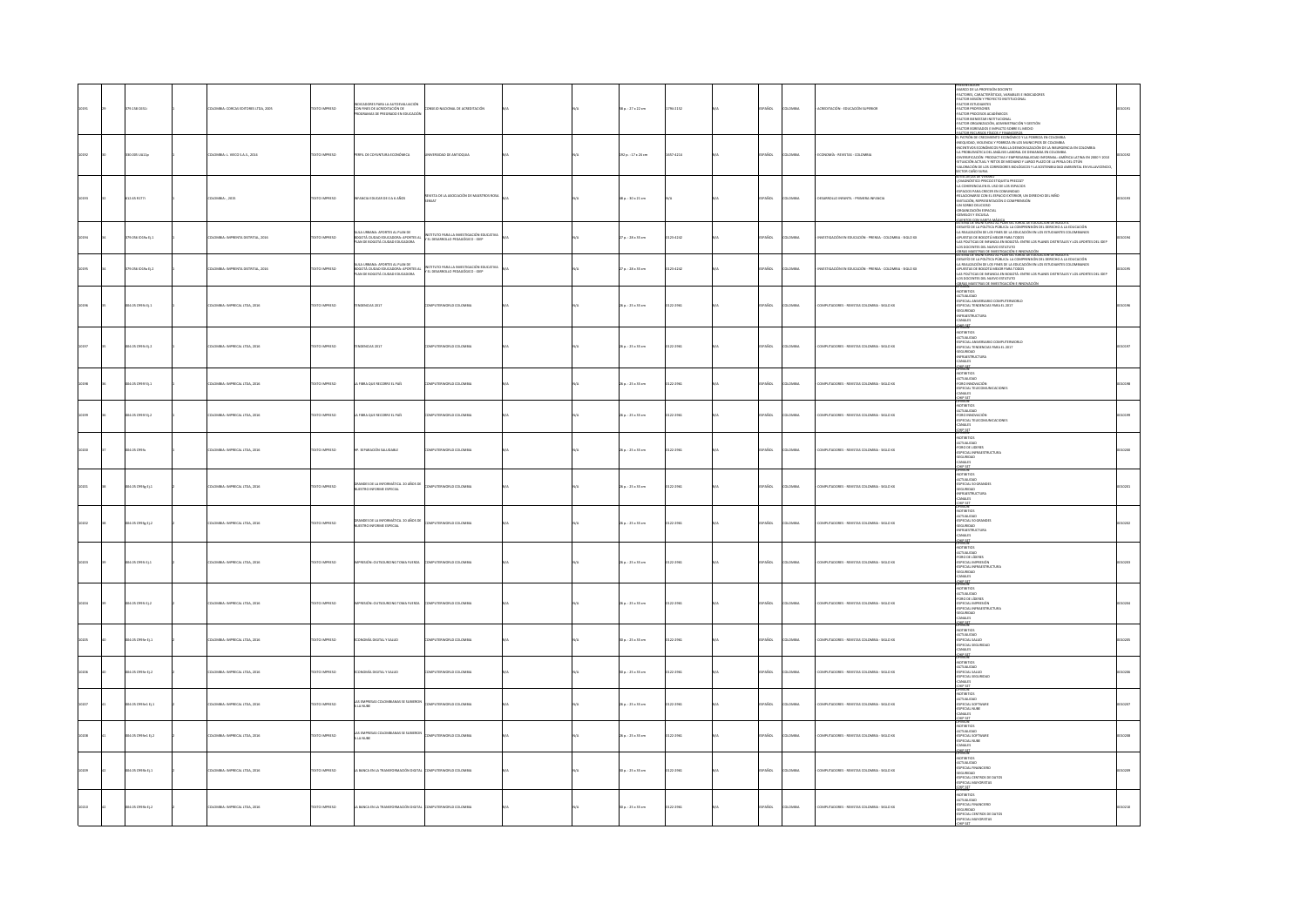|  |                             |                                          |                      |                                                                                                            |                                                                           |  |                        |          |               |                |                                                              | seartar in                                                                                                                                                                                                                                                                                                                                                                                                                                                                                                       |  |
|--|-----------------------------|------------------------------------------|----------------------|------------------------------------------------------------------------------------------------------------|---------------------------------------------------------------------------|--|------------------------|----------|---------------|----------------|--------------------------------------------------------------|------------------------------------------------------------------------------------------------------------------------------------------------------------------------------------------------------------------------------------------------------------------------------------------------------------------------------------------------------------------------------------------------------------------------------------------------------------------------------------------------------------------|--|
|  | 79.158 0651                 | LOMBIA: CORCAS EDITORES LTDA, 2005       | EXTO IMPRESO         | INDICADORES PARA LA AUTOEVALUACIÓN<br>CON FINES DE ACREDITACIÓN DE<br>PROGRAMAS DE REFORADO EN EDUCACIÓ    | NSEIO NACIONAL DE ACREDITACIÓN                                            |  | il p. : 27 x 22 cm     | 794-2152 | AÑOL          | <b>DLOMBIA</b> | CREDITACIÓN - EDUCACIÓN SUPERIOR                             | -MARCO DE LA PROFESIÓN DOCENTE<br>-FACTORES, CARACTERÍSTICAS, VARIABLES E INDICADORES<br>FACTOR MISIÓN Y PROYECTO INSTITUCIONAL<br>$\begin{array}{l} \textbf{31.422} \\ \textbf{42.433} \\ \textbf{43.445} \\ \textbf{44.45} \\ \textbf{45.45} \\ \textbf{46.45} \\ \textbf{47.45} \\ \textbf{48.45} \\ \textbf{49.45} \\ \textbf{40.45} \\ \textbf{41.45} \\ \textbf{42.45} \\ \textbf{43.45} \\ \textbf{44.45} \\ \textbf{45.45} \\ \textbf{46.45} \\ \textbf{47.45} \\ \textbf{48.45} \\ \textbf{49.45} \\ \$ |  |
|  | 0.005 UA11p                 | OLOMBIA: L. VIECO S.A.S., 2014           | <b>OZSRRI OTXI</b>   | ERFIL DE COYUNTURA ECONÓMICA                                                                               | MERSIDAD DE ANTIQQUIA                                                     |  | 92 p.: 17 x 24 cm      | 57-4214  | <b>SPAÑOL</b> | <b>DLOMBIA</b> | CONOMÍA - REVISTAS - COLOMBIA                                | LA PROBADA DEL MIGUELLA Y POBREZA EN LOS MUNICIPIOS DE COLOMBIA<br>-INEQUIDAD, VIOLENCIA Y POBREZA EN LOS MUNICIPIOS DE COLOMBIA<br>-IA PROBLEMÁTICA DEL ANÁLISIS LABORAL DE DEMANDA EN COLOMBIA<br>-LA PROBLEMÁTICA DEL ANÁLISIS LABOR<br>-LA PRUSIERMATILA USL ANALISIS LA BURNE DE DISULTANO EN CULUMISM<br>-DIVERSITO ACIÓN PRODUCTIVA Y EMPRESARIALIZAD INFORMAL: AMÉRICA LATINA EN 2000 Y 2010<br>-SITUACIÓN ACTUAL Y RETOS DE MEDIANO Y LARGO PLAZO DE LA PERLA DEL OTÚN                                  |  |
|  | 12.65 R177                  | LOMBIA: , 2015                           | DZERNI OTXE          | <b>IFANCIA EDUCAR DE 0 A 6 AÑOS</b>                                                                        | REVISTA DE LA ASOCIACIÓN DE MAESTROS ROSA                                 |  | 8 p.: 30 x 21 cm       |          | SPAÑOL        | LOMBIA         | <b>ESARROLLO INFANTIL - PRIMERA INFANCIA</b>                 | ECTOR CAÑO SURIA<br>DESCUELAS DE VERANO<br>DIAGNÓSTICO PRECOZ ETIQUETA PRECOZ?<br>-SAMONDO MELO EL LUGIDI MECCO (1915)<br>- A COMERNO A DI LUGO DE LOS DEMOCOS<br>- A COMERNO CON EL ESPACIO DE COMPRENDO SEL NHO<br>- ANTONOM, EDPESSIVACIÓN O COMPRENDO<br>- ANTONOM A DI LUGO DE COMPRENDO<br>- ANTONOM A COMPRENDO DE COMP                                                                                                                                                                                   |  |
|  | 79.056 (D19a EL1            | NONELLA IMPRENTA DISTRITAL 2016          | <b>EXTO IMPRESO</b>  | .<br>JLA URBANA: APORTES AL PLAN DE<br>DGOTÁ CIUDAD EDUCADORA: APORTES AL<br>AN DE BOGOTÁ CIUDAD EDUCADORA | TUTO PARA LA INVESTIGACIÓN EDUCATIVA<br>EL DESARROLLO PEDAGÓGICO - IDEP   |  | $70.128 \times 35$ cm  | 123.4242 | <b>COASCI</b> | cama.          | <b>PSTIGACIÓN EN EDICACIÓN - PRENSA - COLOMBIA - SOLO XX</b> | ISTEMA DE MONTONEO AL PLAN SELTONAL DE EDUCACION DE BOGOTA<br>DESATÍO DE LA POLÍTICA PÚBLICA: LA COMPRENSIÓN DEL DERECHO A LA EDUCACIÓN<br>LA REALIZACIÓN DE LOS FINES DE LA EDUCACIÓN EN LOS ESTUDIANTES COLOMBIANO:<br>APUESTAS DE BO<br>O DESING DE BOUGLIN MISSON FORM TODOS<br>AS POLÍTICAS DE INFANCIA EN EDOGOTÀ: ENTRE LOS PLANES DISTRITALES Y LOS APORTES DEL IDEP<br>.OS DOCENTES DEL NUEVO ESTATUTO                                                                                                  |  |
|  | 3.056 1019a 01.2            | <b>ILOMBIA: IMPRENTA DISTRITAL, 2016</b> | <b>EXTO IMPRESO</b>  | LA URBANA: APORTES AL PLAN DE<br>DTÁ CIUDAD EDUCADORA: APORTES A<br>AN DE BOGOTÁ QUIDAD EDUCADORA          | TITUTO PARA LA INVESTIGACIÓN EDUCATIVA<br>EL DESARROLLO PEDAGÓGICO - IDEP |  | $n: 28 \times 35$ cm   | 23-4242  | SPAÑOL        | LOMBIA         | STIGACIÓN EN EDUCACIÓN - PRENSA - COLOMBIA - SIGLO XX        | LOS DOCENTES DEL NUEVO ESTATUTO<br>SIEMA AS MARTIRAS DE RIVERTISACIÓN E INNENVACIÓN<br>SIEMA AS MARTIRAS DE RIVAN SECTORIAL DE EDUCACIÓN DE BOGOTÁ<br>LA REALIZAÇIÓN DE LOS FINIS DE LA COMPRENSIÓN DEL DEREDIO A LA EDUCACIÓN<br>DESANTAS<br>-LAS POLÍTICAS DE INFANCIA EN BOGOTÁ: ENTRE LOS PLANES DISTRITALES Y LOS APORTES DEL IDEP<br>-LOS DOCENTES DEL NUEVO ESTATUTO<br><b>JERAS MAESTRAS DE INVESTIGACIÓN E INNOVACIÓN</b><br>PINION                                                                     |  |
|  | 34.05 C993t Ej.1            | DLOMBIA: IMPRECAL LTDA, 2016             | <b>OZSRRAI OTXIT</b> | ADENCIAS 2017                                                                                              | OMPUTERWORLD COLOMBIA                                                     |  | 6 p.: 25 x 35 cm       | 122-2961 | SPAÑOL        | <b>DLOMBIA</b> | OMPUTADORES - REVISTAS COLOMBIA - SIGLO XX                   | onainos<br>CTUALIDAD<br>ESPECIAL ANIVERSARIO COMPUTERWORLD<br>-<br>- SPECIAL TENDENCIAS PARA EL 2017<br>- SEGUREDAD<br>- INFRAESTRUCTURA<br>CANALES<br>205.527                                                                                                                                                                                                                                                                                                                                                   |  |
|  | 4.05 C993t Ej.2             | LOMBIA: IMPRECAL LTDA, 2016              | EXTO IMPRESO         | DENCIAS 2017                                                                                               | <b>WPUTERWORLD COLOMBIA</b>                                               |  | 6 p. : 25 x 35 cm      | 122-2961 | AÑOL          | <b>LOMBIA</b>  | MPUTADORES - REVISTAS COLOMBIA - SIGLO XX                    | $n = 1$<br><b>GACILIAUT</b><br>-ESPECIAL ANIVERSARIO COMPUTERWORLD<br>-ESPECIAL TENDENCIAS PARA EL 2017<br>:<br> GURIDAD<br> FRAESTRUCTURA<br>NNALES                                                                                                                                                                                                                                                                                                                                                             |  |
|  | $cos cos 3i t$ <sub>1</sub> | OMBIA: IMPRECAL LTDA, 2016               | XTO IMPRESO          | FIBRA QUE RECORRE EL PAÍS                                                                                  | <b>DISTRATO DI COLOMBI</b>                                                |  | $p. : 25 \times 35$ cm | 2-2962   | AÑOL          | wax            | PUTADORES - REVISTAS COLOMBIA - SIGLO XX                     | UNINUM<br>-NCTUALIDAD<br>-FORO INNOVACIÓN<br>-ESPECIAL TELECOMUNICACIONES<br><b>MAIRS</b>                                                                                                                                                                                                                                                                                                                                                                                                                        |  |
|  | 4.05 C993f EL2              | DLOMBIA: IMPRECAL LTDA, 2016             | EXTO IMPRESO         | A FIBRA QUE RECORRE EL PAÍS                                                                                | OMPUTERWORLD COLOMBIA                                                     |  | 6 p.: 25 x 35 cm       | 122-2961 | SPAÑOL        | owax           | OMPUTADORES - REVISTAS COLOMBIA - SIGLO XX                   | CHR SET<br>UNINUM<br>-NCTUALIDAD<br>-FORO INNOVACIÓN<br>-ESPECIAL TELECOMUNICACIONES<br>WALES<br>CHP SET                                                                                                                                                                                                                                                                                                                                                                                                         |  |
|  | 4.05 C993s                  | LOMBIA: IMPRECAL LTDA, 2016              | <b>OZSRRINI OTX3</b> | P. SEPARACIÓN SALUDABLE                                                                                    | MPUTERWORLD COLOMBIA                                                      |  | $a: 25 \times 35$ cm   | 122-2961 | SPAÑOL        | <b>LOMBIA</b>  | OMPUTADORES - REVISTAS COLOMBIA - SIGLO XX                   | NOTIBITIOS<br>ACTUALIDAD<br>FORD DE LIDERES<br>-ESPECIAL INFRAESTRUCTURA<br>NALES<br>OIR SET                                                                                                                                                                                                                                                                                                                                                                                                                     |  |
|  | 34.05 C993g Ej.1            | <b>ILOMBIA: IMPRECAL LTDA, 2016</b>      | <b>DZERNI OTXE</b>   | NOES DE LA INFORMÁTICA. 20 AÑOS DE<br>STRO INFORME ESPECIAL                                                | OMPUTERWORLD COLOMBIA                                                     |  | 6 p.: 25 x 35 cm       | 122-2961 | <b>PAÑOL</b>  | <b>OMBIA</b>   | OMPUTADORES - REVISTAS COLOMBIA - SIGLO XX                   | NOTIBITIOS<br>ACTUALIDAD<br>ESPECIAL SO GRANDES<br>SEGURIDAD<br>«INFRAESTRUCTURA<br>NALES<br><b>MRSET</b>                                                                                                                                                                                                                                                                                                                                                                                                        |  |
|  | 0500000012                  | LOMBIA: IMPRECAL LTDA, 2016              | EXTO IMPRESO         | grandes de la informática. 20 años de<br>Nuestro informe especial                                          | PUTERWORLD COLOMBI                                                        |  | p. : 25 x 35 cm        | 22-2961  | AÑOL          | <b>COMBIA</b>  | MPUTADORES - REVISTAS COLOMBIA - SIGLO XX                    | corrance<br>ACTUALIDAD<br>-ESPECIAL 50 GRANDES<br>EGURIDAD<br>efraestructura<br>anales<br><b>MRSET</b>                                                                                                                                                                                                                                                                                                                                                                                                           |  |
|  | 05 0993 0.1                 | LOMBIA: IMPRECAL LTDA, 2016              | <b>XTO IMPRESO</b>   | ESIÓN: OUTSOURCING TOMA FUERZA                                                                             | MELITERADELD COLOMBIA                                                     |  | p.: 25 x 35 cm         | 22-2961  | PAÑOL         | LOMBIA         | MINITARCHES, BRASTAS COLOMBIA, SIGLO XX                      | CPINCH<br>-ACTUALIDAD<br>-ACTUALIDAD<br>-ESPECIAL IMPRESIÓN<br>-ESPECIAL INFRAESTRU<br>-SEGURIDAD<br>-CANALES                                                                                                                                                                                                                                                                                                                                                                                                    |  |
|  | 34.05 C993i Ej.2            | <b>ILOMBIA: IMPRECAL LTDA, 2016</b>      | <b>DZERNI OTXE</b>   | PRESIÓN: OUTSOURCING TOMA FUERZA                                                                           | OMPUTERWORLD COLOMBIA                                                     |  | 6 p.: 25 x 35 cm       | 122-2961 | SPAÑOL        | <b>DLOMBIA</b> | OMPUTADORES - REVISTAS COLOMBIA - SIGLO XX                   | <b>SHARE</b><br>NOTIBITIOS<br>ACTUALIDAD<br>-ACTOALISAD<br>-FORO DE LÍDERES<br>-ESPECIAL IMPRESIÓN<br>-ESPECIAL IMPRAESTRUCTURA<br>SEGURIDAD<br>ALES                                                                                                                                                                                                                                                                                                                                                             |  |
|  | 1.05 C991e tj.1             | LOMBIA: IMPRECAL LTDA, 2016              | EXTO IMPRESO         | NOMÍA DIGITAL Y SALUD                                                                                      | <b>MPUTERWORLD COLOMBIA</b>                                               |  | 0 p. : 25 x 35 cm      | 122-2961 | AÑOL          | <b>MBA</b>     | IMPUTADORES - REVISTAS COLOMBIA - SIGLO XX                   | <b>GRIEGE</b><br>$n = 1$<br>-ACTUALIDAD<br>-ESPECIAL SALUD<br>-ESPECIAL SEGURIDAD<br>urs                                                                                                                                                                                                                                                                                                                                                                                                                         |  |
|  | LOS C991e tj.2              | OMBIA: IMPRECAL LTDA, 2016               | EXTO IMPRESO         | CMÍA DIGITAL Y SALUD                                                                                       | PUTERWORLD COLOMBI                                                        |  | p.: 25 x 35 cm         | 22-2961  | AÑOL          | usu            | IPUTADORES - REVISTAS COLOMBIA - SIGLO XX                    | DHP SET<br>Shingin<br>-<br>ACTUALIDAD<br>- ESPECIAL SALUD<br>- ESPECIAL SEGURIDAD<br>- ESPECIAL SEGURIDAD<br>CHP SET                                                                                                                                                                                                                                                                                                                                                                                             |  |
|  | 4.05 C993e1 tj.1            | LOMBIA: IMPRECAL LTDA, 2016              | <b>EXTO IMPRESO</b>  | AS SE SUBIER<br>S EMPRESAS I<br>A NUBE                                                                     | MPUTERWORLD COLOMBIA                                                      |  | p. : 25 x 35 cm        | 22-2961  | PAÑOL         | <b>WEN</b>     | MPUTADORES - REVISTAS COLOMBIA - SIGLO XX                    | <b>MNION</b><br>KCTUALIDAD<br>ISPECIAL SOFTWARE<br>ISPECIAL NUBE<br>LANALES                                                                                                                                                                                                                                                                                                                                                                                                                                      |  |
|  | LOS C993e1 Ej.2             | OMBIA: IMPRECAL LTDA, 2016               | CESRRINI OTX         | AS EMPRES<br>LA NUBE<br>s se subiero                                                                       | <b>PUTTEWORLD COLOMBIA</b>                                                |  | $p. : 25 \times 35$ cm | 23.205   | AÑOL          |                | PUTADORES - REVISTAS COLOMBIA - SIGLO XX                     | HP SE<br>SPINION<br>NOTIBITIOS<br>ACTUALIDAD<br>ESPECIAL NUBE<br>ESPECIAL NUBE<br><b>PAIRS</b>                                                                                                                                                                                                                                                                                                                                                                                                                   |  |
|  | 4.05 C993b Ej.1             | <b>ILOMBIA: IMPRECAL LTDA, 2016</b>      | EXTO IMPRESO         | BANCA EN LA TRA<br>MCIÓN DIGITA                                                                            | OMPUTERWORLD COLOMBIA                                                     |  | 0 p.: 25 x 35 cm       | 22-2961  | PAÑOL         | owax           | MPUTADORES - REVISTAS COLOMBIA - SIGLO XX                    | <b>QUEST</b><br>HNUM<br>CTUALIDAD<br>SPECIAL FINANCIERO<br>-ESPECIAL FINANCIERO<br>-SEGURIDAD<br>-ESPECIAL CENTROS DE DATOS<br>-ESPECIAL MAYORISTAS                                                                                                                                                                                                                                                                                                                                                              |  |
|  | 04.05 C993b Ej.2            | <b>ILOMBIA: IMPRECAL LTDA, 2016</b>      | O23RWI OTX           | BANCA EN LA TRANSFORMACIÓN DIGITA                                                                          | MPUTERWORLD COLOMBIA                                                      |  | 0p.: 25 x 35 cm        | 22-2961  | AÑOL          | LOMBIA         | OMPUTADORES - REVISTAS COLOMBIA - SIGLO XX                   | CHIP SET<br><b>MOTHERS</b><br>ACTUALIDAD<br>ESPECIAL FINANCIERO<br>SEGURIDAD<br>-SEGURIDAD<br>-ESPECIAL CENTROS DE DATOS<br>$-$                                                                                                                                                                                                                                                                                                                                                                                  |  |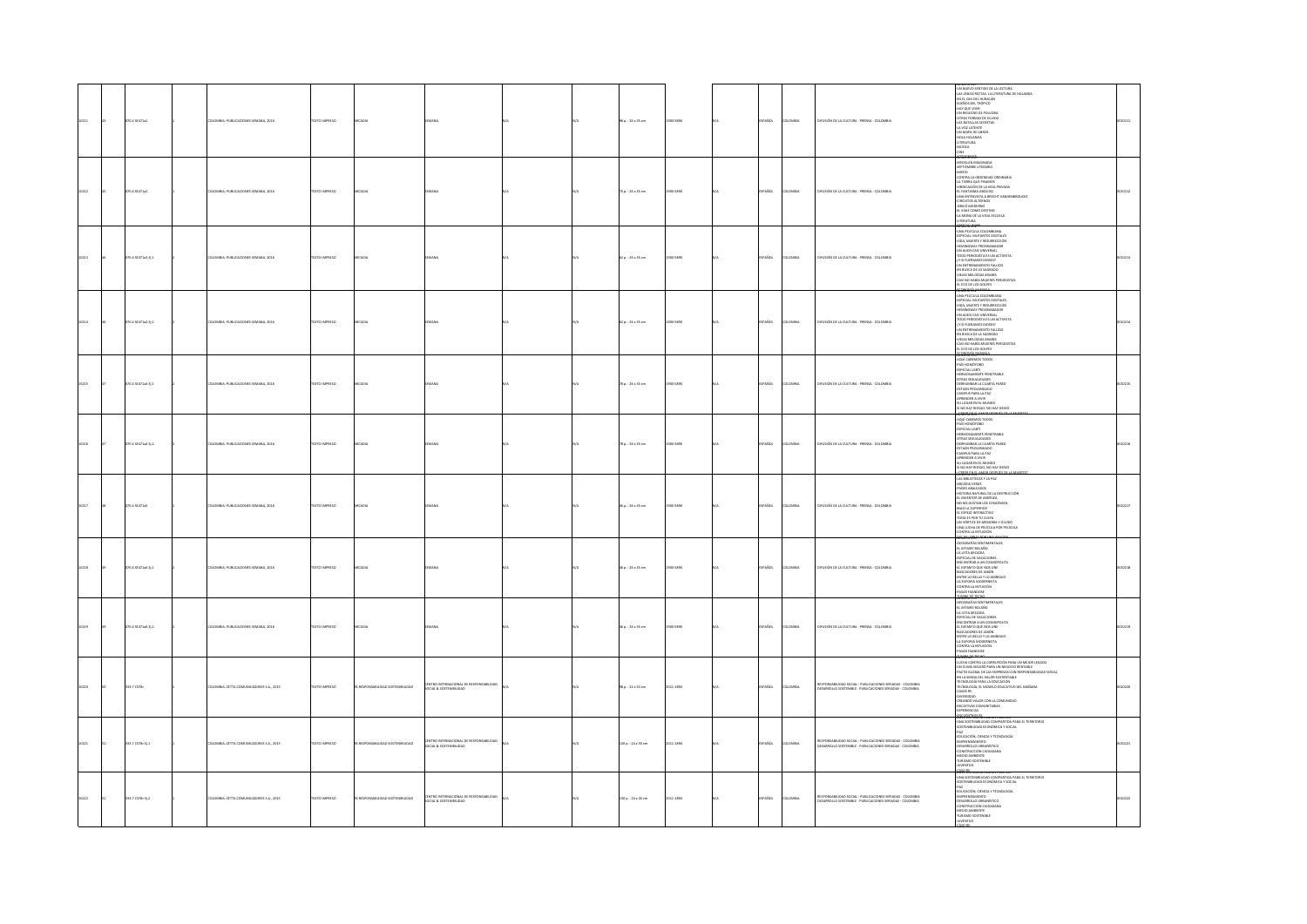|                | 70.4 52471a1       | LOMBIA: PUBLICACIONES SEMANA, 2016       | DZERNI OTXIT           |                                |                                                                    |  | 38 p.: 26 x 35 cm       | 10032-008     | PAÑOL         | AIGMOJ         | DIFUSIÓN DE LA CULTURA - PRENSA - COLOMBIA                                                                              |                                                                                                                                                                                                                                                                                                                                                                                                                                                                                                                                                                                                                  |  |
|----------------|--------------------|------------------------------------------|------------------------|--------------------------------|--------------------------------------------------------------------|--|-------------------------|---------------|---------------|----------------|-------------------------------------------------------------------------------------------------------------------------|------------------------------------------------------------------------------------------------------------------------------------------------------------------------------------------------------------------------------------------------------------------------------------------------------------------------------------------------------------------------------------------------------------------------------------------------------------------------------------------------------------------------------------------------------------------------------------------------------------------|--|
| 212            | 70.4 58471a2       | OMBIA: PUBLICACIONES SEMANA, 2016        | OZERNI OTXT            |                                |                                                                    |  | 70 p.: 26 x 35 cm       | 300-582X      | <b>SPAÑOL</b> | LOMBIA         | DIFUSIÓN DE LA CULTURA - PRENSA - COLOMBIA                                                                              | ROUCKE<br>LA MONA DE LA VIEJA ESCUELA<br>-LITERATURA                                                                                                                                                                                                                                                                                                                                                                                                                                                                                                                                                             |  |
|                | 070.4 52471a3 Ej.1 | OMBIA: PUBLICACIONES SEMANA, 2016        | <b>DZERRIO INFORMA</b> | CADU                           |                                                                    |  | 62 p.: 26 x 35 cm       | 3032-008      | SPAÑOL        | <b>AIRMOJ</b>  | DIFUSIÓN DE LA CULTURA - PRENSA - COLOMBIA                                                                              | -LITERATURA<br>-UNA PELÍCULA COLOMBIANA<br>-UNA PELÍCULA COLOMBIANA<br>-NIDA, MUERTE Y RESURRECCIÓN<br>-NIDA, MUERTE Y RESURRECCIÓN<br>-NEMINGWAY PROGRAMADOR<br>-REMINUWAT MILKARAMALIJK<br>-UN ALIEN CASI UNIVERSAL<br>-TODO PERIODISTA ES UN ACTIVISTA<br>-{Y SI FUERAMOS DIOSES?<br>$\begin{tabular}{ll} $C3$&\text{S}I$&\text{S}I$&\text{S}I$&\text{S}I$&\text{S}I$&\text{S}I$&\text{S}I$&\text{S}I$&\text{S}I$&\text{S}I$&\text{S}I$&\text{S}I$&\text{S}I$&\text{S}I$&\text{S}I$&\text{S}I$&\text{S}I$&\text{S}I$&\text{S}I$&\text{S}I$&\text{S}I$&\text{S}I$&\text{S}I$&\text{S}I$&\text{S}I$&\text{S}I$$ |  |
| 0214           | 070.4 SE471a3 Ej.2 | KOMBIA: PUBLICACIONES SEMANA, 2016       | TEXTO IMPRESO          |                                |                                                                    |  | 62 p. : 26 x 35 cm      | 000-589X      | SPAÑOL        | <b>OMBIA</b>   | DIFUSIÓN DE LA CULTURA - PRENSA - COLOMBIA                                                                              | -SPIPCAL: MUTANTIS DIGITALIS<br>HIMROWAY PROGRAMADOR<br>HIMROWAY PROGRAMADOR<br>-TODO PRINCIPCAL: MUTANTIS<br>-TODO PRINCIPCAL: MUTANTIS<br>-TODO PRINCIPCA DI LA SAGRADO<br>-NEMA MUTANTIS PROGRAMA<br>-NEMA MUTANTIS PROGRAMA<br>-NEMA MUTANTIS PROG                                                                                                                                                                                                                                                                                                                                                           |  |
| 0215           | 070.4 SE471a4 Ej.1 | LOMBIA: PUBLICACIONES SEMANA, 2016       | DZERNA OTXIT           |                                |                                                                    |  | 78 p. : 26 x 35 cm      | 500-589X      | SPAÑOL        | LOMBIA         | .<br>DEUSIÓN DE LA CULTURA - PRENSA - COLOMBIA                                                                          | THE CORE CONTROL CONTRACT CONTRACT PER CONTRACT PER CONTRACT PER CONTRACT PER CONTRACT PER CONTRACT CONTRACT CONTRACT CONTRACT CONTRACT CONTRACT CONTRACT CONTRACT CONTRACT CONTRACT CONTRACT CONTRACT CONTRACT CONTRACT CONT                                                                                                                                                                                                                                                                                                                                                                                    |  |
|                | 70.4 SE471a4 Ej.2  | MBIA: PUBLICACIONES SEMANA, 2016         | DZERRA OTXT            |                                |                                                                    |  | 78 p. : 26 x 35 cm      | 35.58%        | PAÑOL         | ovax           | .<br>DEUSIÓN DE LA CULTURA - PRENSA - COLOMBIA                                                                          | AQUÍ CABEMOS TODOS<br>-PAÍS HOMÓFOBO<br>-PAB HOMOTODO<br>- HERMOSAMENTE PENETRAILE<br>- GERMOSAMENTE PENETRAILE<br>- GERMONARIA LA CLIARTA PARED<br>- CERNINGER AVIVIR<br>- CAMPUS PARA LA PAZ<br>- APRENDER A VIVIR<br>- SU LUGAR EN EL MURDO<br>- SU LUGAR EN EL MURDO<br>- SU LUGAR EN EL MURD<br>ACREE THE RESIGN AND HAY                                                                                                                                                                                                                                                                                    |  |
| 0217           | 070.4 58471a5      | LOMBIA: PUBLICACIONES SEMANA, 2016       | DZERNA OTXIT           |                                |                                                                    |  | 46 p. : 26 x 35 cm      | 500-582X      | SPAÑOL        | <b>LOMBIA</b>  | DIFUSIÓN DE LA CULTURA - PRENSA - COLOMBIA                                                                              | AR BRUOTHCAY LA PAZ<br>ARCADA VERE<br>SHEST ARALEACOS<br>HISTORIA NATURAL DE LA DESTRUCCIÓN<br>HISTORIA NATURAL DE LA DESTRUCCIÓN<br>ARCADA NATURAL LOS CONCENSOS<br>CARLO AR ADIFINICATIVO<br>CON CONTE DE MEMORIA<br>CONSTRUCCIÓN POR MEMORIA<br>CONSTR                                                                                                                                                                                                                                                                                                                                                        |  |
| ois            | 070.4 SE471a6 Ej.1 | ATOC ARANY 2180 CATHERINE SHARING        | <b>OZSRRMI OTX31</b>   | ransa                          |                                                                    |  | 46 p.: 26 x 35 cm       | <b>WAY OR</b> | SPAÑOL        | <b>COMMA</b>   | .<br>DELISIÓN DE LA CULTURA - PRENSA - COLOMBIA                                                                         | $\begin{array}{l} \textbf{COMITAC} \textbf{MINUCON} \\ \textbf{MIMC} \textbf{MINC} \textbf{MINC} \textbf{MINC} \textbf{MINC} \textbf{MINC} \textbf{MINC} \textbf{MINC} \textbf{MINC} \textbf{MINC} \textbf{MINC} \textbf{MINC} \textbf{MINC} \textbf{MINC} \textbf{MINC} \textbf{MINC} \textbf{MINC} \textbf{MINC} \textbf{MINC} \textbf{MINC} \textbf{MINC} \textbf{MINC} \textbf{MINC} \textbf{MINC} \textbf$<br>CONTRA LA INTUICIÓN<br>-PASAR FUANDOSE<br>MARCHO                                                                                                                                              |  |
|                | 20.4 SE471e5 EL2   | OMBIA: PUBLICACIONES SEMANA, 2016        | OZSRRNI OTX3           |                                |                                                                    |  | $46a : 26 \times 35$ cm | 10082-008     | <b>SPAÑOL</b> | LOMBIA         | DIFUSIÓN DE LA CULTURA - PRENSA - COLOMBIA                                                                              | <b>RUBBING PLUSIES</b><br>CLOGAMÍAS SENTIMENTALES<br>CLAFFARE BOLAÑO<br>CA USTA ARCADA<br>CLESPECIAL DE VACACIONES<br>CLESPANTO QUE NOS UNE<br>CLESPANTO QUE NOS UNE<br>CHESPANTO QUE NOS UNE<br>CHESPANTO DE NOS UNEXANTOS<br>CHELE LO BALLO Y LO AMBIQUO<br>CHE<br>-LA EUFORIA MODERNISTA<br>-CONTRA LA INTUICIÓN<br>-PASAR FUANDOSE<br><b>AMARY TECH</b>                                                                                                                                                                                                                                                      |  |
|                | 333.7 CS78r        | LOMBIA: ZETTA COMUNICADORES S.A., 2015   | DZERNI OTXIT           | RESPONSABILIDAD SOSTENIBILIDAD | CENTRO INTERNACIONAL DE RESPONSABILIDAD<br>SOCIAL & SOSTENIBILIDAD |  | 15 p. : 24 x 33 cm      | 011-1894      | SPAÑOL        | <b>AIRMOJO</b> | RESPONSABILIDAD SOCIAL - PUBLICACIONES SERIADAS - COLOMBIA<br>DESARROLLO SOSTENIBLE - PUBLICACIONES SERIADAS - COLOMBIA | $\begin{array}{l} \frac{\partial \mathbf{S} \mathbf{B}}{\partial \mathbf{S}} \mathbf{B} \mathbf{B} \mathbf{B} \mathbf{B} \mathbf{B} \mathbf{B} \mathbf{B} \mathbf{B} \mathbf{B} \mathbf{B} \mathbf{B} \mathbf{B} \mathbf{B} \mathbf{B} \mathbf{B} \mathbf{B} \mathbf{B} \mathbf{B} \mathbf{B} \mathbf{B} \mathbf{B} \mathbf{B} \mathbf{B} \mathbf{B} \mathbf{B} \mathbf{B} \mathbf{B} \mathbf{B} \mathbf{B} \mathbf{B} \mathbf{B} \math$<br>0000000585                                                                                                                                                           |  |
| $\overline{1}$ | 883.7 CS78r EL1    | COLOMBIA: ZETTA COMUNICADORES S.A. 2015  | DZERNI OTXET           | CALIFORNIA DAD TANNING PACKER  | CENTRO INTERNACIONAL DE RESPONSABILIDAD<br>SOCIAL & SOSTENIBILIDAD |  | 130 p. : 24 x 33 cm     | 2011-1894     | SPAÑOL        | <b>AIRMOJO</b> | RESPONSABILIDAD SOCIAL - PUBLICACIONES SERIADAS - COLOMBIA<br>DESARROLLO SOSTENBLE - PUBLICACIONES SERIADAS - COLOMBIA  | <b>GREL'DEPORTA region profilo</b><br>-una sostenbilidad compartida para el territorio<br>-sostenbilidad económica y social<br>SOSTENBILIDAD ECONÓMICA Y SOCIAL<br>PAZ<br>EDUCACIÓN, CENCIA Y TECNOLOGÍA<br>CEMPERICMENTO<br>OESARROLLO URIANÁSTICO<br>CONSTRUCCIÓN CIUDADANA<br>-MEDIO AMBIENTE<br>-TURISMO SOSTENIBLE<br>-JUVENTUD                                                                                                                                                                                                                                                                             |  |
|                | 333.7 CS78r Ej.2   | COLOMBIA: ZETTA COMUNICADORES S.A., 2015 | DZERNI OTXIT           | CARLISON CONTRACTOR            | ONAL DE RESPONSABILID<br>SOCIAL & SOSTENIBILIDAD                   |  | 130 p.: 24 x 33 cm      | 2011-1894     | <b>SPAÑOL</b> | AIRMOJO        | RESPONSABILIDAD SOCIAL - PUBLICACIONES SERIADAS - COLOMBIA<br>DESARROLLO SOSTENBLE - PUBLICACIONES SERIADAS - COLOMBIA  | - OUTENTING<br>- OUTENT CAUCA REGIST PACIFICA<br>- SOSTINIBULDA D'ONGAN PROPA PA EL TERRITORIO<br>- SOSTINIBULDA D'ONGAN PRODA<br>- SOSTANIDA CAUCA PERANDORÍA<br>- CAUCA CAUCA (CAUCA)<br>- CAUCA D'ONGANIDA<br>- CAUCA D'ONGANIDA<br>- CAUCA D'ONGAN<br><b>JUVENTUD</b><br>$n \times n$                                                                                                                                                                                                                                                                                                                        |  |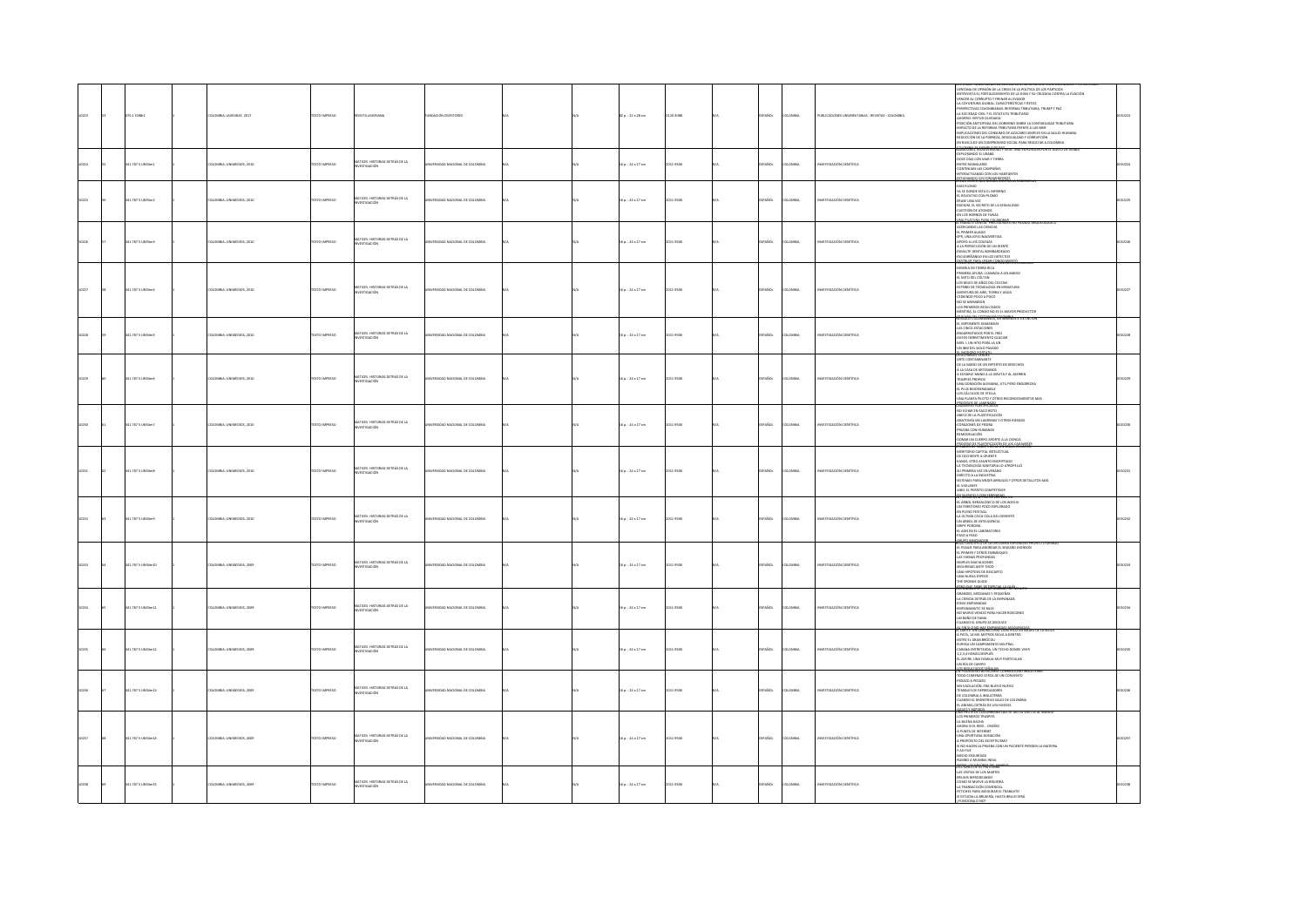| 10223 | 070.1 F288+1      | COLOMBIA: JAVEGRAF, 2017  | DZERNI OTXET          | <b>REVISTA JAVERIANA</b>                                | UNDACIÓN ESCRITORES                  |  | $2a:22x28$ cm           | 120-3088  | <b>PAROL</b> | <b>AIRMOJO</b> | PUBLICACIONES UNIVERSITARIAS - REVISTAS - COLOMBIA | VENTANA DE OPINIÓN DE LA CRISIS DE LA POLÍTICA DE LOS PARTIDOS<br>INTREVISTA EL FORTALECIMIENTO DE LA DIAN Y SU CRUZADA CONTRA LA EVACIÓN<br>-<br>VENCER AL CORRUPTO Y FRENAR AL EVASOR<br>-LA COYUNTURA GLOBAL: CARACTERÍSTICAS Y RETOS<br>PERSPECTIVAS COLOMBIANAS: REFORMA TRIBUTARIA, TRUMP Y PAZ<br>LA SOCIEDAD CIVIL Y EL ESTATUTO TRIBUTARIO<br>AHORRO: VIRTUD OLVIDADA<br>"HIMMIN". VHI UN UNITAINE SOBERINO SOBRE LA CONTABILIDAD TRIBUTARIA<br>-POSICIÓN ANTICIPADA DEL GOBIERNO SOBRE LA CONTABILIDAD TRIBUTARIA<br>-IMPLICACIONES DEL CONSUMO DE AZUCARES SIMPLES EN LA SALUD HUMANA<br>REDUCCIÓN DE LA POBREZA, DESIGUALDAD Y CORRUPCIÓN<br>EN BISCA DE UN COMPROMISO SOCIAL PARA RESCATAR A COLOMBIA |  |
|-------|-------------------|---------------------------|-----------------------|---------------------------------------------------------|--------------------------------------|--|-------------------------|-----------|--------------|----------------|----------------------------------------------------|--------------------------------------------------------------------------------------------------------------------------------------------------------------------------------------------------------------------------------------------------------------------------------------------------------------------------------------------------------------------------------------------------------------------------------------------------------------------------------------------------------------------------------------------------------------------------------------------------------------------------------------------------------------------------------------------------------------------|--|
| 10224 | 341.767 5 UNS4m1  | COLOMBIA: UNIMEDIOS, 2010 | <b>OZSRRINI OTX3T</b> | MATICES. HISTORIAS DETRÁS DE LA<br><b>INVESTIGACIÓN</b> | WATERIDAD NACIONAL DE COLOMBIA       |  | 16n:24×17cm             | 1011-950X | <b>PAROL</b> | <b>AIRMOJO</b> | WISTIGACIÓN CIENTÍFICA                             | EXPLORANDO EL URABÁ<br>-DOCE DÍAS CON MAR Y TIERRA<br>NONE DIVISION WAS CITED AND CONTINUES.<br>-ENTRE MANGLARES<br>-INTERACTUANDO CON LOS HABITANTES<br><b>ESTAR WERE CO-FORMATENTER LA RA</b>                                                                                                                                                                                                                                                                                                                                                                                                                                                                                                                    |  |
| 10225 | 41.767 S UNS4m2   | COMBIA: UNIMEDIOS, 2010   | <b>DZERNI OTXT</b>    | MATICES. HISTORIAS DETRÁS DE LA<br>NESTIGACIÓN          | VERSIDAD NACIONAL DE COLOMBIA        |  | 16a. : 24x17cm          | 11-9500   | PAÑOL        | LOMBIA         | VESTIGACIÓN CIENTÍFICA                             | <b>LIERR SWING GOL BURNICOLLUI</b><br>-NAS PLOMO<br>-YA SE DONDE ESTA EL INFIERNO<br>-EL REVOLTIJO CON PLOMO<br>-<br>- ÉRASE UNA VEZ<br>- RADIUM, EL SECRETO DE LA SEKUALIDAD<br>- CUESTIÓN DE ATOMOS<br>-CUESTION DE ATOMOS<br>-EN LOS HORNOS DE FUNZA<br>-LINA DE ATUNA PARA COLAZOR                                                                                                                                                                                                                                                                                                                                                                                                                             |  |
| 10226 | 141.767 5 UNS4m3  | DLOMBIA: UNIMEDIOS, 2010  | DZERNI OTXT           | MATICES. HISTORIAS DETRÁS DE LA<br>INVESTIGACIÓN        | MERSINAN NACIONAL DE COLOMBIA        |  | $16a : 24 \times 17$ cm | 011-950X  | <b>PAROL</b> | LOMBIA         | WESTIGACIÓN CIENTÍFICA                             | EL ESMALLE DEN IAL PRECISA I<br>-ACERCANDO LAS CIENCIAS<br>-EL PRIMER ALIADO<br>-EPR, UNA 30YA INADVERTIDA<br>-APOYO A LOS COLEGAS<br>-APUTO A LUS CULEWAS<br>-A LA PERSECUCIÓN DE UN DIENTE<br>-ESPUDRIÑANDO EN LOS DEFECTO<br>AGSTENT ENTAGETAN GENECINI                                                                                                                                                                                                                                                                                                                                                                                                                                                         |  |
|       | 41.767 S UNS4m4   | COMBIA: UNIMEDIOS, 2010   | OZERNI OTXT           | MATICES. HISTORIAS DETRÁS DE LA<br>INVESTIGACIÓN        | <b>FEUDAD NACIONAL DE COLOMBIA</b>   |  | $16a : 24 \times 17$ cm | 11-950X   | <b>PAROL</b> | Channa         | erstigande ciretire.                               | MISERIA EN TIERRA RICA<br>PRIMERA AYUDA: LLAMADA A UN AMIGO<br>EL MITO DEL COLTAN<br>-LAWING DEL COLIPAN<br>-ESTRIBO DE TECNOLOGÍA EN MINIAT<br>-AVENTURA DE AIRE, TIERRA Y AGUA<br>-NYENTURA DE AIRE, TERRA T ABOR<br>-EDERENDO POCO A POCO<br>-NO SE ANIMARON<br>-LOS PRIMEROS RESULTADOS<br>-MENTIRA, EL CONGO NO ES EL MAYOR PRODUCTOR                                                                                                                                                                                                                                                                                                                                                                         |  |
|       | 41.767 S UNS4m5   | COMBIA: UNIMEDIOS, 2010   | <b>DZERNI OTXT</b>    | MATICES, HISTORIAS DETRÁS DE LA<br><b>NVESTIGACIÓN</b>  | NERSIDAD NACIONAL DE COLOMBIA        |  | 16n:24×17cm             | 11-9500   | PAÑOL        | <b>AIRMOJ</b>  | VESTIGACIÓN CIENTÍFICA                             | .<br>IEVADOS COLOMBIANOS, EN INMINENTE EXTINCIÓ<br>EL IMPONENTE KUMANE<br>LAS CINCO ESTACIONES<br>-<br>- ENGARROTADOS POR EL FRÍO<br>- DATOS DERRETIMIENTO GLACIAR<br>- MIEL I, UN HITO PARA LA UN<br>UN IBM DEL SIGLO PASADO<br><b>ALUMODOMA CONTAK</b>                                                                                                                                                                                                                                                                                                                                                                                                                                                           |  |
|       | 341.767 S UNS4m6  | COMBIA: UNIMEDIOS, 2010   | OZERNI OTXT           | MATICES. HISTORIAS DETRÁS DE LA<br><b>ISTIGACIÓN</b>    | ERSIDAD NACIONAL DE COLOMBIA         |  | $16a : 24 \times 17$ cm | 11-9500   | PAÑOL        | <b>AIRMOJ</b>  | vestigación científica                             | ARTE CONTAMINANTE<br>OE LA MANO DE UN EXPERTO EN DESECHOS<br>A LA CASA DE ARTESANOS<br>A ECHARLE MANO A LA VIRUTA Y AL ASERRIN<br>-A ECHARLE MANO A LA VIRUTA Y AL ASERRIN<br>-TRASPIES PROPIOS<br>-LINA DONACIÓN ALEMANA, UTE, PERO ENGORROSA<br>-LINA DONACIÓN DE TELLA<br>-LINA PLANTA PILOTO Y OTROS RECONOCIMIENTOS N<br>-LINA PLANTA PILOTO Y OTROS RECONOCIMIENTOS N<br><b>CREATION PLANTERS</b>                                                                                                                                                                                                                                                                                                            |  |
| 10210 | 341.767 S UNS4m7  | DLOMBIA: UNIMEDIOS, 2010  | DZERNI OTXT           | MATICES. HISTORIAS DETRÁS DE LA<br>INVESTIGACIÓN        | INERSIDAD NACIONAL DE COLOMBIA       |  | $16a$ : 24 x 17 cm      | 011-950X  | <b>PAROL</b> | LOMBIA         | WISTIGACIÓN CIENTÍFICA                             | UNINVISTA PLASTITISADOS<br>-NBECE DE LA PLASTITICACIÓN<br>-NBECE DE LA PLASTITICACIÓN<br>-CORAZONES DE PIEDRA<br>-CORAZONES DE PIEDRA<br><b>CONDITION OF FUNDING<br/><i>PRIMERA CON HUMANOS</i></b><br>-DONAR UN CUERPO APORTE A LA CIENCIA                                                                                                                                                                                                                                                                                                                                                                                                                                                                        |  |
|       | 41.767 5 UNS4m8   | COMBIA: UNIMEDIOS, 2010   | EXTO IMPRESO          | MATICES. HISTORIAS DETRÁS DE LA<br>INVESTIGACIÓN        | <b>MERSINAD NACIONAL DE COLOMBIA</b> |  | 16 p.: 24 x 17 cm       | 11-9500   | PAÑOL        | owaw           | erstigación ciratítica                             | PROCESS OF BUSINESS OCTOBER OF CREATER<br>MERITORIO CAPITAL INTEL<br>-DE OCCIDENTE A ORIENTE<br><b>COLORADO DE MARCIA</b><br>-SU PRIMERA VEZ EN VERANO<br>-DIRECTO A LA INDUSTRIA<br>-SISTEMAS PARA MEDIR ARRUGAS Y OTROS DETALLITOS MAS<br>SISTEMAS PARA MEDIR ARROUAS T<br>ABO, EL PERRITO COMPETIDOR<br><del>CA RICELO DE CREATE CONDI</del> TION                                                                                                                                                                                                                                                                                                                                                               |  |
|       | 41.767 5 UNS4m9   | COMILA-LINEARTHOS 2010    | EXTO IMPRESO          | MATICES. HISTORIAS DETRÁS DE LA<br>INVESTIGACIÓN        | <b>FEUDAD NACIONAL DE COLOMBIA</b>   |  | $16a : 24 \times 17$ cm | 11-9500   | <b>AROL</b>  | was            | <b>METHOLOGICAL CHAMBUS</b>                        | -<br>LA ÚLTIMA COCA-COLA DEL DESIERTO<br>-UN ÁREOL DE INTELIGENCIA<br>GRIPE PORCINA<br><b>EL ADN EN EL LABORATORIO</b><br>PASO A PASO                                                                                                                                                                                                                                                                                                                                                                                                                                                                                                                                                                              |  |
|       | 11.767 S UNS4m10  | LOMBIA: UNIMEDIOS, 2005   | EXTO IMPRESO          | MATICES. HISTORIAS DETRÁS DE LA<br>INVESTIGACIÓN        | ERSIDAD NACIONAL DE COLOMBIA         |  | 16 p.: 24 x 17 cm       | 11-9500   | PAÑOL        | wax            | ersting<br><b>Surveyor</b>                         | EL PASAJE PARA ABORDAR EL SEWARD JHONSON<br>L PRIMER Y OTROS EMBARQUES<br><b>LAS FAENAS PROFUNDAS</b><br><b>SMPLES MACHUCONES</b><br>-SEGURIDAD ANTE TODO<br>-UNA HIPÓTESS DE DESCARTO<br>-UNA NUEVA ESPECIE<br>THE SPONGE GUIDE<br><b>6590001425656900001565</b>                                                                                                                                                                                                                                                                                                                                                                                                                                                  |  |
| 10214 | 341.767 S UNS4m11 | DLOMBIA: UNIMEDIOS, 2009  | <b>OZSRRINI OTX3T</b> | MATICES. HISTORIAS DETRÁS DE LA<br>INVESTIGACIÓN        | INERSIDAD NACIONAL DE COLOMBIA       |  | 16n:24×17cm             | 2011-050X | <b>PAROL</b> | <b>AIRMOJO</b> | WISTIGACIÓN CIENTÍFICA                             | ENVANAMATIC: 60 ENVANADAS PUR N<br>-GRANDES, MEDIANAS Y PEQUEÑAS<br>-GRADINGA DETRÁS DE LA EMPANADA<br>-DEAS EMPANADAS<br>-ENPANAMATIC SE IRAIO<br>NO MURIO VENCIO PARA HACER ROSCONES<br>UN BAÑO DE FAMA<br><b>UNIVERSITY OF TANK</b><br>CUANDO EL GRUPO SE DISOLVIO                                                                                                                                                                                                                                                                                                                                                                                                                                              |  |
|       | 41.767 S UNS4m12  | CMBLA-TRUMPTUCK 2009      | OZERNI OTXT           | MATICES. HISTORIAS DETRÁS DE LA<br>INVESTIGACIÓN        | <b>ESTAD NATIONAL DE COLOMBIA</b>    |  | 6a. : 24x17cm           | 11-9500   | a Sm         | was            |                                                    | <b><i><u>ELEMENTARY ENGINEERIN</u></i></b><br>A PATA, 14 MIL METROS SELVA A DENTRO<br>-A PATA, 14 MIL ME IRLO SELVA A MARIZA<br>-ENTRE EL GRAN BRÓCOLI<br>-EUREKA UN CAMPAMENTO NEUTRAL<br>-CARANA ENTRETEJIDA, UN TECHO DONDE VIVIR<br>-ARMAN ENTIRE EIGN<br>-2,2,3,4 HORAS DESPUÉS<br>-21,2,4 HORAS DESPUÉS<br>-21,2AFINE, UNA FAMILIA MUY PARTICULAR<br>-<br>-2N PERSIAURIS BOFACENSE CONMISCIONS  <br>-<br>- UN PERSIAURIS BOFACENSE CONMISCIONS                                                                                                                                                                                                                                                               |  |
|       | 11.767 5 UN54m13  | LOMBIA: UNIMEDIOS, 2009   | EXTO IMPRESO          | MATICES, HISTORIAS DETRÁS DE LA<br>INVESTIGACIÓN        |                                      |  | 6 p. : 24 x 17 cm       | 11-950X   | PAÑOL        |                |                                                    | -<br>TODO COMENZO CERCA DE UN C<br>PEDAZO A PEDAZO<br>-PEDATO A PEDATO<br>- SIN VACILACIÓN, ERA NUEVO NUEVO<br>- TEMBLES DE DEPREDADORES<br>- CLOCIONIA A INGLATERRA<br>- CUANDO EL MONSTRUO SALIO DE COLONBIA<br>- L'ANIMAL DETRÁS DE LOS HUESOS<br>- L'ANIMAL DETRÁS DE LOS HUESOS<br>- L'ANIMAL<br><b>AGE EXAMPLE PRODUCED</b>                                                                                                                                                                                                                                                                                                                                                                                  |  |
|       | 41.767 S UNS4m14  | DLOMBIA: UNIMEDIOS, 2009  | EXTO IMPRESO          | MATICES. HISTORIAS DETRÁS DE LA<br>INVESTIGACIÓN        | VERSIDAD NACIONAL DE COLOMBIA        |  | 16 p.: 24 x 17 cm       | 11-9500   | <b>PAÑOL</b> | LOMBIA         | WISTIGACIÓN CIENTÍFICA                             | LOS DEIMEROS TRASPET<br>LA BUENA RACHA<br>-<br>- ANORA SI EL REEE  DISEÑO<br>- A PUNTA DE INTERNET<br>-UNA OPORTUNA DONACIÓN<br>-UNA OPORTUNA DONACIÓN<br>- A PROPÓSITO DEL ESCEPTISIMO<br>- A PROPÓSITO DEL ESCEPTISIMO<br>- AFAS ITUE<br>- AUMEO A MUMBA! NOVA<br>- AUMEO A MUMBA! NOVA<br>- AUMEO A MUMBA! NOVA<br>- AUMEO A MUMBA! NOVA<br>- AUMEO A MUMBA! NOVA                                                                                                                                                                                                                                                                                                                                               |  |
|       | 341.767 S UNS4m15 | LOMBIA: UNIMEDIOS, 2009   | OZSRRNI OTX3          | MATICES. HISTORIAS DETRÁS DE LA<br>INVESTIGACIÓN        | <b>FEUDAD NACIONAL DE COLOMBIA</b>   |  | $16a : 24 \times 17$ cm | 1.05m     | stra         | was            |                                                    | 4RUJOS MERODEANDO<br>COMO SE MUEVE LA BRUIERÍA<br>-LA TRANSACCIÓN COMERCIAL<br>-FETICHES PARA ASEGURAR EL TRABAJITO<br>-SI ESTUDIA LA BRUIERÍA, HASTA BRUJO SERÁ<br>INDONA O NO?                                                                                                                                                                                                                                                                                                                                                                                                                                                                                                                                   |  |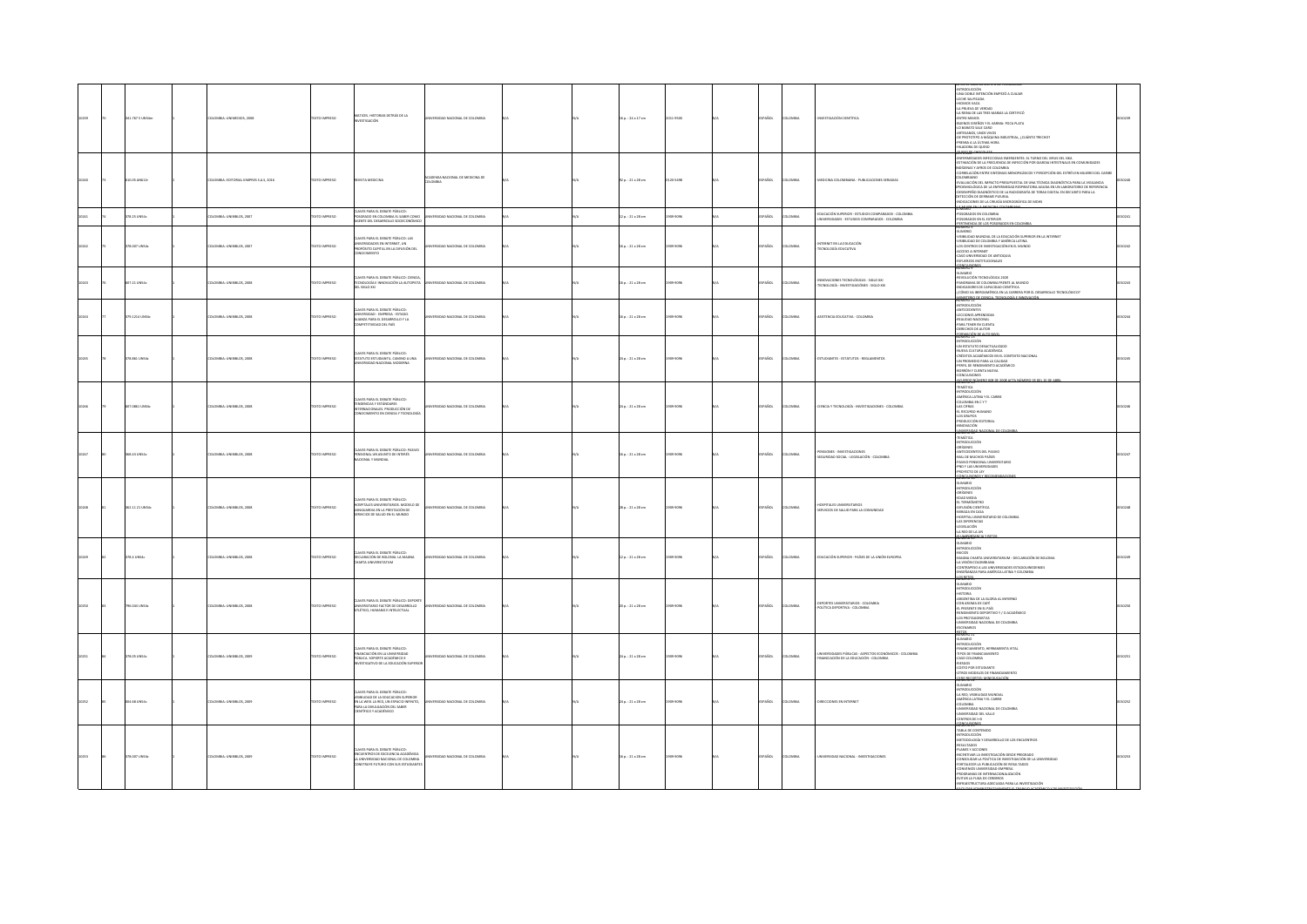|       | 1.767 S UNS4m     | MILA: UNIMEDIOS, 200                | TO IMPRESO          | MATICES, HISTORIAS DETRÁS DE LA<br><b>ESTIGACIÓN</b>                                                                                                                       |                               |  | $p. : 24 \times 17$ cm   |          |                                 |                                                                                                      | -INTRODUCCIÓN<br>-UNA DOBLE INTENCIÓN EMPEZÓ A CUAIAR<br>-UNA DOUE INTENCIÓN EMPEZÓ A CUANA<br>- LECENIS VACA<br>- LECENIS VACA<br>- LECENIS VACA<br>- LECENIS VACA<br>- LECENIS DES ROS Y EL SAMAIAS LA CERTIFICÓ<br>- LEVENS DES ROS Y EL SAMAIA NOGLE POCA PATA<br>- LEVENS DES ROS Y EL SAMAI<br>- MERICA A<br>NDUSTRAL, ¿CUÁNTO TRECHO)<br>OZIUD 10 ARODAJIH-<br>numan a                                                                                                                                                       |  |
|-------|-------------------|-------------------------------------|---------------------|----------------------------------------------------------------------------------------------------------------------------------------------------------------------------|-------------------------------|--|--------------------------|----------|---------------------------------|------------------------------------------------------------------------------------------------------|-------------------------------------------------------------------------------------------------------------------------------------------------------------------------------------------------------------------------------------------------------------------------------------------------------------------------------------------------------------------------------------------------------------------------------------------------------------------------------------------------------------------------------------|--|
|       | 0.05 AN612        | MILA: EDITORIAL KIMPRES S.A.S, 2016 | EXTO IMPRESO        | VISTA MEDICINA                                                                                                                                                             | DEMIA NACIONAL DE MEDICINA DE |  | $p.:21\times28$ cm       | 20-5498  | PAÑOL<br><b>DLOMBIA</b>         | VEDICINA COLOMBIANA - PUBLICACIONES SERIADAS                                                         | EMITAMENT SURE DE MONDERNE DE MARIA DE 1999 DE 1999 DE 1999.<br>1999 FRANCIA DE MARIA DE MARIA DE MARIA DE 1999 DE 1999 DE 1999 DE COMUNIDADES<br>1995 FRANCIA DE MARIA DE MARIA DE MARIA DE MARIA DE MARIA DE COMUNIDADES<br>COMUNACIÓ<br>EFIDEMICLÓGICA DE LA EMFERMEDAD RESPIRATORIA AGUDA EN UN LABORATORIO DE REFERENCIA<br>-DESEMPEÑO DIAGNÓSTICO DE LA RADIOGRAFÍA DE TORAX DIGITAL EN DECUBITO PARA LA<br>DETECCIÓN DE DERRAME PLEURAL<br>-INDICACIONES DE LA CIRUGÍA MICROGRÁFICA DE MOHS                                  |  |
|       | 78.25 UNS4c       | LOMBIA: UNIBIBLOS, 2007             | OZSRRNI OTX3        | CLAVES PARA EL DEBATE PÚBLICO:<br>OSCRADO EN COLOMBIA EL SABER COMO<br>GENTE DEL DESARROLLO SOCIECONÓMICO                                                                  | INTRIDAD NACIONAL DE COLOMBIA |  | $20.121 + 28$ cm         | 09-9095  | <b>PAÑOL</b><br>LOMBIA          | EDUCACIÓN SUPERIOR - ESTUDIOS COMPARADOS - COLOMBIA<br>NIVERSIDADES - ESTUDIOS COMPARADOS - COLOMBIA | SUMARIO<br>-<br>POSGRADOS EN COLOMBIA<br>- POSGRADOS EN EL EXTERIOR<br>PERTINENCIA DE LOS POSGRADOS EN COLOMBI                                                                                                                                                                                                                                                                                                                                                                                                                      |  |
|       | 18.007 UNS4c      | OMBA: UNIBIBLOS, 2007               | EXTO IMPRESO        | WES PARA EL DEBATE PÚBLICO: LAS<br>UNIVERSIDADES EN INTERNET, UN<br>PROPÓSITO CAPITAL EN LA DIFUSIÓN DEL<br>CONOCIMIENTO                                                   | SIDAD NACIONAL DE COLOMBIA    |  | $p. : 21 \times 28$ cm   | 03-9090  | PAÑOL                           | INTERNET EN LA EDUCACIÓN<br>TECNOLOGÍA EDUCATIVA                                                     | <b>NOMINO PRODUCTION CONSUMER SECURITIES</b><br><b>SUMBIUS CONSULTANT AND CONSUMER PRODUCT</b><br>ANIMIDAD MUNICIPAL VAMERICALISMS<br>ANIMIDAD DE COLOMBIA VAMÉRICALISMS<br>CALCED A INTENSE<br>CALCED A INTENSE<br>COLOMPICION DE ANIMOLOGICAL<br>CALCED CON<br><b>CONCLUSIONES</b>                                                                                                                                                                                                                                                |  |
|       | 07.21 UNS4c       | COMBIA: UNIBIBLOS, 2008             | <b>DZERNI OTXT</b>  | AVES PARA EL DEBATE PÚBLICO: CIENCIA<br>TECNOLOGÍA E INNOVACIÓN LA AUTOPISTA<br>DOLO 200                                                                                   | ERSIDAD NACIONAL DE COLOMBIA  |  | $a:21 \times 28$ cm      | 09-9096  | PAÑOL<br><b>OMBIA</b>           | MNOVACIONES TECNOLÓGICAS - SIGLO XXI<br>TCNOLOGÍA - INVESTIGACIÓNES - SIGLO XXI                      | <b>SUMARIO</b><br>REVOLUCIÓN TECNOLÓGICA 2020<br>PANORAMA DE COLOMBIA FRENTE AL MUNDO<br>INDICADORES DE CAPACIDAD CIENTÍFICA<br>- CÓMO VA ISERDAMÉRICA EN LA CARRERA POR EL DESARROLLO TECNOLÓGICO?<br>MINISTERIO DE CIENCIA, TECNOLOGÍA E INNOVACIÓ<br>NUMERO 12                                                                                                                                                                                                                                                                   |  |
|       | 9.1214 UNS4       | DMBIA: UNIBIBLOS, 2008              | <b>IXTO IMPRESO</b> | AVES PARA EL DEBATE PÚBLICO:<br>UNIVERSIDAD - EMPRESA - ESTADO.<br>NUANZA PARA EL DESARROLLO Y LA<br>COMPETITIVIDAD DEL PAÍS                                               | IDAD NACIONAL DE COLOMBIA     |  | $p. : 21 \times 28$ cm   | 09-9090  | <b>AÑOL</b><br>usu              | SISTENCIA EDUCATIVA - COLOMBIA                                                                       | NUMBED 12<br>- ANTECEDENTS<br>- ANTECEDENTS<br>- REALIDAD NACIONAL<br>- PARA TENER EN CUENTA<br>- OERECHOS DE AUTOR<br>-<br>ORMACIÓN DE ALTO NIN                                                                                                                                                                                                                                                                                                                                                                                    |  |
|       | 78.851 UNS4c      | DLOMBIA: UNIBIBLOS, 2008            | DZER IMPRESO        | LAVES PARA EL DEBATE PÚBLICO:<br>ESTATUTO ESTUDIANTIL, CAMINO A UNA<br>VERSIDAD NACIONAL MODERNA                                                                           | ERSIDAD NACIONAL DE COLOMBIA  |  | $a:21 \times 28$ cm      | 003-0095 | SPAÑOL<br><b>LOMBIA</b>         | ESTUDIANTES - ESTATUTOS - REGLAMENTOS                                                                | NUMERO 23<br>-UN ESTATUTO DESACTUALIZADO<br>-NUEVA CULTURA ACADÉMICA<br>-<br>CRÉDITOS ACADÉMICOS EN EL CONTEXTO NACIONAL<br>-UN PROMEDIO PARA LA CALIDAD<br>-PERFIL DE RENDIMIENTO ACADÉMICO<br>-BORRÓN Y CUENTA NUEVA<br>-CONCLUSIONES                                                                                                                                                                                                                                                                                             |  |
|       | <b>0861 UNS4</b>  | LOMBIA: UNIBIBLOS, 2008             | YTO IMPERSO         | AVES PARA EL DEBATE PÚBLICO:<br>CLAVES PARA EL UEBAI E PUBANA<br>TENDENCIAS Y ESTÁNDARES<br>INTERNACIONALES, PRODUCCIÓN DE<br>CONOCIMIENTO EN CIENCIA Y TECNOL             | RSIDAD NACIONAL DE COLOMBIA   |  | $4 p. : 21 \times 28$ cm | 13-3090  | PAÑOL<br>oway                   | <b>JENCIA Y TECNOLOGÍA - INVESTIGACIONES - COLOMBIA</b>                                              | AGMERS 15<br>TEMATICA<br>-TEIMAIND<br>- AMERICA LATINA Y EL CARIBE<br>- CALOMBIA EN CYT<br>- CALOMBIA<br>- CALOMBIA<br>- CALOMBIA<br>- CALOMBIA<br>- CALOMBIA<br>- CALOMBIA<br>- CALOMBIA<br>- CALOMBIA<br>- CALOMBIA<br>- CALOMBIA<br><b>INVESTO</b>                                                                                                                                                                                                                                                                               |  |
|       | 68.43 UNS4c       | LOMBIA: UNIBIBLOS, 2008             | EXTO IMPRESO        | LAVES PARA EL DEBATE PÚBLICO: PASIVO<br><b>ENSONAL UN ASUNTO DE INTERÉS</b><br>ACIONAL Y MUNDIAL                                                                           | RSIDAD NACIONAL DE COLOMBIA   |  | $p.:21\times28$ cm       | 09-9096  | PAÑOL<br><b>MAGIN</b>           | ENSIONES - INVESTIGACIONES<br>EGURIDAD SOCIAL - LEGISLACIÓN - COLOMBIA                               | <b>NUMBER 1999</b><br>- REMAINDANCING<br>- ANTRONACCION<br>- CHARGE CONSTRUCT SOME<br>- ANNO PERSONAL UNIVERSITATION<br>- PROVI LAS UNIVERSIDADES<br>- PROVI LAS UNIVERSIDADES<br>- PROVI LAS UNIVERSIDADES<br>- PROVI LAS UNIVERSIDADES<br>- PROVI LUIVINGUR                                                                                                                                                                                                                                                                       |  |
| 10248 | 162.11 21 UNS4c   | DLOMBIA: UNIBIBLOS, 2008            | EXTO IMPRESO        | LAVES PARA EL DEBATE PÚBLICO:<br>HOSPITALES UNIVERSITARIOS. MODELO D<br>VANGUARDIA EN LA PRESTACIÓN DE<br>ERVICIOS DE SALUD EN EL MUNDO                                    | ERSIDAD NACIONAL DE COLOMBIA  |  | $16a:21 \times 28$ cm    | 003-0095 | SPAÑOL<br><b>LOMBIA</b>         | <b>PITALIS LINIMERITABIOS</b><br>ERVICIOS DE SALUD PARA LA COMUNIDAD                                 | LIMERO 19                                                                                                                                                                                                                                                                                                                                                                                                                                                                                                                           |  |
|       | <b>78.4 UNS4c</b> | <b>BOOK 20 IRVINE - AURAD IO</b>    | DZER BRAND          | AVES PARA EL DEBATE PÚBLICO-<br>DECLARACIÓN DE BOLONIA, LA MAGNA<br>CHARTA UNIVERSITATUM                                                                                   | FEUDAD NACIONAL DE COLOMBIA   |  | $20.121 \times 28$ cm    | 003-0095 | <b>SPAÑOL</b><br><b>DLOMBIA</b> | FOUCACIÓN SUPERIOR - RAÍSES DE LA UNIÓN FUROREA                                                      | NUMERO 28<br>-SUMARIO<br>-INTRODUCCIÓN<br>-INICIOS<br>-WALION<br>-MAUSA CHARTA UNIVERSITABIUM - DECLARACIÓN DE BOLONIA<br>-LA VISSÓN COLOMBINA<br>-CONTRAPESO A LAS UNIVERSIDADES ESTADOUINEDENSES<br>-ENSEÑANZAS PARA AMÉRICA LATINA Y COLOMBIA<br>-ENSEÑANZAS PARA AMÉRICA LATINA Y COLOMBIA                                                                                                                                                                                                                                      |  |
|       | 96.043 UNS4c      | LOMBIA: UNIBIBLOS, 2008             | EXTO IMPRESO        | AVES PARA EL DEBATE PÚBLICO: DEPORT<br>INERSITARIO FACTOR DE DESARROLLO<br>LÉTICO, HUMANO E INTELECTUAL                                                                    | RSIDAD NACIONAL DE COLOMBIA   |  | 0 p. : 21 x 28 cm        | 03-9096  | PAÑOL<br>MBV                    | DEPORTES UNIVERSITARIOS - COLOMBIA<br>POLÍTICA DEPORTIVA - COLOMBIA                                  | <b>ACRAELES</b><br>SUMARIO<br>-INTRODUCCIÓN<br>-HISTORIA<br>-ARGENTINA DE LA GLORIA AL INFIERNO<br>-EL PRESENTE EN EL PAÍS<br>-EL PRESENTE EN EL PAÍS<br>-RENDIMIENTO DEPORTIVO Y / O ACADÉMICO<br>-LOS PROTAGONISTAS<br>UNIVERSIDAD NACIONAL DE COLOMBIA<br>ESCENARIOS                                                                                                                                                                                                                                                             |  |
|       | 378.05 UNS4c      | COMBIA: UNIBIBLOS, 2009             | DZER IMPRESO        | LAVES PARA EL DEBATE PÚBLICO:<br>FINANCIACIÓN EN LA UNIVERSIDAD<br>PÚBLICA: SOPORTE ACADÉMICO E<br>INVESTIGATIVO DE LA EDUCACIÓN SUPERI                                    | ERSIDAD NACIONAL DE COLOMBIA  |  | $4a. : 21 \times 28$ cm  | 003-0095 | SPAÑOL<br><b>DLOMBIA</b>        | NIVERSIDADES PÚBLICAS - ASPECTOS ECONÓMICOS - COLOMBIA<br>INANCIACIÓN DE LA EDUCACIÓN - COLOMBIA     | SUMARIO<br>-INTRODUCCIÓN<br><b>FINANCIAMIENTO, HERRAMIENTA VITAL</b><br>-FINANCIAMIENTO, HERRANIENTA VITAL<br>-TIPOS DE FINANCIAMIENTO<br>-CASO COLOMBIA<br>-RIESGOS<br>-COTROS MODELOS DE FINANCIAMIENTO                                                                                                                                                                                                                                                                                                                           |  |
|       | 04.68 UNS4c       | LOMBIA: UNIBIBLOS, 2009             | CTO IMPRESO         | CLAVES PARA EL DEBATE PÚBLICO:<br>VISIBILIDAD DE LA EDUCACION SUPERIOR<br>EN LA WEB. LA RED, UN ESPADO ININITO,<br>PARA LA DIVULGACIÓN DEL SABER<br>CIENTÍFICO Y ACADÉMICO | SIDAD NACIONAL DE COLOMBIA    |  | 4 p. : 21 x 28 cm        | 03-9090  | PAÑOL<br><b>OMBV</b>            |                                                                                                      | <b>GIRAMUS</b><br>-NORMAL<br>- ANTRODUCCIÓN<br>- AMÉRICA LATINA Y EL CARIBE<br>-NIMENIUM TEL CARINE<br>- COLOMNIA<br>- UNIVERSIDAD NACIONAL DE COLOMNIA<br>- UNIVERSIDAD DEL VALLE<br>- CENTROS DE 1+D<br>GREGUESONE                                                                                                                                                                                                                                                                                                                |  |
|       | 378.007 UNS4c     | LOMBIA: UNIBIBLOS, 2009             | EXTO IMPRESO        | VES PARA EL DEBATE PÚBLICO:<br>ENELLY MON EL DEBRIT POBLICO.<br>LA UNIVERSIDAD NACIONAL DE COLOMBIA<br>CONSTRUYE FUTURO CON SUS ESTUDIANTE                                 | ERSIDAD NACIONAL DE COLOMBIA  |  | 6 p. : 21 x 28 cm        | 09-9096  | SPAÑOL<br><b>DLOMBIA</b>        | NIVERSIDAD NACIONAL - INVESTIGACIONES                                                                | TABLA DE CONTENDO<br>-INTRODUCCIÓN<br>-METODOLOGÍA Y DESARROLLO DE LOS ENCUENTROS<br>-RESULTADOS<br>-FILANS Y ACCIONES<br>-FILANS Y ALCOCNES<br>-NAMES I ACCIONES<br>-INCENTIVAR LA INVESTIGACIÓN DESDE PREGRADO<br>-CONSOLIDAR LA POLÍTICA DE INVESTIGACIÓN DE LA UNIVERSIDAD<br>FORTALECER LA PUBLICACIÓN DE RESULTADOS<br>-CONVENIOS UNIVERSIDAD-EMPRESA<br>-PROGRAMAS DE INTERNACIONALIZACIÓN<br>-<br>EVITAR LA FUGA DE CEREBROS<br>-INFRAESTRUCTURA ADECUADA PARA LA INVESTIGACIÓN<br>I PAS APARAITEATUARRETE EL TEASA IN ACAP |  |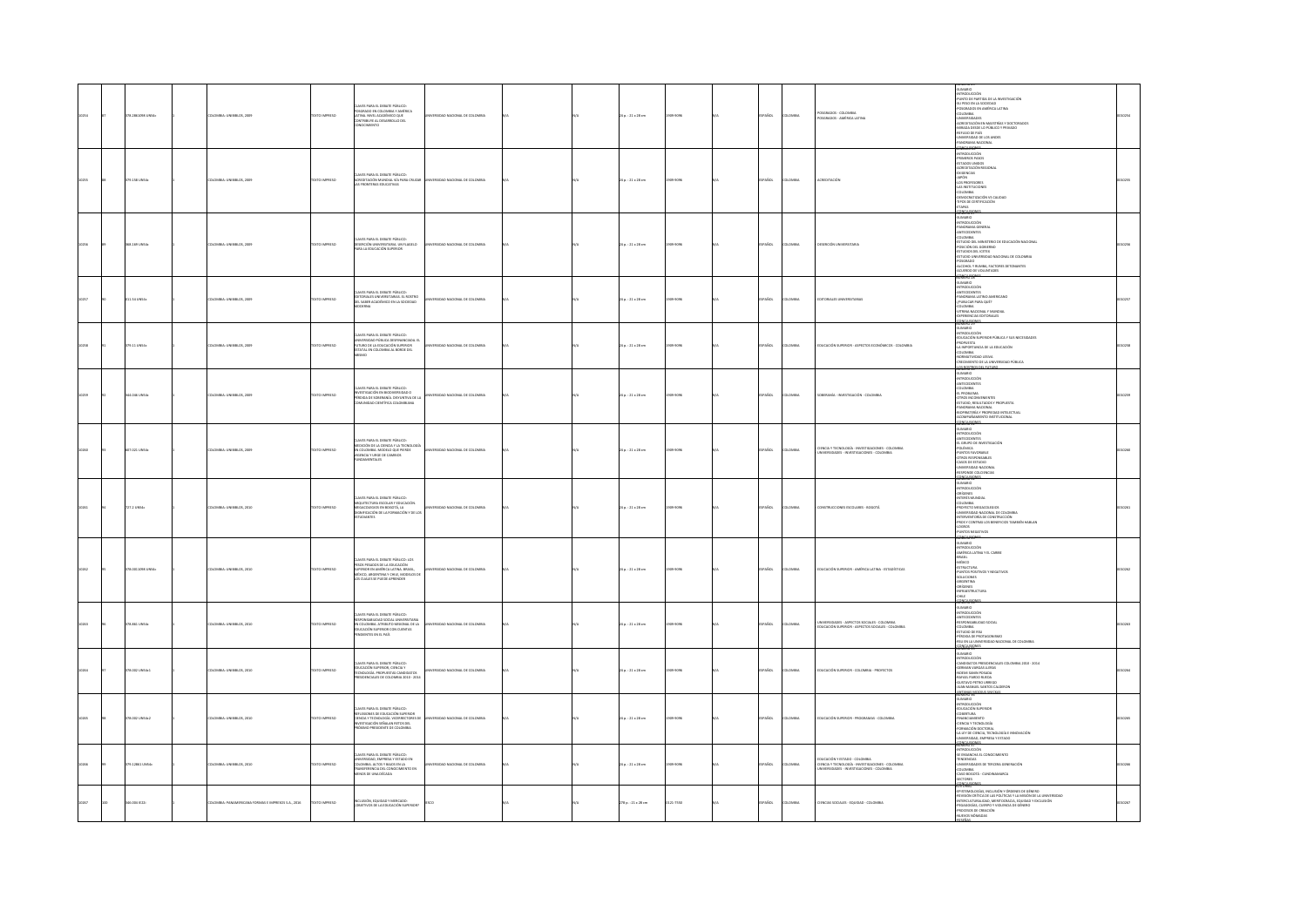|  | 78.2861098 UNS4c | 10MBA: UNIBIBLOS, 2009                           | EXTO IMPRESO       | CLAVES PARA EL DEBATE PÚBLICO:<br>POSGRADO EN COLOMBIA Y AMÉRICA<br>LATINA, NIVEL ACADÉMICO QUE<br>CONTRIBUYE AL DESARROLLO DEL<br>CONOCIMIENTO                                                     | RSIDAD NACIONAL DE COLOMBIA         |  | 24 p. : 21 x 28 cm      | 309-9095 | <b>SPAÑOL</b> | <b>LOMBIA</b> | POSGRADOS - COLOMBIA<br>POSGRADOS - AMÉRICA LATINA                                                                               | HUMMON<br>-INTRODUCCIÓN<br>-PUNTO DE PARTIDA DE LA INVESTIGACIÓN<br>-SU PESO EN LA SOCIEDAD<br>POSGRADOS EN AMÉRICA LATINA<br>COLOMBIA<br>-UNIVERSIDADES<br>VINTHAMINING<br>AURENTADÓN EN MAESTRÍAS Y DOCTORADOS<br>AMIRADA DESDE LO PÚBLICO Y PRIVADO<br>AERTLED DE PAÍS<br>-<br>PANDRAMA NACIONAL<br>PANDRAMA NACIONAL<br>PANDRAMA NACIONAL<br>NGHI R <sup>u</sup>                                                     |  |
|--|------------------|--------------------------------------------------|--------------------|-----------------------------------------------------------------------------------------------------------------------------------------------------------------------------------------------------|-------------------------------------|--|-------------------------|----------|---------------|---------------|----------------------------------------------------------------------------------------------------------------------------------|--------------------------------------------------------------------------------------------------------------------------------------------------------------------------------------------------------------------------------------------------------------------------------------------------------------------------------------------------------------------------------------------------------------------------|--|
|  | 9.158 UN54c      | <b>LOMBIA: UNIBIBLOS, 2009</b>                   | <b>CTO IMPRESO</b> | CLAVES PARA EL DEBATE PÚBLICO:<br>ACREDITACIÓN MUNDIAL VÍA PARA CRUZAI<br>LAS FRONTERAS EDUCATIVAS                                                                                                  | IDAD NACIONAL DE COLOMBI            |  | 24 p. : 21 x 28 cm      | 509-9096 | AÑOL          | LOMBIA        |                                                                                                                                  | -INTRODUCCIÓN<br>-PRIMEROS PASOS<br>-ESTADOS UNIDOS<br>ESTADOS MINOS<br>COGENECIAS<br>- LOG PROFESCRIES<br>- LOS PROFESCRIES<br>- LOS PROFESCRIES<br>- LOS PROFESCRIES<br>- LOGO PROFESCRIES<br>- LOGO PROFESCRIES<br>- LOGO PROFESCRIES<br>- LOGO PROFESCRIES<br>- LOGO PROFESCRIES<br>- LOGO PROFESCRIES<br>WENUTZ                                                                                                     |  |
|  | 168.169 UNS4c    | <b>ILOMBIA: UNIBIBLOS, 2009</b>                  | EXTO IMPRESO       | CLAVES PARA EL DEBATE PÚBLICO:<br>DESERCIÓN UNIVERSITARIA, UN FLAGELO<br>PARA LA EDUCACIÓN SUPERIOR                                                                                                 | ERSIDAD NACIONAL DE COLOMBIA        |  | 24 p. : 21 x 28 cm      | 309-9096 | SPAÑOL        | LOMBIA        | <b>ESERCIÓN UN</b>                                                                                                               | -<br>SUMARIO<br>-INTRODUCCIÓN<br>-<br>SANDOLOGION<br>- CALOMBA<br>COLOMBA<br>COLOMBA<br>COLOMBA<br>- COLOMBA<br>- COLOMBA<br>- COLOMBA<br>- COLOMBA<br>- COLOMBA<br>- COLOMBA<br>- ACLOHDO DE VOLUNTADES<br>- ACLOHDO DE VOLUNTADES<br>- ACLOHDO DE VOLUNTADES<br>- ACLOHDO DE VOLUNTADES<br>-                                                                                                                           |  |
|  | 11.54 UN54c      | LOMBIA: UNIBIBLOS, 2009                          | DZERNI OTX3        | CLAVES PARA EL DEBATE PÚBLICO:<br>EDITORIALES UNIVERSITARIAS. EL ROSTRO<br>DEL SABER ACADÉMICO EN LA SOCIEDAD<br>CRNA                                                                               | <b>ERSIDAD NACIONAL DE COLOMBIA</b> |  | 24 p. : 21 x 28 cm      | 509-9095 | PAÑOL         | LOMBIA        | TORIALES UNIVERSITARIAS                                                                                                          | <b>GIRAMUS</b><br><b>INTRODUCCIÓN</b><br>ANTECEDENTES<br>PANORAMA LATINO AMERICANO<br>PUBLICAR PARA QUÉ?<br>-COLOMBIA<br>-VITRINA NACIONAL Y MUNDIAL<br>-EXPERENCIAS EDITORIALES<br><b>COLLISIONS</b>                                                                                                                                                                                                                    |  |
|  | 179.11 UNS4c     | DLOMBIA: UNIBIBLOS, 2009                         | EXTO IMPRESO       | oves papa el penate público-<br>LIAVES PARA EL DEBATE PUBLICO:<br>UNIVERSIDAD PÚBLICA DESFINANCIADA<br>FUTURO DE LA EDUCACIÓN SUPERIOR<br>ESTATAL EN COLOMBIA AL BORDE DEL<br>inana r<br><b>GMO</b> | <b>FEUDAD NACIONAL DE COLOMBIA</b>  |  | $24a : 21 \times 28$ cm | 303-3095 | SPAÑOL        | <b>LOMBIA</b> | <b>PRICACIÓN SUPERIOR - ASPECTOS PCONÓMICOS - COLOMBIA</b>                                                                       | -SUMARIO<br>-RETRODUCCIÓN<br>-EDUCACIÓN SUPERIOR PÚBLICA Y SUS NECESIDADES<br>-PROPUESTA<br>-LA IMPORTANCIA DE LA EDUCACIÓN<br>.<br>Commatividad lesiya<br>CRECIMENTO DE LA UNIVERSIDAD PÚBLICA<br><b>MERCERS DR. FUTURO</b>                                                                                                                                                                                             |  |
|  | 44.046 UNS4c     | <b>ILOMBIA: UNIBIBLOS, 2009</b>                  | EXTO IMPRESO       | res para el debate público:<br>Stigación en biodiversidad o<br>Xia de soberanía, disyuntiva de la<br>Ninidad científica colombiana                                                                  | ERSIDAD NACIONAL DE COLOMBIA        |  | 24 p. : 21 x 28 cm      | 309-9095 | SPAÑOL        | LOMBA         | OBERANÍA - INVESTIGACIÓN - COLOMBIA                                                                                              | <b>MARIO</b><br>SUMMID<br>ANTECIDENTES<br>CLOMBIA<br>LE PROBUMA<br>CLOMBIA<br>CLOMBIA NACIONAL<br>STUDIO, RESULTADOS Y PROPUESTA<br>PANDORAMA NACIONAL<br>PANDORAMA NACIONAL<br>ACOMPAÑAMENTO INSTITUCIONAL<br>ACOMPAÑAMENTO INSTITUCIONAL<br>ACOMPAÑAMENTO INSTITUCIONAL                                                                                                                                                |  |
|  | 07.021 UNS4c     | 10MBIA: UNIBIBLOS, 2009                          | EXTO IMPRESO       | LAVES PARA EL DEBATE PÚBLICO:<br>MEDICIÓN DE LA CIENCIA Y LA TECNOLOGÍA<br>EN COLOMBIA: MODELO QUE PIERDE<br>VIGENCIA Y URGE DE CAMBIOS<br><b>JAMENTALES</b>                                        | FISIDAD NACIONAL DE COLOMBIA        |  | 24 p. : 21 x 28 cm      | 309-9095 | SPAÑOL        | LOMBIA        | JENCIA Y TECNOLOGÍA - INVESTIGACIONES - COLOMBIA<br>JNIVERSIDADES - INVESTIGACIONES - COLOMBIA                                   | <b>SMERGEST</b><br>-SUMARIO<br>-INTRODUCCIÓN<br>-INTRODUCION<br>- EL GRUPO DE INVESTIGACIÓN<br>- POLÍMICA<br>- PUNTOS FANORABLE<br>- ONDO SILE ESTURIO<br>- UNIVESIGAD NACIONAL<br>- ASSO DE ESTURIO<br>-<br>- PERFUISIOND RACIONAL<br>-<br>- PERFUISIOND RACIONAL<br>-<br>- PERFUISIOND RACIONAL<br>CONFILISIONE                                                                                                        |  |
|  | 27.2 UNS4c       | 10MBA: UNIBIBLOS, 2010                           | DZERRIO INTE       | AVES PARA EL DEBATE PÚBLICO:<br>NANNA FREG NA MARÍ E FUBLICO:<br>ARQUITECTURA ESCOLAR Y EDUCACIÓN.<br>DIGNIFICACIÓN DE LA FORMACIÓN Y DE LOS<br>CIANTES                                             | ERSIDAD NACIONAL DE COLOMBIA        |  | 24 p. : 21 x 28 cm      | 309-9095 | SPAÑOL        | LOMBIA        | ONSTRUCCIONES ESCOLARES - BOGOTÁ                                                                                                 | MONIMITY<br>- SUMMID<br>- ORIGENES<br>- ORIGENES<br>- MUSEUM<br>- SUMMIDIO MACCONAL DE COLOMBIA<br>- FRONT VYSIGENES - ORIGENESCO<br>- SUMMISIOND MACONAL DE COLOMBIA<br>-<br>- SUSPAY VYSIGER DE COLOMBIA<br>- SUSPAY VYSIGER DE COLOMBIA<br>PROS Y CONTRAS LOS BENEFICIOS TAMBIÉN HABLAN<br>XGROS<br>JINTOS NEGATIVOS                                                                                                  |  |
|  | 78.0011098 UN54c | 10MBA: UNIBIBLOS, 2010                           | <b>DZERRI OTXT</b> | AVES PARA EL DEBATE PÚBLICO: LOS<br>PESOS PESADOS DE LA EDUCACIÓN<br>SUPERIOR EN AMÉRICA LATINA, BRASIL,<br>MÉXICO, ARGENTINA Y CHILE, MODELOS DE<br>OS CUALES SE PUEDE APRENDER                    | ERSIDAD NACIONAL DE COLOMBIA        |  | 24 p. : 21 x 28 cm      | 309-9095 | SPAÑOL        | <b>LOMBA</b>  | EDUCACIÓN SUPERIOR - AMÉRICA LATINA - ESTADÍSTICAS                                                                               | <b>MEMPER</b><br>NUMMED<br>- SUMARIO<br>- SUMARIO LATINA Y EL CARIBE<br>- SIMAGIL<br>- SUMACO<br>- SUMACTURA<br>- SUMATINIS<br>- SUMATINIS<br>- SUMATINIS<br>SOLUCIONES<br>-ARGENTINA<br>-ORÍGENES<br>-NERAESTRUCTURA<br>-CHILE<br>CONCLUSIO                                                                                                                                                                             |  |
|  | 78.861 UNS4c     | COMBIA: UNIBIBLOS, 2010                          | <b>XTO IMPRESO</b> | VES PARA EL DEBATE PÚBLICO:<br>ESPONSABILIDAD SOCIAL UNIVERSITARIA<br>EN COLOMBIA. ATRIBUTO MISIONAL DE LA<br>EDUCACIÓN SUPERIOR CON CUENTAS<br>NOIENTES EN EL PAÍS                                 | <b>ERSIDAD NACIONAL DE COLOMBIA</b> |  | 24 p. : 21 x 28 cm      | 309-9096 | <b>SPAÑOL</b> | LOMBIA        | UNIVERSIDADES - ASPECTOS SOCIALES - COLOMBIA<br>EDUCACIÓN SUPERIOR - ASPECTOS SOCIALES - COLOMBIA                                | NUMERO SA<br>-SUMARIO<br>-ANTECEDENTES<br>-<br>-RESPONSABILIDAD SOCIAL<br>-COLOMBIA<br>-PÉRDIDA DE PROTAGONISMO<br>45U EN LA UNIVERSIDAD NACIONAL DE COLOMBIA<br><b>GRIELISONES</b>                                                                                                                                                                                                                                      |  |
|  | 8.002 UNS4c1     | LOMBIA: UNIBIBLOS, 2010                          | <b>CTO IMPRESO</b> | CLAVES PARA EL DEBATE PÚBLICO:<br>EDUCACIÓN SUPERIOR, CIENCIA Y<br>TECNOLOGÍA. PROPUESTAS CANDIDATOS<br>PRESIDENCIALES DE COLOMBIA 2010 - 2014                                                      | SIDAD NACIONAL DE COLOMBIA          |  | 24 p. : 21 x 28 cm      | 109-9096 | PAÑOL         | owaw          | DUCACIÓN SUPERIOR - COLOMBIA - PROYECTOS                                                                                         | $\begin{tabular}{l} &\textbf{S} \textbf{C} \textbf{M} \textbf{N} \textbf{N} \textbf{N} \textbf{N} \textbf{N} \textbf{N} \textbf{N} \textbf{N} \textbf{N} \textbf{N} \textbf{N} \textbf{N} \textbf{N} \textbf{N} \textbf{N} \textbf{N} \textbf{N} \textbf{N} \textbf{N} \textbf{N} \textbf{N} \textbf{N} \textbf{N} \textbf{N} \textbf{N} \textbf{N} \textbf{N} \textbf{N} \textbf{N} \textbf{N} \textbf{N} \textbf{N} \$ |  |
|  | 78.002 UN54c2    | 10MBA: UNIBIBLOS, 2010                           | EXTO IMPRESO       | AVES PARA EL DEBATE PÚBLICO:<br>REFLEXIONES DE EDUCACIÓN SUPERIOR<br>CIENCIA Y TECNOLOGÍA, VICERRECTORES DI<br>INVESTIGACIÓN SEÑALAN RETOS DEL<br>ANNO PRESIDENTE DE COLOMBIA                       | ERSIDAD NACIONAL DE COLOMBIA        |  | 24 p. : 21 x 28 cm      | 309-9095 | SPAÑOL        | LOMBIA        | EDUCACIÓN SUPERIOR - PROGRAMAS - COLOMBIA                                                                                        | SUMARIO<br>-INTRODUCCIÓN<br>-EDUCACIÓN SUPERIOR<br>-COBERTURA<br>-FINANCIAMIENTO<br>CIENCIA Y TECNOLOGÍA<br>-FORMACIÓN DOCTORAL<br>-LA LEY DE CIENCIA, TECNOLOGÍA E INNOVACIÓN                                                                                                                                                                                                                                           |  |
|  | 12861 UN54c      | LOMBIA: UNIBIBLOS, 2010                          | TO IMPRESO         | CLAVES PARA EL DEBATE PÚBLICO:<br>UNIVERSIDAD, EMPRESA Y ESTADO EN<br>COLOMBIA. ALTOS Y BAJOS EN LA<br>TRANSFERENCIA DEL CONOCIMIENTO EN<br>MENOS DE UNA DÉCADA                                     | IDAD NACIONAL DE COLOMBIA           |  | 24 p. : 21 x 28 cm      | 03-9096  | w.            | .<br>MBA      | educación y estado - colombia<br>Ciencia y tecnología - investigaciones - colombia<br>Universidades - investigaciones - colombia |                                                                                                                                                                                                                                                                                                                                                                                                                          |  |
|  | 6.004 (22)       | OMBIA: PANAMERICANA FORMAS E IMPRESOS S.A., 2016 | DZERRAI OT         | .<br>INCLUSIÓN, EQUIDAD Y MERCADO:<br>¿OBJETIVOS DE LA EDUCACIÓN SUPERIOR?                                                                                                                          |                                     |  | 278 p. : 21 x 28 cm     | 121-7550 | AÑOL          | <b>COMBIA</b> | IENCIAS SOCIALES - EQUIDAD - COLOMBIA                                                                                            | ONCLUSIONES<br>CREATED TO PRETTING WORLDWID 24 DO LORES<br>-EPISITENGLOWAS, INCLUSION T UNDERES DE GENERU<br>-REVISIÓN CRÍTICA DE LAS POLÍTICAS Y LA MISIÓN DE LA UNIVERSIDAD<br>-RYERICULTURALIDAD, MERITOCRACIA, EQUIDAD Y EXCLUSIÓN<br>-PEGAGOGÍAS, CUERPO Y VIOLENCIA DE GÉNERO<br>-PROCESOS DE CREACIÓN<br>NUEVOS NÓMADAS                                                                                           |  |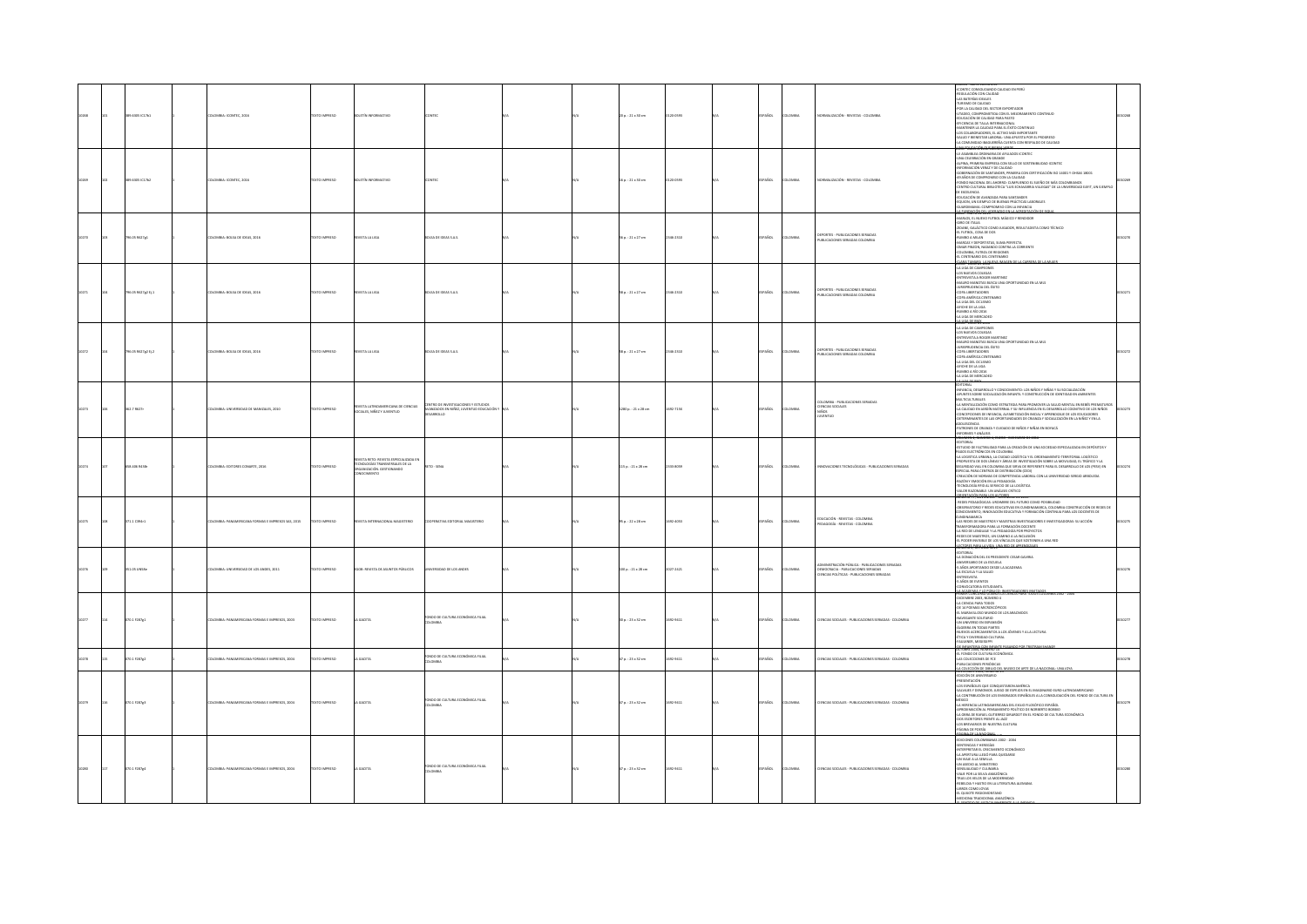|                | 89.6305 (C17b1     | LOMBIA: ICONTEC, 2016                           | <b>EXTO IMPRESO</b> |                                                                                                                           |                                                                                                       |  | 0 p. : 21 x 30 cm        | 00-05/23 | PAÑOL         | <b>OMBIA</b>  | VORMALIZACIÓN - REVISTAS - CO                                                                                                                                         |                                                                                                                                                                                                                                                                                                                                                                                                                                                                                                                                                                                                                                                                                                              |  |
|----------------|--------------------|-------------------------------------------------|---------------------|---------------------------------------------------------------------------------------------------------------------------|-------------------------------------------------------------------------------------------------------|--|--------------------------|----------|---------------|---------------|-----------------------------------------------------------------------------------------------------------------------------------------------------------------------|--------------------------------------------------------------------------------------------------------------------------------------------------------------------------------------------------------------------------------------------------------------------------------------------------------------------------------------------------------------------------------------------------------------------------------------------------------------------------------------------------------------------------------------------------------------------------------------------------------------------------------------------------------------------------------------------------------------|--|
|                | 89.6305 IC17b2     | LOMBIA: ICONTEC, 2016                           | <b>DZERNI OTXT</b>  | LET İN IN                                                                                                                 |                                                                                                       |  | 16 p.: 21 x 30 cm        | 120-0593 | SPAÑOL        | LOMBIA        | NORMALIZACIÓN - REVISTAS - COLOMBIA                                                                                                                                   | LE ASAMBLEA ORDINARIA DE AFILIADOS ICONTEC<br>-UNA CELEBRACIÓN EN GRANDE<br>-ALPINA, PRIMERA EMPRESA CON SELLO DE SOSTENIBILIDAD ICONTEC<br>INFORMACIÓN VERAZ Y DE CALIDAD<br>-GOBERNADÓN DE SANTANDER, PRIMERA CON CERTIFICADÓN ISO 14001 Y OHSAS 18001<br>-49 AÑOS DE COMPROMISO CON LA CALIDAD<br>-<br>FONDO NACIONAL DEL AHORRO: CUMPUENDO EL SUEÑO DE MÁS COLOMBIANOS<br>- CENTRO CULTURAL BIBLIOTECA "LUIS ECHAVARRIA VILLEGAS" DE LA UNIVERSIDAD EART, UN EIEMPLO<br>DE EXEELENCIA<br>EDUCACIÓN DE AVANZADA PARA SANTANDER<br>EQUION, UN EJEMPLO DE BUENAS PRÁCTICAS LABORALES<br>ARDIMAMA: COMPROMISO CON LA INFANCIA<br><b>ALL TRANSVERSE AREA ACCEPTED</b>                                         |  |
| 0270           | 196.05 R627g1      | DLOMBIA: BOLSA DE IDEAS, 2016                   | TEXTO IMPRESO       | IVISTA LA LIGA                                                                                                            | BOLSA DE IDEAS S.A.S.                                                                                 |  | 56 p. : 21 x 27 cm       | 346-2310 | <b>SPAÑOL</b> | LOMBIA        | DEPORTES - PUBLICACIONES SERIADAS<br>PUBLICACIONES SERIADAS COLOMBIA                                                                                                  | MARLOS, EL NUEVO FUTBOL MÁGICO Y RENDIDOR<br>GIRO DE ITALIA<br>ZIDANE, GALÁCTICO COMO JUGADOR, RESULTADISTA COMO TÉCNICO<br>-EL FUTBOL, COSA DE DOS<br>-RUMBO A MILAN<br>-MARCAS Y DEPORTISTAS, SUMA PERFECTA<br>-OMAR PINZON, NADANDO CONTRA LA CORRENTE<br>-COLOMBIA, FUTBOL DE REGIONES<br>CENTENARIO DEL CENTENARIO<br>CLARK TANARIA LA SETTIVA INSA                                                                                                                                                                                                                                                                                                                                                     |  |
|                | 96.05 R627g2 tj.1  | OMBIA: BOLSA DE IDEAS, 2016                     | EXTO IMPRESO        | ASTA LA LIGA                                                                                                              | OLSA DE IDEAS S.A.S.                                                                                  |  | 58 p. : 21 x 27 cm       | 146-2310 | <b>AÑOL</b>   | OMBIA         | deportes - publicaciones seriadas<br>Publicaciones seriadas colombia                                                                                                  |                                                                                                                                                                                                                                                                                                                                                                                                                                                                                                                                                                                                                                                                                                              |  |
|                | 196.05 R627g2 tj.2 | 300 2410 10 4210 4210 000                       | DZER BRAND          | <b>WSTA LA LIGA</b>                                                                                                       | THE R OF STARS CAR                                                                                    |  | 58 p.: 21 x 27 cm        | 346-2310 | <b>SPAÑOL</b> | Chang         | FROETES - PUBLICACIONES SEBIADA<br>PUBLICACIONES SERIADAS COLOMBIA                                                                                                    | " OS NUEVOS COLEGAS<br>-ENTREVISTA A ROGER MARTINEZ<br>-MAURO MANOTAS BUSCA UNA OPORTUNIDAD EN LA MLS<br>-<br>-<br>-<br>-<br>-<br>COPA LIBERTADORES<br>-<br>COPA AMÉRICA CENTENARIO<br>-LOPA AMERICA LENTER<br>-LA LIGA DEL CICLISMO<br>-AROHE DE LA LIGA<br>-RUMBO A RÍO 2016<br>LA LIGA DE MERCADEC                                                                                                                                                                                                                                                                                                                                                                                                        |  |
|                | 62.7 R627          | IMBIA: UNIVERSIDAD DE MANIZALES, 2010           | DZERNI OTX3         | IEVISTA LATINOAMERICANA DE CIENCIAS<br>IOCIALES, NIÑEZ Y JUVENTUD                                                         | CENTRO DE INVESTIGACIONES Y ESTUDIOS<br>AVANZADOS EN NIÑEZ, JUVENTUD EDUCACIÓN Y<br><b>DESARROLLO</b> |  | 280 p. : 21 x 28 cm      | 092-715X | PAÑOL         | <b>OMBIA</b>  | COLOMBIA - PUBLICACIONES SERIADAS<br>- DENCIAS SOCIALES<br>- NIÑOS<br><b>JUVENTUO</b>                                                                                 | EDITORIAL<br>-INFANCIA, DESARROLLO Y CONOCIMIENTO: LOS NIÑOS Y NIÑAS Y SU SOCIALIZACIÓN<br>-APUNTES SOBRE SOCIALIZACIÓN INFANTIL Y CONSTRUCCIÓN DE IDENTIDAD EN AMBIENTES<br>MULTICULTURALES<br>-LA MENTALIZACIÓN COMO ESTRATEGIA PARA PROMOVER LA SALUD MENTAL EN BEBÉS PREMATUROS<br>LA CALIDAD EN JARDÍN MATERNAL Y SU INFLUENCIA EN EL DESARROLLO COGNITIVO DE LOS NIÑOS<br>-CONCEPCIONES DE INFANCIA, ALFABETIZACIÓN INICIAL Y APRENDIZAIE DE LOS EDUCADORES<br>-DETERMINANTES DE LAS OPORTUNIDADES DE CRIANZA Y SOCIALIZACIÓN EN LA NIÑEZ Y EN LA<br>OLESCENCIA.<br>PATRONES DE CRIANZA Y CUIDADO DE NIÑOS Y NIÑAS EN BOYACÁ<br>-INFORMES Y ANÁLISIS<br>VOLUMEN 4, NUMENU 4, ENERU - UKJENIBRE DE 2016 |  |
|                | 18.405 R418r       | OMBIA: EDITORES CONARTE, 2016                   | EXTO IMPRESO        | <b>ASTA RETO: REVISTA ESPECIALIZADA E</b><br>TECNOLOGÍAS TRANSVERSALES DE LA<br>ORGANIZACIÓN, GESTIONANDO<br>CONOCIMIENTO | ETO - SENA                                                                                            |  | 115 p.: 21 x 28 cm       | 111-1059 | Acc.          | oway          | VACIONES TECNOLÓGICAS - PUBLICACIONES SERIADAS                                                                                                                        | -EDITORIAL<br>-ESTUDIO DE FACTIBILIDAD PARA LA CREACIÓN DE UNA SOCIEDAD ESPECIALIZADA EN DEPÓSITOS Y<br>-STADIO DE FACTIBILIDAD PARA AX PARACION DE UNA SOCIEDAD ESPECANZARA EN DEPOSITOS Y<br>PAGOS ELECTRÓNICOS EN COLOMBIA A CADA ELECTRÓNICA EN ELECTRÓNICA (LOGÍSTICO A 1993)<br>- PROPUESTA UTORANA, A VICIDAD LOGÍSTICA Y EL OBSERVAT<br>CREACIÓN DE NORMAS DE COMPETENCIA LABORAL CON LA UNIVERSIDAD SERGIO ARBOLEDA<br>-RAZÓN Y EMOCIÓN EN LA PEDAGOGÍA<br>-TECNOLOGÍA RFID AL SERVICIO DE LA LOGÍSTICA<br>-VALOR RAZONABLE: UN ANÁLISIS CRÍTICO<br>UNHKSYY NOVINABLE BERMAR DE 2015                                                                                                                |  |
|                | I71.1 C394r1       | MBIA: PANAMERICANA FORMAS E IMPRESOS SAS, 2015  | CO IMPRESO          | ORTA INTERNACIONAL MAGISTERIO                                                                                             | <b>STRATIVA FOITORIAL MAGISTERIO</b>                                                                  |  | $50.122 \times 28$ cm    | 032-4053 | <b>PAÑOL</b>  | <b>COMBIA</b> | .<br>Educación - Revistas - Colombia<br>Pedagogía - Revistas - Colombia                                                                                               | NUMERO 77, NOVIEMBRE - GICEMBRE DE 2015<br>- REDES PEDAGÓGICAS: URBIMBRE DEL FUTURO COMO POSIBULIDAD<br>- OBSERVATORIO Y REDES EDUCATIVAS EN CUNDINAMARCA, COLOMBIA CONSTRUCCIÓN DE REDES DE<br>CONICINAMARCA<br>CUNDINAMARCA<br>CUNDINAMARCA<br>CARDINAMICA (ASSIMOS Y MAESTROS INVESTIGADORES E INVESTIGATIVA (ASSIMOS PARA LA DIENTACIÓN DOCENTE<br>1. AS EUCES DE MAESTROS PARA LA DIENTACIÓN DOCENTE<br>1. A REO DE LINGUAR Y LA PEDADACÍA DOR PROYECTOS<br>2. A PODER NAESEROS, U<br>ADORES E INVESTIGADORAS: SU ACCIÓN                                                                                                                                                                                |  |
| $\overline{m}$ | 51.05 UNSTe        | LOMBIA: UNIVERSIDAD DE LOS ANDES, 2011          | DZERNI OTXET        | EGOB: REVISTA DE ASUNTOS PÚBLICOS                                                                                         | UNIVERSIDAD DE LOS ANDES                                                                              |  | 100 p.: 21 x 28 cm       | 027-2421 | SPAÑOL        | LOMBIA        | ADMINISTRACIÓN PÚBLICA - PUBLICACIONES SERIADAS<br>DEMOCRACIA - PUBLICACIONES SERIADAS<br>NOLKALIA - POINTLANDING JERMAIN<br>NOIAS POLÍTICAS - PUBLICACIONES SERIADAS | -EDITORIAL<br>-LA DONACIÓN DEL EX PRESIDENTE CESAR GAMRIA<br><b>JA DONGON DEL EX PRESIDENTE CESAR GA<br/>ANVERSARIO DE LA ESCUELA<br/>5 AÑOS APORTANDO DESDE LA ACADEMIA<br/>4 AÑOS APORTANDO DESDE LA ACADEMIA<br/>4 AÑOS DE EVIVITAS<br/>5 AÑOS DE EVIVITAS<br/>4 AÑOS DE EVIVITAS<br/>5 AÑOS DE EVIVITAS DE DESDIA POR</b>                                                                                                                                                                                                                                                                                                                                                                                |  |
|                | 0.11287g1          | MAERICANA FORMAS E IMPRESOS, 2003               | O IMPRESO           | GACETA                                                                                                                    | 4DO DE CULTURA ECONÓMICA FILIAL<br><b>DLOMBIA</b>                                                     |  | 0 p.: 23 × 32 cm         |          | AROL          | um.           | VCIAS SOCIALES - PUBLICACIONES SERIADAS - COLOMBIA                                                                                                                    | PRIMER CUNCIDED LEARNS LA CIENCIA PARA I<br>- CACENDER PARA TODOS<br>- CA CIENCIA PARA TODOS<br>- DE 14 POEMAS MICROSCÓPICOS<br>- EL MARAVILLOSO MUNDO DE LOS ARACNIDOS<br>CIRATIZES STMADSHA<br>THE EMISTERS OF A FROM SIDE<br>ALGEBRA EN TODAS PARTES<br>-NUEVOS ACERCAMIENTOS A LOS JÓVENES Y A LA LECTURA<br>-NUEVOS ACERCAMIENTOS A LOS JÓVENES Y A LA LECTURA<br>-FAULKNER, MISSISSIPPI                                                                                                                                                                                                                                                                                                                |  |
|                | ro.1 r287g2        | .<br>MBIA: PANAMERICANA FORMAS E IMPRESOS, 2004 | CTO IMPRESO         | A GACETA                                                                                                                  | CRISIO DE CULTURA ECONÓMICA EL 181<br>LOMBIA                                                          |  | p.: 23 x 32 cm           | 22:0411  | .<br>Scc      | .<br>Danma    | INCIAS SOCIALES - PUBLICACIONES SERIADAS - COLOMBIA                                                                                                                   | <b>E INFANTERIA CON INFANT</b><br>CTI IREF 2004 NI IMFRO 14<br>. IUBRE 2004, NUMERU 14<br>. FONDO DE CULTURA ECONÓMICA<br>15 COLECCIONES PERIÓDICAS<br>JBLICACIONES PERIÓDICAS<br>A COSECOÓN DE DIBUIO DEL M<br>OE ARTE DE LA NA                                                                                                                                                                                                                                                                                                                                                                                                                                                                             |  |
|                | 070.1 F287g1       | MILIA: PANAMERICANA FORMAS E IMPRESOS, 2004     | EXTO IMPRESO        | GACETA                                                                                                                    | NDO DE CULTURA ECONÓMICA FILIAL<br>MBIA                                                               |  | 47 p.: 23 x 32 cm        | 092-9411 | <b>SPAÑOL</b> | LOMBIA        | DENCIAS SOCIALES - PUBLICACIONES SERIADAS - COLOMBIA                                                                                                                  | <b>HOPMAN TON WORKING</b><br><b>FUILOR DE ANVIRSANO</b><br>FUILOR DE ANVIRSANO<br>445 ESPAÑOIS QUE CONQUISTARON AMÉRICA<br>SA CONTRIBUICÓN DE LOS EMERIADOS ESPAÑOLES A LA CONSOLIDACIÓN DEL PONDO DE OUTURA E<br>SA CONTRIBUICÓN DE LOS EMERIADOS ESPA<br>-M.<br>THERMAN CHARLES AND MANUAL AN AUTOMOBILISM, INDIA<br>ARRIENCE ANNOUNCE AND INTERNATIONAL AND ANNOUNCE AND APPROXIMATED FOR<br>APRIMINATION AC PRESSURENT DISPIES ON ENDRENT DISPIES<br>APRIMINATION AND CULTURE AND ASSAULTED AND A<br>ENART JAA' NOON                                                                                                                                                                                     |  |
|                | 2011128764         | LOMBIA: PANAMERICANA FORMAS E IMPRESOS, 2004    | <b>OZSRRI OTXT</b>  | A GACETA                                                                                                                  | I'ONDO DE CULTURA ECONÓMICA FILIAL<br>COLOMBIA                                                        |  | $470. : 23 \times 32$ cm | 032-0411 | SPAÑOL        | <b>AIRMOJ</b> | CIENCIAS SOCIALES - PUBLICACIONES SERIADAS - COLOMBIA                                                                                                                 | EDICIONES COLOMBIANAS 2002 - 2004<br>-SENTENCIAS Y HEREGÍAS<br>INTERPRETAR EL CRECIMIENTO ECONÓMICO<br>LA APERTURA LLEGÓ PARA QUEDARSE<br>ALIMIS ALA SUN WU-<br>-<br>UN ASEDIO AL MINISTERIO<br>-SENSUALIDAD Y CULINARIA<br>-VIAIE POR LA SELVA AMAZÓNICA<br>-<br>TRAS LOS VELOS DE LA MODERNIDAD<br>-REBELDIA Y HASTIO EN LA LITERATURA ALEMANA<br>-LIBROS COMO JOYAS<br>EL QUEOTE REGIOMONTANO<br>-MEDICINA TRADICIONAL AMAZÓNICA                                                                                                                                                                                                                                                                          |  |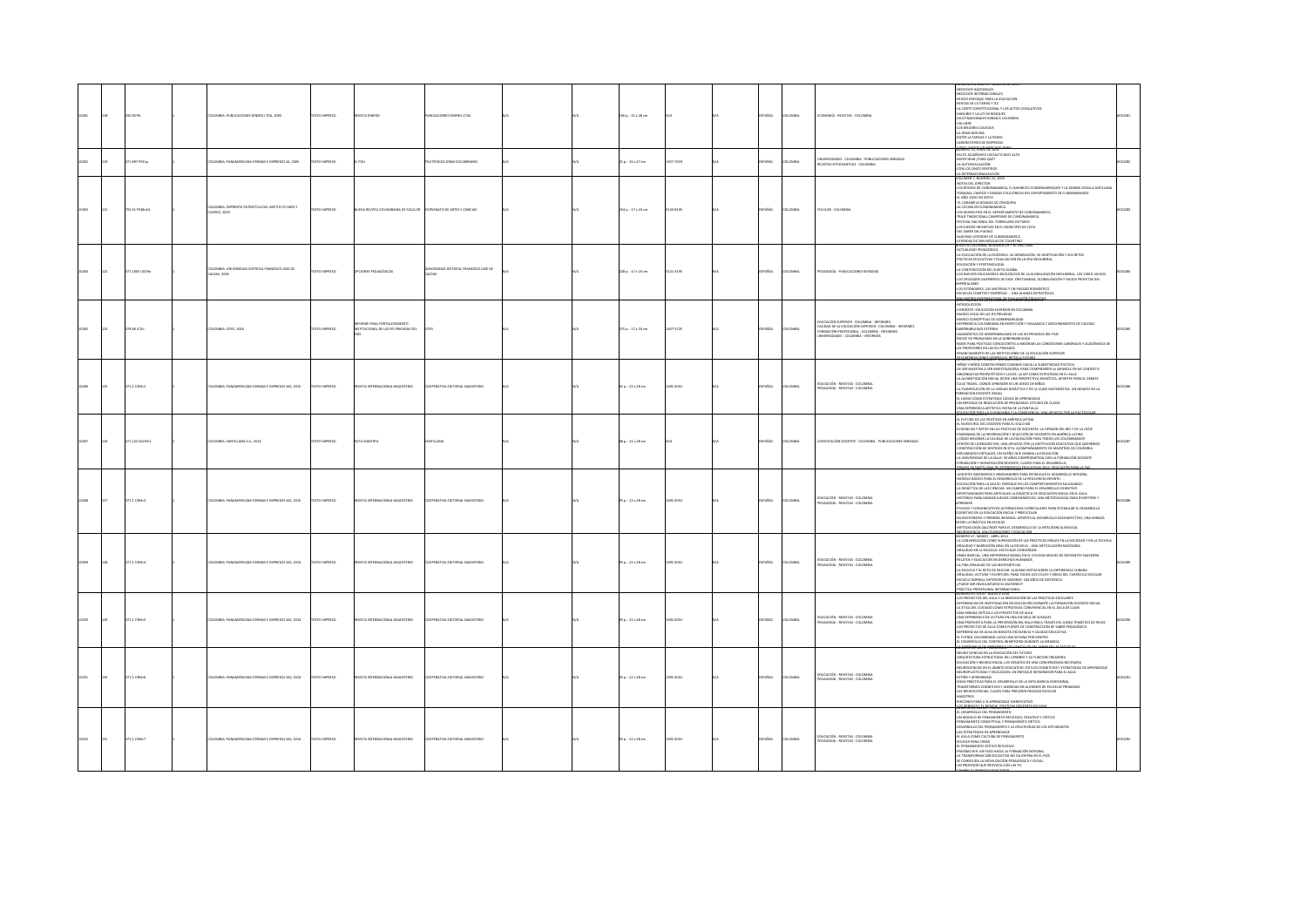|  | 0 R279r        | LOMBIA: PUBLICACIONES DIVERO LTDA, 2005                         | <b>XTO IMPRESO</b>   | CA3HO ATZV3                                                         | <b>BLICACIONES DINERO LTDA</b>      |  | $106$ p. : $21 \times 28$ cm |           | PAÑOL         | <b>LOMBIA</b>  | ECONOMÍA - REVISTAS - COLOMBIA                                                                                                                                               | MERU 232 MNU 11 - JU<br>GOCIOS NACIONALES<br>NEGOCIOS INTERNACIONALES<br>NUEVO ENFOQUE PARA LA EDUCACIÓN<br>RENTAS DE LA TIERRA Y TLC<br>LA CORTE CONSTITUCIONAL Y LOS ACTOS LEGISLATIVOS<br>-DANUBIO Y LA LEY DE BOSQUES<br>-MULTINACIONALES MIRAN A COLOMBIA<br>VÍA LIBRE<br>4.05 MEIORES COLEGIOS<br>4.A GRAN MOVIDA<br>ENTRE LA ESPADA Y LA PARED<br>BORATORIOS DE EMPRESAS<br><b>LINEO LURGOS LIN MERCAD</b><br>IÚMERO 12, JUNIO DE 2005                                                                                                                                                                                                                                                                                                                                                                                                               |  |
|--|----------------|-----------------------------------------------------------------|----------------------|---------------------------------------------------------------------|-------------------------------------|--|------------------------------|-----------|---------------|----------------|------------------------------------------------------------------------------------------------------------------------------------------------------------------------------|-------------------------------------------------------------------------------------------------------------------------------------------------------------------------------------------------------------------------------------------------------------------------------------------------------------------------------------------------------------------------------------------------------------------------------------------------------------------------------------------------------------------------------------------------------------------------------------------------------------------------------------------------------------------------------------------------------------------------------------------------------------------------------------------------------------------------------------------------------------|--|
|  | 71.897 PS31p   | COMBIA: PANAMERICANA FORMAS E IMPRESOS SA. 2005                 | <b>OZSRRAI OTX</b>   | L POLI                                                              | DLITÉCNICO GRAN COLOMBIANO          |  | 11a. : 20x27cm               | 657-7019  | SPAÑOL        | <b>DLOMBIA</b> | INIVERSIDADES - COLOMBIA - PUBLICACIONES SERIADAS<br><b>EVISTAS ESTUDIANTILES - COLOMBIA</b>                                                                                 | SALTO ACADÉMICO UN SALTO MUY ALTO<br>(NVESTIGAR / PARA QUÉ?<br>LA AUTOEVALUACIÓN<br>CON LOS CINCO SENTIDOS<br><u>A INTERNACIONALIZACIÓN</u><br>DLUMEN 7, NÚMERO 22, 2001                                                                                                                                                                                                                                                                                                                                                                                                                                                                                                                                                                                                                                                                                    |  |
|  | 93.31 P348n24  | LOMBIA: IMPRENTA PATRIÓTICA DEL INSTITUTO CARO Y<br>JERVO, 2003 | TO IMPRESO           | ANA DE FOLCLO<br>EVA REVISTA COLOM                                  | <b>ONATO DE ARTES Y CIENCIAS</b>    |  | 54 p.: 17 x 24 cm            | 120-8195  | AÑDL          | OMBV           | <b>DLCLOR - COLOMBI</b>                                                                                                                                                      | VOLUMEY, VAUMEN 23, 2003<br>400 March 2001 (2003) 2004 - 11 BAMBUCO CURDINAMIRGUES Y LA BUMBA CRIGLIA ARTILANA<br>400 March 2001 (2003) PARCH 201 LA BAMBUCO CURDINAMIRGUES Y LA BUMBA<br>41 AÑO VIED EN VOTA<br>14 AGOARD DESADO DE JEMEN<br>-LOS MUNICIPIOS EN EL DEPARTAMENTO DE CUNDINAMARCA<br>TRAJE TRADICIONAL CAMPESINO DE CUNDINAMARCA<br>FESTIVAL NACIONAL DEL TORBELLINO EN TABIO<br>LOS JUEGOS INFANTILES EN EL MUNICIPIO DE COTA<br>OF SAMP OF RUNG<br><b>GINAS IFYENDAS DE CUNDINAMARCA</b><br>LEYENDAS DE SAN NICOLAS DE TOLEN                                                                                                                                                                                                                                                                                                               |  |
|  | 1.1005 UD19o   | OMBIA: UNIVERSIDAD DISTRITAL FRANCISCO JOSE DE<br>LDAS, 2004    | XTO IMPRESO          | PCIONES PEDAGÓGICAS                                                 | ERSIDAD DISTRITAL FRANCISCO JOSE DE |  | 228 p.: 17 x 24 cm           | 121-4195  | PAÑOL         | <b>OMBV</b>    | DAGOGÍA - PUBLICACIONES SERIADA                                                                                                                                              | ermai inan ernandoira<br>EVALUACIÓN DE LA DOCENCIA. SU GENERACIÓN, SU ADJETIVACIÓN Y SUS RETOS<br>-JA FUNLINDÓN DE JA DOCENCIA: SU GENERACIÓN, EU AGIETIVACIÓN Y SUS RETOS<br>-POLÍTICAS EDUCATIVAS Y EVALUACIÓN EN LA ERA RECUBERAL<br>-EU CACACIÓN Y BYSTEMACIÓN<br>-LA CONSTRUCIÓN DEL SULFIO GLOBAL<br>-LOS CRUZADOS GUERRENOS DE DIOS:<br><b>CRIALISMO</b><br>-LOS ESTÁNDARES. LAS MATERIAS Y UN PASADO ROMÁNTICO<br>ESCUELAS CHARTER Y EMPRESAS  UNA ALIANZA ESTRATÉGICA                                                                                                                                                                                                                                                                                                                                                                              |  |
|  | <b>BASICIS</b> | <b>COMBIA: ICFES. 2004</b>                                      | CTO IMPRESO          | <b>GMF FINAL ECRTALFCIMENTO</b><br>TUCIONAL DE LAS IES PRIVADAS DEI |                                     |  | 15 p.: 17 x 24 cm            | 7-5725    | a Smi         | was            | educación superior - Colombia - Informes<br>Caurad de la Educación superior - Colombia<br>Crimación profesional - Colombia - Informes<br>JNIVERSIDADES - Colombia - Informes | -INTRODUCCIÓN<br>CONTEXTO: EDUCACIÓN SUPERIOR EN COLOMBIA<br>MARCO LIGAL DE LAS IES PRIVADAS<br>MARCO CONCEPTUAL DE GOBERNABLIDAD<br>EXPERENCIA COLOMBIANA EN INSPECCIÓN Y VIGILANCIA Y ASEGURAMENTO DE CALIDAD:<br>ASFENASI IDAD FYTFINA<br>UHERINHAIGULIN EXI EINIM<br>-DINENCETICO DE GOBERNABLIDAD DE LAS IES PRIVADAS DEL PAÍS<br>-ÍNDEC DE PROBLEMAS EN LA GOBERNABLIDAD<br>-BASES PARA POLÍTICAS CONDUCENTES A MEIORAR LAS CONDICIONES LABORALES Y ACADÉMICAS DE<br>LOS PROFESORES EN LAS IES PRIVADAS<br>FINANCIAMIENTO DE LAS INSTITUCIONES DE LA EDUCACIÓN SUPERIOR                                                                                                                                                                                                                                                                               |  |
|  | 1.1 C394r2     | LOMBIA: PANAMERICANA FORMAS E IMPRESOS SAS, 2015                | TO IMPRESO           | <b>ISTA INTE</b><br>NACIONAL MAGISTERIO                             | FRATIVA FOSTORIAL MAGISTERIO        |  | 2 p.: 22 x 28 cm             | 22-4053   | PAÑOL         |                | DUCACIÓN - REVISTAS - COLOMBIA<br>DAGOGÍA - REVISTAS - COLOMBIA                                                                                                              | <b>RECONDIDAD NESSEE TALIS ARTES A FITIAN</b><br>-NIÑAS Y NIÑOS CONSTRUYENDO CAMINOS HACIA LA SUBJETIVIDAD POLÍTICA<br>OE SER MAESTRA A SER INVESTIGADORA: PARA COMPRENDER LA INFANCIA EN MI CONTEXTO<br>ARGONAUTAS PERIPATÉTICOS Y LOCOS: LA IAP COMO ESTRATEGIA EN EL AULA<br>-LA ALFABETIZACIÓN INICIAL DESDE UNA PERSPECTIVA SEMIÓTICA. APORTES PARA EL DEBATE<br>CUCK TRAVEL CONDE ARRENDER ES UN ILIEGO DE NIÑOS<br>-LA PLANETCACIÓN DE LA UNIDAD DIDÁCTICA Y DE LA CLASE MATEMÁTICA: UN DESAFÍO EN LA<br>-A MARIFICALISM DE LA UNILISO DIDALTICAT DE LA LLASE MATEMA<br>FORMACIÓN DOCENTE INICIAL<br>-EL JURGO COMO ESTRATEGIA LÚDICA DE APRIMIENAIS:<br>-UN EMPOJUE DE RESOLUCIÓN DE PROBLEMAS: ESTUDIO DE CLASES<br>-UNA EXPERIENCIA ARTÍSTICA F<br>GAESINGHAM 2                                                                                   |  |
|  | 71.122 SA235:1 | DLOMBIA: SANTILLANA S.A., 2014                                  | <b>EXTO IMPRESO</b>  | A MAISTRA                                                           | NTILLANA                            |  | $80.121 \times 28$ cm        |           | <b>PAÑOL</b>  | <b>LOMBIA</b>  | APACITACIÓN DOCENTE - COLOMBIA - PUBLICACIONES SERIADAS                                                                                                                      | -<br>-EL FUTURO DE LAS POLÍTICAS EN AMÉRICA LATINA<br>-EL NUEVO ROL DEL DOCENTE PARA EL SIGLO XXI<br>EVIDENCIAS Y RETOS EN LAS POLÍTICAS DE DOCENTES: LA OPINIÓN DEL BID Y DE LA OCDE<br>PANORAMA DE LA INFORMACIÓN Y SELECCIÓN DE DOCENTES EN AMÉRICA LATINA<br>- COMO MEJORAR LA CAUDAD DE LA EDUCACIÓN PARA TODOS LOS COLOMBIANOS?<br>CENTRO DE LIDERAZGO EXE. UNA APUESTA POR LA INSTITUCIÓN EDUCATIVA QUE QUEREMOS<br>CONSTRUCCIÓN DE SENTIDOS IN STEU: ACOMPAÑAMENTO DE MAISTRES DE COLOMBIA<br>DIPLOMADOS VIRTUALES, UN SUEDO QUE CAMBINA A EDICACIÓN<br>DIPLOMADOS VIRTUALES, UN SUEDO QUE CAMBINA E EDICACIÓN<br>LA UNIVERSIDAD DE LA SALLE: SO AÑOS COMP<br>MIC XX SANTILLANA DE EVERENDAS FOI CATIVAS 2014 EDICIGO Ó                                                                                                                             |  |
|  | 71.1 C394r3    | LOMBIA: PANAMERICANA FORMAS E IMPRESOS SAS, 2015                | <b>XTO IMPRESO</b>   | MGISTERIO<br>VISTA INTERNAC                                         | CIRATIVA EDITORIAL MAGISTERIO       |  | 35 p. : 22 x 28 cm           | 692-4053  | <b>PAÑOL</b>  | way            | EDUCACIÓN - REVISTAS - COLOMBIA<br>EDAGOGÍA - REVISTAS - COLOMBIA                                                                                                            | NUMERU JU, SEPTIEMBIRE- ULITURIE ZUJA<br>-JUGUETES INGENIOSOS E INNOVADORES PARA ESTIMULAR EL DESARROLLO INTEGRAL<br>-MODELO BÁSICO PARA EL DESARROLLO DE LA RESILIENCIA INFANTIL<br>-MOURLO INSICU PARA EL DESMONJEU DE LA RESIERVEJA INFANII.<br>4 DUCACIÓN PARA LA SALUD: ENFOQUE EN LOS COMPORTAMIENTOS SALUDABLES<br>-LA DIDÁCTICA DE LAS CIENCIAE: UN CAMINO PARA EL DESARROLLO COGNITIVO<br>-OPORTUNIDADES PARA ARTIC<br>HISTORIAS PARA DANZAR JUEGOS COREDGRÁFICOS: UNA METODOLOGÍA PARA DIVERTIRSE Y<br><b>APRENDER</b><br>-PILOSOS Y COMUNICATIVOS ALTERNATIVAS CURRICULARES PARA ESTIMULAR EL DESARROLLO<br>GINTIVO EN LA EDUCACIÓN INICIAL Y PREESCOLAR<br>UCOTERAPIA Y PRIMERA INFANCIA: APORTES AL DESARROLLO SOCIOAFECTIVO, UNA MIRADA<br><b>TESTE LA PRÁCTICA EN KSUATIS</b><br>OGÍA DALCROZE PARA EL DESARROLLO DE LA INTELIGENCIA MUSICAL |  |
|  | 71.1 C394r4    | ILOMBIA: PANAMERICANA FORMAS E IMPRESOS SAS, 2014               | <b>DESIRING OTX:</b> | EVISTA INTERNACIONA<br><b>MGSTERIO</b>                              | PERATIVA EDITORIAL MAGISTERIO       |  | 35 p. : 22 x 28 cm           | (022-4053 | SPAÑOL        | <b>LOMBIA</b>  | DUCACIÓN - REVISTAS - COLOMBIA<br>DAGOGÍA - REVISTAS - COLOMBIA                                                                                                              | UMERO 67, MARZO - ABRIL 2014<br>ÚMERO 67, MARZO - ABRIL 2014<br>NOMINO CO, MARCO - ARINI, SOSIA CO, MA CHE CACCA COMALE DI LA SOCIEDAD Y EN LA ESCUELA<br>4. COMENDADO INCIDIZIONE DE CONTREGA - INCLUI DE CACCA CON MACEDIANA<br>6 CHE CACCARDO IN LA ESCUELA VICENE QUE CONTREGA - INCLUI DE CACCA<br>LA ESCUELA Y EL RETO DE EDUCAR, ALGUNAS NOTAS SOBRE LA EXPERIENCIA CUBANA<br>ORALIDAD, LECTURA Y ESCRITURA: PARA TODOS LOS CICLOS Y ÁREAS DEL CURRÍCULO ESCOLAR<br>ESCUELA NORMAL SUPERIOR DE VARONES: 100 AÑOS DE EXISTENCIA<br>-<br><i>- PRÉCISE RE INVOLUNTARIO EL MATOREO?</i><br><i>- PRÉCISE PROFESIONAL INTERNACIONAL</i><br><i>RUMERO EN, XULIO - PROSTO ZIDA</i>                                                                                                                                                                           |  |
|  | 1.1 C394r5     | OMBIA: PANAMERICANA FORMAS E IMPRESOS SAS, 2014                 | O IMPRESO            | STA INTERNACIONA<br>MAGISTERIO                                      | <b>ERATIVA EDITORIAL MAGISTERIC</b> |  | 5 p.: 22 x 28 cm             | 92-4053   | PAÑOL         |                | DUCACIÓN - REVISTAS - COLOMBIA<br><b>IDAGOGÍA - REVISTAS - COLOMBIA</b>                                                                                                      | -LOS PROYECTOS DEL AULA Y LA RENOVACIÓN DE LAS PRÁCTICAS ESCOLARES:<br>4:35 MONTED DEL MAIA VA MENOMODO DE LA SPÁCTIVACA SECARATS.<br>4 SEPTEMBRO DE MAIA VA ANTARO ESTADO DE LA SUA CARA EL MAIA DE LA MAIA DE LA MAIA VA ANTARA EL MAIA DE LA MAI<br>4 JUNA MENOR COMO COMO ESTANTARIA CONVINTANA EN EL<br>EL FUTBOL COLOMBIANO LLEVA UNA SOTANA POR DENTRO<br>L DESARROLLO DEL CONTROL INHIBITORIO DURANTE LA INFANCIA<br><b>EXECUTIVE A DE ARTENDER X LOS VEHÍCLILOS DEL SANFRIEN LAS I</b>                                                                                                                                                                                                                                                                                                                                                             |  |
|  | 71.1 C394r6    | LOMBIA: PANAMERICANA FORMAS E IMPRESOS SAS, 2014                | <b>YTO IMPERSO</b>   | VISTA INTERNACIONAL MAGISTERIO                                      | CERTIFICATION EDITORIAL MAGISTRON   |  | 35 p.: 22 x 28 cm            | 692-4053  | SPAÑOL        | OMBIA          | .<br>Ducación - Revistas - Colombi<br>Edagogía - Revistas - Colombi                                                                                                          | NEURO CIENCIAS EN LA EDUCACIÓN DEL FUTURO<br>ARQUITECTURA ESTRUCTURAL DEL CEREBRO Y SU FUNCION CREADORA<br>EDUCACIÓN Y NEUROCIENCIA: LOS DESAFÍOS DE UNA CONVERGENCIA NECESARIA<br>NEUROGENCIAS EN EL ÁMBITO EDUCATIVO: ESTILOS COGNITIVOS Y ESTRATEGIAS DE APRENDIZAJE<br>NEUROPLASTICIDAD Y EDUCACIÓN: UN ENFOQUE INTEGRADOR PARA EL AULA<br>-<br>ESTRÉS Y APRENDIZAIE<br>-IDEAS PRÁCTICAS PARA EL DESARROLLO DE LA INTELIGENCIA EMOCIONAL<br>-TRANSTORNOS COGNITIVOS Y ANSIEDAD EN ALUMNOS DE ESCUELAS PRIMARIAS<br>-LAS NEUROCIENCIAS, CLAVES PARA PREVENIR FRACASO ESCOLAR<br>AESTROS<br>40NCONES PARA U N APRENDIZAJE SIGNIFICATIVO                                                                                                                                                                                                                   |  |
|  | 71.1 C3947     | LOMBIA: PANAMERICANA FORMAS E IMPRESOS SAS. 2014                | <b>OZSRRAI OTX</b>   | CUSTA INTERNACIONAL MAGISTERIO                                      | OPERATIVA EDITORIAL MAGISTERIO      |  | 35 p. : 22 x 28 cm           | 1092-4053 | <b>SPAÑOL</b> | <b>DLOMBIA</b> | EDUCACIÓN - REVISTAS - COLOMBIA<br><b>EDAGOGÍA - REVISTAS - COLOMBIA</b>                                                                                                     | <b>SUGARUM CONTROLLER DE CONTROLLER DE CONTROLLER DE CONTROLLER DE CONTROLLER DE CONTROLLER DE CONTROLLER DE CONT<br/>JUDICIAL DE CONTROLLER DE CONSENVIENTO DE L'ENSENCIA DE CONTROLLER DE CONTROLLER DE CONTROLLER DE CONTROLLER D</b><br>OESARROLLO DEL PENSAMIENTO Y LA CREATIVIDAD DE LOS ESTUDIANTES<br><b>LAS ESTRATEGIAS DE APRENDIZAJE</b><br>-EL AULA COMO CULTURA DE PENSAMIENTO<br><b>DUCAR PARA CREAR</b><br>LEEMSAMENTO CRÍTICO REFI FXVO<br>-EL PENSAMIENTO CRITICO REFLEXIVO<br>-PRUEBAS SER: UN PASO HACIA LA FORMACIÓN INTEGRAL<br>-LA TRANSFORMACIÓN EDUCATIVA NO DA ESPERA EN EL PAÍS<br>-SE CONSOLIDA LA MOVILIZACIÓN PEDAGÓGICA Y SOCIAL<br>-UN PROFESOR QUE PROVOCA CON LAS TI                                                                                                                                                       |  |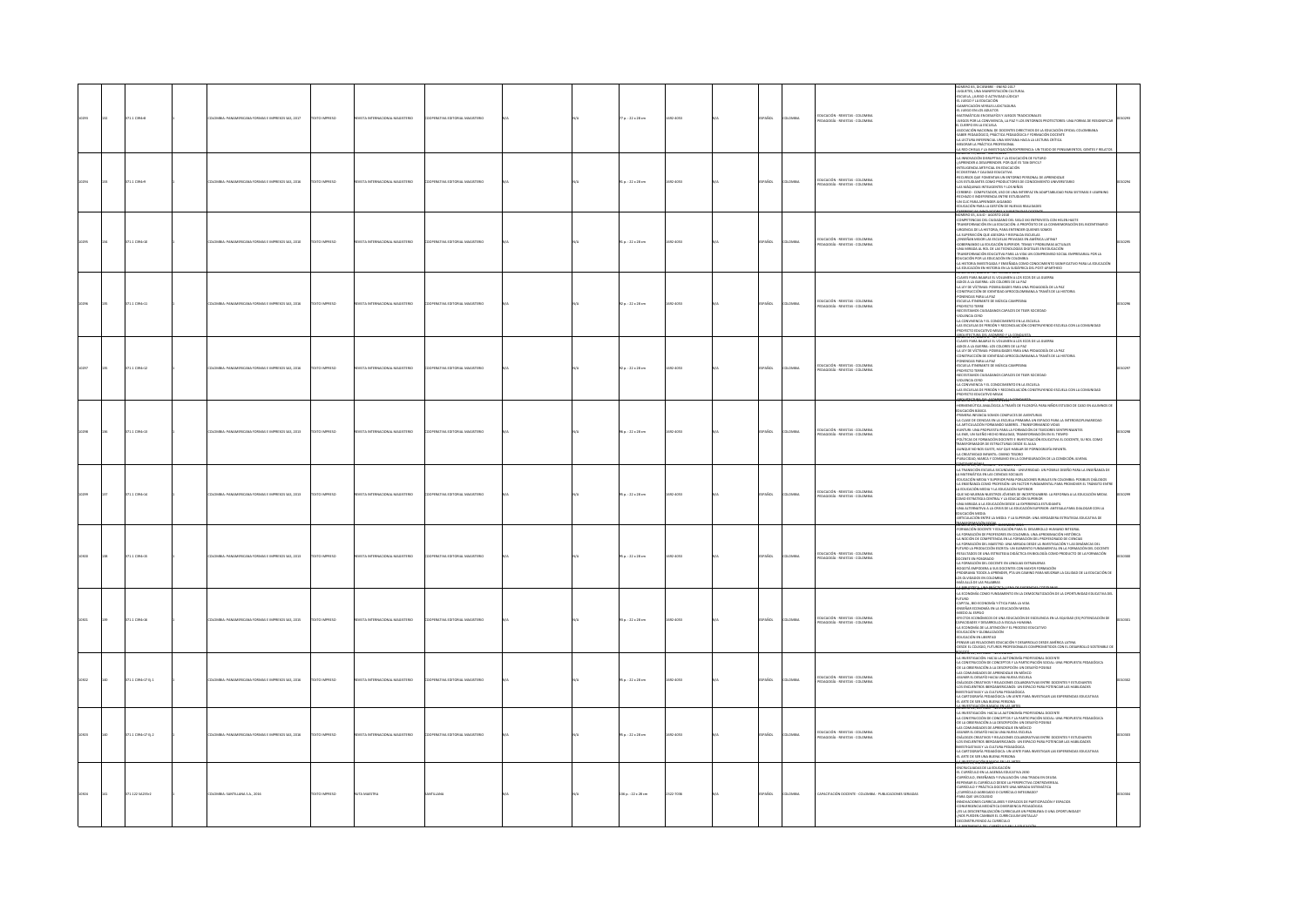|  | 71.1 C394r8       | MERICANA FORMAS E IMPRESOS SAS, 2017             | XTO IMPRESO         | <b>MAGISTERIO</b>                        |                                      |  | 7 p. : 22 x 28 cm        |                  | AÑOL         | mau           | EDUCACIÓN - REVISTAS - COLOMBIA<br>PEDAGOGÍA - REVISTAS - COLOMBIA       | MERO 83, DICIEMBRE - ENERO 2017<br>WARROLD (SCRIMINE) - DEND SIY<br>1962 PR. (MARCHA) - DENDER CATALOGRAPHICAL COMPANY - DENDER CATALOGRAPHICAL<br>2006 PR. (MARCHA) - DENDER CATALOGRAPHICAL COMPANY - DENDER CATALOGRAPHICAL<br>2006 PR. (MARCHA) - DENDER CATALOGRAPHI<br><b>CONTRACTOR</b>                                                                                                                                                                                                                                                                                                                                                                                             |  |
|--|-------------------|--------------------------------------------------|---------------------|------------------------------------------|--------------------------------------|--|--------------------------|------------------|--------------|---------------|--------------------------------------------------------------------------|--------------------------------------------------------------------------------------------------------------------------------------------------------------------------------------------------------------------------------------------------------------------------------------------------------------------------------------------------------------------------------------------------------------------------------------------------------------------------------------------------------------------------------------------------------------------------------------------------------------------------------------------------------------------------------------------|--|
|  | $1.1$ C394r9      | A FORMAS E IMPRESOS SAS, 2016                    | <b>XTO IMPRESO</b>  | ORTHOL                                   |                                      |  | $10.122 \times 28$ cm    | ADS1             | AÑOL         | was           | .<br>Educación - Revistas - Colombia<br>Pedagogía - Revistas - Colombia  | <b>MEDIAN LA PRÉTICA PROFESSIONAL</b><br>MEDICINAL INFERIORATIVA LA INTERIOR E FUNDA DE MARINA DE MARINA DE MARINA EN EN EL EN ENFERT (1993)<br>2. A MEDICINA VIA INSTERIORA DE FUNDA DE FUNDA<br>2. A MEDICINA DE MARINA EN ENFERT (199<br>SPAR INFORMATION IN A MARINE TO A MARINE EN ADAPTAB<br>CEREBRO - COMPUTADOR, USO DE UNA INTERFAZ EN ADAPTAB<br>RECHAZO E INDEFERENCIA ENTRE ESTUDIANTES<br>-UN CLIC PARA APRENDER JUGANDO<br><b>ILIDAD PARA SETFMAS F.I FARNING</b><br><b>JUCACIÓN PARA LA GESTIÓN DE NUEVAS REALIDADES</b>                                                                                                                                                    |  |
|  | 71.1 C394-10      | MBIA: PANAMERICANA FORMAS E IMPRESOS SAS. 2010   | <b>DZERNI OTXE</b>  | ORTA INTERNACIONAL MAGISTERIO            | <b>FRATIVA FOSTORIAL MAGISTERIC</b>  |  | $10.122 \times 28$ cm    | $2 - 4053$       | PAÑOL        | oway          | PRICACIÓN - REVISTAS - COLOMBIA<br><b>PERSONAL PERSONAL COLOMBIA</b>     | , NIMBARA AN ANGKONG KARATANG ANGKONG AT ANGKONG ANGKONG ANGKONG ANGKONG ANGKONG ANGKONG ANGKONG ANGKONG ANGKONG ANGKONG ANGKONG ANGKONG ANGKONG ANGKONG ANGKONG ANGKONG ANGKONG ANGKONG ANGKONG ANGKONG ANGKONG ANGKONG ANGK<br>-<br>GOBERNANDO LA EDUCACIÓN SUPERIOR, TEMAS Y PROBLEMAS ACTUALES<br>-UNA MIRADA AL ROL DE LAS TECNOLOGÍAS DIGITALES EN EDUCACIÓN<br>MISFORMACIÓN EDUCATIVA PARA LA VIDA UN COMPROMISO SOCIAL EMPRESARIAL POR LA<br>UCACIÓN POR LA EDUCACIÓN EN COLOMBIA<br>HISTORIA INVESTIGADA Y ENSEÑADA COMO CONOCIMIENTO SIGNIFICATIVO PARA LA EDUCACIÓ                                                                                                              |  |
|  | 71.1 C394-11      | OMBIA: PANAMERICANA FORMAS E IMPRESOS SAS, 2016  | OZSRRNI OTXT        | ORTA INTERNACIONAL MAGISTERIO            | <b>PERATIVA EDITORIAL MAGISTERIC</b> |  | $2a : 22 \times 28$ cm   | 2-4053           | <b>PAÑOL</b> | owax          | EDUCACIÓN - REVISTAS - COLOMBIA<br>PEDAGOGÍA - REVISTAS - COLOMBIA       | -JA HISTORIA INVESTIGADA Y ENSEMANA CONO CONOCIMIENTO SIGNIFICATIVO<br>- JA EDUCACIÓN EN HISTORIA EN LA SUDÁFRICA DEL POST-APARTHEID<br>- CANES PARA BAHAILE EL VOLUMEN A LOS ECOS DE LA GUERRA<br>- CANES PARA BAHAILE EL VOLUMEN A L<br>-CONSTRUCCION DE TOENTIQUO APROCOCOMINA<br>-PONENCIAS PARA LA PAZ<br>-PROVECTO TERRE<br>-PROVECTO TERRE<br>NECESITAMOS CIUDADANOS CAPACES DE TEJER SOCIEDAD<br>VIOLENCIA CERO<br>-VIULENCIA CERO<br>-LA CONVIVENCIA Y EL CONOCIMIENTO EN LA ESCUELA<br>-LAS ESCUELAS DE PERDÓN Y RECONCILIACIÓN CONSTRUYENDO ESCUELA CON LA COMUNIDAD<br>IN AN OWTA 2002 OT 31YO<br>ROMERCHEADEL FEORMANIA SONO                                                  |  |
|  | 371.1 C394r12     | MILIA: PANAMERICANA FORMAS E IMPRESOS SAS, 2016  | OZSRRMI OTX3        | VISTA INTERNACIONAL MAGISTERIO           | ERATIVA EDITORIAL MAGISTERIC         |  | 32 p.: 22 x 28 cm        | 92-4053          | PAÑOL        | OMBIA         | EDUCACIÓN - REVISTAS - COLOMBIA<br>PEDAGOGÍA - REVISTAS - COLOMBIA       | NUMERU BI, AGUSTU - SEPTEMBRE 2016<br>- CLAVES PARA BAIARLE EL VOLUMEN A LOS ECOS DE LA GUERRA<br>- ARIOS A LA GUERRA: LOS COLORES DE LA PAZ<br>-LA LEY DE VÍCTIMAS: POSIBILIDADES PARA UNA PEDAGOGÍA DE LA PAZ<br>CONSTRUCCIÓN DE IDENTIDAD AFROCOLOMBIANA A TRAVÉS DE LA HISTORIA<br>PONENCIAS PARA LA PAZ<br>ESCUELA ITINERANTE DE MÚSICA CAMPESINA<br>-<br>- PROYECTO TERRE<br>-NECESITAMOS CIUDADANOS CAPACES DE TEIER SOCIEDAD<br>-NIOLENCIA CERO<br>-VIOLENCIA CENU<br>4.A CONVINTACIA Y EL CONOCIMIENTO EN LA ESCUELA<br>4.AS ESCUELAS DE PERIÓN Y RECONCILIACIÓN CONSTRUYENDO ESCUELA CON LA COMUNIDAD<br>-PROYECTO EDUCATIVO MISAK<br>1000053120.071A0051070311                  |  |
|  | I71.1 C394r13     | OMBIA: PANAMERICANA FORMAS E IMPRESOS SAS, 2013  | <b>DZSRRMI OTX3</b> | DIRETZIGNAL MAGISTERIO<br><b>ISTAINT</b> | <b>RATIVA EDITORIAL MAGISTERIC</b>   |  | 96 p.: 22 x 28 cm        | 2-4053           | AÑOL         | way           | EDUCACIÓN - REVISTAS - COLOMBIA<br>EDAGOGÍA - REVISTAS - COLOMBIA        | -HERMENEÚTICA ANALÓGICA A TRAVÉS DE FILOSOFÍA PARA NIÑOS ESTUDIO DE CASO EN ALUMNOS DE<br>EDUCACIÓN BÁSICA<br>-<br>PRIMERA INFANCIA SOMOS COMPLICES DE AVENTURAS<br>PRIMIA MARACA DOST CONVICTOS A MATEMAS EM ANTERIOGUINAMENTO A CARA EL CONSTANTANTO DE LA CARA EL CONSTANTANTO EN EL CONSTANTANTO EL CONSTANTANTO EL CONSTANTANTO EL CONSTANTANTO EL CONSTANTANTO EL CONSTANTANTO EL CONSTANTA                                                                                                                                                                                                                                                                                          |  |
|  | 71.1 0394r14      | <b>MERICANA FORMAS E IMPRESOS SAS, 2013</b>      | XTO IMPRESO         | <b>STAINTE</b><br>ORSTERIO               |                                      |  | 5 p. : 22 x 28 cm        | 4053             | Řск.         |               | - EDUCACIÓN - REVISTAS - COLOMBIA<br>- PEDAGOGÍA - REVISTAS - COLOMBIA   | MENDON, SEPTIEMBRE - OCTOBRE 2013<br>LA TRANSICIÓN ESCUELA SECUNDARIA - UNIVERSIDAD. UN POSIBLE DISEÑO PARA LA ENSEÑANZA DE<br>LA MATEMÁTICA EN LAS CIENCIAS SOCIALES<br>-EDUCACIÓN MEDIA Y SUPERIOR PARA POBLACIONES RURALES EN COLOMBIA: POSIBLES DIÁLOGOS<br>STORICAL MINIMA TRANSPORTATION CONTINUES IN A MERODOLOGICAL PROPERTY AND CONSULTANTS IN THE CONSULTANT OF THE CONSULTANTS IN A MERODOLOGICAL CONSULTANTS IN A MERODOLOGICAL CONSULTANTS IN A MERODOLOGICAL CONSULTANTS IN A ME                                                                                                                                                                                             |  |
|  | 71.1 C394r15      | RESOS SAS, 2013                                  | XTO IMPRESO         |                                          |                                      |  | 35 p. : 22 x 28 cm       |                  |              |               | EDUCACIÓN - REVISTAS - COLOMBIA<br>PEDAGOGÍA - REVISTAS - COLOMBIA       | ARTICULATION THE MANNING AT MA LIMITED CONVERTING INTO THE MAIN CONTINUES IN THE MANNING CONTINUES IN THE MANNING IN THE MANNING CONTINUES IN THE MANNING CONTINUES IN THE MANNING CONTINUES IN THE MANNING CONTINUES IN THE<br>LOS OLVIDADOS EN COLOMBIA<br>MÁS ALLÁ DE LAS PALAMBAS                                                                                                                                                                                                                                                                                                                                                                                                      |  |
|  | 1109404           | MERICANA FORMAS E IMPRESOS SAS. 2015             | TO IMPRESO          | <b>KTA INT</b><br><b>ORNERS</b>          |                                      |  | $13a. : 22 \times 28$ cm | 100 <sup>2</sup> | AÑOL         | was           | :<br>Ducación - Revistas - Colombia<br>Pedagogía - Revistas - Colombia   | metatanan tokenal<br>-LA ECONOMÍA COMO FUNDAMENTO EN LA DEMOCRATIZACIÓN DE LA OPORTUNIDAD EDUCATIVA DEL<br>-<br>- Campa, Bio-Economía: Y Ética Para La Vida<br>- Ensedía: Economía: Y Ética Para La Vida<br>- Ensedía: Especia<br>- Efectos Económicos de Una Educación de Excelencia en La Equidad (E3) Potenciacón de<br>- Efectos Económicos de Una E<br>CAPACIDADES Y DESARROLLO A ESCALA HUMANI<br>LA ECONOMÍA DE LA ATENCIÓN Y EL PROCESO EDUCATIVO<br><b>JUCACIÓN Y GLOBALIZACIÓ</b><br>EDUCACIÓN EN UBERTAD<br>PENSAR LAS RELACIONES EDUCACIÓN Y DESARROLLO DESDE AMÉRICA LATINA<br>OESDE EL COLEGIO. FUTUROS PROFESIONALES COMPROMETIDOS CON EL DESARROLLO SOSTENBLE              |  |
|  | 71.1 C394r17 B.1  | LOMBIA: PANAMERICANA FORMAS E IMPRESOS SAS, 2016 | OZSRRNI OTX3        | OUSTA INTERNACIONAL MAGISTERIO           | OPERATIVA EDITORIAL MAGISTERIO       |  | 95 p. : 22 x 28 cm       | 22-4053          | <b>PAÑOL</b> | <b>AIGMOJ</b> | EDUCACIÓN - REVISTAS - COLOMBIA<br><b>PRAGOGÍA</b> - REVISTAS - COLOMBIA | <b>COME AND ANOTHER PROTECTIVE CONSUMER INTO A CONSUMER AND ANOTHER CONSUMER AND A CONSUMER AND ANOTHER AND A CONSUMER AND A CONSUMER AND A CONSUMER AND A CONSUMER AND A CONSUMER AND A CONSUMER AND A CONSUMER AND A CONSUMER </b><br>-LAS CUMUNIQUOS DE APRENDIANE EN MEXICO<br>-ASUMIR EL DESATÓ HACIA UNA NUEVA ESCUELA<br>-DIÁLOGOS CREATIVOS Y RELACIONES COLABORATIVAS ENTRE DOCENTES Y ESTUDIANTES<br>-LOS ENCUENTROS IREROAMERICANOS: UN ESPACIO PARA POTENCIAR LAS H<br><b>STIGATIVAS Y LA CULTURA PEDAGÓGICA</b><br>INNUMINALINA I UN COLIGNA FLUNDODO.<br>LA CARTOGRAFÍA PEDAGÓGICA: UN LENTE PARA INVESTIGAR LAS EXPERIENCIAS EDUCATIVAS<br>EL ARTE DE SER UNA BUENA PERSONA |  |
|  | 371.1 C394-17 D.2 | OMBIA: PANAMERICANA FORMAS E IMPRESOS SAS. 2016  | <b>DZERNI OTXE</b>  | CONTRADAN MACCONAUGHTER                  | OPERATIVA FOITORIAL MAGISTERIC       |  | $35a. : 22 \times 28$ cm | 23.4051          | <b>PAÑOL</b> | numa.         | .<br>Educación - Revistas - Colombia<br>Pedagogía - Revistas - Colombia  | EL ARTIE SES UNA REPAIREMENT (MODEL PRESS)<br>AMBRESSE (MODEL PRESS)<br>AMBRESSE (MODEL PRESS)<br>AMBRESSE (MODEL PRESS)<br>ARTIE (MODEL PRESS)<br>ARTIE (MODEL PRESS)<br>ARTIE (MODEL PRESS)<br>ARTIE (MODEL PRESS)<br>ARTIE (MODEL PRESS)<br>ARTIE (MO<br>LA CARTOGRAFÍA PEDAGÓGICA: UN LENTE PARA INVESTIGAR LAS EXPERIENCIAS EDUCATIVAS<br>ARTE DE SER UNA BUENA PERSONA                                                                                                                                                                                                                                                                                                               |  |
|  | 371.122 SA235r2   | DLOMBIA: SANTILLANA S.A., 2016                   | DZER WIOTEKT        | UTA MAESTRA                              | <b>ATLLANA</b>                       |  | 136 p. : 22 x 28 cm      | 322-7036         | <b>PAROL</b> | <b>AIRMO</b>  | CAPACITACIÓN DOCENTE - COLOMBIA - PUBLICACIONES SERIADAS                 | SLARIE DE SERVIN DEL DE MONTRE<br>AMERICAN DE LA REDUCADOR<br>EL CURRICULO EN LA ARDICA DEL DE MONTRE<br>CURRICULO EN LA ARDICA FOICATIVA 2010<br>CURRICULO, DESEÑAR Y KVALIACIÓN: UNA RIMANA EN DEUSA<br>SEPENSAR EL CURRICULO ESDE LA PERSP<br>ARA QUE UN COLEGIO<br>NOVACIONES CURRICULARES Y ESPACIOS DE PARTICIPACIÓN Y ESPACIOS<br>CONVERGENCIA MEDIÁTICA DIVERGENCIA PEDAGÓGICA<br>JES LA DESCENTRALIZACIÓN CURRICULAR UN PROBLEMA O UNA OPORTUNIDAD<br>(OS PUEDEN CAMBIAR EL CURRICULUM UNITALIA?<br>CONSTRUYENDO AL CURRÍCULO<br><b>ENTRAINMAN PAL CURRICULO EN 1</b>                                                                                                             |  |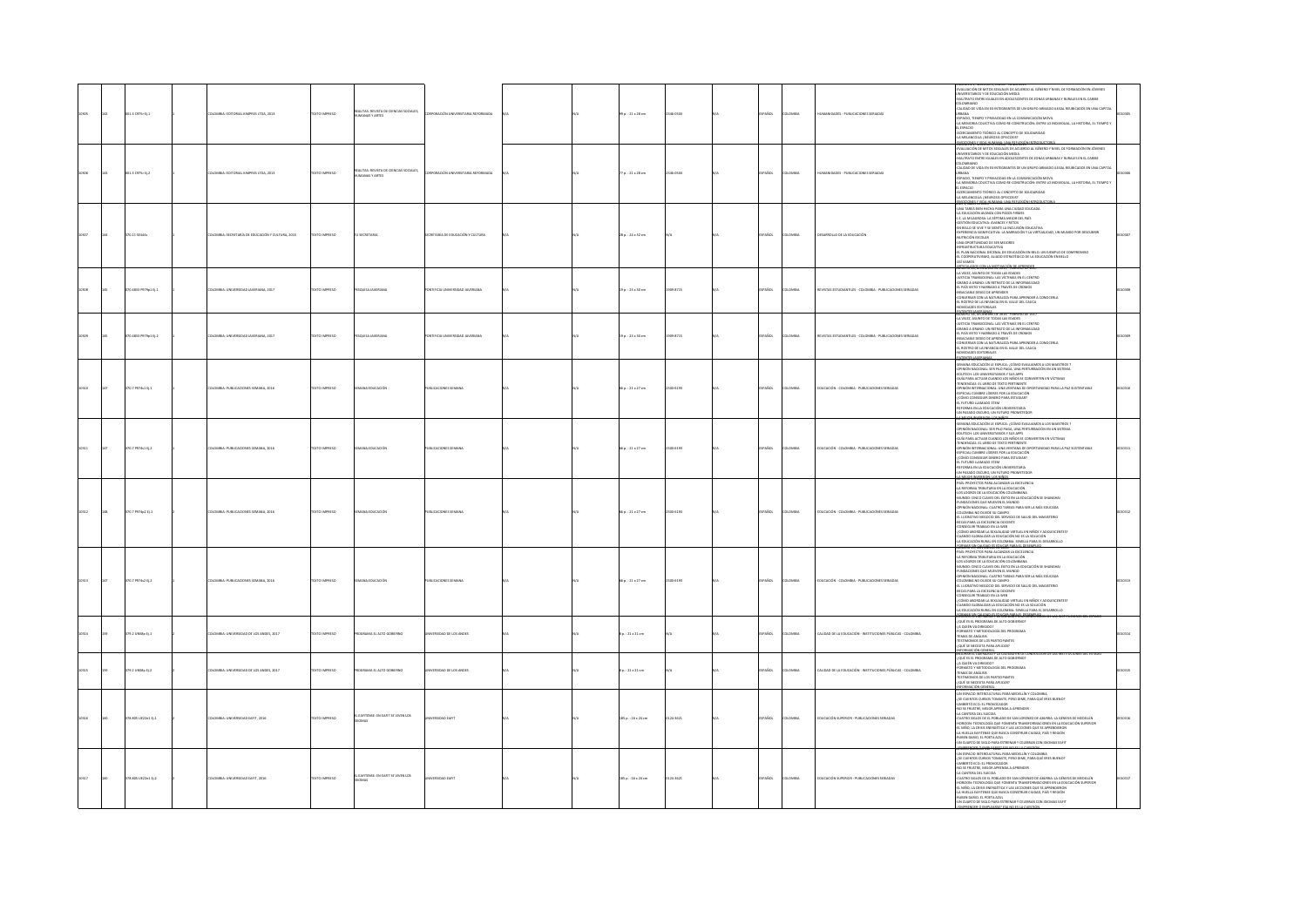|      | $1.3$ CF75r Ej.1    | OMBIA: EDITORIAL KIMPRES LTDA, 2013            |                     | AITAS: REVISTA DE CIENCIAS SOCIALES,<br>MANAS Y ARTES     |                                 |  | 99 p. : 21 x 28 cm      | 46-0504   | AÑOL          | MON           | <b>NDES - PUBLICACIONES SER</b>                             | LUMENT 1, NUMERU 1, ENERU - XVIRU ZULS<br>ALIARCIÓN DE MITOS SEXUALIS DE ACUERDO AL GÉNERO Y NIVEL DE FORMACIÓN EN JÓVENES<br>NURSITARIOS Y DE EDUCACIÓN MEDIA<br>LOMBIANO<br>LOMBIANO<br>LOMBIANO<br>LIDAD DE VIDA EN EX-INTEGRANTES DE UN GRUPO ARMADO ILEGAL REUBICADOS EN UNA CAPITA<br>URBANA<br>459400, TEMPO Y PRIVACIDAD EN LA COMUNICACIÓN MEVIR.<br>459400, TEMPO Y PRIVACIDAD EN CONSTRUCIÓN: ENTRE LO INIZIVIDIANI, LA HISTORIA, EL TIEMPO Y<br>44.ERCANDI FORTICO AL CONCEPTO DE SOLIDARIDAD<br>44.ERCANDIFION TORRICO AL<br>1998 <del>17, Kurzec 1, Brou 19.000 101</del>                                                                                        |  |
|------|---------------------|------------------------------------------------|---------------------|-----------------------------------------------------------|---------------------------------|--|-------------------------|-----------|---------------|---------------|-------------------------------------------------------------|--------------------------------------------------------------------------------------------------------------------------------------------------------------------------------------------------------------------------------------------------------------------------------------------------------------------------------------------------------------------------------------------------------------------------------------------------------------------------------------------------------------------------------------------------------------------------------------------------------------------------------------------------------------------------------|--|
|      | 001.3 C975r Ej.2    | LOMBIA: EDITORIAL KIMPRES LTDA, 2013           | EXTO IMPRESO        | REALITAS: REVISTA DE CIENCIAS SOCIALES,<br>UMANAS Y ARTES | DRACIÓN UNIVERSITARIA REFORMADA |  | 77 p. : 21 x 28 cm      | 146-0504  | <b>SPAÑOL</b> | LOMBIA        | MANDADES - PUBLICACIONES SERIADAS                           | EVALUACIÓN DE MITOS SEXUALES DE ACUERDO AL GÉNERO Y NIVEL DE FORMACIÓN EN JÓVENES<br>UNIVERSITARIOS Y DE EDUCACIÓN MEDIA<br>MALTRATO ENTRE IGUALES EN ADCLESCENTES DE ZONAS URBANAS Y RURALES EN EL CARIBE<br>OVAIRANO<br>CALIDAD DE VIDA EN EX-INTEGRANTES DE UN GRUPO ARMADO ILEGAL REUBICADOS EN UNA CAPITAL<br><b>URBANA</b><br>ESPACIO. TIEMPO Y PRIVACIDAD EN LA COMUNICACIÓN MOVIL<br>LA MEMORIA COLECTIVA COMO RE-CONSTRUCIÓN: ENTRE LO INDIVIDUAL, LA HISTORIA, EL TIEMPO 1<br>LESPACIO<br>CERCAMIENTO TEÓRICO AL CONCEPTO DE SOLIDARIDAD<br>4A MELANCOLIA ¿NEUROSIS OPSICOSIS?<br>ANO EXISTINGS NOTAS IN MANA-LINA REFERING INTRODUCTOR                              |  |
|      | 0.11 52444          | DMBIA: SECRETARÍA DE EDUCACIÓN Y CULTURA, 2015 |                     |                                                           | ARÍA DE EDUCACIÓN Y CULTURA     |  | .<br>28 p. : 24 x 32 cm |           |               | wa            | <b><i>AROLLO DE LA EDUCACIÓ</i></b>                         | $\begin{tabular}{l l l l } \hline &\multicolumn{3}{l}{\multicolumn{3}{l}{\multicolumn{3}{l}{\multicolumn{3}{l}{\multicolumn{3}{l}{\multicolumn{3}{l}{\multicolumn{3}{l}{\multicolumn{3}{l}{\multicolumn{3}{l}{\multicolumn{3}{l}{\multicolumn{3}{l}{\multicolumn{3}{l}{\multicolumn{3}{l}{\multicolumn{3}{l}{\multicolumn{3}{l}{\multicolumn{3}{l}{\multicolumn{3}{l}{\multicolumn{3}{l}{\multicolumn{3}{l}{\multicolumn{3}{l}{\multicolumn{3}{l}{\multicolumn{3}{l}{\multic$<br>VAMOS                                                                                                                                                                                         |  |
|      | 70.4833 P979p1 Ej.1 | ILOMBIA: UNIVERSIDAD JAVERIANA, 2017           | DZERRIO INTE        | SQUISA JAVERIANA                                          | TIFICIA UNIVERSIDAD JAVERIANA   |  | 19 p.: 23 × 30 cm       | 1909-8715 | PAÑOL         | LOMBIA        | EVISTAS ESTUDIANTILES - COLOMBIA - PUBLICACIONES SERIADAS   | <b>THE STATE OF THE STATE OF STATE</b><br>LA VEIEZ, ASUNTO DE TODAS LAS EDADES<br>STICIA TRANSICIONAL: LAS VÍCTIMAS EN EL CENTRO<br><b>IRANO A GRANO: UN RETRATO DE LA INFORMALDAD</b><br>EL PAÍS VISTO Y NARRADO A TRAVÉS DE CROMOS<br>INSACIABLE DESEO DE APRENDER<br>CONVERSAR CON LA NATURALEZA PARA APRENDER A CONOCERLA<br>EL ROSTRO DE LA INFANCIA EN EL VALLE DEL CAUCA<br>EDADES EDITORIALES                                                                                                                                                                                                                                                                          |  |
|      | 70.4833 P979p1 Ej.2 | ILOMBIA: UNIVERSIDAD JAVERIANA, 2017           | <b>DZSRRMI OTX3</b> | QUISA JAVERIANA                                           | TIFICIA UNIVERSIDAD JAVERIANA   |  | 19 p.: 23 × 30 cm       | 1909-8715 | <b>SPAÑOL</b> | LOMBIA        | REVISTAS ESTUDIANTILES - COLOMBIA - PUBLICACIONES SERIADAS  | <b>MINUS (NONMAR DE 2016 - FEBRERO DE 2017</b><br>-LA VEIEZ, ASUNTO DE TODAS LAS EDADES<br>-JUSTICIA TRANSICIONAL: LAS VÍCTIMAS EN EL CENTRO<br>-GRANO A GRANO: UN RETRATO DE LA INFORMALIDAD<br>-EL PAÍS VISTO Y NARRADO A TRAVÉS DE CROMOS<br>-INSACIABLE DESEO DE APRENDER<br>CONVERSAR CON LA NATURAL<br>EL ROSTAR CON LA NATURALEZA PARA APRIZIDER A CONOCERLA<br>-EL ROSTRO DE LA INFANCIA EN EL VALLE DEL CAUCA<br>-NOVEDADES EDITORIALES                                                                                                                                                                                                                               |  |
|      | 70.7 P974s1 Ej.1    | LOMBIA: PUBLICACIONES SEMANA, 201              | <b>XTO IMPRESO</b>  | oción                                                     | BLICACIONES SEMANA              |  | 56 p. : 21 x 27 cm      | 500-6193  | AÑOL          | owas          | DUCACIÓN - COLOMBIA - PUBLICACI                             | NOTION CONTINUES THE MANUFACTURE OF A SUBSECTIVITY OF A SUBSECTIVITY OF A SUBSECTIVITY OF A SUBSECTIVITY OF A SUBSECTIVITY OF A SUBSECTIVITY OF A SUBSECTIVITY OF A SUBSECTIVITY OF A SUBSECTIVITY OF A SUBSECTIVITY OF A SUB<br>MEKOTAY DETURNA LOT AND                                                                                                                                                                                                                                                                                                                                                                                                                       |  |
|      | 70.7 P974s1 Ej.2    | LOMBIA: PUBLICACIONES SEMANA, 2016             | EXTO IMPRESO        | A EDUCACIÓN                                               | JELICACIONES SEMANA             |  | 66 p.: 21 x 27 cm       | 500-6193  | PAÑOL         | OMBIA         | DUCACIÓN - COLOMBIA - PUBLICACIONES SERIADAS                | SEMANA EDUCACIÓN LE EXPUCA: / CÓMO EVALUAMOS A LOS MAESTROS ?<br>INIÓN NACIONAL: SER PILO PAGA, UNA PERTURBACIÓN EN UN SISTEMA<br>UTECH: LOS UNIVERSITARIOS Y SUS APPS<br>GUÍA PARA ACTUAR CUANDO LOS NIÑOS SE CONVIERTEN EN VÍCTIMAS<br>TENDENCIAS: EL LIBRO DE TEXTO PERTINENTE<br>-OPINIÓN INTERNACIONAL: UNA VENTANA DE OPORTUNIDAD PARA LA PAZ SUSTENTABLE<br>-ESPECIAL CUMBRE LÍDERES POR LA EDUCACIÓN<br>(CÓMO CONSEGUIR DINERO PARA ESTUDIAR)<br>-EL FUTURO LLAMADO STEM<br>-REFORMA EN LA EDUCACIÓN UNIVERSITARIA<br>UN PASADO OSCURO, UN FUTURO PROMETEDOR<br>MARINE INVESTIGATION CONTINUES.                                                                        |  |
|      | 0.7 P974p2 tj.1     | LOMBIA: PUBLICACIONES SEMANA, 2016             | <b>XTO IMPRESO</b>  | NA EDUCACIÓN                                              | BUCACIONES SEMANA               |  | 66 p.: 21 x 27 cm       | 00-6193   | <b>SPAÑOL</b> | LOMBIA        | DUCACIÓN - COLOMBIA - PUBLICACIONES SERIADAS                | ROBERTO AR, ROSERVIRKE DE 2020<br>- AR, SPROTECTOS PARA ALCANZAR LA EXCELENCIA<br>- LOS LOGROS DE LA EDUCACIÓN COLOMBIANA<br>- LOS LOGROS DE LA EDUCACIÓN COLOMBIANA<br>US LUGIKUS DE LA EDUCACIÓN COLOMBIANA<br>IUNDO: CINCO CLAVIS DEL ÉXITO EN LA EDUCACIÓN SE SHANGHAI<br>UNDACIONES QUE MIUEVEN EL MUNDO<br>PINIÓN NACIONAL: CUATRO TAREAS PARA SER LA MÁS EDUCADA<br>EL LUCIAN INO NEGULAR DAL ANNON<br>BECAS PARA LA EXEELENCIA DOCENTE<br>ONSEGUIR TRABAJO EN LA WEB<br>CÁMO ABORDAR LA SEXUALIDAD VIRTUAL EN NIÑOS Y ADOLESCENTES?<br>ANDO GLOBALIZAR LA EDUCACIÓN NO ES LA SOLUCIÓN<br>EDUCACIÓN RURAL EN COLOMBIA: SEMILLA PARA EL DESARROLLO                       |  |
|      | $0.7$ P974s2 Ej.2   | OMBIA: PUBLICACIONES SEMANA, 2016              | TO IMPRESO          | <b>A POLICACIÓN</b>                                       | LICACIONES SEMAN                |  | 66 p. : 21 x 27 cm      | 00-6193   | PAÑOL         | OMBIA         | DUCACIÓN - COLOMBIA - PUBLICACIONES SERIADAS                | LATED CONTINUES IN THE CONSTRUCTION CONTINUES AND CONTINUES IN THE CONTINUES IN THE CONTINUES IN THE CONTINUES IN THE CONTINUES IN THE CONTINUES IN THE CONTINUES IN THE CONTINUES IN THE CONTINUES IN THE CONTINUES IN THE C                                                                                                                                                                                                                                                                                                                                                                                                                                                  |  |
|      | 379.2 UNSile EL1    | LOMBIA: UNIVERSIDAD DE LOS ANDES, 2017         | OZSRRNI OTX         | OGRAMA EL ALTO GOBIERNO                                   | <b>ERSIDAD DE LOS ANDES</b>     |  | $80.121 \times 21$ cm   |           | SPAÑOL        | LOMBIA        | CALIDAD DE LA EDUCACIÓN - INSTITUCIONES PÚBLICAS - COLOMBIA | QUÉ ES EL PROGRAMA DE ALTO GOBIERNO<br>OUTEN VA DIRIGIDO?<br>MATO Y METODOLOGÍA DEL PROGRAMA<br>TEMAS DE ANÁLISIS<br>TESTIMONIOS DE LOS PARTICIPANTES<br>JUÉ SE NECESITA PARA APLICAR?<br>.<br>Dormeon General<br>Dorm El Liderazgo y la calidad en la co                                                                                                                                                                                                                                                                                                                                                                                                                      |  |
| 0315 | 79.2 UNSão EL2      | DLOMBIA: UNIVERSIDAD DE LOS ANDES, 2017        | OZSRRNI OTX3        | CARSIED OTALIS AMARGE                                     | MERSIDAD DE LOS ANDES           |  | $80.121 \times 21$ cm   |           | SPAÑOL        | <b>COMBIA</b> | CALIDAD DE LA EDUCACIÓN - INSTITUCIONES PÚBLICAS - COLOMBIA | QUÉ ES EL PROGRAMA DE ALTO GOBIERNO?<br>OUTEN VA DIRECTOR<br>MATO Y METODOLOGÍA DEL PROGRAMA<br><b>ZURIANA NO ZAMNY.</b><br><b>TIMONICK DE LOS PARTICIPANTES</b><br>QUÉ SE NECESITA PARA APLICAR?<br><b>COMODECTO*Lus</b>                                                                                                                                                                                                                                                                                                                                                                                                                                                      |  |
|      | 378.805 UE22e1 EJ.1 | ILOMBIA: UNIVERSIDAD EAFIT, 2016               | <b>DZSRRMI OTX3</b> | L EAFTENSE: EN EAFIT SE VIVEN LOS                         | ERSIDAD EAFIT                   |  | 185 p.: 16 x 24 cm      | 0124-3621 | SPAÑOL        | LOMBIA        | EDUCACIÓN SUPERIOR - PUBLICACIONES SERIADAS                 | UN ESPACIO INTERCULTURAL PARA MEDELLÍN Y COLOMBIA<br>- SE CUENTOS CURSOS TOMASTE. PERO DIME. PARA QUÉ ERES BUENO?<br>-<br>UMBERTO ECO: EL PROVOCADOR<br>-NO SE FRUSTRE, MEJOR APRENDA A APRENDER<br>-LA CANTERA DEL SUICIDA<br>-CUATRO SIGLOS DE EL POBLADO DE SAN LORENZO DE ABURRA: LA GÉNESIS DE MEDELLÍN<br>-HORIZON: TECNOLOGÍA QUE FOMENTA TRANSFORMACIONES EN LA EDUCACIÓN SUPERIOR<br>- EL NIÑO, LA CRISIS ENERGÉTICA Y LAS LECCIONES QUE SE APRINDIERON<br>- EL NIÑO, LA CRITENSE QUE BUSCA CONSTRUIR CIUDAD, PAÍS Y REGIÓN<br>-RUBEN DARIO, EL POETA AZUL<br>-UN CUARTO DE SIGLO PARA ESTRENAR Y CELEBRAR CON IDIOMAS EART<br>VICTORS & LZE ON AZZ (SEBASSED DENTIS) |  |
|      | 78.805 UE22e1 Ej.2  | <b>ILOMBIA: UNIVERSIDAD EAFIT, 2016</b>        | EXTO IMPRESO        | EAFITENSE: EN EAFIT SE VIVEN LOS                          | reunan ratif                    |  | 185 p. : 16 x 24 cm     | 0124-3621 | <b>SPAÑOL</b> | OMBIA         | DUCACIÓN SUPERIOR - PUBLICACIONES SERIADAS                  | LUICIUN NUMERIU 110 - JUIG<br>UN ESPACIO INTERCULTURAL PARA MEDELLÍN Y COLOMBIA<br>(3E CUENTOS CURSOS TOMASTE, PERO DIME, PARA QUÉ ERES BUENO?<br>UMBERTO ECO: EL PROVOCADOR<br>-UNBERTO CICO. EL PRODUCADOR<br>AO XE FRUSTRI, MEDIA ANHIDAR A APRINDER<br>CALININ DURCHI CRETA DELACIO DE SAN LORINDO DE ABURIA: LA GÉNESIS DE MEDILÍN<br>- HORIDOR: TECNOLOGÍA QUE FOMENTA TRANSFORMACIONES EN LA EDUCACIÓN SUPEROR<br>-<br>A MOLLA LAMITARA QUE MOLA CONSINUIR CULINU, PAU I ROUGH<br>IUBEN DARIO, EL POETA AZUL<br>JN CUARTO DE SIGLO PARA ESTRENAR Y CELEBRAR CON IDIOMAS EAMT                                                                                            |  |
|      |                     |                                                |                     |                                                           |                                 |  |                         |           |               |               |                                                             |                                                                                                                                                                                                                                                                                                                                                                                                                                                                                                                                                                                                                                                                                |  |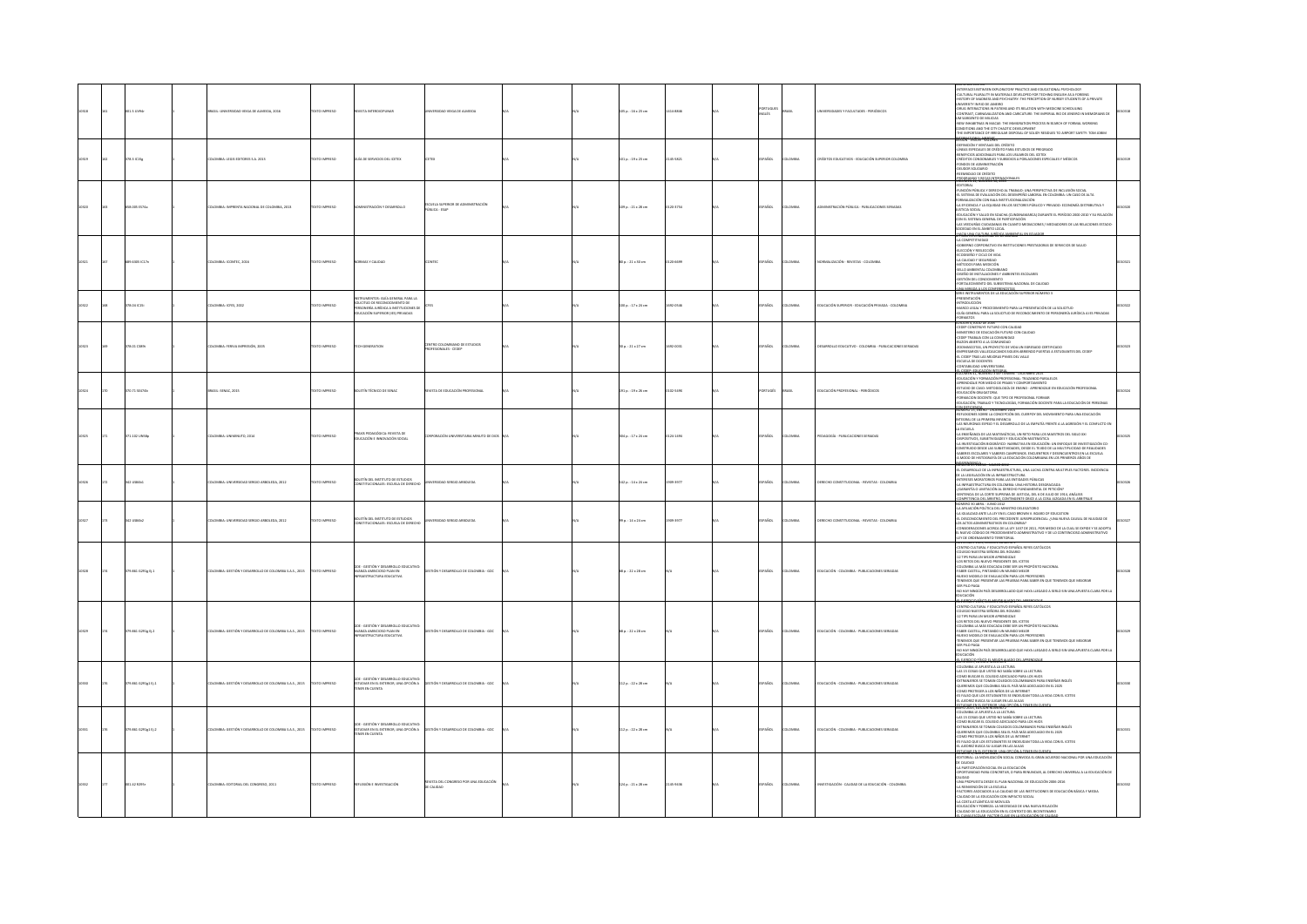|  | 1.5 UVS4r         | MSIL: UNIVERSIDAD VEIGA DE ALMEIDA, 2016              | <b>OZSRRAI OTX</b>   | VISTA INTERDIGIPLINAR                                                                                                                           | ERSIDAD VEIGA DE ALMEIDA                                |  | 05 p.: 16 x 23 cm            | 14-8846   | vouts        |                | VERSIDADES Y FACULTADES - PERIÓDICOS                   | MI A USL EUI IUR<br>VITERALES BETWEEN EXPLOBATORY PRACTICE AND EDUCATIONAL PSYCHOLOGY<br>ULTURAL PLURALITY IN MATERIALS DEVELOPED FOR TECHING ENGLISH AS A FOREING<br>IISTORY OF MADNESS AND PSYCHIATRY: THE PERCEPTION OF NURSEY STUDE<br>VERSITY IN RIO DE JANEIRO<br>VERSITY IN RIO DE JANEIRO<br>JG INTERACTIONS IN PATIENS AND ITS RELATION WITH MEDICINE SCHEDULING<br>UNIVERSIT<br>CONTRAST, CARNAVAUZATION AND CARICATURE: THE IMPERIAL RID DE JENEIRO IN MEMORIANS DE<br>UM SARGENTO DE MILICIAS<br>NEW INHABITIVAS IN MACAE: THE INMIGRATION PROCESS IN SEARCH OF FORMAL WORKING<br>CONDITIONS AND THE CITY CHAOTIC DEVELOPMENT<br>-THE IMPORTANCE OF IRREGULAR DISPOSAL OF SOLIDY RESIDUES TO AIRPORT SAFETY: TOM JOBIM<br><b>SBN-VISION-VACONES</b> |  |
|--|-------------------|-------------------------------------------------------|----------------------|-------------------------------------------------------------------------------------------------------------------------------------------------|---------------------------------------------------------|--|------------------------------|-----------|--------------|----------------|--------------------------------------------------------|-----------------------------------------------------------------------------------------------------------------------------------------------------------------------------------------------------------------------------------------------------------------------------------------------------------------------------------------------------------------------------------------------------------------------------------------------------------------------------------------------------------------------------------------------------------------------------------------------------------------------------------------------------------------------------------------------------------------------------------------------------------------|--|
|  | saicis            | OMBIA: LEGIS EDITORES S.A. 2013                       |                      | A DE SERVICIOS DEL ICETEX                                                                                                                       |                                                         |  | 01 p.: 19 x 23 cm            | 45-5821   | ARCK.        |                | ITOS EDUCATIVOS - EDUCACIÓN SUPERIOR COL               | DEFINICIÓN Y VENTAJAS DEL CRÉDITO<br>"AUTONICARY TYKE/ANS DEL CREDITO PARA ESTUDIOS DE PREGRADO<br>«INIMA ESPEDALES DE CRÉDITO PARA ESTUDIOS DE PREGRADO<br>«RENFICOS ADCICONARES PARA LOS JUSUAROS DEL KETEX<br>«CRÉDITOS CONDONARES? Y JUSIDIOS A PORACIONES ESPECIALES Y<br>OGBAMAS Y PAGAS INTER                                                                                                                                                                                                                                                                                                                                                                                                                                                            |  |
|  | 58.005 ES74a      | LOMBIA: IMPRENTA NACIONAL DE COLOMBIA, 2013           | <b>OZSRRAI OTX</b>   | INSTRACIÓN Y DESARROLLO                                                                                                                         | IFIA SIPPRIDE DE ADMINISTRACIÓN<br><b>UBLICA - ESAP</b> |  | 09 p. : 21 x 28 cm           | 0120-1754 | SPAÑOL       | <b>DLOMBIA</b> | INSTRACIÓN PÚBLICA - PUBLICACIONES SERIADAS            | DITORIAL<br>UNCIÓN PÚBLICA Y DERECHO AL TRABAJO: UNA PERSPECTIVA DE INCLUSIÓN SOCIAL<br>L SISTEMA DE EVALUACIÓN DEL DESEMPEÑO LABORAL EN COLOMBIA: UN CASO DE ALTA<br>"LA RENOLUCIÓ CON BAJA INSTITUCIONALIZACIÓN<br>FORMALIZACIÓN CON BAJA INSTITUCIONALIZACIÓN<br>-LA RENCIRACIA Y LA EQUIDAD EN LOS SECTORES PÚBLICO Y PRIVADO: ECONOMÍA DISTRIBUTIVA Y<br>JUSTICIA SOCIAL<br>AGAININ AGAINH<br>CON EL SISTEMA GENERAL DE PARTICIPACIÓN<br>LON EL SISTEMA GENERAL DE PARTICIPACIÓN<br>-LAS VEEDURÍAS CUDADANAS EN CUANTO MEDIACIONES / MEDIADORES DE LAS RELACIONES ESTADO-<br>LACCEDAD EN EL ÁMBITO LOCAL                                                                                                                                                   |  |
|  | 3.6305 IC17n      | LOMBIA: ICONTEC. 2016                                 | CTO IMPRESO          | MAS Y CALIDAD                                                                                                                                   |                                                         |  | 0 p. : 21 x 30 cm            |           | PAÑOL        | oway           | MITACIÓN - REVISTAS - COLOMBI                          | LA COMPTITUOS DE MOTIVOCHIS PRISTAGORA ES SEVICOS DE MAIS<br>COMPRO CONSUMIDO EN INSTITUCIONS PRISTAGORA ES SEVICIO<br>A CALIGNO TOGLO E VOLTO E VICINA<br>A CALIGNO TOGLO E VOLTO E VOLTO EN INSTITUCIONALES<br>ANDRE A CALIGNO TOGLORAD                                                                                                                                                                                                                                                                                                                                                                                                                                                                                                                       |  |
|  | 78.04 IC15        | LOMBIA: ICFES. 2002                                   | <b>XTO IMPRESO</b>   | TRIMPNTOS: GIIS GENERAI DARA LA<br>LICITUD DE RECONOCIMIENTO DE<br>SONERÍA JURÍDICA A INSTITUCIONES DE<br><b>CACIÓN SUPERIOR (IES) PRIVADAS</b> |                                                         |  | $100$ p. : $17 \times 24$ cm | 22-0546   | <b>PAÑOL</b> | LOMBIA         | DUCACIÓN SUPERIOR - EDUCACIÓN PRIVADA - COLOMBIA       | SERIE INSTRUMENTOS DE LA EDUCACIÓN SUPERIOR NÚMERO 3<br><b>PERSONALISM</b><br>INTRODUCCIÓN<br>MARCO LEGAL Y PROCEDIMENTO PARA LA PRESENTACIÓN DE LA SOLICITUD<br>GUÍA GENERAL PARA LA SOLICITUD DE RECONOCIMIENTO DE PERSONERÍA JURÍDICA A IES PRIVADAS<br><b>PMATOS</b><br><b>ICION 4. JULIO DE 2005</b>                                                                                                                                                                                                                                                                                                                                                                                                                                                       |  |
|  | 8.01 C389t        | LOMBIA: FERIVA IMPRESIÓN, 2005                        | <b>DESIRING OTX:</b> | H GENERATION                                                                                                                                    | TRO COLOMBIANO DE ESTUDIOS<br>FESIONALES - CEDEP        |  | $p_{1}: 21 \times 27$ cm     | 2-0031    | AÑOL         | way            | SARROLLO EDUCATIVO - COLOMBIA - PUBLICACIONES SERIADAS | -CEDEP CONSTRUYE FUTURO CON CALIDAD<br>-MINISTERIO DE EDUCACIÓN FUTURO CON CALIDAD<br>CEDEP TRABAJA CON LA COMUNIDAD<br>4UZON ABIERTO A LA COMUNIDAD<br>ZOOMASCOTAS, UN PROYECTO DE VIDA UN EGRESADO CERTIFICADO<br>-EMPRESARIOS VALLECAUCANOS SIGUEN ABRIENDO PUERTAS A ESTUDIANTES DEL CEDEP-<br>-EL CEDEP TRAS LAS MEJORAS PYMES DEL VALLE<br><b>ISCUELA DE DOCENTES</b><br>NTABILIDAD UNIVERSITARIA                                                                                                                                                                                                                                                                                                                                                         |  |
|  | 0.71 52474b       | ASIL: SENAC, 2015                                     | XTO IMPRESO          | <b>ETIN TÉCNICO DE SENAC</b>                                                                                                                    | STA DE EDUCACIÓN PROFESIONAL                            |  | 01 p.: 19 x 26 cm            | 102-549X  | RTUGÉS       | <b>SRASI</b>   | DUCACIÓN PROFESIONAL - PERIÓDICOS                      | -LANDARIDAD UNIVERSIDANA<br>- COMPARING TRANSPORT PRODUCT DE COMPARING 2013<br>- COMPARING TRANSPORT DE PRODUCT INFANCIO PRANCIS<br>- APRINDISH POR MEDIO DE PRANY V COMPORTAMENTO<br>- COMPARING PRODUCT DE PRODUCT DE PRODUCT DE PRODUCT<br>UCACION OBILIATORIA<br>RMACION DOCENTE: QUE TIPO DE PROFESIONAL FORMAR<br>UCACIÓN, TRABAJO Y TECNOLOGÍAS, FORMACIÓN DOCENTE PARA LA EDUCACIÓN DE PERSONAS<br>DEFICIENCIA                                                                                                                                                                                                                                                                                                                                          |  |
|  | 1.102 UNSE        | COMBIA: UNIMINUTO, 2014                               | <b>YTO IMPERSO</b>   | S PEDAGÓGICA: BEVISTA DE<br>DUCACIÓN E INNOVACIÓN SOCIAL                                                                                        |                                                         |  | 04 p. : 17 x 24 cm           | 124-1404  | <b>PAROL</b> | <b>OMBIA</b>   | nacocia - PHRICACIONES SERIADA                         | momono 44, 645/82 - UNLEMBRE, 2024<br>-BEFLEXIONES SOBBE LA CONCEPCIÓN DEL CUERPOY DEL MOVIMIENTO PARA UNA EDUCACIÓN<br>BYTEGRAL DE LA PRIMERA INFANCIA<br>-LAS NEURONAS ESPEIO Y EL DESARROLLO DE LA EMPATÍA FRENTE A LA AGRESIÓN Y EL<br>DISPOSITIVOS. SUBJETIVIDADES Y EDUCACIÓN MATEMÁTICA<br>LA INVESTIGACIÓN BIOGRÁFICO- NARRATIVA EN EDUCACIÓN: UN ENFOQUE DE INVESTIGACIÓN CO-<br>ONSTRUIDO DESDE LAS SUBJETIVIDADES, DESDE EL TEJIDO DE LA MULTIPLICIDAD DE REALIDADES<br>SABERES ESCOLARES Y SABERES CAMPESINOS. ENCUENTROS Y DESENCUENTROS EN LA ESCUELA<br>A MODO DE HISTOGRAFÍA DE LA EDUCACIÓN COLOMBIANA EN LOS PRIMEROS AÑOS DE                                                                                                                 |  |
|  | 2058451           | LOMBIA: UNIVERSIDAD SERGIO ARBOLEDA, 2012             | XTO IMPRESO          | ETÍN DEL INSTITUTO DE ESTUDIOS<br>TITUCIONALES: ESCUELA DE DERECH                                                                               | RSIDAD SERGIO ARBOLEDA                                  |  | 142 p. : 14 x 24 cm          | 1909-1977 | AÑOL         | oway           |                                                        | THE MINOR CALINDARY IN AN 2012 1993 AND AN ALLEN CONTRA MULTIPLES FACTORES, INCIDENCIA<br>RUMANICO 20 ENFRO - MARIZO 2012<br>41. DESARROLLO DE LA INFRAESTRUCTURA, UNA LUCHA CONTRA MULTIPLES FACTORES, INCIDENCIA<br>DE LA LEGISLACIÓN<br>DE LA LEGISLAUDIN EN LA INFRAESTRUCTURA<br>«INTERESES MORATORIOS PARA LAS ENTRADES PÚBLICAS<br>«LA INFRAESTRUCTURA EN COLOMBIA: UNA HISTORIA DESGRACIADA<br>«GARANTÍA O LIMITACIÓN AL DERECHO FUNDAMENTAL DE PETICIÓN?                                                                                                                                                                                                                                                                                               |  |
|  | usaac             | LOMBIA: UNIVERSIDAD SERGIO ARBOLEDA, 2012             | <b>CO IMPRESO</b>    | TÍN DEL INSTITUTO DE ESTUDIOS<br>ITUCIONALES: ESCUELA DE DERECH                                                                                 | <b>ISIDAD SERGIO ARBOLEDA</b>                           |  | p.: 14 x 24 cm               | 909-3977  | AÑOL         | .<br>MBJ       | RECHO CONSTITUCIONAL - REVISTAS - COLOMBI              | $\begin{array}{ll} \text{GOMMN}(G) \text{ on } \text{M} \text{M} \text{ on } \text{M} \text{ on } \text{M} \text{ on } \text{M} \text{ on } \text{M} \text{ on } \text{M} \text{ on } \text{M} \text{ on } \text{M} \text{ on } \text{M} \text{ on } \text{M} \text{ on } \text{M} \text{ on } \text{M} \text{ on } \text{M} \text{ on } \text{M} \text{ on } \text{M} \text{ on } \text{M} \text{ on } \text{M} \text{ on } \text{M} \text{ on } \text{M} \text{ on } \text{$                                                                                                                                                                                                                                                                                  |  |
|  | 79.851 G291e BL1  | OMBIA: GESTIÓN Y DESARROLLO DE COLOMBIA S.A.S., 2015  | IMPRES               | - GESTIÓN Y DESARROLI<br>WZA AMBICIOSO PLAN EN<br>AESTRUCTURA EDUCATIVA                                                                         | TIÓN Y DESARROLLO DE COLOMBIA - GDC                     |  | SE p. : 22 x 28 cm           |           | asmi         | way            | DUCACIÓN - COLOMBIA - PUBLICACIONES SERIADA            | <b>SILLY STATE OF REAL</b><br>CENTRO CULTURAL Y EDUCATIVO ESPAÑOL REYES CATÓLICOS<br>CRASCIA INTERA SERIORA DEL BOSARIO<br>-12 TIPS PARA UN MEJOR APRENDIZAJE<br>LOS RETOS DEL NUEVO PRESIDENTE DEL ICETEX<br>COLOMBIA LA MÁS EDUCADA DEBE SER UN PROPÓSITO NACIONAL<br>FABER-CASTELL, PINTANDO UN MUNDO MEJOR<br>NUEVO MODELO DE EVALUACIÓN PARA LOS PROFESORES<br>TENEMOS QUE PRESENTAR LAS PRUEBAS PARA SABER EN QUE TENEMOS QUE MEJORAR<br>SER PILO PAGA<br>NO HAY NINGÚN PAÍS DESARROLLADO QUE HAYA LLEGADO A SERLO SIN UNA APUESTA CLARA POR LA<br>DUCACIÓN                                                                                                                                                                                               |  |
|  | 9.861 G291g Ej.2  | MBIA: GESTIÓN Y DE<br>MOLLO DE COLOMBIA S.A.S., 2015  |                      | . crstnów y nesator<br>.<br>ZA AMBICIOSO PLAN EN<br>IESTRUCTURA EDUCATIVA                                                                       | N Y DESARROLLO DE COLOMBIA - GDC                        |  | p.: 22 x 28 cm               |           |              |                | CACIÓN - COLOMBIA - PUBLICA                            | LEASED DRAFTLE MESS AVAND PELA<br>HOVERING VIEN, NA KRIGATING ESPAÑOL REFERENCIOS<br>- COLTADO CULTURAL SEÑORA DEL ROSARIO<br>- COLTADO NUESTRA SEÑORA DEL ROSARIO<br>- 32 PES PARA UN MEIOR APRINDIZARE<br>- COLOMBIA LA MÁS EDUCADA DEBE SER UN PROPÓSITO NACIONAL<br>- COLOM<br>-<br>- FABER-CASTELL, PINTANDO UN MUNDO MEJOR<br>- NUEVO MODELO DE EVALUACIÓN PARA LOS PROFESORES<br>ENEMOS QUE PRESENTAR LAS PRUEBAS PARA SABER EN QUE TENEMOS QUE MEJORAR<br>SER PILO PAGA<br>IO HAY NINGÚN PAÍS DESARROLLADO QUE HAYA LLEGADO A SERLO SIN UNA APUESTA CLARA POR LA<br>VICACIÓN                                                                                                                                                                            |  |
|  | 9.861 0291g1 tj.1 | LOMBIA: GESTIÓN Y DESARROLLO DE COLOMBIA S.A.S., 2015 | CTO IMPRESO          | SDE - GESTIÓN Y DESARROLLO EDUCATIVO:<br>STUDAR EN EL EXTERIOR, UNA OPCIÓN A<br>TRER EN CUENTA                                                  | STIÓN Y DESARROLLO DE COLOMBIA - GDC                    |  | 112 p. : 22 x 28 cm          |           | PAÑOL        | way            | DUCACIÓN - COLOMBIA - PUBLICACIONES SERIADAS           | ARTISER LEGION AMERICA HADO DEL ADRENDEZAR<br>-COLOMBIA LE APUESTA A LA LECTURA<br>-LAS 15 COSAS QUE USTED NO SABÍA SOBRE LA LECTURA<br>COMO BUSCAR EL COLEGIO ADECUADO PARA LOS HUOS<br><b>I SAMU MUSCAR III, COLDIDO ADECUADO PARA LOS HUES<br/>EQUIRIMANTOS SE TOMAN COLEDIDO COLOMBANOS PARA ENSEÑAR INGLÉS<br/>EQUIRIMOS QUE COLOMBIA SEA EL PAÍS MÁS ADECUADO EN EL 2025<br/>ECOMO PROTEGIR A LOS MÁSOS DE LA INTERNET<br/>ES ANJO </b>                                                                                                                                                                                                                                                                                                                   |  |
|  | 9.851 G291e1 ft.2 | MBIA: GESTIÓN Y DESARROLLO DE COLOMBIA S.A.S., 2015   | MOSFU                | AR EN EL EXTERIOR, UNA OPCIÓN A<br>NER EN CUENTA                                                                                                | TON Y DESARROLLO DE COLOMBIA - GDC                      |  | 12 p.: 22 x 28 cm            |           |              |                | <b>JUCACIÓN - COLOMBIA - PUBLICACIONES SERIADAS</b>    | MATO 2015, EDICION NOMENO 2<br>COLOMBIA LE APUESTA A LA LECTURA<br>-LAS 15 COSAS QUE USTED NO SABÍA SOBRE LA LECTURA<br>-COMO BUSCAR EL COLEGIO ADECUADO PARA LOS HUOS<br>-LUMO BOSCAR EL CULEGIO AUELONDO PARA LUS MUIS<br>-EXTRANIEROS SE TOMANI COLEGIOS COLOMBINADS PARA ENSEÑAR INGLÉS<br>-QUEREMOS QUE COLOMBIA SEA EL PAÍS MÁS ADECUADO EN EL 2025<br>-COMO PROTEGER A LOS NIÑOS DE LA INTERNET<br>S FALSO QUE LOS ESTUDIANTES SE ENDEUDAN TODA LA VIDA CON EL ICETEX<br>L'AJEDREZ BUSCA SU LUGAR EN LAS AULAS<br>DIAR EN EL DOTERIOR, UNA OPCIÓN A TENER EN CUENTA                                                                                                                                                                                      |  |
|  | 1.42 R255r        | LOMBIA: EDITORIAL DEL CONGRESO, 2011                  | XTO IMPRESO          | EXIÓN E INVESTIGACIÓN                                                                                                                           | <b>ISTA DEL CONGRESO POR UNA EDUCACIÓN</b><br>CALIDAD   |  | 24 p. : 21 x 28 cm           | 45-9436   | PAÑOL        | LOMBIA         | .<br>NGACIÓN - CALIDAD DE LA EDUCACIÓN - COLOMBIA      | EDITORIAL: LA MOVILIZACIÓN SOCIAL CONVOCA EL GRAN ACUERDO NACIONAL POR UNA EDUCACIÓN<br>3E CALIDAD<br>-LA PARTICIPACIÓN SOCIAL EN LA EDUCACIÓN<br>-OPORTUNIDAD PARA CONCRETAR, O PARA RENUNCIAR, AL DERECHO UNIVERSAL A LA EDUCACIÓN DI<br>CALIDAD<br>UN MODULISTA DESDE EL FUAN INACIDIAL DE EDUCACIÓN 2005-2015<br>- AMERINATION DE LA ESCURIA<br>- AMERINATION DE LA CALIDAD DE LAS INSTITUCIONES DE EDUCACIÓN BÁSICA Y MEDIA<br>- AMERINA DE LA EDUCACIÓN CON IMPUNTO SOCIAL<br>- AM                                                                                                                                                                                                                                                                        |  |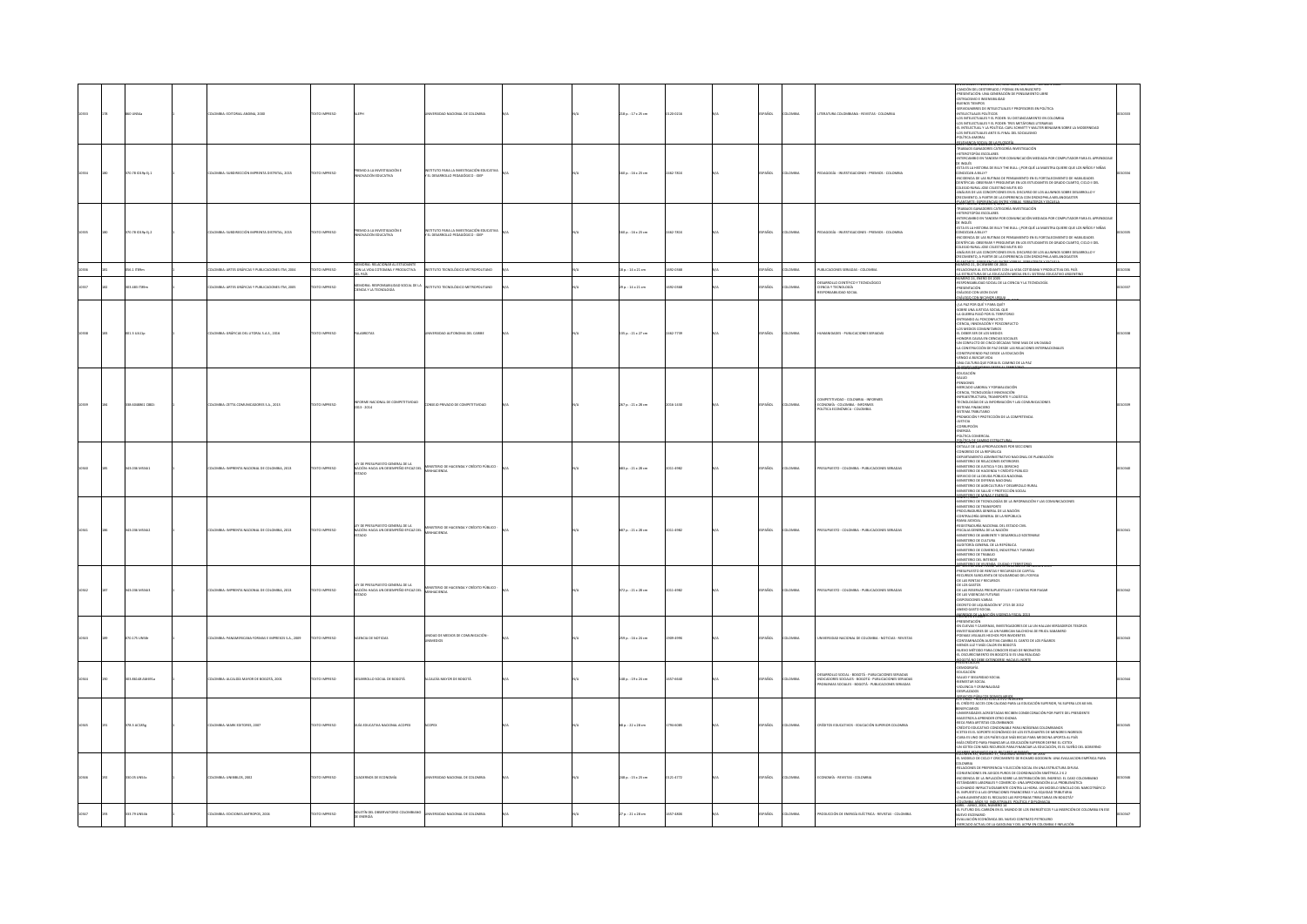|  | UNS4              | LOMBIA: EDITORIAL ANDINA, 2000                        | TEXTO IMPRESO         |                                                                                      | NIVERSIDAD NACIONAL DE COLOMBIA                                             |  | 218 p.: 17 x 25 cm    | 120-0216  | SPAÑOL      | <b>AIRMOJ</b> | ITERATURA COLOMBIANA - REVISTAS - COLOMBIA                                                                                                                                | MOIÓN DEL DESTERRADO / POEMA EN MUNUSCRITO<br>-PRESENTACIÓN: UNA GENERACIÓN DE PENSAMENTO LIBRE<br>-OSTRACISMO E INSENSIBILIDAD<br><b>BUENOS TIEMPOS</b><br>SERVIDUMBRES DE INTELECTUALES Y PROFESORES EN POLÍTICA<br>INTELECTUALES POLÍTICOS<br>-LOS INTELECTUALES Y EL PODER: SU DISTANCIAMENTO EN COLOMBIA<br>LOS INTELECTUALES Y EL PODER: TRES METÁFORAS LITERARIAS<br><b>LEYMON FROM ROLL AND</b>                                                                                                                                                                                                                                               |  |
|--|-------------------|-------------------------------------------------------|-----------------------|--------------------------------------------------------------------------------------|-----------------------------------------------------------------------------|--|-----------------------|-----------|-------------|---------------|---------------------------------------------------------------------------------------------------------------------------------------------------------------------------|-------------------------------------------------------------------------------------------------------------------------------------------------------------------------------------------------------------------------------------------------------------------------------------------------------------------------------------------------------------------------------------------------------------------------------------------------------------------------------------------------------------------------------------------------------------------------------------------------------------------------------------------------------|--|
|  | 070.78 1019p tj.1 | OMBIA: SUBDIRECCIÓN IMPRENTA DISTRITAL, 2015          | <b>DZERRAI OTXIT</b>  | PREMO A LA INVESTIGACIÓN E<br><b>SVACIÓN EDUCATIVA</b>                               | ISTITUTO PARA LA INVESTIGACIÓN EDUCATIVA<br>EL DESARROLLO PEDAGÓGICO - IDEP |  | 160 p.: 16 x 23 cm    | 2462-781X | PAÑOL       | <b>OMBIA</b>  | EDAGOGÍA - INVESTIGACIONES - PREMIOS - COLOMBIA                                                                                                                           | TRABAJOS GANADORES CATEGORÍA INVESTIGACIÓN<br>HETEROTOPÍAS ESCOLARES<br>-INTERCAMBIO EN TANDEM POR COMUNICACIÓN MEDIADA POR COMPUTADOR PARA EL APRENDIZA<br>DE INGLÉS<br>ESTA ES LA HISTORIA DE BILLY THE BULL: ¿POR QUÉ LA MAESTRA QUIERE QUE LOS NIÑOS Y NIÑAS<br>CONOZCAN A BILLY?<br>COMERON A RILLY IN UNIVERSITY PRESS MISSION DE RECORDERENTO DE MARILDADES<br>COMERON A DESERVADA VEREGUEERA EN LOS ESTUDAMENTS DE CARROLLO DE MARILDADES (DE COMERON DE COMERON DE COMERCIA<br>COLORIO RUINA, DESERVADA VEREGUEERA E                                                                                                                         |  |
|  | 370.78 (019p t) 2 | LOMBIA: SUBDIRECCIÓN IMPRENTA DISTRITAL, 2015         | <b>DZERRAI OTXIT</b>  | PREMO A LA INVESTIGACIÓN E<br>OVACIÓN EDUCATIVA                                      | ISTITUTO PARA LA INVESTIGACIÓN EDUCATIVA<br>EL DESARROLLO PEDAGÓGICO - IDEP |  | 160 p.: 16 x 23 cm    | 2462-781X | SPAÑOL      | <b>AIGMOJ</b> | PEDAGOGÍA - INVESTIGACIONES - PREMIOS - COLOMBIA                                                                                                                          | TRABAJOS GANADORES CATEGORÍA INVESTIGACIÓN<br>-HETEROTOPÍAS ESCOLARES<br>-INTERCAMBIO EN TANDEM POR COMUNICACIÓN MEDIADA POR COMPUTADOR PARA EL APRENDIZ<br>DE INGLÉS<br>-<br>ESTA ES LA HISTORIA DE BILLY THE BULL: ¿POR QUÉ LA MAESTRA QUIERE QUE LOS NIÑOS Y NIÑAS<br>-SAIRLY AND MUNICIPALE IN THE SAIL (2001) AND ANNOUNCED AT A LOT AND MUNICIPALE CONDUCTS ON THE SAIL (2001) AND CONDUCTS IN THE SAIL (2001) AND CONDUCTS ON THE SAME CONDUCTS OF THE SAME CALL (2001) IS CONDUCTS ON THE SAME                                                                                                                                                |  |
|  | 36.1 ITB9m        | OMBIA: ARTES GRÁFICAS Y PUBLICACIONES ITM, 2004       | XTO IMPRESO           | <b>NORIA: RELACIONAR AL ESTUDIAN</b><br>ON LA VIDA COTIDIANA Y PRODUCTIVA            | STITUTO TECNOLÓGICO METROPOLITANO                                           |  | 8 p.: 14 x 21 cm      | 12-0168   | PAÑOL       | <b>KOMBIA</b> | PUBLICACIONES SERIADAS - COLOMBIA                                                                                                                                         | ITHER AND AN INCENTIVE US 2009<br>-RELACIONAR AL ESTUDIARTE CON LA VIDA COTIDIANA Y PRODUCTIVA DEL PAÍS<br>-LA ESTRUCTURA DE LA EDUCACIÓN MEDIA EN EL SISTEMA EDUCATIVO ARGENTINO<br>RÚMERO 24, ENERO DE 2005                                                                                                                                                                                                                                                                                                                                                                                                                                         |  |
|  | 03.483 (TBSm      | OMBIA: ARTES GRÁFICAS Y PUBLICACIONES ITM, 2005       | CTO IMPRESO           | emoria: responsabilidad social de la<br>Encia y la tecnología                        | ΟΜΑΤΙΔΡΟΠΙΚΑ ΟΣΙΔΟΔΟΣΟΥ ΟΤΙΠΤΖΑ                                             |  | 9 p. : 14 x 21 cm     | 692-0168  | AÑOL        | <b>DMBIA</b>  | DESARROLLO CIENTÍFICO Y TECNOLÓGICO<br>CIENCIA Y TECNOLOGÍA<br>RESPONSABILIDAD SOCIAL                                                                                     | RESPONSABILIDAD SOCIAL DE LA CIENCIA Y LA TECNOLOGÍA<br>PRESENTACIÓN<br>ALOGO CON LEON OLIVE                                                                                                                                                                                                                                                                                                                                                                                                                                                                                                                                                          |  |
|  | 01.3 UA11p        | LOMBIA: GRÁFICAS DEL LITORAL S.A.S., 2016             | OZERNI OTX            |                                                                                      | ERSIDAD AUTONOMA DEL CARIBE                                                 |  | 135 p.: 21 x 27 cm    | 462-7739  | SPAÑOL      | <b>AIRMOJ</b> | HUMANDADES - PUBLICACIONES SERIADAS                                                                                                                                       | SUADRO COM LENGI MENINE CONTRACTOR CONTRACTOR CONTRACTOR CONTRACTOR CONTRACTOR CONTRACTOR CONTRACTOR CONTRACTOR CONTRACTOR CONTRACTOR CONTRACTOR CONTRACTOR CONTRACTOR CONTRACTOR CONTRACTOR CONTRACTOR CONTRACTOR CONTRACTOR<br>ONORIS CAUSA PM CIPMOAS SOCIALES<br>-HONORIS CAUSA EN CIENCIAS SOCIALES<br>-UN CONFLICTO DE CINCO DÉCADAS TIENE MAS DE UN DIABLO<br>-LA CONSTRUCCIÓN DE PAZ DESDE LAS RELACIONES INTERNACIONALES<br>CONSTRUYENDO PAZ DESDE LA EDUCACIÓN<br>-VENGO A BUSCAR VIDA<br>-UNA CULTURA QUE FORJA EL CAMINO DE LA PAZ<br>,,,,,,,,,                                                                                           |  |
|  | 38.6048851 CB82   | OMBIA: ZETTA COMUNICADORES S.A., 2013                 | TEXTO IMPRESO         | NFORME NACIONAL DE C<br>1013 - 2014                                                  |                                                                             |  | 267 p. : 21 x 28 cm   | 016-1430  | PAÑOL       | <b>MON</b>    | COMPETITIVIDAD - COLOMBIA - INFORMES<br>ECONOMÍA - COLOMBIA - INFORMES<br>POLÍTICA ECONÓMICA - COLOMBIA                                                                   | EDUCACIÓN<br>SALUD<br>-<br>PENSIONES<br>-<br>CIENCIA, TECNOLOGÍA E INNOVACIÓN<br>CIDICAL TECNICOGIAL RIMOVICION<br>ANNASTRICTURA, TRANSPORTEY LOGÍSTICA<br>ATENICUCIÓNS DE LA IMPORMACIÓN Y LAS COMUNICACIORES<br>SISTEMA TRIMORIO<br>SISTEMA TRIMORIO<br>FROMOCIÓN Y PROTECTÓN DE LA COMPETENCIA<br>CORRUPCIÓN<br>CORRUPCIÓN<br>CORRUP                                                                                                                                                                                                                                                                                                               |  |
|  | <b>DATABASE</b>   | VISIA: IMPRENTA NACIONAL DE COLOMBIA, 2013            | CPRESS OF             | .<br>Ley de Presupuesto general de la<br>Nación: Hacia un desempeño efica<br>ncaz na | TERO DE HACIENDA Y CRÉDITO RÚBLICO.                                         |  | 83 p.: 21 x 28 cm     | 1,4582    | <b>AROL</b> | <b>MARINA</b> | RESIDENTO - COLOMBIA - RUBLICACIONES SEBIADAS                                                                                                                             | <b>ROMOT, SOLIC ANNO ACTIVITY IN ALL</b><br>OETALLE DE LAS APROPIACIONES POR SECCIONES<br>-DITAILL US LON APPARAMAMENTAL AND ANNOUNCED CONSISTANTS ON LA REPORTANT DANNING DE PLANEACON<br>- CONSISTANTS OUR LA REPORTATION PACIONAL DE PLANEACON<br>- AUNISTERIO DE RELACIONES EXTERIORES<br>- AUNISTERIO DE LA DELDIA PÚBLICA N<br>INVIUU DE LA DEDEA POBLILA NACIONAL<br>INISTERIO DE DEFENSA NACIONAL<br>INISTERIO DE SALUD Y PROTECCIÓN SOCIAL<br>INISTERIO DE SALUD Y PROTECCIÓN SOCIAL<br><b>STERO OF MINASY FRED</b>                                                                                                                          |  |
|  | CAFFAR METAL      | CMBLA-IMPRENTA NACIONAL DE COLOMBIA 2013              | DZER BARTOTEK         | EY DE PRESUPUESTO GENERAL DE LA<br>vación: Hacia un desempeño eficaz del<br>Istado   | BIO DE HACIENDA Y CRÉDITO DÚBLICO<br><b>ACIENDA</b>                         |  | 687 p. : 21 x 28 cm   | 011-4982  | PAÑOL       | OMMA          | <b>PRESIDENTO - COLOMBIA - PERISTACIONES SEBIADAS</b>                                                                                                                     | <b>NORTH MANUFACTURE AND AN ARTIST CONDUCT AN ARTIST CONDUCTIONS</b><br>MINISTER OF TRANSVIRT (2) A NACON<br>PRODUCTION CHARACTER AND NATIONAL CONDUCTIONS<br>PRODUCTION CHARACTER AND NATIONAL CONDUCTION<br>RAMATION CHARACTER AND NATIONAL C<br>HIMITANIO DE CULTURA<br>INNISTERIO DE CULTURA<br>INNISTERIO DE COMERCIO, INDUSTRIA Y TURBANO<br>INNISTERIO DE COMERCIO, INDUSTRIA Y TURBANO<br>MINISTERIO DE TRABAJO<br>ANNISTERIO DEL INTERIOR<br><b>UNISTRO OLYMPIA GUOVOLER</b>                                                                                                                                                                 |  |
|  | 2010 MS343        | LOMBIA: IMPRENTA NACIONAL DE COLOMBIA, 2013           | DZERNI OTXJT          | .<br>Ley de Presupuesto General de la<br>Nación: Hacia un desempeño eficaz del       | TERIO DE HACIENDA Y CRÉDITO PÚBLICO -<br><b>HACIENDA</b>                    |  | 372 p. : 21 x 28 cm   | 2011-4982 | SPAÑOL      | <b>AIRMOJ</b> | PRESUPUESTO - COLOMBIA - PUBLICACIONES SERIADAS                                                                                                                           | -<br>PRESUPUESTO DE RENTAS Y RECURSOS DE CAPITAL<br>RECURSOS SUBCUENTA DE SOLIDARIDAD DEL FOSYGA<br>THE LAS RESERVAS PRESUPULSTALES Y CUENTAS POR PAGAR<br>-DE LOS RENTAS Y RECURSOS<br>-DE LOS RESERVAS PRESUPULSTALES Y CUENTAS POR PAGAR<br>OE LAS VIGENCIAS FUTURAS<br>-DISPOSICIONES VARIAS<br>-DECRETO DE LIQUIDACIÓN Nº 2715 DE 2012<br>ANEXO GASTO SOCIAL<br><b>BEBERG OF JANADIAN</b>                                                                                                                                                                                                                                                        |  |
|  | 0.175 UNSB        | <b>BIA: PANAMERICANA FORMAS E IMPRESOS S.A., 2009</b> | O IMPRESO             | <b>INCIA DE NOTICIAS</b>                                                             | VINEIAD DE MEDIOS DE COMUNICACIÓN                                           |  | 59 p. : 16 x 24 cm    |           | AÑOL        | .<br>Militê   | <b>ISIDAD NACIONAL DE COLOMBIA - NOTICIAS - REVISTAS</b>                                                                                                                  | <b>WELLINE WITHOUT STATE AND STATE AND SERVE AND STATE AND STATE AND STATE AND STATE AND STATE AND STATE AND STATE AND STATE AND STATE AND STATE AND STATE AND STATE AND STATE AND STATE AND STATE AND STATE AND STATE AND STATE</b><br><b>DROTÁ NO DERE EXTENDERSE HACIA EL NORTE</b>                                                                                                                                                                                                                                                                                                                                                                |  |
|  | 03.85148 AM491a   | LOMBIA: ALCALDÍA MAYOR DE BOGOTÁ, 2001                | <b>DZERRINI GTX31</b> | ATODOB 30 JAPO2 OJJORRAZ                                                             | ALCALDÍA MAYOR DE BOGOTÁ                                                    |  | 148 p.: 19 x 24 cm    | 657-6640  | AÑOL        | <b>OMBA</b>   | DESARROLLO SOCIAL - BOGOTÁ - PUBLICACIONES SERIADAS<br>- INDICADORES SOCIALES - BOGOTÁ - PUBLICACIONES SERIADAS<br>- PROBLEMAS SOCIALES - BOGOTÁ - PUBLICACIONES SERIADAS | MOGRAFÍA<br>EDUCACIÓN<br>SALUD Y SEGURIDAD SOCIAL<br>-BIENESTAR SOCIAL<br>VIOLENCIA Y CRIMINALIDAD<br>-DESPLAZADOS<br><b>RYICIOS PÚBLICOS DOMICILIARIO</b>                                                                                                                                                                                                                                                                                                                                                                                                                                                                                            |  |
|  | 5213ACL85g        | LOMBIA: MARK EDITORES, 2007                           | DESERVAL OTXET        | UÍA EDUCATIVA NACIONAL ACOPEX                                                        |                                                                             |  | 68 p. : 22 x 28 cm    | 794-6085  | PAÑOL       | <b>OMBA</b>   |                                                                                                                                                                           | CRÉDITO ACCES CON CALIDAD PARA LA EDUCACIÓN SUPERIOR, YA SUPERA LOS 60 MIL<br><b>EXAMPLE AND A CONTRACT STORE CONSUMER APPARENT DEL PRESIDENT CONTRACT ACCORD AND A CONTRACT CONTRACT AND A CONTRACT CONTRACT AND A CONTRACT CONTRACT AND A CONTRACT CONTRACT AND A CONTRACT AND A CONTRACT CONTRACT AND A CON</b><br>-<br>CUBA ES UNO DE LOS PAÍSES QUE MÁS BECAS PARA MEDICINA APORTA AL PAÍS<br>MÁS CRÉDITO PARA FINANCIAR LA EDUCACIÓN SUPERIOR DEFINE EL ICETEX<br>UN ICETEX CON MÁS RECURSOS PARA FINANCIAR LA EDUCACIÓN. ES EL SUEÑO DEL GOBIERNO<br>UKRN KNI, NUKRIKI SIY, SEGUNDO SEMESTRE DE 2002                                           |  |
|  | 1.05 UN54c        | MILA: UNIBIBLOS, 2002                                 | XTO IMPRESO           | DERNOS DE ECONOMÍA                                                                   | NACIONAL DE COLOMBIA                                                        |  | 48 p. : 15 x 23 cm    | 21-4772   |             | .<br>Militê   | ONOMÍA - REVISTAS - COLOMBI                                                                                                                                               | EL MODELO DE CICLO Y CRECIMIENTO DE RICHARD GOODWIN. UNA EVALUACIÓN EMPÍRICA PARA<br>$\begin{minipage}[t]{0.8\textwidth} \begin{tabular}{lcccc} \multicolumn{2}{l}{\textbf{C}1} & \multicolumn{2}{l}{\textbf{C}2} & \multicolumn{2}{l}{\textbf{C}3} & \multicolumn{2}{l}{\textbf{C}4} & \multicolumn{2}{l}{\textbf{C}5} & \multicolumn{2}{l}{\textbf{C}5} & \multicolumn{2}{l}{\textbf{C}6} & \multicolumn{2}{l}{\textbf{C}7} & \multicolumn{2}{l}{\textbf{C}8} & \multicolumn{2}{l}{\textbf{C}8} & \multicolumn{2}{l}{\textbf{C}$<br>N ALIMENTADO EL BECALIDO LAS BEEDBMAS TRIBUTABLAS EN BOGOTÁ?<br>.<br>COLOMBA ASOS SO INDUSTRALES, OG DELA Y DES |  |
|  | 83.79 UNS4b       | LOMBIA: EDICIONES ANTROPOS, 2004                      | OZSRRNI OTX3          | <b>DLETÍN DEL OBSERVATORIO COLOMBIANO</b><br>E ENERGÍA                               | UNIVERSIDAD NACIONAL DE COLOMBIA                                            |  | $70.121 \times 28$ cm | 57-4800   | AÑOL        | <b>AIRMOJ</b> | PRODUCCIÓN DE ENERGÍA ELÉCTRICA - REVISTAS - COLOMBIA                                                                                                                     | EL FUTURO DEL CARBÓN EN EL MUNDO DE LOS ENERGÉTICOS Y LA INSERCIÓN DE COLOMBIA EN ESE<br>UEVO ESCENARIO<br>VALUACIÓN ECONÓMICA DEL NUEVO CONTRATO PETROLERO<br>MERCADO ACTUAL DE LA GASOLINA Y DEL ACPM EN COLOMBIA E INFLA                                                                                                                                                                                                                                                                                                                                                                                                                           |  |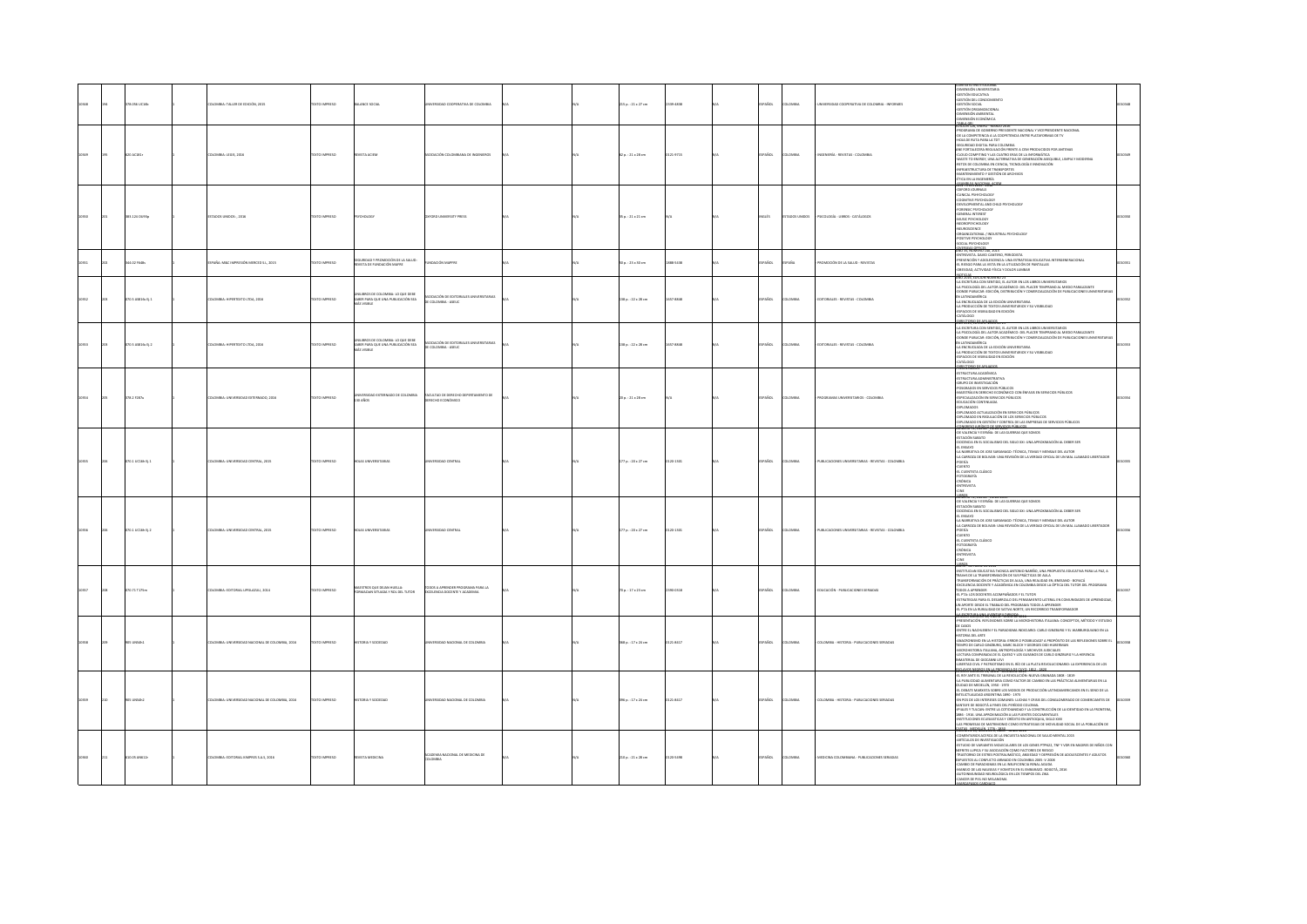|       |                    |                                               |                     |                                                                                         |                                                                                |  |                        |          |                              |                                                    | ιχτο ιΝ\$ΤΙΤυΩΩ                                                                                                                                                                                                                                                                                                                                                                                                                                                                                                                                                                                                                                                                                                                                  |  |
|-------|--------------------|-----------------------------------------------|---------------------|-----------------------------------------------------------------------------------------|--------------------------------------------------------------------------------|--|------------------------|----------|------------------------------|----------------------------------------------------|--------------------------------------------------------------------------------------------------------------------------------------------------------------------------------------------------------------------------------------------------------------------------------------------------------------------------------------------------------------------------------------------------------------------------------------------------------------------------------------------------------------------------------------------------------------------------------------------------------------------------------------------------------------------------------------------------------------------------------------------------|--|
|       | 78.056 UC16b       | <b>ILOMBIA: TALLER DE EDICIÓN, 2015</b>       | <b>DZERNI OTXIT</b> | MLANCE SOCIAL                                                                           | INERSIDAD COOPERATIVA DE COLOMBIA                                              |  | 5 p.: 21 x 27 cm       | 339-4838 | <b>PAÑOL</b><br><b>LOMBA</b> | INTRSIDAD COOPERATIVA DE COLOMBIA - INFORMES       | COMENSIÓN UNIVERSITARIA<br>- GESTIÓN EDUCATIVA<br>- GESTIÓN DEL CONOCIMIENTO<br>- GESTIÓN SOCIAL<br>- GESTIÓN ORGANIZACIONAL<br>-DIMENSIÓN AMBIENTAL<br>-DIMENSIÓN ECONÓMICA<br>TANA GRI ENERO - MARI                                                                                                                                                                                                                                                                                                                                                                                                                                                                                                                                            |  |
|       | cisi               | MBIA: LEGIS, 2016                             |                     |                                                                                         |                                                                                |  | $p. : 21 \times 28$ cm | 1471     |                              |                                                    | -PROGRAMA DE GOBIERNO PRESIDENTE NACIONAL Y VICEPRESIDENTE NACIONAL<br>-DE LA COMPETENCIA A LA COOPETENCIA ENTRE PLATAFORMAS DE TV<br>TOTA J ARAS ATUR 30 AIDIH<br>-<br>SEGURIDAD DIGITAL PARA COLOMBIA<br>ANE FORTALECERA REGULACIÓN FRENTE A CEM PRODUCIDOS POR ANTENAS<br>иминалисти                                                                                                                                                                                                                                                                                                                                                                                                                                                          |  |
|       | 383.124 OU93p      | TADOS UNIDOS: , 2016                          | EXTO IMPRESO        | CHOLOGY                                                                                 | FORD UNIVERSITY PRESS                                                          |  | $5p.:21\times21$ cm    |          | vouts<br>TADOS UNIDOS        | PSICOLOGÍA - LIBROS - CATÁLOGOS                    | NEW TITLES 2015 - 2016<br>CLINICAL PSINTCHOLOGY<br>COGNITIVE PSYCHOLOGY<br>OEVELOPMENTAL AND C<br>-DEVELOPMENTAL AND LI<br>-FORENSIC PSYCHOLOGY<br>-GENERAL INTEREST<br>-MUSIC PSYCHOLOGY<br>-NEDROPSYCHOLOGY<br>-NEUROSCIENCE<br>-ORGANIZATIONAL / INDUSTRIAL PSYCHOLOGY<br>-POSITIVE PSYCHOLOGY<br>SOCIAL PSYCHOLOGY                                                                                                                                                                                                                                                                                                                                                                                                                           |  |
|       | 4.02 F641s         | SPAÑA: M&C IMPRESIÓN MERCED S.L. 2015         | OZSRRA OTX:         | URIDAD Y PROMOCIÓN DE LA SALUD:<br>VISTA DE FUNDACIÓN MAFRI                             | <b>INDACIÓN MAPFRE</b>                                                         |  | 0a.:23×30cm            | 88-5438  | PAÑOL<br><b>DARA</b>         | ROMOCIÓN DE LA SALUD - REVISTAS                    | 25 13 Mail 2014<br>ENTREVISTA, DAVID CANTERO, PERIODISTA<br>-PREVENCIÓN Y ADOLESCENCIA: UNA ESTRATEGIA EDUCATIVA INTERGENERACIONAL<br>-EL RIESGO PARA LA VISTA EN LA UTILIZACIÓN DE PANTALLAS<br>OBESIDAD, ACTIVIDAD FÍSICA Y DOLOR LUMBAR                                                                                                                                                                                                                                                                                                                                                                                                                                                                                                       |  |
| 10352 | 070.5 AS\$16s Ej.1 | <b>DLOMBIA: HIPERTEXTO LTDA, 2016</b>         | EXTO IMPRESO        | INILIBROS DE COLOMBIA: LO QUE DEBE<br>SABER PARA QUE UNA PUBLICACIÓN SEA<br>MÁS VISIBLE | SOCIACIÓN DE EDITORIALES UNIVERSITARIAS<br>E COLOMBIA - ASEUC                  |  | 38 p.: 22 x 28 cm      | 57-8848  | SPAÑOL<br>OMBIA              | EDITORIALES - REVISTAS - COLOMBIA                  | -2007)<br>14 SECEMBRA CON SENTIDO, EL AUTOR EN LOS LIBROS UNIVERSITARIOS<br>-14 ESCERIDORÍA ERL AUTOR ACADÉRACO: DEL PLACER TEMPRANO AL MIEDO PARALIZANTE<br>-20NER PUBLICAR: EDICIÓN, DISTRIBUCIÓN Y COMERCIALIZACIÓN DE PUBLICACIONES<br>EN LATINOAMÉRICA<br>-LA ENCRUCIADA DE LA EDICIÓN UNIVERSITARIA<br>-LA PRODUCCIÓN DE TEXTOS UNIVERSITARIOS Y SU VISIBILIDAD<br>ESPACIOS DE VISIBILIDAD EN EDICIÓN<br>CATÁLOGO                                                                                                                                                                                                                                                                                                                          |  |
|       | 0.5 AS\$16s E .2   | LOMBIA: HIPERTEXTO LTDA, 2016                 | <b>CTO IMPRESO</b>  | INILIBROS DE COLOMBIA: LO QUE DEBE<br>SABER PARA QUE UNA PUBLICACIÓN SEA                | <b>MODE DE FOTOBA</b><br>DE COLOMBIA - ASEUC                                   |  | 38 p.: 22 x 28 cm      | 57-884   | PAÑOL<br>way                 | DITORIALES - REVISTAS - COLOMBIA                   | <b>USER BEATING</b><br>-LA ESCRITURA CON SENTIDO. EL AUTOR EN LOS LIBROS UNIVERSITARIOS<br>-LA PSICOLOGÍA DEL AUTOR ACADÉMICO: DEL PLACER TEMPRANO AL MIEDO PARALIZANTE<br>OONDE PUBLICAR: EDICIÓN, DISTRIBUCIÓN Y COMERCIALIZACIÓN DE PUBLICACIONES UNIVERSIT<br>EN LATINOAMÉRICA<br>-LA ENCRUCIADA DE LA EDICIÓN UNIVERSITARIA<br>-LA PRODUCCIÓN DE TEXTOS UNIVERSITABLOS Y SU VISIBILIDAD<br>-LA PRODUCCIÓN DE TEXTOS UNIVERSITABLOS Y SU VISIBILIDAD<br>-ESPACIOS DE VISIBILIDAD EN EDICIÓN<br><b>RUZGEO DE</b>                                                                                                                                                                                                                              |  |
|       | 78.2 F287u         | MBIA: UNIVERSIDAD EXTERNADO, 2016             | EXTO IMPRESO        | 30 AÑOS                                                                                 | ACULTAD DE DERECHO DEPEI<br>NTO DE<br>ED10 ECONÓMICO                           |  | 0 p. : 21 x 28 cm      |          | AÑOL<br>way                  |                                                    | MENTAIREMENT<br>453110CTUM ACADÉMICA<br>453110CTUM ACADÉMICA<br>4760204 COS EN SERVICIOS PÚRICOS<br>4760204 COS EN SERVICIOS PÚRICOS<br>420020400 CONTINUAN<br>4200 CHOR CONTINUAN<br>4200 CHOR CONTINUAN<br>4200 CHOR CONTINUAN<br>-DIPLOMADOS<br>-DIPLOMADO ACTUALIZACIÓN EN SERVICIOS PÚBLICOS<br>-DIPLOMADO EN REGULACIÓN DE LOS SERVICIOS PÚBLICOS<br>-DIPLOMADO EN GESTIÓN Y CONTROL DE LAS EMPRESAS DE SERVICIOS PÚBLICOS                                                                                                                                                                                                                                                                                                                 |  |
|       | 070.1 UC16h EL1    | LOMBIA: UNIVERSIDAD CENTRAL, 2015             | <b>DZERNI OTXT</b>  | <b>OJAS UNIVERSITARIA</b>                                                               | ERSIDAD CENTRA                                                                 |  | 77 p. : 20 x 27 cm     | 120-1301 | SPAÑOL<br><b>LOMBIA</b>      | PUBLICACIONES UNIVERSITABLAS - REVISTAS - COLOMBIA | SUBMINISTRATION AND ACTIVITY OF THE RESIDENCE OF THE RESPONSE OF THE VALUE OF THE SUBMINISTRATION SAMALED AND A SUBMINISTRATION OF THE SUBMINISTRATION SAMALED<br>ODCENCIA EN EL SOCIALISMO DEL SIGLO XXI: UNA APROXIMACIÓN AL DEBER SER<br>EL ENSAYD<br>-LA NARRATIVA DE JOSE SARAMAGO: TÉCNICA, TEMAS Y MENSAJE DEL AUTOR<br>-LA CARROZA DE BOLIVAR: UNA REVISIÓN DE LA VERDAD OFICIAL DE UN MAL LLAMADO LIBERTADOR<br>POESA<br>CUENTO<br>EL CUENTISTA CLÁSICO<br>-FOTOGRAFÍA<br>-CRÓNICA<br>-ERÓNICA<br>-ENTREVISTA                                                                                                                                                                                                                           |  |
|       | $0.1$ UC16h Ej.2   | MBIA: UNIVERSIDAD CENTRAL, 2015               | <b>IMPERS</b>       |                                                                                         |                                                                                |  | 7 p.: 20 x 27 cm       | 0.1101   |                              | <b>JELICACIONES LI</b>                             | OE VALENCIA Y ESPAÑA: DE LAS GUERRAS QUE SOMOS<br>CSTACIÓN SABATO<br>OCCENCIA EN EL SOCIALISMO DEL SIGLO XXI: UNA APROXIMACIÓN AL DEBER SER<br>EL ENSAYD<br>LA NARRATIVA DE JOSE SARAMAGO: TÉCNICA, TEMAS Y MENSAJE DEL AUTOR<br>-14 MARRATING DE DES SARAMAGES TÉDICA, TEMA SE MES DE DE MITOR<br>-14 CARRIER DE BELVAR: UNA REVISIÓN DE LA VIEIDAD D'ICUAL DE UN MAI LIAMADO LIBERTADE<br>-14 CARRIER<br>-14 CARRIER<br>-CARRIER<br>-19 ME<br>-19 ME<br>-19 ME                                                                                                                                                                                                                                                                                 |  |
|       | 70.71 T175m        | OMBIA: EDITORIAL LIPISLAZULI, 2014            | XTO IMPRESO         | STROS QUE DEJAN HUELLA:<br>MACIÓN SITUADA Y ROL DEL TUTOR                               | .<br>NGC AAPRENDER PROGRAMA PA<br>TLENCIA DOCENTE Y ACADEMIA<br><b>PARA LA</b> |  | $0p.:17 \times 23$ cm  | 20-0318  | PAÑOL<br>way                 | EDUCACIÓN - PUBLICACIONES SERIADA                  | MAND - OR-IMBIT OR 2014<br>- HALL COMPARTING COMPARTING UNITS AND MANDAMERIAL ESSACHTAR PARA LA PAZ, A<br>- HAMANTOMIAL COMPARTING COMPARTING UNITS AND ALL COMPARTING UNITS AND A LA PAZZONIA COMPARTING A CHANGE OF A<br>- FAMILING A<br>-EL FI K-LUS DUCENTES ALOMPANIAUS T EL TOTOR<br>-ESTRATEGIAS PARA EL DESARROLLO DEL PENSAMIENTO LATERAL EN COMUNIDADES DE APRENDIZAJE<br>UN APORTE DESDE EL TRABAJO DEL PROGRAMA TODOS A APRENDER<br>-EL PTA EN LA RURALIDAD DE SATIVA NORTE, UN RECORRIDO TRANSFORMADOR<br><b>CONTRACTORY/CASHIER AND DRIVE</b>                                                                                                                                                                                      |  |
|       | $unset-1$          | DMBIA: UNIVERSIDAD NACIONAL DE COLOMBIA, 2016 | <b>OZSRRINI OTX</b> | ISTORIA Y SOCIEDAD                                                                      | RSIDAD NACIONAL DE COLOMBIA                                                    |  | 68 p. : 17 x 24 cm     | 121-8417 | PAÑOL<br><b>DMBIA</b>        | OLOMBA - HISTORIA - PUBLICACIONES SERIADAS         | -<br>PRESENTACIÓN. REFLEXIONES SOBRE LA MICROHISTORIA ITALIANA: CONCEPTOS, MÉTODO Y ESTUDIO<br>DE CASOS<br>ENTRE EL NACHLEBEN Y EL PARADIGMA INDICIARIO: CARLO GINZBURG Y EL WARBURGUIANO EN LA<br>HISTORIA DEL ARTE<br>-ANACRONISMO EN LA HISTORIA: ERROR O POSIBILIDAD? A PROPÓXYO DE LAS REFLEXONES SOBRE EL<br>-TIEMPO DE CARLO GIRCEURO, AMAC BLOCH Y GEORGES DIDI-HUBERIANI<br>-<br>ANCROHISTORIA ITALIANA, ANTROPOLOGÍA Y ARCHIVOS JUDICIALES<br>-LECTURA COMPARADA DE EL QUESO Y LOS GUSANOS DE CARLO GINZBURG Y LA HERENCIA<br>L'ELL'OURS COMMERCIAIN DE L'EST LES GROSSIONS DE CORLO GIRLISMO I LA IRANIALIA<br>NIMATERIAL DE GIOCANIN LEVI<br>LIBERTAD CIVIL Y PATRIOTISMO EN EL RÍO DE LA PLATA REVOLUCIONARIO: LA EXPERENCIA DE LOS |  |
|       |                    | MBIA: UNIVERSIDAD NACIONAL DE COLOMBIA, 2016  | CONSIGN CD          | nela y societan                                                                         | <b>UDAD NACIONAL DE COLOMBIA</b>                                               |  | 6 p.: 17 x 24 cm       | 21.8417  | afire                        | CMBA - HISTORIA - RUN ICACIONES SERIADA            | <b>THE BANDARY OF THE MANUFACTURE</b><br>EL REY ANTE EL TRIBUNAL DE LA REVOLUCIÓN: NUEVA GRANADA 1808 - 1819<br>A PUBLICIDAD ALIMENTARIA COMO FACTOR DE CAMBIO EN LAS PRÁCTICAS ALIMENTARIAS EN LA<br>CIUDAD DE MEDELLÍN, 1950 - 1970<br>CURDO DE MEDIUI, 1959 - 1970<br>1970 - EN CHELIA (MARCON DE PRODUCCIÓN LA PROMATISTANDE DE 15 DE 1500 DE LA CURDO DE LA CURDO DE LA CURDO DE L<br>1970 - EN CHELIA (MARCON DE LA CURDO DE CONSTANTANTO DE CONSTANTANTE DE DESPERANTE                                                                                                                                                                                                                                                                    |  |
|       | 10.05 AN612r       | OMBIA: EDITORIAL KIMPRES S.A.S, 2016          | DZERRINI OTX3       | IVISTA MEDICINA                                                                         | EMIA NACIONAL DE MEDICINA DE<br>AISMO                                          |  | 0 p.: 21 × 28 cm       | 20-5498  | MISMA                        | MEDICINA COLOMBIANA - PUBLICACIONES SERIADAS       | <b>LAD PRODUCE OR MANIMODO CONSTRUCTION OF INVESTIGATION CONSTRUCTS</b><br><b>CONSTRUCTION CONSTRUCTS</b><br><b>CONSTRUCTS</b><br><b>CONSTRUCTS</b><br><b>CONSTRUCTS</b><br><b>CONSTRUCTS</b><br><b>CONSTRUCTS</b><br><b>CONSTRUCTS</b><br><b>CONSTRUCTS</b><br><b>CONSTRUCTS</b><br><b>CONSTRUCTS</b><br><b></b><br>-MANEJO DE LAS NAUSEAS Y VOMITOS EN EL EMBARAZO, BOGOTÁ, 2016<br>-MANEJO DE LAS NAUSEAS Y VOMITOS EN EL EMBARAZO, BOGOTÁ, 2016<br>-CANCER DE PIEL NO MELANCIMA                                                                                                                                                                                                                                                              |  |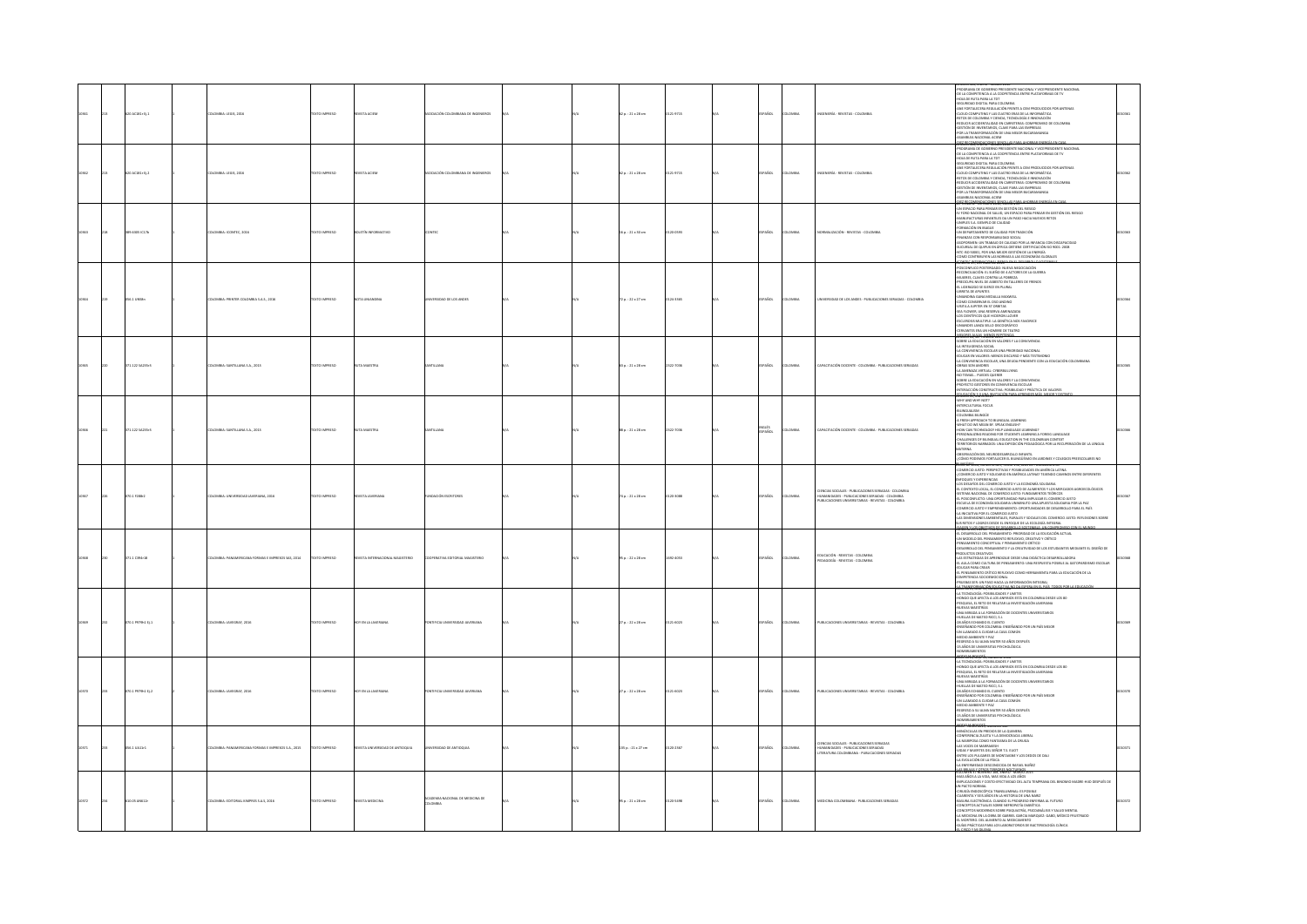|  | 0 AC181+ tj.1     | OMBIA: LEGIS, 2016                               | EXTO IMPRESO         | <b>STA ACIEN</b>              | OCIACIÓN COLOMBIANA DE INGENEROS        |  | 2 p.: 21 x 28 cm       | 121-9715 | AÑOL            | <b>MON</b>   | NGENIERÍA - REVISTAS - COLOMBI                                                                                                     | OGRAMA DE GOBIERNO PRESIDENTE NACIONAL Y VICEPRESIDENTE NACIONAL<br>OE LA COMPETENCIA A LA COOPETENCIA ENTRE PLATAFORMAS DE TV<br>-HOJA DE RUTA PARA LA TOT<br>-SEGURIDAD DIGITAL PARA COLOMBIA<br>-SEUURIDAD DISITAL PARA COLOMBIA<br>AMETODICA COMPUTIBITATI A CEM PRODUCIDOS POR ANTENAS<br>ANE CONTAPUTIBIO TALCA CANTO ERAS DE LA INFORMÁTICA<br>ANTO DE COLOMBIA Y CINEA A TENGUA EL INFORMÁTICA<br>ANTON DE INVENTAIRA DE CANTEERAL CO                                                                                                                                                                                                                                                                                                                                           |  |
|--|-------------------|--------------------------------------------------|----------------------|-------------------------------|-----------------------------------------|--|------------------------|----------|-----------------|--------------|------------------------------------------------------------------------------------------------------------------------------------|-----------------------------------------------------------------------------------------------------------------------------------------------------------------------------------------------------------------------------------------------------------------------------------------------------------------------------------------------------------------------------------------------------------------------------------------------------------------------------------------------------------------------------------------------------------------------------------------------------------------------------------------------------------------------------------------------------------------------------------------------------------------------------------------|--|
|  | O ACURLE D. 2     | COMBIA: LEGIS, 2016                              | OZERNA OTX'          | <b>STA ACITA</b>              | CIACIÓN COLOMBIANA DE INCENIEROS        |  | $20.121 \times 28$ cm  | 121-9715 | PAÑOL           | owaw         | MOTNIFER - EFVISTAS - COLOMBI                                                                                                      | 6W12N, WARNO WAARD SU<br>THE REPORT OF THE REPORT OF THE REPORT OF THE REPORT OF THE REPORT OF THE REPORT OF THE REPORT OF THE REPORT OF THE REPORT OF THE REPORT OF THE REPORT OF THE REPORT OF THE REPORT OF THE REPORT OF THE REPORT OF THE REPORT<br>FOR LA TRANSFORMACIÓN DE UNA MEJOR BUCARAMANGA                                                                                                                                                                                                                                                                                                                                                                                                                                                                                 |  |
|  | <b>DEATH ATTN</b> | CMBLE-ICONTEC 2016                               | OPERATIONS           | erda o                        |                                         |  | $60.121 \times 30$ cm  | 20.0521  | PAÑOL           | Change       | COMALIZACIÓN - REVISTAS - COLOMBIA                                                                                                 | -POLA TRANSIONALCÓN CE UNA MEDIE BLOADAMNICA<br>-ASAMBLEA RADONAL ACIDE<br>-BY-MERGIPPOLY CHART-THEORY (1995)<br>- AU MERGIP OCHART-THEORY (1995)<br>- AU MERGIP ON A PERSAN DIA GESTIÓN DEL RESSIÓ<br>- AU MERGIP ON A PERSAN DE SALUR PARA<br>-Furnmuur en bande<br>-Un departamento de Calidad por Tradición<br>-Finanzas con responsabilidad social<br>-Asopormen: un trabajo de Calidad por la Infancia con discapacidad<br>-<br>SUCURSAL DE QUIPUX EN ÁFRICA OBTIENE CERTIFICACIÓN ISO 9001: 2008<br>-NTC-ISO 50001, POR UNA MEJOR GESTIÓN DE LA ENERGÍA<br>-COMO CONTRIBUYEN LAS NORMAS A LAS ECONOMÍAS GLOBALES<br>GRANG UNTERVISIONING SENIOR PRO                                                                                                                              |  |
|  | 56.1 UNSB=        | MILA: PRINTER COLOMBIA S.A.S., 2016              | <b>IXTO IMPRESO</b>  |                               | RSIDAD DE LOS ANDES                     |  | $2p.:22*27$ cm         | 124-1165 | <b>AROL</b>     | MAGIA        | ERSIDAD DE LOS ANDES - PUBLICACIONES SERIADAS - COLOMBI                                                                            | <b>GADO: NUEVA NEGOCIACIÓN</b><br>RECONCILIACIÓN: EL SUEÑO DE 4 ACTORES DE LA GUERRA<br>MUJERES, CLAVES CONTRA LA POBREZA<br>PREOCUPA NIVEL DE ASBESTO EN TALLERES DE FRENOS<br>-EL LIDERAZGO SE EJERCE EN PLURAL<br>EL INDRAZIO SE IDENTE EN PURAL<br>- GIBIETA DE APUNTES<br>- COMO CONSERVA MENALIA MANVIEL<br>- COMO CONSERVA EL OS 20 ANGINO<br>- COMO CONSERVA EL OS 20 ANGINO<br>- COLO CONSERVA ESERVA AMENGADA<br>- GELEROSS MALTPLE : LA GENÉTICA NOS FAVOR                                                                                                                                                                                                                                                                                                                   |  |
|  | 1.122542351       | OMBIA: SANTILLANA S.A., 2013                     | OZERNI OTX           |                               |                                         |  | 3 p.: 21 x 28 cm       | 122-7036 | PAÑOL           | wax          | APACITACIÓN DOCENTE - COLOMBIA - PUBLICACIONES SERIADAS                                                                            | CERNANTS TRAVA HOMORIC DE TATINO (1992)<br>ASSEMBLANCE DE CARACTER DE CANADEMIA (1992)<br>A METRICIPACA DO PARTICULA DE MONTENEIRA<br>A METRICIPACA DO CAL 4. UNA PROTENDA NACIONAL<br>A CARACTER DE MONTENEIRA (1992)<br>A MATINOLA VIETNE,<br>PROYECTO GESTORES EN CONVIVENCIA ESCOLAR<br>INTERACCIÓN CONSTRUCTIVA: POSIBILIDAD Y PRÁCTICA DE VALORES<br>DISAFI <sup>N</sup> ARJINA INTATI <sup>0</sup>                                                                                                                                                                                                                                                                                                                                                                               |  |
|  | 171.122 5A235r3   | OMBIA: SANTILLANA S.A., 2013                     | EXTO IMPRESO         |                               |                                         |  | 88 p. : 21 x 28 cm     | 122-7036 | vouts<br>SPAÑOL | MAGIA        | APACITACIÓN DOCENTE - COLOMBIA - PUBLICACIONES SERIADAS                                                                            | -WHY AND WHY NOT?<br>-WHY AND WHY NOT?<br>-INTERCULTURAL FOCUS<br>COLOMBIA BILINGUE<br>A FRESH APPROACH TO BILINGUAL LEARNING<br>WHAT DO WE MEAN BY, SPEAK ENGLISH?<br>-HOW CAN TECHNOLOGY HELP LANGUAGE LEARNING?<br>-PERSONALIZING READING FOR STUDENTS LEARNING A FOREIG LANGUAGE<br>-CHALLENGES OF BILINGUAL EDUCATION IN THE COLOMBIAN CONTEXT<br>RRITORIOS NARRADOS: UNA EXPEDICIÓN PEDAGÓGICA POR LA RECUPERACIÓN DE LA LENGUA<br>LITERIA<br>ASERVACIÓN DEL NEURODESARROLLO INFANTIL<br>CÓMO PODEMOS FORTALECER EL BILINGÜÉSMO EN JARDINES Y COLEGIOS PRESCOLARES NO<br>CÓMO PODEMOS FORTALECER EL BILINGÜÉSMO EN JARDINEN BA                                                                                                                                                    |  |
|  | 0.1 F288r2        | BIA: UNIVERSIDAD JAVERIANA, 2016                 | TO IMPRESO           |                               |                                         |  | p.: 21 x 28 cm         |          | .<br>Scc        |              | MS SOCIALES - PUBLICACIONES SERIADAS - COLOMBIA                                                                                    | ric DE Alis, numeru bas, fund 152, and de fublicalium ba<br>omercio justo: perspectivas y posibilidades en américa latina<br>OMERCIO JUSTO Y SOLIDARIO EN AMÉRICA LATINA? TEJIENDO CAMINOS ENTRE<br>FOQUES Y EXPERIENCIAS<br>IS DESAFÍOS DEL COMERCIO JUSTO Y LA ECONOMÍA SOLIDARIA<br>SAD DESPIRO DE LOMBINO JUDITO E INDANESIA SOLDIARI E COMERCOLÓGICOS<br>CELEBRA MODEL EL COMERCO JUDITO EN INMENSION I EDIDERADOS AGROECOLÓGICOS<br>CELEBRA MODELLO, UNA ORNEHADAD POR ARENTANA EL COMERCO JUSTO EL COMERCO JUDITO E                                                                                                                                                                                                                                                              |  |
|  | 71.1 C394-18      | OMBIA: PANAMERICANA FORMAS E IMPRESOS SAS. 2014  | OZSRRA OTX:          | VSTA INTERNACIONAL MAGISTERIO | PERATIVA EDITORIAL MAGISTERIO           |  | $50.122 \times 28$ cm  | 692-4053 | PAÑOL           | <b>DMBIA</b> | EDUCACIÓN - REVISTAS - COLOMBIA<br>EDAGOGÍA - REVISTAS - COLOMBIA                                                                  | <b>LA ROCATA POR LO COMEDO AUTO</b><br>LAS DAMENDANS ANTENIAIS, RUMALEY SOCIALES DEL COMERCO JUSTO REFILERONES SCRIPE (NESTRE COMERCO POR LO COMERCO DE COMERCO POR LO COMERCO DE COMERCO DE COMERCO DE COMERCO DE COMERCO DE COMERCO<br><br>SARROLLO DEL PERSAMIENTO Y LA CREATIVIDAD DE LOS ESTUDIANTES MEDIANTE EL DISEÑO DE<br>DDUCTOS CREATIVOS<br>LAS ESTRATEGIAS DE APRENDIZAJE DESDE UNA DIDÁCTICA DESARROLLADORA<br>41 AULA COMO CULTURA DE PENSAMIENTO: UNA RESPUESTA POSIBLE AL GATOPARDISMO ESCOLAR<br>EDUCAR PARA CREAR<br>-EULLAR PARA LREAR<br>-EL PENSAMIENTO CRÍTICO REFLEXIVO COMO HERRAMENTA PARA LA EDUCACIÓN DE LA<br>IMPETENCIA SOCIOEMOCIONAL<br>EUEBAS SER: UN PASO HACIA LA INFORMACIÓN INTEGRAL<br><b>BEE-ANSECRAPSECRUSSIERS TERR<sup>ATO DA FSPER</sup></b> |  |
|  | 0.1 P979h1 Ej.1   | OMBIA: JAVEGRAF, 2016                            | <b>DZERRINI OTX:</b> | EN LA JAVERIAN                |                                         |  | 7p.: 22 x 28 cm        | 121-6023 | <b>Sos</b>      | MISH         | PUBLICACIONES UNIVERSITARIAS - REVISTAS - COLOMBIA                                                                                 | -LA TECNOLOGÍA: POSIBILIDADES Y LIMITES<br>-HONGO QUE AFECTA A LOS ANFIBIOS ESTÁ EN COLOMBIA DESDE LOS 80<br>PESQUISA, EL RETO DE RELATAR LA INVESTIGACIÓN JAVERIANA<br>-NUEVAS MAESTRÍAS<br>-UNA MIRADA A LA FORMACIÓN DE DOCENTES UNIVERSITARIOS<br>HUELLAS DE MATEO RICCI, S.J.<br>-HULIAN CE MATIO RICO, S.A.<br>- 28 AÑOS ECHANDO EL CUENTO<br>- 28 AÑOS ECHANDO EL CUENTO<br>- UN LIAMADO A CUIDAR LA CASA COMON<br>- UN LIAMADO A CUIDAR LA CASA COMON<br>- SECARIS DA SU ALMA MATER SO AÑOS DESPUÉS<br>- SECARIS DA UN NURSITA                                                                                                                                                                                                                                                  |  |
|  | 0.1 P979h1 EL2    | MBLA-MAFGRAE 2016                                | CTO IMPRESO          |                               |                                         |  | $70.122 \times 28$ cm  | 1.4023   | <b>AROL</b>     |              | <b>CALIFORNIAE BELIEVAE COLORADI</b>                                                                                               | L'AND, AND 55, NUMERU 1<br>MMY 2005/MODS, NORMAND 1.12<br>4-A TECNOLOGÍA: POSIBILIARAES Y LIMITES<br>9 MONGO QUE APECTA A LOS ANFIROS ESTÁ EN COLOMBIA DESDE LOS BO<br>9 FESQUISA, EL RETO DE RELATAR LA INVESTIGACIÓN JAVERIANA<br>9 MIN MIRIADA A LA FORMACIÓN DE D<br>-UNA MIRADA A LA FURMACIÓN DE DUCENTES UNIVERSITARIOS<br>-HUELLAS DE MATEO RICO, S.J.<br>-28 AÑOS ECHANDO EL CUENTO<br>-ENSEÑANDO POR COLOMBIA: ENSEÑANDO POR UN PAÍS MEJOR<br>-UN LLAMADO A CUIDAR LA CASA COMÚN<br>-MEDIO AMBIENTE Y PAZ<br>REGRESO A SU ALMA MATER 50 AÑOS DESPUÉS<br>-15 AÑOS DE UNIVERSITAS PSYCHOLÓGICA<br>MERAMIENTOS                                                                                                                                                                   |  |
|  | 56.1 UA11r1       | OMBIA: PANAMERICANA FORMAS E IMPRESOS S.A., 2015 | <b>OZSRRI OTXT</b>   | AUDOITINA 3G GAGIZERNU ATZIVI | ERSIDAD DE ANTIQQUIA                    |  | 135 p. : 21 x 27 cm    | 120-2367 | PAÑOL           | LOMBIA       | CIENCIAS SOCIALES - PUBLICACIONES SERIADAS<br>HUMANIDADES - PUBLICACIONES SERIADAS<br>TERATURA COLOMBIANA - PUBLICACIONES SERIADAS | <b>GTOMARYSM</b> www.<br>ASSOCIATE IN PREDICT DE LA CUIMERA<br>CONFERENCIA ZULETA Y LA DEMOCRACIA LIBERAL<br>A MARIPOSA COMO FANTASMA DE LA ORUGA<br>LAS VOCES DE MARRAKESH<br>DAS Y MUERTES DEL SEÑOR T.S. ELIOT<br>ENTRE LOS PULGARES DE MONTAIGNE Y LOS DEDOS DE DAU<br>LA EVOLUCIÓN DE LA FÍSICA<br>ENVERMEDAD DESCONOCIDA DE RAFAEL NUÑEZ<br>AS RELIAS X CITEDS TERRITORS MOTTLIBNOS                                                                                                                                                                                                                                                                                                                                                                                               |  |
|  | 10.05 AN612r      | OMBIA: EDITORIAL KIMPRES S.A.S. 2016             | EXTO IMPRESO         | VISTA MEDICINA                | DEMIA NACIONAL DE MEDICINA DE<br>LOMBIA |  | $50.121 \times 28$ cm. | 1037408  | PAÑOL           | <b>OMBA</b>  | MEDICINA COLOMBIANA - PUBLICACIONES SERIADAS                                                                                       | VOLUMENT JI FINDRUSU SUB, REIRINJ - KAMBU JUGO<br>-BARS AÑOS A LA VIDA, MAS VIDA A LOS AÑOS<br>-BARJUCACIONES Y COSTO-EFECTIVIDAD DEL ALTA TEMPRANA DEL BINDMIO MADRE-HIJO DESPUÉS DE<br>-EFRUSÍA ENDOSCÓPICA TRANSLUMINAL: ES POSIBLE<br><br>-<br>CUARENTA Y SEIS AÑOS EN LA HISTORIA DE UNA NARIZ<br>-BASURA ELECTRÓNICA: CUANDO EL PROGRESO ENFERMA AL FUTURO<br>CONCEPTOS ACTUALES SOBRE NEFROPATÍA DIABÉTICA<br>CONCEPTOS MODERNOS SOBRE PSIQUIATRÍA, PSICOANÁLISIS Y SALUD MENTAL<br>-LA MEDICINA EN LA OBRA DE GABRIEL GARCIA MARQUEZ: GABO, MÉDICO FRUSTRADO<br>-EL MORTERO. DEL ALIMENTO AL MEDICAMENTO<br>-GUÍAS PRÁCTICAS PARA LOS LABORATORIOS DE BACTERIOLOGÍA CLÍNICA<br><b><i><u>PAYMENTAIL COMPANY</u></i></b>                                                          |  |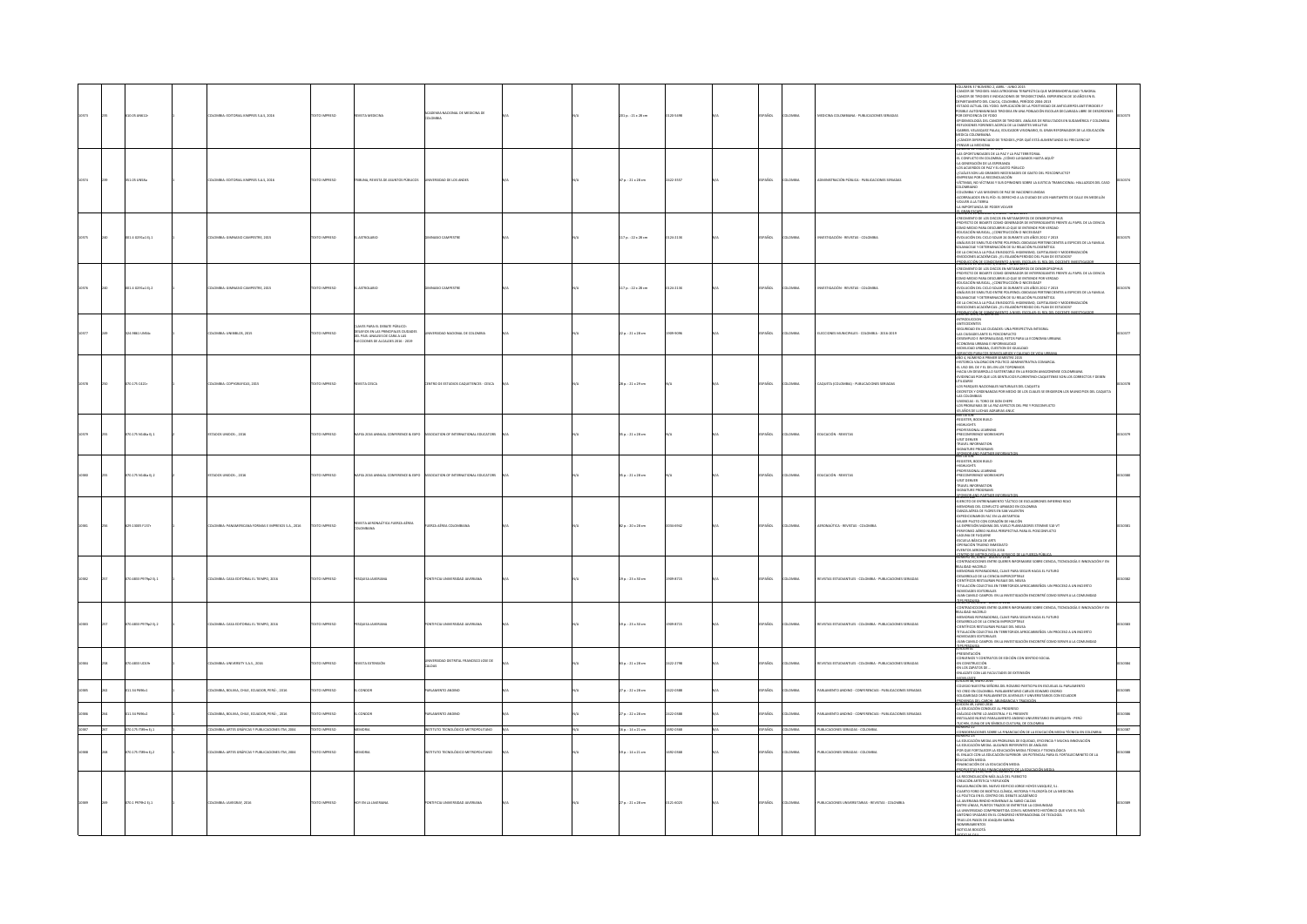|       |  | 0.05 AN612                              | OMBIA: EDITORIAL KIMPRES S.A.S, 2016                                                                  | XTO IMPRESO                   |                                                                                                                                            | JEMIA NACIONAL DE MEDICINA DE<br>JMBIA                                     |     | 01 p. : 21 x 28 cm                            |                       |     |                                                     |                                                                        | VOLUME 17 VIOLENCE, AME JAND 2013<br>COLORES TRONGER (AND ANGELES AND STANDARD TRANSPORTATIONS TUAGENT AND CONSTRUCT AND A CONSTRUCT TRANSPORTATION<br>CONSTRUCT TRANSPORTATION CONSTRUCT AN INTERFERING A STANDARD CONSTRUCT AND C<br><b>DICA COLOMBIANA</b><br>(CÁNCER DIFERENCIADO DE TIROIDES ¿POR QUÉ ESTÁ AUMENTANDO SU FRECUENCIA?<br>PENSAR LA MEDICINA<br>TENSAR LA MEDICINA                                                                                                                                                                                                                                                                                |               |
|-------|--|-----------------------------------------|-------------------------------------------------------------------------------------------------------|-------------------------------|--------------------------------------------------------------------------------------------------------------------------------------------|----------------------------------------------------------------------------|-----|-----------------------------------------------|-----------------------|-----|-----------------------------------------------------|------------------------------------------------------------------------|----------------------------------------------------------------------------------------------------------------------------------------------------------------------------------------------------------------------------------------------------------------------------------------------------------------------------------------------------------------------------------------------------------------------------------------------------------------------------------------------------------------------------------------------------------------------------------------------------------------------------------------------------------------------|---------------|
|       |  | 351.05 UNSEa                            | LOMBIA: EDITORIAL KIMPRES S.A.S, 2016                                                                 | EXTO IMPRESO                  | RIBUNA, REVISTA DE ASUNTOS PÚBLICOS                                                                                                        | <b>JNIVERSIDAD DE LOS ANDES</b>                                            |     | 7p.:21×28 cm                                  | 422-3557              |     | <b>AROL</b><br>LOMBIA                               | INSTRACIÓN PÚBLICA - PUBLICACIONES SERIADA                             | UMERO 12 FEBRERO DE 2016<br>AS OPORTUNIDADES DE LA PAZY LA PAZ TERRITORIAL<br>11 CONFUCTO EN COLOMBIA: ¿CÓMO LLEGAMOS HASTA AQUÍ?<br>A GENERACIÓN DE LA ESPERANZA<br>)<br>SACUERDOS DE PAZ Y EL GASTO PÚBLICO<br>JUÁLES SON LAS GRANDES NECESIDADES DE GASTO DEL POSCONFLICTO?<br><b>WRESAS POR LA RECONDIJACIÓN</b><br>CTIMAS, NO VÍCTIMAS Y SUS OPINIONES SOBRE LA JUSTICIA TRANSICIONAL: HALLAZGOS DEL CASO<br>ILOMBIANO<br>DLOMBIA Y LAS MISIONES DE PAZ DE NACIONES UNIDAS<br>DRRALADOS EN EL RÍO: EL DERECHO A LA CIUDAD DE LOS HABITANTES DE CALLE EN MEDELLÍN<br>LVER A LA TIERRA<br>IMPORTANCIA DE PODER VOLVER<br><b>JMEN'SENDWORD E ENGINE-JUNIE 2015</b> |               |
|       |  | 01.4 0291a1 031                         | LOMBIA: GIMNASIO CAMPESTRE, 2015                                                                      | EXTO IMPRESO                  | ASTROLABIO                                                                                                                                 | ASIO CAMPESTRE                                                             |     | 117 p.: 22 x 28 cm                            | 124-213X              |     | ARDL<br>LOMBY                                       | ESTIGACIÓN - REVISTAS - COLOMBI                                        | CRECIMENTO DE LOS DISCOS EN METAMORFOS DE DENDROPSOPHUS<br>HELINIKH VU VE LUS VOKJÖS EN METANORFOS DE DERKOROPSOPHUS<br>ROYECTO DE BIOARTE COMO GENERADOR DE INTERROGANTES FRENTE AL PAPEL DE LA CIENCIA<br>JMO MEDIO PARA DESCUBRIR LO QUE SE ENTIENDE POR VERDAD<br>COMO MESO PARA RECORDINATO QUE ME INTERIDE PORTUGALES IN A MARIAM CONSUMERANTE DE MARIAM CONSUMERANTE DE MARIAM<br>ANALISI DE MARIAM CONSUM A SURVANTE LOS MÁS 2017 VIENE<br>ANALISI DE MARIAM DENTRA CONTRA CONSUMER PER EN FRANCAS                                                                                                                                                           |               |
|       |  | 01.4 6291a1 0j.2                        | LOMBIA: GIMNASIO CAMPESTRE, 2015                                                                      | DESIRAI OTX3T                 | CIEALORTZA                                                                                                                                 | <b><i>LASIO CAMPESTRE</i></b>                                              |     | 117 p.: 22 x 28 cm                            | 124-213X              |     | <b>AÑOL</b><br>LOMBU                                | STIGACIÓN - REVISTAS - COLOMBI                                         | RECIMENTO DE LOS DISCOS EN METAMORFOS DE DENDROPSOPHUS<br>ROYECTO DE BIOARTE COMO GENERADOR DE INTERROGANTES FRENTE AL PAPEL DE LA OENCIA<br>MO MEDIO PARA DESCUBRIR LO QUE SE ENTIENDE POR VERDAD<br>IDUCACIÓN MUSICAL, ¿CONSTRUCCIÓN O NECESIDAD?<br>IVOLUCIÓN DEL CICLO SOLAR 24 DURANTE LOS AÑOS 2012 Y 2013<br>4-YAALAUN KA CICLO SOLAN 24 GUUNNITE (157 ARG) 2012 V 2013<br>AAMAISE OE SIMILTUD ENTRE POLIFINDI, CIROASAS PERTENECENTES A ESPECIES DE LA FAMILIA<br>DELMACARE Y DETENINIMOZION EN DU BILACÓN INDOEMÉTICA<br>DE LA CIRONA I A POLA EN                                                                                                           |               |
|       |  | 4.9861 UNS4c                            | LOMBIA: UNIBIBLOS, 2015                                                                               | DZERNI OTX3                   | WES PARA EL DEBATE PÚBLICO:<br>DESAFIOS EN LAS PRINCIPALES CIUDADES<br>DEL PAIS: ANALISIS DE CARA A LAS<br>CCIONES DE ALCALDES 2016 - 2019 | SIDAD NACIONAL DE COLOMBIA                                                 |     | 22 p. : 21 x 28 cm                            | 10095                 |     | AÑOL<br>DMBV                                        | LECCIONES MUNICIPALES - COLOMBIA - 2016-2019                           | NTRODUCCION<br>INTECEDENTES<br>EGURIDAD EN LAS CIUDADES: UNA PERSPECTIVA INTEGRAL<br>AS CIUDADES ANTE EL POSCONYULTO<br>JESEARPLO E INTORALIDAD, RETOS PARA LA ECONOMIA URBANA<br>ICONOMIA URBANA E INTORAMAIDAD<br>MOVILIDAD URBANA, CUESTION DE IGUALDAD                                                                                                                                                                                                                                                                                                                                                                                                           |               |
|       |  | 0.175 0421                              | LOMBIA: COPYGRAFICAS, 2015                                                                            | EXTO IMPRESO                  | <b>ISTA CESCA</b>                                                                                                                          | TRO DE ESTUDIOS CAQUETENCES - CESCA                                        |     | 28 p.: 21 x 29 cm                             |                       |     | <b>ACC</b><br>LOMBIA                                | CAQUETA (COLOMBIA) - PUBLICACIONES SERIADAS                            | servacios queliacos dominiumenos y caudadi.<br>Vão 4, número e primer semestre 2015<br>ISTORICA VALORACION POLITICO ADMINISTRATIVA COMARCAL<br>L USO DEL DE Y EL DEL EN LOS TOPONIMOS<br>ACIA UN DESARROLLO SUSTENTABLE EN LA REGION AMAZONENSE COLOMBIANA<br>VIDENCIAS POR QUE LOS GENTILICIOS FLORENTINO-CAQUETENSE SON LOS CORRECTOS Y DEBEN<br>LIZARSE<br>OS PARQUES NACIONALES NATURALES DEL CAQUETA<br>IS COLOMBIAS<br>VENDAS - EL TORO DE DON CHEPE<br>25 PROBLEMAS DE LA PAC ASPECTOS DEL PRE Y POSCONFLICTO<br>5 AÑOS DE LUCHAS AGRARIAS ANUC<br>VITAIRUN                                                                                                   |               |
|       |  | 0.175 N146a Ej.1                        | TADOS UNIDOS: , 2016                                                                                  | EXTO IMPRESO                  | AFSA 2016 ANNUAL CONFERENCE & EXPO                                                                                                         | ASSOCIATION OF INTERNATIONAL EDUCATORS                                     |     | 5 p.: 21 x 28 cm                              |                       |     | Acc.<br>owau                                        | DUCACIÓN - REVISTAS                                                    | HENRICH<br>-REGISTER, BOOK BUILD<br>-PROFESSIONAL LEARNING<br>PRECONFERENCE WORKSHOPS<br>VISIT DENVER<br>TRAVEL INFORMATION<br>SIGNATURE PROGRAMS<br>DWOLAND #                                                                                                                                                                                                                                                                                                                                                                                                                                                                                                       |               |
|       |  | 70.175 N146a EL2                        | STADOS UNIDOS: . 2016                                                                                 | OZERNI OTXT                   |                                                                                                                                            | VAFSA 2016 ANNUAL CONFERENCE & EXPO ASSOCIATION OF INTERNATIONAL EDUCATORS |     | $15a : 21 \times 28$ cm                       |                       |     | <b>AROL</b><br>LOMBIA                               | DUCACIÓN - REVISTAS                                                    | EGISTER, BOOK BUILD<br>IGHLIGHTS<br>10FESSIONAL LEARNING<br>WORESSIONAL LEARNING<br>RECONFERENCE WORKSHOPS<br>IST DENVER<br>IGNATURE PROGRAMS<br>IGNATURE PROGRAMS<br>COSCIE AND PARTNER INCO                                                                                                                                                                                                                                                                                                                                                                                                                                                                        |               |
|       |  | 9.13005 F137r                           | <b>ILOMBIA: PANAMERICANA FORMAS E IMPRESOS S.A., 2016</b>                                             | OZERNI OTX                    | AÚTICA FUERZA AÉREA                                                                                                                        | <b>JERZA AÉREA COLOMBIANA</b>                                              |     | $2a : 20 \times 28$ cm                        |                       |     | <b>AROL</b><br>LOMBIA                               | ERONAÚTICA - REVISTAS - COLOMBIA                                       | NUMI ARE<br>ERCITO DE ENTRENAMIENTO TÁCTICO DE ESCUADRONES INFIERNO ROJO<br>EMORIAS DEL CONFUCTO ARMADO EN COLOMBIA<br>ARZA AÉREA DE TUGRES EN SAN VALENTIN<br>OFEDICIONARIOS FAC EN LA ANTARTIDA<br>ISPEDICIONARIOS FAC EN LA ANTARTIDA<br>MURIR PILOTO CON CORAZÓN DE HALCÓN<br>A EXPRESIÓN MÁXIMA DEL VUELO PLANEADORES STEMME S10-VT<br>FERIFONEO AÉREO NUEVA PERSPECTIVA PARA EL POSCONFLICTO<br>AGUNA DE FUQUENE<br>SCUELA BÁSICA DE ARTS<br>ERACIÓN TRUENO INMEDIATO<br>INTOS AERONAÚTICOS 2016<br>WIRD 15, MARC - AGOSTO 201                                                                                                                                 |               |
|       |  | 0.4813 P979o2 EL1                       | LOMBIA: CASA EDITORIAL EL TIEMPO, 2016                                                                | OZBRRA OTX                    | <b>QUISA JAVERIANA</b>                                                                                                                     | FICIA UNIVERSIDAD JAVERIANA                                                |     | 19 p.: 23 × 30 cm                             | 09-8715               |     | <b>AROL</b><br>LOMBIA                               | EVISTAS ESTUDIANTILES - COLOMBIA - PUBLICACIONES SERIADAS              | INTRADICOONES ENTRE QUERER INFORMARSE SOBRE CIENCIA. TECNOLOGÍA E INNOVACIÓN Y EN<br>N IRAUN, LIGNIUS LYKINI, LIGNINAI INFORMANIAI, JOHNA, LIGNIUM, IL<br>LIDAD HACERLO<br>MORIAS REPARADORAS, CLAVE PARA SEGUIR HACIA EL FUTURO<br>ESARROLLO DE LA CIENCIA IMPERCEPTIBLE<br><b>ENTÍFICOS RESTAURAN PAISAJE DEL NEUSA</b><br>TULACIÓN COLECTIVA EN TERRITORIOS AFROCARIBEÑOS: UN PROCESO A UN INCIERTO<br>VEDADES EDITORIALES<br>INN CAMILO CAMPOS: EN LA INVESTIGACIÓN ENCONTRÉ COMO SERVIR A LA COMUNIDAD                                                                                                                                                          |               |
|       |  | 70.4833 PS7962 EL2                      | LOMBIA: CASA EDITORIAL EL TIEMPO, 2016                                                                | OZERNI OTX                    | QUISA JAVERIANA                                                                                                                            | FICIA UNIVERSIDAD JAVERIANA                                                |     | 19 p.: 23 x 30 cm                             | 009-8715              |     | <b>AROL</b><br>LOMBIA                               | EVISTAS ESTUDIANTILES - COLOMBIA - PUBLICACIONES SERIADAS              | UUM COMES COMPOS EN LA MATERIACIÓN ENCORTE CORO SENVIA LA COMUNIDAD<br>CONTRACTOR EN MARCA EL MATERIA DE MARCA EL MATERIAL EN INDEXIDADE EN INFORMACIÓN Y EN<br>MARCA EL MATERIAL DE MARCA EL MATERIAL EN MARCA EL FUENDO (EL EN INF<br>VEDADES EDITORIALES<br>UVELINUES EUTORIALES<br>IAN CAMILO CAMPOS: EN LA INVESTIGACIÓN ENCONTRÉ COMO SERVIR A LA COMUNIDAD                                                                                                                                                                                                                                                                                                    |               |
|       |  | 0.4833 UD19                             | LOMBIA: UNIVERSITY S.A.S., 2016                                                                       | DO MPRESO                     | VISTA EXTENSIÓN                                                                                                                            | ERSIDAD DISTRITAL FRANCISCO JOSE DE                                        |     | 61 p. : 21 x 28 cm                            | 422-2798              |     | <b>vice</b><br>owau                                 | ASTAS ESTUDIANTILES - COLOMBIA - PUBLICACIONES SERIADAS                | <b>BARBAH</b><br>RESENTACIÓN<br>onvenios y contratos de edición con sentido social.<br>I construcción<br>N LOS ZAPATOS DE<br>NLAZATE CON LAS FACULTADES DE EXTENSIÓN                                                                                                                                                                                                                                                                                                                                                                                                                                                                                                 |               |
|       |  | 34 PODEc1                               | MINA, BOLIVIA, CHILE, ECUADOR, PERÚ: , 2016                                                           | O IMPRESO                     | INDOR                                                                                                                                      | AMENTO ANDINO                                                              |     | p.: 22 x 28 cm                                |                       |     | wax                                                 | MENTO ANDINO - CONFERENCIAS - PUBLICACIONES SERIADAS                   | AINGHAINEAN<br>DISCORRE (NATIO 2015)<br>COLOGIO NUISTIRA SEÑOPA DEL ROSANDO PARTICIPA EN ESCUEUAS AL PARLAMENTO<br>FOCREO NUISTIRA SEÑOPA DEL ROSANDO PARTICIPA EN ESCUEUAS AL PARLAMENTO<br>FOCREO NU COLOMINAL PARLAMENTOS JUATRILES Y U                                                                                                                                                                                                                                                                                                                                                                                                                           |               |
|       |  | 1.34 P096c2                             | OMBIA, BOLIVIA, CHILE, ECUADOR, PERÚ: , 2016                                                          | O IMPRESO                     | ONDOR                                                                                                                                      | AMENTO ANDINO                                                              |     | .<br>7 p.: 22 x 28 cm                         | 2-0388                |     | oway                                                | AMENTO ANDINO - CONFERENCIAS - PUBLICACIONES SERIADAS                  | A EDUCACIÓN CONDUCE AL PROGRESO<br>NÁLOGO ENTRE LO ANCESTRAL Y EL PRESENTE<br>TUCHIN, CUNA DE UN SÍMBOLO CULTURA, DE COLOMBIA.<br>VÚMERO 22                                                                                                                                                                                                                                                                                                                                                                                                                                                                                                                          |               |
| 10387 |  | 070.175 IT89m Ej.1<br>70.175 (TBSm D.2) | DLOMBIA: ARTES GRÁFICAS Y PUBLICACIONES ITM, 2004<br>LOMBIA: ARTES GRÁFICAS Y PUBLICACIONES ITM, 2004 | TEXTO IMPRESO<br>EXTO IMPRESO | MEMORIA<br><b>VEMORIA</b>                                                                                                                  | INSTITUTO TECNOLÓGICO METROPOLITANO<br>CIATIJO TECNOLÓGICO METROPOLITANO   | N/A | 16 p.: 14 x 21 cm<br>$19a. : 14 \times 21$ cm | 1692-0168<br>022-0368 | N/A | <b>ESPAÑOL</b><br>COLOMBIA<br><b>AROL</b><br>LOMBIA | PUBLICACIONES SERIADAS - COLOMBIA<br>PUBLICACIONES SERIADAS - COLOMBIA | CONSIDERACIONES SOBRE LA FINANCIACIÓN DE LA EDUCACIÓN MEDIA TÉCNICA EN COLOMBIA<br>EDUCACIÓN MEDIA UN PROBLEMA DE EQUIDAD, EFICIENCIA Y MUCHA INNOVACIÓN<br>EDUCACIÓN MEDIA: ALGUNOS REFE<br>NTES DE ANÁLISIS<br>.<br>DE QUE FORTALECER LA EDUCACIÓN MEDIA TÉCNICA Y TECNOLÓGICA.<br>LENLACE CON LA EDUCACIÓN SUPERIOR: UN POTENCIAL PARA EL FORTALEOMINETO DE LA<br>UCACIÓN MEDIA<br>INANCIACIÓN DE LA EDUCACIÓN MEDIA                                                                                                                                                                                                                                              | 010187<br>385 |
|       |  | 070.1 P979h2 EL1                        | DLOMBIA: JAVEGRAF, 2016                                                                               | DZERNI OTXIT                  | HOY EN LA JAVERIANA                                                                                                                        | TIFICIA UNIVERSIDAD JAVERIANA                                              |     | $27a. : 21 \times 28$ cm                      | 121-6023              |     | AÑOL<br>LOMBIA                                      | PUBLICACIONES UNIVERSITARIAS - REVISTAS - COLOMBIA                     | THANGE AND DESCRIPTION MEDICAL CONSUMING AND CONSUMER AND CONSUMER AND CONSUMER AND ACCORDING TO THE MANUSCRIPTION OF THE MANUSCRIPTION OF THE MANUSCRIPTION OF THE MANUSCRIPTION OF THE MANUSCRIPTION OF THE MANUSCRIPTION OF<br>UNIVERSIDAD COMPROMETIDA CON EL MOMENTO HISTÓRICO QUE VIVE EL PAÍS<br>NTONIO SPADARO EN EL CONGRESO INTERNACIONAL DE TEOLOGÍA<br>TRAS LOS PASOS DE JOAQUIN SABINA<br>OMBRAMIENTOS<br>OTICIAS BOGOTÁ                                                                                                                                                                                                                                |               |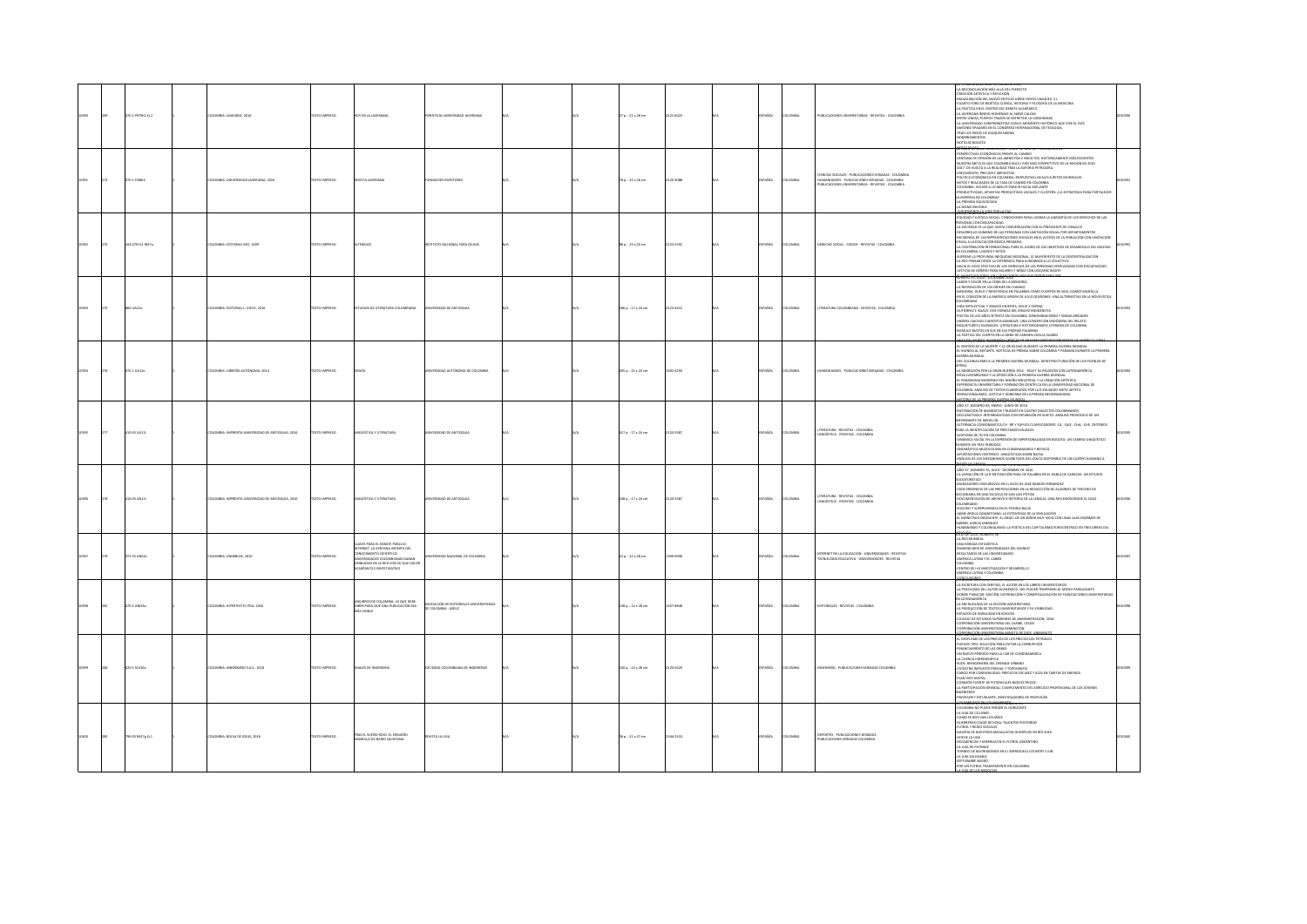|  | 070.1 PS79h2 Ej.2 | ILOMBIA: JAVEGRAF, 2016                          | DESIRAI OTX3T       | <b>IDY EN LA JAVERIANA</b>                                                                                                                                              | NTIFICIA UNIVERSIDAD JAVERIANA              |  | 27 p.: 21 x 28 cm   | 121-6023 | PAÑOL       | <b>LOMBA</b>   | PUBLICACIONES UNIVERSITARIAS - REVISTAS - COLOMBIA                                                                                                               | A RECONCLUAÇION MÁS ALLÁ DEL PLEBICITO<br>N RECONDIDATION MAS ALLA DEL PLEBILITO<br>REACÓN ARTÍSTICA Y REFLEXIÓN<br>LAUGURACIÓN DEL NUEVO EDIFICIO JORGE HOYOS VASQUEZ, S.J.<br>LARTO FORO DE BIOÉTICA CLÍNICA, HISTORIA Y FILOSOFÍA DE LA MEDICINA<br>A FOLÍTICA EN EL CENTRO DEL DEBATE ACADÉMICO<br>LA JAVERIANA RINDIO HOMENAJE AL SABIO CALDAS<br>ENTRE LÍNEAS, PUNTOS TRAZOS SE ENTRETEJE LA COMUNIDAD<br>A UNIVERSIDAD COMPROMETIDA CON EL MOMENTO HISTÓRICO QUE VIVE EL PAÍS<br>NTONIO SPADARO EN EL CONGRESO INTERNACIONAL DE TEOLOGÍA<br>RAS LOS PASOS DE JOAQUIN SABINA<br>CARDIAMENTOS<br>mrias nonorá<br><b>DEMI-GESULE</b> NON                                                                                                                                                                                                                                                                                                                                                               |  |
|--|-------------------|--------------------------------------------------|---------------------|-------------------------------------------------------------------------------------------------------------------------------------------------------------------------|---------------------------------------------|--|---------------------|----------|-------------|----------------|------------------------------------------------------------------------------------------------------------------------------------------------------------------|------------------------------------------------------------------------------------------------------------------------------------------------------------------------------------------------------------------------------------------------------------------------------------------------------------------------------------------------------------------------------------------------------------------------------------------------------------------------------------------------------------------------------------------------------------------------------------------------------------------------------------------------------------------------------------------------------------------------------------------------------------------------------------------------------------------------------------------------------------------------------------------------------------------------------------------------------------------------------------------------------------|--|
|  | 70.1 F288r3       | OMBIA: UNIVERSIDAD JAVERIANA, 2016               | EXTO IMPRESO        | EVSTA JAVERIANA                                                                                                                                                         | NOACIÓN ESCRITORE                           |  | 78 p.: 22 x 28 cm   | 20-3088  | AÑOL        | LOMBI          | oencias sociales - publicaciones seriadas - colonibia<br>Humanidades - publicaciones seriadas - colonibia<br>Publicaciones universitarias - revistas - colonibia | <b>PSPETIVAS FEOMORAÇAS ERENTE AL CAMBIO</b><br>NTANA DE ORNIÓN DE LAS AMNISTÍAS E INDULTOS, HISTORICAMENTE MÁS RECIPATES<br>JESTRA META ES QUE COLOMBIA SEA EL PAÍS MAS COMPETITIVO DE LA REGIÓN EN 2020<br>IUESTIA NEI A ES QUE CULUMBIA SEA EL PAIS MAS CUMPETITIVO DE LA RE<br>017: DE VUELTA A LA REALIDAD TRAS LA EUFORIA PETROLERA<br>RECIMENTO, PRECIOS E IMPUESTOS<br>OLÍTICA ECONÓMICA EN COLOMBIA: RESPUESTAS LOCALES A RETOS MUNI<br>MITOS Y REALIDADES DE LA TASA DE CAMBIO EN COLOMBIA<br>COLOMBIA: VOLVER A LO BÁSICO PARA IR HACIA ADELANTE<br>RODUCTIVIDAD, APUESTAS PRODUCTIVAS LOCALES Y CLUSTERS: ¿LA ESTRATEGIA PARA FORTALECER<br>EMPRESA EN COLOMBIA?<br>A PREMISA EQUIVOCADA<br><b>MAND IMPORT</b><br>0100006010                                                                                                                                                                                                                                                                   |  |
|  | 44.079111 IN37a   | LOMBIA: EDITORIAL INCI, 2009                     | TEXTO IMPRESO       | TERIDAD                                                                                                                                                                 | <b>ITUTO NACIONAL PARA CIEGOS</b>           |  | 98 p. : 25 x 20 cm  | 124-5392 | <b>Scc.</b> | LOMBY          | DERECHO SOCIAL - CIEGOS - REVISTAS - COLOMBIA                                                                                                                    | SUDAD Y JUSTICIA SOCIAL: CONDICIONES PARA LOGRAR LA GARANTÍA DE LOS DERECHOS DE LAS<br>SONAS CON DISCAPACIDAD<br>SOCIEDAD ES LA QUE LIMITA CONVERSACIÓN CON EL PRESIDENTE DE CONALIVI<br>H JOURNAL LA LINGURAL COMPANY CON LIMITACIÓN VISUAL DE LOMPATIAMENTOS<br>ESARROLLO HUMANO DE LAS PERSONAS CON LIMITACIÓN VISUAL POR DEPARTAMENTOS<br>ICIDENCIA DE LAS REPRESENTACIONES SOCIALES EN EL ACCESO DE LA POBLACIÓN CON LIM<br>NGURINGA DE DAS REPRESENTACIONES SOCIALES EN EL ACCESO DE LA POBRACION CON LIMITAGION<br>SUAL A LA EDUCACIÓN BÁSICA PRIMANIA<br>A COGPERACIÓN INTERNACIONAL PARA EL LOGRO DE LOS OBJETIVOS DE DESARROLLO DEL MILENIO<br>V COLOMBIA: LOG<br>LIFERAR LA PROFUNDA INEQUIDAD REGIONAL, EL MAYOR RETO DE LA DESCENTRALIZACIÓN<br>LA RED PENSAR DESDE LA DIFERENCIA PARA SUMARNOS A LO COLECTIVO<br>HACIA EL GOCE EFECTIVO DE LOS DERECHOS DE LAS PERSONAS DESPLAZADAS CON DISCAPACIDAD<br>ISTICIA DE GÉNERO PARA MUJERES Y NIÑAS CON DISCAPACIDADES<br>110737.1500*11011161700 |  |
|  | 60 UA11e          | <b>JLOMBIA: EDITORIAL L. VIECO, 2016</b>         | DZERNI OTXT         | <b>NOIDS DE LITERATURA COLOMBIANA</b>                                                                                                                                   | MMERVOAD DE ANTIOQUIA                       |  | 186 p.: 17 x 24 cm  | 23-4412  | PAÑOL       | <b>DLOMBIA</b> | TERATURA COLOMBIANA - REVISTAS - COLOMBIA                                                                                                                        | ABOR Y DOLOR EN LA CEIBA DE LA MEMORIA<br>A RECREACIÓN DE LOS ORIXIES EN CHANGO<br>EMORIA, DUELO Y RESISTENCIA EN PALABRAS COMO CUERPOS DE SAUL GOMEZ MANTILLA<br>N EL CORAZÓN DE LA AMÉRICA VIRGEN DE JULIO QUIÑONES: UNA ALTERNATIVA EN LA NOVELÍSTICA<br>IDA INTELECTUAL Y ENSAYO EN REYES, VOLVI Y OSPINA<br>VIM INTIALISTICKE I ENANGE CONTRACTE DE PRESIDENTA<br>FOETAS DE LOS AÑOS SETENTA EN COLOMBIA: DENOMINACIONES Y SINGULARIDADES<br>FOETAS DE LOS AÑOS SETENTA EN COLOMBIA: DENOMINACIONES Y SINGULARIDADES<br>ANDRES CAICEDO CUENTISTA KA<br>INQUIETUDES COLONIALES: LITERATURA E HISTORIOGRAFÍA LITERARIA DE COLOMBIA<br>ROMULO BUSTOS EN SUS EN SUS PROPIAS PALABRAS<br>A POÉTICA DEL CUERPO EN LA OBRA DE CARMEN CECILIA SUAREZ<br><b>USAR MUNIU - NORMÁN CRÍTICAS DE MUITRES ARROBESCENDO</b><br><b>STES OF AMER</b>                                                                                                                                                                    |  |
|  | <br>070.1 UA11e   | COMBIA: LIBRERÍA AUTÓNOMA, 2014                  | OZERNI OTX          |                                                                                                                                                                         | MERSINAD ALITONOMA DE COLOMBIA              |  | 205 p. : 21 x 24 cm | 12-6250  | AÑOL        | LOMBIA         | AANDADES - PUBLICACIONES SERIADAS - COLOMBIA                                                                                                                     | JILINNEN II, JULIO - LIILEYMINE DE JUJA<br>L SENTIDO DE LA MUERTE Y LA CRUELDAD DURANTE LA PRIMERA GUERRA MUNDIAL<br>L MUNDO AL INSTANTE. NOTICIAS DE PRENSA SOBRE COLOMBIA Y PANAMÁ DURANTE LA PRIMERA<br>JERRA MUNDLAL<br>EL COLONIALISMO A LA PRIMERA GUERRA MUNDIAL, DESESTRUCTURACIÓN DE LOS PUEBLOS DE<br><b>BICA</b><br>A MORACIÓN POR LA GRAN GUERRA 1914 - 1918 Y SU RELACIÓN CON LATINOAMÉRICA<br>LA MISIRACIÓN POR LA GRAN GUERRA 1924 - 1921 FY.U REMACIÓN CON LATINDAMÉRICA<br>ROSA LUXENBURGO Y LA GPOSICIÓN A LA PRIMERA QUERRA MUNDIAL<br>EL PARAGUAIA MODERNA DEL DISEÑO INDUSTRIAL Y LA CEREACIÓN ARTÍSTICA<br>DISPERINCIA LINUER                                                                                                                                                                                                                                                                                                                                                        |  |
|  | 10.05 UA11        | DLOMBIA: IMPRENTA UNIVERSIDAD DE ANTIOQUIA, 2016 | <b>OZSRRI OTXT</b>  | NGÚ STICA Y LITERATURA                                                                                                                                                  | <b>WATERIDAD DE ANTIQQUIA</b>               |  | 417 p. : 17 x 24 cm | 20-5587  | PAÑOL       | <b>DLOMBIA</b> | RATURA - REVISTAS - COLOMBIA<br>INGÜÍSTICA - REVISTAS - COLOMBIA                                                                                                 | AÑO 37, NÚMERO 69, ENERO - JUNIO DE 2016<br>VILIDOIN 30 STMANNO<br>LTERNACIA CONSONANTICA CH - RR Y SUFUOS CLASIFICADORES - CA - QUE - CHA - CHE, CRITERIOS<br>AN LA IDENTIFICACIÓN DE PRÉSTAMOS MUISCAS<br>LOFONÍA DE /S/ EN COLOMBIA<br>ALOTOMA RE / SE NE COLOMBIA<br>VADRATE EN 1953 FRANCOS<br>VADRATE NO 155 FRANCOSS<br>APARMACONSE HISTÓRICO : LINGUANAMARCA Y BOTACÁ<br>APARMACONSE HISTÓRICO : LINGUARMANA EN CUENTO DISPONIBLE DE UN CUERPO HUMANIO A<br>APARMACO DE LOS MEC<br>NO DE GRADOS                                                                                                                                                                                                                                                                                                                                                                                                                                                                                                    |  |
|  | 10.05 UN11        | LOMBIA: IMPRENTA UNIVERSIDAD DE ANTIOQUIA, 2016  | <b>DZERRI OTXIT</b> | INGÜÍSTICA Y LITERATURA                                                                                                                                                 | VERSIDAD DE ANTIQQUIL                       |  | 238 p.: 17 x 24 cm  | 20-5587  | PAÑOL       | <b>LOMBA</b>   | TERATURA - REVISTAS - COLOMBIA<br>NGÜÍSTICA - REVISTAS - COLOMBIA                                                                                                | UN PROTECTIVE DE TURISITIEN E L'ESPRESSION<br>-AÑO 37, NÚMERO 70, JULIO - DICIEMBRE DE 2016<br>-LA VARIACIÓN DE LA R EN POSICIÓN FINAL DE PALABRA EN EL HABLA DE CARACAS: UN ESTUDIO<br>SOCIOFONÉTICO<br>AARCADORES DISCURSIVOS EN EL BLOG DE JOSE RAMON FERNANDEZ<br>USOS ERRONEOS DE LAS PREPOSICIONES EN LA REDACCIÓN DE ALUMNOS DE TERCERO DE<br>ECUNDARIA EN UNA ESCUELA DE SAN LUIS POTOSI<br>OCUMENTACIÓN DE ARCHIVO E HISTORIA DE LA LENGUA: UNA REFLEXIÓN DESDE EL CASO<br>OWNERS<br>UICIDIO Y SUPERVIVENCIA EN EL POSIBLE BALDI<br>UKLINU I KAPINITININEN NI KU PUSIKA KUNO<br>I MOSTATUS INDOLENTIELE LA NGEL DE UN SEÑOR MUY VIEJD CON UNAS ALAS ENORMES DE<br>IABRIEL GARCIA MARQUEZ<br>UMANISMO Y COLONIAUSMO : LA POÉTICA DEL CAPITALISMO EUROCÉNTRICO EN TRES OBRAS<br><b>OWNER STARTED</b>                                                                                                                                                                                                |  |
|  | 72.35 UN54c       | LOMBIA: UNIBIBLOS, 2010                          | EXTO IMPRESO        | .<br>NTERNET, LA VENTANA INFINITA DEL<br>NOCIMENTO CIENTÍFICO.<br>INIVERSIDADES COLOMBIANAS GANANI<br>ISIBILIDAD EN LA RED CON SU QUE HACER<br>CADÉMICO E INVESTIGATIVO | ERSIDAD NACIONAL DE COLOMBIA                |  | 23 p.: 21 x 28 cm   | 19-9096  | AÑOL        | LOMBY          | TERNET EN LA EDUCACIÓN - UNIVERSIDADES - REVISTAS<br>CNOLOGÍA EDUCATIVA - UNIVERSIDADES - REVISTAS                                                               | LIO DE 2010, NORMAD 28<br>NA MIRADA ESTADÍSTICA<br>ANONG WEB DE UNIVERSIDADES DEL MUNDO<br>RESULTADOS DE LAS UNIVERSIDADES<br>MÉRICA LATINA Y EL CARIBE<br><b>CLOMBIA</b><br>ENTRO DE 14D INVESTIGACIÓN Y DESARROLLO<br>MÉRICA LATINA Y COLOMBIA<br><b>CALLISO XXS 2016, EDICION NUMERO 21</b>                                                                                                                                                                                                                                                                                                                                                                                                                                                                                                                                                                                                                                                                                                             |  |
|  | 5 ASEL 6          | OMBIA: HIPERTEXTO LTDA, 2016                     |                     | unilibros de colombia: lo que debe<br>Saber para que una publicación sea<br>is visitur.                                                                                 | CIACIÓN DE EDITORIALES I<br>OLOMBIA - ASEUC |  | 38 p.: 22 x 28 cm   |          | Řск         |                | <b>RALES - REVISTAS - COLOMBI</b>                                                                                                                                | .<br>A ESCRITURA CON SENTIDO, EL AUTOR EN LOS LIBROS UNIVERSITARIOS<br>A PSICOLOGÍA DEL AUTOR ACADÉMICO: DEL PLACER TEMPRANO AL MIEDO PARALIZANTE<br>NOE PUBLICAR: EDICIÓN, DISTRIBUCIÓN Y COMERCIALIZACIÓN DE PUBLICACIONES UN<br>LATINOAMÉRICA<br>ENCRUCIJADA DE LA EDICIÓN UNIVERSITARIA<br>A PRODUCCIÓN DE TEXTOS UNIVERSITARIOS Y SU VISIBILIDAD<br>SPACIOS DE VISIBILIDAD EN EDICIÓN<br>OLEGIO DE ESTUDIOS SUPERIORES DE ADMINISTRACIÓN, CESA<br>ORPORACIÓN UNIVERSITARIA DEL CARIBE, CECAR<br><b>RPORACIÓN UNIVERSITARIA REMINGTON</b><br><b>STORECON INSERVANCE MINIMUM DE DIOS</b>                                                                                                                                                                                                                                                                                                                                                                                                                |  |
|  | 620.5 SC416a      | LOMBIA: INNOBRANO S.A.S., 2016                   | TEXTO IMPRESO       | .<br>Males de ingeniería                                                                                                                                                | OCIEDAD COLOMBIANA DE INGENIEROS            |  | 100 p. : 22 x 28 cm | 120-0429 | AÑOL        | cours          | NIERÍA - PUBLICACIONES SERIADAS COLOMBI                                                                                                                          | LIEGOS TIPO, SOLUCIÓN PARA EVITAR LA CORRUPCIÓN<br>.<br>N NUEVO PERÍODO PARA LA CAR DE CUNDINAMARCA<br><b>A CUENCA HIDROGRÁFICA</b><br>A LUGNAL MUNUMANILA<br>UDS: REINGENIERÍA DEL DRENAJE URBANO<br>ATASTRO IMPUESTO PREDIAL Y TOPOGRAFÍA<br>ARGO POR CONFIABILIDAD, PRECIO DE ESCASEZ Y ALZA EN TARIFAS DE ENERGÍA<br>LAN VIVE DIGITAL<br>YON VIN LINIAN.<br>CORAZÓN FUENTE DE POTENCIALES BIOELÉCTRICOS<br>LA PARTICIPACIÓN GREMIAL: COMPLEMENTO DEL EJERCICIO PROFESIONAL DE LOS JÓVENES<br><b>INIEROS</b><br>OFESCR Y ESTUDIANTE, INVESTIGADORES DE PROFESIÓN                                                                                                                                                                                                                                                                                                                                                                                                                                        |  |
|  | 796.05 R627g tj.1 | COLOMBIA: BOLSA DE IDEAS, 2016                   | DZERNI OTXT         | tras el sueño rojo, el ensueño                                                                                                                                          | EVISTA LA LIGA                              |  | 58 p. : 21 x 27 cm  | 46-2310  | PAÑOL       | cover          | OFFES, PUBLICACIONES SERIADAS<br>PUBLICACIONES SERIAD                                                                                                            | .<br>Olomba no puede perder el horizonte<br>olomba no puede perder el horizonte<br>OMZLIDO 30 ADUA<br>OMO SE NOS VAN LOS AÑOS<br>UERREROS COLOR DE ROSA, TALENTOS POSTOBON<br><b>UTBOL Y REDES SOCIALES</b><br>ALERÍA DE NUESTROS MEDALUSTAS OLÍMPICOS EN RÍO 2016<br><b>ROSE LA LIGA</b><br>CADENCIAS Y MISERIAS EN EL FUTBOL ARGENTINO<br>ELAUENCIAS Y NOSENAS EN EL FUTBOL ARGENTINO<br>A LIGA DE PATRIARE<br>ORNEO DE MATRIMONIOS EN EL SERREZUELA COUNTRY CLUB<br>A LIGA SALUDABLE<br>CROSS SEEMS<br>FOR UN FUTBOL TRANSPARENTE EN COLOMBIA                                                                                                                                                                                                                                                                                                                                                                                                                                                           |  |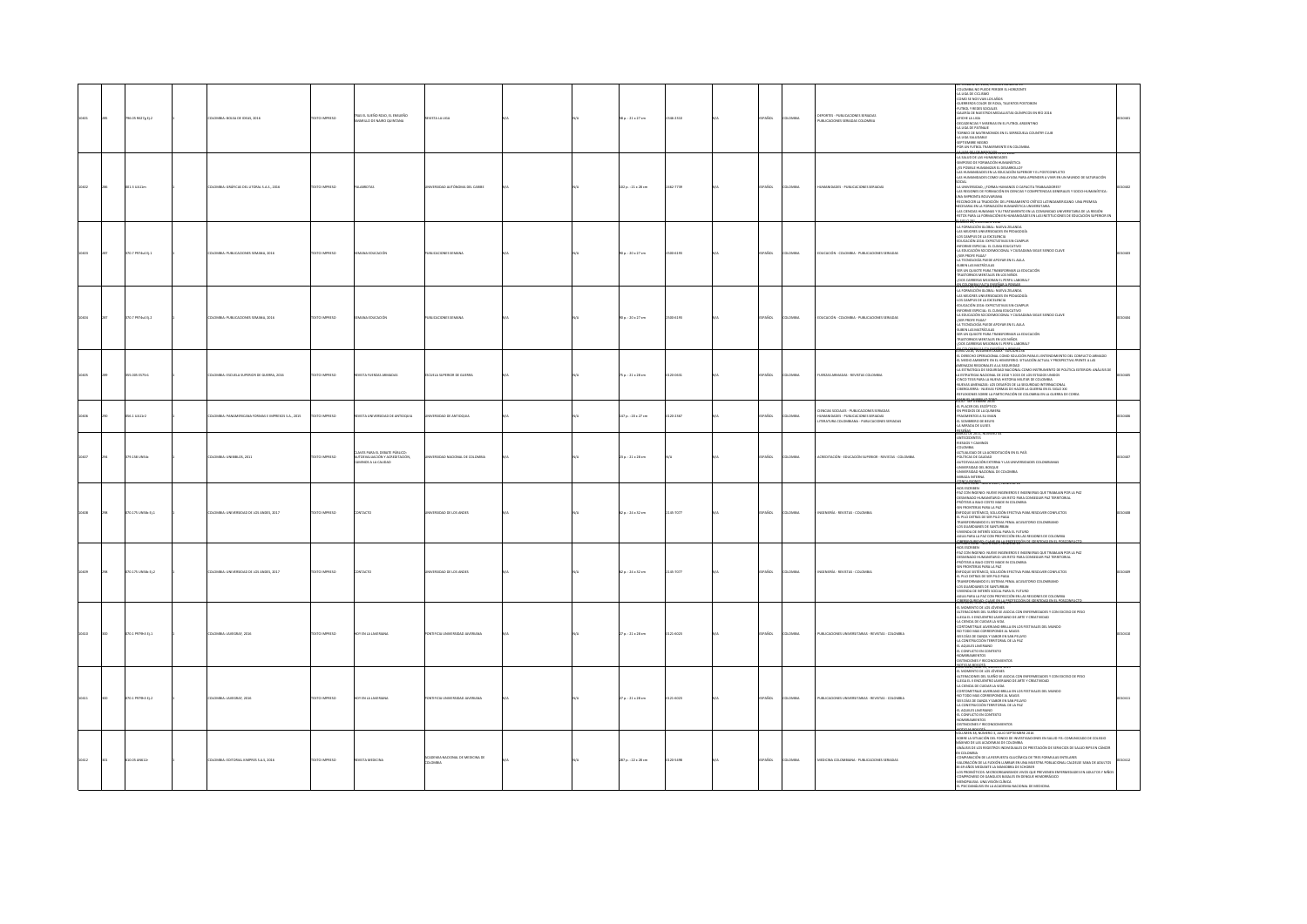|  | 06.05 M627g tj.2    | KOMBIA: BOLSA DE IDEAS, 2016                              | EXTO IMPRESO        | ras el sueño rojo, el ensueño<br>RILLO DE NAIRO QUINTANA                                 | STA LA LIGA                             |  | 58 p. : 21 x 27 cm       | 346-2310  | AÑOL          | LOMBIA        | DEPORTES - PUBLICACIONES SERIADAS<br>PUBLICACIONES SERIADAS COLOMBIA                                                               | SE PURMINEUR LE AUGUS, LES REGION PRODUITOS<br>COLOMIER NO PUEDE PRIDER EL HORIZONTE<br>COLOMIER NO FUEDE PRIDER LI HORIZONTE<br>CORO SE NOS VANI (15 AÑOS<br>CHIRRIER SE NORRES<br>CARINIA ER NUES<br>CARINIA ER NUESTITOS MEDALLISTAS DEÍMPICO<br>ARICHE LA LIGA<br>-DECADENCIAS Y MISERIAS EN EL FUTBOL ARGENTINO<br>LA LIGA DE PATINAIE<br>TORNEO DE MATRIMONIOS EN EL SERREZUELA COUNTRY CLUB<br>LA UGA SALUDABLE<br>SEPTIEMBRE NEGRO<br>POR UN FUTBOL TRANSPARENTE EN COLOMBIA                                                                                                                                                                                                                                                                                   |       |
|--|---------------------|-----------------------------------------------------------|---------------------|------------------------------------------------------------------------------------------|-----------------------------------------|--|--------------------------|-----------|---------------|---------------|------------------------------------------------------------------------------------------------------------------------------------|------------------------------------------------------------------------------------------------------------------------------------------------------------------------------------------------------------------------------------------------------------------------------------------------------------------------------------------------------------------------------------------------------------------------------------------------------------------------------------------------------------------------------------------------------------------------------------------------------------------------------------------------------------------------------------------------------------------------------------------------------------------------|-------|
|  | 001.3 UA11m         | LOMBIA: GRÁFICAS DEL LITORAL S.A.S., 2016                 | EXTO IMPRESO        |                                                                                          | ERSIDAD AUTÓNOMA DEL CARIBE             |  | 102 p.: 21 x 28 cm       | 2462-7739 | <b>SPAÑOL</b> | LOMBIA        | UMANDADES - PUBLICACIONES SERIADAS                                                                                                 | -POSITAN IMPIRIS TRANSPARTITE IN COLORIBIA<br>CAMPOOD OR FORMACIÓN HIMANOIREZ<br>- SAMPOOD OR FORMACIÓN HIMANOIREZ<br>- 25 POSITAL HUMANGORA EL DESARDOLLO?<br>- 25 POSITAL HUMANGORA EL DESARDOLLO?<br>- 245 HUMANIORADE COMO UNA AVUGA PARA<br>SOCIAL<br>SOCIAL<br>-LA UNIVERSIDAD, ¿FORMA HUMANOS O CAPACITA TRABAJADORES?<br>-LAS REGIONES DE FORMACIÓN EN CIENCIAS Y COMPETENCIAS GENERALES Y SOCIO-HUMANÍSTICA:<br>UNA IMPRONTA BOLIVARIANA<br>-RECONOCER LA TRADICIÓN DEL PENSAMIENTO CRÍTICO LATINOAMERICANO: UNA PREMISA<br>NECESARIA EN LA FORMACIÓN HUMANÍSTICA UNIVERSITARIA<br>-LAS CIENCIAS HUMANAS Y SU TRATAMIENTO EN LA COMUNIDAD UNIVERSITARIA DE LA REGIÓN<br>-RETOS PARA LA FORMACIÓN EN HUMANIDADES EN LAS INSTITUCIONES DE EDUCACIÓN SUPERIOR EN |       |
|  | 70.7 PS74s4 Ej.1    | ILOMBIA: PUBLICACIONES SEMANA, 2016                       | <b>DZSRRMI OTX3</b> | NA EDUCACIÓN                                                                             | JELICACIONES SEMANA                     |  | 90 p.: 20 x 27 cm        | 1500-6193 | <b>SPAÑOL</b> | <b>LOMBA</b>  | EDUCACIÓN - COLOMBIA - PUBLICACIONES SERIADAS                                                                                      | <b>ARTOS PARA LA CORMACIÓN EN HUMANIDADES<br/>ENTER 20 DE DE MONTAGNAL DE LA CONSTANDA<br/>4 A FORMACIÓN GLOBAL: MUEVA ZELANDA<br/>4 AS MEXORES UNIVERSIDADES EN PEDADOGÍA<br/>4 COLCACIÓN 2016: EXPECTATIVAS SIN CUMPUR<br/>4 COLCACIÓN 2016: EXPEC</b><br>-INFORME ESPECIAL: EL CLIMA EDUCATIVO<br>-LA EDUCACIÓN SOCIOEMOCIONAL Y CIUDADANA SIGUE SIENDO CLAVE<br>-{SER PROFE PAGA?<br>LA TECNOLOGÍA PUEDE APOYAR EN EL AULA<br>-SUBEN LAS MATRÍCULAS<br>-SER UN QUIJOTE PARA TRANSFORMAR LA EDUCACIÓN<br>-<br>TRASTORNOS MENTALES EN LOS NIÑOS<br>-{DOS CARRERAS MEJORAN EL PERFIL LABORAL?                                                                                                                                                                         |       |
|  | 0.7 P974s4 Ej.2     | LOMBIA: PUBLICACIONES SEMANA, 2016                        | EXTO IMPRESO        | A EDUCACIÓN                                                                              | BLICACIONES SEMANA                      |  | 90 p.: 20 x 27 cm        | 500-6193  | PAÑOL         | LOMBIA        | EDUCACIÓN - COLOMBIA - PUBLICACIONES SERIADAS                                                                                      | CONTROL MUNICIPAL APPENDING<br>LOS CAMPUS DE LA EXCELENCIA<br>EDUCACIÓN 2016: EXPECTATIVAS SIN CUMPLIR<br>INFORME ESPECIAL: EL CLIMA EDUCATIVO<br>-LA EDUCACIÓN SOCIOEMOCIONAL Y CIUDADANA SIGUE SIENDO CLAVE<br>USER PROFE PAGA?<br>LA TECNOLOGÍA PUEDE APOYAR EN EL AULA<br><b>26 UTBEAN 26 UPBS</b><br>SER UN CULICITE DARA TRANSFORMAR LA FINISIACIÓN<br>ASTORNOS MENTALES EN LOS NIÑOS<br>OS CARRERAS MEJORAN EL PERFIL LABORAL?<br>655516, Volumen 1986r" eserse 236                                                                                                                                                                                                                                                                                             |       |
|  | s os res            | OLOMBIA- ESCUELA SUPERIOR DE GUERRA, 2016                 | OPERATION'S         | ZAOSANA ZATRITI ATZAN                                                                    | <b>CURLA SUPPRIOR DE GUIPREA</b>        |  | $75a : 21 \times 28$ cm  | 1720.0811 | SPAÑOL        | <b>VOMBA</b>  | AIRPORT 24THAN - 24HAMA 24TH (1995)                                                                                                | EL DERECHO OPERACIONAL COMO SOLUCIÓN PARA EL ENTENDIMIENTO DEL CONFUCTO ARMADO<br>EL MEDIO AMBIENTE EN EL HEMISFERIO. SITUACIÓN ACTUAL Y PROSPECTIVA FRENTE A LAS<br>SS MILIONO MINISTRATI EN EL FISIONO DEL MILIONARI METODO E PROGRACIONO FISIONES POS<br>LA ESTRATIGIA DE SSGUIBIDAD NACIONAL COMO INSTRUMENTO DE POLÍTICA EXTERIOR: ANÁLISIS DE<br>LA ESTRATEGIA NACIONAL DE 2010 Y 2015 DE LOS ESTAD<br>I ESHAHIRAN WALDIANA DE ZUUD TUDES DE LOS ESHADOS UNIDUS<br>UEVOS ANTENAZAS: LOS DESANÍOS DE LA SEGUEIRIAN DE CIDENNIA<br>UEVOS ANTENAZAS: LOS DESANÍOS DE HACER LA GUERRA EN EL SIGLO XXI<br>BERGUEIRIA - NUEVAS FORMAS DE HACER LA GU<br><b>MALITLAN RESULPCER</b>                                                                                      |       |
|  | 56.1 UA11/2         | <b>ILOMBIA: PANAMERICANA FORMAS E IMPRESOS S.A., 2015</b> | XTO IMPRESO         | WASTA UNIVERSIDAD DE ANTIOQUIA                                                           | .<br>ERSIDAD DE ANTIOQUIA               |  | 147 p. : 20 x 27 cm      | 120-2367  | AÑOL          | LOMBIA        | IENCIAS SOCIALES - PUBLICACIONES SERIADAS<br>IUMANIDADES - PUBLICACIONES SERIADAS<br>ITERATURA COLOMBIANA - PUBLICACIONES SERIADAS | EL PLACER DEL ESCÉPTIC<br>-<br>EN PREXIOS DE LA QUIMERA<br>-FRAGMENTOS A SU IMAN<br>-EL SOMBRERO DE BEUYS<br>LA MIRADA DE ULISES                                                                                                                                                                                                                                                                                                                                                                                                                                                                                                                                                                                                                                       |       |
|  | 79.158 UN54c        | COMBIA: UNIBIBLOS, 2011                                   | <b>XTO IMPRESO</b>  | VES PARA EL DEBATE PÚBLICO:<br>UTOEVALUACIÓN Y ACREDITACIÓN.<br><b>INOS A LA CALIDAD</b> | <b>ERSIDAD NACIONAL DE COLOMBIA</b>     |  | $23a : 21 \times 28$ cm  |           | SPAÑOL        | LOMBIA        | CREDITACIÓN - EDUCACIÓN SUPERIOR - REVISTAS - COLOMBIA                                                                             | ASSERAS<br>CONTZO DE 2011, NUMERO<br>ANTECEDENTES<br><b>RIESGOS Y CAMINOS</b><br>-<br>COLOMBIA<br>ACTUALIDAD DE LA ACREDITACIÓN EN EL PAÍS<br>POLÍTICAS DE CAUDAD<br>UTOEVALUACIÓN EXTERNA Y LAS UNIVERSIDADES COLOMBIANAS<br>NVERSIDAD DEL BOSQUE<br>NIVERSIDAD DEL BOSQUE<br>NIVERSIDAD NACIONAL DE COLOMBIA<br>IRADA INTERNA<br>WOLFSOMS                                                                                                                                                                                                                                                                                                                                                                                                                            |       |
|  | 70.175 UNSBc Ej.1   | LOMBIA: UNIVERSIDAD DE LOS ANDES, 2017                    | <b>XTO IMPRESO</b>  | <b>NTACTO</b>                                                                            | <b>RSIDAD DE LOS ANDES</b>              |  | 62 p. : 24 x 32 cm       | 145-7077  | PAÑOL         | LOMBIA        | NGENIERÍA - REVISTAS - COLOMB                                                                                                      | 405 ESCRIBEN<br>105 ESCRIBEN<br>142 CON INGENIO: NUEVE INGENIEROS E INGENIERAS QUE TRABAJAN POR LA PAZ<br>NA CUNTRADO HIURANTERIO LUN RETO PARA CONSEGUIR PAZ TERRITORIAL<br>ESMINADO HUMANITARIO: UN RETO PARA CONSEGUIR PAZ TERRITORIAL<br>N FRONTERAS PARA LA PAZ<br>E FRUNI ERAS PRIKA LA PAZ<br>POLUE SISTÉMICO, SOLUCIÓN EFECTIVA PARA RESOLVER CONFUCTOS<br>PILO DETRAS DE SER PILO PAGA<br>ANSFORMANDO EL SISTEMA PENAL ACUSATORIO COLOMBIANO<br>S<br>S GUARDIANES DE SANTURIAN<br>VIENDA DE INTERÉS SOCIAL PARA EL FUTURO<br>GUA PARA LA PAZ CON PROYECCIÓN EN LAS REGIONES DE COLOMBIA<br><b>TUME WAS TRAIN WARRANTS*</b>                                                                                                                                    |       |
|  | 0.175 UNSBc Ej.2    | LOMBIA: UNIVERSIDAD DE LOS ANDES, 2017                    | TO IMPRESO          |                                                                                          | SIDAD DE LOS ANDES                      |  | 52 p. : 24 x 32 cm       | 145-7077  | <b>AGC</b>    | OMBIA         | <b>IGENIERÍA - REVISTAS - COLOMBI</b>                                                                                              | -NOS ESCRIBIN<br>- PACCON INSERIO: NUEVE INGENIERIS E INSERIERAS QUE TRABAJAN FOR LA PAZ<br>- PACCON INGENIO: NUEVE INGENIERO: UN RETO PARA CONSEGUIR PAZ TERRITORIAL<br>- PRÓTESS A BAJO COSTO IANCE IN COLONIBIA<br>- PRÓTESS A BAJO COS<br>TRANSFORMANDO EL SISTEMA PENAL ACUSATORIO COLOMBIANO<br>łos guardianes de Santurijan<br>Wwienda de Interés Social Para el Futuro<br>AGUA PARA LA PAZ CON PROYECCIÓN EN LAS REGIONES DE COLOMBIA<br><b>BU 2014, NAU 55, AUX (NJ 4 220 TECCA DE CENTRAD EN EL R</b>                                                                                                                                                                                                                                                        |       |
|  | .<br>01 payaka tija | LOMBIA: JAVEGRAF, 2016                                    | EXTO IMPRESO        | OY EN LA JAVERIANA                                                                       | TIFICIA UNIVERSIDAD JAVERIANA           |  | 27 p. : 21 x 28 cm       | 0121-6023 | <b>SPAÑOL</b> | LOMBIA        | PUBLICACIONES UNIVERSITARIAS - REVISTAS - COLOMBIA                                                                                 | -EL MOMENTO DE LOS JÓVENES<br>-ALTERACIONES DEL SUEÑO SE ASOCIA CON ENFERMEDADES Y CON EXCESO DE PESO<br>LLEGA EL II ENCUENTRO JAVERIANO DE ARTE Y CREATIVIDAD<br>CIENCIA DE CUIDAR LA VIDA<br>CORTOMETRAIE JAVERIANO BRILLA EN LOS FESTIVALES DEL MUNDO<br>NO TODO MAS CORRESPONDE AL MAGIS<br>SEIS DÍAS DE DANZA Y SABOR EN SAN PELAYO<br>LA CONSTRUCCIÓN TERRITORIAL DE LA PAZ<br>CAMININAL ZIJUDA J3-<br>EL CONFLICTO EN CONTEXTO<br>MERAMENTOS<br><b>STINCIONES Y RECONOCIMIENTOS</b>                                                                                                                                                                                                                                                                             |       |
|  | 070.1 P979h3 EL2    | LOMBIA: JAVEGRAF, 2016                                    | OZSRRNI OTX3        | OY EN LA JAVERJANA                                                                       | AMAINAL GAORREN AVENUE                  |  | $270. : 21 \times 28$ cm | 0121-6023 | SPAÑOL        | <b>LOMBIA</b> | PUBLICACIONES UNIVERSITARIAS - REVISTAS - COLOMBIA                                                                                 | 2016; RNOSS, NUMERO 1315<br>EL MOMENTO DE LOS JÓVENES<br>ALTERACIONES DEL SUEÑO SE ASOCIA CON ENFERMEDADES Y CON EXCESO DE PESO<br>-LLEGA EL II ENCUENTRO JAVERIANO DE ARTE Y CREATIVIDAD<br>-LA CIENCIA DE CUIDAR LA VIDA<br>CORTOMETRAIE JAVERIANO BRILLA EN LOS FESTIVALES DEL MUNDO<br>NO TODO MAS CORRESPONDE AL MAGIS<br>SEIS DÍAS DE DANZA Y SABOR EN SAN PELAYO<br>LA CONSTRUCCIÓN TERRITORIAL DE LA PAZ<br><b>CASHING IN 1979</b><br>L CONFLICTO EN CONTEXTO<br>MERAMENTOS<br>TINCIONES Y RECONOCIMIENTOS                                                                                                                                                                                                                                                     |       |
|  | 10.05 AN612r        | LOMBIA: EDITORIAL KIMPRES S.A.S. 2016                     | OZSRRNI OTX3        | <b>REVISTA MEDICINA</b>                                                                  | CADEMIA NACIONAL DE MEDICINA DE<br>OMBA |  | 287 p. : 22 x 28 cm      | 120-5498  | PAÑOL         | LOMBIA        | MEDICINA COLOMBIANA - PUBLICACIONES SERIADAS                                                                                       | OLUMEN 38, NÚMERO 3, JULIO SEPTIEMBRE 2016<br>DERE LA SITUACIÓN DEL FONDO DE INVESTIGACIONES EN SALUD FIS: COMUNICADO DE COLEGIO<br>KIND DE LAS ACADEMIAS DE COLOMBIA<br>MÁLISIS DE LOS REGISTROS INDIVIDUALES DE PRESTACIÓN DE SERVICIOS DE SALUD RIPS EN CÁNCER<br>COLOMBIA<br>.<br>COMPARACIÓN DE LA RESPUESTA GLUCÉMICA DE TRES FORMULAS ENTELARES<br>COMPANICION DE LA FLESTON TRADICIONAL DE TEST SOBRAJUAS ENTERARS<br>ALGONCON DE LA FLESTON LIABRA EN LUNA MULSTITA POBLACIONAL CALDELSE SANA DE ADULTOS<br>ALGONCON DE LA FLESTON LIABRA EN LUNA MULSTITA POBLACIONAL CALDELSE SANA                                                                                                                                                                          | 10412 |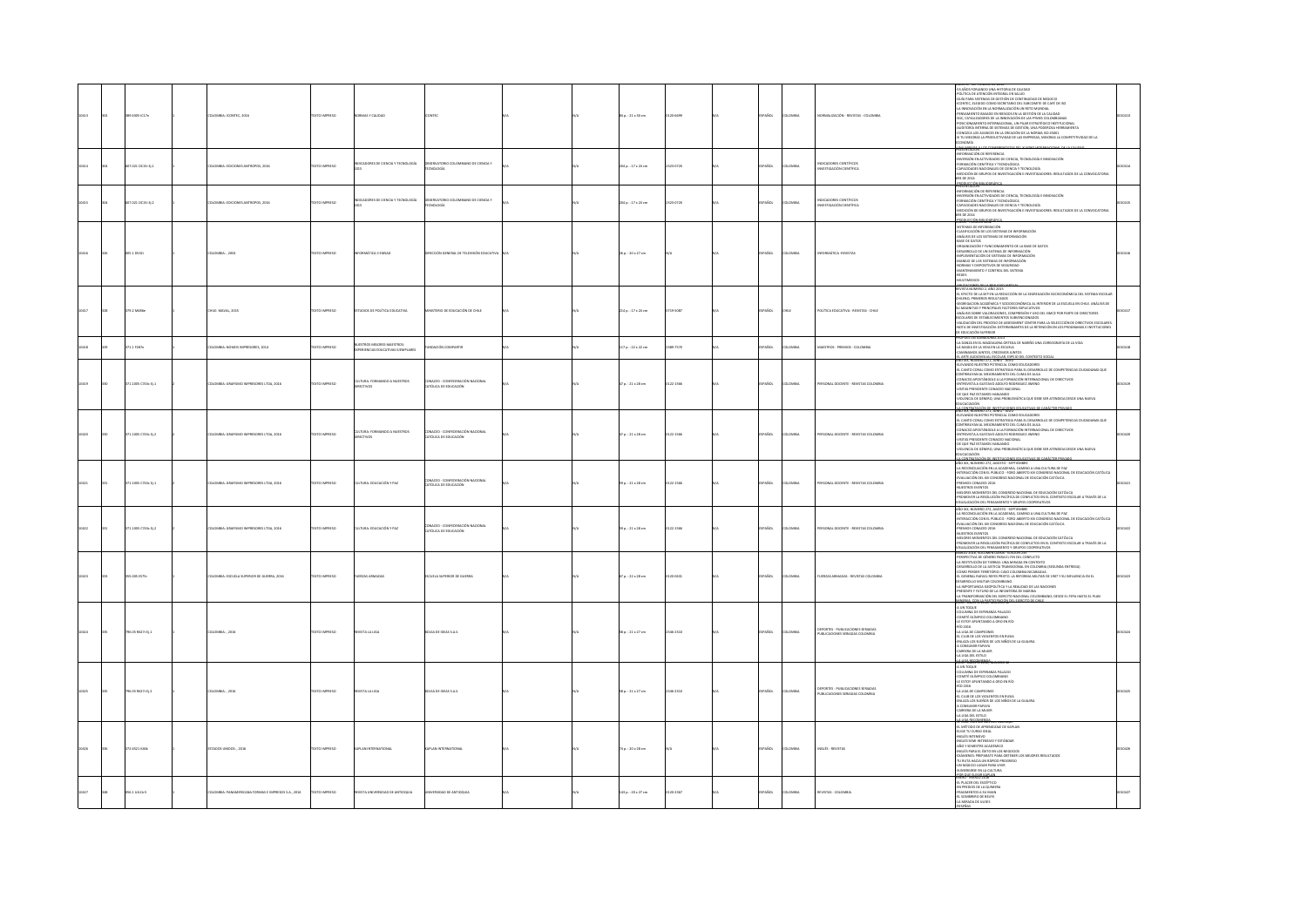|  | 389.6305 IC17n      | DLOMBIA: ICONTEC, 2016                                    | DZERNI OTXJT         | <b>IORMAS Y CALIDAD</b>                                     |                                                             |  | 54 p. : 21 x 30 cm      | 120-6622  | SPAÑOL        | <b>AIRMOJO</b> | NORMALIZACIÓN - REVISTAS - COLOMBIA                                       | 53 AÑOS FORJANDO UNA HISTORIA DE CAUDAD<br>SUTICA DE ATENCIÓN INTEGRAL EN SALUD<br>GUÍA PARA SISTEMAS DE GESTIÓN DE CONTINUIDAD DE NEGOCIO<br>CONTEC. ELEGIDO COMO SECRETARIO DEL SUBCOMITE DE CAFÉ DE ISO<br>INNOVACIÓN EN LA NORMALIZACIÓN UN RETO MUNDIAL<br>PENSAMENTO BASADO EN RIESGOS EN LA GESTIÓN DE LA CALIDAD<br>SGC. CATALIZADORES DE LA INNOVACIÓN DE LAS PIMES COLOMBIANAS<br>.<br>SICIONAMENTO INTERNACIONAL, UN PILAR ESTRATÉGICO INSTITUCIONA<br>UDITORÍA INTERNA DE SISTEMAS DE GESTIÓN, UNA PODEROSA HERRAMIENTA<br>ONOZCA LOS AVANCES EN LA CREACIÓN DE LA NORMA ISO 45001<br>SI TU MEJORAS LA PRODUCTIVIDAD DE LAS EMPRESAS, MEJORAS LA COMPETITIVIDAD DE LA<br><b>AIMON</b>                                |  |
|--|---------------------|-----------------------------------------------------------|----------------------|-------------------------------------------------------------|-------------------------------------------------------------|--|-------------------------|-----------|---------------|----------------|---------------------------------------------------------------------------|----------------------------------------------------------------------------------------------------------------------------------------------------------------------------------------------------------------------------------------------------------------------------------------------------------------------------------------------------------------------------------------------------------------------------------------------------------------------------------------------------------------------------------------------------------------------------------------------------------------------------------------------------------------------------------------------------------------------------------|--|
|  | 07.021 OC15 Ej.1    | <b>ILOMBIA: EDICIONES ANTROPOS, 2016</b>                  | <b>EXTO IMPRESO</b>  | INDICADORES DE CIENCIA Y TECNOLOGÍA                         | SERVATORIO COLOMBIANO DE CIENCIA Y<br><b>CNOLOGÍA</b>       |  | 204 p. : 17 x 24 cm     | 2323-072X | SPAÑOL        | LOMBIA         | NDICADORES CIENTÍFICOS<br>WESTIGACIÓN CIENTÍFICA                          | <b>NATIONAL AREA</b><br>PRESENTACIÓN<br>-RIFORMACIÓN DE REFERENCIA<br>-RIVERSIÓN EN ACTIVIDADES DE CIENCIA, TECNOLOGÍA E INNOVACIÓN<br>FORMADÓN CIENTÍFICA Y TECNOLÓGICA<br>-FORMACIÓN CIENTÍFICA Y TECNOLÓGICA<br>-CAPACIDADES NACIONALES DE CIENCIA Y TECNOLOGÍA<br>-MEDICIÓN DE GRUPOS DE INVESTIGACIÓN E INVESTIGADORES: RESULTADOS DE LA CONVOCATORIA<br>693 DE 2014<br>.<br>PRESENTACIÓN BIBLIOGRÁFI                                                                                                                                                                                                                                                                                                                       |  |
|  | 07.021 0015 012     | DLOMBIA: EDICIONES ANTROPOS, 2016                         | <b>OZSRRAI OTX3T</b> | NDICADORES DE CIENCIA Y TECNOLOGÍA                          | ERVATORIO COLOMBIANO DE CIENCIA Y<br><b>CNOLOGÍA</b>        |  | 204 p. : 17 x 24 cm     | 2323-072X | SPAÑOL        | <b>LOMBIA</b>  | <b>IDICADORES CIENTÍFICOS</b><br>WESTIGACIÓN CIENTÍFICA                   | INFORMACIÓN DE REFERENCIA<br>VERSIÓN EN ACTIVIDADES DE CIENCIA, TECNOLOGÍA E INNOVACIÓN<br>FORMACIÓN CIENTÍFICA Y TECNOLÓGICA<br>CAPACIDADES NACIONALES DE CIENCIA Y TECNOLOGÍA<br>MEDICIÓN DE GRUPOS DE INVESTIGACIÓN E INVESTIGADORES: RESULTADOS DE LA CONVOCATORIA<br>693 DE 2014<br>08 : 7700 BS 1607 <sup>Ani</sup>                                                                                                                                                                                                                                                                                                                                                                                                        |  |
|  | 005.1 0532          | 10MBIA: , 2002                                            | <b>EXTO IMPRESO</b>  | MAATICA I EMSAD                                             | COÓN GENERAL DE TELEVISIÓN EDUCA                            |  | 26 p. : 20 x 27 cm      |           | SPAÑOL        | LOMBIA         | MORMÁTICA -REVISTAS                                                       | enero - Febreiro 2002<br>- Sistemas de Niformación<br>-Clasificación de los sistemas de Información<br>-Análisis de los sistemas de Información<br><b>MINE AND ASSAULTED AND ASSAULT AND ASSAULT AND ASSAULT AND ASSAULT OF LAND STATION OF LAND AND ASSAULT AND ASSAULT AND ASSAULT AND ASSAULT AND ASSAULT AND ASSAULT AND ASSAULT AND ASSAULT AND ASSAULT AND ASSAULT AND ASSAUL</b><br>MANTENMIENTO Y CONTROL DEL SISTEMA<br>IDES<br>ULTIMEDIOS                                                                                                                                                                                                                                                                              |  |
|  | 9.2 M416            | <b>ELE: MAVAL, 2011</b>                                   | XTO IMPRESO          | <b>JOICS DE POLÍTICA EDUCATIVA</b>                          | STERIO DE EDUCACIÓN DE CHILE                                |  | 214 p.: 17 x 24 cm      | 719-5087  | PAÑOL         | u.             | QLÍTICA EDUCATIVA - REVISTAS - CHIL                                       | BLE ACCOUNT DE LA BELIONA (MINOR)<br>L'ESTATO DE LA SEP EN LA REDUCCIÓN DE LA SEGREGACIÓN SOCIECONÓMICA DEL SISTEMA ESCOLAR<br>RIENIO, PRIMEROS RESULTADOS<br>FORGACION ACADÉMICA Y SOCIOECONÓMICA AL VIV<br>FORGACION ACADÉMICA Y SOCIOEC<br>EUREWALIUN HLAUENNEA T SOLIUELONOMILA AL INI DRUK DE LA ESCUELA EN CHILE, ANAL<br>I MAGNITUD Y PRINCIPALES FACTORES EXPLICATIVOS<br>NÁLISIS SOBRE VALORACIONES, CONPRESIÓN Y USO DEL SIMCE POR PARTE DE DIRECTORES<br>COLARES DE ESTABL<br>LUIGNIS DE ESTABLECIMIENTOS SUBVENULINADOS<br>ALIDACIÓN DEL FROCESO DE ASSESSMENT CENTER PARA LA SELECCCIÓN DE DIRECTIVOS ESCOLARE:<br>DTA DE INVESTIGACIÓN: DETERMINANTES DE LA RETENCIÓN EN LOS PROGRAMAS E INSTITUCIONE:<br>EDUCACIÓ |  |
|  |                     | OMBIA: NOMOS IMPRESORES, 2014                             | O IMPRESO            | ESTROS MEJORES MAESTROS:<br>ERIENCIAS EDUCATIVAS EJEMPLARES | DACIÓN COMPARTIR                                            |  | 117 p. : 22 x 22 cm     | 19-7570   | .<br>Vice     | us.            | ALSTROS - PREMIOS - COLOMBIA                                              | EUGLALIUN SOPERIUR<br>OPUESTAS GARACORAS 2013<br>LOANZA EN EL MAGDALENA ORTEGA DE NARIÑO UNA COREOGRAFÍA DE LA VIDA<br>LNAGIA DE LA VIDA EN LA ESCUELA<br>AMOS JUNTOS, CRECEMOS JUNTO                                                                                                                                                                                                                                                                                                                                                                                                                                                                                                                                            |  |
|  | $1.1005$ C743c tj.1 | <b>ILOMBIA: GRAFISMO IMPRESORES LTDA, 2016</b>            | DZERRA OTX3          | CULTURA: FORMANDO A NUESTROS                                | ACED - CONFEDERACIÓN NACIONAL<br>ÓLICA DE EDUCACIÓN         |  | 17 p. : 21 x 28 cm      | 122-1566  | SPAÑOL        | oway           | ERSONAL DOCENTE - REVISTAS COLOMBIA                                       | ALARTE AUDIOVISUAL ESCOLAR, ESPEJO DEL CONTEXTO SO<br>KO XX, NUMERO 271, JUNIO - JULIO<br>LEVANDO NUESTRO POTENCIAL COMO EDUCADORES<br>: CANTO CORAL COMO ESTRATEGIA PARA EL DESARROLLO DE COMPETENCIAS CIUDADANAS QUE<br>CONTRIBUYAN AL MEJORAMIENTO DEL CUMA DE AULA<br>-CONACED APOSTÁNDOLE A LA FORMACIÓN INTERNACIONAL DE DIRECTIVOS<br>-ENTREVISTA A GUSTAVO ADOLFO RODRIGUEZ IMENO<br>ITAS PRESIDENTE CONACED NACIONAL<br>-DE QUE PAZ ESTAMOS HABLANDO<br>-VIOLENCIA DE GÉNERO, UNA PROBLEMÁTICA QUE DEBE SER ATENDIDA DESDE UNA NUEVA<br>CACIACIÓN<br>CONTRATACIÓN DE INSERTICIONES                                                                                                                                      |  |
|  | 1.1005 C743c tj.2   | LOMBIA: GRAFISMO IMPRESORES LTDA, 2016                    | TO IMPRESO           | CULTURA: FORMANDO A NUESTROS<br>DIRECTIVOS                  | ONACED - CONFEDERACIÓN NACIONA<br>ATÓLICA DE EDUCACIÓN      |  | 17 p. : 21 x 28 cm      | 122-1566  | AÑOL          | owax           | <b>RSONAL DOCENTE - REVISTAS COLO</b>                                     | $\begin{split} &\underline{A\in\mathcal{C}\in\mathcal{C}}\mathcal{C}\in\mathcal{C}\in\mathcal{C}\in\mathcal{C}\in\mathcal{C}\in\mathcal{C}\in\mathcal{C}\in\mathcal{C}\in\mathcal{C}\in\mathcal{C}\in\mathcal{C}\in\mathcal{C}\in\mathcal{C}\in\mathcal{C}}\mathcal{C} \subset\mathcal{C}\in\mathcal{C}\in\mathcal{C}\in\mathcal{C}\in\mathcal{C}\in\mathcal{C}\in\mathcal{C}\in\mathcal{C}\in\mathcal{C}\in\mathcal{C}\in\mathcal{C}\in\mathcal{C}\in\mathcal{C}\$<br>A CONTRATACIÓN DE INSTITUCIONES EDUCAT<br>VÃO XIX, NÚMERO 272, AGOSTO - SEPTIEMBRE                                                                                                                                                                        |  |
|  | 1.1005 C743c tj.1   | LOMBIA: GRAFISMO IMPRESORES LTDA, 2016                    | TO IMPRESO           | ULTURA: EDUCACIÓN Y PAZ                                     | VÁCED - CONFEDERACIÓN NACIONA<br>'ÓLICA DE EDUCACIÓN        |  | .<br>59 p. : 21 x 28 cm | 122-1566  | PAÑOL         | OMBA           | <b>BSONAL DOCTATE - REVISTAS COLOMBIA</b>                                 | ANO XIA, NUMENO 272, AMADIO - SEPITENINIS<br>- LA RECONDILACIÓN EN LA ACADEMIA, CAMINO A UNA CULTURA DE PAZ<br>-INTERACCIÓN CON EL PÚBLICO - FORD ABIERTO XIII CONSRESO NACIONAL<br>-EVALUACIÓN DEL XIII CONSRESO NACIONAL DE EDUCACIÓN<br>.<br>NAL DE EDUCACIÓN CATÓLICA<br>-EVALUACIÓN DEL XII CONORESO NACIONAL DE EDUCACIÓN CATÓLICA<br>-RIEMINIS CONACED 2016<br>-RIEMINIS CONACED 2016<br>-RIEMINYME VA RISOLUCIÓN PACÍFICA DE CONICIONS DE EN ONTRETO ESCOAR A TRAVÉS DE LA<br>-RIEMADYNE VA RIEMINAMENTO Y GRUP                                                                                                                                                                                                          |  |
|  | 71.1005 C743c EL2   | LOMBIA: GRAFISMO IMPRESORES LTDA, 2016                    | OZSRRNI OTX          | CULTURA: EDUCACIÓN Y PAZ                                    | VACED - CONFEDERACIÓN NACIONAL<br><b>TÓUCA DE EDUCACIÓN</b> |  | 59 p. : 21 x 28 cm      | 0122-1566 | SPAÑOL        | <b>LOMBIA</b>  | ERSONAL DOCENTE - REVISTAS COLOMBIA                                       | año XIX, número 272, agosto - septiembre<br>-la reconciliación en la academia, camino a una cultura de paz<br>-interacción con el público - ford abierto XIII consreso nacional de educación católica<br>Evaluación del XIII consreso nacional de educación católica<br>EMIOS CONACED 2016<br>NUESTROS EVENTOS<br>MEJORES MOMENTOS DEL CONGRESO NACIONAL DE EDUCACIÓN CATÓLICA<br>OMOVER LA RESOLUCIÓN PACÍFICA DE CONFLICTOS EN EL CONTEXTO ESCOLAR A TRAVÉS DE LA<br>JALIZACIÓN DEL PENSAMIENTO Y GRUPOS COOPERATIVOS<br>RZO 2016, VOLUMEN LXXXX - EDICION 235                                                                                                                                                                 |  |
|  | 5.005 ES75r         | <b>ILOMBIA: ESCUELA SUPERIOR DE GUERRA, 2016</b>          | OZSRRNI OTX3         | ERZAS ARMADAS                                               | CUELA SUPERIOR DE GUERRA                                    |  | 67 p. : 22 x 28 cm      | 120-0631  | SPAÑOL        | LOMBIA         | UERZAS ARMADAS - REVISTAS COLOMBIA                                        | PERSPECTIVA DE GÉNERO PARA EL FIN DEL CONFUCTO<br>-LA RESTITUCIÓN DE TIERRAS: UNA MIRADA EN CONTEXTO<br>ESARROLLO DE LA JUSTICIA TRANSICIONAL EN COLOMBIA (SEGUNDA ENTREGA)<br>COMO PERDER TERRITORIO: CASO COLOMBIA NICARAGUA<br>-CANO FERSA RAFAEL REYES PRIETO. LA REFORMA MILITAR DE 1907 Y SU INFLUENCIA EN EL<br>DESARROLLO MILITAR COLOMBIANO<br>LA IMPORTANCIA GEOPOLÍTICA Y LA REALIDAD DE LAS NACIONES<br>PRESENTE Y FUTURO DE LA INFANTERIA DE MARINA<br>.<br>LA TRANSFORMACIÓN DEL EJERCITO NACIONAL COLOMBIANO: DESDE EL FEPA HASTA EL PLAN<br><b>CTYLOON ARE ROBEO'S OF FIREDD BECHLE</b>                                                                                                                          |  |
|  | 796.05 R627r Ej.1   | 10MBIA: , 2016                                            | EXTO IMPRESO         | <b>EVISTA LA LIGA</b>                                       | OLSA DE IDEAS S.A.S.                                        |  | 58 p. : 21 x 27 cm      | 1346-2310 | <b>SPAÑOL</b> | LOMBIA         | IEPORTES - PUBLICACIONES SERIADAS<br>UBLICACIONES SERIADAS COLOMBIA       | A UN TOQUE<br>COLUMNA DE ESPERANZA PALACIO<br>COMITÉ OLÍMPICO COLOMBIANO<br>-LE ESTOY APUNTANDO A ORO EN RÍO<br>atio 2016<br>LA UGA DE CAMPEONES<br>-LA LIGA DE CAMPEONES<br>-EL CLUB DE LOS VIOLENTOS EN RUSIA<br>-ENLAZA LOS SUEÑOS DE LOS NIÑOS DE LA GUAIRA<br>CONSUMIR PAPAYA<br>MRERA DE LA MUJER<br>LUGA DEL ESTILO<br><b>HEARISONWHO</b>                                                                                                                                                                                                                                                                                                                                                                                 |  |
|  | 96.05 R627r EL2     | LOMBIA: 2016                                              | <b>VTO IMPERSO</b>   | <b>ATTA LA LIGA</b>                                         | <b>ILSA DE IDEAS S.A.S.</b>                                 |  | $58a : 21 \times 27$ cm | 146-2310  | PAÑOL         | numa           | .<br>Deportes - Publicaciones Seriadas<br>Publicaciones Seriadas colombia | COMPTÉ DI BARICO COLOM<br>-CUMITE DEMPRED COLONISIANO<br>-LE ESTOY APUNTANDO A ORO EN RÍO<br>-RÍO 2016<br>-LA LIGA DE CAMPEONES<br>-LA LIGA DE CAMPEONES<br>-EL CLUB DE LOS VIOLENTOS EN RUSIA<br>-ENLAZA LOS SUEÑOS DE LOS NIÑOS DE LA GUAIRA<br>-A CONSUMIR PAPAYA<br><b>MIRERA DE LA MUJER<br/>LUGA DEL ESTILO</b><br>HANGEMAN                                                                                                                                                                                                                                                                                                                                                                                                |  |
|  | 72.6521 K46k        | TADOS UNIDOS: . 2016                                      | OZSRRNI OTX3         | <b>GAPLAN INTERNATIONAL</b>                                 | <b>PLAN INTERNATIONAL</b>                                   |  | 74 p. : 20 x 28 cm      |           | SPAÑOL        | <b>LOMBIA</b>  | NGLÉS - REVISTAS                                                          | EL MÉTODO DE APRENDIZAJE DE KAPLAN<br>LATER DZRAU UT 30LI3-<br>-INGLÉS INTENSIVO<br>-INGLÉS SEMI-INTENSIVO Y ESTÁNDAR<br>AND Y SEMESTRE ACADÉMICO<br>-INGLÉS PARA EL ÉXITO EN LOS NEGOCIOS<br>-EXÁMENES: PREPARATE PARA OBTENER LOS MEJORES RESULTADOS<br>TU RUTA HACIA UN RÁPIDO PROGRESO<br>UN MÁGICO LUGAR PARA VIVIR<br>MERGIRSE EN LA CULTURA                                                                                                                                                                                                                                                                                                                                                                               |  |
|  | 56.1 UA11r3         | <b>ILOMBIA: PANAMERICANA FORMAS E IMPRESOS S.A., 2016</b> | DZERRAI OTX3         | REVISTA UNIVERSIDAD DE ANTIOQUIA                            | <b>ERSIDAD DE ANTIQQUIA</b>                                 |  | 143 p.: 20 x 27 cm      | 120-2367  | AÑOL          | LOMBIA         | REVISTAS - COLOMBIA                                                       | MORO: MARZO 2016<br>EL PLACER DEL ESCÉPTICO<br>EN PREDIOS DE LA QUIMERA<br>-FRAGMENTOS A SU IMAN<br>-EL SOMBRERO DE BEUYS<br>MIRADA DE ULISES                                                                                                                                                                                                                                                                                                                                                                                                                                                                                                                                                                                    |  |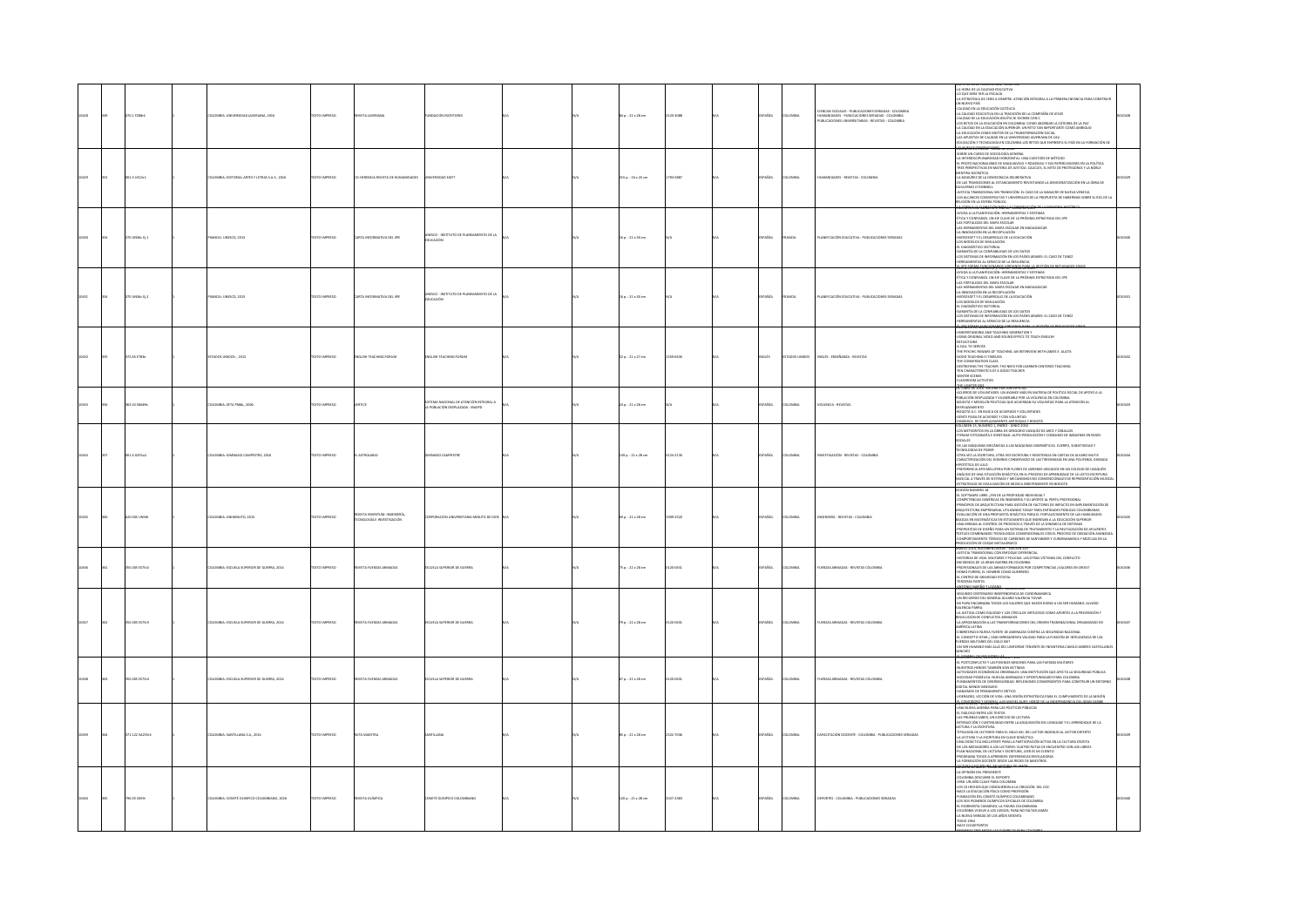|              | 370.1 F288+4    | LOMBIA: UNIVERSIDAD JAVERIANA, 2016          | TEXTO IMPRESO | VISTA JAVERIANA                                       | <b>INDACIÓN ESCRITORES</b>                                                 |  | 14 p.: 22 x 28 cm       | 120-3088  | ANDL.        | LOMBIA         | NCIAS SOCIALES - PUBLICACIONES SERIADAS - COLOMBIA<br>JMANDADES - PUBLICACIONES SERIADAS - COLOMBIA<br>JBLICACIONES UNIVERSITABLAS - REVISTAS - COLOMBIA | HORA DE LA CALIDAD EDUCATIVI<br>QUE DEBE SER LA FISCALÍA<br>A DE CERO A SIEMPRE: ATENCIÓN INTEGRAL A LA PRIMERA INFANCIA PARA CONSTRUI<br>N NUEVO PAÍS<br>ALIDAD EN LA EDUCACIÓN CATÓLICA<br>A CALIDAD EDUCATIVA EN LA TRADICIÓN DE LA COMPAÑÍA DE JESÚS<br>ALIDAD DE LA EDUCACIÓN JESUÍTA SE ESCRIBE CON C<br>CALISMO DE LA EDUCACIÓN ESTATA SE ESCRIBE CON C<br>LAS METOS DE LA EDUCACIÓN EN COLOMBIA: COMO AROPEAN LA CÁTEDRA DE LA PAZ<br>LA CHURAD EN LA EDUCACIÓN SUFFIRIDO: LAN JETO TAN INFORMANTE COMO AMBIGUO<br>LA EDUCACIÓN DE CALISMO DE                                                                                                                                                                                                                                                                                                                                                         |  |
|--------------|-----------------|----------------------------------------------|---------------|-------------------------------------------------------|----------------------------------------------------------------------------|--|-------------------------|-----------|--------------|----------------|----------------------------------------------------------------------------------------------------------------------------------------------------------|---------------------------------------------------------------------------------------------------------------------------------------------------------------------------------------------------------------------------------------------------------------------------------------------------------------------------------------------------------------------------------------------------------------------------------------------------------------------------------------------------------------------------------------------------------------------------------------------------------------------------------------------------------------------------------------------------------------------------------------------------------------------------------------------------------------------------------------------------------------------------------------------------------------|--|
|              | 001.3 UE22c1    | OMBIA: EDITORIAL ARTES Y LETRAS S.A.S., 2016 | TEXTO IMPRESO | HERENCIA REVISTA DE HUMANIDADES                       |                                                                            |  | 115 p. : 16 x 23 cm     | 794-5887  | PAÑOL        | owax           | nes . anvistas . co                                                                                                                                      | LOWEN 15, ENERGY SONIG DE 2016<br>JARTHIS ALDOLDOZ 30 OZRU AU 3RBO<br>COME UN CHOOSE DE SOCIOLOGÍA ERITHEL (MA CUESTIÓN DE MÉTODO)<br>A ARTEROSCHIAMARENDO DE MAGIANTAL (MA CUESTIÓN DE MÉTODO)<br>ARTEROSCHIAMARENDO DE MAGIANA EN CHOCAL EL MA REFERINDUZIONES EN LA POLÍTICA<br>ARTERA SOCIÁTICA - MATERIA<br>35 ALCANCES COSMOPOLITAS Y UNIVERSALES DE LA PROPUESTA DE HABERMAS SOBRE EL ROL DE L<br>HELMILLE COMMUNICATION                                                                                                                                                                                                                                                                                                                                                                                                                                                                               |  |
|              | 370 UNS6c EL1   | MNOA: UNESCO, 2013                           | DZERNIK OTXET | ARTA INFORMATIVA DEL IPE                              | UNESCO - INSTITUTO DE PLANEAMIENTO DE LA<br>EDUCACIÓN                      |  | $16a : 21 \times 30$ cm |           | <b>PAROL</b> | <b>ANCIA</b>   | ANITICACIÓN FOLICATIVA - PUBLICACIONES SEBIADAS                                                                                                          | EUSIDE DE LA ESTERA FUELCO.<br>ACORE A LA FLANCIA COMPANYA CONSTRUCIÓN DE LA AMACHIA HISTORIA<br>VIUDA A LA FLANCIACIÓN: HERRAMENTAS Y SISTEMAS<br>MONA A LA FLANCIACIÓN: HERRAMENTAS Y SISTEMA<br>AS FORTALEZAS DEL MAPA ESCOLAR<br>A HINERA<br>NCROSOFT Y EL DESARROLLO DE LA EDUCACIÓN<br>OS MODELOS DE SIMULACIÓN<br>DIAGNÓSTICO SECTORIAL<br>ARANTÍA DE LA CONFIABILIDAD DE LOS DATOS<br>OS SISTEMAS DE INFORMACIÓN EN LOS PAÍSES ARABES: EL CASO DE TUNEZ<br>ERRAMIENTAS AL SERVICIO DE LA RESILIENCIA<br>magness creaters are assessed as                                                                                                                                                                                                                                                                                                                                                              |  |
| <b>CEAD!</b> | 370 UNS6c Ej.2  | MAICIA: UNESCO, 2013                         | TEXTO IMPRESO | ARTA INFORMATIVA DEL IPE                              | ISCO - INSTITUTO DE PLANEAMIENTO DE LA<br>EDUCACIÓN                        |  | 16 p.: 21 x 30 cm       |           | PAÑOL        | RANCIA         | ANIFICACIÓN EDUCATIVA - PUBLICACIONES SERIADAS                                                                                                           | JEUMEN XXXI NUNERU 1, ENDIU - JUNIU DE 2013<br>YUDA A LA FLANIFICADÓN: HERRANIENTAS Y SISTEMAS<br>TICA Y CONFIANZA. UN EJE CLAVE DE LA PRÓXIMA ESTRATEGIA DEL IIPE<br>AS FORTALEZAS DEL MAPA ESCOLAR<br>.<br>In history and the mass for the manufacture<br>A INNOVACIÓN EN LA RECOPILACIÓN<br><b>INTERNATIVE DESARROLLO DE LA EDUCACIÓN</b><br>OS MODELOS DE SIMULACIÓN<br><i>AT INCOMENTION SECTIONAL</i><br>ARANTÁL OS LA CONFARBILINA DEL COS DATOS<br>OS SETEMAS DE INFORMACIÓN EN LOS PAÍSES ARABES: EL CASO DE TUNEZ<br>EERRAMENTAS AL SERVICIO DE LA RESULTINGA<br>11 I <u>NF FORMA EN NEPONANTO</u> CE LA RESULTINGA<br>11                                                                                                                                                                                                                                                                           |  |
| 10432        | 372.65 ET83e    | STADOS UNIDOS: , 2012                        | TEXTO IMPRESO | VGLISH TEACHING FORUM                                 | VGLISH TEACHING FORUM                                                      |  | 52 p.: 21 x 27 cm       | XX33-022  | vauts        | ADOS UNIDOS    | NGLÉS - ENSEÑANZA - REVISTAS                                                                                                                             | ING AND TEACHING GENERATION Y<br>NDERSTANDING AND TEACHING GENERATION Y<br>SING ORIGINAL VIDEO AND SOUND EFFECS TO TEACH ENGLISH<br>REFLECTIONS<br>A CALL TO SERVICE<br>THE PSYCHIC REWARS OF TEACHING: AN INTERVIEW WITH JAMES E. ALATIS<br>GOOD TEACHING IS TIMELESS<br>GOOD TEACHING IS TIMBLESS<br>DECONVERSATION CLASS<br>DESTROYING THE TEACHER: THE NEED FOR LEARNER-CENTERED TEACHING<br>EEN CHARACTERISTICS OF A GOOD TEACHER<br>CLASSROCIM ACTIVITIES<br>CLASSROCIM ACTIVITIES<br>TUBET DE 2018 TERCERA EDICION ESPECIAL                                                                                                                                                                                                                                                                                                                                                                            |  |
|              | 163.32 SN009v   | DLOMBIA: ZETA PMŠL, 2006                     | TEXTO IMPRESO | ence                                                  | ISTEMA NACIONAL DE ATENCIÓN INTEGRAL A<br>LA POBLACIÓN DESPLAZADA - SNAIPD |  | 24 p.: 21 x 28 cm       |           | PAÑOL        | OMBA           | <b>IQLENCIA - REVISTAS</b>                                                                                                                               | VEUERDO DE VOLUNTADES: UN AVANCE MÁS EN MATERIA DE POLÍTICA SOCIAL DE APOYO A LA<br>OBLACIÓN DESPLAZADA Y VULNERABLE POR LA VIOLENCIA EN COLOMBIA<br>IOGOTÁ Y MEDELLÍN POLÍTICAS QUE ACUERDAN SU VOLUNTAD PARA LA ATENCIÓN AL<br><b>ESPLAZAMENTO</b><br>OGOTÁ D.C. EN BUSCA DE ACUERDOS Y VOLUNTADES<br>NTE PAISA DE ACUERDO Y CON VOLUNTAD                                                                                                                                                                                                                                                                                                                                                                                                                                                                                                                                                                   |  |
|              | 001.4 0291a2    | LOMBIA: GIMNASIO CAMPESTRE, 2016             | DZERNI OTXIT  | <b>CIEALORTZA</b>                                     | <b>MASO CAMPETER</b>                                                       |  | 149 p. : 21 x 28 cm     | 124-2138  | SPAÑOL       | <b>AIRMOJO</b> | <b>ISTIGACIÓN - REVISTAS - COLOMBIA</b>                                                                                                                  | INIÁRIE A DE PERI EXAMPARE A MONTRO DE PERIODE A MARIA EN ANTENIA EN ANTENIA EN ARTE EL CARRE EL CARRE EL CARR<br>CO METEORITOS EN LA CIRIA DE GREGORIO VASQUEZ DE ARCE Y CEBALLOS<br>FERINA FOTOGRAFÍA E IDENTIDAD: AUTO-PRODUCIÓN<br>CONSUMO DE IMÁGENES EN REDES<br>UCHLEJ<br>JE LAS MÁQUINAS MECÁNICAS A LAS MÁQUINAS OBERNÉTICAS. CUERPO. SUBJETIVIDAD Y<br>NOLOGÍAS DE PODER<br>LUNDLOOPO DE FODER<br>JTRA VEZ LA ESCRITURA. OTRA VEZ ESCRITURA Y RESISTENCIA EN CARTAS DE ALVARO MUTIS<br>ARACTERIZACIÓN DEL DOMINIO CONSERVADO DE LAS TIROSINASAS EN UNA POLITENOL OXIDADA<br>OJUJ 30 A3IT3N<br>PUTETINA NE KUNO<br>REFERENCIA APIS MELLIFERA POR FLORES DE JARDINES UBICADOS EN UN COLEGIO DE USAQUÉN<br>NÁLISIS DE UNA SITUACIÓN DIDÁCTICA EN EL PROCESO DE APRENISIZAIE DE LA LECTO-ESCRITURA<br>USICAL A TRAVÉS DE SISTEMAS Y MECAN<br>TRATEGIAS DE DIVULGACIÓN DE MÚSICA INDEPENDIENTE EN BOGOTÁ |  |
|              | 620.005 UNSB    | LOMBIA: UNIMINUTO, 2015                      | TEXTO IMPRESO | EVSTA INVENTUM: INGENIERÍA<br>NOLOGÍA E INVESTIGACIÓN | ARIA MINUTO DE DIO                                                         |  | 69 p.: 21 x 28 cm       | 1909-2520 | PAÑOL        | LOMBIA         | GENIERÍA - REVISTAS - COLOMBIA                                                                                                                           | .<br>DICIÓN NÚMERO 18<br>IL SOFTWARE LIBRE: ¿FIN DE LA PROPIEDAD INDIVIDUAL?<br>MPETENCIAS GENÉRICAS EN INGENIERÍA Y SU APORTE AL PERFIL PROFESIONAL<br>RINCIPIOS DE ARQUITECTURA PARA GESTIÓN DE FACTORES DE IMPACTO EN IMPLEMENTACIÓN DE<br>IQUITECTURA EMPRESARIAL UTILIZANDO TOGAF PARA ENTIDADES PÚBLICAS COLOMBIANAS<br>VALUACIÓN DE UNA PROPUESTA DIDÁCTICA PARA EL FORTALECIMIENTO DE LAS HABILIDADES<br>ÁSICAS EN MATEMÁTICAS EN ESTUDIANTES QUE INGRESAN A LA EDUCACIÓN SUPERIOR.<br>NA MIRADA AL CONTROL DE PROCESOS A TRAVÉS DE LA DINÁMICA DE SISTEMAS<br>ROPUESTAS DE DISEÑO PARA UN SISTEMA DE TRATAMIENTO Y LA REUTILIZACIÓN DE AFLUE<br>XTILES COMBINANDO TECNOLOGÍAS CONVENCIONALES CON EL PROCESO DE OXIDADÓN AVANEM<br>OMPORTAMIENTO TÉRMICO DE CARRONES DE SANTANDER Y CUNDINAMARCA Y MEZILAS EN LA<br>ODUCCIÓN DE COQUE NETALÚRICO<br>ODUCCIÓN DE COQUE NETALÚRICO DE SANT              |  |
|              | 355.005 ES75r2  | LOMBIA: ESCUELA SUPERIOR DE GUERRA, 2014     | DZERNI OTXIT  | <b>EVISTA FUERZAS ARMADAS</b>                         | <b>ISCUELA SUPERIOR DE GUERRA</b>                                          |  | 75 p. : 22 x 28 cm      | 120-0631  | <b>PAÑOL</b> | LOMBIA         | UERZAS ARMADAS - REVISTAS COLOMBIA                                                                                                                       | STICIA TRANSICIONAL CON ENFOQUE DIFERENCIAL<br>STORIAS DE VIDA, MILITARES Y POUCIAS: LAS OTRAS VÍCTIMAS DEL CONFUCTO<br>ICIDENCIA DE LA GRAN GUERRA EN COLOMBIA<br>ROFESIONALES DE LAS ARMAS FORMADOS POR COMPETENCIAS ¿VALORES EN CRISIS?<br>OMO FURENS, EL HOMBRE COMO GUERRERO<br>L'EENTRO DE GRAVEDAD ESTATAL<br>CERAS PARTES<br>CONDUCTIONS                                                                                                                                                                                                                                                                                                                                                                                                                                                                                                                                                              |  |
|              | 55.005 ES75r3   | LOMBIA: ESCUELA SUPERIOR DE GUERRA, 2014     | DZSRRNI OT    | <b>ISTA FUERZAS ARMADAS</b>                           | CUELA SUPERIOR DE GUERRA                                                   |  | 9 p.: 22 x 28 cm        | $-0631$   | <b>Viol</b>  | <b>AIRMOJ</b>  | JERZAS ARMADAS - REVISTAS COLOMBIA                                                                                                                       | EGUNDO CENTENARIO INDEPENDENCIA DE CUNDINAMARCA<br>N RECUERDO DEL GENERAL ALVARO VALENCIA TOVAR<br>PAPA ENCARNABA TODOS LOS VALORES QUE HACEN DIGNO A UN SER HUMANO: ALVARO<br>LENCIA PARRA<br>A JUSTICIA COMO EQUIDAD Y LOS CÍRCULOS VIRTUOSOS COMO APORTES A LA PREVENCIÓN Y<br>ESOLUCIÓN DE CONFLICTOS ARMADOS<br>A APROXIMACIÓN A LAS TRANSFORMACIONES DEL CRIMEN TRANSNACIONAL ORGANIZADO EN .<br>A AMERISMANCINA A LAS TRANSFORMACIONES DEL CURMISMACIONAL CONSAMIZACION<br>LIBRATANCIO NUEVA INTENTE DE AMERIAZAS CONTRA LA SEGURIDAD NACIONAL<br>LIBRATANCO NUEVA INTENTE DE AMERIAZAS CONTRA LA SEGURIDA INCIDIAL<br>LIBRATA MILITARE<br>ENERY STATYOUMEN Down - 231                                                                                                                                                                                                                                 |  |
|              | 355.005 E575r4  | OMBIA: ESCUELA SUPERIOR DE GUERRA, 2014      | TEXTO IMPRESO | EVISTA FUERZAS ARMADAS                                | <b>ISCUELA SUPERIOR DE GUERRA</b>                                          |  | 57 p. : 22 x 28 cm      | 120-0631  | PAÑOL        | OMBA           | <b>JERZAS ARMADAS - REVISTAS COLOMBIA</b>                                                                                                                | L POSTCONFLICTO Y LAS POSIBLES MISIONES PARA LAS FUERZAS MILITARES<br>UESTROS HEROES TAMBIÉN SON VÍCTIMAS<br>HULLA RESI RESIDENTA MARRIA SUR VÉTRICAS UN INSTRUIDENT QUE APRETA LA SEGUINDA PÚBLICA<br>ACTIVIDADES ECORÓMENAS CRIMINALES UNA INSTRUIDENTE DAN ECORÓMENA<br>FURNAMENTOS ECORÉMICANO ARMENAS VI DESPOIS CONVERTINTS PAPA CONSTRUIR                                                                                                                                                                                                                                                                                                                                                                                                                                                                                                                                                              |  |
|              | 371.122 SA235r4 | DLOMBIA: SANTILLANA S.A., 2014               | TEXTO IMPRESO |                                                       |                                                                            |  | 85 p. : 21 x 28 cm      | 2322-7036 | PAÑOL        | <b>LOMBIA</b>  | PACTACIÓN DOCENTE - COLOMBIA - PUBLICACIONES SERIADAS                                                                                                    | INA NUEVA AGENDA PARA LAS POLÍTICAS PÚBLICAS<br>L DIÁLOGO ENTRE LOS TEXTOS<br>AS PRUEBAS SABER, UN EJERCICIO DE LECTURA<br>KTERACCIÓN Y CUNTINUIDAD ENTRE LA ADQUISICIÓN DEL LENGUAIE Y EL APRENDIZAJE DE LA CTURA Y LA ESCRITURA<br><b>BU AFAARD "AND DE 2006</b>                                                                                                                                                                                                                                                                                                                                                                                                                                                                                                                                                                                                                                            |  |
|              | 796.05 C659r    | DLOMBIA: COMITÉ OLIMPICO COLOMBIANO, 2016    | DZERNI OTXIT  | REVISTA OLÍMPICA                                      | COMITÉ OLÍMPICO COLOMBIANO                                                 |  | 120 p. : 21 x 28 cm     | 2027-2383 | SPAÑOL       | <b>AIRMOJO</b> | <b>SEPORTES - COLOMBIA - PUBLICACIONES SERIADAS</b>                                                                                                      | AGAINMON BROWNSHIPS<br>COLORINAL DES PRESIDENTE<br>COLORINAL DES PRESIDENTE<br>-2536: UN AÑO CLAVIE PARA COLORINA<br>-2536: UN AÑO CLAVIE PARA COLORINA<br>-255 EL LA EDUCACIÓN PÍSICA CORRO PIDEESIÓN<br>-245 EES PONNEROS OLÍMPICOS OFICIALES<br>PSOBRASTA CAMAROO 14 BOIBA COLOMBANA<br>DLOMBIA VUELVE A LOS JUEGOS. PARA NO FALTAR JAMÁS<br>A NUEVA MIRADA DE LOS AÑOS SESENTA<br>-TOKIO 1964<br>-NACE COLDEPORTES                                                                                                                                                                                                                                                                                                                                                                                                                                                                                        |  |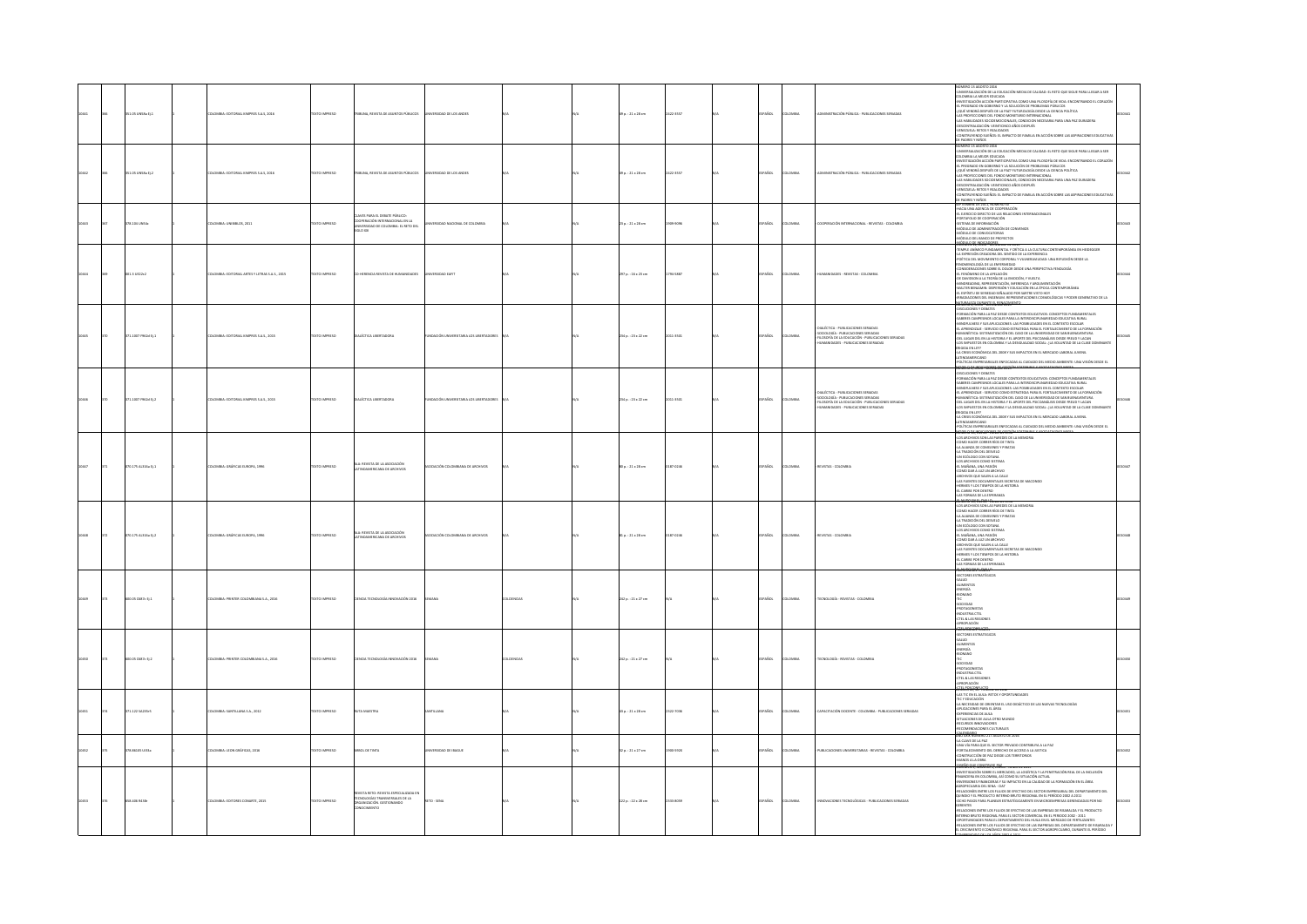|  | 351.05 UNSBa Ej. 1  | <b>ILOMBIA: EDITORIAL KIMPRES S.A.S, 2016</b>  | TEXTO IMPRESO | RIBUNA, REVISTA DE ASUNTOS PÚBLICOS                                                                               | RSIDAD DE LOS ANDES                   |                   | 19 p. : 21 x 28 cm      | 22-3557   | ÑO          | MOV          | ON PÚBLICA - PUBLICACIONES SERIADAS                                                                                                                                 | NÚMERO 13 AGOSTO 2016<br>-UNIVERSAUZACIÓN DE LA EDUCACIÓN MEDIA DE CALIDAD: EL RETO QUE SIGUE PARA LLEGAR A SER<br>- UNIVERSIDADE DE ATOMOGIO MERA DE CALIDAD II ESTA DE ESTADO DE ESTADO EN CONDENANTO EN CORRENTE EN EL ESTADO DE CORRENTE EN EL ESTADO EL CORRENTE EN EL ESTADO EL ESTADO EL ESTADO EL ESTADO EL ESTADO EL ESTADO EL ESTADO EL<br>DE PADRES Y NIÑOS                                                                                                                                                                                                                                                                                                                                                                                                                                                                                                                                                                                                                                               |  |
|--|---------------------|------------------------------------------------|---------------|-------------------------------------------------------------------------------------------------------------------|---------------------------------------|-------------------|-------------------------|-----------|-------------|--------------|---------------------------------------------------------------------------------------------------------------------------------------------------------------------|----------------------------------------------------------------------------------------------------------------------------------------------------------------------------------------------------------------------------------------------------------------------------------------------------------------------------------------------------------------------------------------------------------------------------------------------------------------------------------------------------------------------------------------------------------------------------------------------------------------------------------------------------------------------------------------------------------------------------------------------------------------------------------------------------------------------------------------------------------------------------------------------------------------------------------------------------------------------------------------------------------------------|--|
|  | 351.05 UNSEA 01.2   | DLOMBIA: EDITORIAL KIMPRES S.A.S. 2016         | TEXTO IMPRESO | RIBUNA, REVISTA DE ASUNTOS PÚBLICOS                                                                               | NIVERSIDAD DE LOS ANDES               |                   | 0 p.: 21 x 28 cm        | 422-3557  | AÑOL        | <b>OMBIA</b> | MINISTRACIÓN PÚBLICA - PUBLICACIONES SERIADAS                                                                                                                       | NÚMERO 13 AGOSTO 2016<br>-UNIVERSALIZACIÓN EN LA EDUCACÍÓN MEDIA DE CALIDAD: EL RETO QUE SIGUE PARA LLEGAR A SER<br>COLOMBIA LA MEJOR EDUCADA<br>-INVESTIGACIÓN ACCIÓN PARTICIPATIVA COMO UNA FILOSOFÍA DE VIDA: ENCONTRANDO EL CORAZÓN<br>-<br>EL PREGRADO EN GOBIERNO Y LA SOLUCIÓN DE PROBLEMAS PÚBLICOS<br>-{QUÉ VENDRÁ DESPUÉS DE LA PAZ? FUTUROLOGÍA DESDE LA CIENCIA POLÍTICA<br>AS PROVECCIONES DEL FONDO MONETARIO INTERNACIONAL<br>-LAS HABILIDADES SOCIOEMOCIONALES, CONDICION NECESARIA PARA UNA PAZ DURADERA<br>-DESCENTRALIZACIÓN: VEINTICINCO AÑOS DESPUÉS<br>-VENEZUELA: RETOS Y REALIDADES<br>.<br>INSTRUYENDO SUEÑOS: EL IMPACTO DE FAMILIA EN ACCIÓN SOBRE LAS ASPIRACIONES EDUCA                                                                                                                                                                                                                                                                                                                 |  |
|  | 378.104 UNS4c       | DLOMBIA: UNIBIBLOS, 2011                       | TEXTO IMPRESO | AVES PARA EL DEBATE PÚBLICO:<br>COOPERACIÓN INTERNACIONAL EN LA<br>UNIVERSIDAD DE COLOMBIA: EL RETO DEL<br>DOK OU | ERSIDAD NACIONAL DE COLOMBIA          |                   | $23a : 21 \times 28$ cm | 009-0096  | AÑOL        | <b>OMBIA</b> | OOPERACIÓN INTERNACIONAL - REVISTAS - COLOMBIA                                                                                                                      | DE PACRES Y NIÑOS<br>SEPTEMBRE DE 2011, NUMERO 50<br>-HACIA UNA AGENCIA DE COOPERACIÓN<br>-EL EJERCIDO DIRECTO DE LAS RELACIONES INTERNACIONALES<br><b>DESIGNATION</b><br>DRTAFOLIO DE COOPERACIÓN<br>-<br>-<br>-<br>- MÓDULO DE ADMINISTRACIÓN DE CONVENIOS<br>ÓDULO DE CONVOCATORIAS<br>DULO DEL BANCO DE PROYECTOS                                                                                                                                                                                                                                                                                                                                                                                                                                                                                                                                                                                                                                                                                                |  |
|  | 001.3 UE22c2        | DLOMBIA: EDITORIAL ARTES Y LETRAS S.A.S., 2015 | TEXTO IMPRESO | HERENCIA REVISTA DE HUMANIDADES                                                                                   | ERSIDAD EAFIT                         |                   | 297 p. : 16 x 21 cm     | 794-5887  | AÑOL        | owaw         | AMIDADES - REVISTAS - COLOMBIA                                                                                                                                      | MÓDULO DE INDICADORES<br>ULOMEN 12, OUDO - UNIDIMIRE DE 2023<br>EDARLE ANÍMICO FUNDAMENTAL Y ORÍTICA A LA CULTURA CONTEMPORÁNEA EN HEIDEGGER<br>LA EXPRESIÓN CREADORA DEL SENTIDO DE LA EXPERENCIA<br>CONSIDERACIONES SOBRE EL DOLOR DESDE UNA PERSPECTIVA FENOLOGÍA<br>EL FENÓMENO DE LA APELACIÓN<br>DE DAVIDSON A LA TEORÍA DE LA EMOCIÓN, Y VUELTA<br>-ME UNIVERSION PARA FILM DE LA FRANCISION, VIVIETA<br>-MENDELADURA, REFRESANTACIÓN, INFERENCIA Y ARGUMENTACIÓN<br>-MENTER EDENIANO: EDEFENSIÓN I EDICACIÓN EN LA FROCA CONTEMPORÁNEA<br>-EL ESPÍRITURE SERIEDAD SEÑALADO POR SARTIE VIS                                                                                                                                                                                                                                                                                                                                                                                                                    |  |
|  | 71.1007 F962d Ej.1  | MINE EDITORIAL KIMPRES S.A.S., 2015            | EXTO IMPRESO  | <b>AÉCTICA LIBERTADOR</b>                                                                                         | MEIÓN UNIVER                          |                   | 234 p. : 23 x 22 cm     | $11-3501$ |             |              | ÉCTICA - PUBLICACIONES SERIADA<br>SOCIOLOGÍA - PUBLICACIONES SERIADAS<br>FILOSOFÍA DE LA EDUCACIÓN - PUBLICACIONES SERIADAS<br>HUMANIDADES - PUBLICACIONES SERIADAS | <b>DISCUCIONES Y DEBATES</b><br>FORMACIÓN PARA LA PAZ DESDE CONTEXTOS EDUCATIVOS: CONCEPTOS FUNDAMENTALES<br><b>FORMATION PRAIA APAX DESCRIPTION DESCRIPTIONS CONSERVATION PRAIA SUBSERVATION PRAIA CONSERVATION DE DESCRIPTION DE SUBSERVATIONS DE LA CONSERVATION DE SUBSERVATIONS DE LA CONSERVATION DE LA CONSERVATION DE LA CONSERVATIO</b><br>ONDAMERICANO<br><b>POLÍTICAS EMP</b><br>.<br>SARIALES ENFOCADAS AL CUIDADO DEL MEDIO AMBIENTE: UNA VISIÓN DESDE EL                                                                                                                                                                                                                                                                                                                                                                                                                                                                                                                                               |  |
|  | 371.1007 F962d Ej.2 | <b>ILOMBIA: EDITORIAL KIMPRES S.A.S., 2015</b> | TEXTO IMPRESO | MALÉCTICA LIBERTADORA                                                                                             | DACIÓN UNIVERSITARIA LOS LIBERTADORES |                   | 234 p. : 23 x 22 cm     | 011-3501  | So.         | MAGNA        | MUÉCTICA - PUBLICACIONES SERIADAS<br>SOCIOLOGÍA - PUBLICACIONES SERIADAS<br>FILOSOFÍA DE LA EDUCACIÓN - PUBLICACIONES SERIADAS<br>ANDADES - PUBLICACIONES SERIADAS  | 1003-000-000406785<br>-DISCUCIONES Y DEBATES<br>-FORMACIÓN PARA LA PAZ DESDE CONTEXTOS EDUCATIVOS: CONCEPTOS FUNDAMENT<br>-SABERES CAMPESINOS LOCALES PARA LA INTERIOSCIPLINARIEDAD EDUCATIVA RURAL<br>MENTALES<br>SAMING LOWER IN SUSPENSIONES LAS POSIBILIDADES EN EL CONTEXTO ESCOLAR<br>ANNIPULARES Y SUS APUCACIONES LAS POSIBILIDADES EN EL CONTEXTO ESCOLAR<br>EL APRENDIZAJE - SERVICIO COMO ESTRATEGIA PARA EL FORTALEOMIENTO DE LA FORMACIÓN<br><br>RIMMONISMO - SI ESPANYALICANO EN L'AGOLIER DE PRODUIS ARES EN SON EN LOCALITAT (EL CONSUMERTO EN LOCALITAT DE<br>COS MARILETTO EN L'ACCIONALITAT EN PARTIE DEL PRODUIS ARES EN LA POLITICA DE LA COASE DOMINANT<br>4.4 CHISE ECONÓMI                                                                                                                                                                                                                                                                                                                   |  |
|  | 70.175 AL316a Ej.1  | OMBIA: GRÁFICAS EUROPA, 1996                   | DZER IMPRESO  | LA: REVISTA DE LA ASOCIACIÓN<br>CAMERICANA DE ARCHIVOS                                                            | ADON COLOMBIANA DE ARCHIVOS           |                   | 00 p.: 21 x 28 cm       |           | <b>So</b>   |              | EVISTAS -                                                                                                                                                           | <b>POLITICAL EMPERATION ESTATE INFORMACIA COLONOLS ACTIONAL COMPANY (SEE ALL AND ACTIONAL COMPANY CONTINUES)</b><br>COMPANY (SEE ALL AND A PARTICIS DE THATA<br>COMPANY COMPANY (SEE ALL AND A PARTICIS DE THATA<br>CALINATION DE DES COMPAN<br>-<br>ARCHIVOS QUE SALEN A LA CALLE<br>-LAS FUENTES DOCUMENTALES SECRETAS DE MACONDO<br>-HERMES Y LOS TIEMPOS DE LA HISTORIA<br>-EL CARIBE POR DENTRO<br>LAS FORMAS DE LA ESPERANZA                                                                                                                                                                                                                                                                                                                                                                                                                                                                                                                                                                                   |  |
|  | 70.175 AL316a Ej.2  | VISIA: GRÁFICAS EUROPA, 1996                   |               | ALA: REVISTA DE LA ASOCIACIÓN                                                                                     |                                       |                   | $p. : 21 \times 28$ cm  |           |             |              | WSTAS -                                                                                                                                                             | <b>RUNGEO IN ENERGY SURFACE SERVICE SERVICES</b><br>RUNGEO IN ENERGY SURFACES DE LA MEMORIA<br>- COMO HACER CORRER RÍOS DE TINTA<br>- COMO MACRI CORRENTE DISSI DE TRITA<br>1. A ALIANZA DE COMERNES Y PIRATAS<br>1. A TRADICÓN DEL DESVELO<br>1. A TRADICÓN DEL DESVELO<br>1. A CA ACUNOS COMO SISTEMA<br>1. A MONDA JUNA JUNA PAGÓN<br>1. AMENINES DOLUMENTALES SECRETAS E<br>1. ANGH<br><b><i>IFTAS DE MACONDO</i></b><br>-<br>LAS FORMAS DE LA ESPERANZA<br><b><i><u><i>INTORNSBRIS</i></u></i></b>                                                                                                                                                                                                                                                                                                                                                                                                                                                                                                              |  |
|  | 600.05 C687c Ej.1   | ILOMBIA: PRINTER COLOMBIANA S.A., 2016         | TEXTO IMPRESO | ENCIA TECNOLOGÍA INNOVACIÓN 2016                                                                                  |                                       | <b>DLCIENCIAS</b> | 242 p. : 21 x 27 cm     |           | ARCK.       | <b>MAGIN</b> | TECNOLOGÍA - REVISTAS - COLOMBIA                                                                                                                                    | HALIA DUNDE VANOS<br>-SECTORES ESTRATÉGICOS<br>-SALIA<br>-ENERGÍA<br>-<br>-<br>TIC<br>-<br>SOCIEDAD<br>PROTAGONISTAS<br>-NOUSTRIA CTEL<br>-CTEL & LAS REGIONE<br>-APROPACIÓN<br>-GALLASOGOEVAGIO                                                                                                                                                                                                                                                                                                                                                                                                                                                                                                                                                                                                                                                                                                                                                                                                                     |  |
|  | 600.05 C687c Ej.2   | MBIA: PRINTER COLOMBIANA S.A., 2016            | XTO IMPRESO   | NCIA TECNOLOGÍA INNOVACIÓN 2016                                                                                   |                                       | <b>ILCIENCIA</b>  | 242 p. : 21 x 27 cm     |           | .<br>Кос    | wa           | CNOLOGÍA - REVISTAS - COLOMBIA                                                                                                                                      | INCIADONDE VANUS<br>-SECTORES ESTRATEGICOS<br>-SALUD<br>-SALUD<br>- ALIMENTOS<br>- ANERGÍA<br>- ANDUSTRIA CTEL<br>- PROTAGONISTAS<br>- ANDUSTRIA CTEL<br>- CTEL & LAS REGIONES<br>- APROPIACIÓN<br><b>ROPACIÓN</b>                                                                                                                                                                                                                                                                                                                                                                                                                                                                                                                                                                                                                                                                                                                                                                                                   |  |
|  | 71.1225A235r5       | LOMBIA: SANTILLANA S.A., 2012                  | TEXTO IMPRESO |                                                                                                                   | THEAN                                 |                   | 12 p.: 21 x 28 cm       | 122-7036  | AÑOL        | way          | <b>SPACITACIÓN DOCTNITE - COLOMBIA - PUBLICACIONES SEBIADAS</b>                                                                                                     | -WIRDHAUGH<br>1602: Michael Maria de 2012<br>- Jac II: Die it Auga- retos y oportunidades<br>- An I' Eucladón<br>- An IECESDAIS DRAR LAREA<br>- Anner India de Ania<br>- Anner India de Ania<br>SITUACIONES DE AULA OTRO MUNDO<br>RECURSOS INNOVADORES<br>COMENDACIONES CULTURALES                                                                                                                                                                                                                                                                                                                                                                                                                                                                                                                                                                                                                                                                                                                                   |  |
|  | 378.86105 ULI3a     | ILOMBIA: LEON GRÁFICAS, 2016                   | TEXTO IMPRESO | <b>ABOL DE TINTA</b>                                                                                              | VERSIDAD DE IBAGUE                    |                   | 12 p. : 21 x 27 cm      | 0-592X    | <b>vice</b> | way          | VIELICACIONES UNIVERSITABLAS - REVISTAS - COLOMBIA                                                                                                                  | SYMPANGMENO 217 AGOSTO DE 2016<br>LA CLAVE DE LA PAZ<br>UNA VÍA PARA QUE EL SECTOR PRIVADO CONTRIBUYA A LA PAZ<br>SEÑO QUE CONSTRUYE PAZ                                                                                                                                                                                                                                                                                                                                                                                                                                                                                                                                                                                                                                                                                                                                                                                                                                                                             |  |
|  | 058.406 R438        | OLOMBIA: EDITORES CONARTE, 2015                | TEXTO IMPRESO | STA RETO: REVISTA ESP<br>TECNOLOGÍAS TRANSVERSALES DE LA<br>DRGANIZACIÓN, GESTIONANDO<br>TONOCIMIENTO             | ETO - SENA                            |                   | 122 p. : 22 x 28 cm     | 111-8059  | AÑOL        | OMBIA        | NOVACIONES TECNOLÓGICAS - PUBLICACIONES SERIADAS                                                                                                                    | IMEN 3, NUMERU 3, ENANG 1 ANNO 65 ANG.<br>STIGACIÓN SOBRE EL MERCADEO, LA LOGÍSTICA Y LA PENETRACIÓN REAL DE LA INCLUSIÓN<br>ANCIERA EN COLOMBIA, ASÍ COMO SU SITUACIÓN ACTUA<br>IVERSIONES FINANCIERAS Y SU IMPACTO EN LA CALIDAD DE LA FORMACIÓN EN EL ÁREA<br>AGROPECUARIA DEL SENA - CIAT<br>RELACIONES ENTRE LOS FLUIOS DE EFECTIVO DEL SECTOR EMPRESARIAL DEL DEPARTAMENTO DEL<br>QUINDIO Y EL PRODUCTO INTERNO BRUTO REGIONAL EN EL PERÍODO 2002 A 2011<br>-OCHO PASOS PARA PLANEAR ESTRATÉGICAMENTE EN MICROEMPRESAS GERENCIADAS POR NO<br>ERENTES<br>IELACIONES ENTRE LOS FLUJOS DE EFECTIVO DE LAS EMPRESAS DE RISARALDA Y EL PRODUCTO<br>-REMIUNDIS ENTRE LUS FUJUS DE ELECTRO DE MS ENFRESAS DE RISMANIAM T EL PRUDUCI (D<br>INTERNO BRUTO REGIONAL PARA EL SECTRO COMERCAL EN EL PERIDIO 2002 - 2011<br>-OPORTUNIDADES PARA EL DEPARTAMENTO DEL HULIA EN EL MERCADO DE FERT<br>IL CRECIMIENTO ECONÓMICO REGIONAL PARA EL SECTOR AGROPECUARIO, DURANTE EL PERÍODO<br>CAMBRINHULO DE LOS AÑOS 2003 A 3033 |  |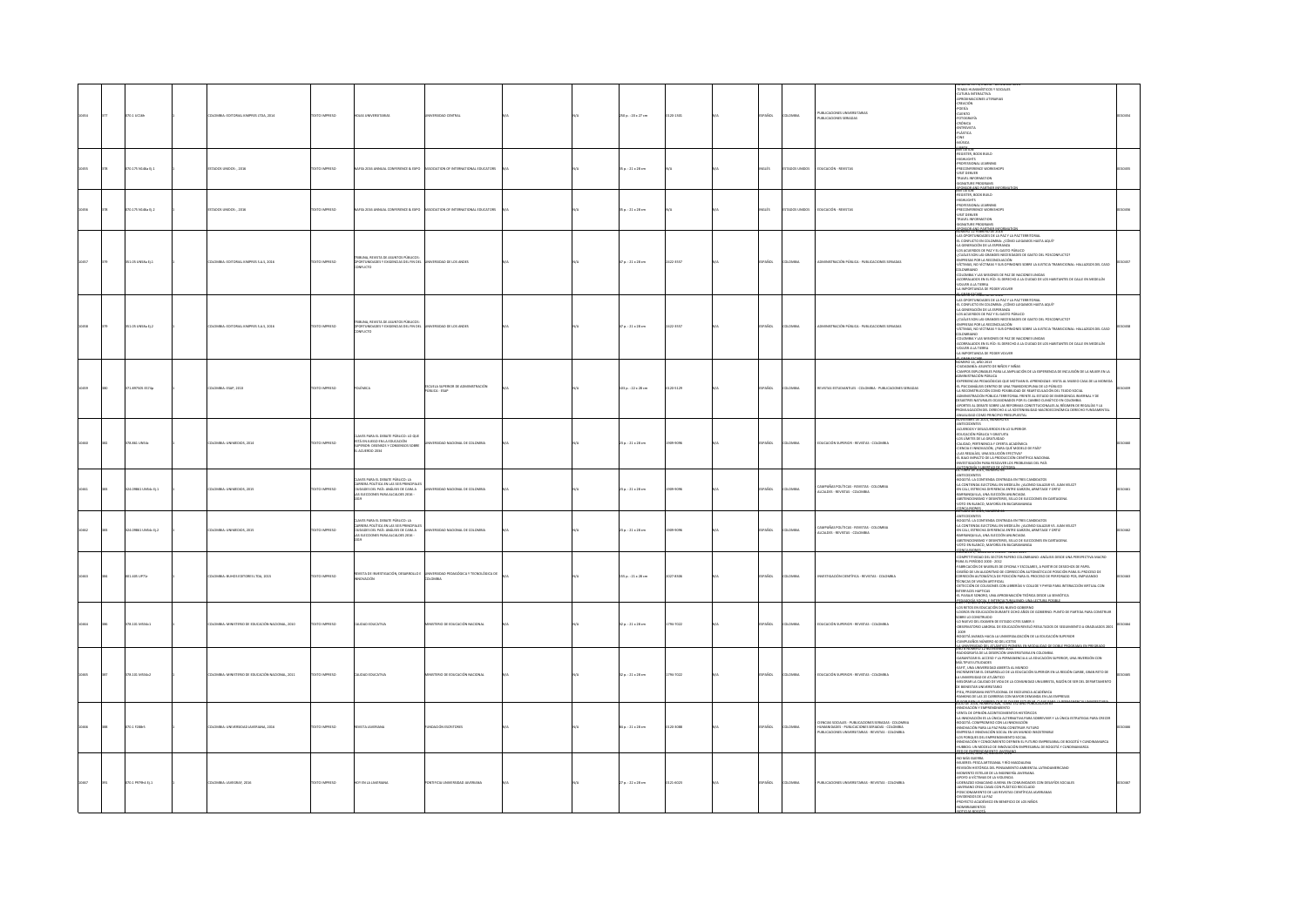|  | 70.1 UC16h          | LOMBIA: EDITORIAL KIMPRES LTDA, 2014           | DZERNI OTXIT        | <b>IDJAS UNIVERSITARIAS</b>                                                                                                                           | IVERSIDAD CENTRAL                                    |  | 250 p.: 20 x 27 cm      | 0120-1101 | SPAÑOL        | LOMBIA         | PUBLICACIONES UNIVERSITARIAS<br>PUBLICACIONES SERIADAS                                                                                                               | MAS HUMANÍSTICOS Y SOCIALE<br>JITURA INTERACTIVA<br>PROVIMACIONES LITERARIAS<br>CREACIÓN<br>-POESÍA<br>-EUENTO<br>-FOTOGRAFÍA<br>CRÓNICA<br>ENTREVISTA<br>PLÁSTICA<br>CINE<br><b>ANÚSICA</b>                                                                                                                                                                                                                                                                                                                                                                                                                                                                                                                                       |  |
|--|---------------------|------------------------------------------------|---------------------|-------------------------------------------------------------------------------------------------------------------------------------------------------|------------------------------------------------------|--|-------------------------|-----------|---------------|----------------|----------------------------------------------------------------------------------------------------------------------------------------------------------------------|------------------------------------------------------------------------------------------------------------------------------------------------------------------------------------------------------------------------------------------------------------------------------------------------------------------------------------------------------------------------------------------------------------------------------------------------------------------------------------------------------------------------------------------------------------------------------------------------------------------------------------------------------------------------------------------------------------------------------------|--|
|  | 0.175 N146a Ej.1    | TADOS UNIDOS: , 2016                           | <b>XTO IMPRESO</b>  | VSA 2016 ANNUAL CONFERENCE & EXPO                                                                                                                     | SSOCIATION OF INTERNATIONAL EDUCATORS                |  | 15 p. : 21 x 28 cm      |           | auts          | ADOS UNIDO     | DUCACIÓN - REVISTAS                                                                                                                                                  | REGISTER, BOOK BUILD<br>GHLIGHTS<br>ROFESSIONAL LEARNING<br>-PRECONFERENCE WORKSHOPS<br>-WSIT DENVER<br>-TRAVEL INFORMATION<br>-SIGNATURE PROGRAMS<br>CONGRAND PARTS                                                                                                                                                                                                                                                                                                                                                                                                                                                                                                                                                               |  |
|  | 0.175 N146a Ej.2    | 14005 UNIDOS: , 2016                           | <b>XTO IMPRESO</b>  |                                                                                                                                                       | SOCIATION OF INTERNATIONAL EDUCATORS                 |  | 15 p.: 21 x 28 cm       |           | auts          | ADOS UN        | DUCACIÓN - REVISTAS                                                                                                                                                  | <b>COSTER, BOOK BUILD</b><br>$\begin{minipage}{0.9\linewidth} \textbf{ABLIR}, \textbf{B}\textbf{A}\textbf{a}, \textbf{b}, \textbf{c}, \textbf{d}, \textbf{d}} \\ \textbf{ADRJURSIONAL LIARNING} \\ \textbf{PRECONIERACKAL INORMING} \\ \textbf{MSIT CENVER} \\ \textbf{TSINARIURE PROGMAING} \\ \textbf{SIGNARITURE PROGRAMS} \\ \textbf{NQRJARITAR} \\ \textbf{NQRIARITAR} \end{minipage}$                                                                                                                                                                                                                                                                                                                                        |  |
|  | 151.05 UNSEA EL1    | DLOMBIA: EDITORIAL KIMPRES S.A.S. 2016         | DZERNI OTXIT        | RIBUNA, REVISTA DE ASUNTOS PÚBLICOS:<br><b>DPORTUNIDADES Y EXIGENCIAS DEL FIN DEL<br/>CONFUCTO</b>                                                    | INVERSIDAD DE LOS ANDES                              |  | $47a : 21 \times 28$ cm | 2422-3557 | SPAÑOL        | <b>DLOMBIA</b> | <b>OMINISTRACIÓN PÚBLICA - PUBLICACIONES SERIADAS</b>                                                                                                                | .<br>CONFLICTO EN COLOMBIA: ¿CÓMO LLEGAMOS HASTA AQUÍ?<br>A GENERACIÓN DE LA ESPERANZA<br>OS ACUERDOS DE PAZ Y EL GASTO PÚBLICO<br>UÁLES SON LAS GRANDES NECESIDADES DE GASTO DEL POSCONFUCTO?<br>.<br>EMPRESAS POR LA RECONDILACIÓN<br>VÍCTIMAS, NO VÍCTIMAS Y SUS OPINIONES SOBRE LA JUSTICIA TRANSICIONAL: HALLAZGOS DEL CASO<br><b>COMBAND</b><br>COLOMBIA Y LAS MISIONES DE PAZ DE NACIONES UNIDAS<br>CORRALADOS EN EL RÍO: EL DERECHO A LA CIUDAD DE LOS HABITANTES DE CALLE EN MEDELLÍN<br>VOLVER A LA TIERRA<br>LA IMPORTANCIA DE PODER VOLVER                                                                                                                                                                             |  |
|  | 51.05 UNSEA EL2     | LOMBIA: EDITORIAL KIMPRES S.A.S. 2016          | <b>XTO IMPRESO</b>  | .<br>UNA, REVISTA DE ASUNTOS PÚBLICOS:<br>RTUNIDADES Y EXIGENCIAS DEL FIN DE<br>ORTUNIDA<br>INFLICTO                                                  | <b>PRIDAD DE LOS ANDES</b>                           |  | $70.121 \times 28$ cm   | 422-3557  | PAÑOL         | OMBIA          | MINISTRACIÓN PÚBLICA - PUBLICACIONES SEBADAS                                                                                                                         | LA MONTIFACIA EN FORM VOLVAD EN TRIMONIA<br>ALGORITATIONES ES EN APERI VIA PARTIMITORIA<br>4. COMENTADORES EN APERI VIA PARTIMITORIA<br>4. COMENTADORES AREA EL ANDRE DISPONSIBIO EN ANGLOS<br>4. COMENTADORES EN ARTE GARDO EN ARCHERANT<br>ILUMBIANU<br>"II CRABIA Y I AS MISIONES DE 847 DE NACIONES I INDIAS<br>JELIMINA T LAS MISILINES DE VAL DE NAKJUNES UNIDAS<br>CORRALAGOS EN EL RÍO: EL DERECHO A LA CIUDAD DE LOS HABITANTES DE CALLE EN MEDELLÍN<br>DUVER A LA TIERRA<br>UMPORTANCIA DE PODER VOLVER                                                                                                                                                                                                                  |  |
|  | 1.897505 ES74p      | LOMBIA: ESAP, 2013                             | <b>DZSRRMI OTX3</b> | MICA                                                                                                                                                  | ISCUELA SUPERIOR DE ADMINISTRACIÓN<br>1ÚBLICA - ESAP |  | 103 p.: 22 x 28 cm      | 120-5129  | PAÑOL         | OMBIA          | EVISTAS ESTUDIANTILES - COLOMBIA - PUBLICACIONES SERIADAS                                                                                                            | UMERO 14, AÑO 2013<br>IDADANÍA: ASUNTO DE NIÑOS Y NIÑAS<br>MAPOS EXPLORABLES PARA LA AMPLIACIÓN DE LA EXPERIENCIA DE INCLUSIÓN DE LA MUJER EN LA<br>INISTRACIÓN PÚBLICA<br>ERENCIAS PEDAGÓGICAS QUE MOTIVAN EL APRENDIZAJE: VISITA AL MUSEO CASA DE LA MONEI<br>-EL PSICOANÁLISIS DENTRO DE UNA TRANSDISCIPUNA DE LO PÚBLICO<br>-LA RECONSTRUCCIÓN COMO POSIBUIDAD DE REARTICULACIÓN DEL TEJIDO SOCIAL<br>-ADMINISTRACIÓN PÚBLICA TERRITORIAL FRENTE AL ESTADO DE EMERGENCIA INVERNAL Y DE<br>NHIMINI INTENSIONE DE MISSION DE DE L'ANDIO DE EMERICION RIVERNAL Y DE EN MISSION (NATIONAL DE L'ANDIO DE L'AN<br>FASCILIS NATURALIS DOCUMINI DE PORTANT LONDONALIS A IL RÉGIME DE L'ANDIO DE L'ANDIO DE L'ANDIO PROMINI INTENSI<br> |  |
|  | 78.861 UNS4c        | DLOMBIA: UNIMEDIOS, 2014                       | EXTO IMPRESO        | ES PARA EL DEBATE PÚBLICO: LO QUE<br>ESTÁ EN JUEGO EN LA EDUCACIÓN<br>SUPERIOR: DISENSOS Y CONSENSOS SOBRE<br>ACUERDO 2034                            | IVERSIDAD NACIONAL DE COLOMBIA                       |  | $23a : 21 \times 28$ cm | 303-3095  | SPAÑOL        | <b>LOMBIA</b>  | EDUCACIÓN SUPERIOR - REVISTAS - COLOMBIA                                                                                                                             | NOVIEMBE DI JOSIA, NUMERO ES<br>AGUERROS Y DESACUERDOS EN LO SUPERIOR<br>EDUCACIÓN PÚBLICAY GRAVILHA<br>COS LÍMITES DE LA GRATUIDAD<br>CAS LÍMITES DE LA GRATUIDAD<br>CAINCA, E INIQUACIÓN, (JPARA QUÍ MODELO DE PAÍS)<br>JUACA EDUCACIÓN, (JPAR<br>LBAJO IMPACTO DE LA PRODUCCIÓN CIENTÍFICA NACIONAL<br><b>FOR IND AMA ROOP ROLEERING ARE ARRESTED FOR THE</b><br><b>ITONOMÍA X LENTROADE GÁTEOR</b>                                                                                                                                                                                                                                                                                                                             |  |
|  | 24.09861 UNS4c Ej.1 | LOMBIA: UNIMEDIOS, 2015                        | <b>XTO IMPRESO</b>  | VES PARA EL DEBATE PÚBLICO: LA<br>ARRERA POLÍTICA EN LAS SEIS PRINCIPALE<br>IUDADES DEL PAÍS: ANÁLISIS DE CARA A<br>AS ELECCIONES PARA ALCALDES 2016  | <b>RSIDAD NACIONAL DE COLOMBIA</b>                   |  | 23 p.: 21 x 28 cm       | 309-9095  | PAÑOL         | LOMBIA         | CAMPAÑAS POLÍTICAS - REVISTAS - COLOMBIA<br>ALCALDES - REVISTAS - COLOMBIA                                                                                           | <b>NTECEDENTES</b><br>OGOTÁ: LA CONTIENDA CENTRADA EN TRES CANDIDATOS<br>-LA CONTIENDA ELECTORAL EN MEDELLÍN: ¿ALONSO SALAZAR VS. JUAN VELEZ?<br>-EN CALI, ESTRECHA DIFERENCIA ENTRE GARZON, ARMITAGE Y ORTIZ<br>BARRANQUILLA, UNA ELECCIÓN ANUNCIADA<br>ABSTENCIONISMO Y DESINTERES, SELLO DE ELECCIONES EN CARTAGENA<br>TO EN BLANCO, MAYORÍA EN BUCARAMANGA<br><b>TOBAL DE 2015, NUMERO 66</b>                                                                                                                                                                                                                                                                                                                                  |  |
|  | 24.09861 UNS4c Ej.2 | LOMBIA: UNIMEDIOS, 2015                        | <b>CESRRINI OTX</b> | ES PARA EL DEBATE PÚBLICO: LA<br>ARRERA POLÍTICA EN LAS SEIS PRINCIPALE<br>JUDADES DEL PAÍS: ANÁLISIS DE CARA A<br>AS ELECCIONES PARA ALCALDES 2016 - | RSIDAD NACIONAL DE COLOMBIA                          |  | 23 p.: 21 x 28 cm       | 509-9095  | AÑOL          | OMBIA          | CAMPAÑAS POLÍTICAS - REVISTAS - COLOMBIA<br>ALCALDES - REVISTAS - COLOMBIA                                                                                           | -ANTECEDENTES<br>-BOGOTÁ: LA CONTIENDA CENTRADA EN TRES CANDIDATOS<br>-<br>LA CONTIENDA ELECTORAL EN MEDELLÍN: ¿ALONSO SALAZAR VS. JUAN VELEZ)<br>-EN CALI, ESTRECHA OIFERENCIA ENTRE GARZON, ARMITAGE Y ORTIZ<br>-BARRANQUILLA, UNA ELECCIÓN ANUNCIADA<br>-ABSTENCIONSMO Y DESINTERES, SELLO DE ELECCIONES EN CARTAGENA<br>-NOTO EN BLANCO, MAYORÍA EN BUCARAMANGA<br>- CONFLUEUVINEE                                                                                                                                                                                                                                                                                                                                             |  |
|  | 1.405 UP71r         | <b>COMBIA: BUHOS EDITORES LTDA, 2015</b>       | <b>XTO IMPRESO</b>  | STADE INVESTIG<br>WACIÓN                                                                                                                              |                                                      |  | 155 p. : 21 x 28 cm     | 027-8305  | <b>SPAÑOL</b> | LOMBIA         | WESTIGACIÓN CIENTÍFICA - REVISTAS - COLOMBIA                                                                                                                         | <b>OTOMY STATISTICS ENERGY FUNDS TO ANNOUNCE AND ARREST TO A MARKET AND ARREST TO A MARKET OF A MARKET OF A MARKET</b><br>COMPETITIVIDAD DEL SECTOR PAPERO COLOMBIANO: ANÁLISIS DESDE UNA PERSPECTIVA MACRO<br>COMPITY INDICES IL SECOND PAPER COLORADING ANNIAS IL SUR UN PAPER CHANGE ANNO 1990 IN CASA COMPITY IL SURFACE AND CONTINUES IN A 1990 IN CASA COMPITY IL SURFACE AND INTERNATIONAL COMPITY IN A 1990 IN CASA COMPITY IL SURFA                                                                                                                                                                                                                                                                                       |  |
|  | 78.101 M534c1       | LOMBIA: MINISTERIO DE EDUCACIÓN NACIONAL, 2010 | OZSRRNI OTX         | ALIDAD EDUCATIVA                                                                                                                                      | (STERIO DE EDUCACIÓN NACIONAL                        |  | 12 p.: 21 x 28 cm       | 794-7022  | SPAÑOL        | LOMBIA         | EDUCACIÓN SUPERIOR - REVISTAS - COLOMBIA                                                                                                                             | seos en educación durante ocho años de gobierno: punto de<br>Ise lo constellido<br>O NUEVO DEL EXAMEN DE ESTADO ICFES SABER I<br>SERVATORIO LABORAL DE EDUCACIÓN REVELÓ RESULTADOS DE SE<br>GOTÁ AVANZA HACIA LA UNIVERSALIZACIÓN DE LA EDUCACIÓN SUPERIOR<br>UMPLEAÑOS NÚMERO 60 DEL ICETEX<br><b>LUNDERSON DE ATLÁNDICO SIDEREA EN MODALIDAD DE</b>                                                                                                                                                                                                                                                                                                                                                                              |  |
|  | 378.101 M534c2      | KOMBIA: MINISTERIO DE EDUCACIÓN NACIONAL, 2011 | OZSRRI OTXT         | LIDAD EDUCATIVA                                                                                                                                       | STERIO DE EDUCACIÓN NACIONAL                         |  | 32 p. : 21 x 28 cm      | 794-7022  | SPAÑOL        | LOMBIA         | EDUCACIÓN SUPERIOR - REVISTAS - COLOMBIA                                                                                                                             | .<br>ABANTIZAR EL ACEISO Y LA PERMANENCIA A LA EDUCACIÓN SUPERIOR, UNA INVERSIÓN CON<br>MÚLTIPLES UTILIDADES<br>EAFIT, UNA UNIVERSIDAD ABIERTA AL MUNDO<br>-INCREMENTAR EL DESARROLLO DE LA EDUCACIÓN SUPERIOR EN LA REGIÓN CARIBE, GRAN RETO DE<br>LA UNIVERSIDAD DE ATLÁNTICO<br>DE BIENESTAR UNIVERSITARIO<br>-PIEA, PROGRAMA INSTITUCIONAL DE EXCELENCIA ACADÉMICA<br>NONG DE LAS 20 CARRERAS CON MAYOR DEMANDA EN LAS EMPRESAS<br><b>105 BE 3814, NORTHS IDE, YOUR TEL AND FORD CLOCK INT</b>                                                                                                                                                                                                                                 |  |
|  | 0.100088            | 2006. AMAIRING GADDRIVING LAMAGIC              | CONSIGNATION        | <b>FUSTA INVESIANA</b>                                                                                                                                | MOACIÓN ESCRITORES                                   |  | 54 p. : 21 x 28 cm      | 0120-3088 | SPAÑOL        | LOMBIA         | .<br>Cencias sociales - publicaciones seriadas - colombia.<br>Humanidades - publicaciones seriadas - colombia.<br>PUBLICACIONES UNIVERSITARIAS - REVISTAS - COLOMBIA | <b>LUGY DE SUI, AUGUSTO DE VOID EST AND FUBLICADER 18 **** DER LUGERER DE VOID EN EN CONFIDENTATION (FOR PRESENT<br/>RONDARDON V EN PERIOD EN CONTENTANTOS INSTITUIT DE VOID EN CONFIDERATION PRESENT DE CONFIDERATION (FOR PRESENT<br/></b><br>.<br>GUACIÓN Y CONOCIMIENTO DEFINEN EL FUTURO EMPRESABIAL DE BOGOTÁ Y CUNDINAMARCA<br>BBOG: UN MODELO DE INNOVACIÓN EMPRESARIAL DE BOGOTÁ Y CUNDINAMARCA<br><b><i>PLIMERADY MODERN TEMP</i></b>                                                                                                                                                                                                                                                                                    |  |
|  | 070.1 P979b4 Ej.1   | ILOMBIA: JAVEGRAF, 2016                        | DZERNI OTX3T        | <b>IDY EN LA JAVERIANA</b>                                                                                                                            | TIFICIA UNIVERSIDAD JAVERIANA                        |  | 27 p. : 22 x 28 cm      | 121-6023  | ARDL          | LOMBIA         | PUBLICACIONES UNIVERSITARIAS - REVISTAS - COLOMBIA                                                                                                                   | NO MÁS GUERRA<br>LUERES: PESCA ARTESANAL Y RÍO MAGDALENA<br>VISIÓN HISTÓRICA DEL PENSAMIENTO AMBIENTAL LATINOAMERICANO<br>MOMENTO ESTELAR DE LA INGENIERÍA JAVERIANA<br>APOYO A VÍCTIMAS DE LA VIOLENCIA<br>-LIDERAZGO IGNACIANO JUVENIL EN COMUNIDADES CON DESAFÍOS SOCIALES<br>ERIANO EREA CASAS CON PLÁSTICO RECICLADO<br>SICIONAMENTO DE LAS REVISTAS CIENTÍFICAS JAVERIANAS<br>DENDOS DE LA PAZ<br>DYECTO ACADÉMICO EN BENEFICIO DE LOS NIÑOS<br><b>BRAMENTOS</b><br><b>DAS BOGOTÁ</b>                                                                                                                                                                                                                                        |  |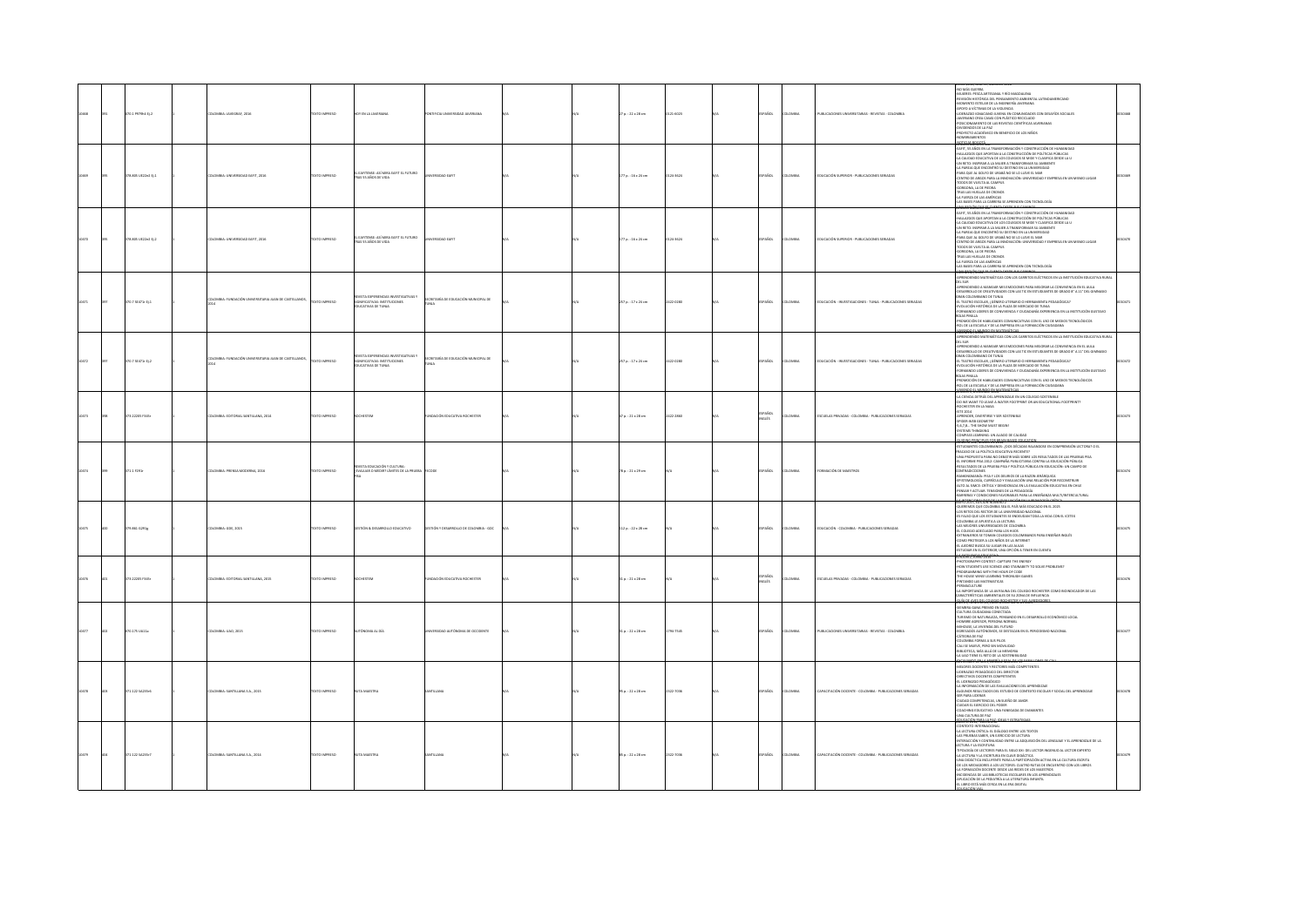|  | го.1 Р97964 tj.2    | LOMBIA: JAVEGRAF, 2016                              | TEXTO IMPRESO | OY EN LA JAVERJANA                                                                                | FICIA UNIVERSIDAD JAVERIANA            |  | 7 p. : 22 x 28 cm        | 121-6023 | PAÑOL             | OMBIA         | PUBLICACIONES UNIVERSITARIAS - REVISTAS - COLOMBIA           | (2000) AND AN ARCHIVER USED MAGNATING<br>AND MAGNETIC STEAM ATTEMPATION AND MAGNATING<br>-BEVIDDIN HISTÓRICA DEL PERSAMENTO AMBIENTAL LATINOAMBILCANO<br>-BEVIDDIN HISTÓRICA DEL PERSAMENTO AMBIENTAL LATINOAMBILCANO<br>-GEOVINA DEL PERS<br>-POSICIONAMENTO DE LAS REVISTAS CIENTÍFICAS JAVERIANAS<br>VIDENDOS DE LA PAZ<br>IOYECTO ACADÉMICO EN BENEFICIO DE LOS NIÑOS<br>MERAMIENTOS<br><b>CALBORATÁ</b>                                                                                                                                                                                                                                                                                                  |  |
|--|---------------------|-----------------------------------------------------|---------------|---------------------------------------------------------------------------------------------------|----------------------------------------|--|--------------------------|----------|-------------------|---------------|--------------------------------------------------------------|---------------------------------------------------------------------------------------------------------------------------------------------------------------------------------------------------------------------------------------------------------------------------------------------------------------------------------------------------------------------------------------------------------------------------------------------------------------------------------------------------------------------------------------------------------------------------------------------------------------------------------------------------------------------------------------------------------------|--|
|  | 78.805 UE22e2 Ej.1  | OMBIA: UNIVERSIDAD EAFIT, 2016                      | EXTO IMPRESO  | IL EAFITENSE: ASÍ MIRA EAFIT EL FUTURO<br>IRAS 55 AÑOS DE VIDA                                    |                                        |  | 77 p.: 16 x 24 cm        | 24-3624  | <b>Scc</b>        | <b>MON</b>    | DUCACIÓN SUPERIOR - PUBLICACIONES SERIADA                    | LUMINH THUMINH<br>-EAITT, SS AÑOS EN LA TRANSFORMACIÓN Y CONSTRUCCIÓN DE HUMANIDAD<br>-HALLAZGOS QUE APORTAN A LA CONSTRUCCIÓN DE POLÍTICAS PÚBLICAS<br>-LA CALIDAD EDUCATIVA DE LOS COLEGIOS SE MIDE Y CLASIFICA DESDE LA U<br>-UN RETO: INSPIRAR A LA MUJER A TRANSFORMAR SU AMBIENTE<br>-LA PAREJA QUE ENCONTRÓ SU DESTINO EN LA UNIVERSIDAD<br>-PARA QUE AL GOLFO DE URABÁ NO SE LO LLEVE EL MAR<br>CENTRO DE ARGOS PARA LA INNOVACIÓN: UNIVERSIDAD Y EMPRESA EN UN MISMO LUGAR<br>TODOS DE VUELTA AL CAMPUS<br>GORGONA, LA DE PIEDRA<br>TRAS LAS HUELLAS DE CRONOS<br>LA FUERZA DE LAS AMÉRICAS<br>LAS BASES PARA LA CARRERA SE APRENDEN CON TECNOLOGÍA                                                  |  |
|  | 378.805 UE22e2 Ej.2 | OMBIA: UNIVERSIDAD EAFIT, 2016                      | EXTO IMPRESO  | EAFITENSE: ASÍ MIRA EAFIT EL FUTURO<br>RAS 55 AÑOS DE VIDA                                        | <b>FUDAD FART</b>                      |  | 77 p.: 16 x 24 cm        | 124-3624 | PAÑOL             | OMBIA         | EDUCACIÓN SUPERIOR - PUBLICACIONES SERIADAS                  | WYÓNEKU ZGE <sup>LAN</sup><br>elikuun numeinu 198<br>-earit, 35 años en la transformación y construcción de Humani<br>-hallazgos que aportan a la construcción de Políticas Públicas<br>-LA CALIDAD EDUCATIVA DE LOS COLEGIOS SE MIDE Y CLASIFICA DESDE LA U<br>-UN RETO: INSPIRAR A LA MUJER A TRANSFORMAR SU AMBIENTE<br>-LA PAREJA QUE ENCONTRÓ SU DESTINO EN LA UNIVERSIDAD<br>PARA QUE AL GOLFO DE URABÁ NO SE LO LLEVE EL MAR<br>CENTRO DE ARGOS PARA LA INNOVACIÓN: UNIVERSIDAD Y EMPRESA EN UN MISMO LUGAR<br>TODOS DE VUELTA AL CAMPUS<br>GORGONA, LA DE PIEDRA<br>TRAS LAS HUELLAS DE CRONOS<br>LA FUERZA DE LAS AMÉRICAS<br>LAS BASES PARA LA CARRERA SE APRENDEN CON TECNOLOGÍA                   |  |
|  | 09.7 SE471- EL1     | LOMBIA: FUNDACIÓN UNIVERSITARIA JUAN DE CASTELLANOS | OZSRRA OTX:   | VISTA EXPERIENCIAS INVESTIGATIVAS Y<br>SIGNIFICATIVAS: INSTITUCIONES<br><b>UCATIVAS DE TUNJA</b>  | SECRETARÍA DE EDUCACIÓN MUNICIPAL DE   |  | 257 p. : 17 x 24 cm      | 422-0280 | SPAÑOL            | LOMBIA        | EDUCACIÓN - INVESTIGACIONES - TUNIA - PUBLICACIONES SERIADAS | APRENDIENDO MATEMÁTICAS CON LOS CARRITOS ELÉCTRICOS EN LA INSTITUCIÓN EDUCATIVA RURAL<br>DEL SUR<br>RENDIENDO A MANEJAR MIS EMOCIONES PARA MEJORAR LA CONVIVENCIA EN EL AULA<br>OESARROLLO DE CREATIVIDADES CON LAS TIC EN ESTUDIANTES DE GRADO B" A 11" DEL GIMNASIO<br>GRAN COLOMBIANO DE TUNJA<br>EL TEATRO ESCOLAR, /GÉNERO LITERARIO O HERRAMIENTA PEDAGÓGICA?<br>EVOLUCIÓN HISTÓRICA DE LA PLAZA DE MERCADO DE TUNIA<br>FORMANDO LIDERES DE CONVIVENCIA Y CIUDADANÍA EXPERIENCIA EN LA INSTITUCIÓN GUSTAVO<br><b>UAS PINILLA</b><br>OMOCIÓN DE HABILIDADES COMUNICATIVAS CON EL USO DE MEDIOS TECNOLÓGICOS<br><b>JOI DE LA FSCURLA Y DE LA FMERESA FN LA FORMACIÓN CUIDA</b><br><b>COMPO PLASSING</b>   |  |
|  | 370.7 SE471r EL2    | OMBIA: FUNDACIÓN UNIVERSITARIA JUAN DE CASTELLANOS  | DZER BRAND    | IVISTA EXPERIENCIAS INVESTIGATIVAS Y<br><b>IGNIFICATIVAS: INSTITUCIONES</b><br>DUCATIVAS DE TUNIA | SECRETARÍA DE EDUCACIÓN MUNICIPAL DE   |  | 257 p. : 17 x 24 cm      | 422-0280 | PAÑOL             | OMMA          | EDUCACIÓN - INVESTIGACIONES - TUNIA - PUBLICACIONES SERIADAS | APRENDIENDO MATEMÁTICAS CON LOS CARRITOS ELÉCTRICOS EN LA INSTITUCIÓN EDUCATIVA RURAL<br>DEL SUR<br>MALINI<br>- APRENDENDO A MANEJAR MIS EMOCIONES PARA MEJORAR LA CONVIVENCIA EN EL AULA<br>- OESARROLLO DE CREATIVIDADES CON LAS TIC EN ESTUDIANTES DE GRADO Bº A 11º DEL GIMNASIO<br>GRAN COLOMBIANO DE TUNIA<br>UPPO LOGANIMONO DE LONGO LITERARIO O HERRAMIENTA PEDAGÓGICA?<br>41 TEATRO ESCOLAR, (GÉRIERO LITERARIO O HERRAMIENTA PEDAGÓGICA?<br>4 ORMANDO LIDERES DE CONVIVENCIA Y OUDADANÍA EXPERIENCIA EN LA INSTITUCIÓN GUSTAVO<br>ROL DE LA ESCUELA Y DE LA EMPRESA EN LA FORMACIÓN CIUDAD                                                                                                         |  |
|  | 13.22205 F345r      | MBIA: EDITORIAL SANTILLANA, 2014                    | OZBRRA OTX    |                                                                                                   | <b>ACIÓN FOLICATIVA ROCHESTER</b>      |  | $7 p. : 21 \times 28$ cm | 422-2860 | aparol<br>Walis   | OMBA          | SCUELAS PRIVADAS - COLOMBIA - PUBLICACIONES SERIADAS         | <b>PRIZE RANGED SKAP</b><br>LUICIUS 4, CALIMBRE 2025<br>J.A.CIFNEIA DETRÁS DEL ADRENDIZAJE EN LIN COLEGIO SOSTENEU E<br>DO WE WANT TO LEAVE A WATER FOOTBRINT OR AN EDUCATIONAL EOOTBRINT<br>-DU WE WANT TO LEAVE A WATER FOOTPRI<br>-ROCHESTER EN LA NASA<br>-APRENDER, DIVERTIRSE Y SER SOSTENIBLE<br>APRINDER, DIVERTIRSE Y SER SOSTENIBLE<br>- SPIDER-WEB GEOMETRY<br>- S.6,7,8.  THE SHOW MUST BEGIN!<br>- COMPASS EFARCHING : UN ALIADO DE CALIDAD<br>- COMPASS EFARCHINE FOR BRANI RATE FEUCH<br>- INDIANS SEARCHINE FOR BRANI RATE FEUCH<br><b>HADNO REPORTS FOR REAN BASED FOUCA</b>                                                                                                                 |  |
|  | 71.1 F291r          | LOMBIA: PRENSA MODERNA, 2016                        | EXTO IMPRESO  | RIVISTA EDUCACIÓN Y CULTURA:<br>EVALUAR O MEDIR? LÍMITES DE LA PRUEBA FECODE                      |                                        |  | 78 p.: 21 x 29 cm        |          | SPAÑOL            | OMBIA         | ORMACIÓN DE MAESTRO!                                         | NORMAN DUC, MANZI DUCE 2007<br>- SERUGUARES COLOMBIANOS: (2003 DÉCADAS RAIANDOSE DU COMPRENSIÓN LECTORA) O EL<br>- SERUGUARES COLOMBIANOS: (2003 DÉCADAS RAIANDOSE DU COMPRENSIÓN LECTORA) O EL<br>- JUNA PROPUESTA PARA NO DEBATRI MÁS<br>NTRADICCIONES<br>VIKINGMANÍA: PISA Y LOS DELIRIOS DE LA RAZON JERÁRQUICA<br>-EPISTEMOLOGÍA, CURRÍCULO Y EVALUACIÓN UNA RELACIÓN POR RECONSTRUIR<br>-ALTO AL SIMOE: CRÍTICA Y DEMOCRACIA EN LA EVALUACIÓN EDUCATIVA EN CHILE<br>-PENSAR Y ACTUAR. TENSIONES DE LA PEDAGOGÍA<br>-BARRERAS Y CONDICIONES FAVORABLES PARA LA ENSEÑANZA MULTI/INTERCULTURAL                                                                                                             |  |
|  | 79.861 G291g        | LOMBIA: GDE, 2015                                   | DZERRAI OTX31 | DATION & DESARROLLO EDUCATIVO                                                                     | SESTIÓN Y DESARROLLO DE COLOMBIA - GDC |  | 112 p.: 22 x 28 cm       |          | PAÑOL             | <b>OMBIA</b>  | EDUCACIÓN - COLOMBIA - PUBLICACIONES SERIADAS                | WE 2015, EDISON NOMENCE 2 WAS ARRESTED TO<br>MAYO 2015, EDICION NUMERO 2<br>-QUEREMOS QUE COLOMBIA SEA EL PAÍS MÁS EDUCADO EN EL 2025<br>-LOS RETOS DEL RECTOR DE LA UNIVERSIDAD NACIONAL<br>45 FALSO QUE LOS ESTUDIANTES SE ENDITUDAN TODA LA VIDA CON EL ICETEX<br>COLOMBIA LE APUESTA A LA LECTURA<br>-LAS MEJORES UNIVERSIDADES DE COLOMBIA<br>EL COLEGIO ADECUADO PARA LOS HUOS<br>EXTRANIEROS SE TOMAN COLEGIOS COLOMBIANOS PARA ENSEÑAR INGLÉS<br>COMO PROTEGER A LOS NIÑOS DE LA INTERNET<br>EL AIEDREZ BUSCA SU LUGAR EN LAS AULAS<br>TUDIAR EN EL EXTERIOR, UNA OPCIÓN A TENER EN CUENTA<br><b>GEOGRAPHICATION</b>                                                                                  |  |
|  | 73.22205 F345r      | DLOMBIA: EDITORIAL SANTILLANA, 2015                 | DZERNI OTXJT  | OCHESTEM                                                                                          | UNDACIÓN EDUCATIVA ROCHESTER           |  | 10.21x28cm               |          | ESPAÑOL<br>INGLÉS | <b>COMBIA</b> | SCUELAS PRIVADAS - COLOMBIA - PUBLICACIONES SERIADAS         | <b>PHOTOGRAPHY CONTEST: CAPTURE THE ENERGY</b><br>HOW STUDENTS USE SCIENCE AND STAINABITY TO SOLVE PROBLEMS?<br>OGRAMMING WITH THE HOUR OF CODE<br>THE HOUSE WINST LEARNING THRONUGH GAMES<br><b>PINTANDO LAS MATEMATICAS</b><br><b>PERMACULTURE</b><br>LA IMPORTANCIA DE LA AVIFAUNA DEL COLEGIO ROCHESTER COMO BIOINDICADOR DE LAS<br>CTERÍSTICAS AMBIENTALES DE SU ZONA DE INFLUENCIA<br>GUÍA DE AVES DEL COLEGIO ROCHESTER Y SUS ALREDEDORES                                                                                                                                                                                                                                                              |  |
|  | 0.175 UA11          | OMBIA: UAO, 2011                                    | CTO IMPRESO   | NOMA AL DÍA                                                                                       |                                        |  | $1p.:22\times28$ cm      | 94-7545  | AÑOL              |               | UBLICACIONES UNIVERSITABAS - REVISTAS - COLOMBIA             | SIEMBRA GANA PREMIO EN SUIZA<br>CULTURA CIUDADANA CONECTADA<br>-Junismo de Naturalisma.<br>Turismo de Naturalism, pensando en el desarrollo económico local<br>Hombre Agresor, persona normal<br>Anhouse, la Vivienda del Futuro<br>-MINUSSE, LA VIVIENDA DEL FUTURO<br>- CÁTEDRA DE PAZ<br>- CÁTEDRA DE PAZ<br>- COLOMBIA FORMA A SUS PILOS<br>- CALI SE MUEVE, PERO SIN MOVILIDAD<br>NJ JE MOLVE, FERO JA MOVINING<br>BIJOTECA, MÁS ALLÁ DE LA MEMORIA<br>LUAO TIENE EL RETO DE LA SOSTENIBI<br>EKANG LEMA MENTING KONJALI ES-                                                                                                                                                                              |  |
|  | 1.122542356         | MBIA: SANTILLANA S.A., 2015                         | DZERNA OTXE   |                                                                                                   |                                        |  | p.: 22 x 28 cm           | 122-7036 | PAÑOL             | .<br>Milia    | <b>PACITACIÓN DOCENTE - COLOMBIA - PUBLICACIONES SERIADA</b> | MEJORES DOCENTES Y RECTORES MÁS COMPETENTES<br>IEJORES DOCERHIS 1 RELEVINA HYVIS IN<br>IDERAZGO PEDAGÓGICO DEL DIRECTOR<br>IRECTIVOS DOCENTES COMPETENTES<br>LIGHT A SOO BED<br>41 INDIANO PERANDORO DE AMERICANE DE AMERICANE<br>4.4 NOVIMA EN EN EN ESTADO DE CONTENTO ESCOLAR Y SOCIA DE APERIGIZAJE<br>4.5 NOVIMA ENSULTADO DE LESTADO DE CONTENTO ESCOLAR Y SOCIA DE APERIGIZAJE<br>4.5 NOVIMA EN ENCLORO, NA SUEG                                                                                                                                                                                                                                                                                       |  |
|  | 171.122 SA235r7     | LOMBIA: SANTILLANA S.A., 2014                       | EXTO IMPRESO  |                                                                                                   |                                        |  | 85 p. : 22 x 28 cm       | 322-7036 | AÑOL              | <b>MEN</b>    | .<br>APACITACIÓN DOCENTE - COLOMBIA - PUBLICACIONES SERIADAS | <b>DICACOMPANIA GALL</b><br>CONTEXTO INTERNACIONAL<br>ANTIANO I INTERNAZIONE<br>A LICTURA CRÍTICA: EL DIÁLOGO ENTRE LOS TEXTOS<br>NS PRUEBAS SABER, UN ELERCICIO DE LECTURA<br>NTERACCIÓN Y CONTINUIDAD ENTRE LA ADQUISICIÓN DEL LENGUAJE Y EL APRENDIZAJE DE LA<br>-<br>RETRACCONY CONTINUES DIVITE LA ADQUISICIÓN DEL LEMBUART Y EL APRENDIZATE DE<br>LECTURA Y LA ESCRITURA<br>- LA LECTURA PER ADE A DESIDENTA<br>- LA LECTURA Y LA ESCRITURA EN CARA DE REÍNICA DE CONTINUES DE L'ANA LECTURA<br>- LA LECTUR<br>-INCIDENCIAS DE LAS BIBLIOTECAS ESCOLARES EN LOS APRENDIZAJES<br>-APLICACIÓN DE LA PEDIATRÍA A LA LITERATURA INFANTIL<br>-EL LIBRO ESTÁ MÁS CERCA EN LA ERA DIGITAL<br><b>CONTRACTOR</b> |  |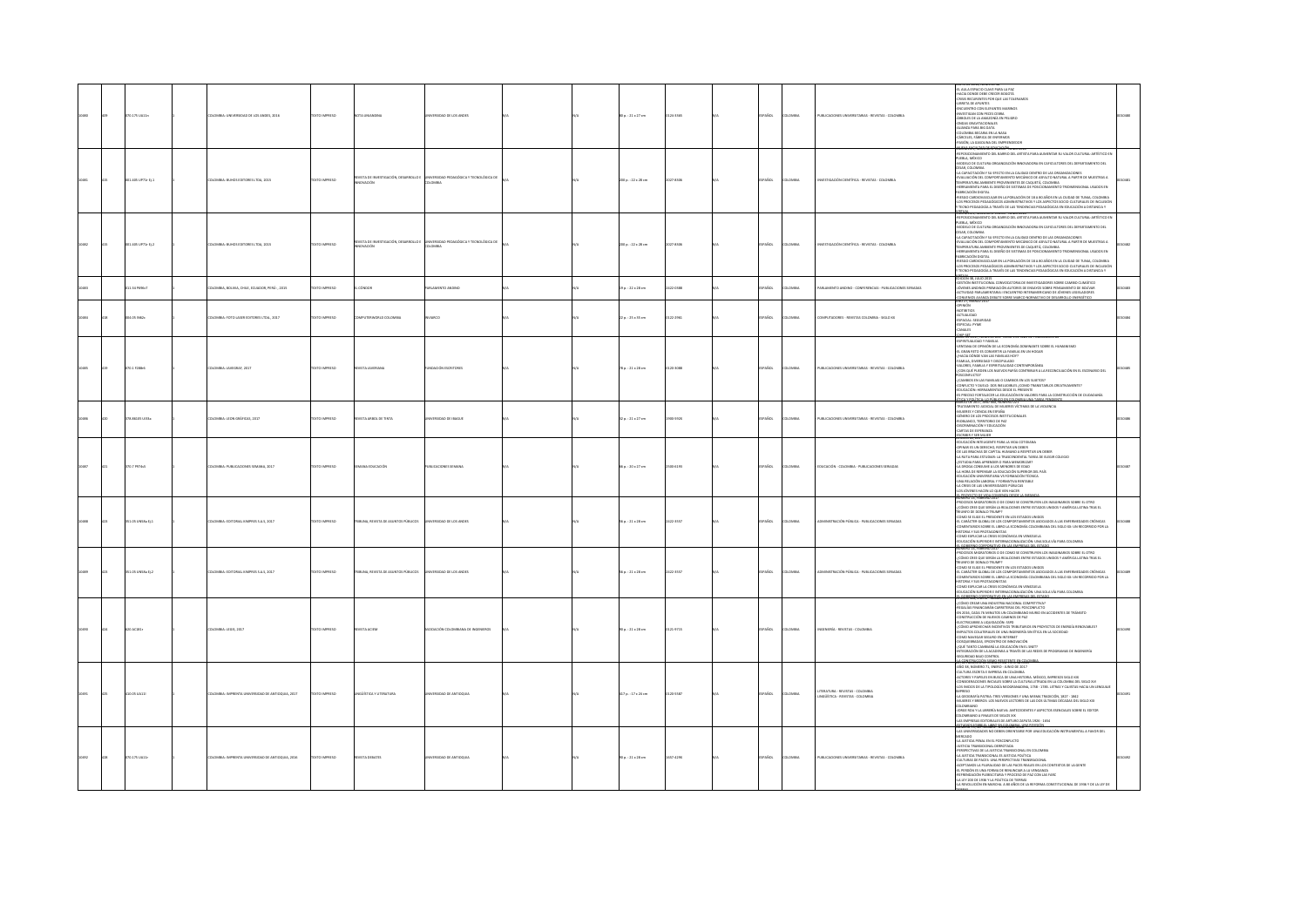|  | 70.175 UA11n      | LOMBIA: UNIVERSIDAD DE LOS ANDES, 2016          | EXTO IMPRESO        |                                                        | <b>RSIDAD DE LOS ANDES</b>                          |  | 00 p.: 21 x 27 cm     | 124-1165        | AÑOL           | LOMBIA         | PUBLICACIONES UNIVERSITARIAS - REVISTAS - COLOMBIA                 | ATO UE 2010, NUMERO 48<br>LAULA ESPACIO CLAVE PARA LA PAZ<br>ACIA DONDE DEBE CRECER BOGOTÁ<br>RISIS RECURENTES POR QUE LAS TOLER<br>BRETA DE APUNTES<br>ENCUENTRO CON ELEFANTES MARINOS<br>-investigan con peces cebra<br>-árboles de la amazonía en peligro<br>ONDAS GRAVITACIONALES<br>-ALIANZA PARA BIG DATA<br>DLOMBIA BECARIA EN LA NASA<br>ACELES, FÁBRICA DE ENFERMOS<br>SIÓN, LA GASQUNA DEL EMPRENDEDOR                                                                                                                                                                                                                                                                                                                                                                                                                                                                                                                                                                                             |  |
|--|-------------------|-------------------------------------------------|---------------------|--------------------------------------------------------|-----------------------------------------------------|--|-----------------------|-----------------|----------------|----------------|--------------------------------------------------------------------|--------------------------------------------------------------------------------------------------------------------------------------------------------------------------------------------------------------------------------------------------------------------------------------------------------------------------------------------------------------------------------------------------------------------------------------------------------------------------------------------------------------------------------------------------------------------------------------------------------------------------------------------------------------------------------------------------------------------------------------------------------------------------------------------------------------------------------------------------------------------------------------------------------------------------------------------------------------------------------------------------------------|--|
|  | 01.405 UP71r Ej.1 | LOMBIA: BUHOS EDITORES LTDA, 2015               | EXTO IMPRESO        | <b>EVISTA DE INVESTIGACIÓN, DESARROLLO I</b><br>VACIÓN | ERSIDAD PEDAGÓGICA Y TECNOLÓGICA DE<br><b>AIGNA</b> |  | 200 p.: 22 x 28 cm    | 2027-8305       | <b>SPAÑOL</b>  | LOMBIA         | INESTIGACIÓN CIENTÍFICA - REVISTAS - COLOMBIA                      | NUMERO 2: ENERO - JUNIO 2016<br>VMIENTO DEL BARRIO DEL ARTISTA PARA AUMENTAR SU VALOR CULTURAL-ARTÍSTICO EN<br>-REPOSICIONAMIENTO DEL BARRIO DEL ARTISTA PARA AUMENTAR SU VALOR CULTURAL-ARTÍSTICO<br>PUEBLA, MÉXICO<br>-MODELO DE CULTURA ORGANIZACIÓN INNOVADORA EN CAFICULTORES DEL DEPARTAMENTO DEL<br>DESAR, COLOMBIA<br>-LA CAPACITACIÓN Y SU EFECTO EN LA CALIDAD DENTRO DE LAS ORGAN<br>-LA CAPACITACIÓN Y SU EFECTO EN LA CALIDAD DENTRO DE LAS ORGANIZACIONES<br>-EVALUACIÓN DEL COMPORTAMIENTO MECÁNICO DE ASFALTO NATURAL A PARTIR DE MUESTRAS A<br>TEMPERATURA AMBIENTE PROVENIENTES DE CAQUETÁ, COLOMBIA<br>HERRAMIENTA PARA EL DISEÑO DE SISTEMAS DE POSICIONAMIENTO TRIDIMENSIONAL USADOS EN<br>ABRICACIÓN DIGITAL<br>RIESGO CARDIOVASCULAR EN LA POBLACIÓN DE 18 A BO AÑOS EN LA CIUDAD DE TUNJA, COLOMBIA<br>-LOS PROCESOS PEDAGÓGICOS ADMINISTRATIVOS Y LOS ASPECTOS SOCIO-CULTURALES DE INCLUSIÓN<br>Y TECNO-PEDAGOGÍA A TRAVÉS DE LAS TENDENCIAS PEDAGÓGICAS EN EDUCACIÓN A DISTANCIA Y |  |
|  | 001-405 UP71r EL2 | <b>ILOMBIA: BUHOS EDITORES LTDA, 2015</b>       | <b>XTO IMPRESO</b>  | ISTA DE INVESTIGACIÓN, DESARROLLO I<br>OVACIÓN         | ERSIDAD PEDAGÓGICA Y TECNOLÓGICA DI<br>LOMBIA       |  | 200 p. : 22 x 28 cm   | 2027-8306       | SPAÑOL         | <b>LOMBIA</b>  | WESTIGACIÓN CIENTÍFICA - REVISTAS - COLOMBIA                       | NOLUMEN 6, NUMERU 2. ENERU - KNIKE ZUES<br>REPOSICIONAMIENTO DEL BARRIO DEL ARTISTA PARA AUMENTAR SU VALOR CULTURAL-ARTÍSTICO EN<br>PUEBLA, MÉXICO<br>MODELO DE CULTURA ORGANIZACIÓN INNOVADORA EN CAFICULTORES DEL DEPARTAMENTO DEL<br>CESAR, COLOMBIA<br>-LA CAPACITACIÓN Y SU EFECTO EN LA CALIDAD DENTRO DE LAS ORGANIZACIONES<br>-EVALUACIÓN DEL COMPORTAMIENTO MECÁNICO DE ASFALTO NATURAL A PARTIR DE MUESTRAS A<br>TEMPERATURA AMBIENTE PROVENIENTES DE CAQUETÁ, COLOMBIA<br>HERRAMIENTA PARA EL DISEÑO DE SISTEMAS DE POSICIONAMIENTO TRIDIMENSIONAL USADOS EN<br>.<br>Reside cardiovascular en la población de 18 a 80 años en la ciudad de Tunia, colombia<br>OS PROCESOS PEDAGÓGICOS ADMINISTRATIVOS Y LOS ASPECTOS SOCIO-CULTURALES DE INCLUSIÓN<br>ECNO-PEDAGOGÍA A TRAVÉS DE LAS TENDENCIAS PEDAGÓGICAS EN EDUCACIÓN A DISTANCIA Y                                                                                                                                                            |  |
|  | 34 PS96c7         | MBIA, BOLIVIA, CHILE, ECUADOR, PERÚ: , 2015     |                     |                                                        |                                                     |  | .<br>9 p.: 22 x 28 cm | 22-0188         |                |                | INO - CONFERENCIAS - PUBLICACIONES SERIADAS                        | <br>ICIÓN 38. ILIO 2015<br>IEDICINI AII, AUAJ 2013<br>4 GENIÓN INSTITUCIONAL CONVOCATORIA DE INVESTIGADORES SOBRE CAMBIO CUMÁTICO<br>1000 HISTA ANGINOS PREMIACIÓN AUTORIS DE ENGATOS SOBRE PONSAMIENTO DE EDUAVA<br>CONVINCIO PARAMENTARIA I ENCUENTRO INTERAMERI                                                                                                                                                                                                                                                                                                                                                                                                                                                                                                                                                                                                                                                                                                                                           |  |
|  | 04.05 IN62c       | 10MBIA: FOTO LASER EDITORES LTDA., 2017         | OZSRRNI OTX3        | MPUTERWORLD COLOMBIA                                   | ern.                                                |  | $22a : 25x35$ cm      | 122-2961        | SPAÑOL         | <b>LOMBIA</b>  | OMPUTADORES - REVISTAS COLOMBIA - SIGLO XX                         | <b>OPINON</b><br><b>contemps</b><br><b>ACTUALIDAD</b><br>ESPACIAL: SEGURIDAD<br>ESPECIAL: PYME<br><b>SALES</b>                                                                                                                                                                                                                                                                                                                                                                                                                                                                                                                                                                                                                                                                                                                                                                                                                                                                                               |  |
|  | 70.1 F288-6       | LOMBIA: JAVEGRAF, 2017                          | EXTO IMPRESO        | EVISTA JAVERIANA                                       | NOACIÓN ESCRITORES                                  |  | 78 p. : 21 x 28 cm    | 0120-3088       | SPAÑOL         | <b>COMBIA</b>  | PUBLICACIONES UNIVERSITARIAS - REVISTAS - COLOMBIA                 | HIP-SET<br>HE DE 2017, NO<br>-<br>ESPIRITUALIDAD Y FAMELIA<br>-VENTANA DE OPINIÓN DE LA ECONOMÍA DOMINANTE SOBRE EL HUMANISMO<br>THE GRAN RETO ES CONVERTE LA FAMILIA EN UN HOGAR<br>EL GRAN RETO ES CONVERTE LA FAMILIAS IOY?<br>-FAMILIA, DIVERSIDAD Y DISOPULADO<br>MMILIA, UNIFRAUNA T USAIPURANO<br>ALORES, FAMILIA Y ESPIRITUALIDAD CONTEMPORÁNEA.<br>CON QUÉ PUEDEN LOS NUEVOS PAPÁS CONTRIBUIR A LA RECONOLIACIÓN EN EL ESCENARIO DEL<br>SCANDINA (U)<br>CAMBIOS EN LAS FAMELIAS O CAMBIOS EN LOS SULETOS?<br>DININICTO Y DUIERO: DIS INELIDIBILES ¿CONO TRANSITARIOS CREATIVAMENTE?<br>UNECISO FORTALECER LA EDUCACIÓN EN VALORES PARA LA CONSTRUCIÓN DE CIUDADANÍA<br>I PRECISO F<br><del>EAYAPINY LUNOV KRONECYS</del>                                                                                                                                                                                                                                                                            |  |
|  | 8.86105 ULI3a     | CLOMBIA: LEON GRÁFICAS, 2017                    | EXTO IMPRESO        | EVISTA ARBOL DE TINTA                                  | <b>ERSIDAD DE IBAGUE</b>                            |  | 32 p.: 21 x 27 cm     | <b>SOD-592X</b> | <b>AÑOL</b>    | owax           | PUBLICACIONES UNIVERSITABIAS - REVISTAS - COLOMBIA                 | -PRAIN ARTICLE OF AN EXPLORATION CONTINUES.<br>TRAFAMENTO JUDICAL DE MUERES VÍCTIMAS DE LA VIOLENCIA<br>ARLIERES VERNOS DE SEDADA<br>GÉNERO DE LOS PROCESOS INSTITUCIONALES<br>CADELANCO, TRAINIDEO DE PAZ<br>CADELANCO, TRAINIDEO DE PAZ<br>CAD                                                                                                                                                                                                                                                                                                                                                                                                                                                                                                                                                                                                                                                                                                                                                             |  |
|  | 70.7 P974s5       | LOMBIA: PUBLICACIONES SEMANA, 2017              | OZSRRNI OTX3        | NA EDUCACIÓN                                           | <b>BUCACIONES SEMANA</b>                            |  | 66 p.: 20 x 27 cm     | 100-6193        | SPAÑOL         | LOMBIA         | EDUCACIÓN - COLOMBIA - PUBLICACIONES SERIADAS                      | SERIELY SERVICE<br>EDUCACIÓN INTELIGENTE PARA LA VIDA COTIDIANA<br>INAR ES UN DERECHO, RESPETAR UN DEBER<br>OE LAS BRACHAS DE CAPITAL HUMANO A RESPETAR UN DEBER<br>LA RUTA PARA ESTUDIAR: LA TRASCENDENTAL TAREA DE ELEGIR COLEGIO<br><b>ESTUDIA PARA APRENDER O PARA MEMORIZAR</b><br>LA DROGA CONSUME A LOS MENORES DE EDAD<br>A HORA DE REPENSAR LA EDUCACIÓN SUPERIOR DEL PAÍS<br>JUCACIÓN UNIVERSITARIA VS FORMACIÓN TÉCNICA<br>UNA RELACIÓN LABORAL Y FORMATIVA RENTABLE<br>A CRISIS DE LAS UNIVERSIDADES PÚBLICAS<br>TS IDVENES HACEN LO OLIF VEN HACER<br><b>MARTET DENIMO SENTI</b>                                                                                                                                                                                                                                                                                                                                                                                                                |  |
|  | 51.05 UNSBa Ej.1  | LOMBIA: EDITORIAL KIMPRES S.A.S. 2017           | <b>XTO IMPRESO</b>  | IBUNA, REVISTA DE ASUNTOS PÚBLICOS                     | VERSIDAD DE LOS ANDES                               |  | 56 p. : 21 x 28 cm    | 422-3557        | <b>SPARIDL</b> | OMBIA          | MINISTRACIÓN RÚBICA - PUBUCACIONES SERIADA                         | PROFESOS MIGRATORIOS O DE COMO SE CONSTRUMEN LOS IMAGINARIOS SORREEL OTRO<br>CMO CREE QUE SERÁN LA REALCIONES ENTRE ESTADOS UNIDOS Y AMÉRICA LATINA TRAS EL<br>UNFO DE DONALD TRUMP?<br>TUNIO DE DOMALD IRRIAMA<br>OMO SE EUGE EL PRESIDENTE EN LOS ESTADOS UNIDOS<br>L CARÁCTER GLOBAL DE LOS COMPORTAMIENTOS ASOCIADOS A LAS ENFERMEDADES CRÓNICAS<br>CMENTARIOS SOBRE EL LIBRO LA ECONOMÍA COLOMBIANA DEL SIGLO XI: UN RECOR<br>JINERI IARIUS SUBIE LL HIRRA UN SAANKIRIIN AANAMININKIN MALUULUU UULUULUU<br>ITORIA Y SUS PROTAGONISTAS<br>JUGACIÓN SUPERIOR E INTERNACIONALIZACIÓN: UNA SOLA VÍA PARA COLOMBIA<br>JUGACIÓN SUPERIOR E INTERNACIONALIZACIÓN: UNA SOLA V<br>0041236000235H                                                                                                                                                                                                                                                                                                                 |  |
|  | OS UNSEA EL2      | OMBIA: EDITORIAL KIMPRES S.A.S, 2017            |                     | <b>eros Púsucos</b>                                    | DE LOS ANDES                                        |  | 6 p.: 21 x 28 cm      | 422-355         |                |                | CIÓN PÚBLICA - PUBLICACIONE                                        | <b>SOS MIGRATORIOS O DE COMO SE CONSTRUYEN LOS IMAGINARIOS SOBRE EL OTRO</b><br><b>PROCESSI MORAUTIONS OF COMPASS CONTRUPRENT DIS MAGNINATION SCARE (COMPASSI MUST)</b><br>COMPARED THE STATE AND A PRODUCT STATE STANDS UNDEX HARDER LATING THAT IS THE STATE OF THE STATE OF THE STATE OF THE STATE OF THE STATE OF<br>UCACIÓN SUPERIOR E INTERNACIONALIZACIÓN: UNA SOLA VÍA PARA COLOMBIA<br>CONTINUES ENTRE TABLES IN PARTIES OF LIST.                                                                                                                                                                                                                                                                                                                                                                                                                                                                                                                                                                   |  |
|  | 0 AC181r          | LOMBIA: LEGIS, 2017                             | <b>EXTO IMPRESO</b> | VISTA ACIEM                                            | CIACIÓN COLOMBIANA DE INGENIEROS                    |  | 00 p.: 21 x 28 cm     | 121-9715        | <b>SOL</b>     | OMBIA          | NGENIERÍA - REVISTAS - COLOMBIA                                    | COMO CREAR UNA INDUSTRIA NACIONAL COMPETITIVA?<br>-REGALÍAS FINANCIARÁN CARRETERAS DEL POSCONFLICTO<br>-EN 2016, CADA 76 MINUTOS UN COLOMBIANO MURIO EN ACCIDENTES DE TRÁNSITO<br>CONSTRUCCIÓN DE NUEVOS CAMINOS DE PAZ<br>ELECTRICARISE A LIQUIDACIÓN: SSPD<br>CMO APROVECHAR INCENTIVOS TRIBUTARIOS EN PROVECTOS DE ENERGÍA RENOVABLES?<br>FPACTOS COLATERALES DE UNA INGENIERÍA SIN ÉTICA EN LA SOCIEDAD<br>COMO NAVEGAR SEGURO EN INTERNET<br>DSQUEBRADAS, EPICENTRO DE INNOVACIÓN<br>QUÉ TANTO CAMBIARÁ LA EDUCACIÓN EN EL SNET?<br>EGRACIÓN DE LA ACADEMIA A TRAVÉS DE LAS REDES DE PROGRAMAS DE INGENIERÍA<br>CURDAD BAJO CONTROL                                                                                                                                                                                                                                                                                                                                                                     |  |
|  | 10.05 UA11        | LOMBIA: IMPRENTA UNIVERSIDAD DE ANTIOQUIA, 2017 | XTO IMPRESO         | NGÚSTICA Y LITERATURA                                  | ERSIDAD DE ANTIOQUIA                                |  | 417 p.: 17 x 24 cm    | 120-5587        | PAÑOL          | LOMBIA         | TERATURA - REVISTAS - COLOMBIA<br>INGÜÍSTICA - REVISTAS - COLOMBIA | <b>CONSUMERS ON A START OF BUILDING</b><br>-AÑO 38, NÚMERO 71, ENERO - JUNIO DE 2017<br>-CULTURA ESCRITA E IMPRESA EN COLOMBIA<br>ACTORES Y PAPELES EN BUSCA DE UNA HISTORIA, MÉXICO, IMPRESOS SIGLO XIX<br>-CONSIDERACIONES INICIALES SOBRE LA CULTURA LETRADA EN LA COLOMBIA DEL SIGLO XVI<br>-LOS INICIOS DE LA TIPOLOGÍA NEOGRANADINA, 1738 - 1783. LETRAS Y CAISTAS HACIA UN LENGUAIE<br>PRESO<br>LA GEOGRAFÍA PATRIA: TRES VERSIONES Y UNA MISMA TRADICIÓN, 1827 - 1842<br>MUJERES Y BREROS: LOS NUEVOS LECTORES DE LAS DOS ÚLTIMAS DÉCADAS DEL SIGLO XIX<br>COMBANC<br>.<br>ORGE ROA Y LA LIBRERÍA NUEVA: ANTECEDENTES Y ASPECTOS ESENCIALES SOBRE EL EDITOR.<br>OLOMBIANO A FINALES DE SIGLOS XIX.<br>S EMPRESAS EDITORIALES DE ARTURO ZAPATA 1926 - 1654                                                                                                                                                                                                                                            |  |
|  | 070.175 UA11r     | LOMBIA: IMPRENTA UNIVERSIDAD DE ANTIOQUIA, 2016 | OZSRRNI OTX3        | <b>REVISTA DEBATES</b>                                 | <b>WATERIDAD DE ANTIQQUIA</b>                       |  | 90 p.: 21 x 28 cm     | 1657-429X       | SPAÑOL         | <b>AIGMOJO</b> | PUBLICACIONES UNIVERSITARIAS - REVISTAS - COLOMBIA                 | <b>JRENO'S S'REP. HIANNO TREENGME TO 18<sup>04 METRIÓN.<br/>15 UNIVERSIDADES NO DEBEN ORIENTARSE POR UNA EDUCACIÓN INSTRUMENTAL A FAVOR DEL</sup></b><br>READO<br>LA JUSTICIA PENAL EN EL POSCONFUCTO<br><b>JUSTICIA TRANSICIONAL DERROTADA</b><br><b>FRSPETIVAS DE LA ILISTICIA TRANSICIONAL EN COLOMNIA</b><br>A JUSTICIA TRANSICIONAL ES JUSTICIA POLÍTICA<br>ULTURAS DE PACES: UNA PERSPECTIVAS TRANSRACIONAL<br>un UNIXI NA PRINCIPALISTA DE LAS PACIS REALES EN LOS CONTEXTOS DE LA GENTE<br>L'EPTAMOS LA PLURALDAD DE LAS PACES REALES EN LOS CONTEXTOS DE LA GENTE<br>L'ERENDACIÓN PLEBISCITARIA Y PROCESO DE PAZ CON LAS FARC<br>NATIONALISTA EN MARCHI EN TERRAS<br>A LEY 200 DE 1938 Y LA POLÍTICA DE TIERRAS<br>A REVOLUCIÓN EN MARCHA, A 80 AÑOS DE LA REFORMA CONSTITUCIONAL DE 1936 Y DE                                                                                                                                                                                                      |  |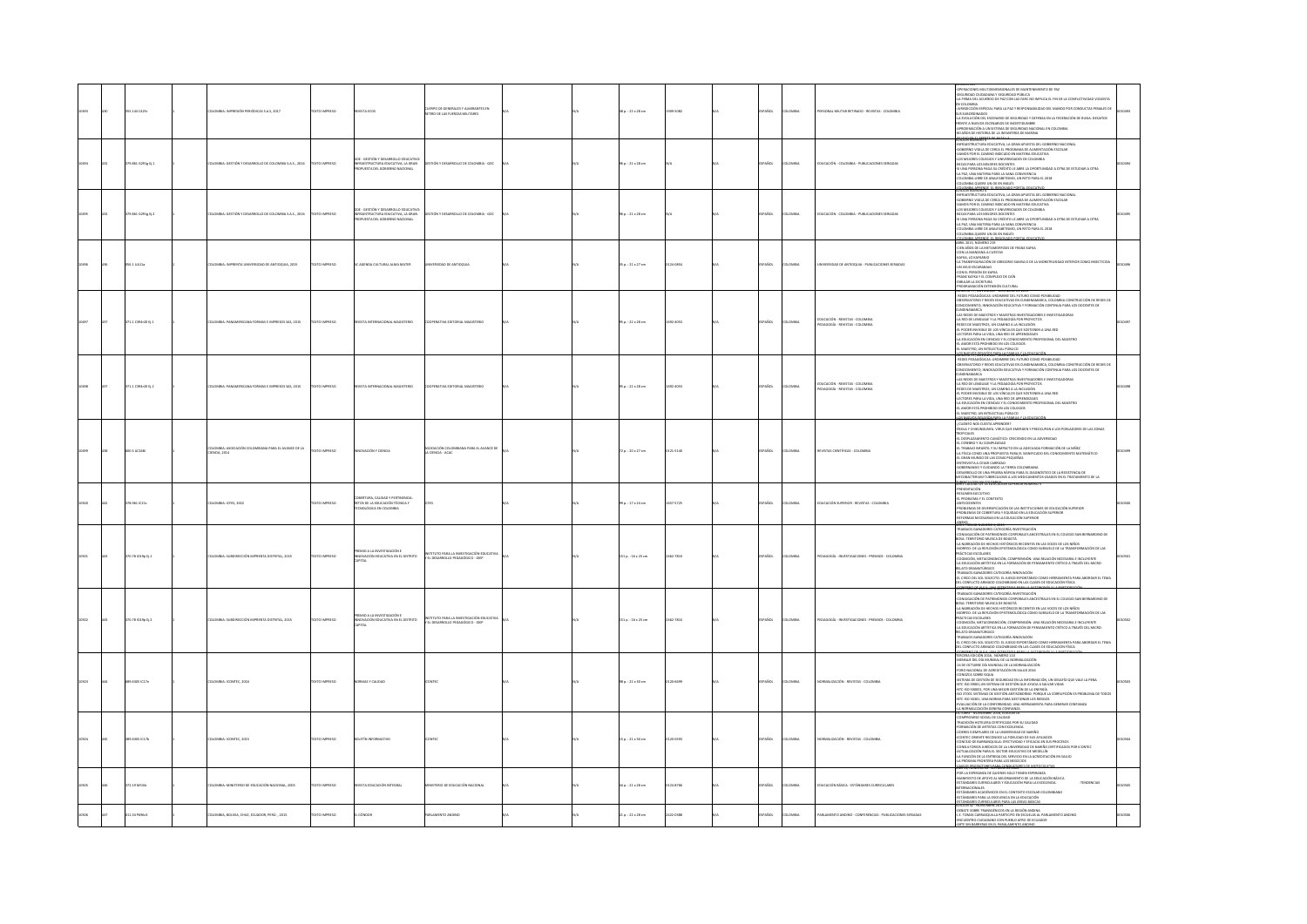|  | 5.144 C425r       | LOMBA: IMPRESIÓN PERIÓDICAS S.A.S, 2017                                | <b>DZERRI OTXT</b> | <b>ISTA ECOS</b>                                                                                                                                        | IRPO DE GENERALES Y ALMIRANTES EN<br>1RO DE LAS FUERZAS MILITARES   |  | lä p.: 22 x 28 cm      | 09-5082  | ARDL          | OMBIA         | ERSONAL MILITAR RETIRADO - REVISTAS - COLOMBIA                 | PERACIONES MULTIDIMENSIONALES DE MANTENIMIENTO DE PAZ<br>SEGURIDAD CIUDADANA Y SEGURIDAD PÚBLICA<br>-LA FIRMA DEL ACUERDO DE PAZ CON LAS FARC NO IMPLICA EL FIN DE LA CONFUCTIVIDAD VIOLENTA<br>IN COLOMBIA<br>RISDICCIÓN ESPECIAL PARA LA PAZ Y RESPONSABILIDAD DEL MANDO POR CONDUCTAS PENALES DI<br>SUS SUBORDINADOS<br>-LA EVOLUCIÓN DEL ESCENARIO DE SEGURIDAD Y DEFENSA EN LA FEDERACIÓN DE RUSIA: DESAFÍOS<br>ente a nuevos escenarios de incertidumbre<br>Proximación a un sistema de seguridad nacional en colombia<br>D años de historia de la infantería de marina<br>1100 Million Str. 2011                                                                                                                                                                                                                                            |  |
|--|-------------------|------------------------------------------------------------------------|--------------------|---------------------------------------------------------------------------------------------------------------------------------------------------------|---------------------------------------------------------------------|--|------------------------|----------|---------------|---------------|----------------------------------------------------------------|----------------------------------------------------------------------------------------------------------------------------------------------------------------------------------------------------------------------------------------------------------------------------------------------------------------------------------------------------------------------------------------------------------------------------------------------------------------------------------------------------------------------------------------------------------------------------------------------------------------------------------------------------------------------------------------------------------------------------------------------------------------------------------------------------------------------------------------------------|--|
|  | 79.861 G291g Ej.1 | ILOMBIA: GESTIÓN Y DESARROLLO DE COLOMBIA S.A.S., 2016                 | O23RWI OTX         | GDE - GESTIÓN Y DESARROLLO EDUCATIVO<br>INFRAESTRUCTURA EDUCATIVA, LA GRAN<br>ROPUESTA DEL GOBIERNO NACIONAL                                            | TIÓN Y DESARROLLO DE COLOMBIA - GDC                                 |  | 96 p. : 21 x 28 cm     |          | <b>SPAÑOL</b> | LOMBIA        | EDUCACIÓN - COLOMBIA - PUBLICACIONES SERIADAS                  | NFRAESTRUCTURA EDUCATIVA. LA GRAN APUESTA DEL GOBIERNO NACIONAL<br>OBIERNO VIGILA DE CERCA EL PROGRAMA DE AUMENTACIÓN ESCOLAR<br>MOS POR EL CAMINO INDICADO EN MATERIA EDUCATIVA<br>LOS MEJORES COLEGIOS Y UNIVERSIDADES DE COLOMBIA<br>BECAS PARA LOS MEJORES DOCENTES<br>51 UNA PERSONA PAGA SU CRÉDITO LE ABRE LA OPORTUNIDAD A OTRA DE ESTUDIAR A OTRA<br>-LA PAZ, UNA MATERIA PARA LA SANA CONVIVENCIA<br>COLOMBIA LIBRE DE ANALFABETISMO, UN RETO PARA EL 2018<br>COLOMBIA QUIERE UN OK EN INGLÉS                                                                                                                                                                                                                                                                                                                                            |  |
|  | 9.861 G291g Ej.2  | KOMBIA: GESTIÓN Y DESARROLLO DE COLOMBIA S.A.S., 2016                  | OZSRRNI OTX        | - GESTIÓN Y DESABROLLO EDUCATIV<br>GUE - WALL.<br>INFRAESTRUCTURA EDUCATIVA, LA W.L.<br>PROPUESTA DEL GOBIERNO NACIONAL<br>STRUCTURA EDUCATIVA, LA GRAN | 100 - AIBMOULD DE COLOMBIA - GDC                                    |  | 95 p. : 21 x 28 cm     |          | <b>SPAÑOL</b> | LOMBIA        | EDUCACIÓN - COLOMBIA - PUBLICACIONES SERIADAS                  | -COLORING QUEEN DIVI AVINGUS<br>COLORING COMPANY IN A DIVISION CONTRACT DEL CORRENO NACIONAL<br>-GREENS TRUCTION EDUCATIVA, LA GRAN APUESTA DEL CORRENO NACIONAL<br>-GORENNO VIGILA DE CERCA EL VROGENINA DE NAIMENTADO DE COLORIN<br><br>UNA PERSONA PAGA SU CRÉDITO LE ABRE LA OPORTUNIDAD A OTRA DE ESTUDIAR A OTRA<br>LA PAZ, UNA MATERIA PARA LA SANA CONVIVENCIA<br>OLOMBIA LIBRE DE ANALFABETISMO, UN RETO PARA EL 2018<br>OLOMBIA QUIERE UN OK EN INGLÉS                                                                                                                                                                                                                                                                                                                                                                                   |  |
|  | 6.1 UA11          | ENTA UNIVERSIDAD DE ANTIOQUIA, 2015<br>OMBIA: IM                       | TO IMPRESO         | AGENDA CULTURAL ALMA MATER                                                                                                                              | SIDAD DE ANTIOQUIA                                                  |  | 15 p. : 21 x 27 cm     | 124-0854 | AÑOL          | oway          | <b>ISIDAD DE ANTIOQUIA - PUBLICACIONES SERIADAS</b>            | CCE CRARIA ADRITANTE, EL RENOVADO DORTAL EDINGA<br>NIREL 2015, NÚMERO 219<br>minima anno, Romatino a 211<br>Centra Anglis de La Mattamadentoses de France Kartas<br>4.000 mai - Manuschan Alculesche Cartagano Samea o de la Mongletujsgaad interior como insecticida.<br>4.14.17.18.001 kultacorde de Gregorio Same<br>UN EL PERIOUN DE NAVAA<br>BUJAR LA ESCRITURA<br>BUJAR LA ESCRITURA<br>ROGRAMACIÓN EXTENSIÓN CULTURAL                                                                                                                                                                                                                                                                                                                                                                                                                       |  |
|  | 1.1 C394r20 tj.1  | 05 545, 2015                                                           |                    |                                                                                                                                                         |                                                                     |  | 35 p. : 22 x 28 cm     | 692-4053 | AÑOL          | owa           | DUCACIÓN - REVISTAS - COLOMBI<br>DAGOGÍA - REVISTAS - COLOMBIA | ERLY 77. NUNSENBRE - LAL ENGINE DE 2017<br>- REDES PEDAGÓGICAS: URDIMIRIE DEL FUTURO COMO POSIBILIDAD<br>- OBSERVATORIO Y REDES EDUCATIVAS EN CUNDINAMARCA, COLOMBIA CONSTRUCCIÓN DE REDES DE<br>ONOCIMENTO, INNOVACIÓN EDUCATIVA Y FORMACIÓN CONTINUA PARA LOS DOCENTES DE<br>NOINAMARCA<br>IS REDES DE MAESTROS Y MAESTRAS INVESTIGADORES E INVESTIGAD<br>${\small \begin{tabular}{lcccc} \textbf{5.64\textwidth} \textbf{5.66\textwidth} \textbf{5.66\textwidth} \textbf{5.66\textwidth} \textbf{6.66\textwidth} \textbf{6.66\textwidth} \textbf{6.66\textwidth} \textbf{6.66\textwidth} \textbf{6.66\textwidth} \textbf{6.66\textwidth} \textbf{6.66\textwidth} \textbf{6.66\textwidth} \textbf{6.66\textwidth} \textbf{6.66\textwidth} \textbf{6.66\textwidth} \textbf{7.66\textwidth} \textbf{8.66\textwidth} \textbf{8$<br>THAI DEL MAPSTRO |  |
|  | 71.1 C394r20 Ej.2 | .<br>COMBIA: PANAMERICANA FORMAS E IMPRESOS SAS, 2015                  | CESRRINI OTX       | VISTA INTERNACIONA<br>OUTCOMM                                                                                                                           | <b>PERATIVA FOITORIAI MAGISTERIO</b>                                |  | 95 p. : 22 x 28 cm     | 022-4053 | <b>SPAÑOL</b> | <b>COMBIA</b> | .<br>EDUCACIÓN - REVISTAS - CO<br>PEDAGOGÍA - REVISTAS - CO    | CUNEINMANAIRCA<br>145 REDES DE MARSTROS Y MARSTRAS INVESTIGADORES E INVESTIGA<br>14 RED DE LEMOUAIE Y LA PEDAGOGÍA POR PROYECTOS<br>45 RED DE LEMOUAIE Y LA PEDAGOGÍA POR PROYECTOS<br>14 PODER INVESIEUS, UN CANYNO LOS QUE SOSTEINEN A U<br>SIONAL DEL MAESTRO<br>AMORESTÁ PROHIBIDO EN LOS COLEGIOS<br>MAESTRO, UN INTELECTUAL PÚBLICO                                                                                                                                                                                                                                                                                                                                                                                                                                                                                                          |  |
|  | 00.5 AC16B        | OMBIA: ASOCIACIÓN COLOMBIANA PARA EL AVANCE DE LA<br><b>ENCIA</b> 2014 | <b>DZERNI OTXE</b> | NOVACIÓN Y CIENCIA                                                                                                                                      | A PARA EL AVANCE DE<br>A CIENCIA - ACAC                             |  | 72 p. : 20 x 27 cm     | 121-5140 | <b>SPAÑOL</b> | LOMBIA        | REVISTAS CIENTÍFICAS - COLOMBIA                                | kunnen ava, numeraj a<br>Luánto Nos Cuesta Aprender?<br>Iola y Chikungunya, Virus Que emergen y Preocupan a los pobladores de las Zonas<br>ROPICALES<br>1. DESPLAZAMIENTO CUMÁTICO: CRECIENDO EN LA ADVERSIDAD<br>11. CEREBRO Y SU COMPLEJIDAD<br>1. TRABAJO INFANTIL Y SU IMPACTO EN LA ADECUADA FORMACIÓN DE LA NIÑEZ<br>LA FÍSICA COMO UNA PROPUESTA PARA EL SIGNIFICADO DEL CONOCIMIENTO MATEMÁTICO<br>EL GRAN MUNDO DE LAS COSAS PEQUEÑAS<br>INTREVISTA A CESAR CARRIZAD<br><b>SERNANDO Y CUIDANDO LA TIERRA COLOMBIANA</b><br>ESARROLLO DE UNA PRUEBA RÁPIDA PARA EL DIAGNÓSTICO DE LA RESISTENCIA DE<br>YCOBACTERIUM TUBERCULOSIS A LOS MEDICAMENTOS USADOS EN EL TRATAMIENTO DE LA                                                                                                                                                         |  |
|  | 8.961 IC15c       | LOMBIA: ICFES, 2002                                                    | OZERNI OTX         | COBERTURA, CALIDAD Y PERTINENCIA:<br>RETOS DE LA EDUCACIÓN TÉCNICA Y<br>TECNOLÓGICA EN COLOMBIA                                                         |                                                                     |  | .<br>29 p.: 17 x 24 cm | 657-5725 | AÑOL          | owax          | DUCACIÓN SUPERIOR - REVISTAS - COLOMBIA                        | <b>E SAISKE EE (KEERSENDON SUPERIOR NUMERO 3</b><br>ESENTACIÓN<br>ISUMEN EJECUTIVO<br>. PROBLEMA Y EL CONTEXTO<br>NTECEDENTES<br>ROBLEMAS DE DIVERSIFICACIÓN DE LAS INSTITUCIONES DE EDUCACIÓN SUPERIOR<br>ROBLEMAS DE COBERTURA Y EQUIDAD EN LA EDUCACIÓN SUPERIOR<br>EFORMAS NECESARIAS EN LA EDUCACIÓN SUPERIOR<br>METO ANNO NOMERO E 2015                                                                                                                                                                                                                                                                                                                                                                                                                                                                                                      |  |
|  | 70.78 (019p tj.1  | OMBIA: SUBDIRECCIÓN IMPRENTA DISTRITAL, 2015                           | <b>CTO IMPRESO</b> | REMO A LA INVESTIGACIÓN E<br>OTHTZH J3 H3 AWTACHING HÒISANC                                                                                             | UTO PARA LA INVESTIGACIÓN EDUCAT<br>EL DESARROLLO PEDAGÓGICO - IDEP |  | 151 p.: 16 x 23 cm     | 462-781X | PAÑOL         | LOMBIA        | EDAGOGÍA - INVESTIGACIONES - PREMIOS - COLOMBIA                | TRABAJOS GANADORES CATEGORÍA INVESTIGACIÓN<br>CONJUGACIÓN DE PATRIMONIOS CORPORALES ANCESTRALES EN EL COLEGIO SAN BERNARDINO DE<br>ATODOB 30 A32UM OROTIREST - A2OB<br>BOSA: TERRITORIO MUISCA DE BOGOTÁ<br>-LA NARRACIÓN DE HECHOS HISTÓRICOS RECIENTES EN LAS VOCES DE LOS NIÑOS<br>-MORFEO: DE LA REFLEXIÓN EPISTEMOLÓGICA COMO SUBSUELO DE LA TRANSFORM<br>CIÓN DE LAS<br>MONTO CE A PORTATION POSTEROIDE A LOMOTO SUPERIOR UN INSPIRANTE DE MICHAER EN EN CONSTANTA EN EN CONSTANTA EN EN CONSTANTA EN LA CONSTANTA EN LA CONSTANTA EN LA CONSTANTA EN LA CONSTANTA EN LA CONSTANTA EN LA CONSTANTA EN<br>NTA PARA ABORDAR EL TEMA                                                                                                                                                                                                            |  |
|  | $0.78$ (019p t) 2 | .<br>COMBIA: SUBDIRECCIÓN IMPRENTA DISTRITAL, 2015                     | CESRRINI OTX       | PREMIO A LA INVESTIGACIÓN E<br>OTHER                                                                                                                    | STITUTO I<br>EL DESARI                                              |  | 151 p. : 16 x 23 cm    | 462-781X | AÑOL          | owax          | EDAGOGÍA - INVESTIGACIONES - PREMIOS - COLOMBIA                | TRABAJOS GANADORES CATEGORÍA INVESTIGACIÓN<br>NAMACO SAMACORIS COMPONENTA PARTIGACIÓN<br>CON LIGAÇÃO EN PARTIMONENC COMPONALS ANCESTRALES EN EL COLOGIO SAN BERNARONO DE COLOGIO ANDO ANTONIO DE CARAC<br>CON LIGAÇÃO EN PARTIMONENCIA COMPONENTA EN LAS VOCES DE LOS MÁRIS<br>ANTAR<br>ATU URAIIKTURISCU<br>ABAJOS GANADORES CATEGORÍA INNOVACIÓN<br>CIRCO DEL SOL SOLECITO. EL JUEGO ESPONTÁNEO COMO HERRAMENTA PARA ABORDAR EL TEMA<br>. CONFUCTO ARMADO COLOMBIANO EN LAS CLASES DE EDUCACIÓN FÍSICA                                                                                                                                                                                                                                                                                                                                           |  |
|  | 6305 IC17n        | LOMBIA: ICONTEC, 2016                                                  | TO IMPRESO         |                                                                                                                                                         |                                                                     |  | 35 p. : 21 x 30 cm     | 20-6622  | AÑOL          | .<br>MBA      |                                                                | DEL COMPATICO AMMADO COLOMBANO DI MA CLASSICO E DOUGACIÓN FISICA<br>LOCALISMA CALLA LA MA COMPATICA RABA LA AUTOMOBIA VIA RAFITERIZATIVA<br>AMERICANA DEL CÓN ROSA NOMBRO DE LA NORMALIZACIÓN<br>-SA ESPARTA COLO MARINDANO DE LA NORMA<br>SI EMPA DE GESI IUNI DE SEGURIENO EN LA UNI UNIVACION, UN DESANO QUE VALE LA PENA<br>TC-150 36003, UN SISTEMA DE GESTIÓN QUE AYUDIA A SALVAN VIDAS<br>TC-150 560003, POR UNA MEIOR GESTIÓN DE LA ENERGÍA<br>CI 37003 SISTEMAS DE GESTIÓ<br>.<br>TC-ISO 30301, UNA NORMA PARA GESTIONAR LOS RIESGOS<br>/ALUACIÓN DE LA CONFORMIDAD, UNA HERRAMIENTA PARA GENERAR CONFIANZA<br>LA NORMALIZACIÓN GENERA CONFIANZA<br>X. FORME - NOVIEMBRE 2016, EUR.XIN 10                                                                                                                                                 |  |
|  | 9.6305 IC17b      | <b>ILOMBIA: ICONTEC, 2015</b>                                          | XTO IMPRESO        |                                                                                                                                                         |                                                                     |  | 15 p. : 21 x 30 cm     | 120-0593 | AÑOL          | .<br>DMBIA    | CRMALIZACIÓN - REVISTAS - COLOMBI                              | <b>KYMEROWSKI PROFILERATION CONTINUES IN A CONSIDERATION CONTINUES INTO A CONSIDERATION CONTINUES IN A CONSIDERATION CONTINUES IN A CONSIDERATION CONTINUES IN A CONSIDERATION CONTINUES IN A CONSIDERATION CONTINUES IN A CONSI</b><br>PROTIONAL FRONTERA PARA LOS NEGOCIOS<br>45 11: ADMINISTRY - BARA CONTRACTORY OF MOTOGRAPH                                                                                                                                                                                                                                                                                                                                                                                                                                                                                                                  |  |
|  | 72.19 M534r       | KOMBIA: MINISTERIO DE EDUCACIÓN NACIONAL, 2003                         | DZERRIO INTE       | REVISTA EDUCACIÓN INTEGRAL                                                                                                                              | INSTERIO DE EDUCACIÓN NACIONAL                                      |  | 44 p. : 21 x 28 cm     | 124-8705 | PAÑOL         | LOMBIA        | EDUCACIÓN BÁSICA - ESTÁNDARES CURRICULARES                     | -FOR LA ESPERANZA DE QUIENES SOLO TIENEN ESPERANZA.<br>-MANIFIESTO DE APOYO AL MEJORAMIENTO DE LA EDUCACIÓN BÁSICA.<br>TÁNDARES CURRICULARES Y EDUCACIÓN PARA LA EXCELENCIA.<br>-TENDENCIAS<br>ERNACIONALES<br>FÁNDARES ACADÉMICOS EN EL CONTEXTO ESCOLAR COLOMBIANO<br>NDARES PARA LA EXCELENCIA EN LA EDUCACIÓN<br>45TÁNDARES CURRICULARES PARA LAS ÁREAS BÁSICAS                                                                                                                                                                                                                                                                                                                                                                                                                                                                                |  |
|  | 1.34 P096c3       | KOMBIA, BOLIVIA, CHILE, ECUADOR, PERÚ: , 2015                          | O23R900 OTX        | <b>CÓNDOR</b>                                                                                                                                           | WDINO                                                               |  | 21 p.: 22 x 28 cm      | 422-0388 | AÑOL          | AIDMO         | ARLAMENTO ANDINO - CONFERENCIAS - PUBLICACIONES SERIADAS       | -<br>DEBATE SOBRE TRANSGÉNICOS EN LA REGIÓN ANDINA<br>-LE. TOMAS CARRASQUILLA PARTICIPO EN ESCUELAS AL PARLAMENTO ANDINO<br>ENCUENTRO CIUDADANO CON PUEBLO AFRO DE ECUADOR<br>CALCULATION CARS IS THE AS A 24 FEB AND THE R                                                                                                                                                                                                                                                                                                                                                                                                                                                                                                                                                                                                                        |  |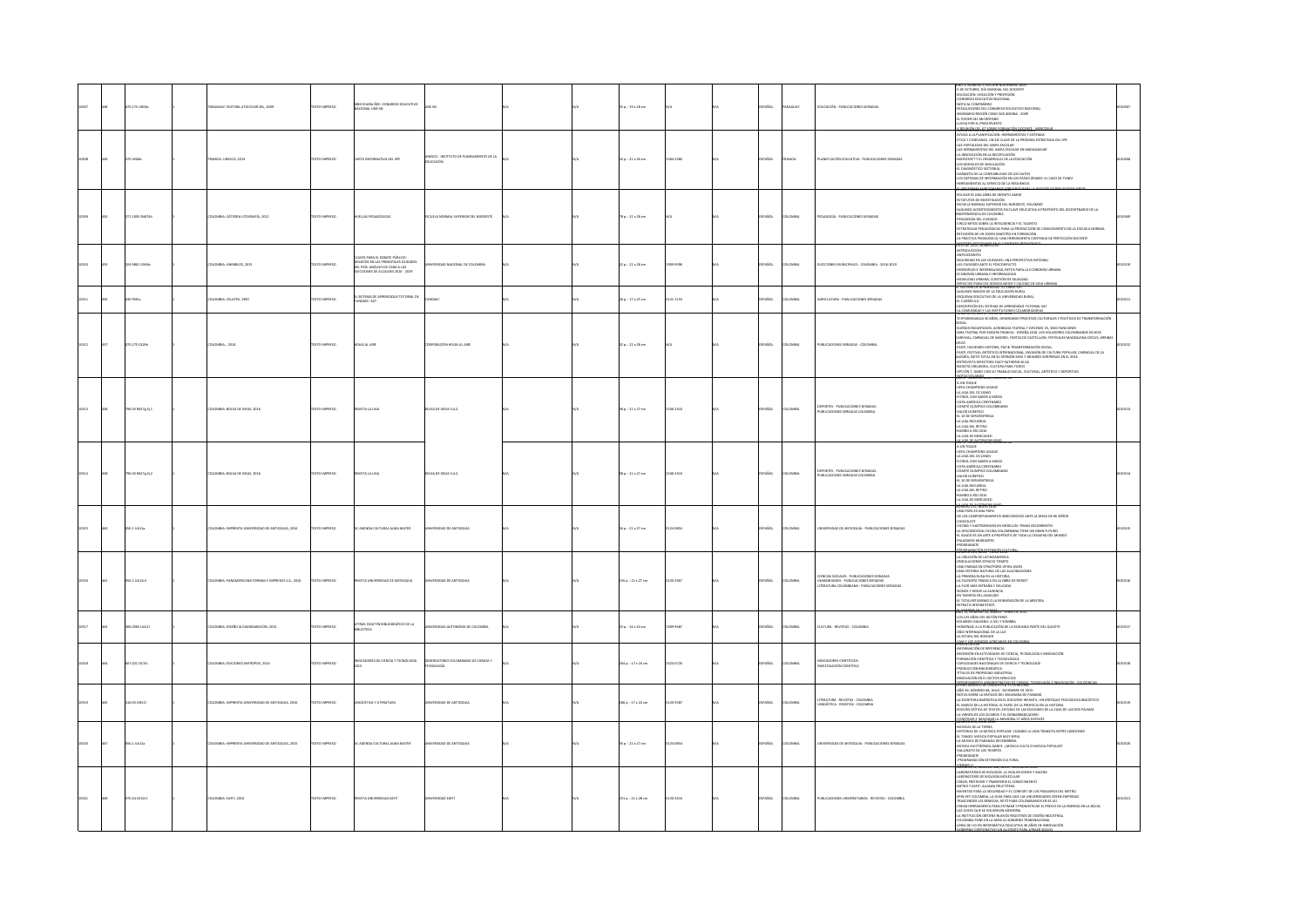|       |  | 070.175 UNSEc     | MGUAY: EDITORA LITOCOLOR SRL, 2009                      | DZERNI OTXT          | MBO EHARA ÑEE: CONGRESO EDUCATIVO<br>NACIONAL UNE-SN                                                                                           | ave siv                                                    |  | 5 p. : 19 x 28 cm       |           | PAÑOL         | AGUAY         | EDUCACIÓN - PUBLICACIONES SERIADAS                                                                                                       | AND 3. NUMERO 5 EDICION NOVIEMBRE 200<br>5 DE OCTUBRE, DÍA MUNDIAL DEL DOCENTE<br>EDUCACIÓN : VOCACIÓN Y PROFESIÓN<br>CONSRESO EDUCATIVO NACIONAL<br>ANNAL AUGUSTICS<br>SOLUCIONES DEL CONSIRESO EDUCATIVO NACIONAL<br>MINARIO REGIÓN CONO SUR ANDINA - 2009<br>MINARIO REGIÓN CONO<br>ICHA POR EL PRESUPUESTO<br>ICHA POR EL PRESUPUESTO                                                                                                                                                                                                                                                                                                                                                                                                                                                                                |  |
|-------|--|-------------------|---------------------------------------------------------|----------------------|------------------------------------------------------------------------------------------------------------------------------------------------|------------------------------------------------------------|--|-------------------------|-----------|---------------|---------------|------------------------------------------------------------------------------------------------------------------------------------------|--------------------------------------------------------------------------------------------------------------------------------------------------------------------------------------------------------------------------------------------------------------------------------------------------------------------------------------------------------------------------------------------------------------------------------------------------------------------------------------------------------------------------------------------------------------------------------------------------------------------------------------------------------------------------------------------------------------------------------------------------------------------------------------------------------------------------|--|
|       |  | 70 UNS6c          | MNCIA: UNESCO, 2013                                     | <b>DESIRAN OTX3T</b> | CARTA INFORMATIVA DEL IPE                                                                                                                      | NESCO - INSTITUTO DE PLANEAMIENTO DE LA<br><b>SUCACIÓN</b> |  | 16 p.: 21 x 30 cm       | 564-2380  | <b>SPAÑOL</b> | <b>ANCIA</b>  | LANIFICACIÓN EDUCATIVA - PUBLICACIONES SERIADAS                                                                                          | 10001.00101300217000<br>.<br>AYUDA A LA PLANIFICACION: HERRAMIENTAS Y SISTEMAS<br>ÉTICA Y CONFIANZA. UN EJE CLAVE DE LA PRÓXIMA ESTRATEGIA DEL IIPE<br>LAS FORTALEZAS DEL MAPA ESCOLAR<br>S HERRAMENTAS DEL MAPA ESCOLAR EN MADAGASCAR<br>NNOVACIÓN EN LA RECOPILACIÓN<br>MICROSOFT Y EL DESARROLLO DE LA EDUCACIÓN<br>IONIMON'I I SA MANDARIO IN PI BOUNDAN<br>DIAGRICATICO SECTORIAL<br>RIANNOSTICO SECTORIAL<br>ISSISTEMAS DE NICONFARILIDAD DE LOS DATOS<br>SISTEMARINTAS AL SERVICIO DE LA RESULINCIA<br>FRIANRINTAS AL SERVICIO DE LA RESULINCIA                                                                                                                                                                                                                                                                   |  |
|       |  | 71.1005 SN674h    | LOMBIA: CÁTEDRA LITOGRAFÍA, 2012                        | DZERRA OTX           | <b>JELIAS PEDAGÓGICA</b>                                                                                                                       | UELA NORMAL SUPERIOR DEL NORDESTE                          |  | 18 p. : 21 x 28 cm      |           | PAÑOL         | oway          | GOGÍA - PUBLICACIONES SERIADA                                                                                                            | <b>RM TOWARD TO MAKE OF JOTE</b><br><sub>home</sub> n is un l <b>um de Reinhuid amor</b><br>Kerlinds de Rwestraacún<br>Kerlinds de Rwestraacún<br><i>Service Kerlindarbytos en Clave Educ</i> ativa Apropósito del Bicentenario de La<br>Jerroená del Clidardo<br>Dardoiá del Clidardo<br>Dardoiá del Clid<br>ΝΟΕΡΤΗΣΘΈΝ DE LUGAHION<br>- PEDADORÍA DEL CUENHO<br>- PEDADORÍA DE LUGAHIO<br>- ESTRATIGIAS PEDADÓDICAS PARA LA PRODUCIÓN DE CONDOMENTO EN LA ESCURA NORMA<br>- ESTRATIGIA PEDADÓDICA DEN HERMARISTA CONTINUA DE PERFECIÓN DOCENTE<br>- A -                                                                                                                                                                                                                                                                |  |
|       |  | 14.9861 UNS4c     | <b>ILOMBIA: UNIBIBLOS, 2015</b>                         | EXTO IMPRESO         | AVES PARA EL DEBATE PÚBLICO:<br>DESAFÍOS EN LAS PRINCIPALES CIUDADES<br>DEL PAÍS: ANÁLISIS DE CARA A LAS<br>ELECCIONES DE ALCALDES 2016 - 2019 |                                                            |  | $2p.:21\times28$ cm     | 2010-0026 | AÑOL          | owaw          | LECCIONES MUNICIPALES - COLOMBIA - 2016-2019                                                                                             | <b>ITECEDENTES</b><br>GURIDAD EN LAS CIUDADES: UNA PERSPECTIVA INTEGRAL<br>-<br>LAS CUIDADES ANTE EL POSCONTUCTO<br>- DESEMPLEO E INFORMALIDAD, RETOS PARA LA ECO<br>- ANOVIUDAD URBANA, CUESTIÓN DE IGUALDAD<br>- ANOVIUDAD URBANA, CUESTIÓN DE IGUALDAD<br>MÁ URBANA<br>IEMANNS RÚBHATES FOMBOLIMBOS Y CALID.<br>I SISTEMA DE ARRENDIZAIE TUTORIAI SAT                                                                                                                                                                                                                                                                                                                                                                                                                                                                 |  |
|       |  | rsas              | LOMBIA: CELATER, 1990                                   | <b>EXTO IMPRESO</b>  | EL SISTEMA DE APRENDIZAJE TUTORIAL DE<br>FUNDAEC: SAT                                                                                          | <b>NOAEC</b>                                               |  | 16 p. : 17 x 25 cm      | 21-1153   | AÑOL          | owax          | GRICULTURA - PUBLICACIONES SERIADAS                                                                                                      | ANNINYS NA ATRININING I INTERNATIONALISTI<br>LOUNOS RASOOS DE LA EDUCACIÓN RURAL<br>LOURNCILLO<br>ISCRIPCIÓN DEL SISTEMA DE APRENDIZAIE TUTORIAL SAT<br>ISCRIPCIÓN DEL SISTEMA DE APRENDIZAIE TUTORIAL SAT<br>ACCOMUNIDADE E AS INSTITUIDANTS COLABORADORAS                                                                                                                                                                                                                                                                                                                                                                                                                                                                                                                                                              |  |
|       |  | 070.175 C426h     | ILOMBIA: , 2016                                         | EXTO IMPRESO         | DJAS AL ARE                                                                                                                                    | <b>ISPORACIÓN HOJAS AL AIRE</b>                            |  | 32 p. : 22 x 28 cm      |           | PAÑOL         | LOMBIA        | PUBLICACIONES SERIADAS - COLOMBIA                                                                                                        | NIGAGUA 30 AÑOS, GENERANDO PROCESOS CULTURALES Y POLÍTICOS DE TRANSFORMACIÓN<br>DOAL<br>SUEÑOS ENCANTADOS. ACROBACIA TEATRAL Y CIRCENSE 25. 3500 FUNCIONES<br>-GIRA TEATRAL POR EUROPA FRANCIA - ESPAÑA 2016. LOS VOLADORES COLOMBIANOS EN NICE<br>CARVIVAL, CARNAVAL DE MADRID, FIESTAS DE CASTELLLON, FESTIVALES MAGDALENA CIRCUS, ARRIBA<br>ORCO<br>ORGO<br>SAUCO MACHINEO MESTINA DA EL TADOLFORMACIÓN KOCAL<br>SAUCO MACHINEO TRE EN AU VERSIÓN XIVI Y GRANDES SOBRITANA POPULAR, CARRAVAL DE LA<br>AMERICANA FORTO TURA EN AU VERSIÓN XIVI Y GRANDES SOBRITANS EN EL 2016<br>ADMENA CARRODO<br><b>ERYO<sup>T</sup>: JON ED'OC</b> 2016, NUMERO                                                                                                                                                                     |  |
|       |  | 796.05 R627g tj.1 | LOMBIA: BOLSA DE IDEAS, 2016                            | TEXTO IMPRESO        | EVISTA LA LIGA                                                                                                                                 | OLSA DE IDEAS S.A.S                                        |  | 58 p. : 21 x 27 cm      | 346-2310  | PAÑOL         | owaw          |                                                                                                                                          | A UN TOQUE<br>LETA CHAMPIONS LEAGUE<br>LA UGA DEL CICLISMO<br>FÚTBOL CON SABOR A MIEDO<br><b>TOPA AMÉRICA CENTENARO<br/>COMITÉ OLÍMPICO COLOMBIA<br/>-VALOR OLÍMPICO<br/>-L1 10 DE SERVIENDA<br/>-LA UGA DEL RETIRO</b><br>.<br>Numbo a río 2016<br>La liga de mercadeo<br>67000.00000                                                                                                                                                                                                                                                                                                                                                                                                                                                                                                                                   |  |
| 10514 |  | 795.05 R\$27e EL2 | 10MBIA: BOLSA DE IDEAS, 2016                            | <b>DZERNI OTXIT</b>  | WSTA LA LIGA                                                                                                                                   | OLSA DE IDEAS S.A.S.                                       |  | $58a : 21x27$ cm        | 146-2310  | SPAÑOL        | <b>COMBIA</b> | <b>EPORTES - PUBLICACIONES SERIADAS</b><br>PUBLICACIONES SERIADAS COLOMBIA                                                               | MATO "ANNO UCZBIR, NOBEL<br>- UETA CHAMPIONS LEAGUE<br>- UETA CHAMPIONS LEAGUE<br>- FÚTBOL CON SABOR A MIEDO<br>- COPA AMÉRICA CENTENARIO<br>-COPA AMERICA CENTENARIO<br>-COMITÉ OLÍMPICO COLOMB<br>-VALOR OLÍMPICO<br>-EL 10 DE SERVIENTREGA<br>LA LIGA RECUERDA<br>LA LIGA DEL RETIRO<br>-RUMBO A RÍO 2016<br>-LA LIGA DE MERCADEO                                                                                                                                                                                                                                                                                                                                                                                                                                                                                     |  |
| 10515 |  | 056.1 UA11a       | <b>ILOMBIA: IMPRENTA UNIVERSIDAD DE ANTIOQUIA, 2016</b> | DZERNI OTXIT         | AC AGENDA CULTURAL ALMA MATER                                                                                                                  | NIVERSIDAD DE ANTIQQUIA                                    |  | $M_0$ : 21 x 27 cm      | 124-0854  | SPAÑOL        | <b>LOMBIA</b> | INIVERSIDAD DE ANTIQQUIA - PUBLICACIONES SERIADAS                                                                                        | a antero el 1,7 km/ko 2013<br>Luna Papa es una papa<br>-de los comportamientos indecorosos ante la mesa de MI Señor<br>LA DESCONOCIDA COCINA COLOMBIANA TIENE UN GRAN FUTURO<br>EL ASADO ES UN ARTE A PROPÓSITO DE TODA LA CEGUERA DEL MUNDO<br><b><i>PALADARES MIGRANTES</i></b><br><b>GRAMATE</b>                                                                                                                                                                                                                                                                                                                                                                                                                                                                                                                      |  |
|       |  | ATTACTA           | MILA: PANAMERICANA FORMAS E IMPRESOS S.A., 2016         | <b>CERRINI OTX</b>   | <b>STA I INIVERSIDAD DE ANTIQUIA</b>                                                                                                           | <b>ID DE ANTIQUIA</b>                                      |  | 35 p.: 21 x 27 cm       | 20.2167   | PAÑOL         | owaw          | <b>ENCIAS SOCIALES - PUBLICACIONES SERIADAS</b><br>IUMANIDADES - PUBLICACIONES SERIADAS<br>ITERATURA COLOMBIANA - PUBLICACIONES SERIADAS | -PROGRAMMIC CONTROL<br><b>REGIONAL CONTROL CONTROL CONTROL</b><br>- LA CREACIÓN DE LATINOAMERICA<br>- CHEACIÓN DE LATINOAMERICA<br>- UNA PARTORIA NATURAL DE LAS ALUCINACIONES<br>- LINA PARTORIA NATURAL DE LAS ALUCINACIONES<br>- LA PRIMERA RUSA E<br>FILOSOFÍA TRÁGICA EN LA OBRA DE ROSSET<br>FLOR MÁS EXTRAÑA Y DELICADA<br><b>INOS Y DESDE LA AUSENCIA</b><br>EN TIEMPOS DEL ZANCUDO<br>EL TOTALISTARISMO O LA REINVENCIÓN DE LA MENTIRA<br>TRATO INTERMITENTE                                                                                                                                                                                                                                                                                                                                                    |  |
| 0517  |  | IDS.0565 UA11     | KOMBIA: DISEÑO & DIAGRAMACIÓN, 2015                     | EXTO IMPRESO         | AI 30 OOKTIN BRUGGARICO DE LA<br><b>IDTECA</b>                                                                                                 |                                                            |  | 3 p.: 16 x 24 cm        | 109-9487  | w.            | oway          | ULTURA - REVISTAS - COLOMBIA                                                                                                             | n Homenie de Les Cheas.<br>No 15, Número 24, Marzo - Junio de 2015<br>AND 15, NOMENO JA, NORGEN DE JOSEF DE SUS<br>4 GIS 123 AÑOS DEL RATÓN PEREZ<br>4 GIS 123 AÑOS DEL RATÓN PEREZ<br>4 MONTANG DE AL AUGUSCADA DE LA SEGUNDA PARTE DEL QUIDOTE<br>4 MONTANGADONA DEL RATÓN DE LA LUZ<br>4 MONTANGADONA<br>2 MONTANGA                                                                                                                                                                                                                                                                                                                                                                                                                                                                                                   |  |
| 0518  |  | 07.021 OC15       | LOMBIA: EDICIONES ANTROPOS, 2014                        | OZSRRNI OTX3         | INDICADORES DE OENCIA Y TECNOLOGÍA                                                                                                             | ERVATORIO COLOMBIANO DE CIENCIA Y<br>CNOLOGÍA              |  | 204 p. : 17 x 24 cm     | 1323-072X | SPAÑOL        | <b>LOMBIA</b> | NDICADORES CIENTÍFICOS<br><b>MVESTIGACIÓN CIENTÍFICA</b>                                                                                 | PIESINTACION<br>- RIVENTACION DE REFERENCIA<br>- RIVENSIÓN EN ACTIVIDADES DE CIENCIA, TENGICIOSÍA E INVENIACIÓN<br>- FORMACIÓN BENTÍFICA T TECNICADEA<br>-<br>- FOULICIÓN BENJEELAD INDUSTRIAL<br>- TÍTULICS DE PROFIELAD INDUSTRIAL<br>- TÍTULICS<br>NOVACIÓN EN EL SECTOR SERVICIOS                                                                                                                                                                                                                                                                                                                                                                                                                                                                                                                                    |  |
|       |  | 0.05 UN11         | VISIA: IMPRENTA UNIVERSIDAD DE ANTIOQUIA, 2016          | XTO IMPRESO          | SÜŠTICA Y LITERATURA                                                                                                                           | SIDAD DE ANTIOQUIA                                         |  | 186 p. : 17 x 24 cm     | 20-5587   | Sot.          | <b>MBA</b>    | iteratura - revistas - colombia<br>Ingüística - revistas - colombia                                                                      | -AÑO 36, NÚMERO 68, JULIO - DICIEMBRE DE 2015<br>-NOTAS SOBRE LA SINTAXIS DEL WAUNANA DE PANAMÁ<br>-LA ESCRITURA NARRATIVA EN EL DISCURSO INFANTIL: UN ENFOQUE PSICOSOCIOLINGÜÍSTICO<br>-EL MARCO DE LA HISTORIA: EL PAPEL DE LA PROFECIA EN LA HISTORIA<br>«EDICIÓN CRÍTICA DE TEXTOS: ESTUDIO DE LAS EDICIONES DE LA CASA DE LAS DOS PALMAS<br>«LA VIRGEN DE LOS SICARIOS Y EL DESBARRANCADERO<br>NSTRUEZ IMAGINARIA                                                                                                                                                                                                                                                                                                                                                                                                   |  |
|       |  | 56.1 UA11a        | COMBIA: IMPRENTA UNIVERSIDAD DE ANTIOQUIA, 2015         | DZERNI OTXIT         | C AGENDA CULTURAL ALMA MATER                                                                                                                   | NIVERSIDAD DE ANTIQQUIA                                    |  | $15a : 21 \times 27$ cm | 124 0854  | <b>SPAÑOL</b> | LOMBIA        | INIVERSIDAD DE ANTIQQUIA - PUBLICACIONES SERIADAS                                                                                        | JINISIO 235, JULIO 2010<br>1030CAS DE LA TIERRA<br>ISTORIAS DE LA MÚSICA POPULAR: CUANDO LA VIDA TRANSITA ENTRE CANOIONES<br>.<br>EL TANGO: MÚSICA POPULAR MUY SERIA<br>LA MÚSICA DE PARANDA DECEMBRINA<br>ÚSICA ELECTRÓNICA DANCE, / MÚSICA CULTA O MÚSICA POPULAR?<br>VALLENATO DE LOS TIEMPOS<br><b>STAMAROO</b><br><b>UGORAMACIÓN EXTENSIÓN CULTURAL</b>                                                                                                                                                                                                                                                                                                                                                                                                                                                             |  |
|       |  | 070.44 UE22r1     | DLOMBIA: EAFIT, 2016                                    | DESIRAN OTXET        | TINA3 GAGERISION ATZVIS                                                                                                                        | <b>NIVERSIDAD EAFT</b>                                     |  | 151 p.: 21 x 28 cm      | 120-141X  | SPAÑOL        | <b>LOMBIA</b> | PUBLICACIONES UNIVERSITARIAS - REVISTAS - COLOMBIA                                                                                       | <b>URIGINAL AND AN AN ANGELE AND THE RIGHT AND START AND START AND START AND START AND START AND START AND START AND START AND START AND START AND START AND START AND START AND START AND START AND START AND START AND START A</b><br>-METHU T EATH: ALIANZA FRUCTIFERA<br>-INVENTOS PARA LA SEGURIDAD Y EL CONFORT DE LOS PASAIEROS DEL METRO<br>-SPIN ORF COLOMBIA, LA GUÍA PARA QUE LAS UNIVERSIDADES CREEN EMPRESAS<br>NOER LAS REMESAS. RETO PARA COLOMBIANOS EN EE UU<br>CREAN HERRAMENTA PARA ESTIMAR Y PRONOSTICAR EL PRECIO DE LA ENERGÍA EN LA BOLSA<br>LAS VOCES QUE SE VOLVIERON MEMORIA<br>LA INSTITUCIÓN OBTIENE NUEVOS REGISTROS DE DISEÑO INDUSTRIAL<br>-COLOMBIA PONE EN LA MIRA AL SOBORNO TRANSNACIONAL<br>-LÍNEA DE 1+D EN INFORMÁTICA EDUCATIVA 30 AÑOS DE INNOVACIÓN<br>COMPOSATION UNLAWFORM AN |  |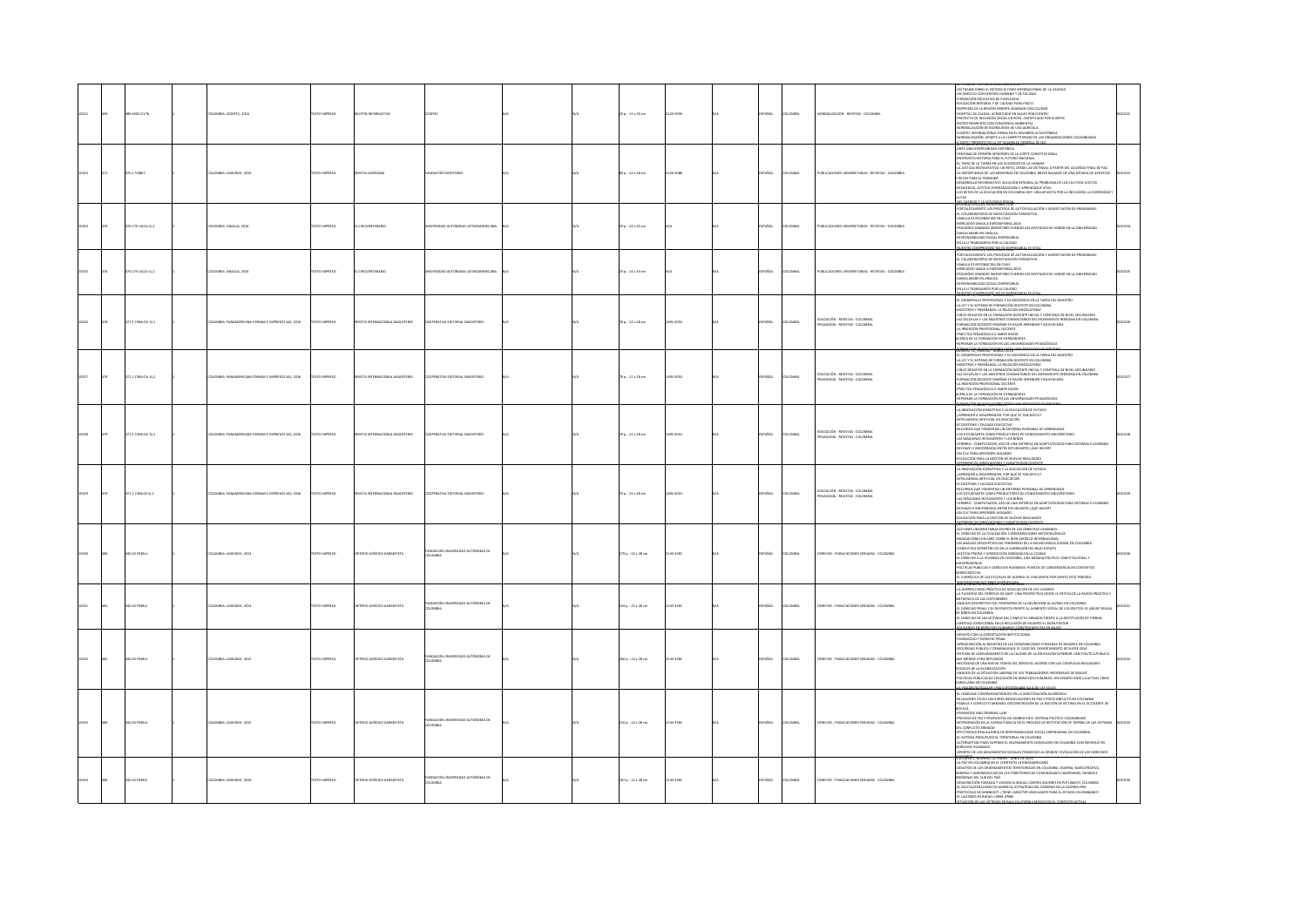|      | 630510176           | OMBIA: ICONTEC, 2016                              | <b>CERRIN OTX</b>  |                                 |                                                      |  | 0 p. : 21 x 30 cm       |          | PAÑOL       | .<br>DMBIA    | VORMALIZACIÓN - REVISTAS - COLOMBIA                                     | 24 THAMSCHIND EL DOTOGO SUI DO MITERAACONAL DE LA CAUCHO SUI DESPARADORAL DE LA CAUCHO CON ARTESTACIÓN A DE LA CAUCHO CON ARTESTACIÓN A DE LA CAUCHO PREDIMENTAL DE LA CAUCHO PREDIMENTAL DE LA CAUCHO PREDIMENTAL DE LA CAU<br>TICKGREVE 2016, EGA.RIK NOMENO 1628                                                                                                                                                                                                                                                                                                                                                                                                                                                                                                                             |  |
|------|---------------------|---------------------------------------------------|--------------------|---------------------------------|------------------------------------------------------|--|-------------------------|----------|-------------|---------------|-------------------------------------------------------------------------|-------------------------------------------------------------------------------------------------------------------------------------------------------------------------------------------------------------------------------------------------------------------------------------------------------------------------------------------------------------------------------------------------------------------------------------------------------------------------------------------------------------------------------------------------------------------------------------------------------------------------------------------------------------------------------------------------------------------------------------------------------------------------------------------------|--|
| 573  | 070.1 F288-7        | DLOMBIA: JAVEGRAF, 2016                           | TEXTO IMPRESO      | <b>IVISTA JAVERIANA</b>         | UNDACIÓN ESCRITORES                                  |  | 80 p. : 22 x 28 cm      | 120-3088 | SPAÑOL      | LOMBIA        | PUBLICACIONES UNIVERSITARIAS - REVISTAS - COLOMBIA                      | ANTE UNA OPORTUNIDAD HISTÓRICA<br>VENTANA DE OPINIÓN OPINIÓNES DE LA CORTE CONSTITUCIONAL<br>ENTREVISTA HISTORIA PARA EL FUTURO NACIONAL<br>EL TEMA DE LA TIERRA EN LOS ACUERDOS DE LA HABANA<br>LA JUSTICIA RESTAURATIVA: UN RETO, DESDE LAS VÍCTIMAS. A PARTIR DEL ACUERDO FINAL DE PAZ<br>LA IMPORTANCIA DE LAS MEMORIAS EN COLOMBIA, BREVE BALANCE DE UNA DÉCADA DE APUESTAS<br>Y RETOS PARA EL PORVENIR<br>-DESARROLLO INFORMATIVO: SOLUCIÓN INTEGRAL AL PROBLEMA DE LOS CULTIVOS ILÍCITOS<br>RESILIENCIA, ACTITUD ESPERANZADORA Y APRENDIZAJE VITAL<br>LOS RETOS DE LA EDUCACIÓN EN COLOMBIA HOY: UNA APUESTA POR LA INCLUSIÓN, LA DIVERSIDAD<br><b>DAT</b><br><b><i><u>ILENGIO Y.LA VIOLENCIA SPE</u></i></b>                                                                            |  |
|      | 070.175 UA11c Ej.1  | DLOMBIA: UNAULA, 2016                             | DZERNI OTXIT       | CINCUENTENARIO                  | ERSIDAD AUTÓNOMA LATINOAMERICANA                     |  | 19 p.: 24 x 33 cm       |          | PAÑOL       | <b>AIRMOJ</b> | PUBLICACIONES UNIVERSITARIAS - REVISTAS - COLOMBIA                      | FORTALEC MIENTO LOS PROCESOS DE AUTOEVALUACIÓN Y ACREDITACIÓN DE PROGRAMAS<br>-EL COLABORATORIO DE INVESTIGACIÓN FORMATIVA<br>UNAULA ES RECONOCIDA EN CHILE<br>-MERCADEO UNAULA EXPOSAPIENSA 2016<br>-PEQUEÑOS GRANDES INVENTORES FUERON LOS INVITADOS DE HONOR EN LA UNIVERSIDAD<br>DANZA ARABE EN UNAULA<br>RESPONSABILIDAD SOCIAL EMPRESARIAL<br>EN LA U TRABAJAMOS POR LA CALIDAD<br>UESTRO COMPROMISO NO ES EMPRESARIAL ES VIT<br>UUNUN EURODR, NONTANIALE 2016                                                                                                                                                                                                                                                                                                                            |  |
|      | 070.175 UA11c Ej 2  | LOMBIA: UNAULA, 2016                              | DZERRAI OTX31      | CINCUENTENARIO                  |                                                      |  | 19 p.: 24 x 33 cm       |          | PAÑOL       | <b>DMBIA</b>  | PUBLICACIONES UNIVERSITARIAS - REVISTAS - COLOMBIA                      | FORTALEC MIENTO LOS PROCESOS DE AUTOEVALUACIÓN Y ACREDITACIÓN DE PROGRAMAS<br>-EL COLABORATORIO DE INVESTIGACIÓN FORMATIVA<br>-UNAULA ES RECONOCIDA EN CHILE<br>-MERCADEO UNAULA EXPOSAPIENSA 2016<br>PEQUEÑOS GRANDES INVENTORES FUERON LOS INVITADOS DE HONOR EN LA UNIVERSIDAD<br>OANZA ARABE EN UNAULA<br>-RESPONSABILIDAD SOCIAL EMPRESARIAL<br>EN LA U TRABAJAMOS POR LA CALIDAD<br>NUMERO COMERCIARIO NADES EMPRESARIAI ES M                                                                                                                                                                                                                                                                                                                                                             |  |
|      | 71.1 0394:21: 011   | MILIA: PANAMERICANA FORMAS E IMPRESOS SAS, 2016   | TO IMPRESO         | VISTA INTERNACIONAL MAGISTERIO  | TNA EDITORIAL MAGISTERIO                             |  | 8 p. : 22 x 28 cm       | 02-4053  | AÑOL        | OMBIA         | EDUCACIÓN - REVISTAS - COLOMBIA<br>AGOGÍA - REVISTAS - COLOMBIA         | NUMERO 78, FEBRERO - MARZO 2016<br>-EL DESARROLLO PROFESIONAL Y SU INCIDENCIA EN LA TAREA DEL MAESTRO<br>-LA LEY Y EL SISTEMA DE FORMACIÓN DOCENTE EN COLOMBIA<br>-MAESTROS Y ENSEÑANZA: LA RELACIÓN INSOSIAVABLE<br>-CINCO DESAFÍOS EN LA FORMACIÓN DOCENTE INICIAL Y CONTINUA DE NIVEL SECUNDARIO<br>-LAS ESCUELAS Y LOS MAESTROS COMUNITARIOS DEL MOVIMIENTO INDÍGENA EN COLOMBIA<br>FORMACIÓN DOCENTE ENSEÑAR ES HACER APRENDER Y MUCHO MAS<br>LA INSERCIÓN PROFESIONAL DOCENTE<br><b><i>PRÁCTICA PEDAGÓGICA O SABER HACER</i></b><br>ACERCA DE LA FORMACIÓN DE FORMADORES<br>TENSAR LA FORMACIÓN EN LAS UNIVERSIDADES PEDAGÓGICAS                                                                                                                                                          |  |
|      | 171.1 C394r21r Ej.2 | MERICANA FORMAS E IMPRESOS SAS, 2016              | TO IMPRESO         | VSTA INTI                       | ERATIVA EDITORIAL MAGISTERIO                         |  | 78 p. : 22 x 28 cm      | 092-4053 | PAÑOL       | .<br>Milia    | DUCACIÓN - REVISTAS - COLOMBIA<br>AGOGÍA - REVISTAS - COLOMBIA          | OBMACIÓN DE EDUCAÇORES DESDE 1964 PEDAGOGÍA EL ANETAR                                                                                                                                                                                                                                                                                                                                                                                                                                                                                                                                                                                                                                                                                                                                           |  |
| 0528 | 171.1 C394r22r EL1  | DLOMBIA: PANAMERICANA FORMAS E IMPRESOS SAS. 2016 | DZERNI OTXIT       | CUSTA INTERNACIONAL MAGISTERIO  | COOPERATIVA EDITORIAL MAGISTERIO                     |  | 79 p. : 22 x 28 cm      | 032-4053 | SPAÑOL      | <b>AIRMOJ</b> | .<br>Educación - Revistas - Colombia<br>Pedagogía - Revistas - Colombia | <b>MOREAL KARDINA</b><br>MUNICIPALE IN ANNO 1991<br>- LA INNOVACIÓN DESIUPTIVA Y LA EDUCACIÓN DE FUTURO<br>- LAPRENDER A DESAPRENDER, POR QUÉ ES TAN DIFICIL?<br>-INTELIGENCIA ARTIFICIAL EN EDUCACIÓN<br>-INTELIGENCIA MILIITILINI, EN konteninis<br>-ECOSISTEMA Y CALIDAD EDUCATIVA<br>-EICURIOS QUE FOMENTAN UN ENTORNO PERSONAL DE APRENDEZAJE<br>-LOS ESTUDIANTES COMO PRODUCTORES DE CONOCIMIENTO UNIVERSITARIO<br>LAS MÁQUINAS INTELIGENTES Y LOS NIÑOS<br>CEREBRO - COMPUTADOR, USO DE UNA INTERFAZ EN ADAPTATIVIDAD PARA SISTEMAS E-LEARNING<br>RECHAZO E INDIFERENCIA ENTRE ESTUDIANTES ¿QUÉ HACER?<br>UN CLIC PARA APRENDER JUGANDO<br><b>UCACIÓN PARA LA GESTIÓN DE NUEVAS REALIDADES</b>                                                                                           |  |
|      | 71.1 0394:22 0.2    | OMBIA: PANAMERICANA FORMAS E IMPRESOS SAS. 2016   | OZSRRNI OTX3       | VISTA INTERNACIONAL MAGISTERIO  | PERATIVA EDITORIAL MAGISTERIO                        |  | 79 p. : 22 x 28 cm      | 022-4053 | SPAÑOL      | LOMBIA        | EDUCACIÓN - REVISTAS - COLOMBIA<br>PEDAGOGÍA - REVISTAS - COLOMBIA      | -LA INNOVACIÓN DISRUPTIVA Y LA EDUCACIÓN DE FUTURO<br>-¿APRENDER A DESAPRENDER. POR QUÉ ES TAN DIFICIL?<br>INTELIGENCIA ARTIFICIAL EN EDUCACIÓN<br>ECOSSTEMA Y CAUDAD EDUCATIVA<br>RECURSOS QUE FOMENTAN UN ENTORNO PERSONAL DE APRENDIZAJE<br>-LOS ESTUDIANTES COMO PRODUCTORES DE CONOCIMIENTO UNIVERSITARIO<br>LAS MÁQUINAS INTELIGENTES Y LOS NIÑOS<br>-CEREBRO - COMPUTADOR, USO DE UNA INTERFAZ EN ADAPTATIVIDAD PARA SISTEMAS E-LEARNING<br>RECHAZO E INDIFERENCIA ENTRE ESTUDIANTES / QUÉ HACER?<br>UN CLIC PARA APRENDER JUGANDO<br>EDUCACIÓN PARA LA GESTIÓN DE NUEVAS REALIDADES                                                                                                                                                                                                     |  |
|      | 0.05 F949c1         | MBIA: JAVEGRAF, 2013                              | <b>XTO IMPRESO</b> | DRIO JURÍDICO G                 | DACIÓN UNI<br>JMBIA                                  |  | 79 p.: 22 x 28 cm       | 45-3381  | <b>Scc</b>  | MBL           | ERECHO - PUBLICACIONES SERIADAS - COLOMBIA                              | -EDUCACIÓN MAR A CASTANDA DE NUEVA REALISADES<br>ANON MARINA DE NORTE VIA EN ENTERTE DE MARADOS MARANDOS (PODER DE NORTE EL BERTARDOS MARANDOS)<br>«RODORES UN DANT SOBRE EL BERTARDECO INTERNACIONAL»<br>«RODORES UN DANT SOBRE EL BE<br>IURISPRUDENCIA<br>-POLÍTICAS PÚBLICAS Y DERECHOS HUMANOS: PUNTOS DE CONVERGENCIA EN CONTEXTO<br>DEMOCRÁTICOS<br>-EL CURRÍCULO DE LAS ESCUELAS DE GUERRA: EL CINCUENTA POR CIENTO ESTÁ PERDIDO                                                                                                                                                                                                                                                                                                                                                         |  |
|      | 0.05 F949c2         | OMBIA: JAVEGRAF, 2014                             | EXTO IMPRESO       | ERIO JURÍDICO GARANTISTA        | DACIÓN UNIVERSIDAD AUTÓNOMA DE<br>MBIA               |  | .<br>54 p. : 22 x 28 cm | 145-1181 | AÑOL        | Maia          | ERECHO - PUBLICACIONES SERIADAS - COLOMB                                | SOCKERAD ROB ACCIDENTS SHARLING CADA<br>ANUO, NUMENO SU, DEENI-SANDU DE AUSE<br>-LA GUERRA COMO PRÁCTICA DE ADECLIADÓN DE LOS LUGARES<br>-LA FILOSOFÍA DEL DERECHO DE KANT. UNA PERSPECTIVA DESDE LA CRÍTICA DE LA RAZÓN PRÁCTICA Y<br>MENÁLISE DESCRIPTIVO DEL FENÓMENO DE LA<br><b>AÁLISE DESORPIVO DEL PRIÓRINIO DE LA DEUNICIPICA AVIVEN EN CICONIER.</b><br>L'ERREYEN PRIAL Y SU RESPUESTA FRENT AL AUMENTO SOCIAL DE LOS DELITOS: EL ARUSO SEX<br>L'ERREYEN DELOG MÉTIMAS DEL CONFLICTO ARMADO FRENTE A LA RESTITUCIÓ                                                                                                                                                                                                                                                                     |  |
|      | 0.05 FMR1           | OMBIA: JAVEGRAF, 2015                             | <b>CTO IMPRESO</b> | <b>ERIO JURÍDICO GARANTISTA</b> | MOACIÓN I NOVIESIDAD ALITÓNIONA DE<br><b>DLOMBIA</b> |  | 00 p.: 22 x 28 cm       | 145-1181 | <b>AROL</b> | wax           | DERECHO - PUBLICACIONES SERIADAS - COLOMBI                              | DESARÍO CON LA ACREDITACIÓN INSTITUCIONAL<br><b>MINICIPIO Y CERECHO PENA</b><br><b>PROXIMACIÓN AL REGISTRO DE LAS DESAPARICIONES FORZADAS DE MUJERES EN COLOMBIA</b><br>-<br>-<br>SEGURIDAD PÚBLICA Y CRIMINALIDAD: EL CASO DEL DEPARTAMENTO DE SUCRE 2014<br>- SISTEMA DE ASEGURAMIENTO DE LA CALIDAD DE LA EDUCACIÓN SUPERIOR. UNA POLÍTICA PÚBLICA<br>OUE MERECE OTRA REFLEXIÓN<br>.<br>CESIDAD DE UNA NUEVA TEORÍA DEL DERECHO, ACORDE CON LAS COMPLEJAS REALIDADES<br>JALES DE LA GLOBALIZACIÓN<br>AUTHAU DE LA SEUGRAPA DUNE.<br>AUG PUS DE LA SITUACIÓN LABORAL DE LOS TRABAJADORES INFORMALES DE IBAGUÉ.<br>SENICAS PÚBLICAS DE EDUCACIÓN EN DERECHOS HUMANOS: UN DESAFÍO ANTE LA ACTUAL CRISIS<br>BEFI ABIA FN COLOMBIA<br><b>SCARPE A ESCOLAR J'AN CUTSTIÓN MÁS AU Á DE LAS ALEAS</b> |  |
|      | 40.05 F949c4        | LOMBIA: JAVEGRAF, 2015                            | EXTO IMPRESO       | o opiatul olastii               | JNDACIÓN UNIVERSIDAD AUTÓNOMA DE<br><b>OMBIA</b>     |  | 210 p. : 22 x 28 cm     | 145-1181 | PAÑOL       | <b>OMBA</b>   | DERECHO - PUBLICACIONES SERIADAS - COLOMBIA                             | MAGUNIEN IN NORMAN ALT DAUG UN LA INVESTIGACIÓN ACADÉMICA<br>«EL LENGUAIE CONTRAHIGEMÓNICO EN LA INVESTIGACIÓN ACADÉMICA<br>«FAACUANES CONTRAHIGEMANES NEGOCALCIONES DE PAX Y POSTONEN LOS PERCOLONEIX<br>«FAACUA Y CONFUCTO ARRANDO. D<br>Abarrod<br>MOTHAT<br>-FEMINICIDE AND CRIMINAL LAW<br>-FROCESO DE PAZ Y PROPUESTAS DE CAMBIO EN EL SISTEMA POLÍTICO COLOMBIANO<br>INTERVENCIÓN DE LA FUERZA PÚBLICA EN EL PROCESO DE RESTITUCIÓN DE TIERRAS DE LAS VÍCTIMAS<br>DEL CONFUCTO ARMADO<br>-EFECTIVIDAD REGULATORIA DE RESPONSABILIDAD SOCIAL EMPRESARIAL EN COLOMBIA<br>-EL SISTEMA PRESUPUESTAL TERRITORIAL EN COLOMBIA<br>- ATTEMPORADO DE FINIS EL HACINAMIENTO CARCELARIO EN COLOMBIA CON ENFOQUE EN<br>RECHOS HUMANOS                                                                |  |
|      | 0.05 F949c5         | LOMBIA: JAVEGRAF, 2016                            | EXTO IMPRESO       | LO CONCIRUL CARET               | FUNDACIÓN UNIVERSIDAD AUTÓNOMA DE<br>COLOMBIA        |  | 187 p.: 22 x 28 cm      | 145-3381 | AÑDL        | <b>MON</b>    | ERECHO - PUBLICACIONES SERIADAS - COLOMBIA                              | APOIRTS AT CON MOVIMENTOS SOCIALES FRANCES AS ORIGINALES CONSUMING TO THE CONSUMERED STATES AND CONSUMER THE CONSUMERANT AND CONSUMER SUBJECT AND CONSUMER SUBJECT AND CONSUMER MANUSCRIPT OF A CONSUMERANT AND CONSUMER MANU<br>ACIÓN DE LAS VÍCTIMAS EN BAJA 0                                                                                                                                                                                                                                                                                                                                                                                                                                                                                                                                |  |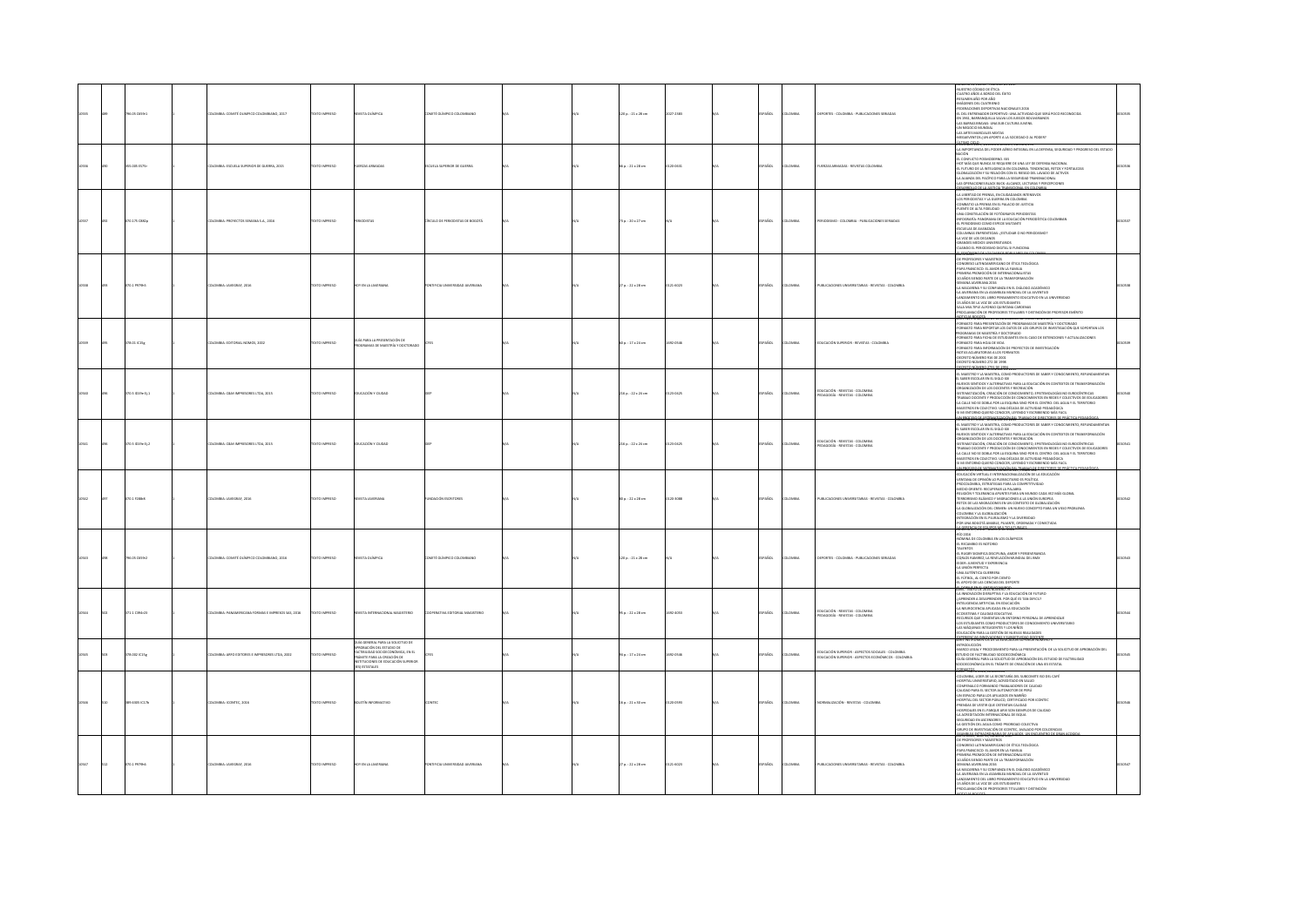|  | 8.05 C659r3        | MBIA: COMITÉ OLIMPICO COLOMBIANO, 2017      | EXTO IMPRESO         | STA OLÍMPICA                                                                                                                                                                          | MTÉ OLÍMPICO COLI                   |  | 20 p.: 21 x 28 cm      | 027-2383           | PAÑOL       | owau           | <b>EPORTES - COLOMBIA - PUBLICACIONES SERIA</b>                                                                    | NOTIFICATION THE VEHICLE AT A MANUSCRIPT OF THE VEHICLE AND SURFACE OF THE VEHICLE AND CONTROL OF THE VEHICLE AND A MANUSCRIPT OF THE VEHICLE AND A MANUSCRIPT OF THE VEHICLE AND A MANUSCRIPT OF THE VEHICLE AND A MANUSCRIP<br><b>U SANG SA COLLAN DONAL PROVINCIA</b>                                                                                                                                                                                                                                                                                                                                                                                                                                                                     |  |
|--|--------------------|---------------------------------------------|----------------------|---------------------------------------------------------------------------------------------------------------------------------------------------------------------------------------|-------------------------------------|--|------------------------|--------------------|-------------|----------------|--------------------------------------------------------------------------------------------------------------------|----------------------------------------------------------------------------------------------------------------------------------------------------------------------------------------------------------------------------------------------------------------------------------------------------------------------------------------------------------------------------------------------------------------------------------------------------------------------------------------------------------------------------------------------------------------------------------------------------------------------------------------------------------------------------------------------------------------------------------------------|--|
|  |                    | 1814: ESCUELA SUPERIOR DE GUERRA, 2015      | EXTO IMPRESO         |                                                                                                                                                                                       | IELA SUPERIOR DE GUERRA             |  | p.: 21 x 28 cm         |                    | <b>vice</b> |                | <b>JERZAS ARMADAS - REVISTAS CO</b>                                                                                | INTEGRAL EN LA DEFENSA, SEGURIDAD Y PROGRESO DEL ESTADO<br>kjón<br>: Conflicto Posmoderno. 1515<br>DT más que nunca se requiere de una ley de defensa nacional<br>-TL TUTURO DE LA INTELIGENCIA EN COLONIBIA, TENDENGIAS, RETOS Y FORTALEZAS<br>-EL FUTURO DE LA INTELIGENCIA EN COLONIBIA, TENDENGIAS, RETOS Y FORTALEZAS<br>-LA ALIANZA DEL PACÍFICO PARA LA SEGURIDAD TRANSNACIONAL<br>S OPERACIONES BLACK BUCK: ALCANCE, LECTURAS Y PERCEPCIONES<br>SARROU O DE LA HISTICIA TRANSICIONAL EN COLOMBI                                                                                                                                                                                                                                      |  |
|  | 070.175 CB82p      | OMBIA: PROYECTOS SEMANA S.A., 2016          | EXTO IMPRESO         |                                                                                                                                                                                       | REULO DE PERIODISTAS DE BOGOTÁ      |  | 3 p.: 20 x 27 cm       |                    | PAÑOL       | LOMBIA         | RIODISMO - COLOMBIA - PUBLICACIONES SERIADA                                                                        | <b>MANUSCRIPS AND ARRANGEMENT AND AN ARRANGEMENT AND A SUBSEQUENT AND ARRANGEMENT AND A CONSUMER AND ARRANGEMENT AND A CONSUMER AND ARRANGEMENT AND A CONSUMER AND A FAILURE AND A FAILURE AND A CONSUMER AND A CONSUMER AND A C</b><br>-<br>-ESCUELAS DE AVANZADA<br>-COLUMNAS ENFRENTEDAS: ¿ESTUDIAR O NO PERIODISMO?<br>-LA VOZ DE LOS DECANOS<br>-<br>GRANDES MEDIOS UNIVERSITARIOS<br>-CUANDO EL PERIODISMO DIGITAL SI FUNCIONA<br>-GLATO DOMENO DE LOS DIABIOS ROBI ILABES EN C                                                                                                                                                                                                                                                        |  |
|  |                    | MBIA: JAVEGRAF, 201                         |                      | <b>ENLAJ</b>                                                                                                                                                                          |                                     |  | 7 p. : 22 x 28 cm      | 21-6023            | AÑOL        |                | <b>JELICACIONES UNIVER</b>                                                                                         | <b>FANTAIRE</b><br>CE PROFESORES Y MAESTROS<br>CENGRESO LATINOAMERICANO DE ÉTICA TEOLÓGICA<br>PRIMERA PROMOCIÓN DE INTERNACIONALISTAS<br>PRIMERA PROMOCIÓN DE INTERNACIONALISTAS<br>-30 AÑOS SIENDO PARTE DE LA TRANSFORMACIÓN<br>-SEMANIA ANCHINNA DELS<br>-SEMANIA ANCHINNA DELS<br>-SEMANIA ANCHINNA DELS<br>-SEMANIA ANCHINNA DELS<br>-SEMANIA DELS ASAMILEA MUNDIAL DE LA LIVENTUD<br>-SEMANICINTO DEL LUGIO DESSURIMENTO EDUCATIVO EN LA UNIVERSIDAD<br>-SE AÑOS DE LA VOL D<br>NA MULTIPLE ALFONSO QUINTANA CARDENAS<br>ROCLAMACIÓN DE PROFESORES TITULARES Y DISTINCIÓN DE PROFESOR EMÉRITO                                                                                                                                          |  |
|  | $78.01 \times 15g$ | MILA: EDITORIAL NOMOS, 2002                 |                      | GUÍA PARA LA PRESENTACIÓN DE<br>PROGRAMAS DE MAESTRÍA Y DOCT                                                                                                                          |                                     |  | $p.:17\times24$ cm     | 032-0546           | AÑOL        | MBV            | DUCACIÓN SUPERIOR - REVISTAS - COLOMBIA                                                                            | RE RÉTRORENTOS DE LA EDUCACION SUPERIOR NUMERO 1<br>DINANTO PARA PRESENTACIÓN DE PROGRAMAS DE MAESTRÍA Y DOCTORADO<br>DINANTO PARA REPORTAR LOS DATOS DE LOS GRUPOS DE INVESTIGACIÓN QUE SOPORTAN LOS<br><b>FURNISH UPON REVENUES AN ABOVE AND A LOS CONSUMER AN ABOVE INVESTIGATION CONSUMER AN ABOVE AN ABOVE AN ABOVE AN ABOVE AN ABOVE AN ABOVE AN ABOVE AN ABOVE AN ABOVE AND A CONSUMER A MONETA ABOVE AN ABOVE AN ABOVE AN ABOVE </b><br>-DECRETO NÚMERO 272 DE 1998<br><b>LOLTO MÍNERO 2201 DE 1994</b>                                                                                                                                                                                                                              |  |
|  | 170.5 ID19e Ej.1   | LOMBIA: C&M IMPRESORES LTDA, 2015           | DESIRAI OTX3T        | DUCACIÓN Y CIUDAD                                                                                                                                                                     |                                     |  | 216 p.: 22 x 24 cm     | 123-0425           | SPAÑOL      | <b>ILOMBIA</b> | EDUCACIÓN - REVISTAS - COLOMBIA<br>MGOGÍA - REVISTAS - COLOMBIA                                                    | MINIMANA AR ANNO - NANAMBRE DE 2013<br>41. MARISTRO Y LA MARISTRA, COMO PRODUCTORES DE SABER Y CONOCIMIENTO, REFUNDAMENTAN<br>11. SABER ESCOLAR EN EL SIGLO XXI<br>-NUEVOS SEMTIDOS Y ALTERNATIVAS PARA LA EDUCACIÓN EN CONTEXTOS DE TR<br>RGANIZACIÓN DE LOS DOCENTES Y RECREACIÓN<br>STEMATIZACIÓN, CRIACIÓN DE CONOCIMIENTO, EPISTEMOLOGÍAS NO EUROCÉNTINCAS<br>NAIAIO DOCENTE Y PRODUCCIÓN DE CONOCIMIENTOS EN REDES Y COLECTIVOS DE EDUCADORES<br>-LA CALLE NO SE DOBLA POR LA ESQUINA SINO POR EL CENTRO: DEL AGUA Y EL TERRITORIO<br>-MAESTROS EN COLECTIVO. UNA DÉCADA DE ACTIVIDAD PEDAGÓGICA<br>51 MI ENTORNO QUIERO CONOCER, LEYENDO Y ESCRIBIENDO MÁS FACIL<br>I RECOTSO DE SISTEMATIZACIÓN DEL TRABAJO DE DIRECTORES DE RRÁCISC |  |
|  | 0.5 ID19e Ej.2     | MILA: CâM IMPRESORES LTDA, 2015             | EXTO IMPRESO         | <b>UCACIÓN Y CIUDAD</b>                                                                                                                                                               |                                     |  | 16 p. : 22 x 24 cm     | 23-0425            | PAÑOL       | OMBIA          | EDUCACIÓN - REVISTAS - COLOMBIA<br>EDAGOGÍA - REVISTAS - COLOMBIA                                                  | EL SABER ESCOLAR EN EL SIGLO XXI<br>-NUEVOS SENTIDOS Y ALTERNATIVAS PARA LA EDUCACIÓN EN CONTEXTOS DE TRANSITORIALIDOS<br>-ORGANIZACIÓN DE LOS DOCENTES Y RECREACIÓN<br>-URIAMIZACIÓN DE LUS DOCENTES TREORENEUNY<br>-SISTEMATIZACIÓN, CREACIÓN DE CONOCIMIENTO, EPISTEMOLOGÍAS NO EUROCÉNTRICAS<br>-TRABAIO DOCENTE Y PRODUCCIÓN DE CONOCIMIENTOS EN REDES Y COLECTIVOS DE EDUCADORES<br>-LA CALLE NO SE DOBLA<br>MAESTROS EN COLECTIVO, UNA DÉCADA DE ACTIVIDAD PEDAGÓGICA<br>IMI ENTORNO QUIERO CONOCER. LEYENDO Y ESCRIBIENDO MÁS FACIL<br><b>STOCK DAY, YSTEMATICAGE OF JTEMACY DE CARCITORIS DE REA</b>                                                                                                                                |  |
|  | 370.1 F288r8       | LOMBIA: JAVEGRAF, 2016                      | EXTO IMPRESO         | IVISTA JAVERIANA                                                                                                                                                                      | <b>INDACIÓN ESCRITORES</b>          |  | 00 p.: 22 x 28 cm      | 120-3088           | PAÑOL       | OMBIA          | PUBLICACIONES UNIVERSITARIAS - REVISTAS - COLOMBIA                                                                 | MUSICALISM VIRTUAL E INTERNACIONALIZACIÓN DE LA EDUCACIÓN<br>-EDUCACIÓN VIRTUAL E INTERNACIONALIZACIÓN DE LA EDUCACIÓN<br>-PROCOLOMBIA, ESTRATEGIAS PARA LA COMPETITIVIDAD<br>MEDIO ORENTE: RECUPERAR LA PALABRA<br>42LIGIÓN Y TOLERANCIA APUNTES PARA UN MUNDO CADA VEZ MÁS GLOBAL<br>TERRORISMO ISLÁMICO Y MIGRACIONES A LA UNIÓN EUROPEA<br>RETOS DE LAS MIGRACIONES EN UN CONTEXTO DE GLOBALIZACIÓN<br>A GLOBALIZACIÓN DEL CRIMEN: UN NUEVO CONCEPTO PARA UN VIEJO PROBLEMA<br>OLOMBIA Y LA GLOBAUZACIÓN<br>TEGRACIÓN EN EL PLURALISMO Y LA DIVERSIDAD<br>FOR UNA BOGOTÁ AMABLE, PUJANTE, ORDENADA Y CONECTADA                                                                                                                           |  |
|  | 06.05 C659r2       | LOMBIA: COMITÉ OLÍMPICO COLOMBIANO, 2016    | CONSIGNATION'S       | VISTA OLÍMPICA                                                                                                                                                                        | MITÉ OLÍMPICO COLOMBIAN             |  | $1200:21 \times 28$ cm |                    | PAÑOL       | LOMBIA         | DEPORTES - COLOMBIA - PUBLICACIONES SERIADAS                                                                       | -RÍO 2016<br>-NÓMINA DE COLOMBIA EN LOS OLÍMPICOS<br>-EL RECAMBIO ES NOTORIO<br>-TALENTOS<br>-EL RUGBY SIGNIFICA DISCIPLINA, AMOR Y PERSEVERANCIA<br>CORLOS RAMIREZ, LA REVELACIÓN MUNDIAL DEL BMX<br>-EIDER: JUVENTUD Y EXPERIENCIA<br>-LA UNIÓN PERFECTA<br>UNA AUTÉNTICA GUERRERA<br>FÚTBOL AL CIENTO POR CIENTO<br>APOYO DE LAS CIENCIAS DEL DEPORTE                                                                                                                                                                                                                                                                                                                                                                                     |  |
|  | 71.1 C394r23       | ERICANA FORMAS E IMPRESOS SAS, 2016         | <b>DESIRAIO DTX:</b> | VISTA INTERNACIONAL MAGISTERIO                                                                                                                                                        | ERATIVA EDITORIAL MAGISTERIO        |  | 35 p. : 22 x 28 cm     | 1092-4053          | PAÑOL       | oway           | EDUCACIÓN - REVISTAS - COLOMBIA<br>DAGOGÍA - REVISTAS - COLOMBIA                                                   | AMCCORNER STEWARDS<br>-LA INNOVACIÓN DISRUPTIVA Y LA EDUCACIÓN DE FUTURO<br>PRENDER A DESAPRENDER. POR QUÉ ES TAN DIFICIL?<br>INTELIGENCIA ARTIFICIAL EN EDUCACIÓN<br>-LA NEUROCIENCIA APLICADA EN LA EDUCACIÓN<br>OSSTEMA Y CAUDAD EDUCATIVA<br>RECURSOS QUE FOMENTAN UN ENTORNO PERSONAL DE APRENDIZAJE<br>OS ESTUDIANTES COMO PRODUCTORES DE CONOCIMIENTO UNIVERSITARIO<br>AS MÁQUINAS INTELIGENTES Y LOS NIÑOS<br><b>SICACIÓN PARA LA GESTIÓN DE NUEVAS REALIDADES</b>                                                                                                                                                                                                                                                                   |  |
|  | 78.002 (C15e)      | NOMBLE-AREO FOSTORES E IMPRESORES LTDA 2002 | <b>CONTINUES</b>     | <b>SUÍA GENERAL PARA LA SOLICITUD DE</b><br>30 OKNOON DEL ESTUDIO DE<br>TIBILIDAD SOCIOECONÓMICA, EN EL<br>MITE PARA LA CREACIÓN DE<br>ITUCIONES DE EDUCACIÓN SUPERIOR<br>  ESTATALES |                                     |  | 4a.17x24cm             | <b>MANUFACTURE</b> | SPAÑOL      | course         | DI ICACIÓN SI IDEBIOR - ASPECTOS SOCIALES - COLOMBIA<br><b>EDUCACIÓN SUPERIOR - ASPECTOS ECONÓMICOS - COLOMBIA</b> | RETAINGAS INNEXADORAS Y PARENTADA DOCTACI<br>PAL INSTRUCTION<br>ITRODUCCIÓN<br>INRO LIGAL: Y PROCEDIMENTO PARA LA PRESINTACIÓN DE LA SOLICITUD DE APROBACIÓN DEL<br>TUDIO DE FACTIBILIDAD SOCIOECONÓMICA.<br>I UGUS EN ENTRE PARA LA SOCIONATION DE APROBACIÓN DEL ESTUDIO DE FACTIBILIDAD<br>I UGA GENERAL PARA LA SOCIONID DE APROBACIÓN DE UNA IES ESTATAL<br>I CIDECONÓMICA EN EL TRÁMITE DE CREACIÓN DE UNA IES ESTATAL                                                                                                                                                                                                                                                                                                                 |  |
|  | 9.6305 IC17b       | LOMBIA: ICONTEC, 2016                       | <b>XTO IMPRESO</b>   |                                                                                                                                                                                       |                                     |  | 6 p. : 21 x 30 cm      |                    | PAÑOL       | oway           | ORMALIZACIÓN - REVISTAS - COL                                                                                      | MATOS<br>Canada como esta el<br>GRIE - MATU 2014, LANJAN VY<br>COLOMBIA, LIDER DE LA SECRETARÍA DEL SUBCOMITE ISO DEL CAFÉ<br>COLORINAL LORENT EL MACHIEN MARIEN EL MACHIENNE (1992)<br>ISONEN LORENTSTAND, A ATRISTAND EN MAIN<br>COMPARATION DE MARIEN CON COMPARATION DE MARIEN COMPARATION (1992)<br>ISONEN COMPARATION DE MARIANDO EN MARIEN CONTINUES EN MARIÉ                                                                                                                                                                                                                                                                                                                                                                         |  |
|  | nn i parske        | OLOMBIA: IAVEGRAE 2016                      | DZERNI OTXET         | <b>IDY EN LA JAVERIANA</b>                                                                                                                                                            | <b>STIECA UNIVERSITAS IAVERIANA</b> |  | 27 p.: 22 x 28 cm      | 0121-0023          | SPAÑOL      | <b>VOMBA</b>   | PUBLICACIONES UNIVERSITARIAS - REVISTAS - COLOMBIA                                                                 | 1/3/16 * XRU SE WUMBAC'L 17<br>INTO AUGU, PHU AN INDIANA ARA-<br>CONGRESO LATINOAMERICANO DE ÉTICA TECLÓGICA<br>PAPA FRANCISCO: EL AMOR EN LA FAMILIA<br>"PRIMERA PROMOCIÓN DE INTERNACIONALISTAS<br>-PRIMERA PROMOCIÓN DE INTERNACIONALISTAS<br>-10 AÑOS SIENDO PARTE DE LA TRANSFORMACIÓN<br>-SEMANA JAVERIANA 2016<br>ERMINA NIVERNIA 2016<br>A MACARENA Y SU CONFINIEZA EN EL DIÁLOGO ACADÉMICO<br>A JAVERIANA EN LA ASAMBLEA MUNDIAL DE LA JUVENTUD<br>AREAMENTO DEL LIBRO PRISAMIENTO EDUCATIVO EN LA U<br>PROCLAMACIÓN DE PROFESORES TITULARES Y DISTINCIÓN<br><br>TAS BOGOTÁ                                                                                                                                                         |  |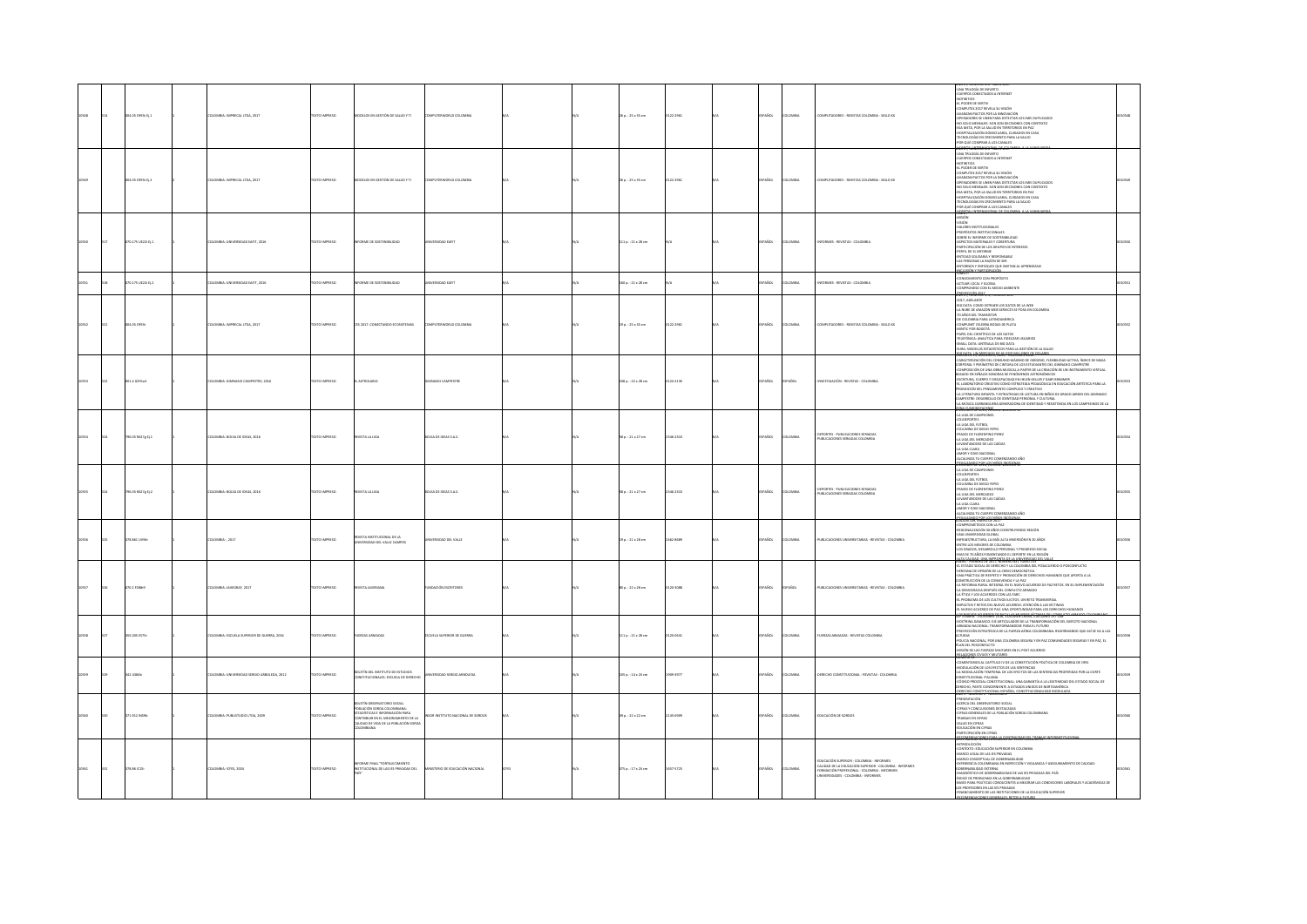|  | ma os copas ri s       | DIOMINA-IMPRECAL LTDA 2017                | DZER IMPERIO        | T Y GUIA? BO WORSTON OF SALES YOU                                                                                                                                    | MPI ITERWORLD COLOMBIA          |  | $26.6 - 25.6$ SS cm.         | 122.2011   | <b>COARGE</b> | <b>VOMBA</b>  | OMBITADORES - BEVISTAS COLOMBIA - SISLO XX                                                                                                                                           | UNA TRILOGÍA DE INFARTO<br>CUERPOS CONECTADOS A INTERNET<br>NOTIBITIOS<br>EL PODER DE VERTIV<br>L'HANNA NE VENTIF<br>COMPUTEX 2017 REVELA SU VISIÓN<br>INANZAN PACTOS POR LA INNOVACIÓN<br>IPERADORES SE UNEN PARA DETECTAR LOS IMEI DUPLICADOS<br>SPESSIONES AS MINISTER DE DE DE CONTENTO DE SOLO MENSALES.<br>25 ANTEA, POR LA SALUD EN TERRITORIOS EN PAZ<br>2005 FITAL POR LA SALUD EN TERRITORIOS EN PAZ<br>2005 FITALIZACIÓN DOMICILIARIA, CUIDADOS EN CASA<br>2007 FITALOGÍAS EN CREC<br>OR OUT COMPRAR A LOS CANALES<br>027, NJARADA SEPAWAL 60                                                                                                                                                                                                                                         |  |
|--|------------------------|-------------------------------------------|---------------------|----------------------------------------------------------------------------------------------------------------------------------------------------------------------|---------------------------------|--|------------------------------|------------|---------------|---------------|--------------------------------------------------------------------------------------------------------------------------------------------------------------------------------------|--------------------------------------------------------------------------------------------------------------------------------------------------------------------------------------------------------------------------------------------------------------------------------------------------------------------------------------------------------------------------------------------------------------------------------------------------------------------------------------------------------------------------------------------------------------------------------------------------------------------------------------------------------------------------------------------------------------------------------------------------------------------------------------------------|--|
|  | 004.05 C993t Ej.2      | <b>ILOMBIA: IMPRECAL LTDA, 2017</b>       | TEXTO IMPRESO       | DELOS EN GESTIÓN DE SALUD Y TI                                                                                                                                       | PUTERWORLD COLOMBI              |  | 26 p. : 25 x 35 cm           | 0122-2961  | SPAÑOL        | LOMBIA        | OMPUTADORES - REVISTAS COLOMBIA - SIGLO XX                                                                                                                                           | UNA TRILOGÍA DE INFARTO<br><b>CUERPOS CONECTADOS A INTERNET</b><br>NOTIBITIOS<br>EL PODER DE VERTIV<br>COMPUTEX 2017 REVELA SU VISIÓN<br>AVANZAN PACTOS POR LA INNOVACIÓN<br>OPERADORES SE UNEN PARA DETECTAR LOS IMEI DUPLICADOS<br>NO SOLO MENSAJES, SON SON DECISIONES CON CONTEXTO<br>ESA META, POR LA SALUD EN TERRITORIOS EN PAZ<br>SPITALIZACIÓN DOMICILIARIA, CUIDADOS EN CASA<br>CNOLOGIAS EN CRECIMIENTO PARA LA SALUD<br>OR OUT COMPRAR A LOS CANALES                                                                                                                                                                                                                                                                                                                                 |  |
|  | 70.175 UE22i Ej.1      | LOMBA: UNIVERSIDAD EAFIT, 2016            | TEXTO IMPRESO       | NFORME DE SOSTENBILIDAD                                                                                                                                              | ERSIDAD EAFIT                   |  | 111 p.: 21 x 28 cm           |            | SPAÑOL        | LOMBIA        | NFORMES - REVISTAS - COLOMBIA                                                                                                                                                        | VALORES INSTITUCIONALES<br>-PROPÓSITOS INSTITUCIONALES<br>-SOBRE EL INFORME DE SOSTENIBILIDAD<br>-ASPECTOS MATERIALES Y COBERTURA<br>-PARTICIPACIÓN DE LOS GRUPOS DE INTERESES<br>-PERFIL DE EL INFORME<br>ENTIDAD SOLIDARIA Y RESPONSABLE<br>LAS PERSONAS LA RAZÓN DE SER<br>ENTORNOS Y ENFOQUES QUE INVITAN AL APRENDIZAJE                                                                                                                                                                                                                                                                                                                                                                                                                                                                     |  |
|  | 0.175 UE22i Ei.2       | 10MBIA: UNIVERSIDAD EAFIT, 2016           | <b>XTO IMPRESO</b>  | ORME DE SOSTENBILIDAD                                                                                                                                                | TRIDAD EAFT                     |  | $160$ p. : $21 \times 28$ cm |            | PAÑOL         | <b>LOMBIA</b> | NFORMES - REVISTAS - COLOMBIA                                                                                                                                                        | sin under viewen neuron<br>DMO II<br>ONOCIMENTO CON PROPÓSITO<br>CTUAR LOCAL Y GLOBAL<br>DMPROMISO CON EL MEDIO AMBIENTE                                                                                                                                                                                                                                                                                                                                                                                                                                                                                                                                                                                                                                                                         |  |
|  | N OS COOM              | COMILA-IMPRECAL LTDA 2017                 | DZED IMPRESO        | 25 2017: COMPITANDO PEOSISTEMAS                                                                                                                                      | <b>PUTTEW RUD COLOMBIA</b>      |  | $19a. : 25x35$ cm            | 122-2061   | SPAÑOL        | Channa        | OMBUTADORES - REVISTAS COLOMBIA - SIGLO XX                                                                                                                                           | OYECCIÓN 2017<br>U.Z.T. NUMERO 474, FEBRE<br>-2017, ADELANTE<br>-BIG DATA: COMO EXTRAER LOS DATOS DE LA WEB<br>LA NUBE DE AMAZON WEB SERVICES SE POSA EN COLOMBIA<br>70 AÑOS DEL TRANSISTOR<br>OE COLOMBIA PARA LATINGAMERICA<br>COMPUNIT CELEBRA BODAS DE PLATA<br>MINTIC POR BOGOTÁ<br>PAPEL DEL CIENTÍFICO DE LOS DATOS<br>ELEFÓNICA: ANALÍTICA PARA FIDELIZAR USUARIOS<br>MALL DATA: ANTESALA DE BIG DATA<br>INVALUATA MITEMA DE MU UNIX.<br>IURA: MODELOS ESTADÍSTICOS PARA LA GESTIÓN DE LA SALUD.                                                                                                                                                                                                                                                                                         |  |
|  | 01.4 0291a3            | LOMBIA: GIMNASIO CAMPESTRE, 2016          | OZSRRNI OTX3        | <b>ASTROLABIO</b>                                                                                                                                                    | NASIO CAMPESTRE                 |  | 108 p. : 22 x 28 cm          | 0124-213X  | SPAÑOL        | <b>PAÑOL</b>  | WESTIGACIÓN - REVISTAS - COLOMBIA                                                                                                                                                    | CARACTERIZACIÓN DEL CONSUMO MÁXIMO DE OXÍGENO, FLEXIBILIDAD ACTIVA. ÍNDICE DE MASA<br>RPORAL Y PERÍMETRO DE CINTURA DE LOS ESTUDIANTES DEL GIMNASIO CAMPESTRE<br>IMPOSICIÓN DE UNA OBRA MUSICAL A PARTIR DE LA CREACIÓN DE UN INSTRUMENTO VIRTUAL<br>SADO EN SEÑALES SONORAS DE FENÓMENOS ASTRONÓMICOS<br>ESCRITURA, CUERPO Y DISCAPACIDAD EN HELEN KELLER Y GABY BRIMMER<br>EL LABORATORIO CREATIVO COMO ESTRATEGIA PEDAGÓGICA EN EDUCACIÓN ARTÍSTICA PARA LA<br>IOMOCIÓN DEL PENSAMENTO COMPLEJO Y CREATIVO<br>A LITERATURA INFANTIL Y ESTRATEGIAS DE LECTURA EN NIÑOS DE GRADO JARDIN DEL GIMNASIO<br>MAPESTRE: DESARROLLO DE IDENTIDAD PERSONAL Y CULTURAL<br>MAPESTRE: DESARROLLO DE IDENTIDAD PERSO<br>LA MÚSICA CARRANGUERA GENERADORA DE IDENTIDAD Y RESISTENCIA EN LOS CAMPESINOS DE LA |  |
|  | 06.05 R627g Ej.1       | LOMBIA: BOLSA DE IDEAS, 2016              | <b>EXTO IMPRESO</b> | <b>ISTA LA LIGA</b>                                                                                                                                                  | <b>ILSA DE IDEAS S.A.S.</b>     |  | 58 p. : 21 x 27 cm           | 346-2310   | AÑOL          | LOMBIA        | EPORTES - PUBLICACIONES SERIADAS<br>UBLICACIONES SERIADAS COLOMBIA                                                                                                                   | LA LIGA DE CAMPEONES<br>COLDEPORTES<br>LA LIGA DEL FÚTBOL<br>-COLUMNA DE DIEGO YEPES<br>-FRASES DE FLORENTINO PEREZ<br>LA UGA DEL MERCADEO<br>LEVANTANDOSE DE LAS CAÍDAS<br>LA LIGA CLARA<br>AMOR Y ODIO NACIONAL<br>LCALINZA TU CUERPO COMENZANDO AÑO                                                                                                                                                                                                                                                                                                                                                                                                                                                                                                                                           |  |
|  | .<br>796.05 R627g Ej.2 | <b>ILOMBIA: BOLSA DE IDEAS, 2016</b>      | TEXTO IMPRESO       | <b>EVISTA LA LIGA</b>                                                                                                                                                | OLSA DE IDEAS S.A.S.            |  | 58 p. : 21 x 27 cm           | 1346-2310  | SPAÑOL        | LOMBIA        | EPORTES - PUBLICACIONES SERIADAS<br>UBLICACIONES SERIADAS COLOMBIA                                                                                                                   | <del>ombrido Robjes Niĝenioj</del><br>LA LIGA DE CAMPEONES<br>COLDEPORTES<br>LA LIGA DEL FÚTBOL<br>COLUMNA DE DIEGO YEPES<br>FRASES DE FLORENTINO PEREZ<br>-LA LIGA DEL MERCADEO<br>LEVANTANDOSE DE LAS CAÍDAS<br>-LA LIGA CLARA<br>-AMOR Y ODIO NACIONAL<br>ALCALINZA TU CUERPO COMENZANDO AÑO<br>WANTED REAKSHING                                                                                                                                                                                                                                                                                                                                                                                                                                                                              |  |
|  | 78.861 UVMH            | LOMBIA: , 2017                            | EXTO IMPRESO        | VISTA INSTITUCIONAL DE LA<br>INVERSIDAD DEL VALLE CAMPOS                                                                                                             | ERSIDAD DEL VALLE               |  | 19 p.: 21 x 28 cm            | (462-8689) | PAÑOL         | LOMBIA        | PUBLICACIONES UNIVERSITABLAS - REVISTAS - COLOMBIA                                                                                                                                   | MPROMETIDOS CON LA PAZ<br>SIONALIZACIÓN 30 AÑOS CONSTRUYENDO REGIÓN<br>A UNIVERSIDAD GLOBAI<br>IFRAESTRUCTURA, LA MÁS ALTA INVERSIÓN EN 20 AÑOS<br>-ENTRE LOS MEJORES DE COLOMBIA<br>-LOS GRADOS, DESARROLLO PERSONAL Y PROGRESO SOCIAL<br>MAS DE 70 AÑOS FOMENTANDO EL DEPORTE EN LA REGIÓN<br><b>AS AVENELUME DISPONSIBLE LA LIPTORISTES DEL 100</b>                                                                                                                                                                                                                                                                                                                                                                                                                                           |  |
|  | 070.17288-9            | ILOMBIA: JAVEGRAF, 2017                   | TEXTO IMPRESO       | <b>EVISTA JAVERIANA</b>                                                                                                                                              | NOACIÓN ESCRITORES              |  | 80 p.: 22 x 28 cm            | 120-3088   | SPAÑOL        | <b>PAÑOL</b>  | PUBLICACIONES UNIVERSITARIAS - REVISTAS - COLOMBIA                                                                                                                                   | EL ESTADO SOCIAL DE DERECHO Y LA COLOMBIA DEL POSACUERDO O POSCOMFUCTO<br>-VENTANA DE OPINIÓN DE LA CRISIS DEMOCRÁTICA<br>-UNA PRÁCTICA DE RESPETO Y PROMOCIÓN DE DERECHOS HUMANOS QUE APORTA A LA<br>CONSTRUCCIÓN DE LA CONVIVENCIA Y LA PAZ<br>-LA REFORMA: RURAL INTEGRAL EN EL NUEVO ACUERDO DE PAZ RETOS. EN SU IMPLEMENTACIÓN<br>-LA DEMOCRACIA DESPUÉS DEL CONFUCTO ARMADO<br>-LA ÉTICA Y LOS ACUERDOS CON LAS FARC<br>-EL PROBLEMA DE LOS CULTIVOS ILICITOS. UN RETO TRANSVERSAL<br>-IMPACTOS Y RETOS DEL NUEVO ACUERDO: ATENCIÓN A LAS VÍCTIMAS<br>-EL NUEVO ACUERDO DE PAZ: UNA OPORTUNIDAD PARA LOS DERECHOS HUMANOS                                                                                                                                                                  |  |
|  | 55.005 ES75r           | LOMBIA: ESCUELA SUPERIOR DE GUERRA, 2016  | DZERRIO INTE        | UERZAS ARMADAS                                                                                                                                                       | SCUELA SUPERIOR DE GUERRA       |  | 111 p.: 21 x 28 cm           | 120-0631   | PAÑOL         | LOMBIA        | FUERZAS ARMADAS - REVISTAS COLOMBIA                                                                                                                                                  | <u> ANATOMY NEUTROP SER VELOVAL DRESKÝ DRESKE 2009 (TO ANATO</u><br>-DOCTRINA DAMASCO: EIE ARTICULADOR DE LA TRANSFORMACIÓN DEL EJERCTO NACIONAL<br>-DOCTRINA DAMASCO: EIE ARTICULADOR DE LA TRANSFORMACIÓN DEL EJERCTO NACIONAL<br>-ARMADA NACIONAL: TRANSFORMANDOSE PARA EL FUTURO<br><b>INTECIÓN ESTRATÉGICA DE LA FUERZA AÉREA COLOMBIANA: REAFIRMANDO QUE ASÍ SE VA A LAS</b><br><b>ALTURAS</b><br>-<br>-POLICIA NACIONAL, POR UNA COLOMBIA SEGURA Y EN PAZ COMUNIDADES SEGURAS Y EN PAZ, EL<br>PLAN DEL POSCONFLICTO<br>-MISIÓN DE LAS FUERZAS MILITARES EN EL POST ACUERDO                                                                                                                                                                                                                |  |
|  | 42 USB4b               | LOMBIA: UNIVERSIDAD SERGIO ARBOLEDA, 2012 | <b>DZSRRMI OTX3</b> | OLETÍN DEL INSTITUTO DE ESTUDIOS<br><b>ISTITUCIONALES: ESCUELA DE DERECHO</b>                                                                                        | AD3JOBRA CIGR32 GACIER3V        |  | 105 p.: 14 x 24 cm           | 1909-1977  | SPAÑOL        | LOMBIA        | ERECHO CONSTITUCIONAL - REVISTAS - COLOMBIA                                                                                                                                          | AFT ACTORES CONTES Y MILITARES.<br>NUMERIU 31<br>-COMENTARIOS AL CAPÍTULO IV DE LA CONSTITUCIÓN POLÍTICA DE COLOMBIA DE 1991<br>-MODULACIÓN DE LOS EFECTOS DE LAS SENTENCIAS<br>-LA MODULACIÓN TEMPORAL DE LOS EFECTOS DE LAS SENTENCIAS PROFERIDAS POR LA CORTE<br>AMUSTI JAKODUTTA<br>ONSTITUCIONAL ITALIANA<br>IÓDIGO PROCESAL CONSTITUCIONAL: UNA GARANTÍA A LA LEGITIMIDAD DEL ESTADO SOCIAL DE<br>DERECHO, PARTE CONCERNENTE A ESTADOS UNIDOS DE NORTEAMÉRICA                                                                                                                                                                                                                                                                                                                              |  |
|  | 1.912 (659b)           | COMBIA: PUBLISTUDIO LTDA, 2009            | <b>CTO IMPRESS</b>  | <b>MOOS ORDER ARRESTS</b><br>OBLACIÓN SORDA COLOMBIANA<br>TADISTICAS E INFORMACIÓN PARA<br><b>NTERLIR FN FLAFFORMERTO DE LA</b><br>JOAD DE VIDA DE LA POBLACIÓN SORE | CORINSTITUTO NACIONAL DE SORDOS |  | $19a : 22x22$ cm             | 145-6929   | <b>SPAÑOL</b> | LOMBIA        | DUCACIÓN DE SORDOS                                                                                                                                                                   | <b>PRESENTACIÓN</b><br>ACTRO DEL OBSERVATORIO SOCIAL<br>CIFRAS Y CONCLUSIONES DESTACADAS<br>CIFRAS GENERALES DE LA POBLACIÓN SORDA COLOMBIANA<br>TRABAJO EN CIFRAS<br>SALUD PN CITERS<br>EDUCACIÓN EN CIFRAS<br><b>PRODUCTOR PN CITER</b><br>KEMANAK DELA 2000-LOGI SEMBENDA DEL                                                                                                                                                                                                                                                                                                                                                                                                                                                                                                                 |  |
|  | 378.86 IC151           | DLOMBIA: ICFES, 2004                      | TEXTO IMPRESO       | <b>IFORME FINAL "FORTALECIMIENTO</b><br>INSTITUCIONAL DE LAS IES PRIVADAS DEL                                                                                        | NSTERIO DE EDUCACIÓN NACIONAL   |  | 175 p.: 17 x 24 cm           | 1657-5725  | SPAÑOL        | <b>LOMBIA</b> | DUCACIÓN SUPERIOR - COLOMBIA - INFORMES<br>CALIDAD DE LA EDUCACIÓN SUPERIOR - COLOMBIA - INFORMES<br>CRMACIÓN PROFESIONAL - COLOMBIA - INFORMES<br>INTRSIDADES - COLOMBIA - INFORMES | -introducción<br>-contexto: educación superior en colombia<br>MARCO LEGAL DE LAS IES PRIVADAS<br>MARCO CONCEPTUAL DE GOBERNABILIDAD<br>EXPERIENCIA COLOMBIANA EN INSPECCIÓN Y VIGILANCIA Y ASEGURAMENTO DE CALIDAD:<br>AMSTER GAOLIGAN EXTERNA<br>AGNÓSTICO DE GOBERNABILIDAD DE LAS IES PRIVADAS DEL PAÍS<br>NDICE DE PROBLEMAS EN LA GOBERNABILIDAD<br>IASES PARA POLÍTICAS CONDUCENTES A MEIORAR LAS CONDICIONES LABORALES Y ACADÉMICAS DE<br>LOS PROFESORES EN LAS IES PRIVADAS<br>NANCIAMIENTO DE LAS INSTITUCIONES DE LA EDUCACIÓN SUPERIOR                                                                                                                                                                                                                                                |  |
|  |                        |                                           |                     |                                                                                                                                                                      |                                 |  |                              |            |               |               |                                                                                                                                                                                      |                                                                                                                                                                                                                                                                                                                                                                                                                                                                                                                                                                                                                                                                                                                                                                                                  |  |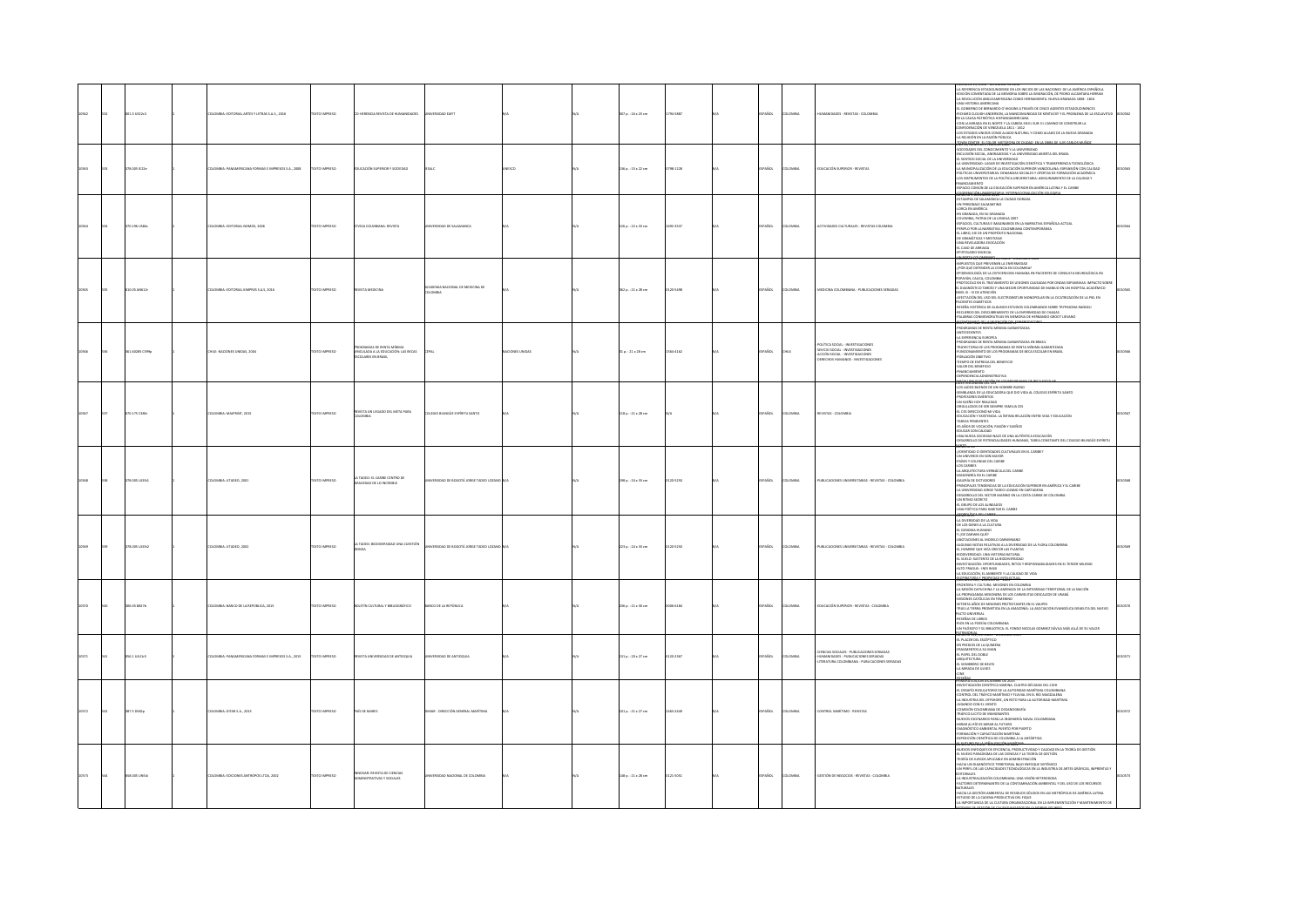|  | 01.3 UE22c3    | LOMBIA: EDITORIAL ARTES Y LETRAS S.A.S., 2016     | <b>DZERNI OTXT</b>   | HERENCIA REVISTA DE HUMANIDADES                                                          | <b>ID FARIT</b>                              |             | 307 p. : 16 x 23 cm | 794-5887  | SPAÑOL        | <b>LOMBIA</b> | <b>IUMANDADES - REVISTAS - COLOMBIA</b>                                                                                                                | -LA REFERENCIA ESTADOUNIDENSE EN LOS INICIOS DE LAS NACIONES DE LA AMÉRICA ESPAÑOLA<br>EDICIÓN COMENTADA DE LA MEMORIA SOBRE LA IMIGRACIÓN, DE PEDRO ALCANTARA HERRAN<br>-LA REVOLUCIÓN ANGLOAMERICANA COMO HERRAMENTA. NUEVA GRANADA 1808 - 1816<br>UNA HISTORIA AMERICANA<br>EL GOBIERNO DE BERNARDO O HIGGINS A TRAVÉS DE CINCO AGENTES ESTADOUCINENCES<br>CHARD CLOUGH ANDERSON, LA MANCOMUNIDAD DE KENTUCKY Y EL PROBLEMA DE LA ESCLAVI<br>EN LA CAUSA PATRIÓTICA HISPANOAMERICANA<br>CON LA MIRADA EN EL NORTE Y LA CABEZA EN EL SUR: EL CAMINO DE CONSTRUIR LA<br>EDERACIÓN DE VENEZUELA 1811 - 1812<br>LOS ESTADOS UNIDOS COMO ALIADO NATURAL Y COMO ALIADO DE LA NUEVA GRANADA<br>-LA RELIGIÓN EN LA RAZÓN PÚBLICA                                                                                                                                     |  |
|--|----------------|---------------------------------------------------|----------------------|------------------------------------------------------------------------------------------|----------------------------------------------|-------------|---------------------|-----------|---------------|---------------|--------------------------------------------------------------------------------------------------------------------------------------------------------|-----------------------------------------------------------------------------------------------------------------------------------------------------------------------------------------------------------------------------------------------------------------------------------------------------------------------------------------------------------------------------------------------------------------------------------------------------------------------------------------------------------------------------------------------------------------------------------------------------------------------------------------------------------------------------------------------------------------------------------------------------------------------------------------------------------------------------------------------------------------|--|
|  | 1.0051224      | <b>IERICANA FORMAS E IMPRESOS S.A., 2008</b>      | TO IMPRESO           | UCACIÓN SUPERIOR Y SOCIEDAD                                                              |                                              |             | 36 p. : 15 x 22 cm  | 38-1228   | AÑOL          | us.           | DUCACIÓN SUPERIOR - REVISTAS                                                                                                                           | IANCIAMIENTO<br>PACIO COMÚN DE LA EDUCACIÓN SUPERIOR EN AMÉRICA LATINA Y EL CARIBE                                                                                                                                                                                                                                                                                                                                                                                                                                                                                                                                                                                                                                                                                                                                                                              |  |
|  | 70.196 USB4s   | LOMBIA: EDITORIAL NOMOS, 2006                     | TEXTO IMPRESO        | DIA COLMBIANA: REVISTA                                                                   | ERSIDAD DE SALAMANCA                         |             | 26 p.: 22 x 33 cm   | 692-3537  | SPAÑOL        | LOMBIA        | <b>CTIVIDADES CULTURALES - REVISTAS COLOMBIA</b>                                                                                                       | COORENCY ON I DOUGHARD - INT<br>ESTAMPAS DE SALAMANCA LA CIUDAD DORADA<br>VN PERSONAJE SALMANTINO<br>LORCA EN AMÉRICA<br>EN GRANADA, EN SU GRANADA<br>SAT MONOROS, UN JOI MONORO<br>- CELOMBIA, PATRIA DE LA LENGUA 2007<br>- ESPACIOS, CULTURAS E IMAGINARIOS EN LA NARRATIVA ESPAÑOLA ACTUAL<br>- PERIPLO POR LA NARRATIVA COLOMBIANA CONTEMPORÁNEA<br>EL LIBRO, EJE DE UN PROPÓSITO NACIONAL<br>-DE GRAMÁTICAS Y MESTIZAJE<br>UNA REVELADORA EVOCACIÓN<br>EL CASO DE ARRIAGA<br><b>ISTOLARIO MUSICAL</b>                                                                                                                                                                                                                                                                                                                                                     |  |
|  | 0.05 AN612     | OMBIA: EDITORIAL KIMPRES S.A.S. 2016              | <b>CERRIN OTX</b>    | STA MEDICINA                                                                             | CEMIA NACIONAL DE MEDICINA DE<br><b>MEMC</b> |             | 62 p.: 21 x 28 cm   | 20-5498   | PAÑOL         | <b>DMBIA</b>  | MEDICINA COLOMBIANA - PUBLICACIONES SERIADAS                                                                                                           | <b>CONTRACTOR CONTRACTOR CONTRACTOR</b><br>INFUESTOS QUE PREVIENEN LA ENFERMEDAD<br>{POR QUÉ DEFENDER LA CIENCIA EN COLOMBIA}<br>YON GOL GOTINGHAM CHOOGRAPH CORRESPONDENT ON THE CONSULTANT CONSULTANT COMPANY CONSULTANT COMPANY CONSULTANT COMPANY CONSULTANT CONSULTANT CONSULTANT CONSULTANT CONSULTANT CONSULTANT CONSULTANT CONSULTANT CONSULTANT CONSU                                                                                                                                                                                                                                                                                                                                                                                                                                                                                                  |  |
|  | 61.60285 C399p | HILE: NACIONES UNIDAS, 2004                       | <b>DESIRAIO DTX:</b> | GRAMAS DE RENTA MÍNIMA<br>VINCULADA A LA EDUCACIÓN: LAS BECAS<br><b>DLARES EN BRASIL</b> |                                              | ONES UNIDAS | 1p.:21×28 cm        | 564-4162  | AÑOL          |               | POLÍTICA SOCIAL - INVESTIGACIONES<br>-<br>SEVICIO SOCIAL - INVESTIGACIONES<br>- ACOÓN SOCIAL - INVESTIGACIONES<br>- DERECHOS HUMANOS - INVESTIGACIONES | FEYONNOSSUJJES, NGŘECHY<br>COGRAMAS DE RENTA MÍNIMA GARANTIZADA<br><b>ANTECEDENTES</b><br>LA EXPERIENCIA EUROPEA<br>-PROGRAMAS DE RENTA MÍNIMA GARANTIZADA EN BRASIL<br>-<br>TRAYECTORIA DE LOS PROGRAMAS DE RENTA MÍNIMA GARANTIZADA<br>-FUNCIONAMIENTO DE LOS PROGRAMAS DE BECA ESCOLAR EN BRASIL<br>-POBLACIÓN OBJETIVO<br>-TIEMPO DE ENTREGA DEL BENEFICIO<br>-VALOR DEL BENEFICIO<br><b>FINANCIAMIENTO</b><br>OEPENDENCIA ADMINISTRATIVA<br><b>MONAGEMENTO DE</b>                                                                                                                                                                                                                                                                                                                                                                                          |  |
|  | 0.175 C386     | LOMBIA: MAJPRINT, 2015                            | OZERNI OTXT          | EVISTA UN LEGADO DEL META PARA<br>OLOMBIA                                                | OLEGIO BILINGÜE ESPÍRITU SANTO               |             | 118 p.: 21 x 28 cm  |           | <b>SPAÑOL</b> | LOMBIA        | REVISTAS - COLOMBI                                                                                                                                     | LIDER VISIONANIA DEL CES<br>-ESS LADOS BUENOS DE UN HOMBRE BUENO<br>-SEMBLARZA DE LA EDUCADORA QUE DIO VIDA AL COLEGIO ESPÍRITU SANTO<br>-PROFESORES EMÉRITOS<br>-PROFESORES EMERITOS<br>-ON SUEÑO HOY REALIDAD<br>-ORGULLOSOS DE SER SIEMPRE FAMILIA CES<br>-EL CES DIRECCIONÓ MI VIDA<br>-<br>EDUCACIÓN Y ENSTENCIA: LA ÍNTIMA RELACIÓN ENTRE VIDA Y EDUCACIÓN<br>TAREAS PENDIFNEES<br>-IAREAS PENUNINIUS<br>-35 AÑOS DE VOCACIÓN, PASIÓN Y SUEÑOS<br>-37 ANNU DE NOMEDIA<br>-1800AR DON CALIDAD<br>-1910AR DON CALIDAD<br>-015ARROLLO DE POTENCIALIDADES HUMANAS, TAREA CONSTANTE DEL COLEGIO BILINGÜE ESPÍRITU                                                                                                                                                                                                                                              |  |
|  | 78.005 UJ33t3  | OMBIA: UTADEO, 2001                               | EXTO IMPRESO         | n Tadeo: el Caribe Centro de<br>Ravedad de lo increible                                  |                                              |             | 38 p.: 24 x 33 cm   | 20-5250   | <b>ADL</b>    | man           | PUBLICACIONES UNIVERSITARIAS - REVISTAS - COLOMBIA                                                                                                     | <b>MUNERO DE</b><br>-{IDENTIDAD O IDENTIDADES CULTURALES EN EL CARRE?<br>-UN UNIVEROS EN SON MAYOR<br>-PAÉS Y COLONIAS DEL CARRE<br>-PAÉS Y COLONIAS DEL CARRE<br>-LOS CARIBES<br>-LA ARQUITECTURA VERNÁCULA DEL CARIBE<br>SAMUARITIC UNIV SERIOUS COLORES<br>CARRING DE DETADORES<br>CARRING DE DETADORES<br>CARRING DE DETADORES<br>CARRING DE DE CARRING<br>CARRING DE DE CARRING DE LA CARRINGENA<br>CARRING DE CARRING DE LA CARRINGE DE CARRINGER<br>CARRINGER DE CARRIN                                                                                                                                                                                                                                                                                                                                                                                  |  |
|  | 378.005 UJ33t2 | LOMBIA: UTADEO, 2002                              | DZERRAI OTX31        | A TADEO: BICIDIVERSIDAD UNA CUESTIÓN                                                     | RSIDAD DE BOGOTÁ JORGE TADEO I               |             | 223 p.: 24 x 33 cm  | 120-5250  | PAÑOL         | AIGMO.        | PUBLICACIONES UNIVERSITARIAS - REVISTAS - COLOMBIA                                                                                                     | <b>AUGENUSY OF CANNEL</b><br>-LA DIVERSIDAD DE LA VIDA<br>OE LOS GENES A LA CULTURA<br>CIAMAN HUMANO 13-<br>Yaud www.nd 303 y<br>ANOTACIONES AL MODELO DARWINIANO<br>ALGUNAS NOTAS RELATIVAS A LA DIVERSIDAD DE LA FLORA COLOMBINA.<br>«EL HOMBRE QUE VEÍA CRECER LAS PLANTAS<br>4/CONVERSIDAD: UNA HISTORIA NATURAL<br>-EL SUELO: SUSTENTO DE LA BIODIVERSIDAD<br>-INVESTIGACIÓN: OPORTUNIDADES, RETOS Y RESPONSABILIDADES EN EL TERCER MILENIO<br>-ALTO FRAGUA - INDI WASI<br>-LA EDUCACIÓN, EL AMBIENTE Y LA CALIDAD DE VIDA<br><b>BOODARY RECYCLE AND RELEASED IN 1999 PERSON WAS</b>                                                                                                                                                                                                                                                                       |  |
|  | 05.05 8827b    | OMBIA: BANCO DE LA REPÚBLICA, 2015                | EXTO IMPRESO         | OUTTIN CULTURAL Y BIBLIOGRÁFICO                                                          | ANCO DE LA REPÚBLICA                         |             | 236 p. : 21 x 30 cm | 005-6184  | PAÑOL         | <b>OMBA</b>   | EDUCACIÓN SUPERIOR - REVISTAS - COLOMBIA                                                                                                               | <b>VOLTOBER XIX, NOMERO 181 - 2015</b><br>JAKANSON CAPUCHINA YA AAMENAS EN COLOMBIA<br>JA ANSIÓN CAPUCHINA YA AAMENAZA DE LA HITEGRENO TERRITORIAL DE LA NACIÓN<br>JAA PROPAGANDA MESIONERA DE LOS CARMELITAS DESCALEOS DE URABÁ<br>JAETENTA AÑ<br>-SETENTA MNUS UE MISIUNES PRUTESTANTES EN EL VAUPES<br>-TRAE LA TERRA PROMETIDA EN LA AMAZONÍA: LA ASOCIACIÓN EVANGÉLICA ISRAELITA DEL NUEVO<br>PACTO UNIVERSAL<br>-RESEÑAS DE LIBROS<br>-<br>Nos en la poesía colombiana<br>Un filósofo y su biblioteca: el fondo nicolas gomnez dávila más allá de su valor<br>MENOVIA OCTUBRE - DICIEMBRE 2015                                                                                                                                                                                                                                                            |  |
|  | 56.1 UA11r5    | LOMBIA: PANAMERICANA FORMAS E IMPRESOS S.A., 2015 | TEXTO IMPRESO        | IVISTA UNIVERSIDAD DE ANTIOQUIA                                                          | VERSIDAD DE ANTIOQUIA                        |             | 131 p.: 20 x 27 cm  | 120-2367  | PAÑOL         | LOMBIA        | - CIENCIAS SOCIALES - PUBLICACIONES SERIADAS<br>- HUMANIDADES - PUBLICACIONES SERIADAS<br>- LITERATURA COLOMBIANA - PUBLICACIONES SERIADAS             | EL PLACER DEL ESCÉPTICO<br>EN PREDIOS DE LA QUIMERA<br><b>FRAGMENTOS A SU IMAN<br/>-EL PAPEL DEL DOBLE<br/>-ARQUITECTURA</b><br>EL SOMBRERO DE BEUYS<br>LA MIRADA DE ULISES                                                                                                                                                                                                                                                                                                                                                                                                                                                                                                                                                                                                                                                                                     |  |
|  | 387.5 D582p    | <b>ILOMBIA: DITAR S.A., 2015</b>                  | DZERNIK OTXET        | AÍS DE MARE:                                                                             | MAR - DIRECCIÓN GENERAL MARÍTIMA             |             | 101 p. : 21 x 27 cm | 463-2449  | PAÑOL         | LOMBIA        | CONTROL MARÍTIMO - REVISTA:                                                                                                                            | <b>MEETING CONFIDENTIFY ASSAULT CAN CONFIDENT AN ANNOUNCEMENT CONFIDENTIFY AN ARRANGEMENT CONFIDENTIFY AN ARRANGEMENT CONFIDENTIFY AN ARRANGEMENT CONFIDENTIFY AN ARRANGEMENT CONFIDENTIFY AN ARRANGEMENT CONFIDENTIFY AND A CO</b>                                                                                                                                                                                                                                                                                                                                                                                                                                                                                                                                                                                                                             |  |
|  | 58.005 UNS4    | LOMBIA: EDICIONES ANTROPOS LTDA, 2002             | <b>DZERRAI OTXIT</b> | INNOVAR: REVISTA DE CIENCIAS<br><b>IVAS Y SOCIALES</b>                                   | VERSIDAD NACIONAL DE COLOMBIA                |             | 148 p. : 21 x 28 cm | 0121-5051 | SPAÑOL        | <b>AIGMOJ</b> | GESTIÓN DE NEGOCIOS - REVISTAS - COLOMBIA                                                                                                              | AUMERITA, TULU TÉRVISISÉ LE 2002 ***<br>-nuevos enfoques de eficiencia, productividad y calidad en la teoría de gestión<br>EL NUEVO PARADIGMA DE LAS CIENCIAS Y LA TEORÍA DE GESTIÓN<br>TEORÍA DE JUEGOS APLICABLE EN ADMINISTRACIÓN<br>HACIA UN DIAGNÓSTICO TERRITORIAL BAJO ENFOQUE SISTÉMICO<br>UN PERFIL DE LAS CAPACIDADES TECNOLÓGICAS EN LA INDUSTRIA DE ARTES GRÁFICAS. IMPRENTAS 1<br>TORALES<br>LA INDUSTRALIZACIÓN COLOMBIANA: UNA VISIÓN HETERODOXA<br>FACTORES DETERMINANTES DE LA CONTAMINACIÓN AMBIENTAL Y DEL USO DE LOS RECURSOS<br>NATURALES<br>-NACIA LA GESTIÓN AMBIENTAL DE RESIDUOS SÓLIDOS EN LAS METRÓPOLIS DE AMÉRICA LATINA<br>-<br>STUDIO DE LA CADENA PRODUCTIVA DEL FIQUE<br>4.A IMPORTANCIA DE LA CUITURA ORGANIZACIONAL EN LA IMPLEMENTACIÓN Y MANTENIMENTO DI<br>ENTERAK PE OFSTIÓN DE FAI IPAR IMEGITIVI PA LA INTERAK PO SONO |  |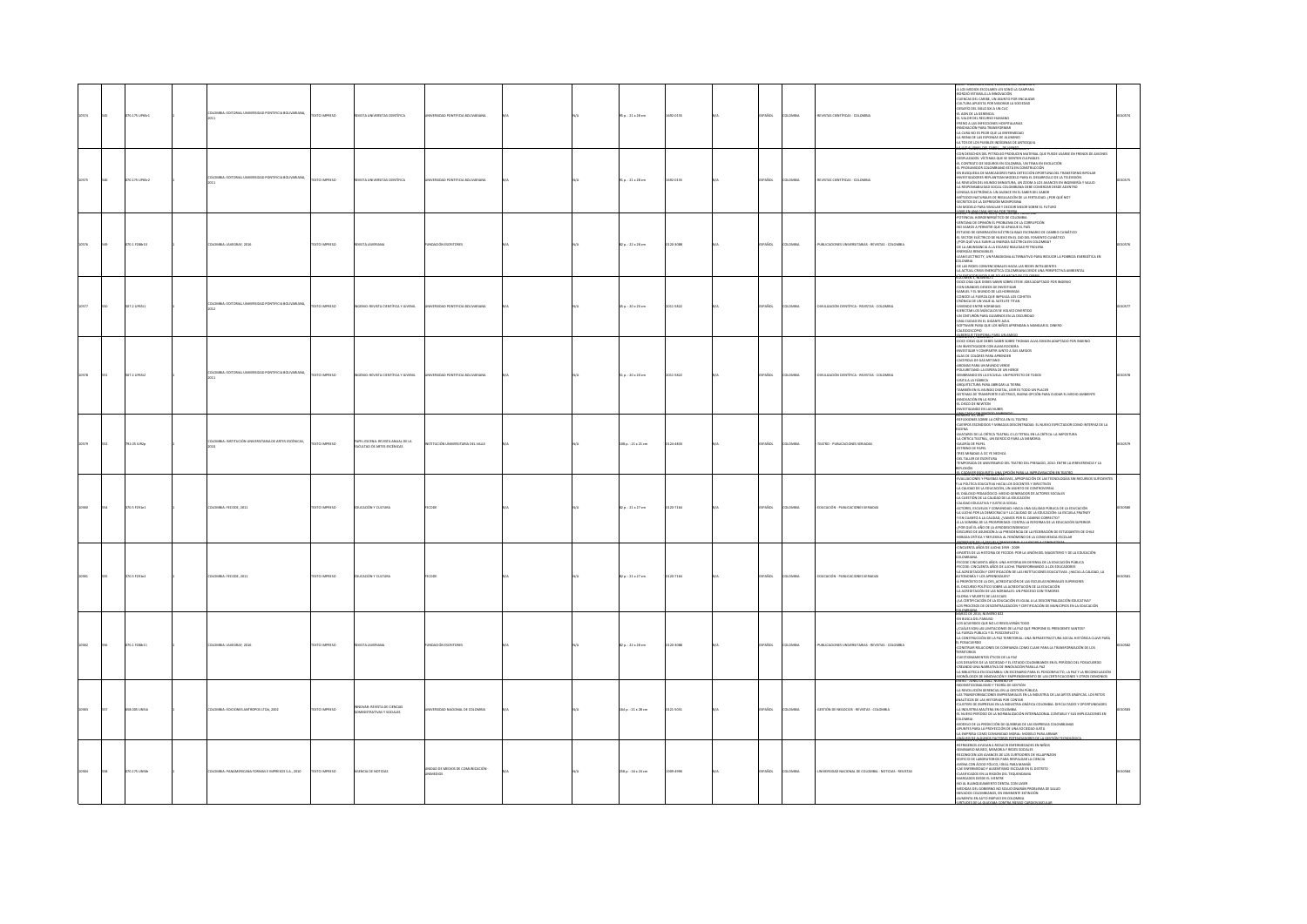|  | 00.175 UP65r1 | MBIA: EDITORIAL UNIVERSIDAD PONTIFICIA BOLIVARIANA.  | TEXTO IMPRESO      | <b>IVISTA UNIVERSITAS CIENTÍFICA</b>                             | NIVERSIDAD PONTIFICIA BOLIVARIANA            |  | $50.121 \times 28$ cm | 692-0155  | SPAÑOL        | <b>AIGMOJO</b> | REVISTAS CIENTÍFICAS - COLOMBIA                    | A LOS MEDIOS ESCOLARES LES SONO LA CAMPANA<br><b>VOLUME A LA INFORMATION</b><br>CUENCAS DEL CARIBE, UN ASUNTO POR ENCAUZAR<br>CULTURA APUESTA POR MEJORAR LA SOCIEDAD<br>DESAFÍO DEL SIGLO XXI A UN CLIC<br>EL ADN DE LA GERENCIA<br>EL VALOR DEL RECURSO HUMANO<br>FRENO A LAS INFECCIONES HOSPITALARIAS<br>INNOVACIÓN PARA TRANSFORMAR<br>LA CURA NO ES PEOR QUE LA ENFERMEDAD<br>LA REINA DE LAS ESPONJAS DE ALUMINIO<br>LA TOS DE LOS PUEBLOS INDÍGENAS DE ANTIOQUIA<br>F-NARYLOT, VOLDAGYAY, NDRAGO 1                                                                                                                                                                                                                                                                                                                                                                                                                                                                        |  |
|--|---------------|------------------------------------------------------|--------------------|------------------------------------------------------------------|----------------------------------------------|--|-----------------------|-----------|---------------|----------------|----------------------------------------------------|-----------------------------------------------------------------------------------------------------------------------------------------------------------------------------------------------------------------------------------------------------------------------------------------------------------------------------------------------------------------------------------------------------------------------------------------------------------------------------------------------------------------------------------------------------------------------------------------------------------------------------------------------------------------------------------------------------------------------------------------------------------------------------------------------------------------------------------------------------------------------------------------------------------------------------------------------------------------------------------|--|
|  | 0.175 UP65r2  | VISIA: EDITORIAL UNIVERSIDAD PONTIFICIA BOLIVARIANA, | TO IMPRESO         | <b>AS OENTÍFICA</b>                                              |                                              |  | $1p.:21\times28$ cm   | 092-0155  | PAÑOL         | <b>OMBIA</b>   | REVISTAS CIENTÍFICAS - COLOMBIA                    | 810 FLI 80 CHA 2004 806 FEED - 110 F                                                                                                                                                                                                                                                                                                                                                                                                                                                                                                                                                                                                                                                                                                                                                                                                                                                                                                                                              |  |
|  | 011228-10     | MILL-MATCHAE 2016                                    | OPERATIONS         | <b>STA IAVERIANA</b>                                             | har in escenders                             |  | $20.122 \times 28$ cm | 20.1095   | mass.         | <b>Maria</b>   | A IN ITACIONES LINIMENTABLAS, BEVISTAS, COLOMBIA   | -POTENCIAL HIDROENERGÉTICO DE COLOMBIA<br>-VENTANA DE OFINIÓN EL PROBLEMA DE LA CORRUPCIÓN<br>NO VAMOS A PERMITIR QUE SE APAGUE EL PAÍS<br>ESTUDIO DE GENERACIÓN ELÉCTRICA BAJO ESCENARIO DE CAMBIO CUMÁTICO<br>EL SECTOR ELÉCTRICO DE NUEVO EN EL QIO DEL FOMENTO CLIMÁTICO<br>- LAN UNIVERSIDE LA ENDROLPRICO DEL POTRONO LA<br>- DE LA ABUNDANCIA A LA ESCASEZ REALIDAD PETROLERA<br>- ENERGÍAS RENOVABLES<br>.<br>EAN ELECTRICITY, UN PARADIGMA ALTERNATIVO PARA REDUCIR LA POBREZA ENERGÉTICA EN<br>OLONIAN<br>OE LAS REDES CONVENCIONALES HACIA LAS REDES INTELIGENTES<br>LA ACTUAL CRISIS ENERGÉTICA COLOMBIANA DESDE UNA PERSPECTIVA AMBIENTAL                                                                                                                                                                                                                                                                                                                            |  |
|  | 17.2 UP65(1   | OMBIA: EDITORIAL UNIVERSIDAD PONTIFICIA BOLIVARIANA, | OZSRRNI OTX:       | GENIO: REVISTA CIENTÍFICA Y JUVENII.                             | RSIDAD PONTIFICIA BOLIVARIANA                |  | 5 p.: 20 x 20 cm      | 2011-5822 | PAÑOL         | OMBIA          | MULGACIÓN CIENTÍFICA - REVISTAS - COLOMBIA         | <b><i>IMEN'S, NUMER</i></b><br>DOCE DIAS QUE DEBES SABER SOBRE STEVE JOBS ADAPTADO POR INGENIO<br>-CON GRANDES DESEOS DE INVESTIGAR<br>-SAMUEL Y EL MUNDO DE LAS HORMIGAS<br>-CONOCE LA FUERZA QUE IMPULSA LOS COHETES<br>-CRÓNICA DE UN VIAJE AL SATELITE TITAN<br>VIENDO ENTRE HORMGAS<br>EJERCITAR LOS MÚSCULOS SE VOLVIO DIVERTIDO<br>-UN CINTURÓN PARA GUIARNOS EN LA OSCURIDAD<br>-UNA CIUDAD EN EL GIGANTE AZUL<br>SOFTWARE PARA QUE LOS NIÑOS APRENDAN A MANEJAR EL DINERO<br>OROSCOPIO<br><b>REGULT TEMPORAL PARA 100 AM</b>                                                                                                                                                                                                                                                                                                                                                                                                                                             |  |
|  | 07.2 UP65(2)  | OMBIA: EDITORIAL UNIVERSIDAD PONTIFICIA BOLIVARIANA, | OZERNI OTX         | <b>ENIC: REVISTA CIENTÍFICA Y JUVENIL</b>                        | <b>RSIDAD PONTIFICIA BOLIVARIANA</b>         |  | $10.20 \times 20$ cm  | 011-5822  | <b>SPAÑOL</b> | <b>OMBA</b>    | IVULGACIÓN CIENTÍFICA - REVISTAS - COLOMBIA        | DOCE IDEAS OUR DEBES SARED SOREE THOMAS ALVA EDISON ADAPTADO POR INCENIO<br>ALAS DE COLORES PARA APRENDEI<br>-AIAS DE COLOINS PARA APRINDIER<br>- ARCHIDEA DE GAS METANO<br>- ARCHIDEA DE GAS METANO<br>- POLUIMETANO: LA ESPERA DE UN HEROE<br>- SENDIANDO EN LA ESCUELA: UN PROYECTO DE TODOS<br>-<br>ARCHITECTURA PARA ABRIGAR LA TIERRA<br>- ARCHITECTURA PA<br>IRUSITECTURA PARA ABRIGAR LA TIERRA<br>AMBIÉN EN EL MUNDO DIGITAL, LEER ES TODO UN PLACER<br>ISTEMAS DE TRANSPORTE ELÉCTRICO, BUENA OPCIÓN PARA CUIDAR EL MEDIO AMBIENTE<br>INIOVACIÓN EN LA ROPA<br>689167816                                                                                                                                                                                                                                                                                                                                                                                                |  |
|  | 192.05 IU92p  | OMBIA: INSTITUCIÓN UNIVERSITARIA DE ARTES ESCÉNICAS, | OZSRRNI OTX3       | PAPEL ESCENA: REVISTA ANUAL DE LA<br>FACULTAD DE ARTES ESCÉNICAS | JEIČN UNIVERSITARIA DEL VALLE                |  | 108 p.: 21 x 21 cm    | 124-4833  | PAÑOL         | DMBIA          | TEATRO - PUBLICACIONES SERIADAS                    | REFLEXIONES SOBRE LA CRÍTICA EN EL TEATRO<br>-CUERPOS ESCINDIDOS Y MIRADAS DESCENTRADAS: EL NUEVO ESPECTADOR COMO INTERFAZ DE LA<br>ESCENA<br>- AVATARES DE LA CRÍTICA TEATRAL O LO TETRAL EN LA CRÍTICA: LA IMPOSTURA<br>-LA CRÍTICA TEATRAL, UN EJERCICIO PARA LA MEMORIA<br>GALERÍA DE PAPEL<br>ESTRENO DE PAPEL<br>-TRES MIRADAS A OC YE NECHCA<br>-DEL TALLER DE ESCRITURA<br>-TEMPORADA DE ANIVERSARIO DEL TEATRO DEL PRESAGIO, 2010: ENTRE LA IRREVERENCIA Y LA<br>LEXIÓN                                                                                                                                                                                                                                                                                                                                                                                                                                                                                                  |  |
|  | n s rota a    | NOMBA-FECOM 2011                                     | DZER BRAND         | <b>HEACONYCHTIBA</b>                                             |                                              |  | 12 p. : 21 x 27 cm    | 120.7164  | PAÑOL         | Chang          | FOUCACIÓN - PUBLICACIONES SEBIADAS                 | <b>CONVERTIGATION</b><br>A: URBIE US 2011, INVINIUS V.<br>EVALUACIONES Y PRUEBAS MASIVAS, APROPIACIÓN DE LAS TECNOLOGÍAS SIN RECURSOS SUPICIENTES<br>LA POLÍTICA EGUCATIVA HACIA LOS DOCENTES Y CIRRETIVOS<br>LA ORUINDO DE LAEDUCACIÓN MENO GENERADOR DE ACTORI<br>L'UMIDIAD PEDMIDIALUI: MEDIO GENERADOR DE ALTONES SOLIALES<br>A CUISTIÓN DE LA CALIDAD DE LA EDUCACIÓN<br>ALIDAD EDUCATIVA Y LUSTICIA SOCIAL<br>CTORES, ESCUELAS Y COMUNIDAD: HACIA UNA CALIDAD PÚBLICA DE LA EDUCACIÓN<br>ICHURES, ESCUEDAS Y COMIDIBIDADE TRADA UNA CALIDAD PUBDICA DE LA EDUCACIÓN<br>A LUCHA POR LA OBMOCRACIA Y LA CALIDAD DE LA EDUCACIÓN: LA ESCUELA FRATREY<br>EN CUANTO A LA CALIDAD, ¿VAMOS POR EL CAMINO CORRECTO?<br>I LA SOMBRA DE LA<br>LA SUMBIA DE LA PROPORROLICON INFA LA REFORMA DE LA EDUCACIÓN SUPERIOR<br>POR QUÉ EL AÑO DE LA AFRODECEMBENCIA?<br>RISCURSO DE ASUNCIÓN A LA PRESIDENCIA DE LA FEDERACIÓN DE ESTUDIANTES DE CHILE<br>RIRADA CRÍTICA Y REFLEXIVA AL FENÓ |  |
|  | 0.5 F291e2    | OMBIA: FECODE, 2011                                  | EXTO IMPRESO       | <b>UCACIÓN Y CULTURA</b>                                         |                                              |  | 82 p. : 21 x 27 cm    | 120-7164  | PAÑOL         | OMBIA          | EDUCACIÓN - PUBLICACIONES SERIADAS                 | <b>ORZEFLE 2004, NORRERO 62" * * * * * * * *</b><br>INCUENTA AÑOS DE LUCHA 1959 - 2009<br>ARTES DE LA HISTORIA DE FECODE: POR LA UNIÓN DEL MAGISTERIO Y DE LA EDUCACIÓN<br>COLOMBIANA<br>-FECODE CINCUENTA AÑOS: UNA HISTORIA EN DEFENSA DE LA EDUCACIÓN PÚBLICA<br>-FECODE: CINCUENTA AÑOS DE LUCHA TRANSFORMANDO A LOS EDUCADORES<br>-LA ACREDITACIÓN Y CERTIFICACIÓN DE LAS INSTITUCIONES EDUCATIVAS: ¿HACIA LA CALIDAD, LA<br>TONOMÍA Y LOS APRENO(ZAJES?<br>A PROPÓSITO DE LA DES ACREDITACIÓN DE LAS ESCUELAS NORMALES SUPERIORES<br>EL DISCURSO POLÍTICO SOBRE LA ACREDITACIÓN DE LA EDUCACIÓN<br>-LA ACREDITACIÓN DE LAS NORMALES: UN PROCESO CON TEMORES<br>-GLORIA Y MUERTE DE LAS ECAES<br>-{LA CERTIFICACIÓN DE LA EDUCACIÓN ES IGUAL A LA DESCENTRALIZACIÓN EDUCATIVA?<br>-LOS PROCESOS DE DESCENTRALIZACIÓN Y CERTIFICACIÓN DE MUNICIPIOS EN LA EDUCACIÓN                                                                                                           |  |
|  | 70.1 F288-11  | LOMBIA: JAVEGRAF, 2016                               | <b>DZERNI OTXT</b> |                                                                  | NOACIÓN ESCRITORE                            |  | 82 p. : 22 x 28 cm    | 120-3088  | SPAÑOL        | <b>OMBIA</b>   | PUBLICACIONES UNIVERSITARIAS - REVISTAS - COLOMBIA | OLOMBIANA<br>NARZO DE 2016, NÚMERO 822<br>EN BUSCA DEL PARAISO<br>LOS ACUERDOS QUE NO LO RESOLVERÁN TODO<br>-{CUÂLES SON LAS UMITACIONES DE LA PAZ QUE PROPONE EL PRESIDENTE SANTOS?<br>-LA FUERZA PÚBLICA Y EL POSCONFUCTO<br>LA CONSTRUCCIÓN DE LA PAZ TERRITORIAL: UNA INFRAESTRUCTURA SOCIAL HISTÓRICA CLAVE PARA<br>POSACUERDO<br>CONSTRUIR RELACIONES DE CONFIANZA COMO CLAVE PARA LA TRANSFORMACIÓN DE LOS<br>ERRITORIOS<br>CUESTIONAMIENTOS ÉTICOS DE LA PAZ<br>LOS DESAFÍOS DE LA SOCIEDAD Y EL ESTADO COLOMBIANOS EN EL PERÍODO DEL POSACUERDO<br>-<br>CREANDO UNA NARRATIVA DE INNOVACIÓN PARA LA PAZ<br>-LA BIBLIOTECA EN COLOMBIA: UN ESCENARIO PARA EL POSCONFLICTO, LA PAZ Y LA RECONCILIACIÓN                                                                                                                                                                                                                                                                     |  |
|  | 8.005 UNS4    | MILA: EDICIONES ANTROPOS LTDA, 2002                  | OZSRRNI OTX:       | NOVAR: REVISTA DE CIENCIAS<br>INSTRATIVAS Y SOCIALES             | SIDAD NACIONAL DE COLOMBIA                   |  | 164 p.: 21 x 28 cm    | 121-5051  | AÑOL          | LOMBIA         | JESTIÓN DE NEGOCIOS - REVISTAS - COLOMBIA          | -MONGICIOUS DE INNOVIKCIÓN Y EMPRENEIMENTO DE LAS CERTIFICADONES Y OTROS DEMONIOS<br>LADONCICIOUS DE ARAZ, POMPAR UN EN ENCORE LAS CERTIFICADONES Y OTROS DEMONIOS<br>-NEDINSTICIONALEMO Y TEORÍA DE GESTIÓN<br>-LA REVIDUCIÓN GERENCIA<br>-<br>LAS TRANSFORMACIONES EMPRESARIALES EN LA INDUSTRIA DE LAS ARTES GRÁFICAS. LOS RETOS<br>ANALÍTICOS DE LAS HISTORIAS POR CONTAR<br>-CLUSTERS DE EMPRESAS EN LA INDUSTRIA GRÁFICA COLOMBIA: DIFICULTADES Y OPORTUNIDADES<br>-LA INDUSTRIA MALTERA EN COLOMBIA.<br>-EL NUEVO PERÍODO DE LA NORMALIZACIÓN INTERNACIONAL CONTABLE Y SUS IMPLICACIONES EN .<br>COLOMBIA<br>-MODELO DE LA PREDICCIÓN DE QUIEBRAS DE LAS EMPRESAS COLOMBIANAS<br>APUNTES PARA LA PROYECCIÓN DE UNA SOCIEDAD JUSTA<br>-LA EMPRESA COMO COMUNIDAD MORAL: MODELO PARA ARMAR<br><b>Whats-Northern Fac</b>                                                                                                                                                      |  |
|  | 70.175 UNSBr  | OMBIA: PANAMERICANA FORMAS E IMPRESOS S.A., 2010     | DZERNI OTXIT       | GENCIA DE NOTICIAS                                               | NEMO DE MEDIOS DE COMUNICACIÓN -<br>NIMEDIOS |  | 258 p.: 16 x 24 cm    | 1004-002  | <b>SPAÑOL</b> | LOMBIA         | INVESTIGATIONAL DE COLOMBIA - NOTICIAS - BEVISTAS  | REFRIGERIOS AYUDAN A REDUCIR ENFERMEDADES EN NIÑOS<br>REFRAGIRUS ATUDON A REDUCIN LINTERMONDAIS<br>SENINARIO MUSEO, MEMORIA Y REDIS SOCIALES<br>RECONOCEN LOS AVANCES DE LOS CURTIDORES DE VILLAPINZON<br>EDIROIO DE LABORATORIOS PARA RESPALDAR LA CIENCIA<br>.<br>AVENA CON ÁCIDO FÓLICO, IDEAL PARA MAMÁS<br>-CAE ENFERMEDAD Y AUSENTISMO ESCOLAR EN E<br>MO PSCOLAR EN EL DISTRITO<br>E ENFERMEURU I PRANTTINING SULUEDOM.<br>ASIFICADOS EN LA REGIÓN DEL TEQUENDAM.<br>-LAMINGADES DESDE EL VIENTRE<br>-MARCADOS DESDE EL VIENTRE<br>-NO AL BLANQUEAMIENTO DENTAL CON LASER<br>-MEDIDAS DEL GOBIERNO NO SOLUCIONARÁN PROBLEMA DE SALUD<br>EEXIDAS DEL GUBIERNO NO SOLOCIONARAN PROBO<br>IEVADOS COLOMBIANOS, EN INMINENTE EXTINCIÓN<br>IUMENTA EN AUTO EMPLEO EN COLOMBIA                                                                                                                                                                                                    |  |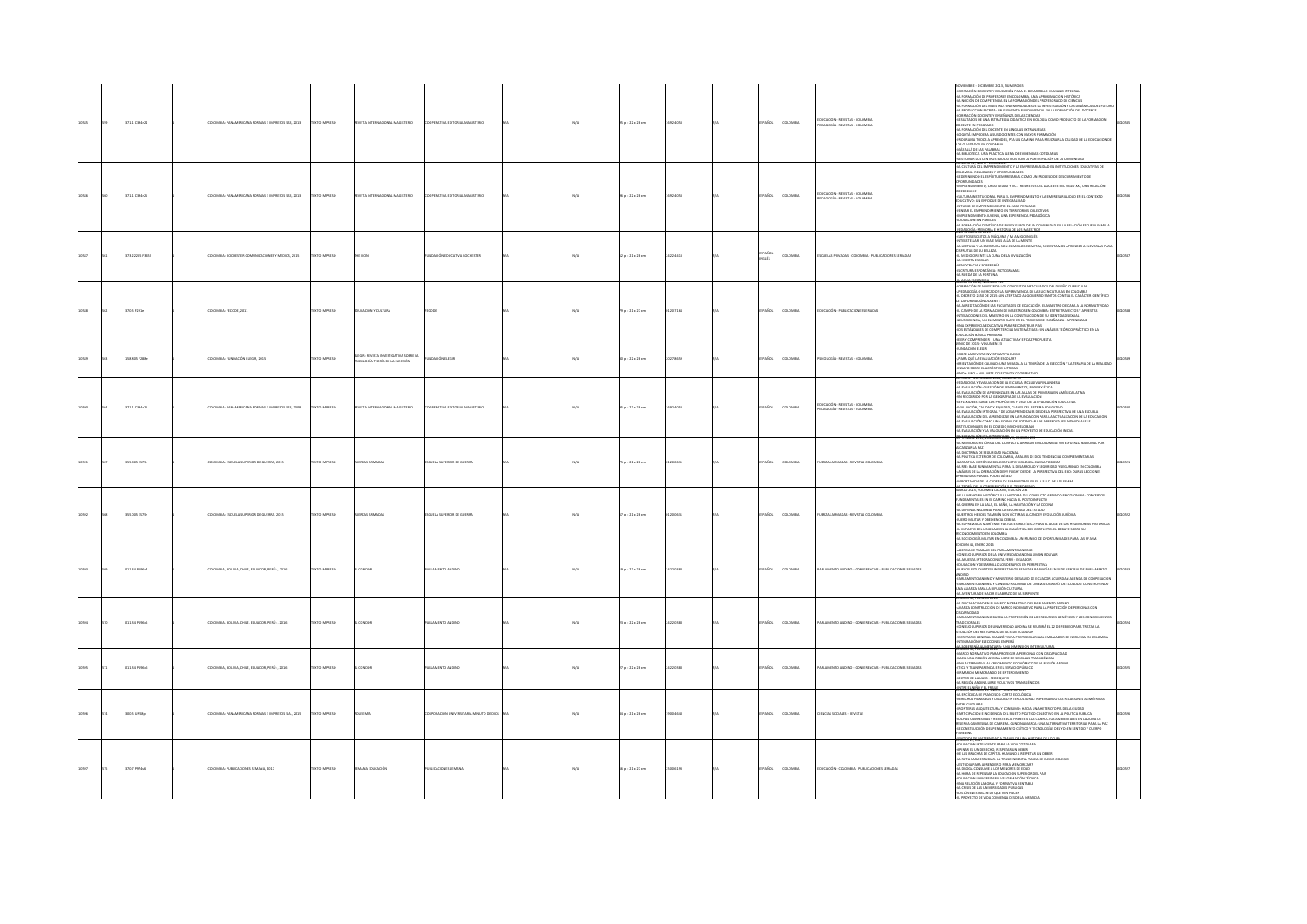|  |               |                                                  |                      |                                                                                            |                                    |  |                     |         |               |               |                                                                    | NOVIEMBRE - DICIEMBRE 2013, NÚMERO 65<br>-FORMACIÓN DOCENTE Y EDUCACIÓN PARA EL DESARROLLO HUMANO INTEGRAL                                                                                                                                                                                                                                                                                                                                                                                                                                                                                                                                                                                                                                                                                                                        |  |
|--|---------------|--------------------------------------------------|----------------------|--------------------------------------------------------------------------------------------|------------------------------------|--|---------------------|---------|---------------|---------------|--------------------------------------------------------------------|-----------------------------------------------------------------------------------------------------------------------------------------------------------------------------------------------------------------------------------------------------------------------------------------------------------------------------------------------------------------------------------------------------------------------------------------------------------------------------------------------------------------------------------------------------------------------------------------------------------------------------------------------------------------------------------------------------------------------------------------------------------------------------------------------------------------------------------|--|
|  | IT1.1 C394r24 | LOMBIA: PANAMERICANA FORMAS E IMPRESOS SAS. 2013 | <b>OZSRRAI OTX3</b>  | VISTA INTERNACIONA<br>ORSTERIO                                                             | PERATIVA FOSTORIAI MAGISTERIO      |  | 95 p.: 22 x 28 cm   | 22-4053 | PAÑOL         | <b>LOMBIA</b> | EDUCACIÓN - REVISTAS - COLOMBIA<br>EDAGOGÍA - REVISTAS - COLOMBIA  | LA FORMACIÓN DE PROFESORES EN COLOMBIA, UNA APROXIMACIÓN HISTÓRICA<br>A NOCIÓN DE COMPETENCIA EN LA FORMACIÓN DEL PROFESORADO DE CIENCIAS<br>A FORMACIÓN DEL MAESTRO. UNA MIRADA DESDE LA INVESTIGACIÓN Y LAS DINÁMICAS DEL FUTURI<br>LA PRODUCCIÓN ESCRITA: UN ELEMENTO FUNDAMENTAL EN LA FORMACIÓN DEL DOCENTE<br>ORMACIÓN DOCENTE Y ENSEÑANZA DE LAS CIENCIAS<br>IESULTADOS DE UNA ESTRATEGIA DIDÁCTICA EN BIOLOGÍA COMO PRODUCTO DE LA FORMACIÓN<br>CENTE EN POSGRADO<br>LA FORMACIÓN DEL DOCENTE EN LENGUAS EXTRANJERAS<br>OGOTÁ EMPODERA A SUS DOCENTES CON MAYOR FORMACIÓN<br>ROGRAMA TODOS A APRENDER, PTA UN CAMINO PARA MEJORAR LA CALIDAD DE LA EDUCACIÓN DI<br>OS OLVIDADOS EN COLOMBIA<br>MÁS ALLÁ DE LAS PALABRAS<br>A RELIGITED 1994 PRÁCTICA ILENA DE EVIDENCIAS COTIDANAS                                        |  |
|  | 1.1 C394r25   | MILA: PANAMERICANA FORMAS E IMPRESOS SAS, 2013   | OZSRRNI OTX          | ORSTERIO<br><b>STAINT</b>                                                                  |                                    |  | 06 p. : 22 x 28 cm  | 2-4053  | ŇCK           | <b>OMBI</b>   | EDUCACIÓN - REVISTAS - COLOMBIA<br>PEDAGOGÍA - REVISTAS - COLOMBIA | 4A BIBLIONICA, UNA FRANCISCO DE VER DE VIDENIARA CUITIBARIAS<br>GESTIONAR LOS CENTROS EDUCATIVOS CON LA PARTICIPACIÓN DE LA COMUNIDAD<br>RUMIXAN DA, INFANT-JURIU ZAUS<br>LA CULTURA DEL EMPRINDIAIENTO Y LA EMPRESARIALIDAD EN INSTITU<br>NAMANIME MONAMA I MENTI UNIMENALE<br>JEDDENINI NOO EL ESPÍRITU EMPRESARIAL COMO UN PROCESO DE DESCUBRIMENTO DE<br>CENPRENDIARENTO, CREATIVIDAD Y TIC. TRES RETOS DEL DOCENTE DEL SIGLO XXI, UNA RELACIÓN<br>SIMPORTAMENTAL URATIVIDADE TIL - INSTITUCIONE DE SAGLI DU, URA REALIZATIVA DE SAGLI DU ANNI CALINE CONTENTINA<br>CALINIA INSTITUCIONAL PRA EL EMPERADORENTO Y LA EMPERADORENDO EN EL CONTENTO<br>ESTUATIVO DE INFRENDIMENTO: EL CASO<br>EDUCACIÓN SIN PAREDES<br>LA FORMACIÓN CIENTÍFICA DE BASE Y EL ROL DE LA COMUNIDAD EN LA RELACIÓN ESCUELA FAMILIA<br>604006-MP60PA- |  |
|  | 3.22205 F345  | OMBIA: ROCHESTER COMUNICACIONES Y MEDIOS, 2015   | XTO IMPRESO          | HE LION                                                                                    | <b>NDACIÓN EDUCATIVA ROCHESTER</b> |  | 52 p. : 21 x 28 cm  | 4413    | PAÑOL<br>GLÉS | ows.          | SCUELAS PRIVADAS - COLOMBIA - PUBLICACIONES SERIADAS               | <b>REN'NY ENE AREA EN CONSUMER DE CARRO DE CARRO DE CARRO DE CARRO DE CARRO DE CARRO DE CARRO DE CARRO DE CARRO DE<br/>CARRON ESTATO A MAIGRANA / DE ANGENIDA DE CARRON DE CARRON DE CARRON DE CARRON DE CARRON DE CARRON DE CARRON </b><br><b>ASIA ESCOPION</b>                                                                                                                                                                                                                                                                                                                                                                                                                                                                                                                                                                  |  |
|  | 1.5 F291e     | MBIA: FECODE, 2011                               | XTO IMPRESO          | JEACIÓN Y CULTURA                                                                          |                                    |  | 9 p. : 21 x 27 cm   |         |               |               | CACIÓN - PUBLICACION                                               | <b>MARINA VIENERIA</b><br>ANTERNA DE MARINA EL ANTERIO DE LA DISTINCTIVA DE DE CONTROL DE LA CONTRADA DE CONTRADO DE LA DISTINACIÓN DE L<br>A CONTRADO DE LA DISTINCTIVA DE LA DISTINCTIVA DE LA CONTRADO DE LA CONTRADO DE LA CONTRADO D                                                                                                                                                                                                                                                                                                                                                                                                                                                                                                                                                                                         |  |
|  | 3.805 F288e   | OMBIA: FUNDACIÓN ELEGIR, 2015                    | <b>DESIRAIO DTX:</b> | ELEGIR: REVISTA INVESTIGATIVA SOBR<br>PSICOLOGÍA TEORÍA DE LA ELECCIÓN<br>IGATIVA SOBRE LA | <b>NOACIÓN ELEGIR</b>              |  | 0 p. : 22 x 28 cm   | 7-8659  | <b>Vice</b>   | way           | SECUDGÍA - REVISTAS - COLOMBIA                                     |                                                                                                                                                                                                                                                                                                                                                                                                                                                                                                                                                                                                                                                                                                                                                                                                                                   |  |
|  | 1.1 039420    | <b>ERICANA FORMAS E IMPRESOS SAS, 2008</b>       | TO IMPRESO           |                                                                                            |                                    |  | $5p.:22\times28$ cm |         |               |               | DUCACIÓN - REVISTAS - COLOMBIA<br>EDAGOGÍA - REVISTAS - COLOMBIA   |                                                                                                                                                                                                                                                                                                                                                                                                                                                                                                                                                                                                                                                                                                                                                                                                                                   |  |
|  | 55.005 ES75r  | LOMBIA: ESCUELA SUPERIOR DE GUERRA, 2015         | <b>CERRIN OTX</b>    | UERZAS ARMADA                                                                              | <b>SCUELA SUPERIOR DE GUERR</b>    |  | 75 p. : 21 x 28 cm  | 20-0631 | .<br>Scc      | owas          |                                                                    |                                                                                                                                                                                                                                                                                                                                                                                                                                                                                                                                                                                                                                                                                                                                                                                                                                   |  |
|  | 5.005 ES75r   | LOMBIA: ESCUELA SUPERIOR DE GUERRA, 2015         | <b>OZSRRAI OTXI</b>  | <b>ERZAS ARMADA</b>                                                                        | CUELA SUPERIOR DE GUERRA           |  | 57 p.: 21 x 28 cm   | 0.0631  | <b>Vice</b>   | owa           | FR745 4RM4DAS - REVISTAS COLOMBIA                                  | UISTINOS HEIDOS TAMBIÉN SON VICTINAS ALCANCE Y EVOLUCIÓN JURÍDEA<br>A SURFAMACIÓ ANGITINA: A POETO ESTA MARCA CO PARA EL AUSTO DE LOS HEIGRADONÍAS HISTÓRICAS<br>L'IMPACTO DEL LENGUAIE TN LA DIALÉCTICA DEL CONFULTO: EL DEBATE SOB                                                                                                                                                                                                                                                                                                                                                                                                                                                                                                                                                                                              |  |
|  | 1.34 PS96c4   | MBIA, BOLIVIA, CHILE, ECUADOR, PERÚ: , 2016      | <b>CO IMPRESO</b>    | ONDOR                                                                                      | <b>HAMPNTO ANTINO</b>              |  | :9 p. : 22 x 28 cm  |         |               | way           | LAMENTO ANDINO - CONFERENCIAS - PUBLICACIONES SERIADA              | EDICIÓN 44, ENERO 2016<br>EDICIÓN 44, INERIO 2016<br>CONSEJO SUPERIORI DE LA RIVENTERIOR ANDINO<br>CONSEJO SUPERIORI DE LA INVENTISIONO ANDINO SIMON BOLIVAR<br>EDUCACIÓN Y DESARROLO LOS DESARTOS EN PERSPECTIVA<br>AUCYOS ESTUDIANTES UNIVERSITARIOS REALIZAR PASA<br>WRIVIA<br>PARLAMENTO ANDINO Y MINISTERIO DE SALUD DE ECUADOR ACUERDAN AGENDA DE COOPERACIÓN<br>PARLAMENTO ANDINO Y CONSEIO NACIONAL<br>LINA ALIANZA PARA LA DIFUSIÓN CULTURAL<br>LINADENTA: TERRENO ADEIS ARRADO DE LA SERPENTE<br>LUNADENTA:                                                                                                                                                                                                                                                                                                             |  |
|  | 1.34 P696c5   | OMBIA, BOLIVIA, CHILE, ECUADOR, PERÚ: , 2016     | XTO IMPRESO          | ONDO:                                                                                      | <b>LAMENTO ANDIN</b>               |  | 23 p. : 22 x 28 cm  |         | .<br>Vice     | course.       | LAMENTO ANDINO - CONFERENCIAS - PUBLICACIONES SERIADA              | LANDON "AT, FAMILINO ADAD"<br>-LA DISCARACIDAD EN EL MARICO NORMATIVO DEL PARLAMENTO ANDINO<br>-AVANZA CONSTRUCCIÓN DE MARICO NORMATIVO PARA LA PROTECCIÓN DE PERSONAS CON<br>SIGORACINO<br>PARLAMENTO ANEINO BUSCA LA PROTECTÓN DE LOS RECURSOS GENÉTICOS Y LOS CONDOMENTO<br>FUNCIÓN SUE PELO RE LINIVERSIDAD ANEINA SE BUNIRÁ EL 22 DE TEBREO PARA TRATAR LA<br>FUNCIÓN SE PELO PRODO DE LA LISTE CULINDO.<br>RECUEIX                                                                                                                                                                                                                                                                                                                                                                                                          |  |
|  | 1.34 P696cf   | LOMBIA, BOLIVIA, CHILE, ECUADOR, PERÚ: , 2016    | DZERRA OTX           | CONDOR                                                                                     | <b>RLAMENTO ANDINO</b>             |  | 27 p.: 22 x 28 cm   |         | <b>AÑOL</b>   | oway          |                                                                    | <b>EDITOR 45, THRINGER 2015</b><br>MARCO NORMATIVO PARA PROTOGRA A PERSONAS CON DISCAPADOAS<br>AMARCO NORMATIVO PARA PROTOGRA A PERSONAS CON DISCAPADOAS<br>JUNA ALTERNATIVA AL CRICIARISTO E CONÍDADO DE LA REGIÓN ANGINA<br>ATAN TRANSPARIENC                                                                                                                                                                                                                                                                                                                                                                                                                                                                                                                                                                                   |  |
|  | 0.5 UNSBp     | BIA: PANAMERICANA FORMAS E IMPRESOS S.A., 2015   | CTO IMPRESO          |                                                                                            | RACIÓN UNIVERSITARIA MINUTO DE DIO |  | $4p.:21\times28$ cm |         | ÑOL           | OMBI          | INCIAS SOCIALES - REVISTA                                          | INTENT MUÑIMO I 9, PARÍO - JUNIO DE 2015<br>A ENCÍCLICA DE FRANCISCO : CARTA ECOLÓGICA<br>JERECHOS HUMANOS Y DIÁLOGO INTERCULTURAL: REPENSANDO LAS RELACIONES ASIMÉTRICAS<br>SURELIND, INDIANA DI DIAMANO HUERALI AURA:<br>IN CONTRAS ARQUITECTURA Y CONSUMO: INSOLA UNA INTERIOTOPA DE LA CULSA<br>ARQUITERAS ARQUITECTURA Y CONSUMO: INSOLA UNA INTERIOTOPA DE LA CULSA<br>ALCHAS CAMPESHAS Y RESISTINGA FRENT A L<br>CARING                                                                                                                                                                                                                                                                                                                                                                                                    |  |
|  | 170.7 P974s5  | <b>ILOMBIA: PUBLICACIONES SEMANA, 2017</b>       | EXTO IMPRESO         | MAN EDUCACIÓN                                                                              | UBLICACIONES SEMANA                |  | 66 p. : 21 x 27 cm  | 00-6193 | <b>Scc</b>    | LOMBI         | DUCACIÓN - COLOMBIA - PUBLICACIONES SERIADA                        | ENTIDOS DE MATE<br><b>DRUM 22, 2019</b><br>EDICACIÓN INTELIGENTE PARA LA VIDA COTEGNANA<br>CONNAL ES UN DERICHO, RESPETAR UN DEBER<br>OFINAL ES UN DERICHO, RESPETAR UN DEBER<br>LA RUTA PARA ESTUDIAR: LA TRASCENDENTAL TAREA DE ELEGIR COLEGIO<br>LA RUTA PARA EPIL<br>ESTIDIA PARA APRIMENTA DO PARA MEMORIZAN?<br>A DIDOA CONSUME A LOS MINIORES DE EDAD<br>A PADA DE REPENSA LA EDUCACIÓN SUPERIOR DEL PAÍS<br>EUCACIÓN UNIVESTIPAIA VS FORMACIÓN TÉCNICA<br>UNA RELACIÓN LABORALY FORMATIVA RENTARIE<br>A CRISI                                                                                                                                                                                                                                                                                                             |  |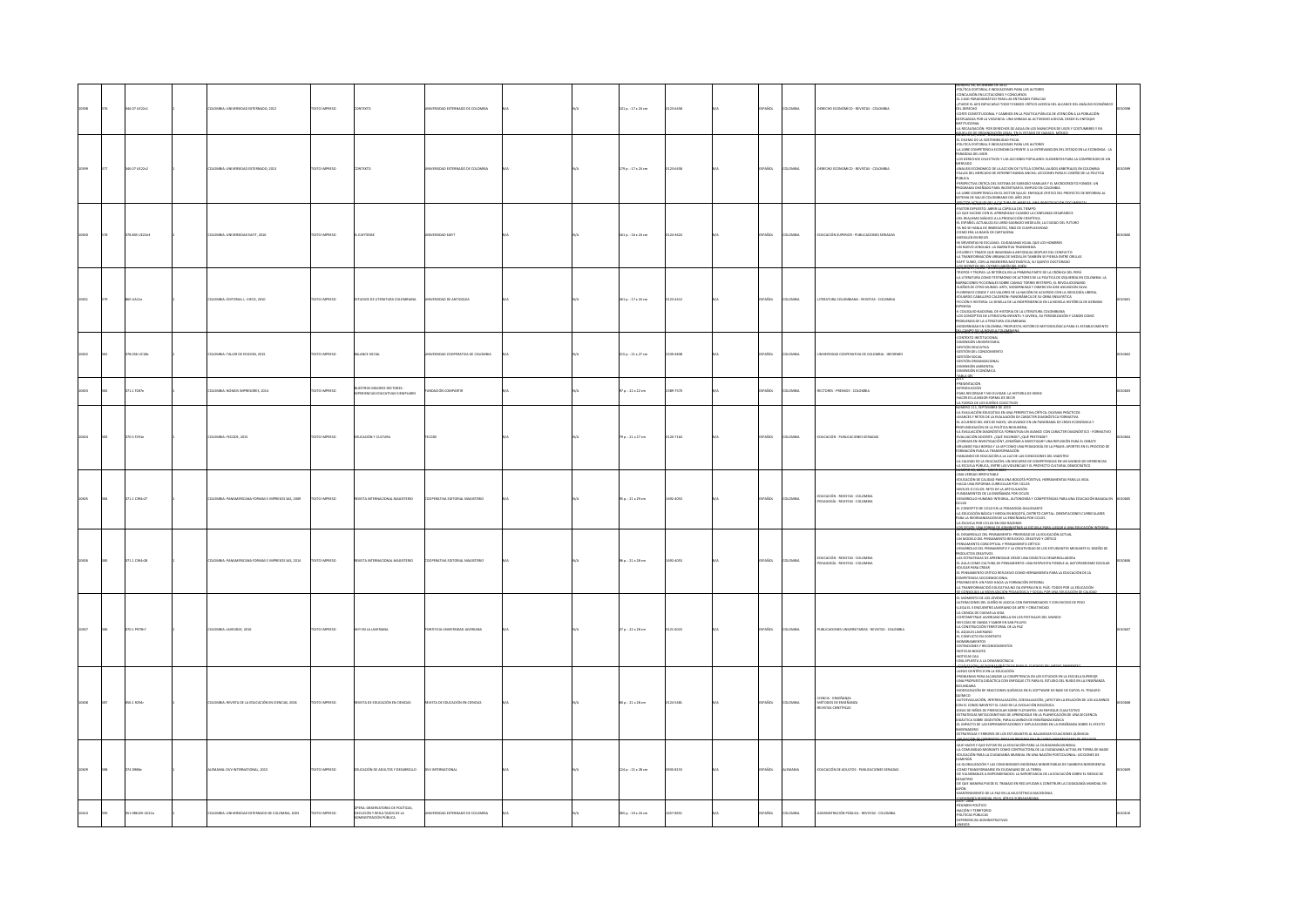|  | 46.07 UE22c1      | MBIA: UNIVERSIDAD EXTERNADO, 2012               | <b>OZSRRINI OTXT</b>  | mm                                                                              | <b>ERSIDAD EXTERNADO DE COLOMBIA</b> |  | $101a. : 17 \times 24$ cm | 123-6458 | PAÑOL         | LOMBIA        | DERECHO ECONÓMICO - REVISTAS - COLOMBIA                                 | JMERO 38, DICIEMBRE DE 2012<br>DLÍTICA EDITORIAL E INDICACIONES PARA LOS AUTORES<br>ONCLUSIÓN EN LICITACIONES Y CONCURSOS<br>UNILLUSIUN EN LILITACIONES Y CONCURSOS<br>L CASO PARADIGMÁTICO PARA LAS ENTIDADES PÚBLICAS<br>YUEDE EL AED EXPLICARLO TODO? ESBOZO CRÍTICO ACERCA DEL ALCANCE DE<br>CORTE CONSTITUCIONAL Y CAMBIOS EN LA POLÍTICA PÚBLICA DE ATENCIÓN A LA POBLACIÓN<br>DESPLAZADA POR LA VIOLENCIA. UNA MIRADA AL ACTIVISMO JUDICIAL DESDE EL ENFOQUE<br>TITUCIONAL<br>-LA RECAUDACIÓN POR DERECHOS DE AGUA EN LOS MUNICIPIOS DE USOS Y COSTUMBRES Y EN                                                                                                                                                                                                                                                                                                                                                                                                  |  |
|--|-------------------|-------------------------------------------------|-----------------------|---------------------------------------------------------------------------------|--------------------------------------|--|---------------------------|----------|---------------|---------------|-------------------------------------------------------------------------|------------------------------------------------------------------------------------------------------------------------------------------------------------------------------------------------------------------------------------------------------------------------------------------------------------------------------------------------------------------------------------------------------------------------------------------------------------------------------------------------------------------------------------------------------------------------------------------------------------------------------------------------------------------------------------------------------------------------------------------------------------------------------------------------------------------------------------------------------------------------------------------------------------------------------------------------------------------------|--|
|  | 46.07 UE22c2      | MBIA: UNIVERSIDAD EXTERNADO, 2013               | <b>YTO IMPERIOR</b>   |                                                                                 | DAD EXTERNADO DE COLOMBIA            |  | 179 p. : 17 x 24 cm       | 23-6458  | PAÑOL         | OMBA          | RECHO ECONOMICO - REVISTAS - COLOMBIA                                   | ULOS DE CROANIZACIÓN UTGAL, EN EL ESTADO DE CAYACA, MÉ<br>NUMINAN NY JOSO "DISLINING DE JUSTA ES ARANTERS"<br>JOLITICA EDITORIAL E NOICALOMES PARA LOS AUTORES<br>JA LIBRE COMPETENCIA ECONOMICA FRENTE A LA INTERVANCION DEL ESTADO EN LA ECONOMIA - LA<br>-LA LIBIER COMPITERINA ECONOMICA PRENTE A LA INTERVANCION DEL ESTADO EN LA ECONOMIA - LA<br>PARADOJA DEL MOR<br>-LOS DERECHOS COLECTIVOS Y LAS ACCIONES POPULARES: ELEMENTOS PARA LA COMPRESION DE UN<br><b>CADO</b><br>-<br>ANALISIS ECONOMICO DE LA ACCION DE TUTELA CONTRA LAUDOS ARBITRALES EN COLOMBIA<br>-FALLAS DEL MERCADO DE INTERNET BANDA ANCHA: LECCIONES PARA EL DISEÑO DE LA POLITICA<br><b>PUBLICA</b><br>PERSPECTIVA CRITICA DEL SISTEMA DE SUBSIDIO FAMILIAR Y EL MICROCREDITO FONEDE: UN<br>PROGRAMA DISEÑADO PARA INCENTIVAR EL EMPLEO EN COLOMBIA.<br>-LA LIBRE COMPETENCIA EN EL SECTOR SALUD. ENFOQUE CRITICO DEL PROFECTO DE REFORMA AL<br>SISTEMA DE SALUD COLOMBIANO DEL AÑO 2013 |  |
|  | 378.805 UE22e3    | LOMBIA: UNIVERSIDAD EAFIT, 2016                 | EXTO IMPRESO          | <b>LAFITENSE</b>                                                                | <b>ERSIDAD EAFIT</b>                 |  | 161 p.: 16 x 24 cm        | 124-1624 | SPAÑOL        | <b>OMBIA</b>  | EDUCACIÓN SUPERIOR - PUBLICACIONES SERIADA                              | <b>SOCTON NORMALY 001-3-024 THAT OF ALARC-</b><br>ASTOR EXPUESTO: ABRIR LA CÁPSULA DEL TIEMPO<br>-LO QUE SUCEDE CON EL APRENDIZAJE CUANDO LA CONFIANZA DESAPARECE<br>OEL REALISMO MÁGICO A LA PRODUCCIÓN CIENTÍFICA<br>EL ESPAÑOL ACTUALIZA SU LIBRO SAGRADO MEDELLÍN. LA CIUDAD DEL FUTURO<br>YA NO SE HABLA DE INMEDIATEZ, SINO DE CUMPULSIVIDAD<br>-COMO ERA LA BAHÍA DE CARTAGENA<br>-MEDELLÍN EN RIELES<br>I SIRVIENTAS NI ESCLAVAS: CIUDADANAS IGUAL QUE LOS HOMBRES<br>-<br>-UN NUEVO LENGUAJE: LA NARRATIVA TRANSMEDIA<br>- COLORES Y TRAZOS QUE IMAGINAN A ANTIOQUIA DESPUES DEL CONFUCTO<br>-LA TRANSFORMACIÓN URBANA DE MEDELLÍN TAMBIÉN SE PIENSA ENTRE ORILLAS<br>EAFIT SUMO, CON LA INGENIERÍA MATEMÁTICA, SU QUINTO DOCTORADO<br><b>MAKED SPINSORS FOR MOVING SERVICE</b>                                                                                                                                                                               |  |
|  |                   | MBIA: EDITORIAL L. VIECO, 2010                  |                       | OIOS DE LITERA                                                                  | DAD DE ANTIOQUIA                     |  | 261 p.: 17 x 24 cm        | 123-4412 |               | MBIA          | ATURA COLOM                                                             | TROPOS Y TROPAS: LA RETÓRICA EN LA PRIMERA PARTE DE LA CRÓNICA DEL PERÚ<br>-LA LITERATURA COMO TESTIMONIO DE ACTORES DE LA POLÍTICA DE IZQUIERDA EN COLOMBIA: LA<br>RACIONES FICCIONALES SOBRE CAMILO TORRES RESTREPO, EL REVOLUCIONARIO<br>SUEÑOS DE OTRO MUNDO: ARTE, MODERNIDAD Y DINERO EN JOSE ASIUNCION SILVA<br>FLORENCIO CONDE Y LOS VALORES DE LA NACIÓN DE ACUERDO CON LA IDEOLOGÍA LIBERAL<br>DUARDO CABALLERO CALDERON: PANORÁMICA DE SU OBRA ENSAYISTICA<br>FICCIÓN E HISTORIA: LA SEMILLA DE LA INDEPENDENCIA EN LA NOVELA HISTÓRICA DE GERMAN<br><b>STANDA - SUI DIRE DI RESTORA DE LA LITERATURA COLONIMANA HISTORIALE DE CONSTITUITO DE LA LITERATURA COLONIMANA<br/>1970 - COLONIZIONE DE LITERATURA REPARTE Y JUVENIL, SU PERIODIZACIÓN Y CANON COMO<br/>1970 - COLONIZIONE DE LA LIT</b><br><b>CAMPO DE LA NOVER DE PR</b>                                                                                                                         |  |
|  | 78.056 UC16b      | DLOMBIA: TALLER DE EDICION, 2015                | <b>OZSRRINI GTX31</b> | ALANCE SOCIAL                                                                   | ERSIDAD COOPERATIVA DE COLOMBIA      |  | 215 p. : 21 x 27 cm       | 339-4838 | PAÑOL         | LOMBIA        | VERSIDAD COOPERATIVA DE COLOMBIA - INFORMES                             | CONTEXTO INSTITUCIONAL<br>DIMENSIÓN UNIVERSITARIA<br>ESTIÓN EDUCATIVA<br>SESTIÓN DEL CONOCIMIENTO<br>ESTIÓN SOCIAL<br>STIÓN ORGANIZA<br>CIONA<br>DIMENSIÓN AMBIENTAL<br>DIMENSIÓN ECONÓMICA                                                                                                                                                                                                                                                                                                                                                                                                                                                                                                                                                                                                                                                                                                                                                                            |  |
|  | 171.1 F287n       | LOMBIA: NOMOS IMPRESORES, 2014                  | EXTO IMPRESO          | STROS MEIORES RECTORES:<br>ERIENCIAS EDUCATIVAS EJEMPLARES                      | NDACIÓN COMPARTIR                    |  | 97 p. : 22 x 22 cm        | 189-7570 | AÑOL          | OMBIA         | RECTORES - PREMIOS - COLOMBIA                                           | <b>ANA CEL</b><br>:a<br>ESENTACIÓN<br>MODUCCIÓN<br>INTRODUCCION<br>PARA RECORDAR Y NO OLVIDAR. LA HISTORIA DE IDEBIC<br>HACER ES LA MEIOR FORMA DE DECIR<br>LA FUERZA DE LOS SUEÑOS COLECTIVOS                                                                                                                                                                                                                                                                                                                                                                                                                                                                                                                                                                                                                                                                                                                                                                         |  |
|  | $m \times r$ 2014 | CMBLE-EFFORT 2015                               | DZED IMPRESO          | <b>CEACULARY CULTURAL</b>                                                       |                                      |  | $70 - 21 + 27$ cm         | 20.7164  | <b>CARD</b>   | <b>CARDIA</b> | <b>PRICACIÓN - PIRINCACIONES SEBIADA</b>                                | NÚMERO 111, SEPTIEMBRE DE 2015<br>-LA EVALUACIÓN EDUCATIVA EN UNA PERSPECTIVA CRÍTICA: DILEMAS PRÁCTICOS<br>-AVANCES Y RETOS DE LA EVALUACIÓN DE CARÁCTER DIAGNÓSTICA FORMATIVA<br>-AVANCES TRETOS DE LA EVALUACIÓN DE CARACTER DINBINOSTICA FORMATIVA<br>-EL ACUERDO DEL MES DE MAYO, UN AVANCE EN LIN PANORAMA DE CRISIS ECONÓMICA Y<br>-PROFUNDIZACIÓN DE LA POLÍTICA NEOLBERAL<br>-LA EVALUACIÓN DIAGNÓSTICA FORMATIVA<br>SOMITING BUDS FROM DELTA ITMISON MODALIAN<br>-FORMAR EN INVESTIGACIÓN? / ENSEÑAR A INVESTIGAR? UNA REFLEXIÓN PARA EL DEBATE<br>ORLANDO FALS BORDA Y LA LAP COMO UNA PEDAGOGÍA DE LA PRAXIS: APORTES EN EL PROCESO D<br>RMACIÓN PARA LA TRANSFORMACIÓN<br>HABLANDO DE EDUCACIÓN A LA LUZ DE LAS CONDICIONES DEL MAESTRO<br>-LA CALIDAD DE LA EDUCACIÓN: UN DISCURSO DE COMPETENCIAS EN UN MUNDO DE DIFERENCIAS<br>LA ESCUELA PÚBLICA, ENTRE LAS VIOLENCIAS Y EL PROYECTO CULTURAL DEMOCRÁTICO<br>NUMERO 38. ABRIL - MATO 2009             |  |
|  | 1.1 C394r27       | MBIA: PANAMERICANA FORMAS E IMPRESOS SAS. 2009  | CONSIGN CTD           | VISTA INTERNACIONAL<br>MAGISTERIO                                               | FRATIVA FOSTORIAL MAGISTERIC         |  | $95a : 21 \times 29$ cm   | 692-4053 | PAÑOL         | LOMBIA        | EDUCACIÓN - REVISTAS - COLOMBIA<br>PEDAGOGÍA - REVISTAS - COLOMBIA      | NUMINO AN, MARIA "HANTA ANNO"<br>-UNA VERDAD IRRETUTABLE<br>-EDUCACIÓN DE CALIDAD PARA UNA BOGOTÁ POSITIVA. HERRAMIENTAS PARA LA VIDA<br>-HACIA UNA REFORMA CURRICULAR POR CICLOS<br>.<br>Niveles o ciclos. Reto de la articulación<br>Fundamentos de la enseñanza por ciclos<br>-DESARROLLO HUMANO INTEGRAL. AUTONOMÍA Y COMPETENCIAS PARA UNA EDUCACIÓN BASADA EN<br>cos<br>EL CONCEPTO DE CICLO EN LA PEDAGOGÍA DIALOGANTE<br>-LA EDUCACIÓN BÁSICA Y MEDIA EN BOGOTÁ, DISTRITO CAPITAL: ORIENTACIONES CURRICULARES<br>PARA LA REORGANIZACIÓN DE LA ENSEÑANSA POR CICLOS<br>-LA ESCUELA POR CICLOS EN DIEZ RAZONES<br><b>DECICLOS: UNA ECRNA DE ACMINISTRAR LA ESCUTIA DARA LIFETAR A UN</b>                                                                                                                                                                                                                                                                         |  |
|  | 1.1 C394-28       | MISIA: PANAMERICANA FORMAS E IMPRESOS SAS. 2014 | OZERNI OTX            | VISTA INTERNACIONAL MAGISTERIO                                                  | CRATIVA EDITORIAL MAGISTERIO         |  | 95 p. : 21 x 28 cm        | 032-4053 | SPAÑOL        | LOMBIA        | EDUCACIÓN - REVISTAS - COLOMBIA<br>PEDAGOGÍA - REVISTAS - COLOMBIA      | -EL DESARROLLO DEL PENSAMIENTO: PRIORIDAD DE LA EDUCACIÓN ACTUAL<br>-UN MODELO DEL PENSAMIENTO REFLEXIVO, CREATIVO Y CRÍTICO<br>-<br>FERSAMENTO CONCEPTUAL Y PENSAMIENTO CRÍTICO<br>-<br>OESARROLLO DEL PENSAMIENTO Y LA CREATIVIDAD DE LOS ESTUDIANTES MEDIANTE EL DISEÑO DE<br><b>DOUCTOS CREATIVOS</b><br>AS ESTRATEGIAS DE APRENDIZAJE DESDE UNA DIDÁCTICA DESARROLLADORA<br>-EL AULA COMO CULTURA DE PENSAMIENTO: UNA RESPUESTA POSIBLE AL GATOPARIOSMO ESCOLAR<br>EDUCAR PARA CREAR<br>41 PENSAMIENTO CRÍTICO REFLEXIVO COMO HERRAMENTA PARA LA EDUCACIÓN DE LA<br>SA TENNIMINAL SOCIOEMACCIONAL<br>- COMPETENCIA SOCIOEMACCIONAL<br>- PRUEBAS SER: UN PASO HACIA LA FORMACIÓN INTEGRAL<br>- LA TRANSFORMACIOÓ EDUCATIVA NO DA ESPERA EN EL PAÍS. TODOS POR LA EDUCACIÓN<br>6/Referansiya tarihinin mas                                                                                                                                                          |  |
|  | 70.1 P979h        | LOMBIA: JAVEGRAF, 2016                          | EXTO IMPRESO          | Y EN LA JAVERI                                                                  | <b>IFICIA UNIVERSDA</b>              |  | 27 p. : 22 x 28 cm        | 121-6023 | PAÑOL         | MAGIA         | PUBLICACIONES UNIVERSITARIAS - REVISTAS - COLOMBIA                      | -EL MOMENTO DE LOS JÓVENES<br>-ALTERACIONES DEL SUEÑO SE ASOCIA CON ENFERMEDADES Y CON EXCESO DE PESO<br>-LLEGA EL II ENCUENTRO JAVERIANO DE ARTE Y CREATIVIDAD<br>-LA CIENCIA DE CUIDAR LA VIDA<br>CORTOMETRAIL JAVERIANO BRILLA EN LOS FESTIVALES DEL MUNDO<br>SEIS DÍAS DE DANZA Y SABOR EN SAN PELAYO<br>LA CONSTRUCCIÓN TERRITORIAL DE LA PAZ<br>EL AQUILES IAVERIANO<br>EL CONFLICTO EN CONTEXTO<br>NOMBRAMENTOS<br>-DISTINCIONES Y RECONOCIME<br>-NOTICIAS EALI<br>-UNA APUESTA A LA DEMAMOS                                                                                                                                                                                                                                                                                                                                                                                                                                                                    |  |
|  | <b>M19204</b>     | MILA-BEVITA DE LA EDUCACIÓN EN CIENCIAS, 2004   | DZED IMPRESO          | <b>PASTA DE EDISTACIÓN EN CIENCIAS</b>                                          | <b>ISTA DE FOUCACIÓN EN CIENCIA</b>  |  | $60a$ : 21 x 28 cm        | 124,5481 | <b>COASCI</b> | <b>CARDIA</b> | -CENCIA - ENSEÑANZA<br>- MÉTODOS DE ENSEÑANZA<br>- REVISTAS CIENTÍFICAS | NOINT IN NATIONAL NATIONAL MALA AL CARA EL CARACIÓ DEL LARIAN NATIONAL EN ANY ANY ANY ANY ANY ANY ANY ANY ANY A<br>- JUDEO CHIPRÍFICO EN LA EDUCACIÓN<br>- JUDEO CHIPRÍFICO EN LA ECARACIÓN LA COMPETENCIA EN LOS ESTUDIOS EN LA ESC<br>cundaria<br>Iodelización de Reacciones químicas en el software de Base de Datos: el tesauro<br>.<br>QUÍMICO<br>-AUTOEVALUACIÓN, INTEREVALUACIÓN, COEVALUACIÓN, ¿AFECTAN LA RELACIÓN DE LOS ALUMNOS<br>CON EL CONOCIMIENTO? EL CASO DE LA EVOLUCIÓN BIOLÓGICA<br>-IDEAS DE NIÑOS DE PREESCOLAR SOBRE FLOTANTES: UN ENFOQUE CUALITATIVO<br>-ESTRATEGIAS METACOGNITIVAS DE APRENDIZAJE EN LA PLANIFICACIÓN DE UNA SECUENCIA<br>DIDÁCTICA SOBRE DIGESTIÓN, PARA ALUMNOS DE ENSEÑANZA BÁSICA<br>EL IMPACTO DE LAS EXPERIMENTACIONES Y EXPLICACIONES EN LA ENSEÑANZA SOBRE EL EFECTO<br>CRNADERO<br>ESTRATEGIAS Y ERRORES DE LOS ESTUDIANTES AL BALANCEAR ECUACIONES QUÍMICAS<br>                                                    |  |
|  |                   | MNIA: DVV INTERNATIONAL, 2015                   | CTO IMPRESO           | JEACIÓN DE ADULTOS Y DESARROLLO                                                 |                                      |  | 124 p.: 21 x 28 cm        | 035-8153 | PAÑOL         |               | EDUCACIÓN DE ADULTOS - PUBLICACIONES SERIADAS                           | NTE COMO CONTRUCTORA DE LA CUIDADANÍA ACTIVA EN TIERRA DE NADIE<br>EDUCACIÓN PARA LA CIUDADANÍA MUNDIAL EN UNA NACIÓN POSTCOLONIAL: LECCIONES DE<br><b>AMERÚN</b><br>-LA GLOBALIZACIÓN Y LAS COMUNIDADES INDÍGENAS MINORITARIAS DE CAMBOYA NORORIENTAL<br>COMO TRANSFORMARSE EN CIUDADANO DE LA TIERRA<br>OE VULNERABLES A EMPONDERADOS: LA IMPORTANCIA DE LA EDUCACIÓN SOBRE EL RIESGO DE<br>DESASTRES<br>OE QUE MANERA PUEDE EL TRABAJO EN RED AYUDAR A CONSTRUIR LA CIUDADANÍA MUNDIAL EN<br><b>JAPÓN</b><br>INTO DE LA PAZ EN LA MULTIÉTNICA MACEDONIA<br>CU PADANÍA M<br>1003 - 2004                                                                                                                                                                                                                                                                                                                                                                              |  |
|  | 51.986105 UE22o   | SIDAD EXTERNADO DE COLOMBIA, 2003               |                       | PERA: OBSERVATORIO DE POLÍTICAS,<br>ECUCIÓN Y RESULTADOS DE LA<br>A3UBON PORTAR |                                      |  | 365 p. : 19 x 24 cm       | 657-8651 | AÑOL          | .<br>Milia    | DMINISTRACIÓN PÚBLICA - REVISTAS - COLOMBIA                             | U3 - 2004<br>ÉGIMEN POLÍTICO<br>ACIÓN Y TERRITORIO<br>OLÍTICAS PÚBLICAS<br><b>JULNOAS ADMINI</b>                                                                                                                                                                                                                                                                                                                                                                                                                                                                                                                                                                                                                                                                                                                                                                                                                                                                       |  |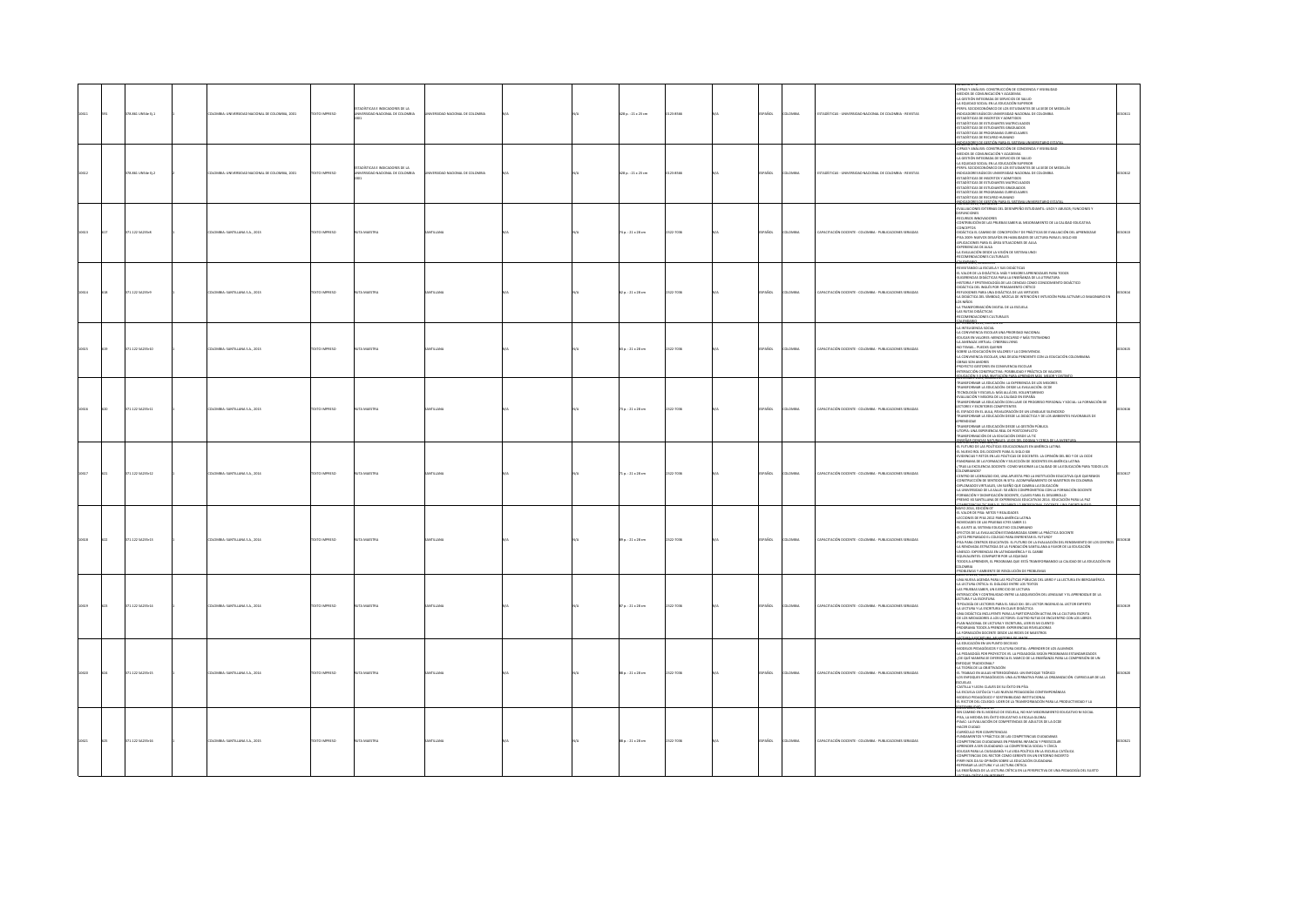|  | 8.861 UNS4e Ej.1 | LOMBIA: UNIVERSIDAD NACIONAL DE COLOMBIA, 2001 | <b>DZERNI OTXT</b> | STICAS E INDICADORES DE LA<br>VERSIDAD NACIONAL DE COLOMBIA      | RSIDAD NACIONAL DE COLOMBIA |  | 428 p.: 21 x 23 cm       | 123-8500  | AÑOL<br>LOMBIA          | TADÍSTICAS - UNIVERSIDAD NACIONAL DE COLOMBIA - REVISTAS | TRAS Y ANÁLISIS, CONSTRUCCIÓN DE CONCIENCIA Y VISIBILIDAD.<br>CIPARA Y AMÁLISIS CONSTINUCIÓN DE CONCIDENTA Y VISIBILIDAD<br>LA ESSETIÓN INTEGRADA DE SERVICIO DE SALUD<br>LA ESUIGNO SOCIAL EN LA ESUICACIÓN SUPERIOR<br>LA ESUIGNO SOCIAL EN LA ESUICACIÓN SUPERIOR<br>MOLE-CONSTICOMÔMECO DE LOS ESTUD<br>TADISTICAS DE ESTUDIANTES MATRICULADOS<br>ADISTICAS DE ESTUDIANTES GRADUADOS<br>ADÍSTICAS DE PROGRAMAS CURRICULARES<br>ADISTICAS DE RECURSO HUMANO                                                                                                                                                                                                                                                                                                                                                                                                                       |       |
|--|------------------|------------------------------------------------|--------------------|------------------------------------------------------------------|-----------------------------|--|--------------------------|-----------|-------------------------|----------------------------------------------------------|--------------------------------------------------------------------------------------------------------------------------------------------------------------------------------------------------------------------------------------------------------------------------------------------------------------------------------------------------------------------------------------------------------------------------------------------------------------------------------------------------------------------------------------------------------------------------------------------------------------------------------------------------------------------------------------------------------------------------------------------------------------------------------------------------------------------------------------------------------------------------------------|-------|
|  | 78.861 UNS4e EL2 | OMBIA- INVERSIDAD NACIONAL DE COLOMBIA (2001)  | CO BARRESO         | nisticas e innicationes ne i a<br>INSTRUDED NACIONAL DE COLOMBIA | FIRAD NACIONAL DE COLOMBIA  |  | 128 p. : 21 x 23 cm      | 23.8566   | isn<br><b>CARDIA</b>    | ADÍSTICAS - INDIVESIDAD NACIONAL DE COLOMBIA - REVISTAS  | TRAS Y ANÁLISIS: CONSTRUCCIÓN DE CONCIENCIA Y VISIBILIDAD<br><b>DIOS DE COMUNICACIÓN Y ACADEMIA</b><br>GESTIÓN INTEGRADA DE SERVICIOS DE SALUD<br>A REUIDIN DITERIKAN OE SERVICIOS DE SAUDI<br>A REUIDINO SOCIAL EN LA EDUCACIÓN SUPERIOR<br>MICAL ANDERCONDINO CO LOS ESTUCIVANTES DE AS SEDE DE MEDELLÍN<br>MICACONES DÉACCO UNIVERSIDO INCLONAL DE COLONEIA<br>STADÍOTICAS DE NEURON Y AC<br>ADÍSTICAS DE PROGRAMAS CURRICULARES<br>DÍSTICAS DE RECURSO HUMANO<br>DEADORES DE GESTIÓN PARA EL SISTEMA LINI                                                                                                                                                                                                                                                                                                                                                                        |       |
|  | 71.122 SA235r8   | 10MBA: SANTILLANA S.A., 2013                   | DZERNI OTXIT       | A MAESTRA                                                        |                             |  | 74 p. : 21 x 28 cm       | 1322-7036 | AÑOL<br>LOMBIA          | CAPACITACIÓN DOCENTE - COLOMBIA - PUBLICACIONES SERIADAS | .<br>ALUACIONES EXTERNAS DEL DESEMPEÑO ESTUDIANTIL: USOS Y ABUSOS; FUNCIONES Y<br>CURSOS INNOVADORES<br>INTRIBUCIÓN DE LAS PRUEBAS SABER AL MEJORAMIENTO DE LA CALIDAD EDUCATIVA<br><b>INCEPTOS</b><br>IDÁCTICA EL CAMBIO DE CONCEPCIÓN Y DE PRÁCTICAS DE EVALUACIÓN DEL APRENDIZAJE<br>15A 2009: NUEVOS DESAFÍOS EN HABILIDADES DE LECTURA PARA EL SIGLO XXI<br>PLICACIONES PARA EL ÁREA SITUACIONES DE AULA<br>FINNMING DE AULA<br>OTRIENCIAS DE AULA<br>LEVALUACIÓN DESDE LA VISIÓN DE SISTEMA UNOI<br>ECOMENDACIONES CULTURALES<br><b>CO'ATE consorus</b>                                                                                                                                                                                                                                                                                                                        |       |
|  | 71.1225423549    | LOMBIA: SANTILLANA S.A., 2013                  | DESIRAI OTX3T      | <b>JTA MAESTRI</b>                                               |                             |  | 62 p. : 21 x 28 cm       | 1322-7036 | AÑOL<br>LOMBU           | APACITACIÓN DOCENTE - COLOMBIA - PUBLICACIONES SERIADAS  | VISITANDO LA ESCUELA Y SUS DIDÁCTICAS<br>EVISITANO LA ESCUELA Y SUS ESDÁTTICAS<br>LIVISTANO LA ESCUELA VALIDA ESPERIDA APRIMEIEARS PARA TODOS<br>LIGERMICAS EINÁCTICAS PARA LA ESDÉRATA DE LA EITRATURA<br>LISTORIA Y BYSTEMICLOGÍA DE LAS CIENCIAS COMO CONOCIMIENTO DISÁCTICO<br><br>A DIDÁCTICA DEL SÍMBOLO, MEZCLA DE INTENCIÓN E INTUICIÓN PARA ACTIVAR LO IMAGINARIO EN<br>35 NHÑOS<br>TRANSFORMACIÓN DIGITAL DE LA ESCUELA<br>AS RUTAS DIDÁCTICAS<br>COMPANACIONES CULTURALES<br><b>HIMMICOUL LUCIUM</b>                                                                                                                                                                                                                                                                                                                                                                      | 00614 |
|  | 11.1225423510    | CARLA SARTILLANA S.A. 2013                     | DZER BARTOTEK      | <b>AMARSTRA</b>                                                  |                             |  | $3a : 21 \times 28$ cm   | 122.2016  | usne<br><b>CARDIA</b>   | ARACITACIÓN DOCENTE - COLOMBIA - RUBULCACIONES SEBIADAS  | A INTELIGENCIA SOCIAL<br>A COMVIVING A FSCCLAR UNA PROBIDAD NACIONAL<br>.<br>DUCAR EN VALORES: MENOS DISCURSO Y MÁS TESTIMONIO.<br>A AMENAZA VIRTUAL: CYBERBULLYING.<br>A MNENNA VIRTUAL:<br>FOTEMAS PUEDES QUERER<br>FORRE LA EDUCACIÓN EN VALORES Y LA CONVIVENCIA<br>A CONVIVENCIA ESCOLAR, UNA DEUDA PENDIENTE CO<br>JBRAS SON AMORES<br><br>ITE CON LA EDUCACIÓN COLOMBIANA<br>IBRAS SUN AMERIES<br>ROYECTO GESTORES EN CONVIVENCIA ESCOLAR<br>VTERACCIÓN CONSTRUCTIVA: POSIBILIDAD Y PRÁCTICA DE VALORES                                                                                                                                                                                                                                                                                                                                                                       |       |
|  | 871.122 SA235r11 | <b>ILOMBIA: SANTILLANA S.A., 2013</b>          | DZERNI OTXIT       | <b>TA MAESTRA</b>                                                | <b>STILLANA</b>             |  | 73 p. : 21 x 28 cm       | 1322-7036 | AÑOL<br>LOMBIA          | CAPACITACIÓN DOCENTE - COLOMBIA - PUBLICACIONES SERIADAS | NEAGON AG LINA POSTAGÓN PARA ARRENTER N<br>SFORMAR LA EDUCACIÓN: LA EXPERIENCIA DE LOS MEJORES<br>ANSFORMAR LA EDUCACIÓN: DESDE LA EVALUACIÓN. OCDE<br>CNOLOGÍA Y ESCUELA: MÁS ALLÁ DEL VOLUNTARISMO<br>ALUACIÓN Y MEJORA DE LA CALIDAD EN ESPAÑA<br>RANSFORMAR LA EDUCACIÓN CON LLAVE DE PROGRESO PERSONAL Y SOCIAL: LA FORMACIÓN DE<br>CTORES Y ESCRITORES COMPETENTES<br>EL ESPACIO EN EL AULA, REVALORACIÓN DE UN LENGUAJE SILENCIOSO<br>NSFORMAR LA EDUCACIÓN DESDE LA DIDÁCTICA Y DE LOS AMBIENTES FAVORABLES DE<br>ANSEDEMAR LA FELICACIÓN DESDE LA GESTIÓN DÚBLICA<br>IOPÍA: UNA EXPERIENCIA REAL DE POSTCONFLICTO<br>IANSFORMACIÓN DE LA EDUCACIÓN DESDE LA TIC                                                                                                                                                                                                             |       |
|  | 71.122 5A235r12  | <b>ILOMBIA: SANTILLANA S.A., 2014</b>          | DZERNA OTXT        | MALSTR                                                           | ITILLANA                    |  | 71 p. : 21 x 28 cm       | 1322-7036 | AÑOL<br>LOMBIA          | CAPACITACIÓN DOCENTE - COLOMBIA - PUBLICACIONES SERIADAS | <b>STRAR CITIONS MATURALIS LEXIS C</b><br><b>CRIMINAL SUBMINATION CONTRACT AND A PROPERTY OF A CONTRACT AND SUBMINATION CONTRACT AND A CONTRACT AND SUBMINA</b><br>In Futuro De LAS POLÍTICAS EDUCACIONALES EN AMÉRICA IATINA<br>VISENCANA TRETOS EN LAS POLÍTICAS DE COCENTES: LA<br>COMBANOS?<br>ENTRO DE LIDERAZGO EXE, UNA APUESTA PRO LA INSTITUCIÓN EDUCATIVA QUE QUEREMOS<br>ONSTRUCCIÓN DE SENTIDOS IN SITU: ACOMPAÑAMIENTO DE MAESTROS EN COLOMBIA<br>PLOMADOS VIRTUALES, UN SUEÑO QUE CAMBIA LA EDUCACIÓN<br>IN COMPOSITION OF LA SALLE: SO AÑOS COMPROMETIDA CON LA FORMACIÓN DOCENTE<br>MAGIÓN Y DIGNIFICACIÓN DOCENTE, CLAVES PARA EL DESARROLLO<br>TEMIO XX SANTELANA DE EXPERENCIAS EDUCATIVAS 2014. EDUCACIÓN PARA LA PAZ                                                                                                                                            |       |
|  | 1.122 54235 13   | OMBIA: SANTILLANA S.A., 2014                   | <b>XTO IMPRESO</b> |                                                                  |                             |  | $p_{\perp}$ : 21 x 28 cm | 122-7036  | <b>Vice</b>             | PACITACIÓN DOCENTE - COLOMBIA - PUBLICACIONES SERIADAS   | MAYO 2014, EDICIÓN 07<br>L VALOR DE PISA: MITOS Y REALIDADES<br>CCIONES DE PISA 2012 PARA AMÉRICA LATINA<br>OVEDADES DE LAS PRUEBAS ICFES SABER 11<br>LAJUSTE AL SISTEMA EDUCATIVO COLOMBIANO<br>ECTOS DE LA EVALUACIÓN ESTANDARIZADA SOBRE LA PRÁCTICA DOCENTE<br>FIN UN DE PER REMONDINI SUI PRIMERITARI IL IUTURO)<br>ESTÁ PREPARADO E COLOGIO PARA ERRERITAR EL FUTURO)<br>REAROVARADO E ESICATIVOS: EL FUTURO DE LA EVALUACIÓN DEL RENONHENTO DE LOS CENTROS<br>A RENOVARADO E ESICATIVOS: EL FUTURO<br>QUIVALENTES: COMPARTIR POR LA EQUIDAD<br>3005 A APRENDER, EL PROGRAMA QUE ESTÁ TRANSFORMANDO LA CALIDAD DE LA EDUCACIÓN EN<br><b>MELA</b><br>PROBLEMAS Y AMBIENTE DE RESOLUCIÓN DE PROBLEMAS                                                                                                                                                                            |       |
|  | 371.122 SA235r14 | <b>ILOMBIA: SANTILLANA S.A., 2014</b>          | DZERNI OTXIT       | UTA MAESTRA                                                      | <b>STILLANA</b>             |  | 87 p. : 21 x 28 cm       | 1322-7036 | PAÑOL<br><b>AIRMOJO</b> | CAPACITACIÓN DOCENTE - COLOMBIA - PUBLICACIONES SERIADAS | UNA NUEVA AGENDA PARA LAS POLÍTICAS PÚBLICAS DEL LIBRO Y LA LECTURA EN IBERDAMÉRICA<br>LECTURA CRÍTICA: EL DIÁLOGO ENTRE LOS TEXTOS<br>AS PRUEBAS SABER, UN EJERCICIO DE LECTURA<br>TERACCIÓN Y CONTINUIDAD ENTRE LA ADQUISICIÓN DEL LENGUAJE Y EL APRENDIZAJE DE LA<br>LECTURA Y LA ESCRITURA<br>IFOLOGÍA DE LECTORES PARA EL SIGLO XXI: DEL LECTOR INGENUO AL LECTOR EXPERTO<br>A LECTURA Y LA ESCRITURA EN CLAVE DIDÁCTICA<br>.<br>INA DIDÁCTICA INCLUYENTE PARA LA PARTICIPACIÓN ACTIVA EN LA CULTURA ESCRITA<br>IE LOS MEDIADORES A LOS LECTORES: CUATRO RUTAS DE ENCUENTRO CON LOS LIBROS<br>LAN NACIONAL DE LECTURA Y ESCRITURA, LEER ES MI CUENTO<br>AN NACIONAL DE LECTURA Y ESCRITORA, LEDE ES MI COENT<br>IOGRAMA TODOS A PRENDER: EXPERENCIAS REVELADORAS<br>I FORMACIÓN DOCENTE DESDE LAS REDES DE MAESTROS<br>USEX/SERVICE MUSTORS OF A                                |       |
|  | 71.122 54235:15  | <b>ILOMBIA: SANTILLANA S.A., 2014</b>          | TEXTO IMPRESO      |                                                                  |                             |  | 88 p. : 21 x 28 cm       | 1322-7036 | <b>Acc.</b><br>OMBIA    | APACITACIÓN DOCENTE - COLOMBIA - PUBLICACIONES SERIADAS  | NOTHING A SON COMPANY<br>- A EDUCACIÓN EN UN PUNTO DECISIVO<br>- ANDEELOS PEDAGÓGICOS Y CULTURA DIGITAL: APRENDER DE LOS ALUMNOS<br>-LA PEDAGOGÍA POR PROYECTOS VS. LA PEDAGOGÍA SEGÚN PROGRAMAS ESTA<br>ZOOSTANDARIZADOS<br>-LA FEDRIA DIA POR PRINTECIOS VS. LA PEDRIADURA SEGUIN PROGRAMAS ESTANDIARIZADOS<br>-{DE QUÉ MANIERA SE DIFRIENCIA EL MARCO DE LA ENSEÑANZA PARA LA COMPRESIÓN DE UN<br>ENFOQUE TRADICIONAL <sup>3</sup><br>-LA TEORÍA DE LA OBJETIVACIÓN<br>L TRABAJO EN AULAS HETEREOGÉNEAS: UN ENFOQUE TEÓRICO<br>OS ENFOQUES PEDAGÓGICOS: UNA ALTERNATIVA PARA LA ORGANIZACIÓN CURRICULAR DE LAS<br><b>ISOUELAS</b><br>CASTILLA Y LEON: CLAVES DE SU ÉXITO EN PÍSA<br>LA ESCUELA CATÓLICA Y LAS NUEVAS PEDAGOGÍAS CONTEMPORÁNEAS<br>CODELO PEDAGÓGICO Y SOSTENIBILIDAD INSTITUCIONAL<br>L RECTOR DEL COLEGIO: LIDER DE LA TRANSFORMACIÓN PARA LA PRODUCTIVIDAD Y LA |       |
|  | 71.122 5A235r16  | OLOMBIA: SANTILLANA S.A., 2015                 | DESIRAI OTX3T      | A MAESTRA                                                        |                             |  | 88 p.: 21 x 28 cm        | 2322-7036 | LOMBIA<br>AÑOL          | CAPACITACIÓN DOCENTE - COLOMBIA - PUBLICACIONES SERIADAS | 5/N CAMBIO EN EL MODELO DE ESCUELA, NO HAY MEJORAMIENTO EDUCATIVO NI SOCIAL<br>15A, LA MEDIDA DEL ÉXITO EDUCATIVO A ESCALA GLOBAL<br>MAC: LA EVALUACIÓN DE COMPETENCIAS DE ADULTOS DE LA OCDE<br>CACUR CUDAD<br>LIBRÍCULO POR COMPETENCIAS<br>UNDAMENTOS Y PRÁCTICA DE LAS COMPETENCIAS CIUDADANAS<br>UNIMINISTI OTTOMILIN IN JAN LUNIVERI INFANCIA TOMININGU<br>LOMPETENCIAS DUDADANAS EN PRIMERA INFANCIA Y PREESCOLAR<br>IPRENDER A SER CIUDADANO: LA COMPETENCIA SOCIAL Y CÍVICA<br>IDUCAR PARA LA CIUDADANÍA Y LA VIDA POLÍTICA EN LA ES<br>COMPETENCIAS DEL RECTOR COMO GERENTE EN UN ENTORNO INCIERTO<br>1891: NOS DA SU OPINIÓN SOBRE LA EDUCACIÓN CIUDADANA<br>EPENSAR LA LECTURA Y LA LECTURA CRÍTICA<br>LA ENSEÑANZA DE LA LECTURA CRÍTICA EN LA PERSPECTIVA DE UNA PEDAGOGÍA DEL SUJETO                                                                                  |       |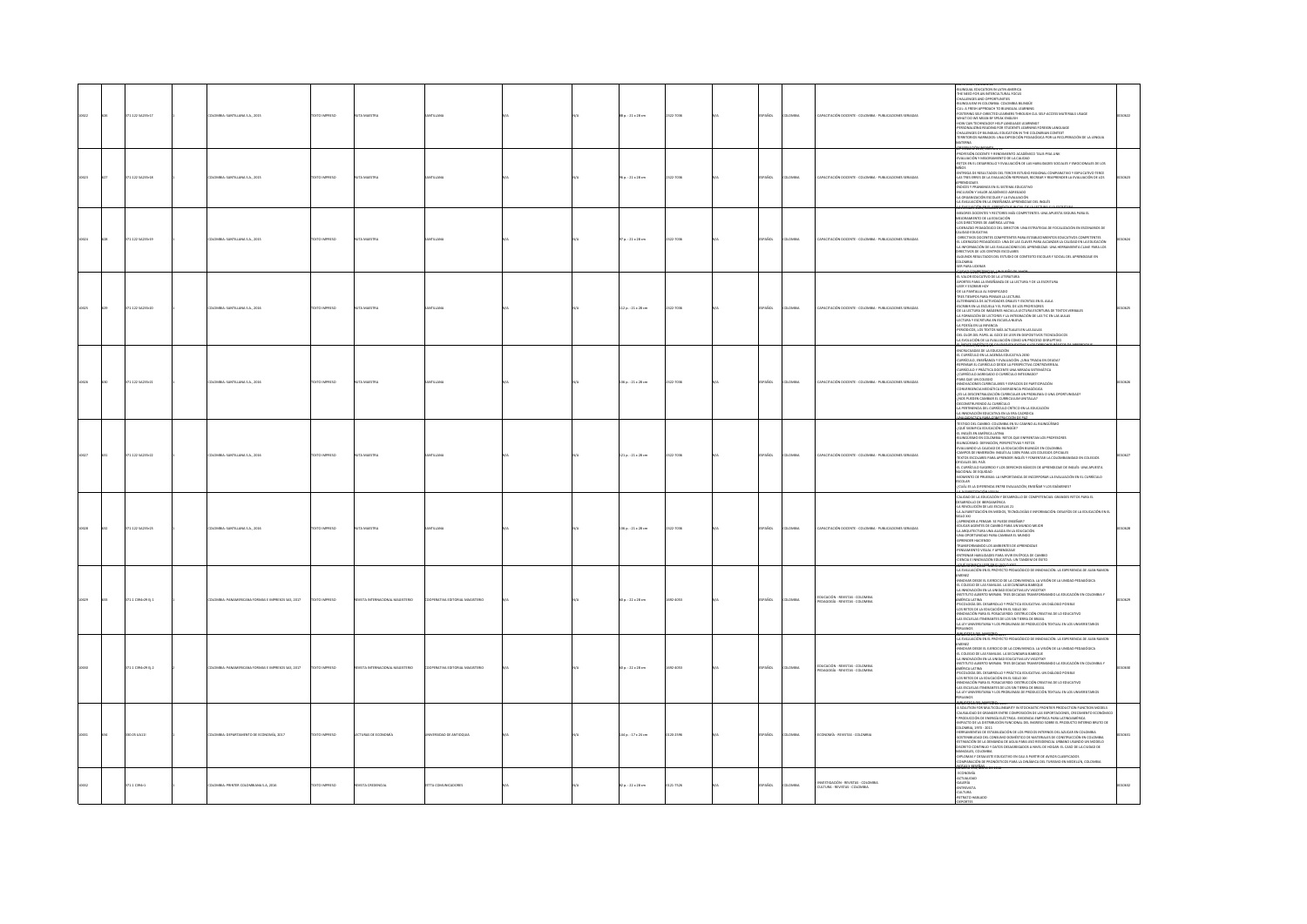|  | I71.122 SA235r17   | LOMBIA: SANTILLANA S.A., 2015                   | EXTO IMPRESO         | TA MAESTR                   |                             |  | 55 p. : 21 x 28 cm  | 322-7036  |             | OMBI          | PACITACIÓN DOCENTE - COLOMBIA - PUBLICACIONES SERIADAS                 | MATU AULS, EURAUN 11<br>BILINGUAL EDUCATION IN LATIN AMERICA<br>THE NEED FOR ANI INTERCULTURAL FOCUS<br>CHALLENGER AND ORDORELINETIC<br>-THE WARD FOR AN ARTICULAR INCOMENDATION CONTINUES INTO A SUBSIDIARY CONDITIONAL CONDITIONAL STATE OF A SUBSIDIARY CONDITIONAL CONDITIONAL STATE OF A SUBSIDIARY CONDITIONAL STATE OF A SUBSIDIARY CONDITIONAL STATE OF A SUB<br><b>AKR</b><br><b>TENGEYANY COULD LET</b>                                                                                                                                                                                                                                                                                                                                                                                                          |  |
|--|--------------------|-------------------------------------------------|----------------------|-----------------------------|-----------------------------|--|---------------------|-----------|-------------|---------------|------------------------------------------------------------------------|----------------------------------------------------------------------------------------------------------------------------------------------------------------------------------------------------------------------------------------------------------------------------------------------------------------------------------------------------------------------------------------------------------------------------------------------------------------------------------------------------------------------------------------------------------------------------------------------------------------------------------------------------------------------------------------------------------------------------------------------------------------------------------------------------------------------------|--|
|  | 1.1225423518       | <b>ILOMBIA: SANTILLANA S.A., 2015</b>           | <b>EXTO IMPRESO</b>  | TA MAESTRA                  | <b>VTILLANA</b>             |  | 95 p. : 21 x 28 cm  | 22-7036   | <b>SOL</b>  | <b>OMBIA</b>  | APACITACIÓN DOCENTE - COLOMBIA - PUBLICACIONES SERIADAS                | -<br>PROFESIÓN DOCENTE Y RENDIMIENTO ACADÉMICO TALIS-PISA LINK<br>EVALUACIÓN Y MEJORAMIENTO DE LA CALIDAD<br>RETOS EN EL DESARROLLO Y EVALUACIÓN DE LAS HABILIDADES SOCIALES Y EMOCIONALES DE LOS<br><b>volus</b><br>.<br>ENTREGA DE RESULTADOS DEL TERCER ESTUDIO REGIONAL COMPARATIVO Y EXPUCATIVO TERCE<br>LAS TRES ERRES DE LA EVALUACIÓN REPENSAR, RECREAR Y REAPRENDER LA EVALUACIÓN DE LOS<br>.<br>Ándices y prankings en el sistema educativo<br><b>CLUSIÓN Y VALOR ACADÉMICO AGREGADO</b><br>.<br>ORGANIZACIÓN ESCOLAR Y LA EVALUACIÓN<br>I EVALUACIÓN EN LA ENSEÑANZA APRENDIZAJE DEL INGLÉS<br><b>FENING YOU'RE ARRESTED IN THE OFFICER</b>                                                                                                                                                                     |  |
|  | 171.12254235r19    | ILOMBIA: SANTILLANA S.A., 2015                  | TEXTO IMPRESO        | UTA MAESTRA                 | <b>VTILLANA</b>             |  | 97 p. : 21 x 28 cm  | 122-7036  | <b>AÑOL</b> | LOMBIA        | APACITACIÓN DOCENTE - COLOMBIA - PUBLICACIONES SERIADAS                | PRIMIRIE JOUS, EURAIN 13<br>EJORES DOCENTES Y RECTORES MÁS COMPETENTES: UNA APUESTA SEGURA PARA EL<br>LIORAMIENTO DE LA EDUCACIÓN<br>OS DIRECTORES DE AMÉRICA LATINA<br>IDERAZGO PEDAGÓGICO DEL DIRECTOR: UNA ESTRATEGIA DE FOCALIZACIÓN EN ESCENARIOS DE<br>LIDAD EDUCATIVA<br>DIRECTIVOS DOCENTES COMPETENTES PARA ESTABLECIMIENTOS EDUCATIVOS COMPETENTES<br>L LIDERAZGO PEDAGÓGICO: UNA DE LAS CLAVES PARA ALCANZAR LA CALIDAD EN LA EDUCACIÓN<br>A INFORMACIÓN DE LAS EVALUACIONES DEL APRENDIZAJE: UNA HERRAMENTA CLAVE PARA LOS<br>IRECTIVOS DE LOS CENTROS ESCOLARES<br>ALGUNOS RESULTADOS DEL ESTUDIO DE CONTEXTO ESCOLAR Y SOCIAL DEL APRENDIZAJE EN<br>CMEIA<br>SER PARA LIDERAR<br>UND COMPATING AF-                                                                                                           |  |
|  | 71.1225423520      | <b>ACC &amp; 2 AND LITHAR STRAIGH</b>           | <b>OZSRRINI OTXT</b> | ITA MAFSTRA                 | <b>NTILLANA</b>             |  | 112 p. : 21 x 28 cm | 1222-7036 | <b>SSO</b>  | Channa        | APACITACIÓN DOCENTE - COLOMBIA - PUBLICACIONES SEBIADAS                | <b>FL VALOR FOLICATIVO DE LA LITERATURA</b><br>ORTES PARA LA ENSEÑANZA DE LA LECTURA Y DE LA ESCRITURA<br>.<br>DE LA PANTALLA AL SIGNIFICADO<br>RES TIEMPOS PARA PENSAR LA LECTURA<br>'' PAS TIMIN'NA PPONY FANAMY AN LLOUIN<br>ALTERNANCIA DE ACTIVIDADES ORALES Y ESCRITAS EN EL AULA<br>ESCRIBRI EN LA ESCUELA Y EL PAPEL DE LOS PROFESORES<br>DE LA LECTURA DE IMÁGENES HACIA LA LECTURA ESCRITURA DE TEXTOS VERBALES<br>.<br>A FORMACIÓN DE LECTORES Y LA INTEGRACIÓN DE LAS TIC EN LAS AULAS<br>.ECTURA Y ESCRITURA EN ESCUELA NUEVA<br>POESÍA EN LA INFANCIA<br>A FUGURA EL BOXO DE MÁS ACTUALES EN LAS AULAS<br>ERLÓDICOS, LOS TEXTOS MÁS ACTUALES EN LAS AULAS<br>JE L'OLOR DEL PAPEL AL GOCE DE LEER EN DISPOSITIVOS TECNOLÓGICOS<br>JE EVOLUCIÓN DE LA EVALUACIÓN COMO UN PROCESO DISRUPTIVO                    |  |
|  | 71.122 5A235r21    | <b>ILOMBIA: SANTILLANA S.A., 2016</b>           | EXTO IMPRESO         |                             |                             |  | 136 p.: 21 x 28 cm  | 322-7036  |             | oway          | <b>PACITACIÓN DOCENTE - COLOMBIA - PUBLICACIONES SERIADAS</b>          | AA POLICICING PEACHWAIGHT<br>COMPANY INTERFERING COMPANY INTERFERING INTERFERING INTERFERING INTERFERING INTERFERING INTERFERING INTERFERING INTERFERING INTERFERING INTERFERING INTERFERING INTERFERING INTERFERING INTERFERING                                                                                                                                                                                                                                                                                                                                                                                                                                                                                                                                                                                           |  |
|  | 171.122 SA235r22   | LOMBIA: SANTILLANA S.A., 2016                   | <b>DZERRAI OTX31</b> | A MAISTR                    |                             |  | 121 p. : 21 x 28 cm | 122-7036  | <b>Acc</b>  | OMBI          | PACITACIÓN DOCENTE - COLOMBIA - PUBLICACIONES SERIADAS                 | <del>uevo die ściecą babageniem kon</del> án pr. Pat.<br>Testigo del Cambio: Colombia en su Cambio al Bilingüísmo<br>OUÉ SIGNIFICA EDUCACIÓN BILINGÜE?<br>IL INGLÉS EN AMÉRICA LATINA<br>HLINGÜISMO EN COLOMBIA: RETOS QUE ENFRENTAN LOS PROFESORES<br>BILINGÜISMO: DEFINICIÓN, PERSPECTIVAS Y RETOS<br>VALUANDO LA CALIDAD DE LA EDUCACIÓN BILINGÜE EN COLOMBIA<br>: AMPOS DE INMERSIÓN: INGLÉS AL 100% PARA LOS COLEGIOS OFICIALES<br>IEXTOS ESCOLARES PARA APRENDER INGLÉS Y FOMENTAR LA COLOMBIANIDAD EN COLEGIOS<br>OFICIALES DEL PAÍS<br>-EL CURRÍCULO SUGERIDO Y LOS DERECHOS BÁSICOS DE APRENDIZAJE DE INGLÉS: UNA APUESTA<br>CIONAL DE EQUIDAD<br>MOMENTO DE PRUEBAS: LA IMPORTANCIA DE INCORPORAR LA EVALUACIÓN EN EL CURRÍCULO<br>COLAR<br>:<br>CUÁL ES LA DIFERENCIA ENTRE EVALUACIÓN, ENSEÑAR Y LOS EXÁMENES? |  |
|  | 71.122 5A235r23    | <b>ILOMBIA: SANTILLANA S.A., 2016</b>           | DESIRAN OTXET        | A MAISTR                    |                             |  | 136 p.: 21 x 28 cm  | 22.7035   | AÑOL        | <b>COMBIA</b> | APACITACIÓN DOCENTE - COLOMBIA - PUBLICACIONES SERIADAS                | CALIDAD DE LA EDUCACIÓN Y DESARROLLO DE COMPETENCIAS: GRANDES RETOS PARA EL<br>CHAIRM AN LIN CHARLIN T. DISIPINGADO DE COMPRESIDADE SUPERIOS PERSONALES<br>LA REVOLUCIÓN DE LAS ESCUELAS 21<br>LA ALFABETIZACIÓN EN MEDIOS, TECNOLOGÍAS E INFORMACIÓN: DESAFÍOS DE LA EDUCACIÓN EN EL<br>SPIERRO 2001<br>SIGLO 2001<br>-{APRENDER A PENSAR: SE PUEDE ENSEÑAR?<br>-EDUCAR AGENTES DE CAMBIO PARA UN MUNDO MEIOR<br>educar agentes de cambio para un mundo mi<br>La Arquitectura una aliada en la Educación<br>Una oportunidad para cambiar el Mundo<br>Aprender Haciendo<br>BANSFORMANDO LOS AMBIENTES DE ARRENDIZAJE<br>OVER CHANGE CO PRINCIPALE OF PROGRAM.<br>TREAMENTO VISUAL Y APRENDIZAJE<br>VTRENAR HABILIDADES PARA VIVIR EN ÉPOCA DE CAMBIO<br>ENCIA E INNOVACIÓN EDUCATIVA: UN TANDEM DE ÉXITO                   |  |
|  | 171.1 C394r29 tj.1 | MERICANA FORMAS E IMPRESOS SAS, 2017            | <b>CERRIN OTX</b>    | VISTA INT<br><b>OUTERS</b>  |                             |  | 50 p. : 22 x 28 cm  | 02-4053   | <b>SOL</b>  | owas          | DUCACIÓN - REVISTAS - COLOMBIA<br>DAGOGÍA - REVISTAS - COLOMBIA        | LA EVALUACIÓN EN EL PROYECTO PEDAGÓGICO DE INNOVACIÓN. LA EXPERIENCIA DE JUAN RAMON<br>ENEZ<br>KOVAR DESDE EL EJERCICIO DE LA CONVIVENCIA: LA VISIÓN DE LA UNIDAD PEDAGÓGICA<br>IL COLEGIO DE LAS FAMILIAS. LA SECUNDARIA BABEQUE<br>A INNOVACIÓN EN LA UNIDAD EDUCATIVA LEV VIGOTSKY<br>NSTITUTO ALBERTO MERANI. TRES DECADAS TRANSFORMA<br>O LA EDUCACIÓN EN COLOMBIA Y<br>$\begin{minipage}[t]{0.9\textwidth} {\small \textbf{A.1}} & \textbf{0.1} & \textbf{0.1} & \textbf{0.1} & \textbf{0.1} & \textbf{0.1} & \textbf{0.1} & \textbf{0.1} & \textbf{0.1} \\ \textbf{0.1} & \textbf{0.1} & \textbf{0.1} & \textbf{0.1} & \textbf{0.1} & \textbf{0.1} & \textbf{0.1} & \textbf{0.1} & \textbf{0.1} & \textbf{0.1} & \textbf{0.1} \\ \textbf{0.1} & \textbf{0.1} & \textbf{$<br><b>ZOWA</b><br>100556-7040              |  |
|  | 71.1 C394-29 ti.2  | MISIA: PANAMERICANA FORMAS E IMPRESOS SAS. 2017 | <b>EXTO IMPRESO</b>  | ORTZIANA JAKODNA MAGISTERIO | TIVA EDITORIAL MAGISTERIC   |  | 0a.:22×28 cm        | 14053     | <b>SOL</b>  | owaw          | DUCACIÓN - REVISTAS - COLOMBIA<br>EDAGOGÍA - REVISTAS - COLOMBIA       | -LA EVALUACIÓN EN EL PROYECTO PEDAGÓGICO DE INNOVACIÓN, LA EXPERIENCIA DE JUAN RAMON<br>exez<br>NNOVAR DESDE EL EJERCICIO DE LA CONVIVENCIA. LA VISIÓN DE LA UNIDAD PEDAGÓGICA<br>L COLEGIO DE LAS FAMILIAS, LA SECUNDARIA BABEQUE<br>A INNOVACIÓN EN LA UNIDAD EDUCATIVA LEV VIGOTSKY<br>STITUTO ALBERTO MERANI. TRES DECADAS TRANSFOR<br>014 FEICADÓN EN COLOMBIA Y<br>MÉRICA LATINA<br>SICOLOGÍA DEL DESARROLLO Y PRÁCTICA EDUCATIVA: UN DIÁLOGO POSIBLE<br>LOS RETOS DE LA EDUCACIÓN EN EL SIGLO XXI<br>OVACIÓN PARA EL POSACUERDO: DESTRUCCIÓN CREATIVA DE LO EDUCATIVO<br>AS ESCUELAS ITINERANTES DE LOS SIN TIERRA DE BRASIL<br>A LEY UNIVERSITARIA Y LOS PROBLEMAS DE PRODUCCIÓN TEXTUAL EN LOS UNIVERSITARIOS                                                                                                     |  |
|  | 130.05 UA11        | LOMBIA: DEPARTAMENTO DE ECONOMÍA, 2017          | EXTO IMPRESO         | ECTURAS DE ECONOMÍA         | <b>ERSIDAD DE ANTIOQUIA</b> |  | 144 p.: 17 x 24 cm  | 120-2596  | .<br>Vice   | ows.          | CONOMÍA - REVISTAS - COLOMBI                                           | <b>A SULFACE WANTER WAS THE TRANSPORTED TO A SURFACE AND A SURFACE AND A SURFACE AND A SURFACE AND A SURFACE AND A SURFACE AND A SURFACE AND A SURFACE AND A SURFACE AND A SURFACE AND A SURFACE AND A SURFACE AND A SURFACE AN</b><br>NIANIES, LUICUNIBIA<br>ILOMAS Y DESAULSTE EDUCATIVO EN CALI A PARTIR DE AVISOS CLASIFICADOS<br>MPARACIÓN DE PRONÓSTICOS PARA LA DINÁMICA DEL TURISMO EN MEDELLÍN, COLOMBIA<br>0345X 0251945                                                                                                                                                                                                                                                                                                                                                                                         |  |
|  | $1.1$ C394r1       | VISIA: PRINTER COLOMBIANA S.A., 2016            | XTO IMPRESO          |                             | TA COMUNICADORE             |  | $2p.:22\times28$ cm | $-7526$   |             |               | <b>ESTIGACIÓN - REVISTAS - COLOMBIA</b><br>ATURA - REVISTAS - COLOMBIA | UMERO 354, MATC<br>ICONOMÍA<br>IALERÍA<br>IALERÍA<br>XETRATO HABLADO<br>ETRATO HABLADO                                                                                                                                                                                                                                                                                                                                                                                                                                                                                                                                                                                                                                                                                                                                     |  |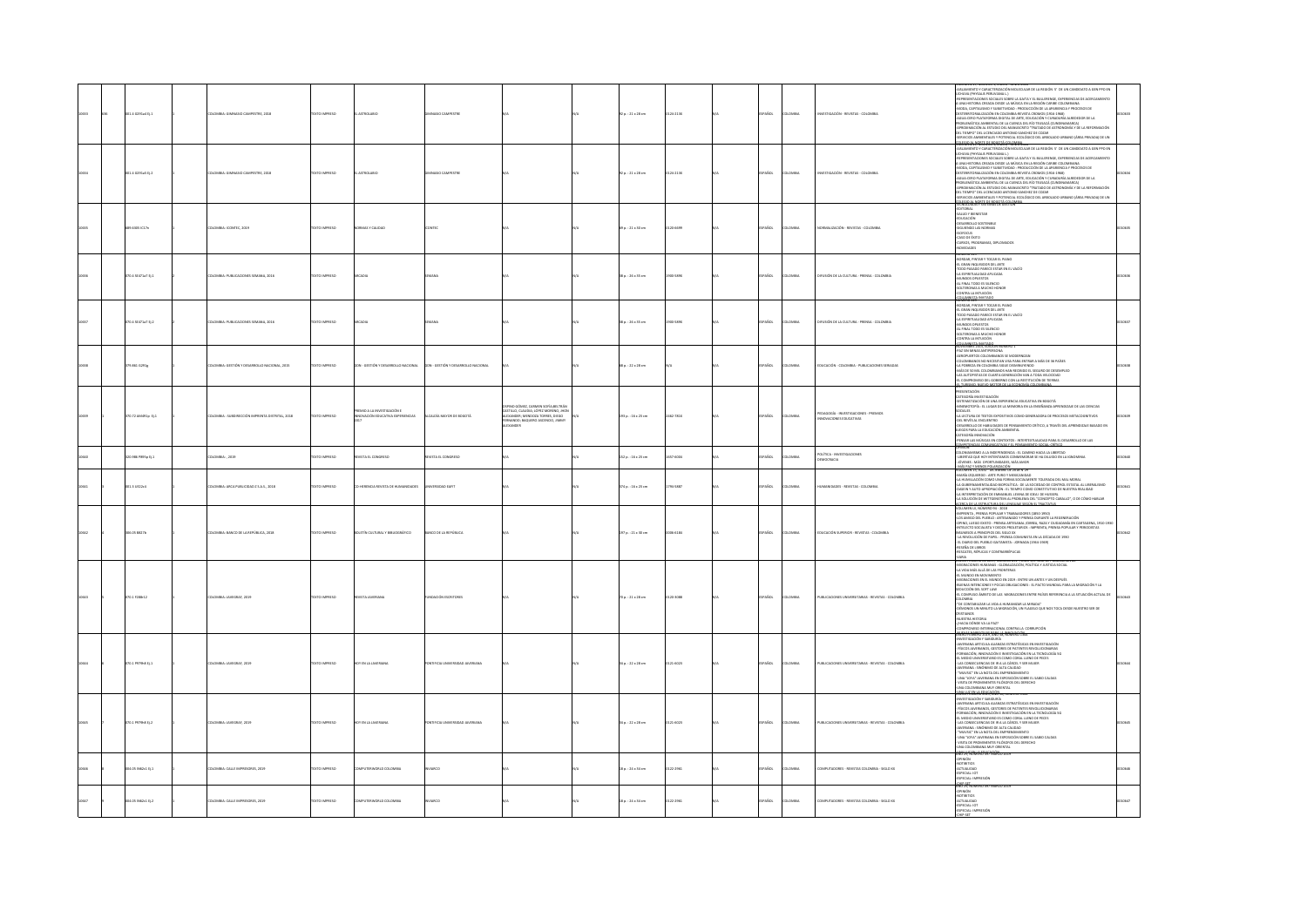|  | 01.4 0291+4 011    | LOMBIA: GIMNASIO CAMPESTRE, 2018               | OZERNI OTXT          | ASTROLABIO                                                           | <b>MOO CAMPESTER</b>                |                                                                                                                                                         | $20.21 \times 28$ cm | 124-2138 | <b>SPAÑOL</b> | <b>AIRMOJ</b> | INVESTIGACIÓN - REVISTAS - COLOMBIA                              | LAMIENTO Y CARACTERIZACIÓN MOLECULAR DE LA REGIÓN 5' DE UN CANDIDATO A GEN PPO EN<br>HUVA (PHYSALIS PERLIVIANA L.)<br>PRESENTACIONES SOCIALES SOBRE LA GAITA Y EL BULLERENGE, EXPERIENCIAS DE ACERCAMIENTO<br>A UNA HISTORIA CREADA DESDE LA MÚSICA EN LA REGIÓN CARIBE COLOM<br>-MODA, CAPITALISMO Y SUBJETIVIDAD : PRODUCCIÓN DE LA APARIENCIA Y PROCESOS DE<br>DESTERRITORIALIZACIÓN EN COLOMBIA-REVISTA CROMOS (1916-1968)<br>AGUA CERO PLATAFORMA DIGITAL DE ARTE, EDUCACIÓN Y CURADURÍA ALREDEDOR DE LA<br><b>PROBLEMÁTICA AMBIENTAL DE LA CUENCA DEL RÍO TEUSACÁ (CUNDINAMARCA)</b><br>APROXIMACIÓN AL ESTUDIO DEL MANUSCRITO "TRATADO DE ASTRONOMÍA Y DE LA REFORMACIÓN<br>DEL TIEMPO" DEL LICENCIADO ANTONIO SANCHEZ DE COZAR<br>-SERVICIOS AMBIENTALES Y POTENCIAL ECOLÓGICO DEL ARBOLADO URBANO (ÁREA PRIVADA) DE UN<br>198041-198036-06-199066-09900001-00000 | 128 |
|--|--------------------|------------------------------------------------|----------------------|----------------------------------------------------------------------|-------------------------------------|---------------------------------------------------------------------------------------------------------------------------------------------------------|----------------------|----------|---------------|---------------|------------------------------------------------------------------|---------------------------------------------------------------------------------------------------------------------------------------------------------------------------------------------------------------------------------------------------------------------------------------------------------------------------------------------------------------------------------------------------------------------------------------------------------------------------------------------------------------------------------------------------------------------------------------------------------------------------------------------------------------------------------------------------------------------------------------------------------------------------------------------------------------------------------------------------------------------------|-----|
|  | 1.4 0291 15 11 2   | OMBIA: GRANASIO CAMPESTER 2018                 | OPERATIONS           | <b>STROLARIC</b>                                                     | AND CAMPETER                        |                                                                                                                                                         | $20.21 \times 28$ cm | 24-2130  | SPAÑOL        | <b>OMBA</b>   | MASTICACIÓN - REVISTAS - COLOMBIA                                | <b>CONDITION THE CONCERNENCE CONSTANT AND A REPORT OF CONSTANT AND AN ANGELE AND AN ANGELE AND CONSTANT AND CONSTANT AND CONSTANT AND CONSTANT AND CONSTANT AND CONSTANT AND CONSTANT AND CONSTANT AND CONSTANT AND CONSTANT AN</b><br>.<br>DEL TIEMPO" DEL LICENCIADO ANTONIO SANCHEZ DE COZAR<br>SERVICIOS AMBIENTALES Y POTENCIAL ECOLÓGICO DEL ARBOLADO URBANO (ÁREA PRIVADA) DE UN<br><b><i><u>COLANDIA DI SPORTACORO</u></i></b>                                                                                                                                                                                                                                                                                                                                                                                                                                    |     |
|  | 89.6305 IC17n      | LOMBIA: ICONTEC, 2019                          | EXTO IMPRESO         | MAS Y CALIDAD                                                        |                                     |                                                                                                                                                         | 0 p.: 21 x 30 cm     | 004622   | AÑOL          | oway          | MALIZACIÓN - REVISTAS - COLOMBIA                                 | TENTINGS<br>SALUD Y BIRNESTAR<br>SALUD Y BIRNESTAR<br>CREARIOLLO SOSTENIELE<br>ORSARIOLLO SOSTENIELE<br>SIGUIENNO LAS NORMAS, DIFLOMADOS<br>CALO DE ÉXITO<br>CALORSOS<br>SIGUIENNOS<br>SIGUIENNOS<br>SIGUIENNOS<br>SIGUIENNOS<br>SIGUIENNOS                                                                                                                                                                                                                                                                                                                                                                                                                                                                                                                                                                                                                               |     |
|  | 0.4 52471a7 2j.1   | MBIA: PUBLICACIONES SEMANA, 2016               | CO IMPERSO           |                                                                      |                                     |                                                                                                                                                         | 8 p.: 26 x 35 cm     |          | <b>AROL</b>   | <b>MARINA</b> | <b>IFUSIÓN DE LA CULTURA - PRENSA - COLOMBIA</b>                 | NUMERU 129<br>-BORDAR, PINTAR Y TOCAR EL PIANO<br>-EL GRAN INQUISIDOR DEL ARTE<br>-TODO PASADO PARECE ESTAR EN EL VACÍO<br>-LA ESPIRITUALIDAD APLICADA<br>-MIUNDOS OPUESTOS<br>-<br>AL FINAL TODO ES SILENCIO<br>SOLTERONAS A MUCHO HONOR<br><b>WOUNDED ALARMAN</b><br><b>MERCITA MATADO</b>                                                                                                                                                                                                                                                                                                                                                                                                                                                                                                                                                                              |     |
|  | 70.4 SE471a7 Ej.2  | LOMBIA: PUBLICACIONES SEMANA, 2016             | TEXTO IMPRESO        |                                                                      |                                     |                                                                                                                                                         | 38 p. : 26 x 35 cm   | 100-587X | PAÑOL         | <b>OMBIA</b>  | DIFUSIÓN DE LA CULTURA - PRENSA - COLOMBIA                       | NUMERU 129<br>-BORDAR, PINTAR Y TOCAR EL PIANO<br>EL GRAN INQUISIDOR DEL ARTE<br>-TODO PASADO PARECE ESTAR EN EL VACÍO<br>-LA ESPIRITUALIDAD APLICADA<br>MUNDOS OPUESTOS<br>AL FINAL TODO ES SILENCIO<br>-SOLTERONAS A MUCHO HONOR<br>CONTRA LA INTUICIÓN                                                                                                                                                                                                                                                                                                                                                                                                                                                                                                                                                                                                                 |     |
|  | ra.ası c291g       | MBIA: GESTIÓN Y DESARROLLO NACIONAL, 2015      | TO IMPRESO           | .<br>DN - GESTIÓN Y DESARROLLO NACIONAL                              | SON - GESTIÓN Y DESARROLLO NACIONAL |                                                                                                                                                         | 8 p. : 22 x 28 cm    |          | AÑOL          | wax           | .<br>DUCACIÓN - COLOMBIA - PUBLICACIONES SERIADAS                | COMPAIA ANTUCON<br>COMPAIA ANTUCONO NOMINO I<br>ANDONEMO ANTESTINGO NO MONTENO A MASSEN DE PAÍSE<br>ANDONEMO COLOMBANO SE MODERNIZAR<br>ANTONINGO NO MONTENO A MARIA ANÍS DE 25 PAÍSE<br>ANTONINGO NO MONTENO ANTESIDO DE COLOMBADO ANTESIDO                                                                                                                                                                                                                                                                                                                                                                                                                                                                                                                                                                                                                              |     |
|  | 170.72 AM491p Ej.1 | KOMBIA : SUBDIRECCIÓN IMPRENTA DISTRITAL, 2018 | EXTO IMPRESO         | <b>REMO A LA INVESTIGACIÓN E</b><br>INNOVACIÓN EDUCATIVA EXPERENCIAS | LCALDÍA MAYOR DE BOGOTÁ             | INO GÓMEZ, CARMEN SOFÍA; BELTRÁR<br>ASTILLO, CLAUDIA; LÓPEZ MORENO, JHON<br>LEXANDER; MENDOZA TORRES, DIEGO<br>MANDO; BAQUERO ASCENCIO, JIMMIY<br>ANDER | 193 p.: 16 x 23 cm   | 462-781X | PAÑOL         | LOMBIA        | PEDAGOGÍA - INVESTIGACIONES - PREMIOS<br>INNOVACIONES EDUCATIVAS | <b>MODATACIÓN</b><br>CATEGORÍA INVESTIGACIÓN<br>SISTEMATIZACIÓN DE UNA EXPERIENCIA EDUCATIVA EN BOGOTÁ<br>MNEMOTOPÍA : EL LUGAR DE LA MEMORIA EN LA ENSEÑANZA-APRENDIZAJE DE LAS OENCIAS<br>SOCIALES<br>ANAMAS<br>-LA LECTURA DE TEXTOS EXPOSITIVOS COMO GENERADORA DE PROCESOS METACOGNITIVOS<br>-DEL REVÉS AL ENCUENTRO<br>-DESARROLLO DE HABLIDADES DE PENSAMIENTO CRÍTICO, A TRAVÉS DEL APRENDIZAJE BASADO EN<br>JUEGOS PARA LA EDUCACIÓN AMBIENTAL<br>TEGORÍA INNOVACIÓN<br>NSAR LAS MÚSICAS EN CONTEXTOS : INTERTEXTUALIDAD PARA EL DESARROLLO DE LAS<br>CAMBETAN<br>ESNICIN                                                                                                                                                                                                                                                                                        |     |
|  | 10.986 PB95p tj.1  | OMBIA: , 2019                                  | DZERNA OTXE          | VISTA EL CONGRESO                                                    | EVSTA EL CONGRESO                   |                                                                                                                                                         | 152 p.: 16 x 23 cm   | 57-5004  | AÑOL          | .<br>Milia    | POLÍTICA - INVESTIGACIONES<br><b>IEMOCRACIA</b>                  | aminum<br>Coloniamismo a la independencia : el camino hacia la libertad<br>: libertad que hoy intentamos conmemorar se ha diluido en la ignominia<br>: jóvenes : más  oportunidades, más amor<br>- MÁS PAZ Y MENOS POLARIZACIÓN<br>VOLUMEN 15, JULIO - DICIEMBRE DE 2018 N'29                                                                                                                                                                                                                                                                                                                                                                                                                                                                                                                                                                                             |     |
|  | 01.3 UE22c4        | LOMBIA: ARCA PUBLICIDAD Z S.A.S., 2018         | EXTO IMPRESO         | HERENCIA REVISTA DE HUMANIDADES                                      | ERSIDAD EAFIT                       |                                                                                                                                                         | 374 p.: 16 x 23 cm   | 194-5887 | PAÑOL         | <b>OMBIA</b>  | UMANDADES - REVISTAS - COLOMBIA                                  | MARÍA IZQUIERDO : ARTE PURO Y MEXICANIDAD<br>-LA HUMILLACIÓN COMO UNA FORMA SOCIALMENTE TOLERADA DEL MAL MORAL<br>-LA GUBERNAMENTALIDAD BIOPOLÍTICA : DE LA SOCIEDAD DE CONTROL ESTATAL AL LIBERALISMO<br>-DASEIN Y AUTO-APROPIACIÓN : EL TIEMPO COMO CONSTITUTIVO DE NUESTRA REALIDAD<br>-LA INTERPRETACIÓN DE EMMANUEL LEVINA DE IDEA I DE HUSSERL<br>-LA SOLUDÓN DE WITTGENSTEN AL PROBIEMA DEL "CONCEPTO CARALLO", O DE CÓMO HABLAR<br>ACERCA DE LA ESTRUCTURA DEL LENGIAJE SEGÚN EL TRACTATUS                                                                                                                                                                                                                                                                                                                                                                        |     |
|  | 6.05 88276         | 1814: BANCO DE LA REPÚBLICA, 2018              | TO IMPRESO           | TÍN CULTURAL Y BIBLIOGRÁFICO                                         | .<br>O de la república              |                                                                                                                                                         | 97 p. : 21 x 30 cm   |          |               |               | DUCACIÓN SUPERIOR - REVISTAS - COL                               | $\begin{tabular}{l l l } \hline & \multicolumn{2}{l}{\multicolumn{2}{l}{\multicolumn{2}{l}{\multicolumn{2}{l}{\multicolumn{2}{l}{\multicolumn{2}{l}{\multicolumn{2}{l}{\multicolumn{2}{l}{\multicolumn{2}{l}{\multicolumn{2}{l}{\multicolumn{2}{l}{\multicolumn{2}{l}{\multicolumn{2}{l}{\multicolumn{2}{l}{\multicolumn{2}{l}{\multicolumn{2}{l}{\multicolumn{2}{l}{\multicolumn{2}{l}{\multicolumn{2}{l}{\multicolumn{2}{l}{\multicolumn{2}{l}{\multicolumn{2}{l}{\multicolumn{$<br>SEÑA DE LIBROS<br>RESCATES, RÉPUCAS Y CONTRARRÉPUCAS                                                                                                                                                                                                                                                                                                                                |     |
|  | 0.17288-12         | MILA: JAVEGRAF, 2019                           | XTO IMPRESO          |                                                                      | MCIÓN ESCRI                         |                                                                                                                                                         | 0 p. : 21 x 28 cm    | 20-3088  | AÑOL          | .<br>Mili     | VIELCACIONES UNIVERSITARIAS - REVISTAS - COLOMBIA                | "HOME TERRING DE 2019, NUMERO 851, TOMO 155, NNO DE POBLE-RUDIN<br>-MIGRACIONES HUMANAS : GLOBALIZACIÓN, POLÍTICA Y JUSTICIA SOCIAL<br>-LA VIDA MÁS ALLÁ DE LAS FRONTERAS<br>-1.<br>AL MUNDO EN MOVIMIENTO<br>- ANDRACONIS EN EL MUNDO EN 2029 : ENTRE UN ANTES Y UN DESPUÉS<br>- GUERNA INTENCIONES Y POCAS OBJOACIONES : EL PACTO MUNDON. PARA LA MIGRACIÓN Y LA<br>- SEDUCCIÓN DEL SOIT LAW<br>- SEDUCCIÓN DEL SOIT LAW<br>SEUULUUN UES SUIT LAW<br>-EL COMPLEJO ÁMBITO DE LAS "MIGRACIONES ENTRE PAÍSES REFERENCIA A LA SITUACIÓN ACTUAL DE<br>COLOMBIA<br>-TDE CONTABILIZAR LA VIDA A HUMANIZAR LA MIRADA"<br>- DE CONVABILIZAR LA VILIA A RUMANIZAR LA MIRALIA<br>-OÉMONOS LIN MINUTO LA MISRACIÓN, UN FLAGELO QUE NOS TOCA DESDE NUESTRO SER DE<br>-ORISTRALOS<br>-NUESTRA HISTORIA<br>.<br>McIA dónde va la PAZ?<br>Ompromiso internacional contra la corrupción  |     |
|  | 0.1 PS79h8 tj.1    | OMBIA: JAVEGRAF, 2029                          | <b>CTO IMPRESO</b>   |                                                                      |                                     |                                                                                                                                                         | 4 p. : 22 x 28 cm    | 21-6023  | AÑOL          | MB)           | UBLICACIONES UNIVERSITARIAS - REVISTAS - COLOMBIA                | <b>ISTERIO ALLAND SA NOGERO TSA</b><br><b>METHAMISM SHE MANUSCRIPS AND SERVED AND SERVED ASSAULT AND SERVED SERVED ASSAULT AND SERVED SERVED SERVED AS A MANUSCRIPS AND SERVED SERVED ASSAULT AND SERVED ON FOR THE CHARGE OF THE SERVED UNIVERSE CONTINUES AND SERVED</b>                                                                                                                                                                                                                                                                                                                                                                                                                                                                                                                                                                                                |     |
|  | 00.1 P979h8 tj.2   | LOMBIA: JAVEGRAF, 2019                         | EXTO IMPRESO         | Y EN LA JAVERIANA                                                    | TIFICIA UNIVERSIDAD JAVERIANA       |                                                                                                                                                         | 34 p.: 22 x 28 cm    | 121-6023 | PAÑOL         | oway          | PUBLICACIONES UNIVERSITARIAS - REVISTAS - COLOMBIA               | <b>MAYREMAN SISYAÖ'sı, nome</b><br>(ESTIGACIÓN Y SABIDURÍA<br>(ERIANA ARTICULA ALIANZAS ESTRATÉGICAS EN INVESTIGACIÓN<br>- FÍSICOS JAVERIANOS, GESTORES DE PATENTES REVOLUCIONARIAS<br>-FORMACIÓN, INNOVACIÓN E INVESTIGACIÓN EN LA TECNOLOGÍA SG<br>-EL MEDIO UNIVERSITARIO ES COMO CORAL LLENO DE PECES<br>LAS CONSECUENCIAS DE IR A LA CÁRCEL Y SER MUJER<br>-IAVERIANA : SINÓNIMO DE ALTA CAUDAD<br>- "MUVSIC" EN LA NOTA DEL EMPRENDIMIENTO<br>- UNA "JOTA" AVERIANA EN EXPOSICIÓN SOBRE EL SABIO CALDAS<br>- VISITA DE PROMINENTES FILÓSOFOS DEL DERECHO<br>-UNA COLOMBIANA MUY ORIENTAL<br><b>IN A TEMANTIFICOM.</b>                                                                                                                                                                                                                                               |     |
|  | 105 N62:1 EL1      | OMBIA: CALLE IMPRESORES, 2019                  | OZSRRNI OTXT         | MPUTERWORLD COLOMBIA                                                 | <b>ARCO</b>                         |                                                                                                                                                         | $8a:24 \times 34$ cm | 122-2961 | <b>AROL</b>   | <b>DMBA</b>   | OMPUTADORES - REVISTAS COLOMBIA - SIGLO XX                       | OPINIÓN<br>-NOTIBITIOS<br>-ACTUALIDAD<br>-ESPECIAL: IOT<br>-ESPECIAL: IMPRESIÓN                                                                                                                                                                                                                                                                                                                                                                                                                                                                                                                                                                                                                                                                                                                                                                                           |     |
|  | 04.05 N62c1 Ej.2   | LOMBIA: CALLE IMPRESORES, 2019                 | <b>OZSRRMI OTX31</b> | MPUTERWORLD COLOMBIA                                                 |                                     |                                                                                                                                                         | 18 p.: 24 x 34 cm    | 122-2961 | AÑOL          | LOMBIA        | COMPUTADORES - REVISTAS COLOMBIA - SIGLO XX                      | -<br>AÑO 29. NÚMERO 497 MA<br>AND ZII, NOMERO 497 N<br>-NOTIBITIOS<br>-NOTIBITIOS<br>-ESPECIAL: IOT<br>-ESPECIAL: IMPRESIÓN                                                                                                                                                                                                                                                                                                                                                                                                                                                                                                                                                                                                                                                                                                                                               |     |
|  |                    |                                                |                      |                                                                      |                                     |                                                                                                                                                         |                      |          |               |               |                                                                  |                                                                                                                                                                                                                                                                                                                                                                                                                                                                                                                                                                                                                                                                                                                                                                                                                                                                           |     |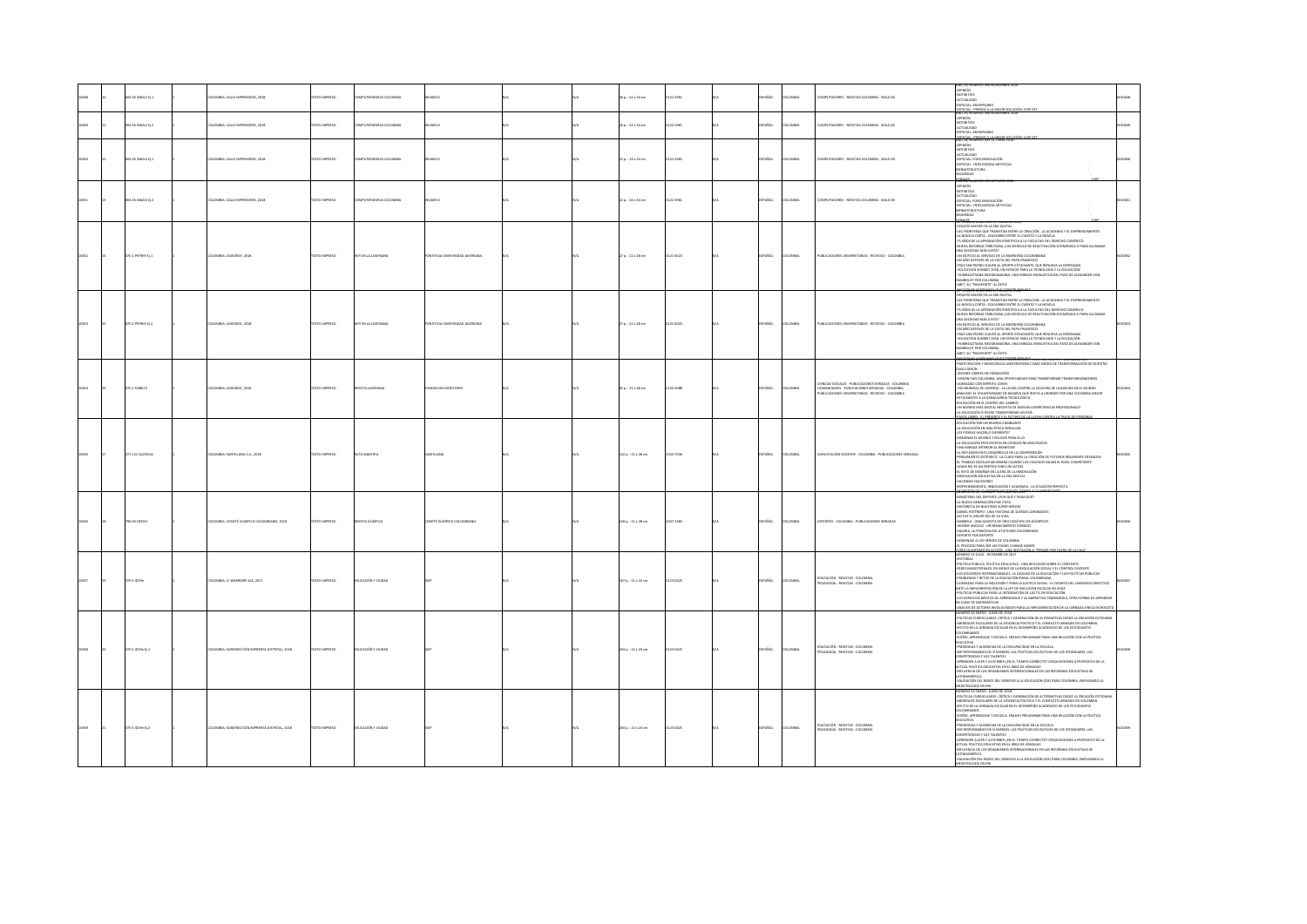|       |                    |                                               |                       |                           |                           |  |                        |          |             |       |                                                                                                                                                                                                                | O 29. NÚMERO 494 NOVIEMBRE 2018                                                                                                                                                                                                                                                                                                                                                                                                                                                                                                                                                                                                                                                                                                                                                                                                                                                                                                                                                   |  |
|-------|--------------------|-----------------------------------------------|-----------------------|---------------------------|---------------------------|--|------------------------|----------|-------------|-------|----------------------------------------------------------------------------------------------------------------------------------------------------------------------------------------------------------------|-----------------------------------------------------------------------------------------------------------------------------------------------------------------------------------------------------------------------------------------------------------------------------------------------------------------------------------------------------------------------------------------------------------------------------------------------------------------------------------------------------------------------------------------------------------------------------------------------------------------------------------------------------------------------------------------------------------------------------------------------------------------------------------------------------------------------------------------------------------------------------------------------------------------------------------------------------------------------------------|--|
|       | 04.05 IN62c2 EL1   | OMBIA: CALLE IMPRESORES, 2018                 | <b>XTO IMPRESO</b>    | UTERWORLD COLOMBIA        |                           |  | 6 p.: 24 x 34 cm       | 23.2053  | vios.       | oway  | MPUTADORES - REVISTAS COLOMBIA - SIGLO XX                                                                                                                                                                      | HU 49, NUM<br>JPINIÓN<br>KCTUALIDAD<br>PECIAL: ANIVERSARI                                                                                                                                                                                                                                                                                                                                                                                                                                                                                                                                                                                                                                                                                                                                                                                                                                                                                                                         |  |
|       | 4.05 N62c2 Ej.2    | OMBIA: CALLE IMPRESORES, 2018                 | <b>YTO IMPERSO</b>    | <b>PETTEWORLD COLOMBA</b> |                           |  | $a. : 24 \times 34$ cm | 12.2041  | isn         |       | MPUTADORES - REVISTAS COLOMBIA - SIGLO XX                                                                                                                                                                      | <u> 15PECIAL : PREMIO A LA MEJOR SOLUCIÓ</u><br>IÑO 29, NÚMERO 494 NOVIEMBRE 2018<br>PINIÓN<br>.<br>CTUALIDAD<br>TOM - ANNYPESARY                                                                                                                                                                                                                                                                                                                                                                                                                                                                                                                                                                                                                                                                                                                                                                                                                                                 |  |
| 10650 | 204.05 IN62c3 Ej.1 | <b>ILOMBIA: CALLE IMPRESORES, 2018</b>        | <b>EXTO IMPRESO</b>   | MELTERWORLD COLOMBIA      | ern.                      |  | $2a:24 \times 34$ cm   | 122-2961 | <b>AROL</b> | oway  | MPUTADORES - REVISTAS COLOMBIA - SIGLO XX                                                                                                                                                                      | ESPECIAL : PREMIO A LA MEJOR SOLUCIÓN<br>NO 28, NUMERO 493 OCTUBRE 3018<br><b>HNIÓN</b><br>comunic<br>OTIMINAS<br>CTUALIDAD<br>SPECIAL: FORO INNOVACIÓN<br>SPECIAL: INTELIGENCIA ARTIFICIAL<br>FRAESTRUCTURA<br>FRAESTRUCTURA<br>GURIDAD                                                                                                                                                                                                                                                                                                                                                                                                                                                                                                                                                                                                                                                                                                                                          |  |
| 10651 | 04.05 N62c3 EL2    | OLOMBIA: CALLE IMPRESORES, 2018               | <b>EXTO IMPRESO</b>   | MPUTERWORLD COLOMBIA      |                           |  | $2a:24 \times 34$ cm   | 122-2961 | AÑOL        | oway  | OMPUTADORES - REVISTAS COLOMBIA - SIGLO XX                                                                                                                                                                     | <b>MALES</b><br>40 28, NUMERI<br><b>HOMP</b><br>comunic<br>CTUALIDAD<br>KLIUKENNO<br>ESPECIAL: FORO INNOVACIÓN<br>ESPECIAL : INTELIGENCIA ARTIFICIAL<br>NERAESTRUCTURA<br><b>OACIRUS</b>                                                                                                                                                                                                                                                                                                                                                                                                                                                                                                                                                                                                                                                                                                                                                                                          |  |
|       | to.1 Pazaka tj.1   | OMBIA: JAVEGRAF, 2018                         | CTO IMPRESO           | Y EN LA JAVERIAN          |                           |  | 7 p.: 22 x 28 cm       | 21-6023  |             |       | UBLICACIONES UNIVERSITABLAS - REVISTAS - COLOMBIA                                                                                                                                                              | SAFÍO MAYOR EN LA ERA DIGITAL<br>AS FRONTERAS QUE TRANSITAN ENTRE LA CREACIÓN , LA ACADEMIA Y EL EMPRENDIMIENTO<br>A NOVELA CORTA : EQUILIBRIO ENTRE EL CUENTO Y LA NOVELA<br>S AÑOS DE LA APROBACIÓN PONTIFICIA A LA FACULTAD DEL DERECHO CANÓNICO<br>UEVA REFORMA TRIBUTARIA / UN VEHÍCULO DE REACTIVACIÓN ECONÓMICA O PARA ALCANZAR<br>NUEVA REFORMA TRIBUTARIA (UN VEHICULO DE REACTIVACION ECONOMICA O PA<br>UNA SOCIEDAD MÁS ROTAT<br>UNA SOCIEDAD MÁS ROTAT<br>CRUZ SAN DEDUCA CALANTA DEL PAPA FRANCISCO<br>CRUZ SAN PEDRO CAVISTA DEL PAPA REARCOLO PARTICULA LESPERADEA<br>ED<br>LIMBOLDTIANA NEOGRANADINA. UNA MIRADA EXHAUSTIVA DEL PASO DE ALEXANDER VON<br>ABROLDT POR COLOMBIA<br>ABET, SU "PASAPORTE" AL ÉXITO                                                                                                                                                                                                                                                    |  |
|       | 70.1 P979h9 tj.2   | OMBIA: JAVEGRAF, 2018                         |                       | YENLA                     |                           |  | p.: 22 x 28 cm         | 21-6023  |             |       | UBLICACIONES UN<br>ARIAS - REVISTAS - COLOMBIA                                                                                                                                                                 | <b>PTINGHAE JULIE WALD 5.7 MLGANGET</b><br>ESAFÍO MANOR EN LA ERA DIGITAL<br>AS FRONTERAS QUE TRANSITAN ENTRE LA CREACIÓN . LA ACADEMIA Y EL EMPRENDIMIENTO<br>A NOVELA CORTA : EQUILIBRIO ENTRE EL CUENTO Y LA NOVELA<br>15 AÑOS DE LA APROBACIÓN PONTIFICIA A LA FACULTAD DEL DERECHO CANÓNICO<br>75 MARS DE LA APIDAMONIA PORTUGIA AL FACILITAD DEI DEMONSTRO COMONICO.<br>ANCAR DE LONGA MILITARIA (UN VENÍCULO DE REACTIVADON ECONÓMICA O PARA ALCANZAR<br>ANCAR DE LONGA MILITARIA (UN VENÍCULO DE REACTIVADAS)<br>CHI A DA PEDRO CAN<br>HUMBOLDTIANA NEOGRANACINA, UNA MIRADA EXHAUSTIVA DEL PASO DE ALEXANDER VON<br>MECLOT POR COLOMBIA<br>ABET, SU "PASAPORTE" AL ÉXITO                                                                                                                                                                                                                                                                                                 |  |
|       | 070.17288-13       | LOMBIA: JAVEGRAF, 2018                        | <b>XTO IMPRESO</b>    | VISTA JAVERIAN            | NOACION ESCRITORES        |  | $2p.:21\times28$ cm    | 120-3088 |             |       | TINCIAS SOCIALES - PUBLICACIONES SERIADAS - COLOMBIA<br>IUMANDADES - PUBLICACIÓNES SERIADAS - COLOMBIA<br>IUMANDADES - PUBLICACIÓNES SERIADAS - COLOMBIA<br>IUBLICACIÓNES UNIVERSITARIAS - REVISTAS - COLOMBIA | ROBINE ORTHWICLE 20 DC WORKSHOUSE TOWO 154, AND DE POBJUALION 83<br>ARTICIPACIÓN Y DEMOCRACIA UNIVERSITARIA COMO MEDIO DE TRANSFORMACIÓN DE NUESTRA<br>ASA COMÚN<br>SA CORRON<br>SVENES LÍDERES EN FORMACIÓN<br>JONNES LIGEUES IN CORMADOS<br>AMON MARCHAR (MARCHAR COMPANY DAN TRANSFORMAR TRANSFORMARIONS)<br>AMON PAR COLOMBIA, UNA GOVERNMA DE PARADO FOR UNA REGUNA EN EL RADIOS<br>4 MARCHAR EL EL VELUNTARIADO DE BAVARIA QUE INVERA UNIBIOS FOR<br>N MUNDO MÁS DIGITAL NECESITA DE NUEVAS COMPETENCIAS PROFESIONALES<br>EDUCACIÓN SÍ PUEDE TRANSFORMAR UN PAÍS<br>05.USBIS: ELEMENTY FLOORO DE LA LI                                                                                                                                                                                                                                                                                                                                                                      |  |
|       | 71.122 SA235r24    | OMBIA: SANTILLANA S.A., 2018                  | <b>XTO IMPRESO</b>    |                           |                           |  | 142 p.: 21 x 28 cm     | 322-7036 |             |       | APACITACIÓN DOCENTE - COLOMBIA - PUBLICACIONES SERIADAS                                                                                                                                                        | DUCACIÓN PAR UN MUNDO CAMBIANTE<br>A EDUCACIÓN EN UNA ÉPOCA SINGULAR<br>IS POSIBLE HACERLO DIFERENTE?<br>(5 MORRIL MACRICO DIFERINTE I<br>A RODICALO DE MACRICO DE TORCAR PARA ELLO<br>A RODICALOÑ ESTA ESCRITA EN CODICIO NEUROLÓGICOS<br>JIA MERION EN EL DESARDILLO EN LA COMPRENSIÓN<br>A REFALENCIN EN EL DESARDILLO EL A CAN E PARA LA CERACI<br>TRABAJO ESCOLAR MEJORARÁ CUANDO LOS COLEGIOS EXUAN EL NIVEL COMPETENTE<br>GAR NO ES UN PARTIDO SINO UN LATIDO<br>L RETO DE ENSEÑAR EN LA ERA DE LA INNOVACIÓN<br>NOVACIÓN EDUCATIVA EN LA ERA DIGITAL<br>ACIENDO HACEDORES<br>ENDIMENTO, INNOVACIÓN Y ACADEMIA : LA ECUACIÓN PERFECTA<br>MERCHE SEPTIMAGE TO LYCOMETE JUSTIC                                                                                                                                                                                                                                                                                               |  |
|       | 196.05 C659r3      | OLOMBIA: COMITÉ OLIMPICO COLOMBIANO, 2018     | <b>OZSRRINI GTX31</b> | VISTA OLÍMPICA            | OMITÉ OLÍMPICO COLOMBIANO |  | 120 p. : 21 x 28 cm    | 027-2383 | AÑOL        | LOMBU | DEPORTES - COLOMBIA - PUBLICACIONES SERIADAS                                                                                                                                                                   | INISTERIO DEL DEPORTE / POR QUÉ Y PARA QUÉ?<br>A NUEVA GENERACIÓN PIDE PISTA<br>A NUEVA GENERALIJA PILIS PISIA<br>ISTORIETA DE NUESTROS SÚPER HÉROES<br>SÉ NUE IL MEIOR DÍA I HISTORIA DE SUEÑOS CORONADOS<br>SÉ NUE IL - UNA GAVIOTA DE ORO VOLÓ EN LOS OLÍMPICOS<br>SABRIELA : UNA GAVIOTA DE ORO VOLÓ EN LOS OLÍMPICOS<br>OUNY ANGULO : UN RENACIMIENTO DORADO<br>ALERIA, LA PRINCESA DEL ATLETISMO COLOMBIANO<br><b>EPORTE POR DEPORTE</b><br>MENAJE A LOS HÉROES DE COLOMBIA<br>-<br>PROCESO PARA SER UN YOUNG CHANGE MAKER                                                                                                                                                                                                                                                                                                                                                                                                                                                  |  |
|       | 170.5 1019         | LOMBIA: CI WARRIORS SAS, 2017                 | <b>EXTO IMPRESO</b>   | <b>UCACIÓN Y CIUDAD</b>   |                           |  | 187 p. : 21 x 24 cm    | 23-0425  | <b>So</b>   | MBI   | DUCACIÓN - REVISTAS - COLOMBIA<br>EDAGOGÍA - REVISTAS - COLOMBIA                                                                                                                                               | NÚMERO 33 JULIO - DICEMBRE DE 2017<br>LÍTICA PÚBLICA POLÍTICA EDUCATIVA : UNA REFLEXIÓN SOBRE EL CONTEXTO<br>VULIIKA PUBLIKA PULII ILKA EDULAINYA : UNA KEHEZAUN SUBRE EL CUNTEXTO<br>KEDES MAGISTERIALES, EN MEDIO DE LA REGILIACIÓN SOCIA Y EL CONTROL DOCENTE<br>CIS DISCURSOS INTERNACIONALES, LA CALIDAD DE LA EDUCACIÓN Y LAS POLÍTICAS PÚB<br>DERAZGO PARA LA INCLUSIÓN Y PARA LA JUSTICIA SOCIAL : EL DESAFÍO DEL UDERAZGO DIRECTIVO<br>ITE LA IMPLEMENTACIÓN DE LA LEY DE INCLUSIÓN ESCOLAR EN CHILE<br>OLÍTICAS PÚBLICAS PARA LA INTEGRACIÓN DE LAS TIC EN EDUCACIÓN<br>-DAINISA FRANCIS DE APRENDIZAIRE Y LA NARRATIVA TRANSMEDIA, OTRA FORMA DE APRENDER<br>OS DERECHOS BÁSICOS DE APRENDIZAIRE Y LA NARRATIVA TRANSMEDIA, OTRA FORMA DE APRENDER<br>NNÁLISIS DE ACTORES INVOLUCIADOS PARA LA IMPLEMENTACI                                                                                                                                                            |  |
| 10658 | 70.5 (019e EL1)    | LOMBIA: SUBDIRECCIÓN IMPRENTA DISTRITAL, 2018 | OZSRRNI OTX3          | UCACIÓN Y CIUDAD          |                           |  | 204 p. : 22 x 24 cm    | 23-0425  | <b>AROL</b> | oway  | EDUCACIÓN - REVISTAS - COLOMBIA<br><b>EDAGOGÍA - REVISTAS - COLOMBIA</b>                                                                                                                                       | NÚMERO 34 ENERO - JUNIO DE 2018<br>OLÍTICAS CURRICULARES. CRÍTICA Y GENERACIÓN DE ALTERNATIVAS DESDE LA CREACIÓN COTIDIAN.<br>BORDARIS ESCOLARES DE LA VIOLENCIA POLÍTICA Y EL CONFUCTO ARMADO EN COLOMBIA<br>FECTO DE LA JORNADA ESCOLAR EN EL DESEMPEÑO ACADÉMICO DE LOS ESTUDIANTES<br>ILOMBIANOS<br>JEÑO, APRENDIZAJE Y ESCUELA. ENSAYO PRELIMINAR PARA UNA RELACIÓN CON LA POLÍTICA<br>IUCATIVA<br>RESENCIAS Y AUSENCIAS DE LA DISCAPACIDAD EN LA ESCUELA<br>SER RESPONSABLES DE SÍ MISMOS. LAS POLÍTICAS EDUCATIVAS DE LOS ESTÁNDARES. LAS<br>MPETENCIAS Y LOS TALENTOS<br>AMPETENCIA I ECO TALENTOJ.<br>PRENDER A LEER Y A ESCRIBIR / EN EL TIEMPO CORRECTO? DISQUISICIONES A PRÓPOSITO DE LA<br>CTUAL POLÍTICA EDUCATIVA EN EL ÁREA DE LENGUAIE<br>NFLUENCIA DE LOS ORGANISMOS INTERNACIONALES EN LAS REFORMAS EDUCATIVAS DE<br>.<br>Nadación del Índice del derecho a la educación (Ide) para colombia, empleando la<br>OTOLOGÍA DELPHI<br>IERO 34 ENERO - JUNIO DE 2018 |  |
|       | 170.5 ID19e Ej.2   | OMBIA: SUBDIRECCIÓN IMPRENTA DISTRITAL, 2018  | XTO IMPRESO           | UCACIÓN Y CIUDAD          |                           |  | 204 p.: 22 x 24 cm     | 23-0425  | AÑOL        | OMBV  | EDUCACIÓN - REVISTAS - COLOMBIA<br>EDAGOGÍA - REVISTAS - COLOMBIA                                                                                                                                              | JININO JIH KININO - TOMO OLI JUARI<br>BORDANIS ESCOLARES (SRÍTICA Y GENERACIÓN DE ALTERNATIVAS DESDE LA CREACIÓN COTIDIANI)<br>BORDANIS ESCOLARES DE LA VIOLENCIA POLÍTICA Y EL CONFUCTO ARMADO EN COLOMBIA<br>FECTO DE LA JORNADA ESCO<br><b>LOMBIANOS</b><br>.<br>UEÑO, APRENDIZAJE Y ESCUELA. ENSAYO PRELIMINAR PARA UNA RELACIÓN CON LA POLÍTICA<br><b>UCATIVA</b><br><b>PRESENCIAS Y AUSENCIAS DE LA DISCAPACIDAD EN LA ESCUELA</b><br>ER RESPONSABLES DE SÍ MISMOS. LAS POLÍTICAS EDUCATIVAS DE LOS ESTÁNDARES. LAS<br>MOTOR IAT 2017 A 24/19/10/11<br>AMPELIENCHOS TILOG I HALENIUS<br>PRENIDER A LEER Y A ESCRIBIR (EN EL TIEMPO CORRECTO) DISQUISICIONES A PRÓPOSITO DE LA<br>ITUAL POLÍTICA EDUCATIVA EN EL ÁREA DE LENGUAIE<br>ITULIENCIA DE LOS ORGANISMOS INTERNACIONALES EN LAS REFORM<br>INDAMÉRICA<br>VALIDACIÓN DEL ÍNDICE DEL DERECHO A LA EDUCACIÓN (IDE) PARA COLOMBIA, EMPLEANDO LA                                                                          |  |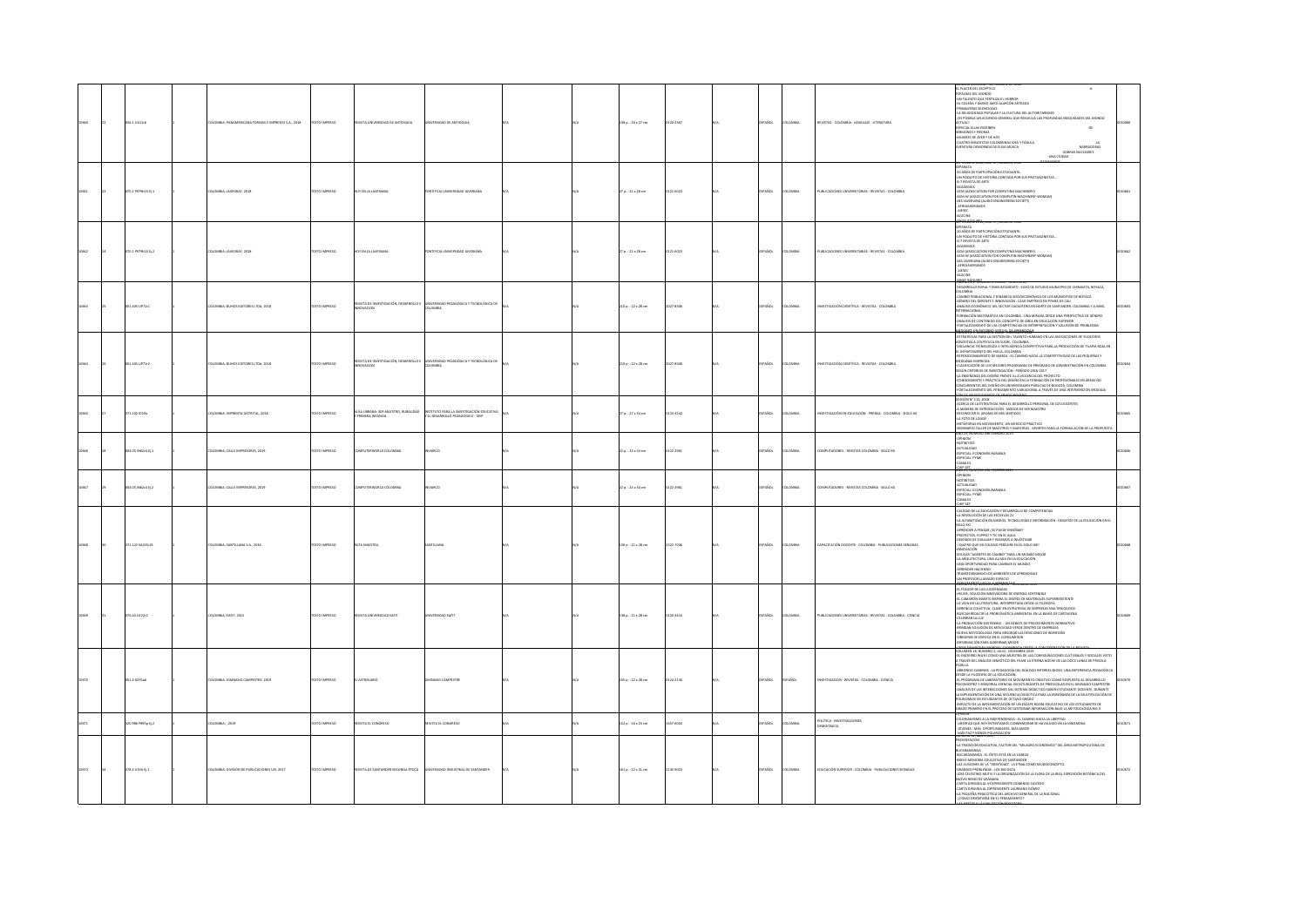|  | 8.1 UA11r6                          | OMBIA: PANAMERICANA FORMAS E IMPRESOS S.A., 2018 | CONSIGN C           | <b>MTIOCER</b>                                                 |                                                                                |  | 138 p.: 20 x 27 cm       | 20.2167   | PAÑOL        | um             | <b>PASTAS - COLOMNA - LENGUA IF - LITERATURA</b>             | IL PLACER DEL ESCÉPTICO<br>ISPALDAS DEL MUNDO<br>$\mathbf{A}$<br>UN TALENTO QUE FERTILIZA EL HORROR<br>L COLEGA Y AMIGO JAIRO ALARCÓN ARTEAGA<br>IMANFRAS SI FRICICAS<br>-<br>LA RELIGIOSIDAD POPULAR Y LA CULTURA DEL AUTORITARISMO<br>S POSIBLE UN ACUERDO GENERAL QUE RESUELVA LAS PROFUNDAS INEQUIDADES DEL MUNDO<br>PECIAL ELLAS ESCRIBEN<br>$-00$<br>MONEY Y DIFFIEL<br>MURRES OF AYER YOF HOY<br>CUATRO ENSAYISTAS COLOMBINAS IDEA Y FÁBULA<br>ENTURA DEMORADA DE ELISA MÚJICA<br>NARRADORAS<br>-SOBRAS NUCLEARES<br>-UNA CUDAD                                                                                                                                                                                                                                                                   |  |
|--|-------------------------------------|--------------------------------------------------|---------------------|----------------------------------------------------------------|--------------------------------------------------------------------------------|--|--------------------------|-----------|--------------|----------------|--------------------------------------------------------------|----------------------------------------------------------------------------------------------------------------------------------------------------------------------------------------------------------------------------------------------------------------------------------------------------------------------------------------------------------------------------------------------------------------------------------------------------------------------------------------------------------------------------------------------------------------------------------------------------------------------------------------------------------------------------------------------------------------------------------------------------------------------------------------------------------|--|
|  | 70.1 P979h10 Ej.1                   | LOMBIA: JAVEGRAF, 2018                           | EXTO IMPRESO        | <b>CN LA JAVERIANA</b>                                         | IFICIA UNIVERSIDAD JAVERIANA                                                   |  | 7 p.: 22 x 28 cm         | 121-6023  | PAÑOL        | mau            | VALICACIONES UNIVERSITARIAS - REVISTAS - COLOMBIA            | P REMININ ASSAULTING SUL INSURANCE APPE<br>DARNITA<br>IN POCIATO DE HISTORIA CONTADA POR SUS PROTAGONISTAS<br>IN POCIATO DE HISTORIA CONTADA POR SUS PROTAGONISTAS<br>I-7 REVISTA DE ARTE<br>WY NEIGHING<br>-ACADEMOS<br>-ACM (ASSOCIATION FOR COMPUTING MACHIRERY)<br>-ACM-W (ASSOCIATION FOR COMPUTIN MACHIRERY-WOMAN)<br>-AFROJAVERIANOS<br>- AFROJAVERIANOS<br>ucne                                                                                                                                                                                                                                                                                                                                                                                                                                  |  |
|  | 070.1 P979h10 ti.2                  | DLOMBIA: JAVEGRAF, 2018                          | <b>DZERNI OTXIT</b> | HOY EN LA JAVERIANA                                            | AMAIRINAL GACIERISMU AIOIRI                                                    |  | $27a. : 22 \times 28$ cm | 0121-6023 | SPAÑOL       | <b>AIRMOJO</b> | PUBLICACIONES UNIVERSITARIAS - REVISTAS - COLOMBIA           | With Falsy 1989s and<br><b>FDARATA</b><br>AFARATA<br>20 AÑOS DE PARTICIPACIÓN ESTUDIANTIL<br>UN POQUITO DE HISTORIA CONTADA POR SUS PROTAGONISTAS.<br>A-7 REVISTA DE ARTE<br>ACADEMOS<br>ACM (ASSOCIATION FOR COMPUTING MACHINERY)<br>ACM-W (ASSOCIATION FOR COMPUTIN MACHINERY-WOMAN)<br>AES JAVERIANA (AUDIO ENGINEERING SOCIETY)<br>AFROJAVERIANOS<br>uror<br>π.                                                                                                                                                                                                                                                                                                                                                                                                                                      |  |
|  | 01.405 UP71r1                       | <b>ILOMBIA: BUHOS EDITORES LTDA, 2018</b>        | <b>DZSRRMI OTX3</b> | <b>EVISTA DE INVESTIGACIÓN, DESARROLLO I</b><br>WACIÓN         | INVERSIDAD PEDAGÓGICA Y TECNOLÓGICA DE<br>OMBA                                 |  | 210 p.: 22 x 28 cm       | 2027-8306 | <b>PAÑOL</b> | OMBA           | NVESTIGACIÓN CIENTÍFICA - REVISTAS - COLOMBIA                | <b>COMPÁCE NOMERO 2, ENERO - JUNIO 2018</b><br>DESARROLLO RURAL Y ENVEJECIMIENTO : CASO DE ESTUDIO MUNICIPIO DE CHINAVITA, BOYACÁ.<br>LOMBIA<br>AMBIO POBLACIONAL Y DINÁMICA SOCIOECONÓMICA DE LOS MUNICIPIOS DE BOYACÁ<br>GÉNERO DEL GERENTE E INNOVACIÓN : CASO EMPÍRICO EN PIMES DE CALI<br>ANÁLISIS ECONÓMICO DEL SECTOR CACADTERO EN NORTE DE SANTANDER, COLOMBIA Y A NIVEL<br>NTERNACIONAL<br>ORMACIÓN MATEMÁTICA EN COLOMBIA : UNA MIRADA DESDE UNA PERSPECTIVA DE GÉNERO<br>MAAISIS DE CONTENIDO DEL CONCEPTO DE ÁREA EN EDUCACIÓN SUPERIOR<br>ORTALECIMIENTO DE LAS COMPETENCIAS DE INTERPRETACIÓN Y SOLUCIÓN DE PROBLEMAS<br>TOWER A WORLD BOYS SEED FOR A REAL PARTY.                                                                                                                         |  |
|  | 01.405 UP71r2                       | LOMBIA: BUHOS EDITORES LTDA, 2018                | XTO IMPRESO         | STA DE INVESTIGACIÓN, DESARROLLO<br>VACIÓN                     | ÓGICA Y TECNOLÓGICA D<br>MEM                                                   |  | 210 p. : 22 x 28 cm      | 027-8305  | AÑOL         | san            | <b>INESTIGACIÓN CIENTÍFICA - REVISTAS - COLOMBI</b>          | --------- 9, Humbol 1, JULIU - UKUEMB <b>EE, 2018</b><br>STRATEGIAS PARA LA GESTIÓN DEL TALENTO HUMANO EN LAS ASOCIACIONES DE YUQUEROS<br>JERRITAS A COLPETUDA EN SUCRE, COLOMBIA<br>CRI ANDIA TRENDI ÓRICO - NUEST, COLOMBIA<br>MARY IN A NANN INN O'R SOURI, LULUMBIA<br>NGLIANCIA TECNICÓGICA E NTELISENCIA COMPETITIVA PARA LA PRODUCCIÓN DE TILAPIA ROJA EN<br>REPOSICIONAMENTO DEL HULLA, COLONBIA<br>REPOSICIONAMENTO DE MARCA : EL CAMINO HACIA LA COMPETITIVIDA<br><b>MEXIMAL RAY PRODUCTS PROGRAMM</b> DE PREDIADO DE ADMINISTRACIÓN EN CIGOAREA CARRE EL COLOR DE ANTIGO DE ADMINISTRACIÓN EN COLOR (N. 1935)<br>CARRIFOLOGÍA DE LOS MEXIGIAS PROGRAMA DE PREDIADO DE ADMINISTRACIÓN EN COLORNER<br>4. A P<br>ORTALECIMIENTO DEL PENSAMIENTO VARIACIONAL A TRAVÉS DE UNA INTERVENCIÓN MEDIADA |  |
|  | 1.102 ID19a                         | .<br>OMBIA: IMPRENTA DISTRITAL, 2018             | OZERNI OTI          | .<br>AULA URBANA: SER MAESTRO, RURAUDAD<br>Y DEINIFRA INFANCIA | INSTITUTO PARA LA INVESTIGACIÓN EDUCATIVA<br>Y EL DESARROLLO PEDAGÓGICO - IDEP |  | p.: 27 x 34 cm           |           | AÑOL         |                | ESTIGACIÓN EN EDUCACIÓN - PRENSA - COLOMBIA - SIGLO XX       |                                                                                                                                                                                                                                                                                                                                                                                                                                                                                                                                                                                                                                                                                                                                                                                                          |  |
|  | 4.05 N62x4 Ej.1                     | <b>ILOMBIA: CALLE IMPRESORES, 2019</b>           | <b>XTO IMPRESO</b>  | PUTERWORLD COLOMBIA                                            |                                                                                |  | $2p.:24\times34$ cm      | 122-2961  | AÑOL         | way            | OMPUTADORES - REVISTAS COLOMBIA - SIGLO XX                   | WÓMM<br>OTIBITIOS<br>TUALIDAD<br>ESPECIAL: ECONOMÍA NARANJA<br>ESPECIAL: PYME<br>CANALES<br>CHELSET<br>AÑO 29, NÚMERO 496 FEBRERO 2015                                                                                                                                                                                                                                                                                                                                                                                                                                                                                                                                                                                                                                                                   |  |
|  | 04.05 IN62c4 Ej.2                   | LOMBIA: CALLE IMPRESORES, 2019                   | OZRRNI OTX          | MPUTERWORLD COLOMBIA                                           | RCD                                                                            |  | $2p.:24 \times 34$ cm    | 122-2961  | Acc.         | <b>MAGIN</b>   | OMPUTADORES - REVISTAS COLOMBIA - SIGLO XX                   | OPINIÓN<br>ontanos<br>ACTUALIDAD<br>-ESPECIAL: ECONOMÍA NARANUA<br>-ESPECIAL: PYME<br>CANALES<br>iliki an                                                                                                                                                                                                                                                                                                                                                                                                                                                                                                                                                                                                                                                                                                |  |
|  | 1.122 5A235r25                      | LOMBIA: SANTILLANA S.A., 2016                    | TO IMPRESO          |                                                                |                                                                                |  | 36 p.: 21 x 28 cm        |           |              |                | N DOCENTE - COLOMBIA - PUBLICACIONES S                       | FEMENO ANA, DUCINE I<br>- CALIDAD DE LA EDUCADÓN Y DESARROLLO DE COMPETENCIAS<br>-LA REVOLUCIÓN DE LAS ESCUELAS 21<br>-LA ALFABETIZACIÓN EN MEDIOS, TECNOLOGÍAS E INFORMACIÓN : DESAFÍOS DE LA EDUCACIÓN EN EL<br>A MIT MISSION ON WORLD, ISONOLOGICAL INFORMATION<br>GEO XXI<br>RICHARDER A PENSAR (SE PUEDE ENSERAR)<br>KUENCE QUE MI COLEGIO PERLANDS A INVESTIGAR<br>QUEUERO QUE MI COLEGIO PERDURE EN EL SIGLO XXII<br>HAPILITATÀN<br>: (QUIERU) UUE M<br>- RINGUAL MARIENTS DE CAMBIO "PARA UN MUNICO MEIOR<br>- LA ARQUITECTURA, UNA ALMAR EN LA EDUCACIÓN<br>- LA ARQUITECTURA, UNA ALMAR EN LA EDUCACIÓN<br>- LA MONTEURINDE PARA CAMBIAR EL MUNICO<br>- TRANSFORMANTO LOS AMB                                                                                                                  |  |
|  | 70.44 UE22r2                        | LOMBIA: EAFIT, 2015                              | <b>DZSRRMI OTX3</b> | VISTA UNIVERSIDAD EART                                         | <b>DEAFIT</b>                                                                  |  | 138 p.: 21 x 28 cm       | 120-341X  | AÑOL         | <b>MAGIN</b>   | PUBLICACIONES UNIVERSITARIAS - REVISTAS - COLOMBIA - CIENCIA | VOLUMENT AU, NUMERO AND JOS AND MINIMUM ANAS<br>-EL FULGOR DE LAS LUCIÉRINADAS<br>-EL CAMARÓN MANTIS INSPIRA EL DISEÑO DE MATERIALES SUPERRESISTENTE<br>-LA VIDA EN LA LITERATURA, INTERPRETADA DESDE LA FILOSOFÍA<br>-GERENCIA COLECTIVA, CLAVE EN ESTRATEGIA DE EMPRESAS MULTINEGOCIOS<br>BUSCAN REDUCIR LA PROBLEMÁTICA AMBIENTAL EN LA BAHÍA DE CARTAGENA<br>-<br>-<br>CELEBRAR LA LUZ<br>-LA PRODUCCIÓN DE MOVILIDAD VERDE DENTRO DE EMPRESAS<br>-BRINDAN SOLUCIÓN DE MOVILIDAD VERDE DENTRO DE EMPRESAS<br>NUEVA METODOLOGÍA PARA MEJORAR LAS DESICIONES DE INVERSIÓN<br>VIBESENSE SE ENFOCA EN EL CONSUMIDOR<br>ROMACIÓN PARA GOBERNAR MEJOR                                                                                                                                                      |  |
|  | .<br>A G291at                       | OMBIA: GIMNASIO CAMPESTRE, 2019                  | TO IMPRESO          |                                                                |                                                                                |  | 105 p. : 22 x 28 cm      |           |              |                | STIGACIÓN - REVISTAS - COLOMBIA - CIENCIA                    | CRICE FRANKCIER AKRONAL KOMMANA POTOK LA COMPROTRACIÓN DE LA RIGUITA<br>CIUNIEN I, ÎI, NÛMERO 2, JULIO - DICIEMBIE 2019<br>EL ENCIERIO WAYÛ COMO UNA MUESTRA DE LAS CONFIGURACIONES CULTURALES Y SOCIALES VISTO<br>I TRAVÉS DEL ANÁLISE<br>A TRANSIS DE ARÁUSIS SERVICIOS EL ROMA LA ETERPA NOCIO CIUNA DE APRIMADO CARRADO CARRA EN ENTRENCA PERSANGIA EL ROMANO DE AREADO EL ROMANO EL ROMANO EL ROMANO EL ROMANO EL ROMANO EL ROMANO EL ROMANO EL ROMANO EL ROMANO EL                                                                                                                                                                                                                                                                                                                                 |  |
|  | 386 P895p tj.2                      | LOMBIA: , 2019                                   | TO IMPRESO          | VSTA EL CONGRESO                                               | VSTA EL CONGRESO                                                               |  | 52 p.: 16 x 23 cm        | 7-5004    | .<br>Кос     |                | POLÍTICA - INVESTIGACIONES<br>DEMOCRACIA                     | NON<br>DINAMISMO A LA INDEPENDENCIA : EL CAMINO HACIA LA LIBERTAD<br>ERTAD QUE HOY INTENTAMOS CONMEMORAR SE HA DILUIDO EN LA IGNOMINIA<br>VENES : MÁS OPORTUNIDADES, MÁS AMOR<br>Ísmes : MÁS OPORTUNIDADES, MÁS AMOR<br>445 PAZ Y MENOS POLARIZACIÓN                                                                                                                                                                                                                                                                                                                                                                                                                                                                                                                                                     |  |
|  | $78.4 \text{ U133r E} \downarrow 1$ | COMBIA: DIVISIÓN DE PUBLICACIONES UIS, 2017      | OZERNI OTX          | IVISTA DE SANTANDER SEGUNDA ÉPOCA                              | NIVERSIDAD INDUSTRIAL DE SANTANDER                                             |  | 161 p.: 22 x 31 cm       | 145-9010  | AÑOL         | oway           | EDUCACIÓN SUPERIOR - COLOMBIA - PUBLICACIONES SERIADAS       | mino la mino andi<br>Esentación<br>Tradición educativa, factor del "Milagro económico" del Área Metropolitana de<br>DICARAMINA<br>ACCORDINATION CONTINUES IN CONTINUES INTO A CONTINUES INTO A CONTINUES INTO A CONTINUES INTO A CONTINUES IN A<br>CONTINUES IN CONTINUES IN CONTINUES INTO A CONTINUES IN A MAIL DIFFERENCE INTERNATIONAL CONTINUES IN                                                                                                                                                                                                                                                                                                                                                                                                                                                  |  |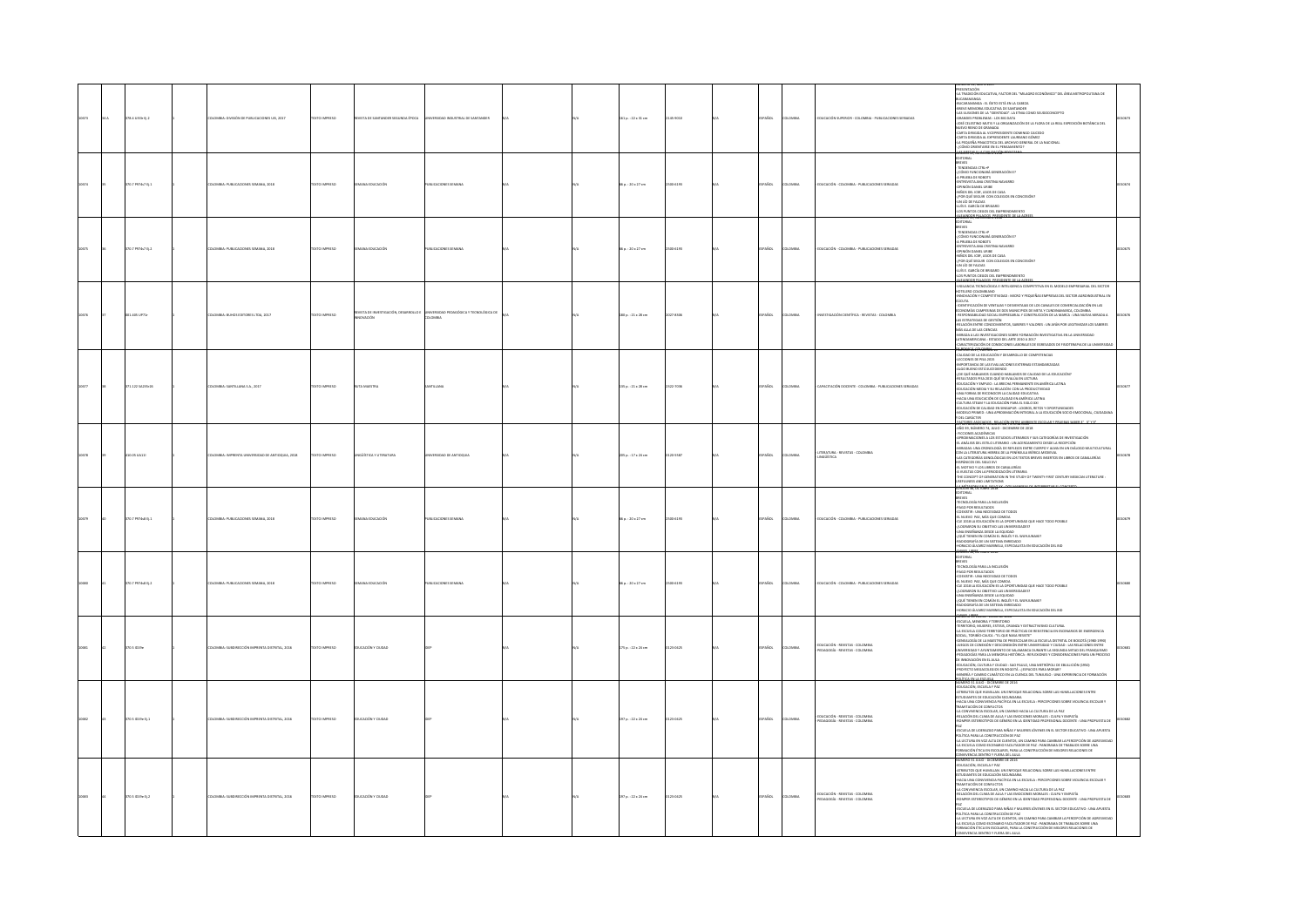|      |  | .<br>78.4 ULIJ: Ej.2 | LOMBIA: DIVISIÓN DE PUBLICACIONES UIS, 2017    |                    | STA DE SA                     |                            |  | 11 p. : 22 x 31 cm     | 45-9010  |             |              | .<br>DUCACIÓN SUPERIOR - COLOMBIA - PUBLICACIONES SERIADA             | PRESENTACIÓN<br>FRESENTACIÓN EDUCATIVA, FACTOR DEL "MILAGRO ECONÓMICO" DEL ÁREA METROPOLITANA DE<br>- A PRODUCTION CONTAINS A THE TRANSPORT OF A REAL METROPOLITANS OF MAXIMUM AND ARREST MANUSCRIPTION OF A REAL MINIMISTRATION OF A REAL MINIMISTRATION OF A REAL MINIMISTRATION OF A REAL MINIMISTRATION OF A REAL MINIMISTRA<br>CARTA DIRIGIDA AL EXPRESIDENTE LAUREANO GÓMEZ<br>CARTA DIRIGIDA AL EXPRESIDENTE LAUREANO GÓMEZ<br>LA PEQUEÑA PINACOTECA DEL ARCHIVO GENERAL DE LA NACIONAL<br>CÓMO ORIENTARSE EN EL PENSAMIENTO?<br>u marter a seu nomarronhe                                                                                                                                                                                                                                                                              |       |
|------|--|----------------------|------------------------------------------------|--------------------|-------------------------------|----------------------------|--|------------------------|----------|-------------|--------------|-----------------------------------------------------------------------|------------------------------------------------------------------------------------------------------------------------------------------------------------------------------------------------------------------------------------------------------------------------------------------------------------------------------------------------------------------------------------------------------------------------------------------------------------------------------------------------------------------------------------------------------------------------------------------------------------------------------------------------------------------------------------------------------------------------------------------------------------------------------------------------------------------------------------------------|-------|
|      |  | 370.7 P974s7 tj.1    | ILOMBIA: PUBLICACIONES SEMANA, 2018            | <b>XTO IMPRESO</b> | UCACIÓN                       | BLICACIONES SEMANA         |  | 5 p.: 20 x 27 cm       | 0-6193   | <b>AGC</b>  | LOMBIA       | DUCACIÓN - COLOMBIA - PUBLICACIONES SERIADAS                          | EDITORIAL<br>BREVES<br>- TENDENCIAS CTRL+P<br>-{CÓMO FUNCIONARÁ GENERACIÓN E?<br>A PRUEBA DE ROBOTS<br>in Phueba de Robots<br>-entrenista ana cristina Navarro<br>-ofinión danel Liribe<br>-niños del Icbf, lejos de Casa<br>-{for qué seguir con colegios en c<br>-un lío de Faldas                                                                                                                                                                                                                                                                                                                                                                                                                                                                                                                                                           |       |
| 3675 |  | 370.7 P974s7 Ej.2    | ILOMBIA: PUBLICACIONES SEMANA, 2018            | DZERRA OTXIT       | MA EDUCACIÓN                  | UBLICACIONES SEMANA        |  | 6 p.: 20 x 27 cm       | 054193   | ARCK.       | <b>LOMBA</b> | DUCACIÓN - COLOMBIA - PUBLICACIONES SERIADAS                          | EDICION 39, NOVIEMB<br>EDITORIAL<br>BREVES<br>- TENDENCIAS CTRL+P<br>CÓMO FUNCIONAIÁ GENERACIÓN E?<br>A PRUEBA DE ROBOTS<br>INTRIVISTA ANA CRISTINA NAVARRO<br>OPINIÓN DANEL URBE<br>NIÑOS DEL ICBF, LEJOS DE CASA<br>FOR QUÉ SEGUIR CON COLEGIOS EN CONCESIÓ<br>.<br>UN LÍO DE FALDAS<br>LOS PUNTOS CIEGOS DEL EMPRENDIM                                                                                                                                                                                                                                                                                                                                                                                                                                                                                                                      |       |
| 3576 |  | 001-405 UP71         | COMBIA: BUHOS EDITORES LTDA, 2017              | CESRRINI OTX       | <b>STADE INVE</b><br>OVACIÓN  | <b>DLOMBIA</b>             |  | 80 p. : 21 x 28 cm     | 27-8305  | AÑOL        | LOMBIA       | ESTIGACIÓN CIENTÍFICA - REVISTAS - COLOMBIA                           | U <mark>COMER'S, NUARRO 1º DUEDº ERLAND 2017</mark><br>NGILANCIA TECNOLÓGICA E INTELIGENCIA COMPETITIVA EN EL MODELO EMPRESARIAL DEL SECTOR<br>IUI ILENIU CUCUNINANO<br>JŪCIUTA<br>IDINIUVACIÓN Y COMPETITIVIDAD : MICRO Y PEQUEÑAS EMPRESAS DEL SECTOR AGRONIDUSTRIAL EN<br>IDENTIFICACIÓN DE VENTAJAS Y DESVENTAJAS DE LOS CANALES DE COMERCIALIZACIÓN EN LAS<br>- INDIVIRIUALISM DE VENI ARA 1 UESTEN INDIANA DE LOS LUNDALS DE LUMINIUALISMO DE DES<br>ECONOMÍAS CAMPESINAS DE DOS MUNICIPIOS DE META Y CUNDINAMARCA, COLOMIER.<br>- RESPONSABILIDAD SOCIAL EMPRESARIAL Y CONSTRUCCIÓN DE LA MARCA<br>AS ESTRATEGIAS DE GESTIÓN<br>-<br>RELACIÓN ENTRE CONOCIMIENTOS, SABERES Y VALORES : UN AFÁN POR LEGITIMIZAR LOS SABERES<br>MÁS ALLA DE LAS CIENCIAS<br>ANIRADA A LAS INVESTIGACIONES SOBRE FORMACIÓN INVESTIGATIVA EN LA UNIVERSIDAD |       |
|      |  | 171.122 SA215r26     | DLOMBIA: SANTILLANA S.A., 2017                 | <b>OZSRRAI OTX</b> | <b>TA MAISTRA</b>             |                            |  | $1350:21 \times 28$ cm | 122-7036 | AÑOL        | LOMBIA       | APACITACIÓN DOCENTE - COLOMBIA - PUBLICACIONES SERIADAS               | ARROW A AGE WANTSHANDORES SIDE TO PRANCIP WATER WAS IMPOUNDED AN ARROW AND ASSESS THAT THE ABOVE AND THE SIDE OF A MANY CONSULTANT OF THE PROPERTY OF A MANY CONSULTANT OF THE SIDE OF A MANY CONSULTANT OF A MANY CONSULTANT<br>.<br>EDUCACIÓN Y EMPLEO : LA BRECHA PERMANENTE EN AMÉRICA LATINA<br>EDUCACIÓN MEDIA Y SU RELACIÓN CON LA PRODUCTIVIDAD<br>UNA FORMA DE RECONOCER LA CALIDAD EDUCATIVA<br>HACIA UNA EDUCACIÓN DE CALIDAD EN AMÉRICA LATINA<br>CULTURA STEAM Y LA EDUCACIÓN PARA EL SIGLO XXI<br>EDUCACIÓN DE CALIDAD EN SINGAPUR : LOGROS, RETOS Y OPORTUNIDADES<br>AMODELO PRIMED : UNA APROXIMACIÓN INTEGRAL A LA EDUCACIÓN SOCIO EMOCIONAL, C.<br>Y DEL CARÁCTER                                                                                                                                                            |       |
|      |  | 10.05 UA11           | IMBIA: IMPRENTA UNIVERSIDAD DE ANTIOQUIA, 2018 | OZERNI O           | <b>NGO STICA Y LITERATURA</b> | <b>RSIDAD DE ANTIQQUIA</b> |  | $15a: 17x24$ cm        | ssar     | Srx         | <b>OMBIA</b> | <b>FRATURA - PEVETAS - COLOMNIA</b><br><b>NGO STICA</b>               | <b>KARMAANG DE CINJUS NEXT ENER</b><br>SIMMONO INTO INTERNACIONAL INTERNACIONAL SUB-<br>- AGO DR, NOMENO PA, ANDO - DICERMONE DE 2018<br>- AMOUNIMACONES A LOS ESTUDIOS LITERARIOS Y 2015 CATEGORÍAS DE INVESTIGACIÓN<br>- ALMONIMACONES A LOS ESTUDIOS LITERARIOS Y 2015 CATE<br>LONG CONSUMER CONTROL AND A READY INTO A REAL PROPERTY AND THE MISSION CONTRACTOR OF THE CONCEPT OF GALICULAR<br>415 MARCOS DEL SIGRO XVI<br>4 NUELTAS CON LA PERIODIZACIÓN LITERARIA<br>-THE CONCEPT OF GENERATION IN THE STUDY OF TWE<br>SEFULNESS AND LIMITATIONS<br>JADISTATE TO THE 1990 YY                                                                                                                                                                                                                                                             | 10678 |
|      |  | 0.7 P974s8 Ej.1      | THE AMANY PINTERFORMS COMP                     | O IMPRESO          |                               | <b>KADONES SEMAN</b>       |  | $p. : 20 \times 27$ cm | 16193    |             |              | UCACIÓN - COLOMBIA - PUBLICACIONES SERIADAS                           | meves<br>ΒΙΚΥΙΣ<br>- ΠΕΟΙΣΟΣΙΑΙ ΡΑΡΑ ΙΑ ΝΕΙΔΙΚΙΟΝ<br>- ΕΙ ΧΡΙΣΟ ΡΑ ΠΑΣΙΑΙ ΚΑΙ ΟΛΙΚΑ ΤΟΙΟΣ<br>- ΕΙ ΧΡΙΣΟ ΡΑΣ, ΜΑΣ ΌΣΕ ΟΔΙΚΙΑ.<br>- ΕΙ ΧΡΙΣΙ Α ΝΕΙΛΙΚΙΑΣΟΝ ΕΙ ΑΣ ΟΛΙΚΙΑ.<br>- ΕΙΣΕΙ ΠΙΝΕΝ ΚΑΙ ΟΛΙΚΑ ΤΟΙ ΚΑΙ ΚΑΙ ΝΈΝΤΑΣ<br>- ΕΙΣΕΙ ΠΙΝΕΝ ΕΚ ΟΛΙΚΑΝ ΕΙ ΝΟΙΕΊ<br>ADIOGRAFÍA DE UN SISTEMA ENREDADO<br>HORACIO ÁLVAREZ MARINELLI, ESPECIALISTA EN EDUCACIÓN DEL BID<br><b>ANGERSTEIN</b>                                                                                                                                                                                                                                                                                                                                                                                                                                                             |       |
|      |  | 370.7 P974s8 Ej.2    | LOMBIA: PUBLICACIONES SEMANA, 2018             | DZERRAI OTX:       | NA EDUCACIÓN                  | UBLICACIONES SEMANA        |  | 6 p. : 20 x 27 cm      | 30-6193  | So.         | LOMBIA       | DUCACIÓN - COLOMBIA - PUBLICACIONES SERIADAS                          | TECNOLOGÍA PARA LA INCLUSIÓN<br>AGO FOR RESULTADOS<br>COEXISTIR: UNA NECESIDAD DE TODOS<br>EL NUEVO PAE, MÁS QUE COMIDA<br>ELE 2018 LA EDUCACIÓN ES LA OPORTUNIDAD QUE HACE TODO POSIBLE<br>-LOGIRARON SU OBJETIVO LAS UNIVERSIDADES?<br>-UNA IDGEÑARCA DISOE LA EQUIDAD<br>-LOUE TIENEN EN COMÚN EL INGLÉS Y EL WAYUUNAIRI?<br>-RADIOGRAFÍA DE UN SISTEMA FAREEMISTA EN EDUCADÓN DEL BID<br>-HORACIO ÁLVAREZ MARINELLI, ESPECIALISTA                                                                                                                                                                                                                                                                                                                                                                                                          |       |
|      |  | 70.5 ID19e           | OMBIA: SUBDIRECCIÓN IMPRENTA DISTRITAL, 2016   | DZERRAI OT         | CACIÓN Y CIUDAD               |                            |  | 175 p.: 22 x 24 cm     | 10425    |             | OMBIA        | EDUCACIÓN - REVISTAS - COLOMBIA<br>DAGOGÍA - REVISTAS - COLOMBIA      | HOMEO AVARIZ MARRIELLE ERICHIATA EN EUGLALAJN UL BU<br>CHEMIO, MONTEN - MARCO A PORTO CONTA EL PRODUCTIVA O CALINA<br>ALEMANA MONDEN - ENTERTO, CRANATA ES DE PORTONA EN ESCHARIOS DE EMERGENCA<br>ALEMANA MONDEN - ENTERTORO DE PRÁCTI<br>«GIFIKALIAI» DE LA MARSI IM ALE PRESSALISME EN LA ESCUEIXA DISI IMILAL DE BOUGITA (DISIP-DESPAR)<br>UNIDES DE CONEXIÓN Y DESCONDISÓN ENTRE UNIVERSIDAD Y DUDAS : LAS RELACIONES ENTRE<br>UNIVERSIDAD Y ATUNTAMENTO DE SALAMANCA DURA<br>.<br>DUCACIÓN, CULTURA Y CIUDAD : SAO PAULO, UNA METRÓPOLI DE EBULLICIÓN (1950)<br>ROYECTO MEGACOLEGIOS EN BOGOTÁ : ¿ESPACIOS PARA MORAR?<br>INERÍA Y CAMBIO CLIMÁTICO EN LA CUENCA DEL TUNJUELO : UNA EXPERIENCIA DE FORMACIÓN                                                                                                                             |       |
|      |  | 370.5 (019e EL1)     | LOMBIA: SUBDIRECCIÓN IMPRENTA DISTRITAL, 2016  | DZERRAI OT         | UCACIÓN Y CIUDAD              |                            |  | $1970:22 \times 24$ cm | 10425    | AÑOL        | LOMBIA       | .<br>Ducación - Revistas - Colombia<br>Edagogía - Revistas - Colombia | MERO 31 JULIO - DICIEMBRE DE 2016<br>JMERO 31 JULIO - DICIEMBRE DE 2016<br>NOMINO JA INDU-OLIOMINE UE AUG<br>ATHENOIRE SE EDUCACIÓN SECURIONAL SOBRE LAS HUMILIADORES ENTRE<br>ATHENOIRES DE EDUCACIÓN SECURIONAL<br>HAGIA UNA CONVIENDA PAGÍNIA RELA ESCUELA : PIREIPODIRES SOBRE VOLTANCA ESCUAR Y<br>TRANSFACIÓN D<br>RELACIÓN DEL CUMA DE AULA Y LAS EMOCIONES MORALES : CULPA Y EMPATÍA<br>ROMPER ESTEREOTIPOS DE GÉNERO EN LA IDENTIDAD PROFESIONAL DOCENTE : UNA PROPUESTA DE<br>PAZ<br>ESCUELA DE LIDERAZGO PARA NIÑAS Y MUIERES JÓVENES EN EL SECTOR EDUCATIVO : UNA APUESTA<br><b>ENDED ON USERS WAS IMPOUND ANOTHER AND AN AN ARCHIVER CHAPTER OF A SAME CONSUMER A STATE OF A SAME CONSUMER AN ARCHIVER CHAPTER OF A SAME CONSUMER AN ARCHIVER CHAPTER OF A SAME CONSUMER AN ARCHIVER CHAPTER OF A SAME CONS</b>                   |       |
|      |  | 370.5 ID19e Ej.2     | LOMBIA: SUBDIRECCIÓN IMPRENTA DISTRITAL, 2016  | <b>DZSRRMI OTX</b> | DUCACIÓN Y CIUDAD             |                            |  | 197 p. : 22 x 24 cm    | 23-0425  | <b>Vice</b> | LOMBIA       | EDUCACIÓN - REVISTAS - COLOMBIA<br>PEDAGOGÍA - REVISTAS - COLOMBIA    | HACIA UNA CONVIVENCIA PACÍFICA EN LA ESCUELA : PERCEPCIONES SOBRE VIOLENCIA ESCOLAR Y<br>RAMITACIÓN DE CONFLICTOS<br>I RAMITALIUN DE CUNICICTUS<br>-LA CONVIVENCIA ESCOLAR, UN CAMINO HACIA LA CULTURA DE LA PAZ<br>-RELACIÓN DEL CLIMA DE AULA Y LAS EMOCIONES MORALES : CULPA Y EMPATÍA.<br>-ROMPER ESTEREOTIPOS DE GÉNERO EN LA IDENTIDAD PROFESIONAL DOCENTE : UNA PROPUESTA DE<br>PAZ<br>«SKUELA DE LIDERADIO PARA NIÑAS Y MULERES JÓVENES EN EL SECTOR EDUCATIVO : UNIA APUESTA<br>«SLUELA PARA LA CONSTITUCIÓN EX PAZ :<br>«A LICTURA EN VOZ ALTA DE CUENTOS, UN CAMINO PARA CAMBIAR LA PERCEPCIÓN DE AGRESIVIEME»<br>«A L<br>CONVIVENCIA DENTRO Y FUERA DEL AULA                                                                                                                                                                       |       |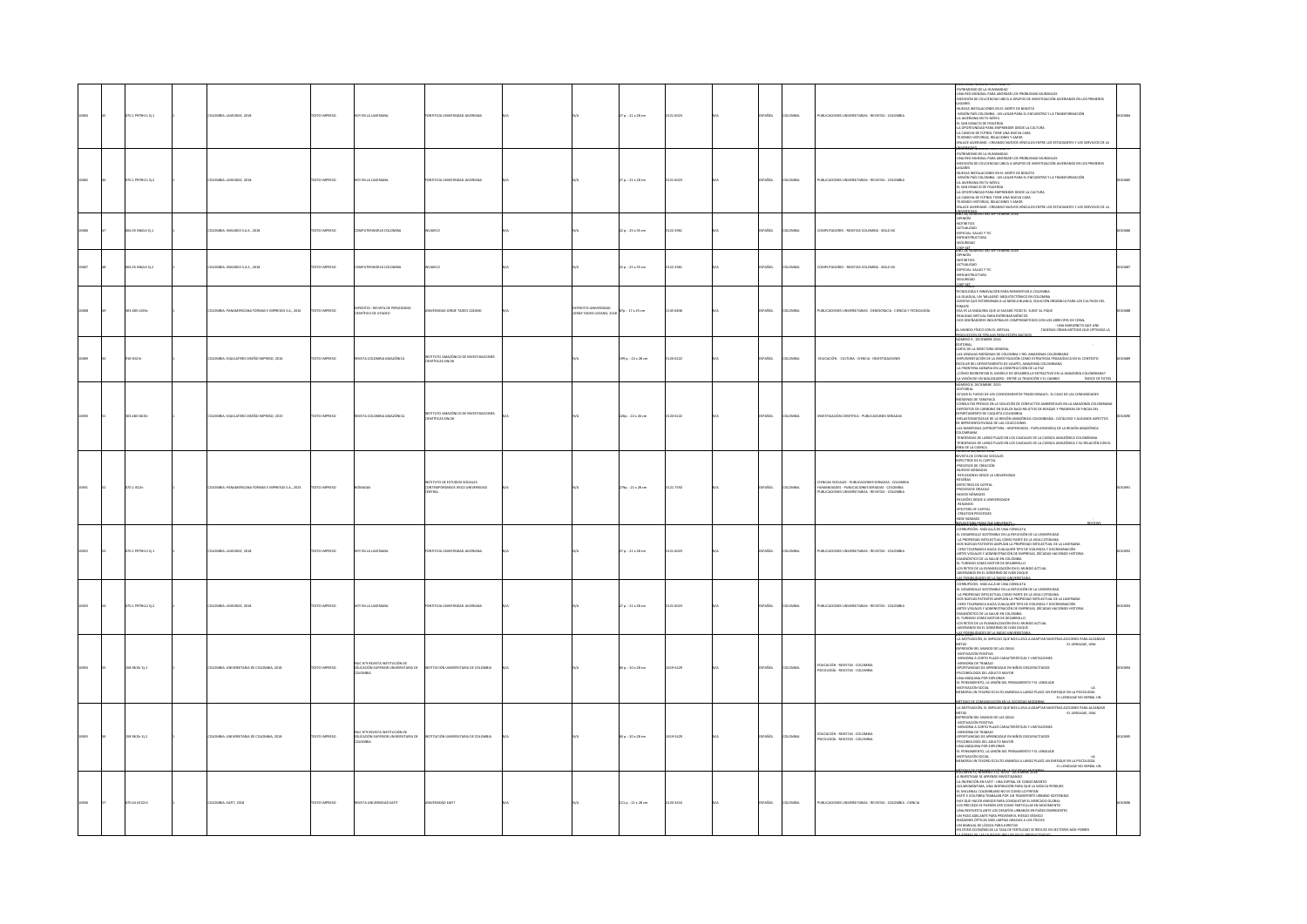|  | 070.1 PS79h11 EJ.1 | LOMBIA: JAVEGRAF, 2018                           | EXTO IMPRESO         | IY EN LA JAVERJAN                                                              | TIFICIA UNIVERSIDAD JAVERIANA                                                 |                                                  | $7 p. : 21 \times 28$ cm | 21-6023       | AÑOL        | <b>MAGIN</b>   | VALICACIONES UNIVERSITARIAS - REVISTAS - COLOMBIA                                                                                                            | TRIMONIO DE LA HUM<br>-UNA RED MUNDIAL PARA ABORDAR LOS PROBLEMAS MUNDIALES<br>AREXCIÓN DE COLCIENCIAS UBICA A GRUPOS DE INVESTIGACIÓN JAVERIANOS EN LOS PRIMEROS<br>SARES<br>NUEVAS INSTALACIONES EN EL NORTE DE BOGOTÁ<br>-RUSSIN RISKAACHORD STEL STARTED EXPLORATION TA TRANSFORMACIÓN<br>- MISSING PAR CELORISM : UN LUGAR PARA EL ENCUENTRO TA TRANSFORMACIÓN<br>- 41. SAN ERINGULO DE FIGURINA<br>- 41. SAN ERINGULO DE FIGURINA<br>- 41. SAN ERINGULO DE FIGU<br><b>UTANA, Rumero 1326, ANO 1</b>                                                                                                                                                                     |  |
|--|--------------------|--------------------------------------------------|----------------------|--------------------------------------------------------------------------------|-------------------------------------------------------------------------------|--------------------------------------------------|--------------------------|---------------|-------------|----------------|--------------------------------------------------------------------------------------------------------------------------------------------------------------|-------------------------------------------------------------------------------------------------------------------------------------------------------------------------------------------------------------------------------------------------------------------------------------------------------------------------------------------------------------------------------------------------------------------------------------------------------------------------------------------------------------------------------------------------------------------------------------------------------------------------------------------------------------------------------|--|
|  | 70.1 P979h11 D.2   | LOMBIA: JAVEGRAF, 2018                           | OZSRRNI OTXT         | <b>TY EN LA JAVERIANA</b>                                                      | TIFICIA UNIVERSIDAD JAVERJANA                                                 |                                                  | $70.121 \times 28$ cm    | 14023         | AÑOL        | way            | UBLICACIONES UNIVERSITARIAS - REVISTAS - COLOMBIA                                                                                                            | ON THIS MANUS OF LA HUMANICAGE<br>JUNA RED MUNICIAL PARA AROREAN LOS PROBLEMAS MUNICIALES<br>JUNA RED MUNICIAL PARA AROREAN LOS PROBLEMAS MUNICIALES<br>AUGUARS<br>HARGÓN PAÍS COLOMBIA : UN LUGAR PARA EL ENCUENTRO Y LA TRANSFORMACIÓN<br>-<br>.<br>IAVERNARDS FN LOS PRIMEROS<br>-LA JAVERIANA EN TU MÓVIL<br>-EL SAN IGNACIO DE FIGUEROA<br>-LA OPORTUNIDAD PARA EMPRENDER DESDE LA CULTURA<br>-<br>LA CANCHA DE FÚTBOL TIENE UNA NUEVA CARA<br>-TEILENDO HISTORIAS, RELACIONES Y AMOR<br>-ENLACE LAVERIANO : CREANDO NUEVOS VÍNCULOS ENTRE LOS ESTUDIANTES Y LOS SERVICIOS DE LA<br><b>MARKET GOVERnment</b>                                                             |  |
|  | 04.05 N62c5 EL1    | LOMBIA: INVIARCO S.A.S., 2018                    | OZSRRNI OTXT         | <b>IPUTERWORLD COLOMBIA</b>                                                    | MCO                                                                           |                                                  | $22a : 25x35$ cm         | 122-2961      | PAÑOL       | <b>OMBA</b>    | COMPUTADORES - REVISTAS COLOMBIA - SIGLO XX                                                                                                                  | ESPECIAL: SALUD Y TIC<br>-INFRAESTRUCTURA<br>-SEGURIDAD<br>HIPSET<br>NO 28. NUM                                                                                                                                                                                                                                                                                                                                                                                                                                                                                                                                                                                               |  |
|  | 204.05 IN62c5 Ej.2 | LOMBIA: INVIARCO S.A.S., 2018                    | EXTO IMPRESO         | PUTERWORLD COLOMBIA                                                            | ARCO                                                                          |                                                  | 22 p. : 25 x 35 cm       | 22-2961       | AÑOL        | <b>MAGIN</b>   | OMPUTADORES - REVISTAS COLOMBIA - SIGLO XX                                                                                                                   | MÓNIT<br><b>NOTIBITIOS</b><br>-ACTUALIDAD<br>-ESPECIAL: SALUD Y TH<br>-INFRAESTRUCTURA<br>-SEGURIDAD<br>للقطا                                                                                                                                                                                                                                                                                                                                                                                                                                                                                                                                                                 |  |
|  | 103.483 UJ13e      | OMBIA: PANAMERICANA FORMAS E IMPRESOS S.A., 2016 | <b>DZSRRMI OTX3</b>  | EXPEDITIO : REVISTA DE PERIODISMO<br>CIENTÍFICO DE UTADEO                      | CIRSIDAD JORGE TADEO LOZANO                                                   | <b>IND UNIVERSIDAD</b><br>ORGE TADEO LOZANO, 201 | 7p.: 17 x 25 cm          | 454836        | PAÑOL       | <b>OMBIA</b>   | PUBLICACIONES UNIVERSITABLAS - DEMOCRACIA - CIENCIA Y TECNOLOGÍA                                                                                             | ONTENDO<br>ECNOLOGÍA E INNOVACIÓN PARA REINVENTAR A COLOMBIA<br>A GUADUA, UN "MILAGRO" ARQUITECTÓNICO EN COLOMBIA<br><b>ASPAS QUE EXTERMINAN A LA MOSCA BLANCA, SOLUCIÓN OR</b><br>MATE<br>TOMAILS MARIJON OUT LE SACAR TOYOTA -<br>CHALICO VIETUAL PARA ENTERINA MÉDICO<br>COS DISEÑADORS INDUSTRIALES COMPROMETICOS CON LOS ARREGITS DE CORAL<br>COS DISEÑADORS INDUSTRIALES<br>ACARDAS CREAN MÉTIDO QUE OPTIMIZA IA<br>ACARDAS CREAN                                                                                                                                                                                                                                       |  |
|  | 218 516 15m        | COMBIA: EQUILATERO DISEÑO IMPRESO, 2016          | OZSRRNI OTXT         | EVISTA COLOMBIA AMAZÓNICA                                                      | TUTO AMAZÓNICO DE INVESTIGACIONES<br>INTÍFICAS SINCHI                         |                                                  | 199 p. : 22 x 28 cm      | 120-6222      | SPAÑOL      | <b>DLOMBIA</b> | EDUCACIÓN - CULTURA - CIENCIA - INVESTIGACIONES                                                                                                              | EDITORIAL<br>CARTA DE LA DIRECTORA GENERAL<br>-LAS LENGUAS INDÍGENAS DE COLOMBIA Y DEL AMAZONAS COLOMBIANO<br>-AS LINGUAS MICHAELS OC COLOIMAY DEL MARCONAS COLOIMIANO COLOIMICAT AND MARCON CARRIER MATERIAL CONTEXTO STATEMENT AND MARCON COMPANY CONTINUES AND A CONTEXTO COLOR COLOR COLOR COLOR COLOR COLOR COLOR COLOR COLOR COLOR CO<br>INDICE DE FOTOS                                                                                                                                                                                                                                                                                                                |  |
|  | 103.483 5/615      | OMBA: EQUILATERO DISEÑO IMPRESO, 2015            | XTO IMPRESO          | <b>ISTA COL</b><br><b>DMBIA AMAZÓNICA</b>                                      | TTUTO AMAZÓNICO DE INVESTIGACIONES<br>ITÍFICAS SINOIE                         |                                                  | 226p.: 22 x 26 cm        | 20-6222       | AÑOL        | Mau            | INTSTIGACIÓN CIENTÍFICA - PUBLICACIONES SERIADAS                                                                                                             | NÚMERO B, DICIEMBRE 2015<br>-EDITORIAL<br>ATIZAR EL FUEGO DE LOS CONOCIMIENTOS TRADICIONALES : EL CASO DE LAS COMUNIDADES<br>INDÍGENAS DE TARAPACÁ<br>-CONSULTAS PREVIAS EN LA SOLUCIÓN DE CONFLICTOS AMBIENTALES EN LA AMAZONÍA COLOMBIAN<br>CONSULTANTING IN ILAC SUCIÓ DE CONFUCTO AMBIENTAS EN LA AMODÍA COLORINAREA EN ANGELES EN CARACTER EN EN LA CONSULTANT EN EL CONFUCTO DE LA CONFUCTO DE LA CONFUCTO DE LA CONFUCTO DE LA CONFUCTO DE LA CONFUCTO DE LA CONFUCT                                                                                                                                                                                                   |  |
|  | 70.1 IE22n         | OMBIA: PANAMERICANA FORMAS E IMPRESOS S.A., 2015 | <b>DZERRI OTXT</b>   |                                                                                | <b>ITUTO DE ESTUDIOS SOCIALES</b><br>INTEMPORÁNEOS IESCO UNIVERSIDAD<br>NTRAL |                                                  | 79p.: 21 x 28 cm         | 21-7550       | AÑOL        | OMBIA          | TENCIAS SOCIALES - PUBLICACIONES SERIADAS - COLOMBIA<br>HUMANDADES - PUBLICACIONES SERIADAS - COLOMBIA<br>PUBLICACIONES UNIVERSITARIAS - REVISTAS - COLOMBIA | NUMBER W, NING, NEW<br>REVISTA DE CIENCIAS SOCIALES<br>ESPECTROS DE EL CAPITAL<br>-PROCESOS DE CREACIÓN<br>-NUEVOS NÓMADAS<br>REFLEXIONES DESDE LA UNIVERSIDAD<br>- REFLEXIONES DESDE LA UNIVERSIE<br>-RESPECTROS DE CAPITAL<br>-ESPECTROS DE CAPITAL<br>-NOVOS NÓMADES<br>-RELEXÓES DESDE A UNIVERSIDADE<br>- RESUMOS<br>- SPECTERS OF CAPITAL<br>- CREATION PROCESSES<br>- NEW NOMADS<br>- NEW NOMADS                                                                                                                                                                                                                                                                       |  |
|  | 070.1 P979h12 tj.1 | LOMBIA: JAVEGRAF, 201                            | EXTO IMPRESO         | OY EN LA JAVERIA                                                               | TIFICIA UNIVERSIDAD JAVERIANA                                                 |                                                  | 27 p. : 21 x 28 cm       | 14023         | AÑOL        |                | UBLICACIONES UP                                                                                                                                              | <b>STO 2014, NOMENO LINU, RNO</b><br>CRRUPCIÓN : MÁS ALLÁ DE UNA CONSULTA<br>-<br>EL TURISMO COMO MOTOR DE DESARROLLO<br>-LOS RETOS DE LA EVANGELIZACIÓN EN EL MUNDO ACTUAL<br>ERIANOS EN EL GOBIERNO DE IVÁN DUQUE                                                                                                                                                                                                                                                                                                                                                                                                                                                           |  |
|  | 0.1 P979h12 D.2    | LOMBIA: JAVEGRAF, 2018                           | EXTO IMPRESO         | <b>TY EN LA JAVERIANA</b>                                                      | TIFICIA UNIVERSIDAD JAVERIANA                                                 |                                                  | $70.121 \times 28$ cm    | 21-6023       | <b>AROL</b> | way            | PUBLICACIONES UNIVERSITARIAS - REVISTAS - COLOMBIA                                                                                                           | $\begin{array}{l} \textbf{AMOMAOS} \\ \textbf{AMOMAOS} \\ \textbf{AMOMAOS} \\ \textbf{AMOMAOS} \\ \textbf{AMOMAOS} \\ \textbf{AMOMAOS} \\ \textbf{AMOMAOS} \\ \textbf{AMOMAOS} \\ \textbf{AMOMAOS} \\ \textbf{MOMAOS} \\ \textbf{MOMAOS} \\ \textbf{MOMAOS} \\ \textbf{MOMAOS} \\ \textbf{MOMAOS} \\ \textbf{MOMAOS} \\ \textbf{MOMAOS} \\ \textbf{MOMAOS} \\ \textbf{MOMAOS} \\ \textbf{MOMAOS} \\ \textbf{MOMAOS} \\ \textbf{MOMAOS} \\ \textbf$<br>DIAGNÓSTICO DE LA SALUD EN COLOMBIA<br>-EL TURISMO COMO MOTOR DE DESARROLLO<br>-LOS RETOS DE LA EVANGELIZACIÓN EN EL MUNDO ACTUAL<br>VERMIOS EN EL GOBIERNO DE IVÁN DUQUE<br>LAS POSSEI IDADES DE LA BADIO LINIMESITARI |  |
|  | s Roade tj. 1      | IVERSITARIA DE COLOMBIA, 2018<br>OMBIA: UN       | EXTO IMPRESO         | RUC N'9 REVISTA INSTITUCIÓN DE<br>EDUCACIÓN SUPERIOR UNIVERSITAR<br>MELA       |                                                                               |                                                  | 50 p. : 20 x 28 cm       |               | Řск.        |                | EDUCACIÓN - REVISTAS - COLOMBIA<br>PSICOLOGÍA - REVISTAS - COLOMBIA                                                                                          | -LA MOTIVACIÓN, EL IMPULSO QUE NOS LLEVA A ADAPTAR NUESTRAS ACCIONES PARA ALCANZAR<br>METAS - EL LENGUAJE, UNA<br>EXPRESIÓN DEL MUNDO DE LAS IDEAS<br>- MOTIVACIÓN POSITIVA<br>- MEMORIA A CORTO PLAZO CARACTERÍSTICAS Y LIMITACIONES<br>- MEMORIA DE TRABAJO<br>- MEMORIA DE TRABADO CON EN RIÑOS DISCAPACITADOS<br>- GUN MÁCIDINA POR ESPERIDAMENTO<br>- SUN MÁCIDINA POR ESPERIDAMENTO<br>- EL PENSAMENTO, LA UNIÓN DEL PENSAMENTO Y EL LENGUAIX<br>-<br>MEMORIA UN TESORIO D'OULTO ARRESIA A LARGO FI AZO<br>-EL LENGUAJE NO VERBAL UN                                                                                                                                    |  |
|  | ia nosse tj.2      | IVERSITARIA DE COLOMBIA, 2018                    | XTO IMPRESO          | IUC N'9 REVISTA INSTITUCIÓN DE<br>EDUCACIÓN SUPERIOR UNIVERSITARIA DI<br>AISMO |                                                                               |                                                  | 0 p.: 20 x 28 cm         |               |             |                | EDUCACIÓN - REVISTAS - COLOMBIA<br>PSCOLOGÍA - REVISTAS - COLOMBIA                                                                                           | NAM MOTHACIÓN, EL IMPULSO QUE NOS LLEVA A ADAPTAR NUESTRAS ACCIONES PARA ALCANZAR<br>AMETAS (EL LENGUAIE, UNA CONTARTE DE LAS IDEAS)<br>EXPRESIÓN DEL MUNDO DE LAS IDEAS<br><b><i>LOTATION POSITIVA<br/>- MOTIVACIÓN POSITIVA<br/>- MEMORIA A CORTO PLAZO CARACTERÍSTICAS Y LIMITACIONES</i><br/>- MEMORIA DE TRABAJO</b><br>- MINORIA DE TRABAJO<br>- SPOCIMINADA DE A APRINISTAJE EN NIÑOS DISCAPACITADOS<br>- PSOCIMINADATO LA ADACITO MATOR<br>- SUN MÁGUINA POR EXPLORAR<br>- AL LEMSANARISTO, LA UNIÓN DEL PENSAMENTO Y EL LEMSIAJE<br>- METALORIO NOCALTO ANNESIA A                                                                                                    |  |
|  | 070.44 UE22r3      | LOMBIA: EART, 2018                               | <b>DESIRAN OTX3T</b> | <b>ASTA LB</b>                                                                 |                                                                               |                                                  | 121 p.: 21 x 28 cm       | <b>VELOCI</b> | afire       | was            | PUBLICACIONES UNIVERSITARIAS - REVISTAS - COLOMBIA - CIENCIA                                                                                                 | <b>RAYS., RUMBER 177, IBLA-19CEMAR 198</b><br>NOUMES AS, ROMERO E MUSICO COMENDADO<br>A INVESTIGAS E APRIMEIRA UNICIDADE EN ANOSTERIAS EL ARMENICA EN EN ENTRE EN ASSEMBADOS PRESIDENTO A<br>ACUMENTADA PER A UN ASSEMBADOS PARA QUE LA MÚSICA PRESIDENTA<br>ACUMENTADA CONDIMIDADA D<br>UNA RESPUESTA ANTE LOS DESAFÍOS URBANOS EN PAÍSES EMERGENTES<br>UN PASO ADELANTE PARA PREVENIR EL RIESGO SÍSMICO<br>IMÁGENES ÓPTICAS MÁS LIMPIAS GRACIAS A LOS FÍSICOS<br>UN MANUAL DE LÓGICA PARA JURISTAS<br>EN CRISIS ECONÓMICAS LA TASA DE FERTILIDAD SE REDUCE EN SECTORES MÁS POBRE                                                                                            |  |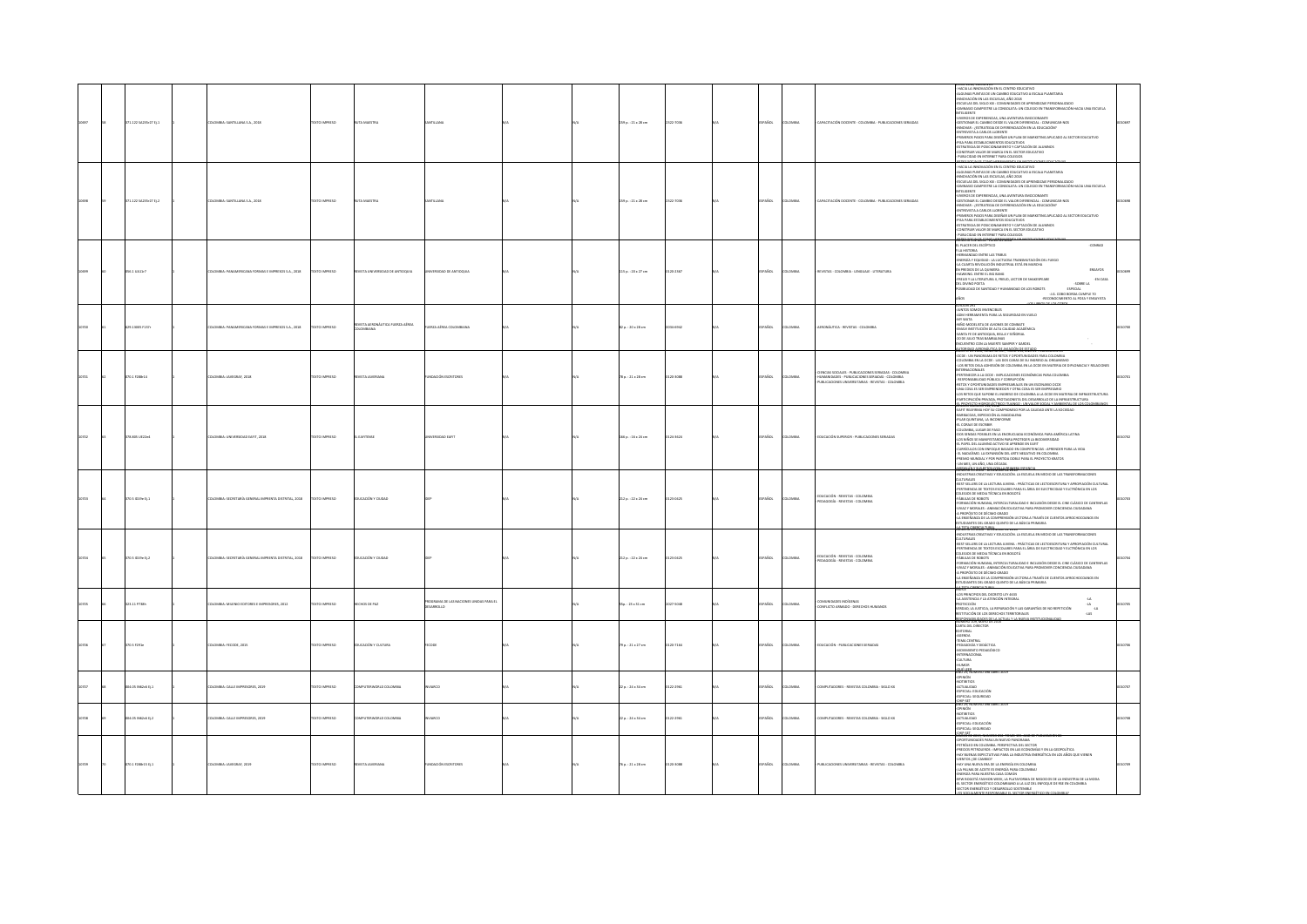|       | 871.122 SA235r27 tj.1 | MINA: SANTILLANA S.A., 2018                       | EXTO IMPRESO       |                                  |                                                       |  | :0 p. : 21 x 28 cm   | 7035     | <b>Scc</b>    |                | CITACIÓN DOCENTE - COLOMBIA - PUBLICACIONES SER                                                                                                            | .<br>HACIA LA INNOVACIÓN EN EL CENTRO EDUCATIVO<br>NGUNAS PUNTAS DE UN CAMBIO EDUCATIVO A ES<br>DUCATIVO A ESCALA PLANETARIA<br><b>BEDE ORA 24 YELDEN 24 LIFE WOODLING</b><br>NNIOVALIUN EN LAS ESLUISIOS, MNO 2018<br>ESCUELAS DEL SIGLO 301 : COMUNIDADES DE APRENDIZAJE PERSONALIZADO<br>GIMNASIO CAMPESTRE LA CONSOLATA: UN COLEGIO EN TRANSFORMACIÓN HACIA UNA ESCUELA<br>SHARADO CAMERINI AL CONSIGUIR ANCHE DE TRANSPORMACIÓN MACA UNA ELOR EN ENTRE ELECTRONICA DE ESTADO DEL CONSIGUE EN ENTRE ELECTRONICA EL ESTADO DE ENTRE ELECTRONICA EL ESTADO DE ENTRE ELECTRONICA EL ESTADO DE ENTRE ELECTRO<br>1,000-108-00893                                                                                                                                                                                                                             |  |
|-------|-----------------------|---------------------------------------------------|--------------------|----------------------------------|-------------------------------------------------------|--|----------------------|----------|---------------|----------------|------------------------------------------------------------------------------------------------------------------------------------------------------------|-------------------------------------------------------------------------------------------------------------------------------------------------------------------------------------------------------------------------------------------------------------------------------------------------------------------------------------------------------------------------------------------------------------------------------------------------------------------------------------------------------------------------------------------------------------------------------------------------------------------------------------------------------------------------------------------------------------------------------------------------------------------------------------------------------------------------------------------------------------|--|
| 10555 | 371.122 SA235r27 ti.2 | COLOMBIA: SANTILLANA S.A., 2018                   | TEXTO IMPRESO      | <b>RUTA MAISTRA</b>              |                                                       |  | 59 p. : 21 x 28 cm   | 322-7036 | PAÑOL         | AIRMOJO        | CAPACITACIÓN DOCENTE - COLOMBIA - PUBLICACIONES SERIADAS                                                                                                   | - HACIA LA INNOVACIÓN EN EL CENTRO EDUCATIVO<br>-ALGUNAS PUNTAS DE UN CAMBIO EDUCATIVO A ESCALA PLANETARIA.<br>-INNOVACIÓN EN LAS ESCUELAS, AÑO 2018<br>ESCUELAS DEL SIGLO XXI : COMUNIDADES DE APRENDIZAJE PERSONALIZADO<br>-GIMNASIO CAMPESTRE LA CONSOLATA: UN COLEGIO EN TRANSFORMACIÓN HACIA UNA ESCUELA<br>INTELIGENTE<br>VIVEROS DE EXPERIENCIAS, UNA AVENTURA EMOCIONANTE<br>GESTIONAR EL CAMBIO DESDE EL VALOR DIFERENCIAL : COMUNICAR-NOS<br>-INNOVAR : / ESTRATEGIA DE DIFERENCIACIÓN EN LA EDUCACIÓN?<br>-<br>ENTREVISTA A CARLOS LLORENTE<br>-PRIMEROS PASOS PARA DISEÑAR UN PLAN DE MARKETING APLICADO AL SECTOR EDUCATIVO<br><b>PISA PARA ESTABLECIMIENTOS EDUCATIVOS</b><br>THE FROM A DE POSICIONAMENTO Y CAPTACIÓN DE ALUMNOS<br>«ESTRATEGIA DE POSICIONAMENTO Y CAPTACIÓN DE ALUMNOS<br>«CONSTRUIR VALOR DE MARCA EN EL SECTOR EDUCATIVO |  |
|       | 56.1 UA11r7           | MBIA: PANAMERICANA FORMAS E IMPRESOS S.A., 2018   | DZERNI OTX3        | IVISTA UNIVERSIDAD DE ANTIOQUIA  | SIDAD DE ANTIOQUIA                                    |  | 15 p.: 20 x 27 cm    | -2367    | <b>Scc</b>    | OMBI           | <b>IEVISTAS - COLOMBIA - LENGUAJE - LITERATURA</b>                                                                                                         | L PLACER DEL ESCÉPTICO<br>-CONRAD<br>AINSTORIA<br>-HERMANDAD ENTRE LAS TRIBUS<br>-ENERGÍA Y EQUIDAD : LA LUCTUOSA TRANSMUTACIÓN DEL FUEGO<br>-LA CUARTA REVOLUCIÓN INDUSTRIAL ESTÁ EN MARCHA<br>ENSAYOS<br>V PREDIOS DE LA QUIMERA<br>IAWKING, ENTRE EL BIG BANG<br>FREUD Y LA LITERATURA II, FREUD, LECTOR DE SHAKESPEARE<br>-EN CASA<br>AJ 18802-<br>DEL DIVINO POETA<br><b>DSIBILIDAD DE SANTIDAD Y HUMANIDAD DE LOS ROBOTS</b><br><b>ESPECIAL</b><br>-J.G. COBO BORDA CUMPLE 70<br>-RECONOCIMIENTO AL POEA Y ENSAYISTA<br><b>THIS CAT</b>                                                                                                                                                                                                                                                                                                               |  |
|       | 629.13005 F137r       | MBIA: PANAMERICANA FORMAS E IMPRESOS S.A., 2018   | DZSRRMI OTX3T      | REVISTA AERONÁUTICA FUERZA AÉREA | ERZA AÉREA COLOMBIANA                                 |  | 2 p. : 20 x 28 cm    | 6942     | <b>AÑOL</b>   | <b>OMBV</b>    | ERONÁUTICA - REVISTAS - COLOMBIA                                                                                                                           | LIGNTOS SOMOS INVENCIBLES<br>-ACM HERRAMIENTA PARA LA SEGURIDAD EN VUELO<br>-MIY WATA<br>-NIÑO MODELISTA DE AVIONES DE COMBATE<br>-EMAVI INSTITUCIÓN DE ALTA CALIDAD ACADÉMICA<br>-SANTA FE DE ANTIOQUIA, BELLA Y SEÑORIAL<br>20 DE JULIO TRAS BAMBALINAS<br>ENCUENTRO CON LA MUERTE SAMPER Y GARDEL<br><b>BARBO ANTI NÓMERO DE P, YOKIÓ'LEL SALO DE PUBLICACIÓN AS</b>                                                                                                                                                                                                                                                                                                                                                                                                                                                                                     |  |
|       | 70.1 F288-14          | OMBIA: JAVEGRAF, 2018                             | <b>DZERNI OTXT</b> |                                  | <b><i>EACIÓN ESCRITORES</i></b>                       |  | 8p.: 21 x 28 cm      | 5-3088   | <b>Acc</b>    | OMBI           | ENCIAS SOCIALES - PUBLICACIONES SERIADAS - COLOMBIA<br>UMANDADES - PUBLICACIONES SERIADAS - COLOMBIA<br>PUBLICACIONES UNIVERSITABLAS - REVISTAS - COLOMBIA | -OCDE : UN PANORAMA DE RETOS Y OPORTUNIDADES PARA COLOMBIA<br>-COLOMBIA EN LA OCDE : LAS DOS CARAS DE SU INGRESO AL ORGANISMO<br>- LOS RETOS DELA ADHESIÓN DE COLOMBIA EN LA OCDE EN MATERIA DE DIFLOMACIA Y RELACIONES<br><b>ERNACIONALES</b><br>-PERTENECER A LA OCDE : IMPLICACIONES ECONÓMICAS PARA COLOMBIA<br>RESPONSABILIDAD PÚBLICA Y CORRUPCIÓN<br>RESPONSABILISMO POMERIN I COMODIDIONI<br>RETOS Y OPORTUNIDADES EMPRESARIALES EN UN ESCENARIO OCDE<br>UNA COSA ES SER EMPRENDEDOR Y OTRA COSA ES SER EMPRESARIO<br>LOS RETOS QUE SUPONE EL INGRESO DE COLOMBIA A LA OCDE EN MATERIA DE INFRAESTRUCTURA<br>ARTICIPACIÓN PRIVADA, PROTAGONISTA DEL DESARROLLO DE LA INFRAESTRUCTURA<br><b>CROPREDIGMENTER SCENARIO INTERNATION PARALLY AMMINISMENTAL DIFFERENCES</b>                                                                               |  |
|       | 378.805 UE22e4        | LOMBIA: UNIVERSIDAD EAFIT, 2018                   | DZSRRMI OTX3T      | <b>EAFTENSE</b>                  | RSIDAD EAFT                                           |  | 66 p.: 16 x 24 cm    | 143624   | PAÑOL         | <b>LOMBA</b>   | EDUCACIÓN SUPERIOR - PUBLICACIONES SERIADAS                                                                                                                | NAN-NAN NUMERIN 179, 2018<br>"EARTI REAFIRMA HOY SU COMPROMISO POR LA CALIDAD ANTE LA SOCIEDAD<br>"BARIACOAS, EXPEDICIÓN AL MAGDALENA<br>"BI AR OURITAN" - " - " " " " " " "<br>-<br>PILAR QUINTANA, LA INCONFORME<br>- CLORAIR DE ESCRIBIE<br>- COLOMBIA, LUGAR DE PASO<br>- COS SENDAS POSIBLES EN LA ENCRUCIADA ECONÓMICA PARA AMÉRICA LATINA<br>-LOS NIÑOS SE MANIFESTARON PARA PROTEGER LA BIOGIVERSIDAD<br>-EL PAPEL DEL ALUMNO ACTIVO SE APRENDE EN EAFIT<br>-CURRÍCULOS CON ENFOQUE BASADO EN COMPETENCIAS : APRENDER PARA LA VIDA<br>- EL NADAÍSMO. LA EXPANSIÓN DEL ARTE NEGATIVO EN COLOMBIA<br>-PREMIO MUNDIAL Y POR PARTIDA DOBLE PARA EL PROYECTO KRATOS<br>UN MES. UN AÑO, UNA DÉCADA<br>ma harasan manangan mener                                                                                                                           |  |
|       | 170.5 1019e tj. 1     | MINA: SECRETARÍA GENERAL IMPRENTA DISTRITAL, 2018 | EXTO IMPRESO       | EDUCACIÓN Y CIUDAD               |                                                       |  | 12 p. : 22 x 24 cm   | 10425    | AÑOL          | <b>OMBV</b>    | DUCACIÓN - REVISTAS - COLOMBIA<br>AGOGÍA - REVISTAS - COLOMBIA                                                                                             | NUMERU 26 JULIO - UKUENWIE DE JULII<br>-NODUSTRUS CHEATIVAS Y EDUCACIÓN. LA ESCUELA EN MEDIO DE LAS TRANSFORMACIONES<br>-DIEST-SELLERS DE LA LECTURA JUVENIL : PRÁCTICAS DE LECTOESCRITURA Y APROPIACIÓN CULTURAL<br>-FERTINENCIA DE TEXTOS ESCOLARES PARA EL ÁREA DE ELECTRICIDAD Y ELCTRÓNICA EN LOS<br>COLEGIOS DE MEDIA TÉCNICA EN BOGOTÁ<br>-FÁBULAS DE ROBOTS<br>-<br>- FORMACIÓN HUMANA, INTERCULTURALIDAD E INCLUSIÓN DESDE EL CINE CLÁSICO DE CANTINITAS<br>-NVAZ Y MORALES : ANIMACIÓN EDUCATIVA PARA PROMOVER CONCIENCIA CIUDADANA<br>-A PROPÓSITO DE DÉCIMO GRADO<br>-LA ENSEÑANZA DE LA COMPRENSIÓN LECTORA A TRAVÉS DE CUENTOS AFROCHOCOANOS EN<br>ESTUDIANTES DEL GRADO QUINTO DE LA BÁSICA PRIMARIA                                                                                                                                         |  |
|       | 70.5 ID19e Ej.2       | MBIA: SECRETARÍA GENERAL IMPRENTA DISTRITAL, 2018 | <b>DZERNI OTXT</b> | DUCACIÓN Y CIUDA                 |                                                       |  | 12 p.: 22 x 24 cm    | 0425     | Acc           | <b>OMBI</b>    | IDUCACIÓN - REVISTAS - COLOMBIA<br>PEDAGOGÍA - REVISTAS - COLOMBIA                                                                                         | <b>EXTRAINTENT COMPOSITION CAN ASSESS TRANSMIT MORE CONSIDERATION CONSIDERATION CONSIDERATION CONSIDERED AND CONSIDER CONSIDERATION CONSIDERED AND CONSIDER CONSIDERATION CONSIDERATION CONSIDERATION CONSIDERATION CONSIDERATI</b>                                                                                                                                                                                                                                                                                                                                                                                                                                                                                                                                                                                                                         |  |
|       | 123.11 P738h          | OMBIA: MILENIO EDITORES E IMPRESORES, 2012        | EXTO IMPRESO       | HECHOS DE PAZ                    | <b>RAMA DE LAS NACIONES UNIDAS PARA EL</b><br>ARROLLO |  | 5p.: 23 x 31 cm      | 027-5048 | PAÑOL         | <b>OMBI</b>    | <b>IUNIDADES INDÍGENAS</b><br>CONFLICTO ARMADO - DERECHOS HUMANOS                                                                                          | -LOS PRINCIPIOS DEL DECRETO LEY 4633<br>A ASISTENCIA Y LA ATENCIÓN INTEGRA<br>MOTECCIÓN<br>$-4A$<br>VERDAD, LA JUSTICIA, LA REPARACIÓN Y LAS GARANTÍAS DE NO REPETICIÓN<br>$\frac{dK}{d\Delta}$<br>TITUCIÓN DE LOS DERECHOS TERRITORIALES<br>SPONSABILIDADES DE LA ACTUAL Y LA NUEVA INS<br>IMERO 109, MAYO DE 2015                                                                                                                                                                                                                                                                                                                                                                                                                                                                                                                                         |  |
|       | ro.s #291e            | DLOMBIA: FECODE, 2015                             | DESIRAI OTX3T      | EDUCACIÓN Y CULTURA              |                                                       |  | 9p.: 21 x 27 cm      | 15-7164  | AÑOL          | LOMBY          | DUCACIÓN - PUBLICACIONES SERIADAS                                                                                                                          | CARTA DEL DIRECTOR<br>EDITORIAL<br>-AGENDA<br>-TEMA CENTRAL<br>-<br>PEDAGOGÍA Y DIDÁCTICA<br>- MOVIMIENTO PEDAGÓGIO<br>INTERNACIONAL<br><b>CULTURA</b><br><b>IMOR</b><br>of 1578, agreers                                                                                                                                                                                                                                                                                                                                                                                                                                                                                                                                                                                                                                                                   |  |
|       | 105 N62c6 EL1         | NAME CALLE IMPRESSMENT 2019                       | EXTO IMPRESO       | <b>IN THEM DELD COLOMBIA</b>     |                                                       |  | $a: 24 \times 34$ cm | ENDE.I   | AÑOL          | .<br>Matuki    | MELITADORES - REVISTAS COLOMBIA - SIGLO VX                                                                                                                 | <b>OPINIÓN</b><br>NOTIBITIOS<br>vomence<br>Icti iai inat<br><b>ISPECIAL: EDUCACIÓN</b><br>ISPECIAL: SEGURIDAD<br><b>CHP-SET<sub>EM BARROLD</sub></b>                                                                                                                                                                                                                                                                                                                                                                                                                                                                                                                                                                                                                                                                                                        |  |
|       | 04.05 N62c6 Ej.2      | LOMBIA: CALLE IMPRESORES, 2019                    | TEXTO IMPRESO      | PUTERWORLD COLOMBIA              | uxo                                                   |  | 2 p.: 24 x 34 cm     | 122-2961 | AÑOL          | OMB            | MPUTADORES - REVISTAS COLOMBIA - SIGLO XX                                                                                                                  | -OPINIÓN<br>-NOTIBITIOS<br>-ACTUALIDA<br>ESPECIAL: EDUCACIÓN<br>SPECIAL: SEGURIDAD                                                                                                                                                                                                                                                                                                                                                                                                                                                                                                                                                                                                                                                                                                                                                                          |  |
|       | 070.1 F288r15 Ej.1    | OLOMBIA: JAVEGRAF, 2019                           | TEXTO IMPRESO      | REVISTA JAVERIANA                | UNDACIÓN ESCRITORES                                   |  | 6 p.: 21 x 28 cm     | 120-3088 | <b>SPAÑOL</b> | <b>DLOMBIA</b> | PUBLICACIONES UNIVERSITARIAS - REVISTAS - COLOMBIA                                                                                                         | 202.527<br>AUGUST 2019, NOR<br>OPORTUNIDADES PARA UN NUEVO PANORAMA<br>-<br>-PETRÓLEO EN COLOMBIA, PERSPECTIVA DEL SECTOR<br>-PRECIOS PETROLEROS : IMPACTOS EN LAS ECONOMÍAS Y EN LA GEOPOLÍTICA<br>-HAY BUENAS EXPECTATIVAS PARA LA INDUSTRIA ENERGÉTICA EN LOS AÑOS QUE VIENEN<br>(CIBMAD 305 COTM3N)<br>-VENTOS (DE CAMBIO?<br>-HAY UNA NUEVA ERA DE LA ENERGÍA EN COLOMBIA<br>- LA PALMA DE ACEITE ES ENERGÍA PARA COLOMBIA!<br>ENERGÍA PARA NUESTRA CASA COMÚN<br>ENERGIA PARA NUESI RA LASA CUMUN<br>BEW BOGOTÁ FASHION WEEK, LA PLATAFORMA DE NEGOCIOS DE LA INDUSTRIA DE LA MODA<br>EL SECTOR ENERGÉTICO COLOMBIANO A LA LUZ DEL ENFOQUE DE RSE EN COLOMBIA<br>SECTOR ENERGÉTICO Y DESARROLLO SOSTENBLE<br>S SOCIALMENTE BESDONSABLE EL SECTOR ENFROÉTICO EN COLOM                                                                                  |  |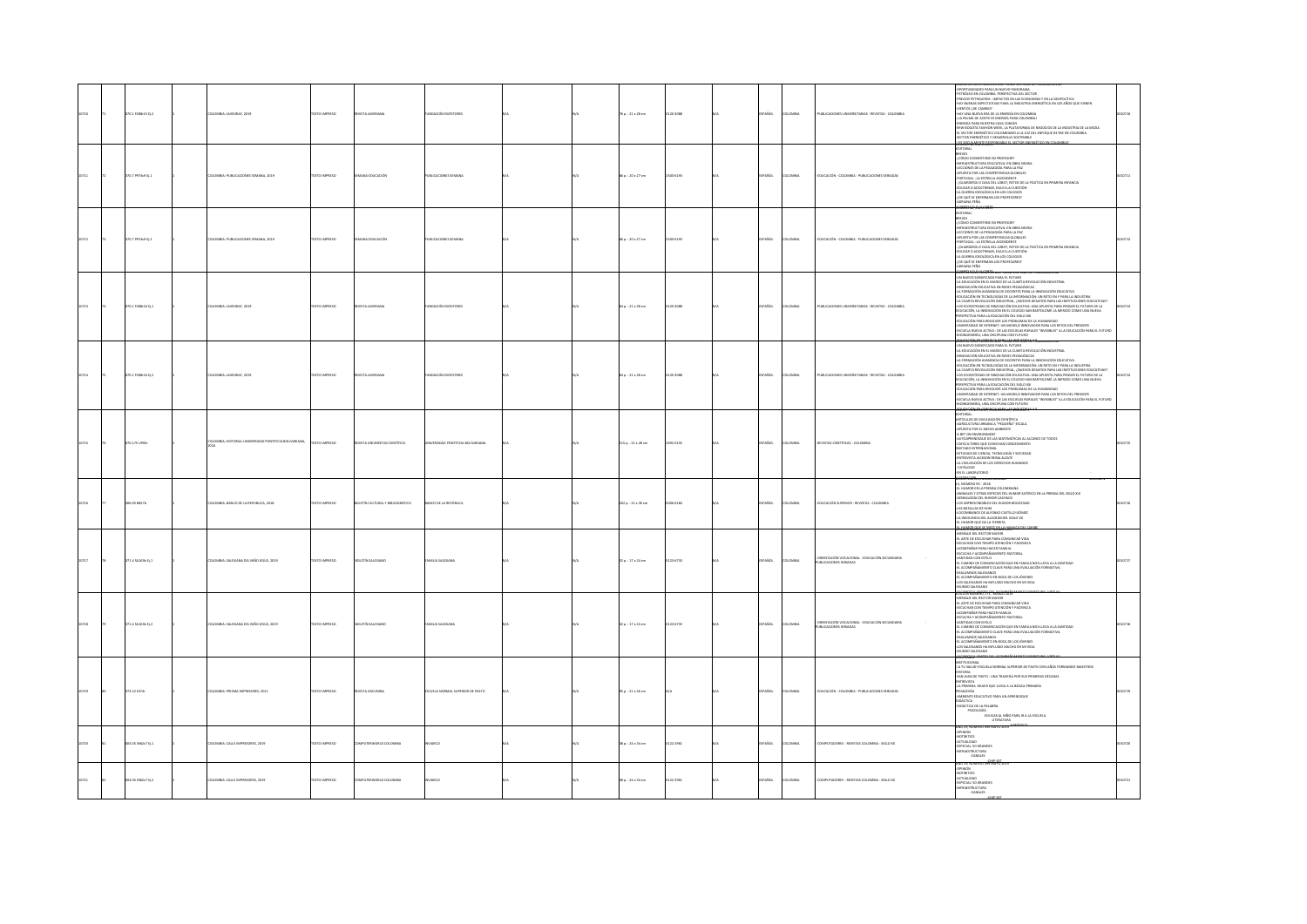|      | $0.1$ F288-15 Ej.2  | MILA: JAVEGRAF, 2019                                 | XTO IMPRESO           |                                 | ACIÓN ESCRIT                     |  | $p. : 21 \times 28$ cm | 20-3088   | AÑOL          | .<br>Milia    | UBLICACIONES UNIVERSITARIAS - REVISTAS - COLOMBIA                      | <b>SPECIFICATION CONTINUES IN THE CONTINUES IN THE CONTINUES IN THE CONTINUES IN THE CONTINUES IN THE CONTINUES IN THE CONTINUES IN THE CONTINUES IN THE CONTINUES IN THE CONTINUES IN THE CONTINUES IN THE CONTINUES IN THE CO</b><br>6.696 M2. MANYO 20.                                                                                                                                                                                                                                                                                                                                                                                                                                                                                                                                                                                                                                                                                                                                          |  |
|------|---------------------|------------------------------------------------------|-----------------------|---------------------------------|----------------------------------|--|------------------------|-----------|---------------|---------------|------------------------------------------------------------------------|-----------------------------------------------------------------------------------------------------------------------------------------------------------------------------------------------------------------------------------------------------------------------------------------------------------------------------------------------------------------------------------------------------------------------------------------------------------------------------------------------------------------------------------------------------------------------------------------------------------------------------------------------------------------------------------------------------------------------------------------------------------------------------------------------------------------------------------------------------------------------------------------------------------------------------------------------------------------------------------------------------|--|
|      | 00.7 P974v9 EL1     | OMBIA: PUBLICACIONES SEMANA, 2019                    | <b>DZERNI OTXT</b>    | <b>MAIA EDUCACIÓN</b>           | UBLICACIONES SEMANA              |  | 6a:20x27cm             | 500-6193  | PAÑOL         | <b>OMBIA</b>  | EDUCACIÓN - COLOMBIA - PUBLICACIONES SERIADAS                          | <b>ITORIAL</b><br>$\frac{1}{100}$<br>- CÓMO CONVERTIRSE EN PROFESOR?<br><b>ISSER</b> 42 AAR                                                                                                                                                                                                                                                                                                                                                                                                                                                                                                                                                                                                                                                                                                                                                                                                                                                                                                         |  |
| 0712 | 370.7 P974v9 EL2    | DLOMBIA: PUBLICACIONES SEMANA, 2019                  | DZERNI OTXIT          | EMANA EDUCACIÓN                 | UBLICACIONES SEMANA              |  | 65 p. : 20 x 27 cm     | 2500-6193 | SPAÑOL        | <b>COMBIA</b> | EDUCACIÓN - COLOMBIA - PUBLICACIONES SERIADAS                          | ORIAL<br><b>EVES</b><br>J CÓMO CONVERTIRSE EN PROFESOR?<br>-<br>INFRAESTRUCTURA EDUCATIVA: EN OBRA NEGRA<br>-LECCIONES DE LA PEDAGOGÍA PARA LA PAZ<br>-APUESTA POR LAS COMPETENCIAS GLOBALES<br>-PORTUGAL : LA ESTRELLA ASCENDENTE<br>GUARDERÍA O CASA DEL LOBO?, RETOS DE LA POLÍTICA EN PRIMERA INFANCIA<br>EDUCAR O ADOCTRINAR, ESA ES LA CUESTIÓN<br>-LA GUERRA IDEOLÓGICA EN LOS COLEGIOS<br>-{DE QUÉ SE ENFERMAN LOS PROFESORES}<br><b>CRIANA PERA</b>                                                                                                                                                                                                                                                                                                                                                                                                                                                                                                                                        |  |
| 0713 | 070.1 F288-16 Ej.1  | LOMBIA: JAVEGRAF, 2019                               | TEXTO IMPRESO         | EVISTA JAVERJANA                | NOACIÓN ESCRITORE                |  | 4 p. : 21 x 28 cm      | 120-3088  | PAÑOL         | LOMBIA        | PUBLICACIONES UNIVERSITARIAS - REVISTAS - COLOMBIA                     | A CRUMA PRÓFICIO E DE CARRO DE VICINA EN CONCIDENTAL<br>CON MATO DE CARRO DE CARRO DE CARRO DE CARRO DE CARRO DE CARRO DE CARRO DE CARRO DE CARRO DE CARRO DE CARRO DE<br>CARRO DE CARRO DE CARRO DE CARRO DE CARRO DE CARRO DE CAR<br><b>SUITS AND A CONSIDERATION CONSIDERATION CONSIDERATION CONSIDERATION CONSIDERATION CONSIDERATION CONSIDERATION</b><br>IT ENGLACIÓN, LA INNOVACIÓN EN EL COLOCIO SAN BARTOLOMÍ LA MERITO COMO UNA NUEVA<br>- EDUCACIÓN PAPA A ESOCURA LO<br>hoingeniería, una disciplina con futuro<br>1981: de 2014, nomeno est. 1840-1851 AND De 10. ellero de se                                                                                                                                                                                                                                                                                                                                                                                                         |  |
| 0714 | 070.1 F288-16 Ej.2  | DLOMBIA: JAVEGRAF, 2019                              | DZERNIK OTXET         | <b>IVSTA JAVERIANA</b>          | UNDACIÓN ESCRITORES              |  | 64 p.: 21 x 28 cm      | 120-3088  | SPAÑOL        | LOMBIA        | PUBLICACIONES UNIVERSITARIAS - REVISTAS - COLOMBIA                     | UN NUEVO SIGNIFICADO PARA EL FUTURO<br>-<br>- LA EDUCACIÓN EN EL MARCO DE LA CUARTA REVOLUCIÓN INDUSTRIAL<br>-INNOVACIÓN EDUCATIVA EN REDES PEDAGÓGICAS<br>-INNUVALION EUULAI IVA EN REUS YEUNUUHUN<br>-LA FORMACIÓN AVANZADA DE DOCENTES PARA LA INNOVACIÓN EDUCATIVA<br>SATUNININGIN NYINGANOVAS UASANTAS POR JOHNUA KOLONI SAGANI INDUSTRIA<br>4 EULIARIA REVOLUCIÓN INDUSTRIAL, ANUEVOS DESATIOS PARA LAS INSTITUONES EDUCATIVAS:<br>4 ES ECOSISTEMAS DE INNOVACIÓN EDUCATIVA: UNA APUESTA PARA PENTAR EL<br>-LOS ECOSISTEMAS DE INNOVACION EDUCATIVA: UNA APUESTA PARA PENSAR EL FUTURO DE L.<br>EDUCACIÓN, LA INNOVACIÓN EN EL COLEGIO SAN BARTOLOMÉ LA MERCEO COMO UNA NUEVA<br>PERSPECTIVA PARA LA EDUCACIÓN DEL SIGLO XXI<br>«EDUCACIÓN PARA RE<br>-SUULALIN YMM RESAUVER LUS MOURLEMAS UC LA FINANNIAND<br>-UNIVERSIDAD DE INTERNET: UN MODELO INNOVADOR PARA LOS RETOS DEL PRESENTE<br>-ESCUELA NUEVA ACTIVA - DE LAS ESCUELAS RURALES "INVISIBLES" A LA EDUCACIÓN PARA EL FUTURO<br>-BI |  |
|      | 070.175 UP65c       | OMBIA: EDITORIAL UNIVERSIDAD PONTIFICIA BOLIVARIANA, | <b>DZERRAI OTXIT</b>  | VISTA UNIVERSITAS CIENTÍFICA    | AD PONTIFICIA BOLIVARIANA        |  | 115 p.: 21 x 28 cm     | 692-0155  | PAÑOL         | <b>OMBIA</b>  | REVISTAS CIENTÍFICAS - COLOMBI                                         | <b>LAIROT</b><br>ARTÍCULOS DE DIVULGACIÓN CIENTÍFICA<br>-AGRICULTURA URBANA A "PEQUEÑA" ESCALA<br>APUESTA POR EL MEDIO AMBIENTE<br>A BET ON ENVIRONMENT<br>AUTOAPRENDIZAIE DE LAS MATEMÁTICAS AL ALCANCE DE TODOS<br>-CAFICULTORES QUE COSECHAN CONOCIMIENTO<br>INVITADO INTERNACIONAL<br>-ESTUDIOS DE CIENCIA, TECNOLOGÍA Y SOCIEDAD<br>-ENTREVISTA JACKSON REINA ALZATE<br>LA CIVILIZACIÓN DE LOS DERECHOS HUMANOS<br>CATÁLOGO<br>EN EL LABORATORIO<br>-------                                                                                                                                                                                                                                                                                                                                                                                                                                                                                                                                    |  |
|      | 06.05 0827b         | OMBIA: BANCO DE LA REPUBLICA, 2018                   | <b>OZSRRMI OTX31</b>  | DLETÍN CULTURAL Y BIBLIOGRÁFICO | NCO DE LA REPÚBLICA              |  | 202 p. : 21 x 30 cm    | 05-6184   | AÑDL          | max           | EDUCACIÓN SUPERIOR - REVISTAS - COLOMBIA                               | MANUFACTORY THE STATE OF COMPANY AND RELEASE AND A PERFORM CONTINUES.<br>A NOMEMO PY CURA STATE CAT MANUAL AND THE STATE OF SERIOR CONTINUES.<br>CHEARLOGIC RELEASED CATABOO CONTINUES CONTINUES.<br>COMPANY CONTINUES CATALOGIC CONTI<br>1/09/09/06/07/97/08/07/19                                                                                                                                                                                                                                                                                                                                                                                                                                                                                                                                                                                                                                                                                                                                 |  |
|      | $1.4$ SA163b Ej.1   | VIELA: SALESIANA DEL NIÑO JESUS, 2019                | TO IMPRESO            |                                 |                                  |  | $p.:17\times24$ cm     | 14733     |               |               | ORIENTACIÓN VOCACIONAL - EDUCACIÓN SECUNDARIA<br>VIBUCACIONES SERIADAS | <b>CONTROLLATED AT A SUBJECT AND A SUBJECTIVE OF A SUBJECT AND CONTROLLATED AND CONTROLLATED AND CONTROLLATED AT A SUBJECT AND A SUBJECT AND A SUBJECT AND A SUBJECT AND A SUBJECT AND CONTROLLATED AND CONTROLLATED AT A SUBJE</b><br><b>CONCRETA MARTIN DYLAGOR</b>                                                                                                                                                                                                                                                                                                                                                                                                                                                                                                                                                                                                                                                                                                                               |  |
| 1718 | $171.4$ SA163b Ej.2 | LOMBIA: SALESIANA DEL NIÑO JESUS. 2019               | OZERNI OTXT           | <b>BOLETÍN SALESIANI</b>        | MITH SALESMAN                    |  | 32 p. : 17 x 24 cm     | 123-6733  | <b>SPAÑOL</b> | <b>OMBA</b>   | RIENTACIÓN VOCACIONAL - EDUCACIÓN SECUNDARIA<br>IN ICACIONES SERIADA   | MENSAIE DEL RECTOR MAYOR<br>MINIMUM DE ESCUCHAR PARA COMUNICAR VIDA<br>-ESCUCHAR CON TIEMPO ATENCIÓN Y PACIENCIA<br>-ACOMPAÑAR PARA HACER FAMILIA<br>-<br>ESCUCHA Y ACOMPAÑAMENTO PASTORAL<br>-SANTIDAD CON ESTILO<br>-<br>EL CAMINO DE COMUNICACIÓN QUE EN FAMILIA NOS LLEVA A LA SANTIDAD<br>- EL ACOMPAÑAMIENTO CLAVE PARA UNA EVALUACIÓN FORMATIVA<br>-EL ALLIMPARIS MILENTO LONG PARA UNA EVALUAL<br>-EXALUMINOS SALESIANOS<br>-EL ACOMPAÑAMIENTO EN BOCA DE LOS JÓVENES<br>-LOS SALESIANOS HA INFLUIDO MUCHO EN MI VIDA<br>UNDO SALESIANO<br><b>Althitt</b>                                                                                                                                                                                                                                                                                                                                                                                                                                   |  |
|      | 373.22 ES74r        | OLOMBIA: PRISMA IMPRESORES, 2011                     | DZERNI OTXIT          | EVISTA URCUNINA                 | ESCUELA NORMAL SUPERIOR DE PASTO |  | 95 p. : 21 x 26 cm     |           | <b>SPAÑOL</b> | AIGMOJO       | EDUCACIÓN - COLOMBIA - PUBLICACIONES SERIADAS                          | <b>ITUCIONAL</b><br>-IA TU SALUDI ESCUELA NORMAL SUPERIOR DE PASTO CIEN AÑOS FORMANDO MAESTROS<br>AIROT<br>HISTORIA<br>-SAN JUAN DE PASTO : UNA TRAVESÍA POR SUS PRIMERAS DÉCADAS<br>-<br>ENTREVISTA<br>FEDAGOGÍA<br>PEDAGOGÍA<br>-AMBIENTE EDUCATIVO PARA UN APRENDIZAJE<br>DIDÁCTICA<br>DIDÁCTICA DE LA PALABRA<br>PSICOLOGÍA<br>-EDUCAR AL NIÑO PARA IR A LA ESCUELA<br>LITERATURA                                                                                                                                                                                                                                                                                                                                                                                                                                                                                                                                                                                                               |  |
|      | 04.05 N62c7 Ej.1    | <b>ILOMBIA: CALLE IMPRESORES, 2019</b>               | <b>DZERRINI GTX31</b> | MPUTERWORLD COLOMBIA            | ARCO                             |  | 38 p.: 24 x 34 cm      | 0122-2961 | AÑOL          | LOMBIA        | COMPUTADORES - REVISTAS COLOMBIA - SIGLO XX                            | .<br>No 29, número 499 mayo 2019<br>-OPINIÓN<br>-NOTIBITIOS<br>-ACTUALIDAD<br>-ESPECIAL: 50 GRANDES<br>-INFRAESTRUCTURA<br>-CANALES                                                                                                                                                                                                                                                                                                                                                                                                                                                                                                                                                                                                                                                                                                                                                                                                                                                                 |  |
|      | 204.05 IN62c7 Ej.2  | LOMBIA: CALLE IMPRESORES, 2019                       | DZERNI OTKY           | MELTERWORLD COLOMBIA            |                                  |  | 38 p. : 24 x 34 cm     | 123,2041  | PAÑOL         | Chang         | CMPUTADORES - REVISTAS COLOMBIA - SIGLO XX                             | IO 29, NUMERO 420 HZ<br>OPINIÓN<br>NOTIBITIOS<br>-NOTINITION<br>-ESPECIAL: 50 GRANDES<br>-INFRAESTRUCTURA<br>-CANALES                                                                                                                                                                                                                                                                                                                                                                                                                                                                                                                                                                                                                                                                                                                                                                                                                                                                               |  |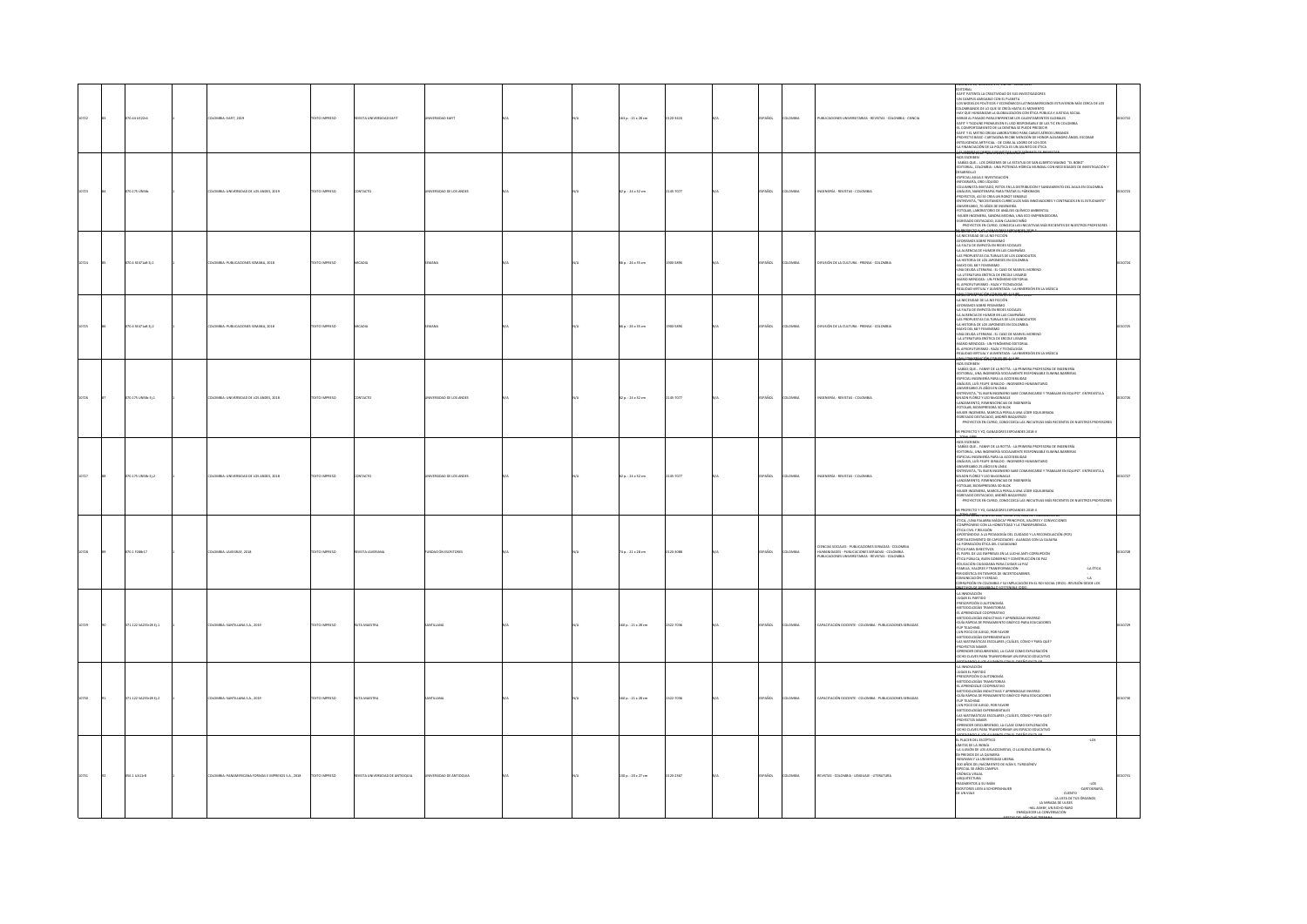|       | 070.44 UE22r4         | LOMBIA: EART, 2019                               | <b>DZERNI OTXT</b>    | EVISTA UNIVERSIDAD EART          | SIDAD EAFT            |  | 63 p. : 21 x 28 cm     | 0-341X   | AÑOL        | <b>OMBIA</b>   | PUBLICACIONES UNIVERSITARIAS - REVISTAS - COLOMBIA - CIENCIA                                                                                                 | EDITORIAL<br>-EAFIT PATENTA LA CREATIVIDAD DE SUS INVESTIGADORES<br>-UN CAMPUS AMIGABLE CON EL PLANETA<br>-LOS MODELOS POLÍTICOS Y ECONÓMICOS LATINOAMERICANOS ESTUVIERON MÁS CERCA DE LOS<br>DLOMBIANOS DE LO QUE SE CREÍA HASTA EL MOMENTO<br>HAY OUE HUMANIZAR LA GLOBAUZACIÓN CON ÉTICA PÚBLICA Y JUSTICIA SOCIAL<br>MIRAR AL PASADO PARA ENFRENTAR LOS CALENTAMIENTOS GLOBALES<br>EAFITY TIGOUNE PROMUEVEN EL USO RESPONSABLE DE LAS TIC EN COLOMBIA<br>EL COMPORTAMIENTO DE LA DENTINA SE PUEDE PREDECIR<br>-EAFITY EL METRO CREAN LABORATORIO PARA CABLES AÉREOS URBANOS<br>PROYECTO BASIC- CARTAGENA RECIBE MENCIÓN DE HONOR ALEJANDRO ÁNGEL ESCOBAR.<br>NTELIGENCIA ARTIFICIAL : DE CARA AL LOGRO DE LOS ODS<br>LA FINANCIACIÓN DE LA POLÍTICA ES UN ASUNTO DE ÉTICA                                                                                                    |       |
|-------|-----------------------|--------------------------------------------------|-----------------------|----------------------------------|-----------------------|--|------------------------|----------|-------------|----------------|--------------------------------------------------------------------------------------------------------------------------------------------------------------|----------------------------------------------------------------------------------------------------------------------------------------------------------------------------------------------------------------------------------------------------------------------------------------------------------------------------------------------------------------------------------------------------------------------------------------------------------------------------------------------------------------------------------------------------------------------------------------------------------------------------------------------------------------------------------------------------------------------------------------------------------------------------------------------------------------------------------------------------------------------------------|-------|
| 10723 | 070.175 UNSB          | LOMBIA: UNIVERSIDAD DE LOS ANDES, 2019           | DESIRAI OTX3T         | CONTACTO                         | VERSIDAD DE LOS ANDES |  | 2 p.: 24 x 32 cm       | 145-7077 | PAÑOL       | <b>LOMBA</b>   | NGENIERÍA - REVISTAS - COLOMBIA                                                                                                                              | NOS ESCRIBEN<br>SABÍAS QUE LOS ORÍGENES DE LA ESTATUA DE SAN ALBERTO MAGNO "EL BOBO"<br><b>STORIAL, COLOMBIA : UNA POTENCIA HÍDRICA MUNDIAL CON NECESIDADES DE INVESTIGACIÓN Y</b><br>DESARROLLO<br>ESPECIAL AGUA E INVESTIGACIÓN<br>FOGRAFÍA, ORO LÍQUIDO<br>"HIVGHOWD", GIAN LIGGHOU<br>-COLUMNISTA INVITADO, RETOS EN LA DISTRIBUCIÓN Y SANEAMIENTO DEL AGUA EN COLOMBIA<br>-PROYECTOS, ASÍ SE CREA UN ROBOT SENSIBLE<br>-PROYECTOS, ASÍ SE CREA UN ROBOT SENSIBLE<br>ENTREVISTA, "NECESITAMOS CURRÍCULOS MÁS INNOVADORES Y CENTRADOS EN EL ESTUDIANTE"<br>ANIVERSARIO, 70 AÑOS DE INGENERÍA.<br>FOTOLAB, LABORATORIO DE ANÁLISIS QUÍMICO AMBIENTAL<br>-MUIER INGENIERA, SANDRA MEDINA, UNA ECO-EMPRENDEDORA<br>EGRESADO DESTACADO, JUAN CLAUDIO NIÑO<br>- PROYECTOS EN CURSO, CONDZCA LAS INICIATIVAS MÁS RECIENTES DE NUESTROS PROFESORES<br>1990152-221JCMM1010250810M102d |       |
| 10724 | 070.4 SE471a8 Ej.1    | OMBIA: PUBLICACIONES SEMANA, 2018                | DZERNI OTXT           |                                  |                       |  | 6 p. : 26 x 35 cm      | 5820     | PAÑOL       | <b>DLOMBIA</b> | DIFUSIÓN DE LA CULTURA - PRENSA - COLOMBIA                                                                                                                   | LA NECESIDAD DE LA NO FICCIÓN<br>A WALKWARD DE LA WOTKLIND<br>A FALTA DE EMPATÍA EN REDES SOCIALES<br>A AUSENCIA DE HUMOR EN LAS CAMPAÑAS<br>LA AUSIDICAL DE HURIOTE INTERNACIONALES DE LOS CANDIDATES<br>ALS PROPUESTAS CULTURALES DE LOS CANDIDATES<br>ALS PROPUESTAS CULTURALES DE LOS CANDIDATES<br>ALS PODE LOS HURIORES - EL CALO DE LOS FAMILIANOS DE LOS FRANCIAS<br>ALS PRODU                                                                                                                                                                                                                                                                                                                                                                                                                                                                                           |       |
|       | 70.4 SE471a8 Ej.2     | ASIA: PUBLICACIONES SEMANA, 2018                 | CTO IMPRESO           |                                  |                       |  | $p. : 26 \times 35$ cm |          | <b>Scc</b>  |                | <b>USIÓN DE LA CULTURA - PRENSA - COLOMBI</b>                                                                                                                | LA NECESIDAD DE LA NO FICCIÓN<br><b>ORISMOS SOBRE PESIMISMO</b><br>LA FALTA DE EMPATÍA EN REDES SOCIALES<br>LA AUSENCIA DE HUMOR EN LAS CAMPAÑAS<br>LAS PROPUESTAS CULTURALES DE LOS CANDIDATOS<br>LA HISTORIA DE LOS JAPONESES EN COLOMBIA<br>AN'O DEL 68 Y FEMINISMO<br>JNA DEUDA LITERARIA : EL CASO DE MARVEL MORENO<br>LA LITERATURA ERÓTICA DE ERCOLE LISSARDI<br>AARO MENDOZA : UN FENÓMENO EDITORIAL<br>L'AFROFUTURISMO : RAZA Y TECNOLOGÍA<br>EALIDAD VIRTUAL Y AUMENTADA : LA INMERSIÓN EN LA MÚSICA                                                                                                                                                                                                                                                                                                                                                                   |       |
| 10726 | 070.175 UNSB: Ej.1    | LOMBIA: UNIVERSIDAD DE LOS ANDES, 2018           | EXTO IMPRESO          | <b>ONTACTO</b>                   | ERSIDAD DE LOS ANDES  |  | 2 p.: 24 x 32 cm       | 145-7077 | PAÑOL       | <b>LOMBIA</b>  | NGENIERÍA - REVISTAS - COLOMBIA                                                                                                                              | NOS ESCRIBEN<br>-HOLLANDUN<br>- SABÍAS QUE FANNY DE LA ROTTA : LA PRIMERA PROFESORA DE INGENERÍA<br>-EDITORIAL, UNA INGENIERÍA SOCIALMENTE RESPONSABLE ELIMINA BARRERAS<br>ESPECIAL INGENIERÍA PARA LA ACCESIBLIDAD<br>ANÁLISIS, LUÍS FELIPE GIRALDO : INGENIERO HUMANITARIO<br>ANIVERSARIO 25 AÑOS EN LÍNEA<br>AND IT SURFACES IN URBAND AND COMUNICATES TRANSAULEN EQUIPO", ENTRYNSIA A MUSICAL SURFACE AND INSTANTANTAL CONTINUES AND IT SURFACES AND IT SURFACES AND INSTANTANT AND INSTANTANT OF THE SURFACE AND INSTANTANT AND INSTANTA<br>RECWRETO Y YO GANADORES FIROAMDES 2018-1                                                                                                                                                                                                                                                                                        |       |
|       | 070.175 UNSB: EJ.2    | OMBIA: UNIVERSIDAD DE LOS ANDES, 2018            | EXTO IMPRESO          | <b>NTACTO</b>                    | FESTIVATION AND PS    |  | 2 p.: 24 × 32 cm       | 45-7077  | AÑOL        | <b>OMBY</b>    | NIFES - EFVITAS - COLOMBIA                                                                                                                                   | NA PROTECTIVI GAMAGINE STONIA E TANTO E INSTITUIS CHARGE ANNO 1991 (NA PROTECTIVA E INSTITUIS CHARGE ANNO 1992)<br>ANGLES CHARGE ANNO NA CARACTER DE CARACTER DE CARACTER (NA PROTECTIVA E INSTITUIS ACTIVITATIVA E INSTITUIS A<br><br>-PROYECTOS EN CURSO, CONOCOZCA LAS INICIATIVAS MÁS RECIENTES DE NUESTROS PROFESORES<br>A PROYECTO Y YO, GANADORES EXPOANDES 2018-1                                                                                                                                                                                                                                                                                                                                                                                                                                                                                                        |       |
|       | 070.1 F288-17         | LOMBIA: JAVEGRAF, 2018                           | DZERNI OTXIT          | <b>EVISTA JAVERIANA</b>          | NOACIÓN ESCRITORES    |  | $4a:21 \times 28$ cm   | 120-3088 | <b>AROL</b> | <b>AIRMOJ</b>  | DENCIAS SOCIALES - PUBLICACIONES SERIADAS - COLOMBIA<br>IUMANDADES - PUBLICACIONES SERIADAS - COLOMBIA<br>PUBLICACIONES UNIVERSITARIAS - REVISTAS - COLOMBIA | MATO DE 2016, NUMERO BAS, TUMO 154, ANO DE PUBLICADOR<br>4 TICA, ¿UNA PALABRA MÁGICA? PRINCIPIOS, VALORES Y CONVIC<br>COMPROMISO CON LA HONESTIDAD Y LA TRANSPARENCIA<br>nners<br>ÉTICA CIVIL Y RELIGIÓN<br>APOSTÁNDOLE A LA PEDAGOGÍA DEL CUIDADO Y LA RECONCILIACIÓN (PCR)<br>NY MONIMIANA NY FINISIANA NA LAMINA TANINA ARANJINA ARAMINA ARANJINA (ATAMANA) (ETA DE CAPACIDADES : ALIANZAS CON LA GUAIRIA)<br>4 A FORMACIÓN ÉTICA DE CUDADANO<br>4 I PAPEL DE LAS EMPRESAS EN LA LUCHA ANTI-CORRUPCIÓN<br>-<br>TICA PÚBLICA, BUEN GOBIERNO Y CONSTRUCCIÓN DE PAZ-<br>EDUCACIÓN CUDADANA PARA CUIDAR LA PAZ<br>-FAMILIA, VALORES Y TRANSFORMACIÓN<br>-LA ÉTICA<br>PERIODÍSTICA EN TIEMPOS DE INCERTIDUMBRES<br>COMUNICACIÓN Y VERDAD<br>CORRUPCIÓN EN COLOMBIA Y SU IMPUCACIÓN EN EL ROI SOCIAL (SROI) : REVISIÓN DESDE LOS<br><b>WED ZOAN COLLONS</b>                         |       |
|       | 371.122 SA235r28 tj.1 | DLOMBIA: SANTILLANA S.A., 2019                   | TEXTO IMPRESO         |                                  |                       |  | 160 p.: 21 x 28 cm     | 322-7036 | AÑOL        | <b>LOMBA</b>   | APACITACIÓN DOCENTE - COLOMBIA - PUBLICACIONES SERIADAS                                                                                                      | LA INNOVACIÓN<br>JUGAR EL PARTIDO<br><b><i>PRESCRIPCIÓN O AUTONOMÍA</i></b><br>METODOLOGÍAS TRANSITORIAS<br>-EL APRENDIZAJE COOPERATIVO<br>-METODOLOGÍAS INDUCTIVAS Y APRENDIZAJE INVERSO<br>-GUÍA RÁPIDA DE PENSAMIENTO GRÁFICO PARA EDUCADORES<br>-FUP TEACHING<br>(UN POCO DE JUEGO, POR FAVOR)<br>-JUNIFICAL DE DES PREMIENTALES<br>- ARTODOLOGÍAS EXPERIMENTALES<br>- ARTODOLOGÍAS EXPERIMENTALES<br>- APRINTER DESCURRIENDO, LA CLASE COMO EXPLORACIÓN<br>- APRINTER DESCURRIENDO, LA CLASE COMO EXPLORACIÓN<br>- CONO CLANES PARA TRANSFORMA                                                                                                                                                                                                                                                                                                                              |       |
|       | 371.122 SA235r28 tj.2 | LOMBIA: SANTILLANA S.A., 2019                    | TEXTO IMPRESO         |                                  |                       |  | 60 p. : 21 x 28 cm     | 122-7036 | AÑOL        | <b>OMB</b>     | CITACIÓN DOCENTE - COLOMBIA - PUBLICACIONES SERI                                                                                                             | <b>ARRIENANT, ANGLIN VALUATION CON A PARTICIPAL ANGLICA CON CONTRACTOR CONTRACTOR CONTRACTOR CONTRACTOR CONTRACTOR</b><br><b>PARTICIPAL CONTRACTOR</b><br>PARTICIPALISM O AUTOMOMÍA<br>SE APRENDORÍA TRANSPORTATIVO<br>SENDORÍAN RESOLUCIÓN DE PARTI<br>FUP TEACHING<br>-(UN POCO DE JUEGO, POR FAVOR<br>TOTAL AND A SUBMITATIONS AND MANUSCRIPS AND ARREST AND A MAIN CONSUMING A SUBMITANT COMMON PARA QUÉ ?<br>THE CONSUMER SECTION AND SUBMITANT COMMON PARA QUÉ ?<br>THE CONSUMER DISCURSION OF A CLASS COMMON CONSUMERATION<br>CONSULTING                                                                                                                                                                                                                                                                                                                                  |       |
|       | 056.1 UA11/8          | OMBIA: PANAMERICANA FORMAS E IMPRESOS S.A., 2018 | <b>DZERRINI OTXIT</b> | REVISTA UNIVERSIDAD DE ANTIQQUIA | VERSIDAD DE ANTIQQUIA |  | 30 p.: 20 x 27 cm      | 120-2367 | SPAÑOL      | <b>OLOMBIA</b> | REVISTAS - COLOMBIA - LENGUAJE - LITERATURA                                                                                                                  | CODE CANNER PRAIR PRAID COMMAND INTERFERING COMPANY AND A REPORT OF THE STATE OF THE STATE OF THE STATE OF THE STATE OF THE STATE OF THE STATE OF THE STATE OF THE STATE OF THE STATE OF THE STATE OF THE STATE OF THE STATE<br>405<br><b>JOK</b><br>CARTOGRAFÍA<br>t un viaje<br>CUENTO<br>-LA LISTA DE TUS ÓRGANOS<br>LA MIRADA DE ULISES<br>-HAL ASHBY, UN BICHO RARO<br>ENRIQUECER LA CONVERSACIÓN<br>On our remains.                                                                                                                                                                                                                                                                                                                                                                                                                                                        | 00731 |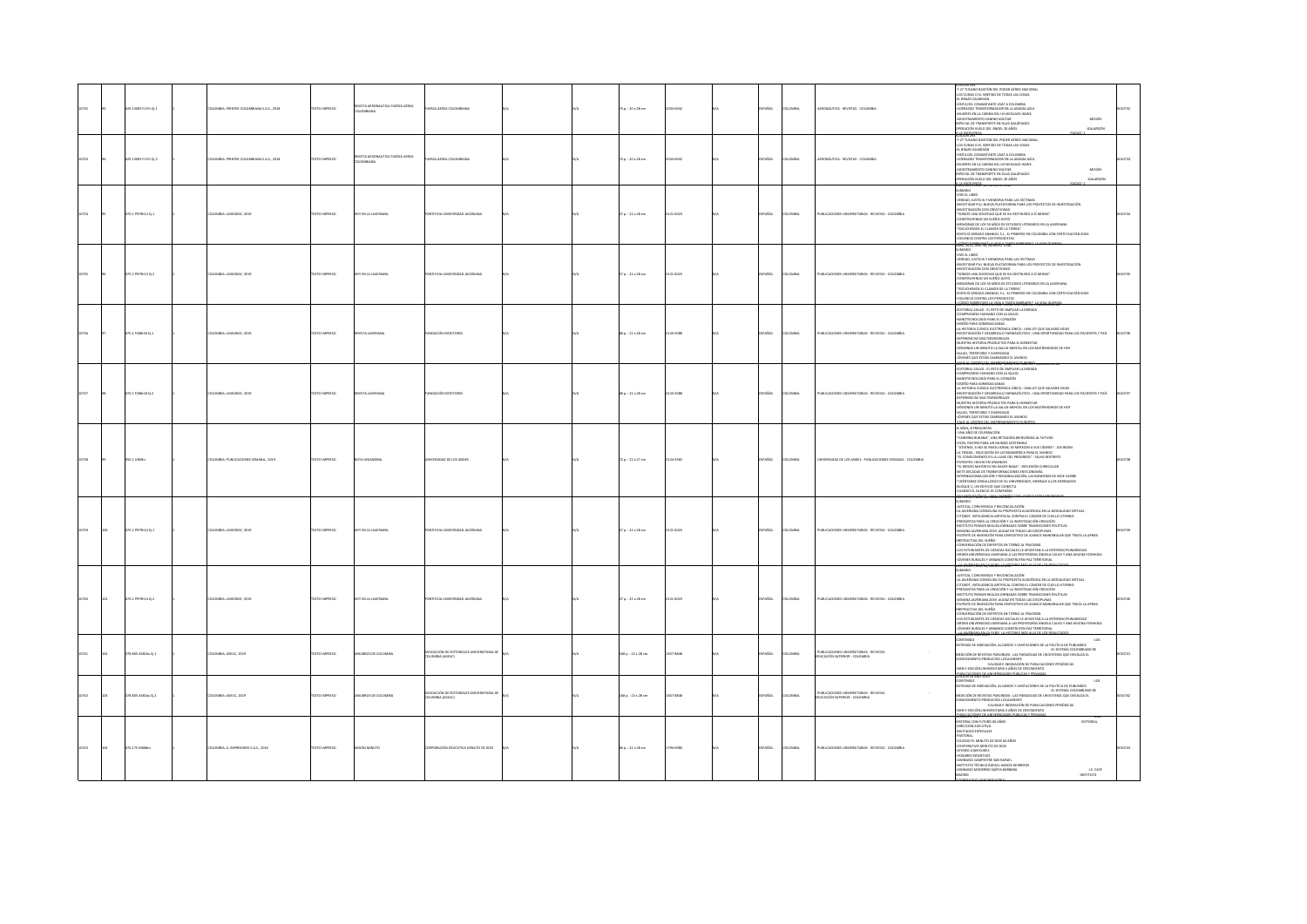|  | 9.13005 F137r D.1   | <b>ILOMBIA: PRINTER COLOMBIANA S.A.S., 2018</b> | EXTO IMPRESO        | VISTA AERONAUTICA FUERZA AEREA<br><b>TARRANA</b> | ERZA AEREA COLOMBIANA                                              |  | 74 p. : 20 x 28 cm       | 034-6942  | SPAÑOL        | LOMBIA       | AERONÁUTICA - REVISTAS - COLOMBIA                                       | KW 29<br>T-27 TUCANO BASTIÓN DEL PODER AÉREO NACIONAL<br>OS CUNAS O EL SENTIDO DE TODAS LAS COSAS<br>el Brazo Guardián<br>Visita del comantante usaf a colombia<br>LIDERAZGO TRANSFORMADOR EN LA AMADA AZUL<br>MUJERES EN LA CABINA DEL UH-60 BLACK HAWK<br>unite in di denne del nitere<br>Destramento canno militar<br>Pecial de Transporte en Blas Galápagos<br>Tración vuelo del Ángel 20 Años<br>-MISIÓN<br><b>ADDITION</b><br><b><i><u>ATIOTALISM</u></i></b>                                                                                                                                                                                                                                                                                                                                                |  |
|--|---------------------|-------------------------------------------------|---------------------|--------------------------------------------------|--------------------------------------------------------------------|--|--------------------------|-----------|---------------|--------------|-------------------------------------------------------------------------|--------------------------------------------------------------------------------------------------------------------------------------------------------------------------------------------------------------------------------------------------------------------------------------------------------------------------------------------------------------------------------------------------------------------------------------------------------------------------------------------------------------------------------------------------------------------------------------------------------------------------------------------------------------------------------------------------------------------------------------------------------------------------------------------------------------------|--|
|  | 29.13005 F137: Ej.2 | <b>ILOMBIA: PRINTER COLOMBIANA S.A.S., 2018</b> | EXTO IMPRESO        | <b>ISTA AERONAUTICA FUERZA AEREA</b><br>AYAIBMC  | <b>IRZA AEREA COLOMBIANA</b>                                       |  | .<br>74 p.: 20 x 28 cm   | 034-6942  | <b>SPAÑOL</b> | LOMBIA       | ERONÁUTICA - REVISTAS - COLOMBIA                                        | 27 TUCANO BASTIÓN DEL PODER AÉREO NACIONAL<br>-LOS CUNAS O EL SENTIDO DE TODAS LAS COSA<br>-EL BRAZO GUARDIÁN<br>-VISITA DEL COMANTANTE USAF A COLOMBIA<br>-LIDERAZGO TRANSFORMADOR EN LA AMADA AZUL<br>-MUJERES EN LA CABINA DEL UH-60 BLACK HAWK<br>ADIESTRAMIENTO CANINO MILITAR<br>-MISIÓN<br>ECIAL DE TRANSPORTE EN ISLAS GALÁPAGOS<br>-GALARDÓN<br>FRACIÓN VUELO DEL ÁNGEL 20 AÑOS                                                                                                                                                                                                                                                                                                                                                                                                                           |  |
|  | 70.1 P979h13 Ej.1   | LOMBIA: JAVEGRAF, 2029                          | <b>XTO IMPRESO</b>  | Y EN LA JAVERIANA                                | TIFICIA UNIVERSIDAD JAVERIANA                                      |  | $27a. : 22 \times 28$ cm | 121-6023  | SPAÑOL        | LOMBIA       | PUBLICACIONES UNIVERSITARIAS - REVISTAS - COLOMBIA                      | <b>CIRAM</b><br>ORBU J3 SWA<br>VERDAD, JUSTICIA Y MEMORIA PARA LAS VÍCTIMAS<br>INVESTIGAR PUI, NUEVA PLATAFORMA PARA LOS PROYECTOS DE INVESTIGACIÓN<br>INVESTIGACIÓN CON CREATIVIDAD<br>"SOMOS UNA SOCIEDAD QUE SE HA DESTRUIDO A SÍ MISMA"<br>- SAMAS UNA SOCIEDAD QUE SE VIA DESTRUIDO A SÍ MEGMA"<br>ROMATALINEADO UN SUEÑO JUSTO -<br>MEMORIAS DE LOS SO AÑOS DE STUDOS LITERARIOS EN LA JAVERIANA<br>TEKLIONEMOS EL CLAMOR DE LA TREBAN"<br>FERILIO GENHO A LOS PERICOSTAS<br>VOLENCA C<br>COMO SOBREVIVO LA MEIA A TAN                                                                                                                                                                                                                                                                                       |  |
|  | 070.1 P979h13 tj.2  | LOMBIA: JAVEGRAF, 2019                          | EXTO IMPRESO        | <b>IDY EN LA JAVERIANA</b>                       | TIFICIA UNIVERSIDAD JAVERIANA                                      |  | 27 p. : 22 x 28 cm       | 0121-6023 | SPAÑOL        | LOMBIA       | PUBLICACIONES UNIVERSITARIAS - REVISTAS - COLOMBIA                      | JIMMIO<br>(VEEDAG), JUSTICA Y MEMORIA PARA LAS VÍCTIMAS<br>RERDAG), JUSTICA Y MEMORIA PARA LOS PROTECTOS DE INVESTIGACIÓN<br>RIVESTIGACIÓN CON CREATIVIDAD<br>====== PYERPAID QUE SE HA DESTRUIDO A SÍ MISMA"<br>====== PYERPAID QUE SE HA DE<br>restruyendo un sueño justo<br>Imorias de los so años de estudios literarios en la javeriana.<br>"ESCUCHEMOS EL CLAMOR DE LA TIERRA"<br>IROD GERADO ARANGO, S.I., EL PRIMERO EN COLOMBIA CON CERTIFICACIÓN EDGE<br><b>SLENCIA CONTRA LOS PERIODISTAS</b><br>.<br><del>10/2011/100243134 12MD155740152 100</del>                                                                                                                                                                                                                                                    |  |
|  | 20.1 7288-18 01.1   | LOMBIA: JAVEGRAF, 2029                          | <b>EXTO IMPRESO</b> | VISTA JAVERIANA                                  | NOACIÓN ESCRITORES                                                 |  | 68 p. : 21 x 28 cm       | 120-3088  | SPAÑOL        | LOMBIA       | PUBLICACIONES UNIVERSITARIAS - REVISTAS - COLOMBIA                      | EDITORIAL SALUD : EL RETO DE AMPLIAR LA MIRADA<br>IMPROMSO HUMANO CON LA SALUD<br>ANOTECNOLOGÍA PARA EL CORAZÓN<br>ISEÑO PARA SONRISAS SANAS<br>HISTORIA CLÍNICA ELECTRÓNICA ÚNICA : UNA LEY QUE SALVARÁ VIDAS<br>INSTIGACIÓN Y DESARROLLO FARMACÉUTICO : UNA OPORTUNIDAD PARA LOS PACIENTES Y PAÍS<br>NVESTIGAGON Y DESANDILLO FAMALCEUTICO : UNA CIPORTUNIDAD PARA<br>UZESTIA HISTORIA PRODUCTOS PARA EL BIENESTAR<br>UZESTIA HISTORIA PRODUCTOS PARA EL BIENESTAR<br>EN MONOS UN MINUTO LA SAULD MINITAL EN LOS MATRIMONIOS DE HOY<br>ÓUENES Q                                                                                                                                                                                                                                                                  |  |
|  | $70.1$ F288-18 tj.2 | LOMBIA: JAVEGRAF, 2019                          | EXTO IMPRESO        | VISTA JAVERIANA                                  | NOACIÓN ESCRITORES                                                 |  | 68 p.: 21 x 28 cm        | 120-3088  | PAÑOL         | LOMBIA       | PUBLICACIONES UNIVERSITARIAS - REVISTAS - COLOMBIA                      | <del>AVE DE SENTROGIA AMBIENT UNIONES SURONES</del><br>SITORIAL SALUO : EL RETO DE AMPLIAR LA MIRAD<br>ATOMAN, ANGAN ALENAKO GON LA SALUKI<br>ANGPIENNISO HUMANO CON LA SALUKI<br>KINDI MANA SONINSAS SANAS<br>SEÑO PARA SONINSAS SANAS<br>1 HISTORIA CLÍNICA ELECTRÓNICA ÚNICA : UNA LEY QUE SALVARÁ VIDAS<br>-INVESTIGACIÓN Y DESARROLLO FARMACÉUTICO : UNA OPORTUNIDAD PARA LOS PACIENTES Y PAÍS<br>-EXPERIENCIAS MULTEEREGORALES<br>-NUESTRA HISTORIA PRODUCTOS PARA EL BIENESTAR<br>OÉMONOS UN MINUTO LA SALUD MENTAL EN LOS MATRIMONIOS DE HOY<br>SALUD, TERRITORIO Y DIVERSIDAD<br>VENES QUE ESTÁN CAMBIANDO EL MUNDO                                                                                                                                                                                       |  |
|  | 56.1 UNSBn          | <b>ILOMBIA: PUBLICACIONES SEMANA 2019</b>       | <b>DZERNI OTXIT</b> | NOTA UNIANOINA                                   | INTRSIDAD DE LOS ANDES                                             |  | 72a.:22x27cm             | 0124-1105 | SPAÑOL        | LOMBIA       | NIVERSIDAD DE LOS ANDES - PUBLICACIONES SERIADAS - COLOMBIA             | n <mark>camal Sayabried: 2019*</mark><br>-8 años, 8 preguntas<br>- una año de celebración<br>CARMINA BURANA", UNA RETADORA BIENVENDA AL FUTURO<br>CODS, CENTRO PARA UN MUNDO SOSTENBLE<br>"JOVENES, SI NO SE INVOLUCIAN, SE MERECEN A SUS LÍDERES" : JOE BIDEN<br>LA TRÍADA : EDUCACIÓN DE LATINOAMÉRICA PARA EL MUNDO<br>L CONOCIMIENTO ES LA LLAVE DEL PROGRESO" : SILVIA RESTREPO<br><b>TENTES: HECHO EN UNIANDES</b><br>"EL RIESGO MAYOR ES NO HACER NADA" : REFLEXIÓN CURRICULAR<br>-TE RESOL MANDE IS NO HACER MANY. IRIUNION CLIRISILIJAR<br>- SETE DECANA DE TRANSFORMACIONES DE LEGNONIA<br>- SETE DECANA DE TRANSFORMACIONES DE REGIONAREA DES ESDE CARRE<br>- TSIÉNTANSE ORDULIDOS DE SU UNIVERSIDAD, MENSARE A LOS                                                                                     |  |
|  | 0.1 P979h14 tj.1    | <b>ILOMBIA: JAVEGRAF, 2019</b>                  | XTO IMPRESO         | <b>Y EN LA JAVERIAN</b>                          | TIFICIA UNIVERSIDAD JAVERIANA                                      |  | 27 p. : 22 x 28 cm       | 121-6023  | AÑOL          | owax         | UBLICACIONES UNIVERSITABLAS - REVISTAS - COLOMBIA                       | MARIC<br>STICLE CONVINTACIA Y RECONCILI ACIÓN<br>USTICA, COMVINANA Y RECONCILACIÓN (* 1011)<br>A HYGHAMA COMOLIA SU PRIM COMVILLE, CACIA DE CUELUS (* 1011)<br>PREDIMENTA COMOLIA SU PRIM COMVILLE, CÁNCIA DE CUELUS<br>PREDIMENTA PARA LA CRACIÓN Y LA MYGEORIA COM COMO COM UNITORIO<br>E<br>structiva del sueño<br>Inversación de expertos en Torno al Fracking<br>OS ESTUDIANTES DE CIENCIAS SOCIALES LE APUESTAN A LA INTERDISCIPLINARIEDAD<br>ORDEN UNIVERSIDAD JAVERIANA A LAS PROFESORAS ÁNGELA CALVO Y ANA MILENA YOSHIOKA.<br>JÓVENES RURALES Y URBANOS CONSTRUYEN PAZ TERRITORIAL<br>*********************                                                                                                                                                                                              |  |
|  | 070.1 P979h14 tj.2  | ILOMBIA: JAVEGRAF, 2019                         | DZERNI OTX3T        | HOY EN LA JAVERIANA                              | TIFICIA UNIVERSIDAD JAVERIANA                                      |  | 27 p.: 22 x 28 cm        | 0121-6023 | SPAÑOL        | <b>LOMBA</b> | PUBLICACIONES UNIVERSITARIAS - REVISTAS - COLOMBIA                      | SUMARIO<br>-JUSTICIA, CONVIVENCIA Y RECONCILILACIÓN<br>-LA JAVERIANA CONSOLIDA SU PROPUESTA ACADÉMICA EN LA MODALIDAD VIRTUAL<br>-CITOROT, INTELIGENCIA ARTIFICIAL CONTRA EL CÁNCER DE CUELLO UTERINO<br>-PREGUNTAS PARA LA CREACIÓN Y LA INVESTIGACIÓN-CREACIÓN<br>-INSTITUTO PENSAR REALIZA JORNADAS SOBRE TRANSICIONES POLÍTICAS<br>-SEMANA JAVERIANA 2019, AUDAZ EN TODAS LAS DISCIPLINAS<br>PATENTE DE INVENCIÓN PARA DISPOSITIVO DE AVANCE MANDIBULAR QUE TRATA LA APNEA<br>OBSTRUCTIVA DEL SUEÑO<br>CONVERSACIÓN DE EXPERTOS EN TORNO AL FRACKING<br>CANTINAMENTA DE LO PORTOJ AT TOMOVO NE POMBARO<br>LOS ESTUDIANTES DE OENCIAS SOCIALES LE APUESTAN A LA INTERIDISCIPLINARIEDAD<br>ORDEN UNIVERSIDAD JAVERIANA A LAS PROFESORAS ÁNGELA CALVO Y ANA MILENA YOSHIOKA.<br>JÓVENES RURALES Y<br>407073007001 |  |
|  | 8.805 AS816u Ej.1   | LOMBIA: ASEUC, 2019                             | OZSRRA OTX          | NILBROS DE COLOMBIA                              | <b>COLLECTION</b> OF FOSTORIALES LINIAEBS/TABLE OF<br>MBIA (ASEUC) |  | 168 p. : 22 x 28 cm      | 657-8848  | AÑOL          |              | PUBLICACIONES UNIVERSITARIAS - REVISTAS<br>CACIÓN SUPERIOR - COLOMBIA   | $-105$<br>MAS DE INDEXACIÓN. ALCANCES Y LIMITACIONES DE LA POLÍTICA DE PUBLINDEX<br>DIGION DE REVISTAS PUBLINDEX : LAS PARADOJAS DE UN SISTEMA QUE DEV<br>NOCIMENTO PROGUCIDO LOCALMENTE<br>IN Y EDICIÓN UNIVERSITABIA S AÑOS DE CRECIMENTO<br>IN Y EDICIÓN UNIVERSITABIA S AÑOS DE CRECIMENTO<br>HOUSE 26 AND 26 UNION                                                                                                                                                                                                                                                                                                                                                                                                                                                                                            |  |
|  | 78.805 AS816u Ej.2  | <b>ILOMBIA: ASEUC, 2019</b>                     | DZERNI OTX3T        | UNILISIOS DE COLOMBIA                            | SOCIACIÓN DE EDITORIALES UNIVERSITARIA DE<br>(JUSSA) AIRMOJ        |  | 168 p.: 22 x 28 cm       | 1657-8848 | PAÑOL         | OMBIA        | PUBLICACIONES UNIVERSITARIAS - REVISTAS<br>DUCACIÓN SUPERIOR - COLOMBIA | $-1.05$<br>NTENIDO<br>TMAS DE INDEXACIÓN, ALCANCES Y LIMITACIONES DE LA POLÍTICA DE PUBLINDEX<br>-EL SISTEMA COLOMBIANO DE<br>DICIÓN DE REVISTAS PUBLINDEX : LAS PARADOIAS DE UN SISTEMA QUE DEVALÚA EL<br>NOCIMENTO PRODUCIDO LOCALMENTE<br>-CALIDAD E INDEXACIÓN DE PUBLICACIONES PERIÓDICAS<br>ANY EDICIÓN UNIVERSITARIA S AÑOS DE CRECIMENTO<br>HOUGANYES DE LINIVERSITARIA S AÑOS DE CRECIMENTO                                                                                                                                                                                                                                                                                                                                                                                                               |  |
|  | 0.175 M668m         | <b>ILOMBIA: JL IMPRESORES S.A.S., 2016</b>      | EXTO IMPRESO        | ÓN MINUTO                                        | ORACIÓN EDUCATIVA MINUTO DE DIOS                                   |  | 66 p. : 21 x 28 cm       | 794-6980  | PAÑOL         | LOMBIA       | UBLICACIONES UNIVERSITABLAS - REVISTAS - COLOMBIA                       | ISTORIA CON FUTURO 60 AÑOS<br><b>EDITORIAL</b><br><b>IRECCIÓN EJECUTIVA</b><br>NVITADOS ESPECIALES<br><b>STORAL</b><br>ASTORAL<br>DLOGIO EL MINUTO DE DIOS 60 AÑOS<br>DOPERATIVO MINUTO DE DIOS<br>TENEO JUAN EUDES<br>DGARES INFANTILES<br>MNASIO CAMPESTRE SAN RAFAEL<br>STITUTO TÉCNICO RAFAEL GARCÍA HERREROS<br>ANASIO MODERNO SANTA BÁRBARA<br>$4.05\,$ en $2.0\,$<br>m                                                                                                                                                                                                                                                                                                                                                                                                                                      |  |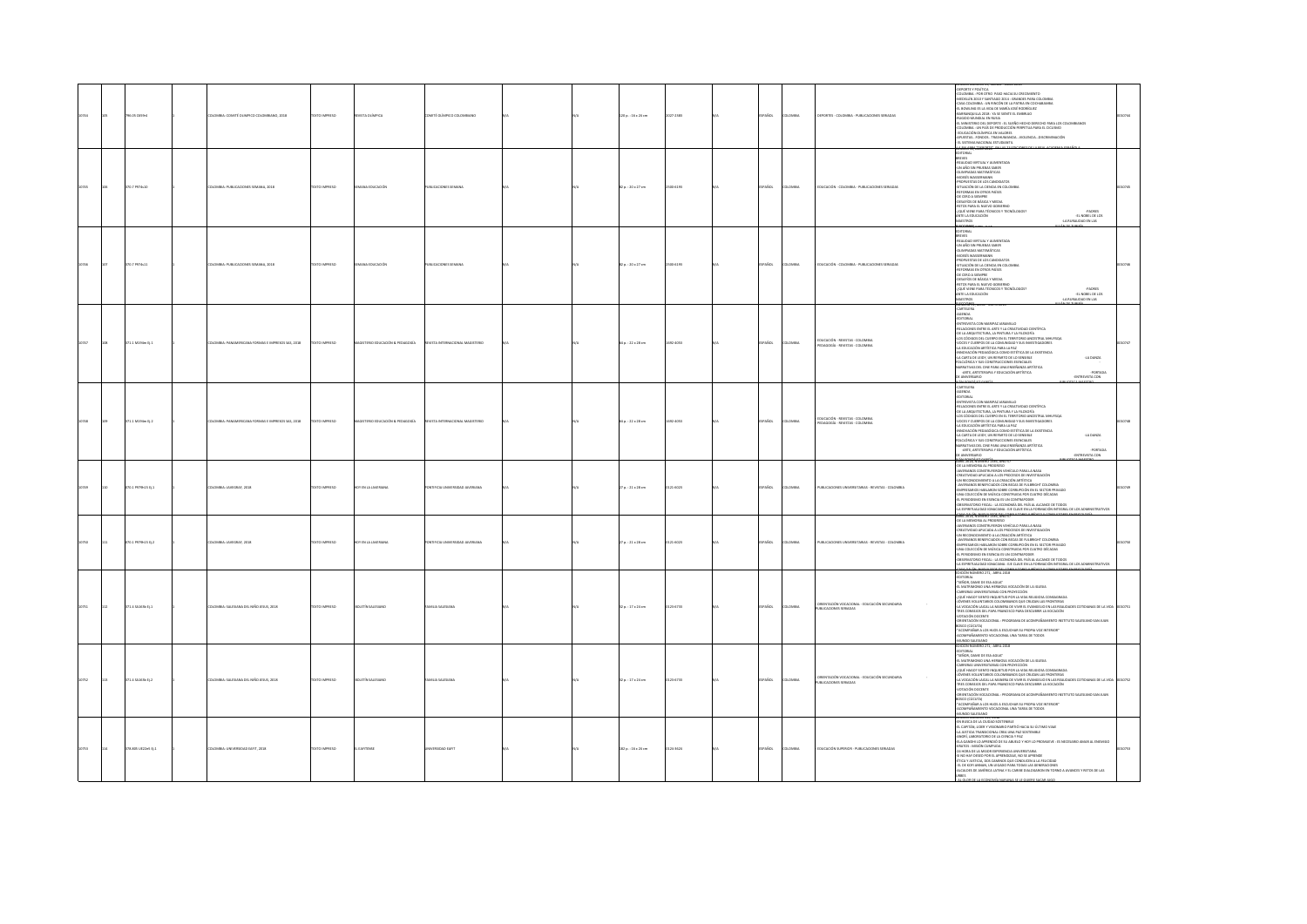|  | 96.05 C659r4         | LOMBIA: COMITÉ OLIMPICO COLOMBIANO, 2018         | XTO IMPRESO        | VISTA OLÍMPICA                          | MITÉ OLÍMPICO CO                  |  | 120 p.: 16 x 24 cm     | 027-2383 | AÑDL         | OMBIA          | EPORTES - COLOMBIA - PUBLICACIONES SERIADAS                         | EDIDION NUMERID 39, MARCU - ABRIL 2018<br>- CELCMINIA : POR OTRO PASO HADA SU CREDIMENTO<br>- AMERILIN 2010 Y SANTIAGO 2014 : GRANDES PARA COLOMBIA<br>- CASA COLOMBIA : UN RINCÔN DE LA PATRIA EN COCHABAMIA<br>EL BOWLING ES LA VIDA DE MARÍA JOSÉ RODRÍGUEZ<br>BARRANQUILLA 2018 : YA SE SIENTE EL EMBRUJO<br>AUGIDO MUNDIAL EN RUSIA<br>EL MINISTERIO DEL DEPORTE : EL SUEÑO HECHO DERECHO PARA LOS COLOMBIANOS<br>COLOMBIA : UN PAÍS DE PRODUCCIÓN PERPETUA PARA EL CICLISMO<br>- EDUCACIÓN OLÍMPICA EN VALORES<br>- APUESTAS  FONDOS TRASHUMANCIA  VIOLENCIA  DISCRIMINACIÓN<br>EL SISTEMA NACIONAL ESTUDIANTIL<br>CONTRADICOS                                                                                             |        |
|--|----------------------|--------------------------------------------------|--------------------|-----------------------------------------|-----------------------------------|--|------------------------|----------|--------------|----------------|---------------------------------------------------------------------|----------------------------------------------------------------------------------------------------------------------------------------------------------------------------------------------------------------------------------------------------------------------------------------------------------------------------------------------------------------------------------------------------------------------------------------------------------------------------------------------------------------------------------------------------------------------------------------------------------------------------------------------------------------------------------------------------------------------------------|--------|
|  | 10.7 097410          | CARLA-PUBLICACIONES SEMANA 2018                  | CONSIGN CITY       | ana rourarión                           | <b>BUCADONES SEMANA</b>           |  | 82 o. : 20 x 27 cm     | natan    | SPAÑOL       | <b>CARDIA</b>  | DUCACIÓN - COLOMBIA - PUBLICACIONES SERIADAS                        | TORIAL<br>DREVES<br>-REALIDAD VIRTUAL Y AUMENTADA<br>-UN AÑO SIN PRUEBAS SABER<br><b>OUMPIADAS MATEMÁTICAS</b><br>MONEY WASSERAND<br><b>JPDOR IPSTAS DE LOS CANDIDATOS</b><br>SITUACIÓN DE LA CIENCIA EN COLOMBIA<br>-SITUACIÓN DE LA CIENCIA EN COLOMBIA<br>-RECOMMAS EN OTROS PAÍSES<br>-DE CERO A SIEMPRE<br>-DESAFÍOS DE BÁSICA Y MEDIA<br>-RECOS PARA EL NUEVO GOBIERNO<br>-LQUÉ VIENE PARA TÉCNICOS Y TECNÓLOGOS?<br>-NAIET LA EDUCACIÓN<br>-NAIETTAPS<br>-PADRES<br>-EL NOBEL DE LOS<br>MAESTROS<br>-LA RURALIDAD EN LAS                                                                                                                                                                                                  |        |
|  | 0.7 P974s11          | LOMBIA: PUBLICACIONES SEN<br>NA, 201             |                    |                                         | BLICACIONES SEMAN                 |  | 2 p.: 20 x 27 cm       |          |              | MOV            | DUCACIÓN - COLOMBIA - PUBLICACIONES SERIADAS                        | <b>CONTRA</b><br><b>EDITORIAL</b><br>LOITUUS<br>BELVIS<br>-BEALIDAD VIRTUAL Y AUMENTADA<br>-UN AÑO SIN PRUEBAS SABER<br>-OLIMPIADAS MATEMÁTICAS<br>-DUMPARAS MATEMATICAS<br>-MOISÉS WASSERMANN<br>-PROPUESTAS DE LOS CANDIDATOS<br>-SITUACIÓN DE LA CIENCIA EN COLOMI<br>REFORMAS EN OTROS PAÍSES<br>-DE CERO A SIEMPRE<br>OESAFÍOS DE BÁSICA Y MEDIA<br>RETOS PARA EL NUEVO GOBIERNO<br>-EQUÉ VIENE PARA TÉCNICOS Y TECNÓLOGOS?<br>ANTE LA EDUCACIÓN<br>-PADRES<br>-EL NOBEL DE LOS<br>arcrans<br>A 4 YEAR DAY ON LAST                                                                                                                                                                                                          |        |
|  | $1.1$ M194m $t$ j. 1 | OMBIA: PANAMERICANA FORMAS E IMPRESOS SAS, 2018  | DZERRINI OTI       | STERIO EDUCACIÓN & PEDAGOGÍA            | <b>STA INTERNACIONAL MAGE</b>     |  | 4 p.: 22 x 28 cm       | 122-4053 | AÑDL         | <b>MBIA</b>    | EDUCACIÓN - REVISTAS - COLOMBIA<br>DAGOGÍA - REVISTAS - COLOMBIA    | CARTELERA<br>AGENDA<br>-EDITORIAL<br>-ENTREVISTA CON MARIPAZ JARAMILLO<br>-<br>-RELACIONES ENTRE EL ARTE Y LA CREATIVIDAD CIENTÍFICA<br>- OE LA ARQUITECTURA, LA PINTURA Y LA FILOSOFÍA<br>-LOS CÓDIGOS DEL CUERPO EN EL TERRITORIO ANCESTRAL MHUYSQA<br>-<br>NOCES Y CUERPOS DE LA COMUNIDAD Y SUS INVESTIGADORES<br>-LA EDUCACIÓN ARTÍSTICA PARA LA PAZ<br>-INNOVACIÓN PEDAGÓGICA COMO ESTÉTICA DE LA EXISTENCIA<br>"HINDHAMA PANNAMAMA TAHRID DE LO SENSIBLE<br>FA CARTA DE LEIDY, UN REPARTO DE LO SENSIBLE<br>FOLCLÓRICA Y SUS CONSTRUCCIONES ESENCIALES<br>NARRATIVAS DEL CINE PARA UNA ENSEÑANZA ARTÍSTICA<br>-LA DANZA<br>-ARTE, ARTETERAPIA Y EDUCACIÓN ARTÍSTICA<br>-PORTADA<br>-ENTREVISTA CON                        |        |
|  | 1.1 M194m EL2        | LOMBIA: PANAMERICANA FORMAS E IMPRESOS SAS. 2018 | CO BARRESO         | <b>SKTFBO FDUCACIÓN &amp; PEDAGOGÍA</b> | <b>FTA INTERNATIONAL</b>          |  | 14 p. : 22 x 28 cm     | 022-4053 | <b>PAROL</b> | <b>CAASU</b>   | FOUCACIÓN - REVISTAS - COLOMBIA<br>DAGOGÍA - REVISTAS - COLOMBI     | CARTELERA<br>AGENDA<br>EDITORIAL<br>ENTREVISTA CON MARIPAZ JARAMILLO<br>-ENTREVISTA CON MARIZAZ JARAMINAK<br>-RELACIONES ENTRE EL ARTE Y LA CREATIVIDAD CIENTÍFICA<br>-DE LA ARQUITECTURA, LA PINTURA Y LA FILOSOFÍA<br>-LOS CÓDIGOS DEL CUERPO EN EL TERRITORIO ANCESTRAL MHUYSQA<br>4 OS CÓDIGOS DEL CUERPO EN EL TERRITORIO ANCESTRA IMPUIS<br>AVOCES Y CUERPOS DE LA COMUNIDAD Y SUS INVESTIGADORES<br>AVOCES Y CUERPOS DE LA COMUNIDAD Y SUS INVESTIGADORES<br>ARMOVACIÓN PERMOÓGICA COMO ESTÉTICA DE LA EXISTENCIA<br>ARAB<br>-LA DANZA<br>-ARTE, ARTETERAPIA Y EDUCACIÓN ARTÍSTICA<br>-PORTADA<br>-ENTREVISTA CON<br><b>OURZEWAYA 30</b><br><b>ACONTACTACIÓN</b>                                                          |        |
|  | 00.1 P979h15 Ej.1    | LOMBIA: JAVEGRAF, 2018                           | EXTO IMPRESO       | <b>OY EN LA JAVERIAN</b>                | TIFICIA UNIVERSIDAD JAVERIANA     |  | 7 p. : 21 x 28 cm      | 121-6023 | AÑOL         | OMBV           | UBLICACIONES UNIVERSITARIAS - REVISTAS - COLOMBIA                   | ABRIL ZAUSI, NOMERO ISSO, ANO 57<br>-DE LA MEMORIA AL PROGRESO<br>-JAVERIANOS CONSTRUYERON VEHÍCULO PARA LA NASA<br>-CREATIVIDAD APUCADA A LOS PROCESOS DE INVESTIGACIÓN<br>-UN RECONOCIMIENTO A LA CREACIÓN ARTÍSTICA<br>- INVERSIANCE BENEFICIADOS CON BECAS DE FULBRIGHT COLOMBIA<br>- IAVERSARIOS BENEFICIADOS CON BECAS DE FULBRIGHT COLOMBIA<br>UNA COLECCIÓN DE MÚSICA CONSTRUIDA POR CUATRO DÉCADAS<br>EL PERIODISMO EN ESENCIA ES UN CONTRAPODER<br>OBSERVATORIO FISCAL : LA ECONOMÍA DEL PAÍS AL ALCANCE DE TODOS<br>A ESPIRITUAUDAD KINACIANA : EJE CLAVE EN LA FORMACIÓN INTEGRAL DE LOS ADMINISTR                                                                                                                   |        |
|  | 70.1 P979h15 D.2     | COMILA-MAPGRAE 2018                              | <b>YTO IMPERSO</b> | <b>V FN I A ISVERIAN</b>                | <b>TECH UNIVERSIDAD IAMERIANA</b> |  | $70.121 \times 28$ cm. | 21-6023  | PAÑOL        | was            | THE ICACIONES ENSURESTABLES . BEVISTAS . COLOMBIA                   | ng sang namung tite, ng 659<br>OE LA MEMORIA AL PROGRESO<br>AVERIANOS CONSTRUYERON VEHÍCULO PARA LA NASA<br>VANDADING ANGELIA ALES PROCESOS DE INVESTIGACIÓN<br>-UN RECONOCIMIENTO A LA CREACIÓN ARTÍSTICA<br>- JAVERIANOS BENEFICIADOS CON BECAS DE FULBRIGHT COLOMBIA<br>- AMPERAGOS INFRIEMADOS CORMIECORES DE FULBRICATE CADAMINA<br>4 AMPERAMOS HABLARON SOBRE CORRUPOLÓN EN EL SECTOR PRIVADO<br>4 IMPLEMENTO DE MÚSICA CONSTRUIRA POR CUARTO DÉCADAS<br>4 A FERDODOMO EN EMONCAL ES UN CONTRAPODER<br>4 A ESP<br>isa dai ási ai inva sint nei consul tomo il ibíraco y consul tomo<br>ICIÓN NÚMERO 271, ABRIL 2018                                                                                                        |        |
|  | 71.4 SA163b Ej.1     | ILOMBIA: SALESIANA DEL NIÑO JESUS, 2018          | EXTO IMPRESO       | <b>BOLETÍN SALESIANI</b>                | MILIA SALESIANA                   |  | 12 p.: 17 x 24 cm      | 23-6733  | <b>PAÑOL</b> | LOMBIA         | DRENTACIÓN VOCACIONAL - EDUCACIÓN SECUNDARI<br>BUCACIONES SERIADAS  | EDITION NORTH CALL MIRE AND<br>4 CHARACH CARR (1997)<br>4 CHARACH DE MARINA VIOLAGIN DE LA KRISTA<br>4 CHARACH DINA HEMAGA VIOLAGIN DE LA KRISTA<br>6 CHARACH DINA HEMAGA COLORINA EL CHARACH CONSAGRADA<br>4 CHARACH DE MARINA COLORINANA CO<br>-LA VOCACIÓN LAICAL LA MANERA DE VIVIR EL EVANGELIO EN LAS REALIDADES COTIDIANAS DE LA VIDA<br>-TRES CONSEIOS DEL PAPA FRANCISCO PARA DESCUBRIR LA VOCACIÓN<br>VOTACIÓN DOCENTE<br>ORENTACIÓN VOCACIONAL : PROGRAMA DE ACOMPAÑAMIENTO INSTITUTO SALESIANO SAN JUAN<br>BOSCO (CÚCUTA)<br>"ACOMPAÑAR A LOS HUOS A ESCUCHAR SU PROPIA VOZ INTERIOR"<br>COMPAÑAMIENTO VOCACIONAL UNA TAREA DE TODOS<br>-ALLIMPANAMIENTO VOLALIOI<br>-MUNDO SALESIANO<br>EDICIÓN NÚMERO 271, ABRIL 3 | 010751 |
|  | 1.4 SA163b EL2       | OLOMBIA: SALESIANA DEL NIÑO JESUS. 2018          | <b>CERRINI OTX</b> | <b>CLETÍN SALESIANO</b>                 | MILIA SALESIANA                   |  | 12 p.: 17 x 24 cm      | 123-6733 | <b>PAÑOL</b> | <b>DLOMBIA</b> | ENTACIÓN VOCACIONAL - EDUCACIÓN SECUNDARIA<br>UBLICACIONES SERIADAS | -EDITORIAL<br>-"SEÑOR, DAME DE ESA AGUA"<br>EL MATRIMONIO UNA HERMOSA VOCACIÓN DE LA IGLESIA<br>-<br>CARRERAS UNIVERSITARIAS CON PROYECCIÓN<br>-{QUÉ HAGO? SIENTO INQUIETUD POR LA VIDA RELIGIOSA CONSAGRADA<br>-{ÓVENES VOLUNTARIOS COLOMBIANOS QUE CRUZAN LAS FRONTERAS<br>-LA VOCACIÓN LAICAL LA MANERA DE VIVIR EL EVANGELIO EN LAS REALIDADES COTIDANAS DE LA VIDA<br>TRES CONSEJOS DEL PAPA FRANCISCO PARA DESCUBRIR LA VOCACIÓN<br>STATION DOCENTE<br>-VOTAGON DOCINT<br>CONTRACTOR VIOLAGIONAL : PROGRAMA DE ACOMPAÑAMIENTO INSTITUTO SALESANO SAN JUAN<br>ROKOMONICA I, CO-NIGO A ESCUCHAR SU PROPIA VOZ INITERIOR"<br>- ACOMPAÑAMIENTO VOCACIONAL UNA TARIA DE TODOS<br>- ACOMPAÑAMIENTO VOCA                          | 010752 |
|  | 8.805 UE22e5 tj.1    | LOMBIA: UNIVERSIDAD EAFIT, 2018                  | XTO IMPRESO        | VITENS                                  |                                   |  | 182 p. : 16 x 24 cm    | 124-3624 | PAÑOL        | <b>DLOMBIA</b> | DUCACIÓN SUPERIOR - PUBLICACIONES SERIADAS                          | EN BUSCA DE LA CIUDAD SOSTENIBLE<br>SAN MODERN LIDER Y VISIONARIO PARTIÓ HACIA SU ÚLTIMO VIAJE<br>4. LEAPTÁN, LIDER Y VISIONARIO PARTIÓ HACIA SU ÚLTIMO VIAJE<br>4.NORÍ, LABORATORIO DE LA CIENCIA Y PAZ<br>AMERI, LADEMATION DE LA CIENCIA Y PAZ<br>4 MA AMERINA DE MERCIO DE SU ARADIO Y ROY LO PROMUNYE : ES RECESARO AMAR AL ENEMEGO<br>4 MA OMERINA DE LA MERCIO FORTENTAL ARADIENTARIA<br>4 MA PART CHA ARADIO FERRENTAL MONTENERAL MONTENER<br>ALCALDES DE AMÉRICA LATINA Y EL CARIBE DIALOGARON EN TORNO A AVANCES Y RETOS DE LAS                                                                                                                                                                                        |        |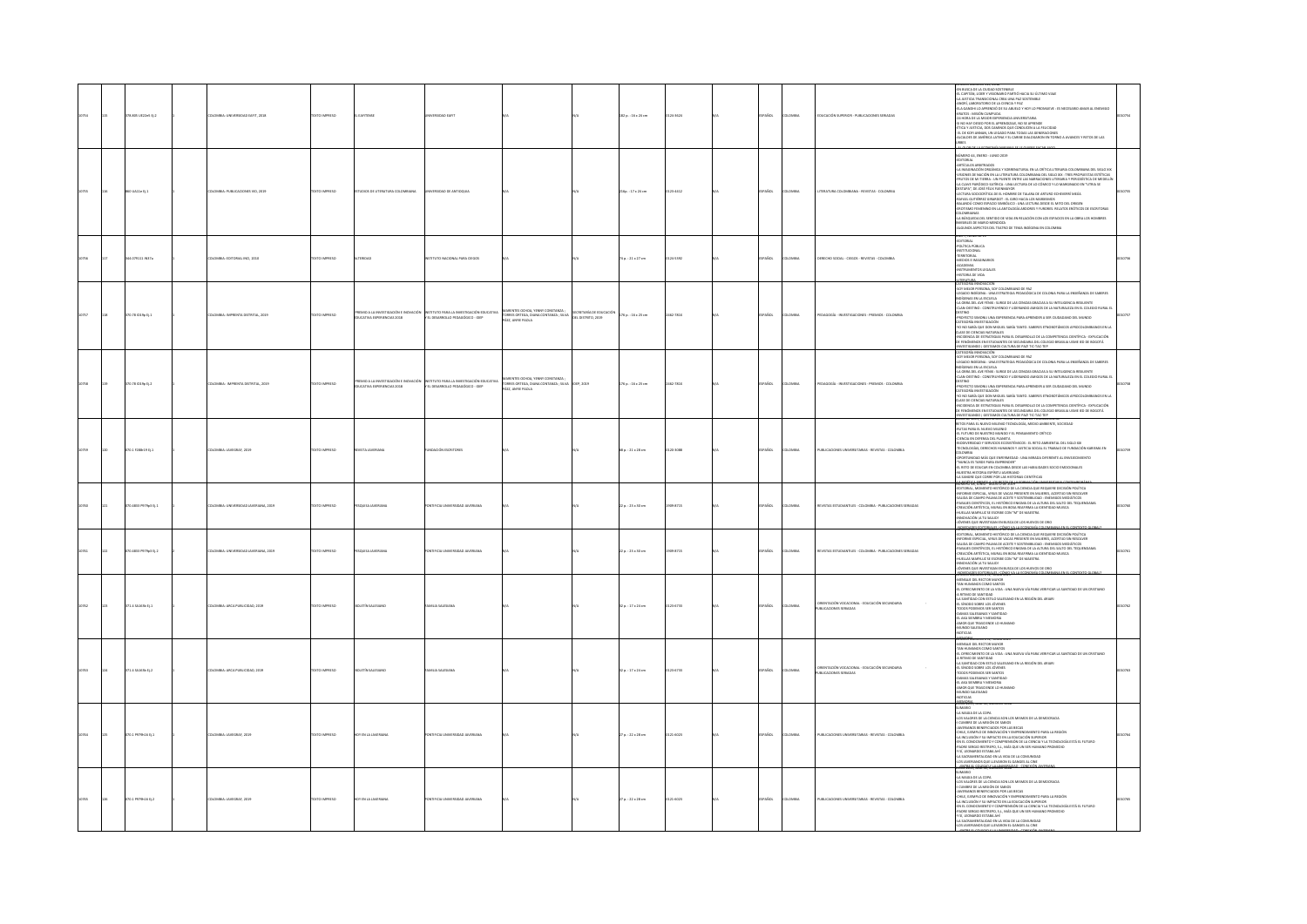|  | 78.805 UE22e5 Ej.2 | LOMBIA: UNIVERSIDAD EAFIT, 2018          | <b>DZERRAI OTX31</b> | EAFITENSE                                                       |                                                                                    |                                                                                            |                                               | 182 p.: 16 x 24 cm  | 24-3624 | <b>AÑOL</b> | LOMBIA       | DUCACIÓN SUPERIOR - PUBLICACIONES SERIADAS                                 | IN BUSCA DE LA CIUDAD SOSTENIBLE<br>CAPITÁN, LIDER Y VISIONARIO PARTIÓ HACIA SU ÚLTIMO VIAJE<br>JUSTICIA TRANSICIONAL CREA UNA PAZ SOSTENIBLE<br>MORÍ, LABORATORIO DE LA CIENCIA Y PAZ<br>ELA GANDHI LO APRENDIÓ DE SU ABUELO Y HOY LO PROMUEVE : ES NECESARIO AMAR AL ENEMIGO<br>KRATOS: MISIÓN CUMPLIDA<br>HORA DE LA MEJOR EXPERIENCIA UNIVERSITARIA<br>II NO HAY DESED POR EL APRENIDEZAJE, NO SE APRENDE<br>TITOR Y JUSTICAR, DOS ENARROS QUE CONDUCEN A LA FELIDIDAD<br>EL DE KOFI ANNAN, UN LEGADO PARA TODAS LAS GENERACIONES<br>N.CALDES DE AMÉRICA LATINA Y EL CARIBE DIALOGARION EN TOR                                                                                                                                                                                                                                                                                                       |  |
|--|--------------------|------------------------------------------|----------------------|-----------------------------------------------------------------|------------------------------------------------------------------------------------|--------------------------------------------------------------------------------------------|-----------------------------------------------|---------------------|---------|-------------|--------------|----------------------------------------------------------------------------|----------------------------------------------------------------------------------------------------------------------------------------------------------------------------------------------------------------------------------------------------------------------------------------------------------------------------------------------------------------------------------------------------------------------------------------------------------------------------------------------------------------------------------------------------------------------------------------------------------------------------------------------------------------------------------------------------------------------------------------------------------------------------------------------------------------------------------------------------------------------------------------------------------|--|
|  | UA11e tj.1         | LOMBIA: PUBLICACIONES VID, 2019          | <b>DESIRAIO DTX:</b> | DIOS DE LITERATURA COLOMBIANA                                   |                                                                                    |                                                                                            |                                               | 16p.: 17 × 24 cm    | 3-4412  | <b>Sm</b>   | <b>OMBIA</b> | RATURA COLOMBIANA - REVISTAS - COLOMBIA                                    | MERO 44, ENERO - JUNIO 2019<br>LOTORIAL<br>NTÍCILOS ARBITRADOS<br>NISMORANDÓN ORGÁNICA Y SOBRENATURAL EN LA CRÍTICA LITERARIA COLOMBIANA DEL SIGLO XX<br>NISMOR SE NACIÓN ORGÁNICA Y SOBRENATURAL EN LA CRÍTICA LITERARIA TOLOMBIANA ESE SIGLO XX<br>RUTOS DE MI TIERRA :<br>A CLAVE PARÓDICO-SATÍRICA : UNA LECTURA DE LO CÓMICO Y LO MARGINADO EN "UTRIA SE<br>ESTAPA", DE JOSÉ FÉLIX FUENMANOR<br>-ECTURA SOCIOCRÍTICA DE EL HOMBRE DE TALARA DE ARTURO ECHEVERRÍ MEJÍA<br>RAFAEL GUTIÉRREZ GIRARDOT : EL GIRO HACIA LOS MARXISMOS<br>BALANDÚ COMO ESPACIO SIMBÓLICO : UNA LECTURA DESDE EL MITO DEL ORIGEN<br>EROTISMO FEMENINO EN LA ANTOLOGÍA ARDORES Y FURORES. RELATOS ERÓTICOS DE ESCRITORAS<br>COLOMBIANAS<br>4.A RÚSCIJEDA DEL SENTIDO DE VIDA EN RELACIÓN CON LOS ESPACIOS EN LA OBRA LOS HOMBRES<br>RVISIBLES DE MARIO MENDOZA<br>-ALGUNOS ASPECTOS DEL TEATRO DE TEMA INDÍGENA EN COLOMBIA |  |
|  | 4.079111 IN37a     | LOMBIA: EDITORIAL INCI, 2010             | XTO IMPRESO          | <b>ERIDA</b>                                                    | <b>ITUTO NACIONAL PARA CIEGOS</b>                                                  |                                                                                            |                                               | Ap.: 21 x 27 cm     | 24-5392 | <b>SOL</b>  | owas         | ECHO SOCIAL - CIEGOS - REVISTAS - COLOMBIA                                 | O 7, NUMERO 13<br>NO 7, NOMENO 11<br>EDITORIAL<br>POLÍTICA PÚBLICA<br>RESTITUCIONAL<br>MESTITUAINA<br>ACADEMIA<br>RESTITUAINTOS LEGALES<br>RESTITUAINTOS LEGALES<br>RESTITUAINTOS LEGALES<br>.<br>TGC1854 INNE                                                                                                                                                                                                                                                                                                                                                                                                                                                                                                                                                                                                                                                                                           |  |
|  | 70.78 (019p tj.1)  | MBIA: IMPRENTA DISTRITAL, 2019           | CTO IMPRESO          | FMO A LA INVESTIGACIÓN E INCHACIÓ<br>UCATIVA EXPERIENCIAS 2018  | <b>KTITITO PARA LA INVESTIGACIÓN FOLICATIVA</b><br>EL DESARROLLO PEDAGÓGICO - IDEP | .<br>FORRES ORTEGA, DIANA CONTANZA ; SEVA.<br>FÁEZ, ANYIE PAOLA.                           | SECRETARÍA DE EDUCACIÓN<br>DEL DISTRITO, 2019 | 176 p. : 16 x 23 cm | 781X    | ÑO.         |              | INVESTIGACIONES - PREMIOS - COLOMBIA                                       | AN LAMA RODUNCON<br>LEGION RICHIONAL LOY COLOMBIANO DE PAZ<br>LEGION RICHIONAL - UNA ETHATECA FENDACION DE COLOMIA PARA LA FINIEÑANZA DE SABERES<br>VOÍGINAS DE LA ESCUELA - UNO E DE LAS CENZAS GRACAS A SU INFELIGENCIA RESIUENTE<br>VOÍ<br><br>ROYECTO SIMONU UNA EXPERIENCIA PARA APRENDER A SER CIUDADANO DEL MUNDO<br>RTEGORÍA INVESTIGACIÓN<br>TO NO SABÍA QUE DON MIGUEL SABÍA TANTO. SABERES ETNOBOTÁNICOS AFROCOLOMBIANOS EN LA<br>LASE DE CIENCIAS NATURALES<br>LANS DE CIENUAS MATUMAES<br>INCIDENCIA DE ESTRATEGIAS PARA EL DESARROLLO DE LA COMPETENCIA CIENTÍFICA - EXPLICACIÓN<br>3E FENÓMENOS EN ESTUDIANTES DE SECUNDARIA DEL COLEGIO BRASILIA USME IED DE BOGOTÁ                                                                                                                                                                                                                      |  |
|  | 00.78 019ptj.2     | <b>ILOMBIA: IMPRENTA DISTRITAL, 2019</b> | EXTO IMPRESO         | MIO A LA INVESTIGACIÓN E INOVACIÓN<br>JCATIVA EXPERIENCIAS 2018 | INSTITUTO PARA LA INVESTIGACIÓN EDUCATIVA<br>Y EL DESARROLLO PEDAGÓGICO - IDEP     | INTES OCHOA, YENNY CONSTANZA<br>TORRES ORTEGA, DIANA CONTANZA ; SILVA<br>PÁEZ, ANYIE PAOLA | DEP, 2019                                     | 176 p.: 16 x 23 cm  | 62-781X | Acc.        | <b>OMBIA</b> | AGOGÍA - INVESTIGACIONES - PREMIOS - COLOMBIA                              | -<br>HVVESTIGANDO   GESTAMOS CULTURA DE PAZÍ TIC-TAC-TEP<br>CATEGORÍA INNOVACIÓN<br>50Y MEJOR PERSONA, SOY COLOMBIANO DE PAZ<br>GADO INDÍGENA : UNA ESTRATEGIA PEDAGÓGICA DE COLONIA PARA LA ENSEÑANZA DE SABERES<br>GENAS EN LA ESCUELA<br>NOISIDAS EN LA ESCUELA<br>4.A OBRA DEL AVE FÉNIX : SURGE DE LAS CENIZAS GRACIAS A SU INTELIGENCIA RESIUENTE<br>-CLAN-DESTINO : CONSTRUYENDO Y LIDERANDO AMIGOS DE LA NATURALEZA EN EL COLEGIO RURAL EI<br>CAM Channel Currier (1990)<br>1970 - Campion Channel Channel Channel Campion, an Currowan del Munico<br>1970 - Channel Channel Channel Channel Marin Samers et indicata al Channel Channel Channel<br>1970 - Channel Channel Channel Ch<br>ISTIGANDO I GESTAMOS CULTURA DE PAZÍ TIC-TAC-TEP<br>U DE 2019, NUMERO 200 - TORRO 155. ANO DE POBLICACION 86                                                                                            |  |
|  | $0.1$ F288-19 Ej.1 | NABLE-MAPCRAF 2010                       | XTO IMPRESO          |                                                                 | nación escercien                                                                   |                                                                                            |                                               | 8p.: 21 x 28 cm     |         |             | was.         | IN CACIONES UNIVERSITABLES . BEVISTAS . COLOMBIA                           | INPORT ANN IN INVESTIGATION TO CONTROL AND A CONSULTANT IN CONTROL AND INTERFERING IN A SUBJECT AND IN INVESTIGATION TO CONTROL AND INTERFERING CONTROL AND INTERFERING CONTROL AND INTERFERING CONTROL AND INTERFERING CONTRO<br>-<br>"NUNCA ES TARDE PARA EMPRENDER"<br>EL RETO DE EDUCAR EN COLOMBIA DESDE LAS HABILIDADES SOCIO EMOCIONALES<br>OMAILM UNITED AIRCREAR ARTZEN<br>SANGRE QUE CORRE POR LAS HISTORIAS CIENTÍFICAS<br>ANOSTICA ERENTE A LOS REZOS DELLA ECREANICON LINEA                                                                                                                                                                                                                                                                                                                                                                                                                 |  |
|  | 0.4811 P979o3 EL1  | CARLL INSTRUDAD IAVERLANA 2019           | OZERNI OTX           |                                                                 | TIECH INNERSDAD IANERANA                                                           |                                                                                            |                                               | 22 p.: 23 x 30 cm   | 4715    | <b>SOL</b>  | OMBA         | VISTAS PSTUDIANTU PS., COLOMBIA - DUBUCACIONES SEBIADAS                    | membre 48, JUNIO - NUOSTO DE 2019<br>-EDITORIAL, MOMENTO HISTÓRICO DE LA CIENCIA QUE REQUIERE DECEDÍO FOCÍFICA<br>-INFORME ESPECIAL, VIRUS DE VACAS PRESENTE EN MUIERES, ACERTIDO SIN RESOLVER<br>-SALIDA DE CAMPO PALMA DE ACEITE Y SO<br><br>PAISAIES CIENTÍFICOS, EL HISTÓRICO ENGIMA DE LA ALTURA DEL SALTO DEL TEQUENDAMA<br>CREACIÓN ARTÍSTICA, MURAL EN BOSA REAFIRMA LA IDENTIDAD MUISCA<br>UELLAS MARYLUZ SE ESCRIBE CON "M" DE MAESTRA<br>NNOVACIÓN (A TU SALUD)<br>ÓVENES QUE INVESTIGAN EN BUSCA DE LOS HUEVOS DE ORO                                                                                                                                                                                                                                                                                                                                                                        |  |
|  | 0.4811 P979p3 Ej.2 | <b>UANA</b> , 2019                       | <b>CERRAN OTX</b>    |                                                                 | <b>RSDAD JAVERAN</b><br>FICIA L                                                    |                                                                                            |                                               | 2 p.: 23 × 30 cm    | 94715   | ŇCK         |              | 15TAS ESTUDIANTILES - COLOMBIA - PUBLICACIONES SERIADAS                    | DINERE QUE AVANOMINATO DE LA CAMBA DE LA COMPANYA PARA CONTENTADO<br>DINERE QUE ADNO "AGOSTO DE 2019" A FOTOGRAFÍA COLOMBIANA PARA CONTENTO.<br>DITORIAL, MOMENTO HISTÓRICO DE LA CIENCIA QUE REQUIERE DECISIÓN POLÍTICA<br>COLUMINA, MARKEN UN RIGINAL DE VALERIAN QUE REQUIRIE DESIGNON PARIDA ESTADO EN MARCEN EL EN MARCEN DE SAN EN MA<br>SELIDA EL CARDO PARIDO EN MATEINAL EN MARCEN EL ARTIFICIA EL EN MARCEN EL EN MARCEN EL EN MARCEN EL CARDO PAR<br><br>000050028456020                                                                                                                                                                                                                                                                                                                                                                                                                      |  |
|  | $71.4$ SA163b Ej.1 | MBIA: ARCA PUBLICIDAD, 2019              | XTO IMPRESO          | LETÍN SALESIAN                                                  |                                                                                    |                                                                                            |                                               | 2 p.: 17 x 24 cm    | 6733    | w.          | owa          | .<br>DRIENTACIÓN VOCACIONAL - EDUCACIÓN SECUNDARIA<br>UBUCACIONES SERIADAS | <b>RENSAJE DEL RECTOR MAYOR</b><br>AMPAGE DEL RECORD MANDE<br>2001 - MARCARE COME MANY AN MARCARE VIOLATION LA SANTEMO DE UN OTSTANO<br>2-A MARCARE COME INDIALES DE MARCARE VIOLATO DE LANA<br>4-A MARCARE CO DE TENDO SALEMANO DE LA REGIÓN DEL ARMAI<br>4-A MARCARE CO DE<br>MUNDO SALESIANO<br>OTICIAS<br>MODIA                                                                                                                                                                                                                                                                                                                                                                                                                                                                                                                                                                                      |  |
|  | 71.4 SA163b Ej.2   | LOMBIA: ARCA PUBLICIDAD, 2019            | <b>DZSRRMI OTX3</b>  | <b>ICLETÍN SALESIANO</b>                                        | MILIA SALESIANA                                                                    |                                                                                            |                                               | 12 p.: 17 x 24 cm   | 23-6733 | AÑOL        | LOMBIA       | ENTACIÓN VOCACIONAL - EDUCACIÓN SECUNDARIA<br>BUCACIONES SERIADAS          | CINTÁN ROMARRO 2745, JONIM JOURN<br>FAN HURANNOS CONO SANTOS<br>EL OPRIMONES CONO SANTOS<br>EL OPREOMENTO DE LA VIDA : UNA RUEVA VÍA PARA VERIFICAR LA SANTIDAD DE UN CRISTIANO<br>LA SANTIDAD CON ESTELO SALESIANO EN LA REGIÓN DEL ARIAR<br>EL SÍNODO SOBRE LOS JÓVENES<br>TODOS PODEMOS SER SANTOS<br>DAMAS SALESIANAS Y SANTIDAD<br>EL AKA SIEMBRA Y MEMORIA<br>AMOR QUE TRASCIENDE LO HUMANO<br>MUNDO SALESIANO<br><b>OTICIAS</b>                                                                                                                                                                                                                                                                                                                                                                                                                                                                   |  |
|  | 00.1 P979h16 Ej.1  | ILOMBIA: JAVEGRAF, 2019                  | <b>EXTO IMPRESO</b>  | Y EN LA JAVERIAN                                                | TIFICIA UNIVERSIDAD JAVERIANA                                                      |                                                                                            |                                               | 27 p. : 22 x 28 cm  | 21-6023 | <b>Scc.</b> | .cMal        | UBLICACIONES UNIVERSITABLAS - REVISTAS - COLOMBIA                          | <b>MORAL ANTIQUE</b><br>SUMARIO<br>LA MAGIA DE LA COPA<br>OS VALORES DE LA CIENCIA SON LOS MISMOS DE LA DEMOCRACIA<br>CUMBRE DE LA MISIÓN DE SABIOS<br>IT COMMER EX A MONDE DE SUGA DE COMPANYA DE MA ARCIÓN ANYAN ESTADO EN EN LA REGIÓN COMPANYA DE MA ARCIÓN COMPANYA DE MA ARCIÓN COMPANYA DE MA ENCICIÓN EN EL CONCILISTO EN CONTRA LA ENFERTA VIA FRONCIDIÓ EN EL CONCILISTO E                                                                                                                                                                                                                                                                                                                                                                                                                                                                                                                     |  |
|  | 070.1 P979h16 Ej.2 | DLOMBIA: JAVEGRAF, 2019                  | DESIRAN OTXET        | OY EN LA JAVERIANA                                              | AWAIRING GAORRIVER UNIVERSITY                                                      |                                                                                            |                                               | 27 p. : 22 x 28 cm  | 21-6023 | <b>AROL</b> | LOMBIA       | PUBLICACIONES UNIVERSITARIAS - REVISTAS - COLOMBIA                         | SIMILAR CAR AND MINIMUM LINE<br>LOW MARKET CAR LA COPA<br>- CAMBRIDGE CAR MINIMUM DE SARRADO DE LA DISPARANCIA CAR<br>- CAMBRIDGE CAR MINIÓN DE SARRO<br>- CAMBRIDGE CAR MINIMUM DE SARRO<br>- CAMBRIDGE CAR MINIMUM DE SARRO DE LA DI<br>SÍ, LEONARDO ESTABA AHÍ<br>SACRAMENTALIDAD EN LA VIDA DE LA COMUNIDAD<br>OS JAVERIANOS QUE LLEVARON EL GANGES AL CINE<br>MTM EL COLECO V.LA LIMITETIVAD                                                                                                                                                                                                                                                                                                                                                                                                                                                                                                        |  |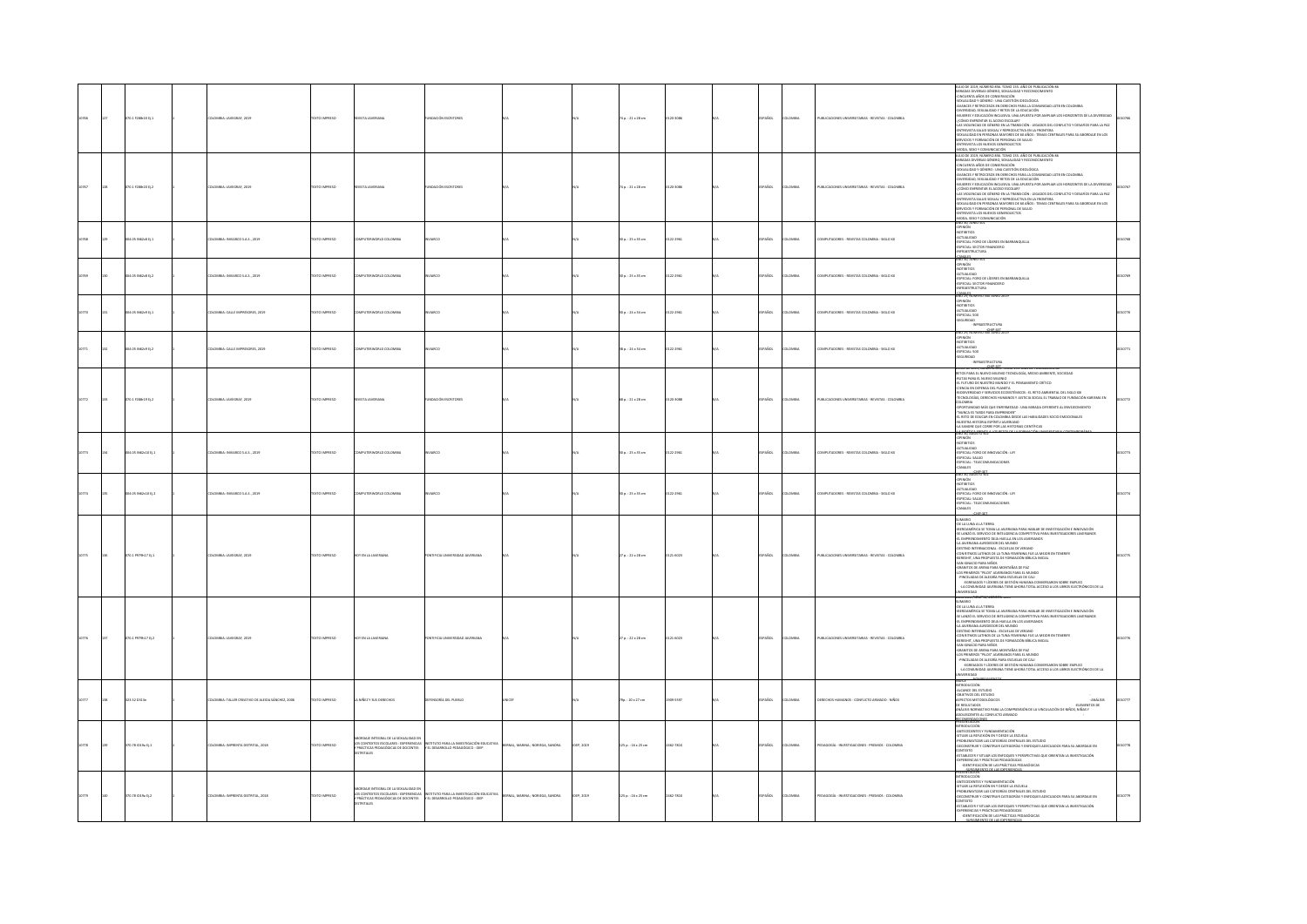|      | 070.1 F288r20 Ej.1 | LOMBIA: JAVEGRAF, 2019                                  | <b>DZSRRMI OTX3</b> | <b>ISTA JAVERIAN</b>                                                                                                                            | NDACIÓN ESCRITORI                                                             |                                       |           | 74 p.: 21 x 28 cm   | 20-3086  | AÑOL           | oway   | UBLICACIONES UNIVERSITARIAS - REVISTAS - COLOMBIA  | JO DE 2019, NÚMERO 856, TOMO 155, AÑO DE PUBLICACIÓN 86<br>NUMBER DE DES SERVITS DE LA MINISTRA Y RECONDENTENTO<br>ARRADAS DEVERSAS DE CONSERVACIÓN<br>-SEXUALIDAD Y DÉNERO : UNA CUESTIÓN IDEOLÓGICA<br>AVANCES Y RETROCESOS EN DERECHOS PARA LA COMUNIDAD LGTB EN COLOMBIA<br>A WARD THE PRESIDENT RESERVED FOR ALL CONDITIONS USE TO COLORED A UNIT IN A SUBSERVED CONDITIONAL CONDITIONAL CONDITIONS IN A SUBSERVED CONDITIONAL CONDITIONAL CONDITIONAL CONDITIONAL CONDITIONAL CONDITIONAL CONDITIONAL C                                                                                                                                                                                                                                                                                                                                                                                                                                                                                              |  |
|------|--------------------|---------------------------------------------------------|---------------------|-------------------------------------------------------------------------------------------------------------------------------------------------|-------------------------------------------------------------------------------|---------------------------------------|-----------|---------------------|----------|----------------|--------|----------------------------------------------------|------------------------------------------------------------------------------------------------------------------------------------------------------------------------------------------------------------------------------------------------------------------------------------------------------------------------------------------------------------------------------------------------------------------------------------------------------------------------------------------------------------------------------------------------------------------------------------------------------------------------------------------------------------------------------------------------------------------------------------------------------------------------------------------------------------------------------------------------------------------------------------------------------------------------------------------------------------------------------------------------------------|--|
|      | 070.1 F288-20 tj.2 | LOMBIA: JAVEGRAF, 202                                   | EXTO IMPRESO        | VISTA JAVERIAN                                                                                                                                  |                                                                               |                                       |           | 74 p. : 21 x 28 cm  | 120-3085 | PAÑOL          | owax   | UBLICACIONES UNI                                   | -ROOD WITH A WARRON DRIVING WITHOUT ANIMAL COMPANY IN CONSULTING THE CONSULTING MARK CONSULTING THE CONSULTING CONSULTING A MANAGEMENT OF THE CONSULTING A MANAGEMENT OF THE CONSULTING A MANAGEMENT OF THE CONSULTING A MANA<br>MODA, SIXO Y COMUNICACIÓN<br>ANO 30, JUNIO 501                                                                                                                                                                                                                                                                                                                                                                                                                                                                                                                                                                                                                                                                                                                            |  |
|      | 34.05 IN62c8 Ej.1  | OMBA: INVIARCO S.A.S., 2019                             | <b>OZSRRAI OTX:</b> | <b>PUTERWORLD COLOMBIA</b>                                                                                                                      | <b>UICO</b>                                                                   |                                       |           | 0 p.: 25 x 35 cm    | 122-2961 | Acc.           | OMBIA  | MPUTADORES - REVISTAS COLOMBIA - SIGLO XX          | OPINIÓN<br>vonamos<br>ACTUALIDAD<br>ESPECIAL: FORO DE LÍDERES EN BARRANQUILLA<br>-ESPECIAL: SECTOR FINANCIERO<br>-INFRAESTRUCTURA                                                                                                                                                                                                                                                                                                                                                                                                                                                                                                                                                                                                                                                                                                                                                                                                                                                                          |  |
|      | 04.05 IN62c8 tj.2  | LOMBIA: INVIARCO S.A.S., 2019                           | EXTO IMPRESO        | PUTERWORLD COLOMBIA                                                                                                                             | ARCO                                                                          |                                       |           | 30 p. : 25 x 35 cm  | 122-2961 | AÑOL           | owax   | MPUTADORES - REVISTAS COLOMBIA - SIGLO XX          | CANALES<br>AÑO 30, JUNIO 501<br>aón<br>mamos<br>-ACTUALIDAD<br>-ESPECIAL: FORO DE LÍDERES EN BARRANQUILLA<br>-ESPECIAL: SECTOR FINANCIERO<br>-INFERASTRUCTURA<br>-INFERANCE                                                                                                                                                                                                                                                                                                                                                                                                                                                                                                                                                                                                                                                                                                                                                                                                                                |  |
|      | LOS IN62c9 Ej.1    | OMBIA: CALLE IMPRESORES, 2019                           | XTO IMPRESO         | <b>PETTEWORLD COLOMBIA</b>                                                                                                                      |                                                                               |                                       |           | 0 p.: 24 x 34 cm    | 22-2961  | AÑOL           | wa.    | <b>DUTADORES, REVISTAS COLOMBIA - SIGLO VI</b>     | CANALIST<br>AND 29, NÚMERO 500 JUNIO 201<br>NIÓN<br>NEITIOS<br>$\begin{array}{r} .017105\\ \begin{array}{r} .017104110A0\\ \begin{array}{r} .01710A110A0\\ \end{array} \end{array} \end{array}$                                                                                                                                                                                                                                                                                                                                                                                                                                                                                                                                                                                                                                                                                                                                                                                                            |  |
| 0271 | 204.05 IN62c9 EL2  | <b>ILOMBIA: CALLE IMPRESORES, 2019</b>                  | OZSRRNI OTXT        | <b>IPUTERWORLD COLOMBIA</b>                                                                                                                     | <b>ARCO</b>                                                                   |                                       |           | 18 p. : 24 x 14 cm  | 122-2961 | <b>SPARIDL</b> | LOMBIA | OMPUTADORES - REVISTAS COLOMBIA - SIGLO XX         | SO 29. NÚMERO 500 JUNIO 20<br>1NIÓN<br>XIBITIOS<br>JTBITIUS<br>CTUALIDAD<br>SPECIAL: 500<br>JEGURIDAD<br>JAPANSTRUCTURE                                                                                                                                                                                                                                                                                                                                                                                                                                                                                                                                                                                                                                                                                                                                                                                                                                                                                    |  |
|      | 070.1 F288r19 Ej.2 | <b>ILOMBIA: JAVEGRAF, 2019</b>                          | DZERRA OTX          |                                                                                                                                                 | NOACIÓN                                                                       |                                       |           | 68 p. : 21 x 28 cm  | 20-3088  | AÑOL           | oway   | UBLICACIONES UNIVERSITARIAS - REVISTAS - COLOMBIA  | <u>TOE 2019, NONDROOMS TOWN 155, AND L</u><br>RETOS PARA EL NUEVO MILENIO TECNOLOGÍA, MEDIO AMBIENTE, SOCIEDAD<br>-RUTAS PARA EL NUEVO MILENIO<br>-EL FUTURO DE NUESTRO MUNDO Y EL PENSAMENTO CRÍTICO<br>-CIENCIA EN DEFENSA DEL PLANETA<br>-BIDON'ENSIDAD Y SERVIDOS ECOSISTÉMICOS : EL RETO AMBIENTAL DEL SIGLO XXI<br>-TECNOLOGÍAS, DERECHOS HUMANOS Y XUSTIGIA SOCIAL EL TRABAJO DE FUNDACIÓN KARISMA EN<br><b>COLORED AS A MANUS IN DISPOSE AND A MARGA DIFERENT A ENVIRONMENTO CONDITIONED AS TANDE A ENTREPARTIE AL ENVIRONMENTO CONDITIONED AS A CONDITION OF A CONDITION OF A CONDITION OF A CONDITION OF A CONDITION OF A CONDITION OF</b>                                                                                                                                                                                                                                                                                                                                                       |  |
|      | 04.05 N62c10 tj.1  | ILOMBIA: INVIARCO S.A.S., 2019                          | <b>DZERNI OTXIT</b> | MPUTERWORLD COLOMBIA                                                                                                                            | ARCO                                                                          |                                       |           | 30 p.: 25 x 35 cm   | 122-2961 | PAÑOL          | LOMBIA | OMPUTADORES - REVISTAS COLOMBIA - SIGLO XX         | AND THE AGASTERS<br>ańsa<br>NOTIBITIOS<br>ACTUALIDAD<br>ESPECIAL: FORO DE INNOVACIÓN : LIFI<br>ESPECIAL: SALUD<br>ESPECIAL : TELECOMUNICACIONES<br>WALES                                                                                                                                                                                                                                                                                                                                                                                                                                                                                                                                                                                                                                                                                                                                                                                                                                                   |  |
|      | 04.05 M62c10 tj.2  | LOMBIA: INVIARCO S.A.S., 2019                           | DZERRA OTX          |                                                                                                                                                 |                                                                               |                                       |           | 30 p. : 25 x 35 cm  | 122-2961 | usce.          | owax   | MPUTADORES - REVISTAS COLOMBIA - SIGLO XX          | 4NO 30, AGOSTO <sup>3</sup><br>NIÓN<br>TIBITIOS<br>NOTIVILIDAD<br>-ESPECIAL: FORO DE INNOVACIÓN : LITI<br>-ESPECIAL: SALUD<br>-ESPECIAL : TELECOMUNICACIONES<br>-CANALES<br>-CANALES                                                                                                                                                                                                                                                                                                                                                                                                                                                                                                                                                                                                                                                                                                                                                                                                                       |  |
|      | 1.1 P979h17 Ej.1   | VISIA: JAVEGRAF, 2019                                   | TO IMPRESO          | $\mathsf{t}\mathsf{N}\mathsf{L}$                                                                                                                |                                                                               |                                       |           | p.: 22 x 28 cm      | 14023    |                |        | <b>BLICACIO</b>                                    | <b>SURGEON - AN ATTENTION PROFILE IN A PROBABLE INVESTIGATION E INFORMATION CONSUMING A SURFACE OF ENCOUNCIL AUTHORITY (ASSAULT) AND A PROPER CONSUMING A SURFACE OF ENCOUNCIL AND AN ARCHITECTORIC INFORMATION CONSUMING A SUR</b><br>OS PRIMEROS "PILOS" JÁVENIANUS PARA EL MUNUO<br>-PINCELADAS DE ALEGRÍA PARA ESCUELAS DE CALI<br>- -EGRESADOS Y LÍDERES DE GESTIÓN HUMANA CONVERSARON SOBRE EMPLEO<br>-IA COMUNIDAD JAVERIANA TIENE AHORA TOTAL ACCESO A LOS LIBROS ELEC<br>munan                                                                                                                                                                                                                                                                                                                                                                                                                                                                                                                    |  |
|      | 070.1 P979h17 Ej.2 | LOMBIA: JAVEGRAF, 2019                                  | <b>DZSRRMI OTX3</b> | Y EN LA JAVER                                                                                                                                   | TIFICIA U                                                                     |                                       |           | 27 p.: 22 x 28 cm   | 121-6023 | PAÑOL          | OMBIA  | PUBLICACIONES UNIVERSITARIAS - REVISTAS - COLOMBIA | MARIO<br>-DE LA LUNA A LA TIERRA<br>ISERGAMÉRICA SE TOMA LA JAVERIANA PARA HABLAR DE INVESTIGACIÓN E INNOVACIÓN<br>-SE LANZÓ EL SERVICIO DE INTELIGENCIA COMPETITIVA PARA INVESTIGADORES JAVERIANOS<br>-<br>EL EMPRENDIMIENTO DEJA HUELLA EN LOS JAVERIANOS<br>-LA JAVERIANA ALREDEDOR DEL MUNDO<br>SA ANTANONY NASARADONA : ESCUELAS DE VERANO<br>-DESTINO INTERNACIONAL : ESCUELAS DE VERANO<br>-CON RITMOS LATINOS DE LA TUNA FEMENINA FUE LA MEIOR EN TENERIFE<br>-BERESHIT, UNA PROPUESTA DE FORMACIÓN BÍBLICA INICIAL<br>$\begin{minipage}{0.9\textwidth} \begin{tabular}{l} \textbf{5.0\textwidth} \textbf{5.0\textwidth} \textbf{5.0\textwidth} \textbf{6.0\textwidth} \textbf{6.0\textwidth} \textbf{6.0\textwidth} \textbf{6.0\textwidth} \textbf{6.0\textwidth} \textbf{6.0\textwidth} \textbf{7.0\textwidth} \textbf{7.0\textwidth} \textbf{8.0\textwidth} \textbf{8.0\textwidth} \textbf{9.0\textwidth} \textbf{9.0\textwidth} \textbf{10.0\textwidth} \textbf{10.0\textwidth} \textbf{10.0\$ |  |
|      | 123.52 D313n       | <b>ILOMBIA: TALLER CREATIVO DE ALEIDA SÁNCHEZ, 2006</b> | DZERNA OTXIT        | A NIÑEZ Y SUS DERECHOS                                                                                                                          | ENSORÍA DEL PUEBLO                                                            |                                       |           | 9p. : 20 x 27 cm    | 109-5597 | AÑOL           | LOMBIA | ERECHOS HUMANOS - CONFLICTO ARMADO - NIÑOS         | INUILE<br>INTRODUCCIÓN<br>ALCANCE DEL ESTUDIO<br>-NUMBER<br>COMPRESSION INTO THE SERVE AND STATE OF A ANGELES<br>CR RESULTANCES<br>ANGELIS MEMORIATION PRIVATE A COMPRENSIÓN DE LA VINCULACIÓN DE NIÑOS, NIÑOS Y<br>AGOLESCENTES AL CONFUCTO ARMADO<br>ANÁLISIS                                                                                                                                                                                                                                                                                                                                                                                                                                                                                                                                                                                                                                                                                                                                            |  |
|      | 70.78 1019a Ej.1   | <b>ILOMBIA: IMPRENTA DISTRITAL, 2018</b>                | <b>CERRIN OTX</b>   | <b>RDAJE INTEGRAL DE LA SEXUALIDAD E</b><br>.<br>LOS CONTEXTOS ESCOLARES : EXPERIENCIAS<br>Y PRÁCTICAS PEDAGÓGICAS DE DOCENTES<br><b>RTALES</b> | UTO PARA LA INVESTIGACIÓN EDUCATIVA<br>EL DESARROLLO PEDAGÓGICO - IDEP        | <b>RNAL, MARINA : NORIEGA, SANDRA</b> | EP, 2019  | 125 p.: 16 x 23 cm  | 462-781X | <b>SPAÑOL</b>  | LOMBIA | EDAGOGÍA - INVESTIGACIONES - PREMIOS - COLOMBIA    | ECONOMICONTS<br>PIESAINANAIN<br>ANTECEDENTES Y FUNDAMENTACIÓN<br>SITUAR LA REFLEXIÓN EN Y DESDE LA ESCUELA<br>PROBILINATIZAR LA CATEDRÍAS CENTRALES DEL ESTUDIO<br>OECONSTRURI Y CONSTRUIT CATEDDRÍAS Y ENFOQUES ADECUADOS PARA SU ABORDAIE EN<br>OECONSTRURI<br>OTEXTO<br>ESTABLECER Y SITUAR LOS ENFOQUES Y PERSPECTIVAS QUE ORIENTAN LA INVESTIGACIÓN<br>KPERIENCIAS Y PRÁCTICAS PEDAGÓGICAS<br>- IDENTIFICACIÓN DE LAS PRÁCTICAS PEDAGÓGICAS                                                                                                                                                                                                                                                                                                                                                                                                                                                                                                                                                           |  |
|      | 370.78 ID19a Ej.2  | LOMBIA: IMPRENTA DISTRITAL, 2018                        | XTO IMPRESO         | ABORDAJE INTEGRAL DE LA SEXUALIDAD EN<br>LOS CONTEXTOS ESCOLARES : EXPERIENCIAS<br>Y PRÁCTICAS PEDAGÓGICAS DE DOCENTES<br>DISTRITALES           | NSTITUTO PARA LA INVESTIGACIÓN EDUCATIVA<br>r el desarrollo pedagógico - IDEP | ERNAL, MARINA ; NORIEGA, SANDRA       | 3EP, 2019 | 125 p. : 16 x 23 cm | 462-781X | AÑOL           | OMBIA  | EDAGOGÍA - INVESTIGACIONES - PREMIOS - COLOMBIA    | <b>LODUCEIÓN</b><br>ITECEDENTES Y FUNDAMENTACIÓN<br>'UAR LA REFLEXIÓN EN Y DESDE LA ESCUELA<br>OBLEMATIZAR LAS CATEORÍAS CENTRALES DEL ESTUDIO<br>CONSTRUIR Y CONSTRUIR CATEGORÍAS Y ENFOQUES ADECUADOS PARA SU ABORDAJE EN<br>NTEXTO<br>TABLECER Y SITUAR LOS ENFOQUES Y PERSPECTIVAS QUE ORIENTAN LA INVESTIGACIÓN<br>PERENCIAS Y PRÁCTICAS PEDAGÓGICAS<br>-IDENTIFICACIÓN DE LAS PRÁCTICAS PEDAGÓGICAS                                                                                                                                                                                                                                                                                                                                                                                                                                                                                                                                                                                                  |  |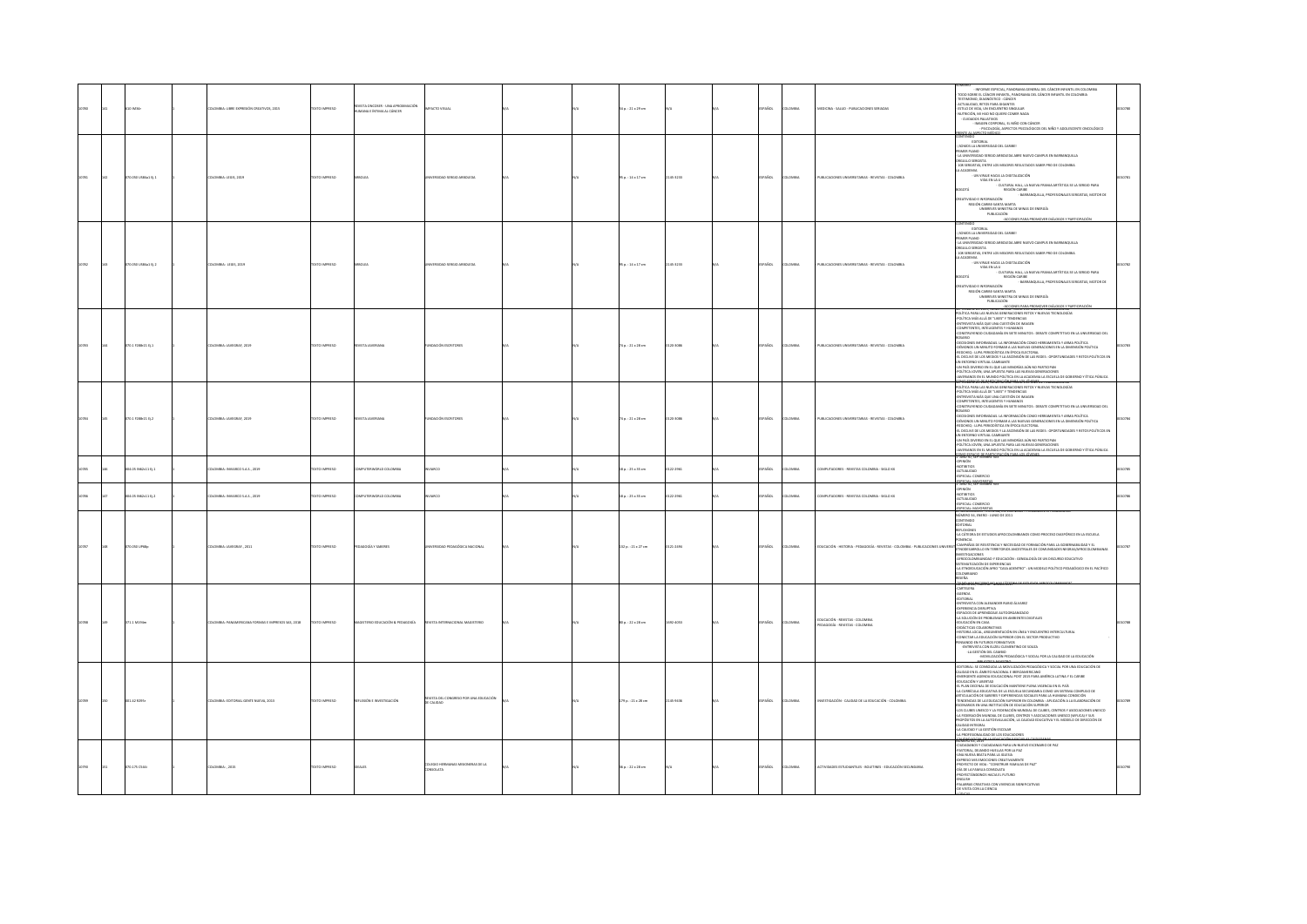|  |    |                      | MBIA: LIBRE EXPRESIÓN CREA<br>WOS, 2015 | <b>CESRRINI OTX</b>   | ISTA ONCOSER - UNA APRO<br>VANA E ÎNTIMA AL CÂNCER | <b>ICTO VISUAL</b>                     |  | p.: 21 x 29 cm          |          |                       | EDICINA - SALUD - PUBLICACIONES SERIADA                                   | <b>EXIMINAL CONSULTANCIAL PARCHIMAL CONSULTANCIAL CELUMATION CONSULTANCIAL CELUMATION CONSULTANCIAL CELUMATION CON<br/> TENDE DE CONSULTANCIA CELUMATION CONSULTANCIA DE CONSULTANCIA (CONSULTANCIA CELUMATION CELUMATION CELUMATION</b>                                                                                                                                                                                                                                                                                                                                                                                                                                                                    |  |
|--|----|----------------------|-----------------------------------------|-----------------------|----------------------------------------------------|----------------------------------------|--|-------------------------|----------|-----------------------|---------------------------------------------------------------------------|-------------------------------------------------------------------------------------------------------------------------------------------------------------------------------------------------------------------------------------------------------------------------------------------------------------------------------------------------------------------------------------------------------------------------------------------------------------------------------------------------------------------------------------------------------------------------------------------------------------------------------------------------------------------------------------------------------------|--|
|  |    | 0.050 US\$4a1 Ej.1   | LOMBIA: LEGIS, 2019                     | O IMPRESO             |                                                    |                                        |  | $5p.:14\times17$ cm     | 45-1233  | wa                    | UBLICACIONES UNIVERSITARIAS - REVISTAS - COLOMBIA                         | PATE AL ASPECTO MÉDICO<br>FORTOGIAL<br>CHADS LA UNIVERSIDAD DEL CARIBEL<br> SOMOS AL UNIVERSION<br>  LA UNUERSIONO SERGIO ARBOLEDA ABRE NUEVO CAMPUS EN BARRANQUILLA<br>  DROULLO SERGISTA<br> DROULLO SERGISTAS, ENTRE LOS MELORES RESULTADOS SABER PRO DE COLOMBIA<br>  108 SERGISTAS, ENTRE LOS MELORES RESULTADOS<br>ARTIVIDAD E INFORMACIÓN<br>FEGIÓN CARIBE-SANTA MARTA<br>UNIBENYES MINISTRA DE MINAS DE ENERGÍA<br>PUBLICACIÓN<br>ACCIONES PARA PROMOVER E<br>-ACCONES PARA PROMOVER DIÁLOGOS Y PARTICIPACIÓN                                                                                                                                                                                       |  |
|  | 43 | 070.050 US\$4a1 Ej.2 | <b>COMBIA: LEGIS, 2019</b>              | <b>DZERRINI GTX31</b> |                                                    | VERSIDAD SERGIO ARBOLEDA               |  | 35 p.: 14 x 17 cm       | 145-1233 | AÑOL<br>oway          | PUBLICACIONES UNIVERSITARIAS - REVISTAS - COLOMBIA                        | EDITORIAL<br>SOMOS LA UNIVERSIDAD DEL CARIBET<br><b>MER PLANO</b><br>FININA PIPERU<br>- LA UNIVERSIDAD SERGIO ARBOLEDA ABRE NUEVO CAMPUS EN BARRANQUILLA<br>ORGULLO SERGISTAS, ENTRE LOS MEJORES RESULTADOS SABER PRO DE COLOMBIA<br>A ACADEMIA<br>- UN VIRAJE HACIA LA DIGITALIZACIÓN<br><b>WDA EN LA U</b><br>- CULTURAL HALL, LA NUEVA FRANJA ARTÍSTICA SE LA SERGIO PARA<br>ATODC<br>REGIÓN CARIBE<br>- BARRANQUILLA, PROFESIONALES SERGISTAS, MOTOR DE<br>HODAMADE INFORMATION<br>REGIÓN CARIBE-SANTA MARTA<br>UNIBELVES MINISTRA DE MINAS DE ENERGÍA<br>PUBLICACIÓN                                                                                                                                   |  |
|  |    | 70.1 F288r21 Ej.1    | LOMBIA: JAVEGRAF, 2019                  | XTO IMPRESO           |                                                    |                                        |  | 74 p. : 21 x 28 cm      | 120-3086 | owau                  | UBLICACIONES UN<br>ARAS - REVISTAS - COLOMBIA                             | PUBLISHER (* 1912)<br>1920 - JAN BRANCH, STANDARD AMERIKANSK BULGOGO I FRANCHISTORIE<br>2012: ARAL ALEXANDRO GORDEN, STANDIS FRANCHISTORIER<br>1920: CALICA MÁR GULGO TUBER (* 1927)<br>1920: FRANCH ALEXANDRO GORDEN (* 1937)<br>1930: FRANC<br>OSARO<br>DESCRIPCIO EN DERARCA LA INFORMACIÓN COMO HERRANDENTA Y ARMA POLÍTICA<br>DÉNOROS UN UNIVER O FORMA A LAS NUEVA EDITIONAL<br>EDCORES : LUFA PERIODÓTICA EN ÉPOCA ELECTORIA.<br>LI DECIDE DE LOS MERIODÓTICA EN ÉPOCA ELECTORIA.<br>N<br>IN PAÍS DIVERSO EN EL QUE LAS MINORÍAS AÚN NO PARTICIPAN<br>XÍTICA JOVEN, UNA APUESTA PARA LAS NUEVAS GENERACIONES<br>NERIANOS EN EL MUNDO POLÍTICA EN LA ACADEMIA LA ESCUELA DE GOBIERNO Y ÉTICA PÚBLICA. |  |
|  |    | 070.1 F288-21 Ej.2   | LOMBIA: JAVEGRAF, 2019                  | OZERNI OTXT           | <b>ISTA INVESIANA</b>                              | MOACUÓN ESCRITORES                     |  | 74 p. : 21 x 28 cm      | 120-3086 | <b>AROL</b><br>LOMBIA | PUBLICACIONES UNIVERSITARIAS - REVISTAS - COLOMBIA                        | POLÍTICA PARA LAS NUEVAS GENERACIONES RETOS Y NUEVAS TECNOLOGÍAS<br>OLÍTICA MÁS ALLÁ DE "LIKES" Y TENDENCIAS<br>NTREVISTA MÁS QUE UNA CUESTIÓN DE IMAGEN<br>CIMPETENTES, INTELIGENTES Y HUMANOS<br>ONSTRUYENDO CIUDADANÍA EN SIETE MINUTOS : DEBATE COMPETITIVO EN LA UNIVERSIDAD DEL<br>CONTRUPING CONSIDERATE IN THE THEORY IS IN AN INCOMENTATION CONSIDERATE AND A SUBSERVATION CONSIDERATION AND A SUBSERVATION CONSIDERATION IN A MANUFOLISTICAL CONSIDERATION CONSIDERATION CONSIDERATION IN A SUBSERVATION CON                                                                                                                                                                                      |  |
|  |    | 4.05 M62c11 tj.1     | LOMBIA: INVIARCO S.A.S., 2019           | XTO IMPRESO           | MPUTERWORLD COLOMBIA                               | MKO                                    |  | 18 p. : 25 x 35 cm      | 122-2961 | AÑOL<br>owa           | MPUTADORES - REVISTAS COLOMBIA - SIGLO XX                                 | OTIBITIOS<br>CTUALIDAD<br>IPECIAL: COMEI                                                                                                                                                                                                                                                                                                                                                                                                                                                                                                                                                                                                                                                                    |  |
|  |    | 04.05 N62:11 Ej.2    | <b>ILOMBIA: INVIARCO S.A.S., 2019</b>   | <b>DZERRINI OTXIT</b> | MPUTERWORLD COLOMBIA                               | O3RAW                                  |  | 18 p.: 25 x 35 cm       | 122-2961 | AÑOL<br>LOMBIA        | MPUTADORES - REVISTAS COLOMBIA - SIGLO XX                                 | ESPECIAL: MAYORISTAS<br>1 -AÑO 30, SEPTIEMBRE<br>PINIÓN<br>IOTIBITIOS<br><b>CTUALIDAD</b><br>PECIAL: COMERCIO<br>PECIAL: MAYORISTAS                                                                                                                                                                                                                                                                                                                                                                                                                                                                                                                                                                         |  |
|  |    | TO 050 UP68o         | LOMBIA: JAVEGRAF., 2011                 | <b>DZERNI OTX3</b>    | GOGÍA Y SABERES                                    | RSIDAD PEDAGÓGICA NACIONAL             |  | 132 p.: 21 x 27 cm      | 21-2494  | <b>AROL</b><br>OMBIA  | UCACIÓN - HISTORIA - PEDAGOGÍA - REVISTAS - COLOMBIA - PUBLICACIONES UNIV | VÚMERO 34, ENERO - JUNIO DE 2011<br>NTENIDO<br><b>TORIAL</b><br><b>PLEXIONES</b><br>LA CÁTEDRA DE ESTUDIOS AFROCOLOMBIANOS COMO PROCESO DIASPÓRICO EN LA ESCUELA<br>.<br>mrtia<br>.<br>AMPAÑAS DE RESISTENCIA Y NECESIDAD DE FORMACIÓN PARA LA GOBERNABILIDAD Y EL<br>NODESARROLLO EN TERRITORIOS ANCESTRALES DE COMUNIDADES NEGRAS/AFROCOLOMBIANAS<br>.<br>Vestigaciones<br>(frocolombiandad y educación : genealogía de un discurso educativo<br>TEMATIZACIÓN DE EXPERIENCIAS<br>A ETNOEDUCACIÓN AFRO "CASA ADENTRO" : UN MODELO POLÍTICO PEDAGÓGICO EN EL PACÍFICO<br>CLOMBANO<br>$-94$                                                                                                                  |  |
|  |    | 71.1 M194m           | RICANA FORMAS E IMPRESOS SAS, 2018      | O IMPRESO             | AIDOGAEIG & WÖISADUIT ORITZ                        |                                        |  | 0 p.: 22 x 28 cm        | 02-4053  | AÑOL<br>LOMBIA        | EDUCACIÓN - REVISTAS - COLOMBIA<br>PEDAGOGÍA - REVISTAS - COLOMBIA        | imerutari<br>Artelera<br>GENDA<br><b>INTOTIAL</b><br>NTREVISTA CON ALEXANDER RUBIO ÁLVAREZ<br><b>XPERIENCIA DISRUPTIVA</b><br>SPACIOS DE APRENDIZAJE AUTOORGANIZADO<br>A SOLUCIÓN DE PROBLEMAS EN AMBIENTES DIGITALES<br>DUCACIÓN EN CASA<br><b>IDÁCTICAS COLABORATIVAS</b><br>STORIA LOCAL, ARGUMENTACIÓN EN LÍNEA Y ENCUENTRO INTERCULTURAL<br>ONECTAR LA EDUCACIÓN SUPERIOR CON EL SECTOR PRODUCTIVO<br><b>ISANDO EN FUTUROS FORMATIVOS</b><br>-ENTREVISTA CON EUZEU CLEMENTINO DE SOUZA<br>-LA GESTIÓN DEL CAMBIO<br>-MOVILIZACIÓN PEDAGÓGICA Y SOCIAL POR LA CAUDAD DE LA EDUCACIÓN                                                                                                                    |  |
|  |    | 42 8295              | MBIA: EDITORIAL GENTE NUEVA, 2013       | <b>DIMPRESO</b>       |                                                    | REVISTA DEL CO<br>DE CALIDAD           |  | .<br>79 p. : 21 x 28 cm |          |                       | IÓN - CALIDAD DE LA EDUCACIÓN - COLOMBI                                   | <b>MONEY CONSIDERATION CONTINUES AND CONSIDER AREA CONSIDERED AND CONSIDER AN ANGELE AND CONSIDER A CONSIDER A CONSIDERATION CONSIDERED AND CONSIDER A CONSIDERATION CONSIDERED AS A CONSIDERATION CONSIDERED AS A CONSIDERATION</b><br>4 A FEDERACIÓN MUNDIAL DE CLUBES, CENTROS Y ASOCIACIONES UNESCO (WFUCA) Y SUS<br>PROPÓSITOS EN LA AUTOEVALUACIÓN, LA CALIDAD EDUCATIVA Y EL MODELO DE DIRECCIÓN DE<br>CALIDAD INTEGRAL<br>A CALIDAD Y LA GESTIÓN ESCOLAR<br>A PROFESIONALIDAD DE LOS EDUCADORES<br><b>NORTH CELLING</b>                                                                                                                                                                             |  |
|  |    | 175 0544             | OMBIA:, 2015                            | TO IMPRESO            |                                                    | FOO HERMANAS MISONERAS DE LA<br>SOLATA |  | $5p.:22\times28$ cm     |          |                       | <b>NTILES - BOLETINES - EDUCACIÓN SEC</b>                                 | <b>KANDAR BERNAMA TATAN DAN UNIT DE DE PARADORES PER EN CHARGAN DE PARADORES PER EN CHARGAN DE PARADORES PER EN C<br/>PARTICULAR DE PARADORES PER EN CONTRA DE PARADORES PER EN CONTRA EN CONTRA DE PARADORES PER EN CONTRA DE PARAD</b>                                                                                                                                                                                                                                                                                                                                                                                                                                                                    |  |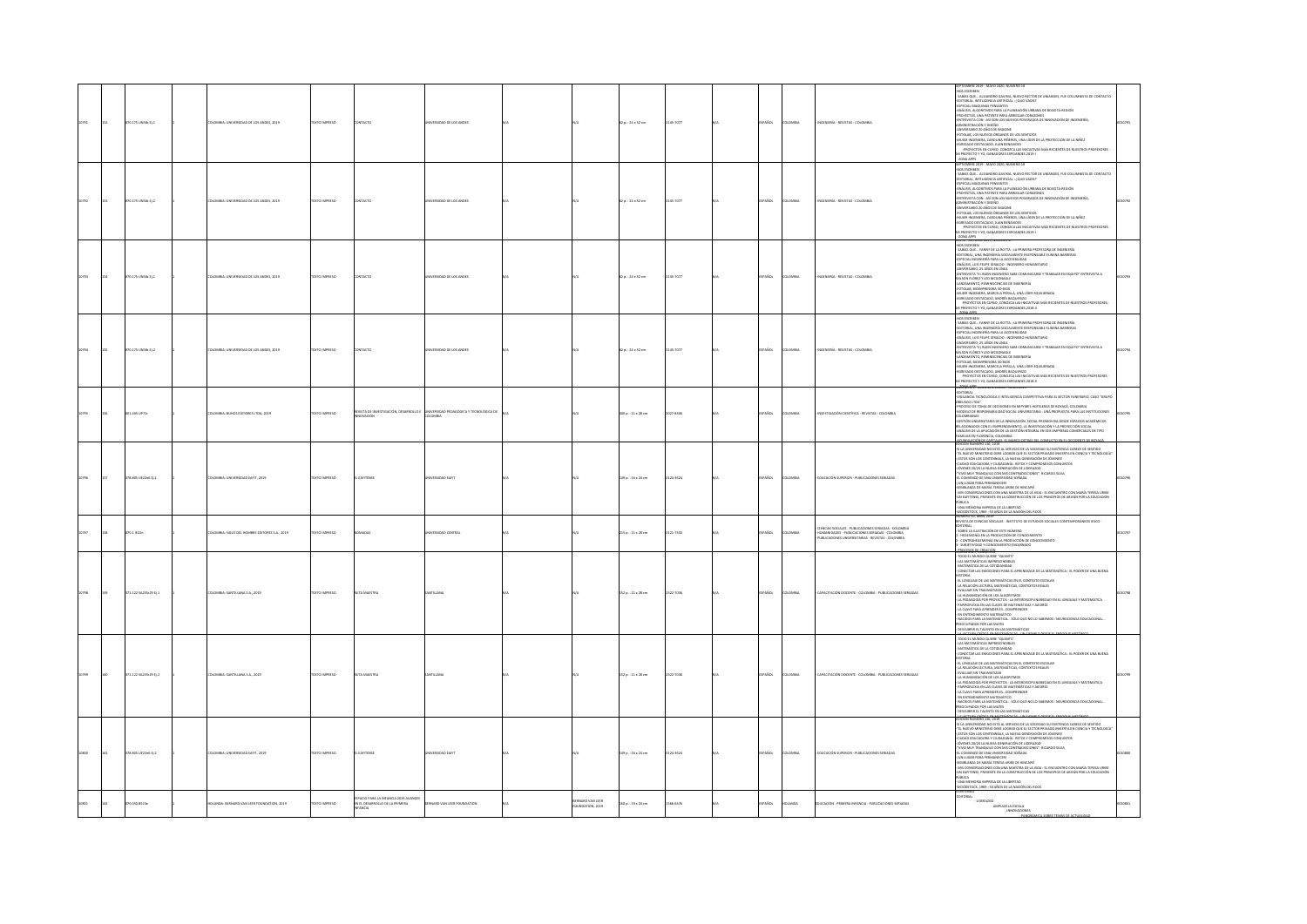|  |                       |                                            |                      |                                                                                    |                                                  |                                         |                          |         |              |                |                                                                                                                                                                | SEPTIEMBRE 2019 - MAYO 2020, NÚMERO 18                                                                                                                                                                                                                                                                                                                                                                                                                                                                                                                                                                                                                                                                                                                                                                                                                                    |  |
|--|-----------------------|--------------------------------------------|----------------------|------------------------------------------------------------------------------------|--------------------------------------------------|-----------------------------------------|--------------------------|---------|--------------|----------------|----------------------------------------------------------------------------------------------------------------------------------------------------------------|---------------------------------------------------------------------------------------------------------------------------------------------------------------------------------------------------------------------------------------------------------------------------------------------------------------------------------------------------------------------------------------------------------------------------------------------------------------------------------------------------------------------------------------------------------------------------------------------------------------------------------------------------------------------------------------------------------------------------------------------------------------------------------------------------------------------------------------------------------------------------|--|
|  | 070.175 UNSB: Ej.1    | OMBIA: UNIVERSIDAD DE LOS ANDES, 2019      | EXTO IMPRESO         | <b>NTACTO</b>                                                                      | ERSIDAD DE LOS ANDES                             |                                         | 2 p.: 24 x 32 cm         | 5-7077  | AÑOL         | LOMBIA         | NGENIERÍA - REVISTAS - COLOMBIA                                                                                                                                | NOS ESCRIBEN<br>- SABÍAS QUE ALEJANDRO GAVIRIA, NUEVO RECTOR DE UNIANDES, FUE COLUMNISTA DE CONTACTO<br>-EDITORIAL, INTELIGENCIA ARTIFICIAL : ¿QUO VADIS?<br>-ESPECIAL MAQUINAS PENSANTES<br>ANÁLISIS, ALGORITMOS PARA LA PLANEACIÓN URBANA DE BOGOTÁ-REGIÓN<br>PROYECTOS, UNA PATENTE PARA ARREGLAR CORAZONES<br>ENTREVISTA CON : ASÍ SON LOS NUEVOS POSGRADOS DE INNOVACIÓN DE INGENIERÍA,<br>ADMINISTRACIÓN Y DISEÑO<br>-ANIVERSARIO 20 AÑOS DE IMAGINE<br>-FOTOLAB, LOS NUEVOS ÓRGANOS DE LOS SENTIDOS<br>-MILIER INGENIERA, CARDUINA PÁRIROS, UNA LÍGER DE LA PROTECCIÓN DE LA NIÑEZ<br>4GUERADO RESTACADO, JUAN ERIANORES<br>- - PROTECTOS EN CURSO, CON DENVIDES<br>- - PROTECTOS EN CURSO, CONDECA LAS INCIATIVAS MÁS RECENTES DE NUESTROS PR                                                                                                                     |  |
|  | 070.175 UNSBc Ej.2    | MBIA: UNIVERSIDAD DE LOS ANDES, 2019       | <b>XTO IMPRESO</b>   | <b>STACTO</b>                                                                      | RSIDAD DE LOS ANDE                               |                                         | 2 p.: 24 x 32 cm         | 15-7077 | .<br>Not     | <b>OMBV</b>    |                                                                                                                                                                | NOS ESCRIBEN<br>ARCS ACTIVITY - ALEXANDERO GAVINAL, NUEVO RECORDE UNIVARIES, FUE COLLAMANTA DE CORTACTO<br>1948/10 QUE - ALEXANDERO GAVINAL, - (4000 DADE)<br>1948/10 QUE - ALEXANDERO ARTESTANTE - (4000 DADE)<br>1949/10 QUE - ALEXANDERO ARTESTANT<br>.<br>AUER INGENERA, CARCUNA PIÑEROS, UNA LÍDER DE LA PROTECCIÓN DE LA NIÑEZ<br>GRESADO DESTACADO: JUAN BENAVIDES<br>-ROYECTOS EN CURSO, CONGECA LAS INICIATIVAS MÁS REGENTES DE NUESTROS PROFESORES<br>ROYECTO Y YO, GANADORES EXPOANDES 2019-1<br>-<br>-<br>KATU - LICTUBRE 2019, NI                                                                                                                                                                                                                                                                                                                            |  |
|  | 10.175 UNSB: EJ.1     | NERVOAD DE LOS ANDES 2019                  | <b>DIMENSIO</b>      |                                                                                    | <b>Shan nr LOS awnrs</b>                         |                                         | $0.124 \times 32$ cm     |         |              | um.            | FRE . REVISTAS . COLONN                                                                                                                                        | RNNU - UK LUBIE AUS, RUMERU 17<br>1905: ESCRIBIN<br>1905: ESCRIBIN - UKANY DE LA ADINTA PRIMERA PROFESORA DE INGENERÍA<br>1917: DIA, JUA INGENIERÍA SOCIALMENTE RESPONSABLE EUMINA BARREAS<br>1917: CAL ULIS FUEDE GIMALDO : INGENIERIO HU<br>"HINTARINSTA" EL BUEN INGENERO SABE COMUNICARSE Y TRABAJAR EN EQUIPO" ENTREVISTA A<br>«NISEN FLÓREZ Y LEO MICIONEGIE»<br>«JANZAMIENTO, REMINISCENCIAS DE INGENERÍA<br>-<br>FOTOLAR, BIOIMPRESORA 3D BIOX<br>-MUJER INGENIERA, MARCELA PERILIA, UNA LÍDER EQUIUBRADA<br>-EGRESADO DESTACADO, ANDRÉS BAQUERIZO<br>-PROYECTOS EN CURSO, CONDIZCA LAS INICIATIVAS MÁS RECIENTES DE NUESTROS PROFESORES -<br>II PROYECTO Y YO, GANADORES EXPOANDES 2018-II<br>2007-3016.exe 2019, Normand 13                                                                                                                                     |  |
|  | 070.175 UNSB: 0.2     | LOMBIA: UNIVERSIDAD DE LOS ANDES, 2019     | <b>DZERNI OTXT</b>   | ONTACTO                                                                            | VERSIDAD DE LOS ANDES                            |                                         | $2a:24 \times 32$ cm     | 15-7077 | PAÑOL        | AIRMOJO        | NGENIERÍA - REVISTAS - COLOMBIA                                                                                                                                | -<br>NOS ESCRIBEN<br>- SABÍAS QUE FANNY DE LA ROTTA : LA PRIMERA PROFESORA DE INGENIERÍA<br>EDITORIAL, UNA INGENIERÍA SOCIALMENTE RESPONSABLE ELIMINA BARRERAS<br>ESPECIAL INGENIERÍA PARA LA ACCESIBILIDAD<br>ANÁLISIS, LUIS FELIPE GIRALDO : INGENIERO HUMANITARIO<br>ANIVERSARIO, 25 AÑOS EN LÍNEA<br>ENTREVISTA "EL BUEN INGENIERO SABE COMUNICARSE Y TRABAJAR EN EQUIPO" ENTREVISTA A<br>WILSON FLOREZ Y LEO MCGONAGLE<br>ANZAMENTO, REMINISCENCIAS DE INGENERÍA<br>-FOTOLAB, BIOIMPRESORA 3D BIOX<br>-MUJER INGENIERA, MARCELA PERILLA, UNA LÍDER EQUILIBRADA<br>CORESADO DESTACADO. ANDRÉS BAQUERIZO<br>UNESNOU UES INFLUIDI, PAURES BINIÇIERIZO<br>- PROYECTOS EN CURSO, CONOZCA LAS INEDATIVAS MÁS RECIENTES DE NUESTROS PROFESORES -<br>II PROYECTO Y YO, GANADORES EXPOANDES 2018-II<br>ATTORNEY SUBJECT PAPER - END TOTAL                                     |  |
|  | 001.405 UP71r         | DMBIA: BUHOS EDITORES LTDA, 2019           | <b>DZERNI OTXT</b>   | REVISTA DE INVESTIGACIÓN, DESARROLLO E<br><b>OVACIÓN</b>                           | NIVERSIDAD PEDAGÓGICA Y TECNOLÓGICA DE<br>LOMBIA |                                         | 00 p. : 21 x 28 cm       | $-1306$ | <b>Acc</b>   | <b>OMBIA</b>   | STIGACIÓN CIENTÍFICA - REVISTAS - COLOMBIA                                                                                                                     | DITORIAL<br>IGILANCIA TECNOLÓGICA E INTELIGENCIA COMPETITIVA PARA EL SECTOR FUNERARIO, CASO "GRUPO<br>"HUMPHON TEDA"<br>GRELISCO DE TONA DE DECISIONES EN MIPHARIS HOTELERAS DE BOYACÁ, COLONIBADO, ONDO "MAGNI<br>-PROCESSO DE RESPONSABILIDAD SOCIAL UNIVERSITABIA : UNA PROPUESTA PARA LAS INSTITUCIONES<br>COLOMBIANAS<br>-GESTIÓN UNIVERSITARIA DE LA INNOVACIÓN -SOCIAL PROMOVIDA DESDE ESPACIOS ACADÉMICOS<br>ELACIONADOS CON EL EMPRENDIMIENTO. LA INVESTIGACIÓN Y LA PROYECCIÓN SOCIAL<br>ANALISIS DE LA APLICACIÓN DE LA GESTIÓN INTEGRAL EN SEIS EMPRESAS COMERCIALES DE TIPO<br>MILIAR EN FLORENCIA, COLOMBIA                                                                                                                                                                                                                                                 |  |
|  | 378.805 UE22x6 EL1    | CONTA-TRAFFICION LARENT                    | DZERNI OTXT          | <b>CALIFORNIA</b>                                                                  | reunan ratif                                     |                                         | 49 p.: 16 x 24 cm        | -3624   | <b>PAÑOL</b> | <b>AIRMOJO</b> | THICACIÓN SHERBIOR - PHRINCACIONES SERIADAS                                                                                                                    | FAMILIAN DI FURNITAC, COCAMIA<br>1990 - EN CARRISTON, COLOMIANO AREA EL COMPARTEN DE COMPARTE DE BOYAL (1990)<br>1990 - BOLOGN MARINER DE SA SERVICIO DE LA SOCIEDAD SU DESTRUCA CARRIS DE SERVICO<br>21 NOVEMBRO - EN SUR LA SERVICIO<br>L COMIENZO DE UNA UNIVERSIDAD SOÑADA<br>UN LUGAR PARA PERMANECERI<br>SEMBLANZA DE MARÍA TERESA URIBE DE HINCAPIÉ<br>MIS CONVERSACIONES CON UNA MAESTRA DE LA VIDA : EL ENCUENTRO CON MARÍA TERESA URIDE<br>UN EAFITENSE, PRESENTE EN LA CONSTRUCCIÓN DE LOS PRINCIPIOS DE ABYAN POR LA EDUCACIÓN<br><b>ÚBLICA</b><br>- UNA MEMORIA IMPRESA DE LA UBERTAD                                                                                                                                                                                                                                                                        |  |
|  | 3.1 IE22n             | 10 AZ SIGLO DEL HOMBRE EDITORES S.A., 2019 | <b>DIMPRESO</b>      |                                                                                    | SIDAD CENTRAL                                    |                                         | $5 p. : 21 \times 28$ cm | 7550    |              |                | CIENCIAS SOCIALES - PUBLICACIONES SERIADAS - COLOMBIA<br>HUMANIDADES - PUBLICACIONES SERIADAS - COLOMBIA<br>PUBLICACIONES UNIVERSITARIAS - REVISTAS - COLOMBIA | IEVISTA DE CIENCIAS SOCIALES - INSTITUTO DE ESTUDIOS SOCIALES CONTEMPORÁNEOS IESCO -<br>DITORIAL<br>SOBRE LA ILUSTRACIÓN DE ESTE NÚMERO<br>NAME AFFINISHE AN ARRONAUGH DE CONOCIMIENTO<br>- HEGEMONÍA EN LA PRODUCCIÓN DE CONOCIMIENTO<br>- SUBJETIVIDAD Y CONOCIMIENTO ENCARNADO                                                                                                                                                                                                                                                                                                                                                                                                                                                                                                                                                                                         |  |
|  | 171.122 SA235r29 Ej.1 | OMBIA: SANTILLANA S.A., 2019               | <b>CESSRONI OTX:</b> |                                                                                    |                                                  |                                         | 52 p. : 21 x 28 cm       | -7036   |              |                | CITACIÓN DOCENTE - COLOMBIA - PUBLICACIONES SERIADAS                                                                                                           | <b>BROCE SOS PE GREGO (20</b><br>TODO EL MUNDO QUIERE "QUANTS"<br>LAS MATEMÁTICAS IMPRESCINDIBLES<br>MATEMÁTICA DE LA COTIDIANIDAD<br>CONECTAR LAS EMOCIONES PARA EL APRENDIZAJE DE LA MATEMÁTICA : EL PODER DE UNA BUENA<br>AIRDTZ<br>EL LENGUAIE DE LAS MATEMÁTICAS EN EL CONTEXTO ESCOLAR<br>LA RELACIÓN LECTURA, MATEMÁTICAS, CONTEXTOS REALES<br>LA IRIACON INCOLADO DE LA AGUERRA DE ARTESTO DE LA IRIGUAL Y MATEMATICA - LA IRIGUAL Y MATEMATICA - LA IRIGUAL<br>1-A IRIANGULA POR PROTECTO LA IRITERACIÓN DE LA IRIGUAL Y MATEMATICA - PAPORADO DE LA IRIGUAL Y MATEMATICA<br>1-A                                                                                                                                                                                                                                                                                 |  |
|  | 371.122 SA235:29 EL2  | DLOMBIA: SANTILLANA S.A., 2019             | DZERNI OTXIT         |                                                                                    |                                                  |                                         | 52 p. : 21 x 28 cm       | 22-7036 | PAÑOL        | LOMBIA         | APACITACIÓN DOCENTE - COLOMBIA - PUBLICACIONES SERIADAS                                                                                                        | <del>ADARYSIN'S, ESÍRUA E</del> N ""CHAMES" - UN SANTAS PARAS EL MARINHA UNIXARIA<br>TODO EL MUNDO QUEER "QUANTS"<br>AMTEMÁTICAS DE LA CONDUNISMENT<br>AMTEMÁTICAS LA SE FANDODINES PARA EL APRENDIZAI E DE LA MATEMÁTICA : EL PODER DE UNA BUENA<br>- CONTCAN LAS IMPODONS PAPA R APPRINDIAN DE LA MATEMÁTICA : EL PODER DE UNA BUEN<br>- EL FEMACIÓN LICTICIA, AMTRAÍNEAS EN EL CONTEXTO ESCADA<br>- EL FEMACIÓN LICTIAN, AMTRAÍNEAS, CONTEXTOS IRALES<br>- EVALUAR INY TRAINANTIAR<br>- EVAL<br><b>PAPIROFLEMA EN LAS CLASES DE MATEMAILLES Y AJEDRÉZ<br/>PAPIROFLEMA EN LAS CLASES DE MATEMÁTICAS Y AJEDRÉZ<br/>EN ENTENDIMIENTO MATEMÁTICO</b><br>NACIDOS PARA LA MATEMÁTICA  SÓLO QUE NO LO SABEMOS : NEUROCIENCIA EDUCACIONAL<br><b>DEUPADOS POR LAS MATES</b><br>DESCUBRIR EL TALENTO EN LAS MATEMÁTICAS                                                          |  |
|  | 378.805 UE22e6 EL2    | COMBIA: UNIVERSIDAD EAFIT, 2019            | DZERNI OTXIT         | <b>FARTHWAY</b>                                                                    | ERSIDAD EAFT                                     |                                         | 49 p.: 16 x 24 cm        | 14-3624 | PAÑOL        | <b>AIRMOJ</b>  | DUCACIÓN SUPERIOR - PUBLICACIONES SERIADAS                                                                                                                     | DICIÓN NÚMERO 116, 2019<br>SI LA UNIVERSIDAD NO ESTÁ AL SERVICIO DE LA SOCIEDAD SU EXISTENCIA CARECE DE SENTIDO<br>EL NUEVO MINISTERIO DEBE LOGRAR QUE EL SECTOR PRIVADO INVIERTA EN CIENCIA Y TECNOLOGÍA<br>STOS SON LOS CENTENNIALS, LA NUEVA GENERACIÓN DE JÓVENES!<br>CIUDAD EDUCADORA Y CIUDADANÍA : RETOS Y COMPROMISOS CONJUNTOS<br>JÓVENES 20/20 LA NUEVA GENERACIÓN DE LIDERAZGO<br>VIVO MUY TRANQUILO CON MIS CONTRADICCIONES". RICARDO SILVA<br>-EL COMIENZO DE UNA UNIVERSIDAD SOÑADA<br>-JUN LUGAR PARA PERMANECERI<br>-SEMBLANZA DE MARÍA TERESA URIBE DE HINCAPIÉ<br>MIS CONVERSACIONES CON UNA MAESTRA DE LA VIDA : EL ENCUENTRO CON MARÍA TERESA URIBE<br>JN EAFITENSE, PRESENTE EN LA CONSTRUCCIÓN DE LOS PRINCIPIOS DE ABITÁN POR LA EDUCACIÓN<br><b>BLICA</b><br>UNA MEMORIA IMPRESA DE LA LIBERTAD<br>OODSTOCK, 1969 : 50 AÑOS DE LA NACIÓN DEL ROCK |  |
|  | 050 85234             | NDA: BERNARD VAN LEER FOUNDATION, 2019     | D. BARBERO           | .<br>ACIO PARA LA INFANCIA 2019 AVANCES<br>N FL DES<br><b>XLO DE LA PR</b><br>MCIA |                                                  | <b>MARCI VAN LEED</b><br>UNDATION, 2019 | 0 p.: 19 x 24 cm         |         |              | ND.            | ACIÓN - PRIMERA INFANCIA - PUBLICACIONES SERIADAS                                                                                                              | LIDERAZGO<br>AMPLIAR LA ESCALA<br>$-$ INNOVACIONES<br>ALCA SCIENT TENA                                                                                                                                                                                                                                                                                                                                                                                                                                                                                                                                                                                                                                                                                                                                                                                                    |  |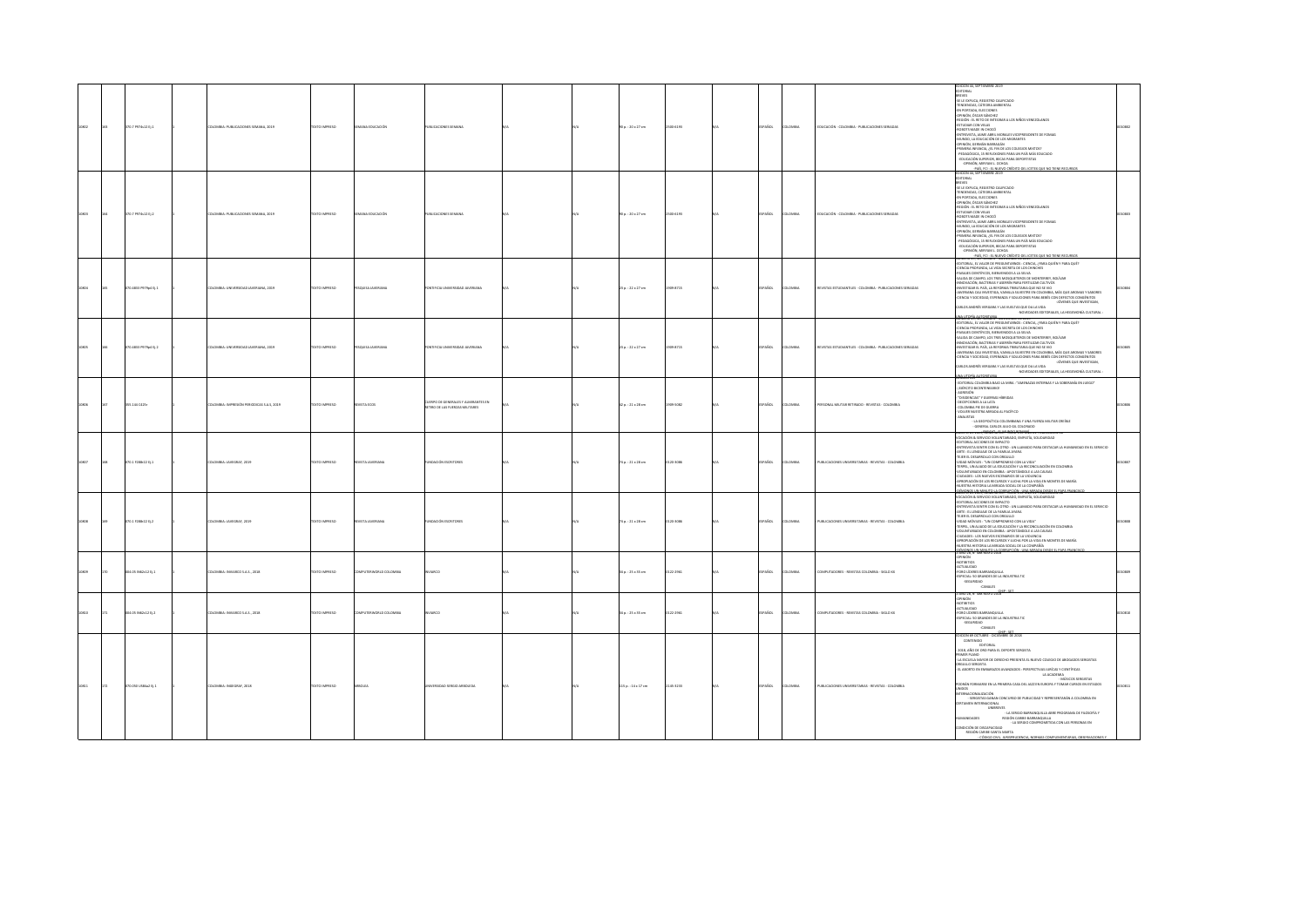|       | 370.7 P974s12 EL1   | PERSONAL PUBLICATIONS SEMANA 2019        | <b>OZSRRAI OTX3T</b> | MANA FOUCACIÓN              | USE CATIONES SEMANA                                             |  | 90a.:20x27cm           | 2500-6193 | SPAÑOL        | <b>COMBIA</b> | EDUCACIÓN - COLOMBIA - PUBLICACIONES SERIADAS              | EDITORIAL<br>EREVES<br>SE LE EXPLICA, REGISTRO CALIFICADO<br>TENDENCIAS, CÁTEDRA AMBIENTAL<br><b>PN DORTAGE FIRECOMES</b><br>OPINIÓN, ÓSCAR SÁNCHEZ<br>-BEGIÓN : EL RETO DE INTEGRAR A LOS NIÑOS VENEZOLANOS<br>ESTUDIAR CON VELAS<br><b>JONES MARK IN CHOCO</b><br>NEWSTA IN ANNOUNCED MORALES VICEPRESIDENTE DE FOMAG<br>INTREVISTA, JAIME ABRIL MORALES VICEPRESIDENTE DE FOMAG<br>INJNEXO, LA EDUCACIÓN DE LOS MIGRANTES<br>OPINIÓN, GERMÁN BARRAGÁN<br>PRIMERA INFANCIA, JEL FIN DE LOS COLEGIOS MIXTOS?<br>PEDAGÓGICA. 15 REFLEXIONES PARA UN PAÍS MÁS EDUCADO<br>TAING SUITE AND A SUITE AND THE SUITE AND TAIL AND TAINING SUITE AND A SUITE AND A SUITE AND TAINING SUITE AND TAINING SUITE AND TAINING SUITE AND TAINING SUITE AND TAINING SUITE AND TAINING SUITE AND TAINING SUITE AND TAI                               |  |
|-------|---------------------|------------------------------------------|----------------------|-----------------------------|-----------------------------------------------------------------|--|------------------------|-----------|---------------|---------------|------------------------------------------------------------|--------------------------------------------------------------------------------------------------------------------------------------------------------------------------------------------------------------------------------------------------------------------------------------------------------------------------------------------------------------------------------------------------------------------------------------------------------------------------------------------------------------------------------------------------------------------------------------------------------------------------------------------------------------------------------------------------------------------------------------------------------------------------------------------------------------------------------------|--|
| 10803 | 70.7 P974s12 Ej.2   | OLOMBIA: PUBLICACIONES SEMANA, 2019      | DZERRINI OTXIT       | ANA EDUCACIÓN               | UBLICACIONES SEMANA                                             |  | 90 p.: 20 x 27 cm      | 2500-6193 | SPAÑOL        | LOMBIA        | EDUCACIÓN - COLOMBIA - PUBLICACIONES SERIADAS              | BREVES<br>SE LE EXPLICA, REGISTRO CALIFICADO<br>-TENDENCIAS, CÁTEDRA AMBIENTAL<br>EN PORTADA, ELECCIONES<br>SAN FUNDING ASSAUGHTS<br>-DEGIÓN : EL RETO DE INTEGRAR A LOS NIÑOS VENEZOLANOS<br>-ESTUDIAR CON VELAS<br><b>ROBOTS MADE IN CHOCO</b><br>ENTREVISTA, JAIME ABRIL MORALES VICEPRESIDENTE DE FOMAG<br>MUNDO, LA EDUCACIÓN DE LOS MIGRANTES<br>-<br>OPINON, GERMÁN BARRAGÁN<br>-PRIMERA INFANCIA, ¿EL FIN DE LOS COLEGIOS MIXTOS?<br>PEDAGÓGICA, 15 REFLEXIONES PARA UN PAÍS MÁS EDUCADO<br>-EDUCACIÓN SUPERIOR, BECAS PARA DEPORTISTAS                                                                                                                                                                                                                                                                                      |  |
|       | 70.4833 P979p4 Ej.1 | COMBIA: UNIVERSIDAD JAVERIANA, 2019      | EXTO IMPRESO         | SQUISA JAVERIANA            | TIFICIA UNIVERSIDAD JAVERIANA                                   |  | 23 p.: 22 x 27 cm      | 1909-8715 | <b>SPAÑOL</b> | LOMBIA        | REVISTAS ESTUDIANTILES - COLOMBIA - PUBLICACIONES SERIADAS | EDITORIAL EL VALOR DE PREGUNTARNOS : CIENCIA, / PARA QUIÉN Y PARA QUÉ?<br>-CUITURINI, EL VINDIN, DE PREGUENTANDES : CUENCHE, CPINA QUEIN T PARA<br>-CUENCIA PROTUNDA, LA VIDA SECRITA DE LOS CHINCHES<br>-PAISAIES CIENTÍFICOS, RIENVENIDOS A LA SELVA<br>-SALIDA DE CAMPO, LOS TRES MOSQUETEROS DE MONTERREY, RO<br>SMAIN NA PARTICULAR Y ASERBÊN PARA FERTI IZAR CULTURU<br>JANKOVACIÓR, BACTERIAS Y ASERBÊN PARA TERTI IZAR DE NOVA AÁS QUE ARONAS Y SABORES<br>JANKERANA CULTINESTRA, VARIELA SILVESTRE EN COLONIERA CULTINESTRA SABORES<br>JANKERAN Y S<br>ARLOS ANDRÉS VERGARA Y LAS VUELTAS QUE DA LA VIDA<br>-NOVEDADES EDITORIALES, LA HEGEMONÍA CULTURAL                                                                                                                                                                   |  |
|       | 0.4833 PS79p4 Ej.2  | LOMBIA: UNIVERSIDAD JAVERIANA, 2019      | EXTO IMPRESO         | <b>JUSA JAVERIANI</b>       | TIFICIA UNIVERSIDAD JAVERIANA                                   |  | 23 p.: 22 x 27 cm      | 909-8715  | SPAÑOL        | LOMBIA        | EVISTAS ESTUDIANTILES - COLOMBIA - PUBLICACIONES SERIADAS  | HIDNA, SUFFIELDER - NOVIEWARE DE 2019<br>EDITORIAL EL VALOR DE PREGUNTARNOS : CIENCIA, / PARA QUIÉN Y PARA QUÉ?<br>TENCIA PROFUNDA, LA VIDA SECRETA DE LOS CHINCHES<br>ASAJES CIENTÍFICOS, BIENVENIDOS A LA SELVA<br>SALIDA DE CAMPO, LOS TRES MOSQUETEROS DE MONTERREY, BOLÍVAR<br>INNOVACIÓN, BACTERIAS Y ASERRÍN PARA FERTILIZAR CULTIVOS<br>-INNUVALIUM, INALIEMAS TASIMINI YAMA TEKI ILILIAN LULLI IVUS<br>-INVESTIGAR EL PAÍS, LA REFORMA TRIBUTARIA QUE NO SE VIO<br>-IAVERIANA CALI INVESTIGA, VAINILLA SILVESTRE EN COLOMBIA, NÁS QUE AROMAS Y SABORES<br>-CIENCIA Y SOCIEDAD,<br>-JOVENES QUE INVESTIGAN.<br>ARLOS ANDRÉS VERGARA Y LAS VUELTAS QUE DA LA VIDA<br>NOVEDADES EDITORIALES, LA HEGEMONÍA CULTURAL :                                                                                                           |  |
|       | 5.144 0425          | LOMBIA: IMPRESIÓN PERIODICAS S.A.S, 2019 | <b>XTO IMPRESO</b>   | VISTA ECOS                  | 1000 DF GENERALIS V ALMIRANTES EN<br>O DE LAS FUERZAS MILITARES |  | $2a : 21 \times 28$ cm | 09-5082   | PAÑOL         | LOMBIA        | <b>RSONAL MILITAR RETIRADO - REVISTAS - COLOMBIA</b>       | UNUM 2.0<br>EDITORIAL COLOMBIA BAJO LA MIRA : "AMENAZAS INTERNAS Y LA SOBERANÍA EN JUEGO"<br>(EJÉRCITO BICENTENEARIO)<br>AGRESIÓN<br>"DISIDENCIAS" Y GUERRAS HÍBRIDAS<br>DECEPCIONES A LA LATA<br>COLOMBIA PIE DE GUERRA<br>VOLVER NUESTRA MIRADA AL PACÍFICO<br><b>VALISTAS</b>                                                                                                                                                                                                                                                                                                                                                                                                                                                                                                                                                     |  |
|       | 70.1 F288r22 Ej.1   | LOMBIA: JAVEGRAF, 2029                   | EXTO IMPRESO         | VISTA JAVERJANA             | <b>NDACIÓN ESCRITORES</b>                                       |  | 74 p. : 21 x 28 cm     | 120-3085  | SPAÑOL        | LOMBIA        | UBLICACIONES UNIVERSITABLAS - REVISTAS - COLOMBIA          | ACIÓN & SERVICIO VOLUNTARIADO, EMPATÍA, SOL<br>TORIAL ACCIONES DE IMPACTO<br>ENTREVISTA SENTIR CON EL OTRO : UN LLAMADO PARA DESTACAR LA HUMANIDAD EN EL SERVICIO<br>ARTE : EL LENGUAJE DE LA FAMILIA AYARA<br>"HEIR EL DESARROLLO CON ORGULLO<br>"TEIRT EL DESARROLLO CON ORGULLO<br>"TERPEL, UN ALIADO DE LA EDUCACIÓN Y LA RECONDIJACIÓN EN COLOMBIA"<br>VOLUNTARIADO EN COLOMBIA : APOSTÁNDOLE A LAS CAUSAS<br>CURADES - LOS NUEVOS ESCENADOS DE LA VIOLENCIA<br>IGINIALIÓN DE LOS RECURSOS Y LUCHA POR LA VIDA EN MONTES DE MARÍA<br>UESTRA HISTORIA LA MIRADA SOCIAL DE LA COMPAÑÍA<br>2006-2014 NURRIA SEPTIDARY 53 NAJER PORT                                                                                                                                                                                                |  |
|       | 70.1 F288-22 tj.2   | <b>ILOMBIA: JAVEGRAF, 2019</b>           | EXTO IMPRESO         | EVISTA JAVERJANA            | MOACIÓN ESCRITORES                                              |  | 74 p. : 21 x 28 cm     | 0120-3085 | SPAÑOL        | <b>LOMBIA</b> | PUBLICACIONES UNIVERSITABIAS - REVISTAS - COLOMBIA         | CACIÓN & SERVICIO VOLUNTARIADO, EMPATÍA, SOLIDARIDAD<br>ITORIAL ACCIONES DE IMPACTO<br>ENTREVISTA SENTIR CON EL OTRO : UN LLAMADO PARA DESTACAR LA HUMANIDAD EN EL SERVICIO<br>-<br>ARTE : EL LENGUAIE DE LA FAMILIA AYARA<br>-TEIER EL DESARROLLO CON ORQULLO<br>-NIDAD MÓVILES : "UN COMPROMISO CON LA VIDA"<br>-TERPEL, UN ALIADO DE LA EDUCACIÓN Y LA RECONCILIACIÓN EN COLOMBIA<br>OLUNTARIADO EN COLOMBIA : APOSTÁNDOLE A LAS CAUSAS<br>IUDADES : LOS NUEVOS ESCENARIOS DE LA VIOLENCIA<br>ROPIACIÓN DE LOS RECURSOS Y LUCHA POR LA VIDA EN MONTES DE MARÍA<br>NUESTRA HISTORIA LA MIRADA SOCIAL DE LA COMPAÑÍA<br><b>CARD BE Nº 408 MAYO 1842 ESTEVADO (PER 1994 MAY</b>                                                                                                                                                      |  |
|       | 4.05 N62c12 tj.1    | <b>ILOMBIA: INVIARCO S.A.S., 2018</b>    | EXTO IMPRESO         | <b>IPUTERWORLD COLOMBIA</b> |                                                                 |  | 14 p. : 25 x 35 cm     | 0122-2961 | PAÑOL         | LOMBIA        | MPUTADORES - REVISTAS COLOMBIA - SIGLO XX                  | OPINIÓN<br><b>contenos</b><br>NOTHERING<br>-FORO LIDERES BARRANQUILLA<br>-ESPECIAL: 50 GRANDES DE LA INDUSTRIA TIC<br>-SEGURIDAD<br>CANALES                                                                                                                                                                                                                                                                                                                                                                                                                                                                                                                                                                                                                                                                                          |  |
|       | 004.05 IN62c12 EL2  | 10MBA: INVARCO S.A.S. 2018               | <b>OZSRRAI OTX3T</b> | OMPUTERWORLD COLOMBIA       | unen.                                                           |  | 34 p. : 25 x 35 cm     | 0122-2061 | SPAÑOL        | <b>COMBIA</b> | THE TADORES . BRISTAS COLOMBIA - SIGLO 130                 | NO 28, N° 488 MAYO 2018<br>PINIÓN<br>NOTIBITIOS<br>ACTUALIDAD<br>-<br>FORO LÍDERES BARRANQUILLA<br>ESPECIAL: 50 GRANDES DE LA INDUSTRIA TIC<br>-SEGURIDAD<br>CANALES                                                                                                                                                                                                                                                                                                                                                                                                                                                                                                                                                                                                                                                                 |  |
|       | 70.050 US\$4a2 Ej.1 | ILOMBIA: INGEGRAF, 2018                  | <b>DZERRI OTXT</b>   |                             | ERSIDAD SERGIO ARBOLEDA                                         |  | 115 p.: 14 x 17 cm     | 145-3233  | PAÑOL         | LOMBIA        | PUBLICACIONES UNIVERSITARIAS - REVISTAS - COLOMBIA         | THE LIST CON 69 OCTUBRE - DICIEMBRE DE 2018<br>CONTENIDO<br>EDITORIAL<br>2018, AÑO DE ORO PARA EL DEPORTE SERGISTA<br>- SAURI, PINANO<br>PRIMER PLANO<br>- LA ESCUELA MAYOR DE DERECHO PRESENTA EL NUEVO COLEGIO DE ABOGADOS SERGISTAS<br>ORGULLO SERGISTA<br>. FL ARORTO FN FMBARAZOS, AVANZADOS - DERSDECTIVAS ILIRÍCAS Y CIENTÍFICAS<br>PODRÁN FORMARSE EN LA PRIMERA CASA DEL JAZZ EN EUROPA Y TOMAR CURSOS EN ESTADOS<br><b>UNIDOS</b><br>TERNACIONALIZACIÓN<br>HOMONDAMING<br>- SERIGISTAS GANANI CONCURSO DE PUBLICIDAD Y REPRESENTARÁN A COLOMBIA EN<br>- UNIBREVES<br>- UNIBREVES<br>- LA SERGIO BARRANQUILLA ABRE PROGRAMA DE FILOSOFÍA Y<br>Maximanes<br>REGIÓN CARIBE-BARRANQUILLA<br>- LA SERGIO COMPROMETIDA CON LAS PERSONAS EN<br>NDICIÓN DE DISCAPACIDAD<br>REGIÓN CARIBE-SANTA MARTA<br><b>CIME IS IDISDISSION</b> |  |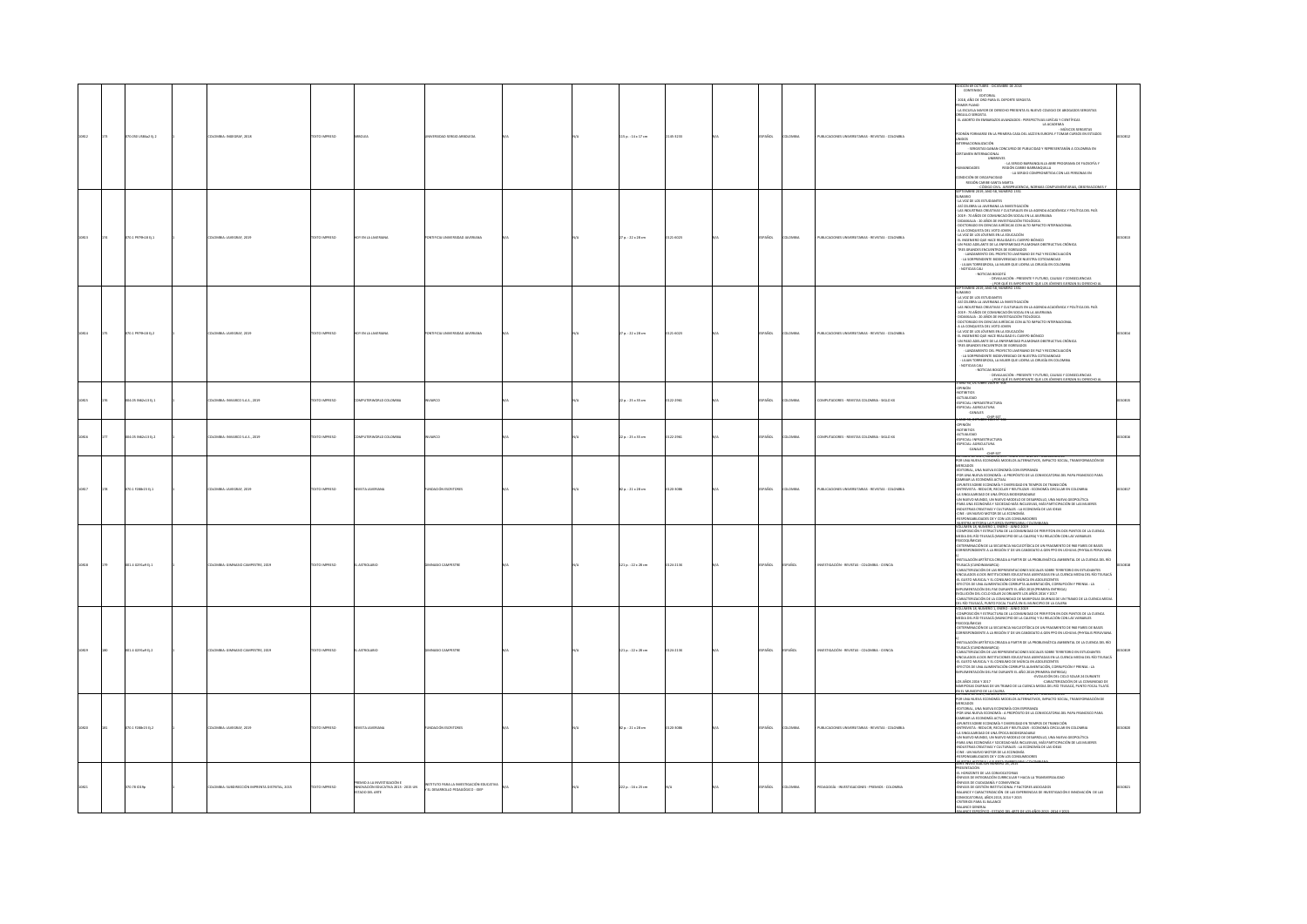|      | .<br>20.050 USB4a2 Ej. |                                               | <b>XTO IMPRESO</b> |                                                                                       |                                                                                |  | 115 p. : 14 x 17 cm      | 145-1233 |                     |                                                   | ON 69 OCTUBRE - DICIEMBRE DE 2018<br>CONTENIDO<br><b>EDITORIAL</b><br>2018, AÑO DE ORO PARA EL DEPORTE SERGISTA<br>PRIMER PLANO<br>- LA ESCUELA MAYOR DE DERECHO PRESENTA EL NUEVO COLEGIO DE ABOGADOS SERGISTAS<br>NGULLO SERGISTA<br>1. ABORTO EN EMBARAZOS AVANZADOS : PERSPECTIVAS JURÍCAS Y CIENTÍFICAS<br>LA ACADEMIA<br>- MÚSICOS SERGISTAS -<br>CORÁN FORMARSE EN LA PRIMERA CASA DEL JAZZ EN EUROPA Y TOMAR CURSOS EN ESTADOS<br><b>POSIN'I INTERNATIONAL COMPANY CONTROL CONTROL CONTROL COMPANY CONTROL CONTROL CONTROL CONTROL CONTROL CONTROL C<br/>CONTROL CONTROL CONTROL CONTROL COMPANY CONTROL CONTROL CONTROL CONTROL CONTROL CONTROL CONTROL CONTROL CONTR</b><br>REGIÓN CARIBE-SANTA MARTA<br><u>- Código Civil, Jurisprude .</u><br>Eptiembre 2019, Año 58, Número 1351                                                                                                                                                                                                             |  |
|------|------------------------|-----------------------------------------------|--------------------|---------------------------------------------------------------------------------------|--------------------------------------------------------------------------------|--|--------------------------|----------|---------------------|---------------------------------------------------|-----------------------------------------------------------------------------------------------------------------------------------------------------------------------------------------------------------------------------------------------------------------------------------------------------------------------------------------------------------------------------------------------------------------------------------------------------------------------------------------------------------------------------------------------------------------------------------------------------------------------------------------------------------------------------------------------------------------------------------------------------------------------------------------------------------------------------------------------------------------------------------------------------------------------------------------------------------------------------------------------------------|--|
|      | 0.1 P979h18 Ej.1       | LOMBIA: JAVEGRAF, 2019                        | CESSRING (STC      |                                                                                       |                                                                                |  | 27 p.: 22 x 28 cm        | 121-6023 |                     | UBLICACIONES UNIVERSITARIAS - REVISTAS - COLOMBIA | <b>OIRANU</b><br>LA VOZ DE LOS ESTUDIANTES<br>ASÍ CELEBRA LA JAVERIANA LA INVESTIGACIÓN<br>LAS INDUSTRIAS CREATIVAS Y CULTURALES EN LA AGENDA ACADÉMICA Y POLÍTICA DEL PAÍS<br>2019 : 70 AÑOS DE COMUNICACIÓN SOCIAL EN LA JAVERJANA<br>DIDASKALIA : 20 AÑOS DE INVESTIGACIÓN TEOLÓGICA<br>DOCTORADO EN CIENCIAS JURÍDICAS CON ALTO IMPACTO INTERNACIONAL<br>A LA CONQUISTA DEL VOTO JOVEN<br>LA VOZ DE LOS JÓVENES EN LA EDUCACIÓN<br>EL INGENIERO QUE HACE REALIDAD EL CUERPO BIÓNICO<br>UN PASO ADELANTE DE LA ENFERMEDAD PULMONAR OBSTRUCTIVA CRÓNICA<br>TRES GRANDES ENCUENTROS DE EGRESADOS<br>- LANZAMIENTO DEL PROYECTO JAVERIANO DE PAZ Y RECONCILIACIÓN<br>- LA SORPRENDENTE BIODIVERSIDAD DE NUESTRA COTIDIANIDAD<br>- LILIAN TORREGROSA, LA MUIER QUE LIDERA LA CIRUGÍA EN COLOMBIA<br>- NOTICIAS CALI<br>$-$ NOTICIAS BOGOTÁ<br>- DEVALUACIÓN : PRESENTE Y FUTURO, CAUSAS Y CONSECUENCIAS<br>- JPDR QUÉ ES IMPORTANTE QUE LOS JÓVENES EJERZAN SU DERECHO A TIEMBRE 2019, AÑO SB, NÚMERO 1351 |  |
|      | 70.1 P979h18 EL2       | LOMBIA: JAVEGRAF, 2029                        | <b>DZERNI OTX3</b> | Y FN 1 & IAVERIAN                                                                     | <b>FICIA LINEATO SCALLANT AVENUE</b>                                           |  | $27a. : 22 \times 28$ cm | 121-6023 | OMBIA               | UBLICACIONES UNIVERSITARIAS - REVISTAS - COLOMBIA | EPTIEMBRE 2019, ANO SII, NUMERO 1351<br>UMARIO<br>LA VOZ DE LOS ESTUDIANTES<br>ASÍ CELEBRA LA JAVERIANA LA INVESTIGACIÓN<br>ASI CELEBRA LA JAVERIANA LA INVESTIGACION<br>LAS INDUSTRIAS CREATIVAS Y CULTURALES EN LA AGENDA ACADÉMICA Y POLÍTICA DEL PAÍS<br>2019 : 70 AÑOS DE COMUNICACIÓN SOCIAL EN LA JAVERIANA<br>DIDASKALIA : 20 AÑOS DE INVESTIGACIÓN TEOLÓGI<br>DOCTORADO EN CIENCIAS JURÍOICAS CON ALTO IMPACTO INTERNACIONAL<br>A LA CONDUISTA DEL VOTO JOVEN<br>LA VOZ DE LOS JÓVENES EN LA EDUCACIÓN<br>UN VUL OU AUTOURI AU DE DE LOUISION DE LOUISION DI DINICO<br>EU INGENIERO QUE HACE REALIDAD EL CUERPO BIÓNICO<br>UN PASO ADELANTE DE LA ENFERMEDAD PULMONAR OBSTRUCTIVA CRÓNICA<br>TRES GRANDES ENCUENTROS DE EGRESADOS<br>- LANZAMIENTO DEL PROYECTO JAVERIANO DE PAZ Y RECONCILIACIÓN - LA SORPRENDENTE BIODIVERSIDAD DE NUESTRA COTIDIANDAD<br>- LILIAN TORREGROSA, LA MUJER QUE LIDERA LA CIRUGÍA EN COLOMBIA<br>NOTICIAS CALL<br>- NOTICIAS BOGOTÁ                                |  |
|      | 04.05 N62c13 tj.1      | <b>ILOMBIA: INVIARCO S.A.S., 2019</b>         | DZERRA OTXIT       | OMPUTERWORLD COLOMBIA                                                                 | <b>ARCO</b>                                                                    |  | 22 p. : 25 x 35 cm       | 122-2961 | ARCC.<br>www        | .<br>OMPUTADORES - REVISTAS COLOMBIA - SIGLO XX   | $\begin{minipage}[t]{. \begin{tabular}{l} \bf 1.0045\footnotesize & \bf 0.0040\footnotesize & \bf 0.0040\footnotesize & \bf 0.0040\footnotesize & \bf 0.0040\footnotesize & \bf 0.0040\footnotesize & \bf 0.0040\footnotesize & \bf 0.0040\footnotesize & \bf 0.0040\footnotesize & \bf 0.0040\footnotesize & \bf 0.0040\footnotesize & \bf 0.0040\footnotesize & \bf 0.0040\footnotesize & \bf 0.0040\footnotesize & \bf 0.0$<br>D 10, OCTUBRE 2019 Nº                                                                                                                                                                                                                                                                                                                                                                                                                                                                                                                                                   |  |
|      | 4.05 N62c13 tj.2       | LOMBIA: INVIARCO S.A.S., 2019                 | TEXTO IMPRESO      | PUTERWORLD COLOMBIA                                                                   |                                                                                |  | 22 p. : 25 x 35 cm       | 22-2961  | <b>Scc.</b><br>wax  | <b>IPUTADORES - REVISTAS COLOMBIA - SIGLO XX</b>  | 1-ANO 30, OCTUBRE 2019 N° 51<br>-OPINIÓN<br>-NOTIBITOS<br>-SEPECIAL: INFRAESTRUCTURA<br>-ESPECIAL: INFRAESTRUCTURA<br>-ESPECIAL: AGRICULTURA<br>-CANALES                                                                                                                                                                                                                                                                                                                                                                                                                                                                                                                                                                                                                                                                                                                                                                                                                                                  |  |
|      | 070.1 F288r23 Ej.1     | ILOMBIA: JAVEGRAF, 2019                       | TEXTO IMPRESO      | <b>EVISTA JAVERIANA</b>                                                               | NOACIÓN ESCRITORES                                                             |  | 82 p.: 21 x 28 cm        | 120-3086 | AÑOL<br>OMBIA       | UBLICACIONES UNIVERSITARIAS - REVISTAS - COLOMBIA | FOR UNA NUEVA ECONOMÍA MODELOS ALTERNATIVOS. IMPACTO SOCIAL. TRANSFORMACIÓN DE<br>ERCADOS<br>EDITORIAL, UNA NUEVA ECONOMÍA CON ESPERANZA<br>FOR UNA NUEVA ECONOMÍA : A PROFÓSITO DE LA CONVOCATORIA DEL PAPA FRANCISCO PARA<br>CAMBIAR LA ECONOMÍA ACTUAL<br>APUNTES SOBRE ECONOMÍA Y DIVERSIDAD EN TIEMPOS DE TRANSICIÓN<br>ENTREVISTA : REDUCIR. RECICLAR Y REUTILIZAR : ECONOMÍA CIRCULAR EN COLOMBIA<br>A SINGULARIDAD DE UNA ÉPOCA BIODEGRADABLE<br>UN NUEVO MUNDO, UN NUEVO MODELO DE DESARROLLO, UNA NUEVA GEOPOLÍTICA<br>PARA UNA ECONOMÍA Y SOCIEDAD MÁS INCLUSIVAS, MÁS PARTICIPACIÓN DE LAS MUJERES<br>INDUSTRIAS CREATIVAS Y CULTURALES : LA ECONOMÍA DE LAS IDEAS<br>CINE : UN NUEVO MOTOR DE LA ECONOMÍA<br>RESPONSABILIDADES DE Y CON LOS CONSUMIDORES                                                                                                                                                                                                                                     |  |
| 0818 | 01.4 0291x9 tj.1       | LOMBIA: GIMNASIO CAMPESTRE, 2019              | EXTO IMPRESO       | ASTROLABIO                                                                            |                                                                                |  | 121 p.: 22 x 28 cm       | 124-2130 | <b>DAÑOL</b>        | WESTIGACIÓN - REVISTAS - COLOMBIA - CIENCIA       | -MURETAN AREN'NYA ELE PERSEN A DISPOSANZA E POLITIANANA.<br>VOLUMEN 18, NOMENO 1, DIENTO - JUNIO 2019<br>- COMPOSICIÓN Y ESTRUCTURA DE LA COMUNIDAD DE PERIFITON EN DOS PUNTOS DE LA CUENCA<br>MEDIA DEL RÍO TEUSACÁ (MUNICIPIO DE LA C<br>SICOQUÍMICAS<br>FISICOQUÍMICAS<br>-DETERMINACIÓN DE LA SECUENCIA NUCLEOTÍDICA DE UN FRAGMENTO DE 960 PARES DE BASES<br>CORRESPONDIENTE A LA REGIÓN 3' DE UN CANDIDATO A GEN PPO EN UCHUVA (PIYYSALIS PERUVIANA<br>.<br>NSTALACIÓN ARTÍSTICA CREADA A PARTIR DE LA PROBLEMÁTICA AMBIENTAL DE LA CUENCA DEL RÍO<br>-REPAIRING MITTER CARGA A PARTIE OLA UNEGLISSICA MISSIONE CARGA CHARGA E LA CONFIGURACIÓN EN CONFIDENCIA EN CONFIDENCIA EN CONFIDENCIA EN CONFIDENCIA EN CONFIDENCIA EN CONFIDENCIA EN CONFIDENCIA EN CONFIDENCIA EL CONFIDEN                                                                                                                                                                                                                 |  |
|      | $1.4$ 6291a9 tj.2      | OMBIA: GIMNASIO CAMPESTRE, 2019               | XTO IMPRESO        |                                                                                       |                                                                                |  | 121 p. : 22 x 28 cm      | 24-2130  | i Soi               | <b>ISTIGACIÓN - REVISTAS - COLOMBIA - CIENCIA</b> | RSICOQUÍMICAS<br>OLTERNINACIÓN DE LA SECUENCIA NUCLEOTÍDICA DE UN FRAGMENTO DE 960 PARES DE BASES<br>CORRESPONDIENTE A LA REGIÓN 3º DE UN CANDIDATO A GEN PPO EN UCHUVA (PHYSALIS PERUV<br>.<br>Nación artística creada a partir de la problemática ambiental de la cuenca del río<br>-SITUALADOR ARTÍFICA CHADA A PARTIR DE LA PRANCIA-DA PERSITADO DE ESTUDANTES<br>TEURACÁ (CURICINAMENTAL)<br>CARACÁ (CURICINAMENTAL PORTE ESTUDANTES DE ESTUDANTES (CURICINALES)<br>CARACTERIZADOR LA ESTURISMO DE MÁDICA EN ADOLESCENT<br>EFECTIS DE UNA ADMIENTATION COMMUNIA ADMIENTACIÓN, COMMUNIDAT PRENSA : LA<br>MPLEMENTACIÓN DEL PAE DURANTE EL AÑO 2018 (PRIMEIRA ÉNTRECA)<br>- L'OCALCERIZACIÓN DE LA COMUNITA<br>- CARACTERIZACIÓN DE LA COMUNIDAL                                                                                                                                                                                                                                                       |  |
|      | 70.1 F288-23 EL2       | COMILA-MATCRAE 2010                           | EXTO IMPRESO       | <b>WSTA INVESIANA</b>                                                                 | <b>NOACIÓN ESCRITORES</b>                                                      |  | 82 p.: 21 x 28 cm        | 20-3085  | Sm.<br><b>CAASU</b> | THE CACIONES UNIVERSITABLES . BEVISTAS . COLOMBIA | NAMENTALES CHARACTER (MANUAL DE CALIFORNES DE CALIFORNES DE CALIFORNES DE CALIFORNES DE CALIFORNES DE CALIFORNES DE CALIFORNES DE CALIFORNES DE CALIFORNES DE CALIFORNES DE CALIFORNES DE CALIFORNES DE CALIFORNES DE CALIFOR<br>THE USE CREATIVES TO CULTURALS : LA ECONOMÍA DE LAS IDEAS<br>-INDUSTRIAS CREATIVAS Y CULTURALES : LA ECONOMÍA DE LAS IDEAS<br>-EISPONSABILIDADES DE Y CON LOS CONSUMIDORES                                                                                                                                                                                                                                                                                                                                                                                                                                                                                                                                                                                               |  |
|      | 0.78 1019p             | LOMBIA: SUBDIRECCIÓN IMPRENTA DISTRITAL, 2015 | EXTO IMPRESO       | PREMIO A LA INVESTIGACIÓN E<br>INNOVACIÓN EDUCATIVA 2013 - 2015 UN<br>ESTADO DEL ARTE | INSTITUTO PARA LA INVESTIGACIÓN EDUCATIVA<br>Y EL DESARROLLO PEDAGÓGICO - IDEP |  | .<br>222 p. : 16 x 23 cm |          |                     | AGOGÍA - INVESTIGACIONES - PREMIOS - COLOMBIA     | ESENTACIÓN<br>PRESIDENCIA<br>EL COMO EL MONTOCARO CORRULA VIGICA LA TRANSVESALIDAD<br>CAMBOS EL CORDANO FUEDICIA VIGICA LA TRANSVESALIDAD<br>CAMBOS EL CORDONA VIGITORO DE VIGITARIS ROCUROS<br>CAMBOS EL CORCITENDO EN EVA CORRENDA EN INSTITUCIÓN E IN                                                                                                                                                                                                                                                                                                                                                                                                                                                                                                                                                                                                                                                                                                                                                  |  |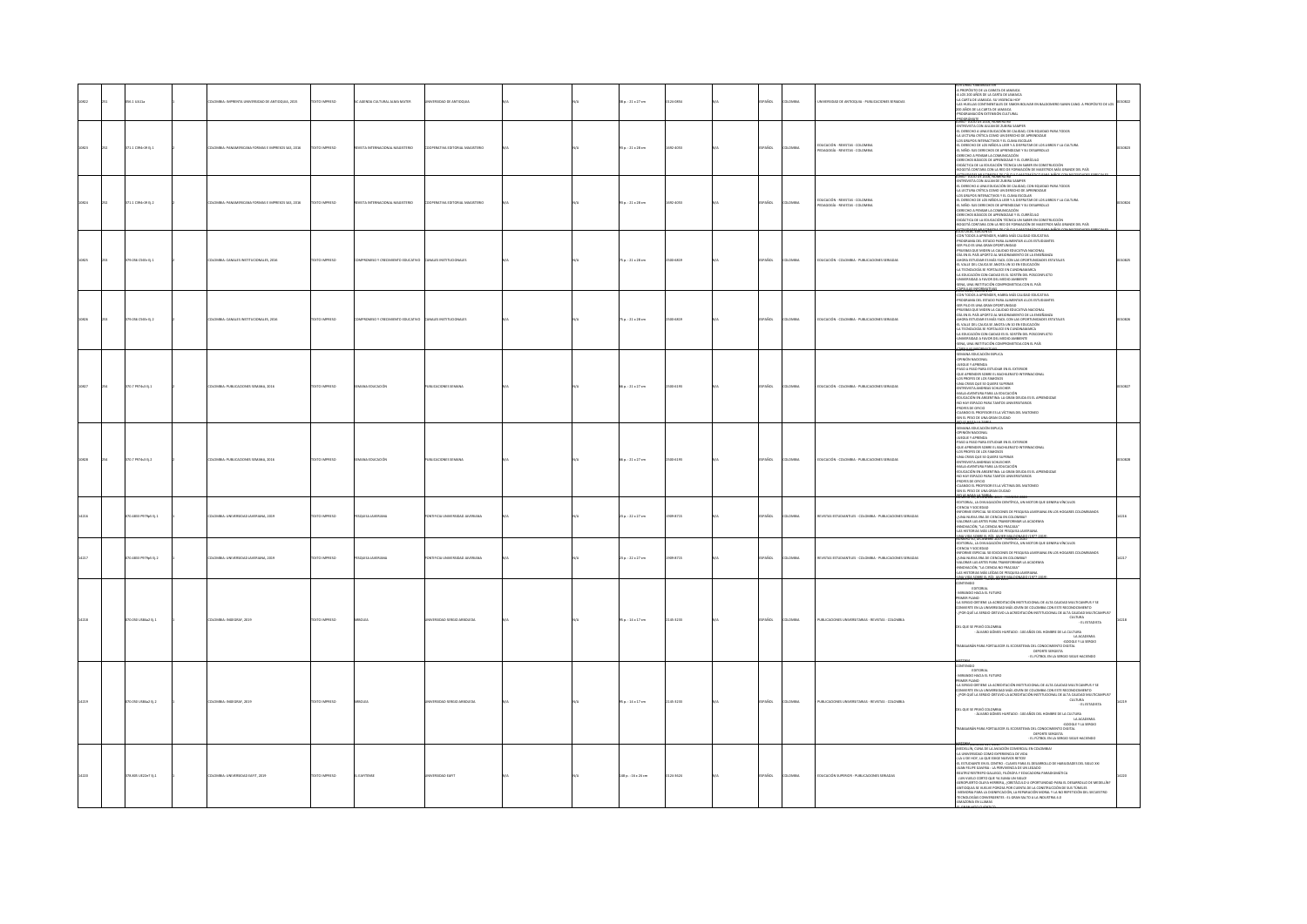|       | 110411-             | MBIA: IMPRENTA UNIVERSIDAD DE ANTIOQUIA, 2015   | <b>DO BARBERO</b>  | AGENDA CULTURAL ALMA MATER         | PUDAD DE ANTIQUIA             |  | 18 p. : 21 x 27 cm     | Loana    |              |               | <b>ERSIDAD DE ANTIQQUIA - PUBLICACIONES SERIADAS</b>                  | II IURINA: TRAININAIGEITEK<br>105 200 AÑOS DE LA CARATA DE JAMAICA<br>KORTAR DE LI AMAICA: SU VIGISITOA HOY<br>KS HUELLAS CONTINENTALES DE SIMON BOLIVAR EN BALDOMERO SANIN CANO. A PROPÓSITO DE LOS<br>KS HUELLAS CONTINENTALES DE SIMON<br>AÑOS DE LA CARTA DE JAMAICA<br>N EXTENSIÓN CULTURAL<br><b>NOGRÁMATE, 2016, NUMBRO BU</b>                                                                                                                                                                                                                                                                                                                                                                                    |  |
|-------|---------------------|-------------------------------------------------|--------------------|------------------------------------|-------------------------------|--|------------------------|----------|--------------|---------------|-----------------------------------------------------------------------|--------------------------------------------------------------------------------------------------------------------------------------------------------------------------------------------------------------------------------------------------------------------------------------------------------------------------------------------------------------------------------------------------------------------------------------------------------------------------------------------------------------------------------------------------------------------------------------------------------------------------------------------------------------------------------------------------------------------------|--|
| 10823 | 171.1 C394r19 Ej.1  | ACC 242 202100511 1244001 12440014444 44504     | CONSIGN CITY       | ORIGINAL MICHAELMATCH              | CIRCULATION ISSUED AND AVERES |  | 93 p.: 21 x 28 cm      | 23.4051  | <b>A</b> SCr | Change        | .<br>Ducación - Revistas - Colombia<br>Edagogía - Revistas - Colombia | ANDE FANN DE AUNA MONDAD AUF ANNER<br>INTREVISTA CON JULIAN DE ZUBIRA SAMPER<br>J. DERECHO A UNA EDUCACIÓN DE CALIDAD, CON EQUIDAD PARA TODOS<br>A LECTURA CRÍTICA COMO UN DERECHO DE APRENDIZAJE<br>LA MELIONA ANIMA COMPO ON DANCON DE APPARIMADOR.<br>LOS GRUPOS INTERACTIVOS Y EL CUMA ESCOCAR<br>EL DERECHO DE LOS NIÑOS A LEER Y A DESPRITAR DE LOS LIBROS Y LA CULTURA<br>EL NIÑO: SUS DERECHOS DE APRENDIZAIE Y SU DESARROLLO<br>L'HINU: SUS DERECRUS DE MAYRINDUMENT SU DESMINUILLO<br>ERECHIO A PERSAR LA COMUNICACIÓN<br>ERECHIOS BÁSICOS DE APRENDIZAIE Y EL CURRÍCULO<br>IDÁCTICA DE LA EDUCACIÓN TÉCNICA UN SABER EN CONSTRUCCIÓN<br>OGOTÁ CONTARA CON LA RED DE FORMACIÓN DE MAESTROS MÁS GRANDE DEL PAÍS |  |
| 10824 | 171.1 C394r19 tj.2  | OMBIA: PANAMERICANA FORMAS E IMPRESOS SAS, 2016 | DZERRA OTX:        | MAGISTERIO<br>VISTA INTERNACIONAL  | PERATIVA EDITORIAL MAGISTERIO |  | 13 p. : 21 x 28 cm     | 02-4053  | AÑOL         | <b>MAGIN</b>  | EDUCACIÓN - REVISTAS - COLOMBIA<br>PEDAGOGÍA - REVISTAS - COLOMBIA    | Methode se sentromensist<br>VEREVISTA CON JULIAN DE ZUBIRA SAMPER<br>. DERECHO A UNA EDUCACIÓN DE CALIDAD, CON EQUIDAD PARA TODOS<br>LECTURA CRÍTICA COMO UN DERECHO DE APRENDIZAJE<br>35 GRUPOS INTERACTIVOS Y EL CLIMA ESCOLAR<br>DERECHO DE LOS NIÑOS A LEER Y A DISFRUTAR DE LOS LIBROS Y LA CULTURA<br>IL NIÑO: SUS DERECHOS DE APRENDIZAJE Y SU DESARROLLO<br>erecho a persar la comunicación<br>Erechos básicos de aprendizale y el currículo<br>IDÁCTICA DE LA EDUCACIÓN TÉCNICA UN SABER EN CONSTRUCCIÓN<br>GOTÁ CONTARA CON LA RED DE FORMACIÓN DE MAESTROS MÁS GRANDE DEL PAÍS<br>TORDADES MULTIMETRA DE CÁLCULO MATEMÁTICO PARA MIÑOS C                                                                      |  |
|       | 9.056 C565r Ej.1    | MBIA: CANALES INSTITUCIONALES, 2016             | TO IMPRESO         |                                    |                               |  | 5 p. : 21 x 28 cm      | 14819    | AÑOL         | wav           | DUCACIÓN - COLOMBIA - PUBLICACIONES SERIADAS                          | $\begin{split} &\underbrace{\textbf{AGD}}_{\textbf{G}(\textbf{X},\textbf{X})} \textbf{G}_{\textbf{G}(\textbf{X},\textbf{X})} \textbf{G}_{\textbf{G}(\textbf{X},\textbf{X})} \textbf{G}_{\textbf{G}(\textbf{X},\textbf{X})} \textbf{G}_{\textbf{G}(\textbf{X},\textbf{X})} \textbf{G}_{\textbf{G}(\textbf{X},\textbf{X})} \textbf{G}_{\textbf{G}(\textbf{X},\textbf{X})} \textbf{G}_{\textbf{G}(\textbf{X},\textbf{X})} \textbf{G}_{\textbf$<br>01365, 10000400**                                                                                                                                                                                                                                                         |  |
| 10826 | 179.056 C565r Ej.2  | LOMBIA: CANALES INSTITUCIONALES, 2016           | EXTO IMPRESO       | <b>PROMISO Y CREC</b><br>EDUCATIVO | <b>MALES INST</b>             |  | 5 p.: 21 x 28 cm       | 004819   | AÑOL         | OMBIA         | DUCACIÓN - COLOMBIA - PUBLICACIONES SERIADAS                          | .<br>CON TODOS A APRENDER, HABRA MÁS CALIDAD EDUCATIVA<br>PROGRAMA DEL ESTADO PARA ALIMENTAR A LOS ESTUDIANTES<br>ER PILO ES UNA GRAN OPORTUNIDAD<br>RUEBAS QUE MIDEN LA CALIDAD EDUCATIVA NACIONAL<br>ÍA EN EL PAÍS APORTO AL MEJORAMENTO DE LA ENSEÑANZA<br>HORA ESTUDIAR ES MÁS FACIL CON LAS OPORTUNIDADES ESTATALES<br>L VALLE DEL CAUCA SE ANOTA UN 10 EN EDUCACIÓN<br>A TECNOLOGÍA SE FORTALECE EN CUNDINAMARCA<br>A EDUCACIÓN CON CAIDAD ES EL SOSTÉN DEL POSCONFLICTO<br>UNIVERSIDAD A FAVOR DEL MEDIO AMBIENTE<br>SENA, UNA INSTITUCIÓN COMPROMETIDA CON EL PAÍS<br>ESTEAS IMPORTATIVAS                                                                                                                        |  |
|       | $0.7$ PS74s3 tj.1   | MBIA: PUBLICACIONES SEMANA, 2016                | TO IMPRESO         |                                    | LICACIONES SEMAN              |  | 6 p. : 21 x 27 cm      |          | vio          |               | <b>JUCACIÓN - COLOMBIA - PUBLIC</b>                                   | SEMANA EDUCACIÓN EXPUCA<br>N MONTA NOONGAN NAFWAN<br>JPINIÓN NACIONAL<br>UEGUE Y APRENDA<br>1450 A PASO PARA ESTUDIAR EN EL EXTERIOR<br>ANN CHARL QUE AN GUINNE ANN ENDER<br>NYTREVISTA ANDREAS SCHLEICHER<br>IDUCACIÓN EN ARGENTINA: LA GRAN DEUDA ES EL APRENDIZAIE<br>O HAY ESPACIO PARA TANTOS UNIVERSITARIOS<br>ROFES DE OFICIO<br>UNNOO EL PROFESOR ES LA VÍCTIMA DEL MATONEO<br>IN EL PESO DE UNA GRAN CIUDAD                                                                                                                                                                                                                                                                                                     |  |
|       | 7974s3 t12          | MINA: PUBLICACIONES SEN<br>ANA, 2016            |                    |                                    | LICACIONES SEMAN              |  | $p. : 21 \times 27$ cm |          |              |               | <b>JUCACIÓN - COLOR</b>                                               | <b>SHOWARY - MARK THE MAN WAS CONSUMED AND A SHOWARY CONSULTANCE AND A SHOWARY CONSULTANCE AND A SHOWARY CONSULTANCE AND A SHOWARY CONSULTANCE AND A SHOWARY CONSULTANCE AND A SHOWARY CONSULTANCE AND A SHOWARY CONSULTANCE AND</b>                                                                                                                                                                                                                                                                                                                                                                                                                                                                                     |  |
|       | 070-4833 PS79p5 EL1 | COMBIA: UNIVERSIDAD JAVERIANA, 2019             | OZSRRNI OTX3       | SQUISA JAVERIANA                   | AMAIRSON GAOSTEN MORE         |  | 23a.:22x27cm           | 909-8715 | ANDL.        | <b>AIRMOJ</b> | WASTAS ESTUDIANTILES - COLOMBIA - PUBLICACIONES SERIADAS              | MEKO 50. DICIEMBRE 2019 - FEBRERO 202<br><b>STORIAL LA DIVULGACIÓN CIENTÍFICA. UN MOTOR QUE GENERA VÍNCULOS</b><br>ENCIA Y SOCIEDAD<br>FME ESPECIAL 50 EDICIONES DE PESQUISA JAVERIANA EN LOS HOGARES COLOMBIANOS<br>UNA NUEVA ERA DE CIENCIA EN COLOMBIA?<br>ALORAR LAS ARTES PARA TRANSFORMAR LA ACADEMIA<br>NOVACIÓN, "LA CIENCIA NO FRACASA"<br>S HISTORIAS MÁS LEÍDAS DE PESQUISA IAVERIANA<br><b>MARCH SCREENING AND TEMPERO AND</b>                                                                                                                                                                                                                                                                               |  |
|       | 270.4833 PS79p5 EL2 | DLOMBIA: UNIVERSIDAD JAVERIANA, 2019            | <b>OZSRRAI OTX</b> | SQUISA JAVERIANA                   | AMAINAL GACIERNIA ADRILI      |  | 23a.:22x27cm           | 009-8715 | AÑOL         | oway          | EVISTAS ESTUDIANTILES - COLOMBIA - PUBLICACIONES SERIADAS             | UMERU SU, UKJEMBRE ZUIV - FEBRERU ZUZU<br>IDITORIAL, LA DIVULGACIÓN CIENTÍFICA, UN MOTOR QUE GENERA VÍNCULOS<br>GAGIOOZY ADMIC<br>UNA NUEVA ERA DE CIENCIA EN COLOMBIA?<br>ALORAR LAS ARTES PARA TRANSFORMAR LA ACADEMIA<br>.<br>Inovación, "La ciencia no fracasa"<br>IS historias más leídas de pesquisa javernana.<br>NA VIDA SOBRE EL RÍO: JAVIER MALDONADO (1977-201)                                                                                                                                                                                                                                                                                                                                               |  |
|       | 1.050 USB4a2 Ej.1   | OMBIA: INGEGRAF, 2019                           |                    |                                    |                               |  | $5p.:14*17$ cm         | 5-3233   |              |               | <b>JELICACIONES UN</b><br>SITARIAS - REVISTAS - COLOMBIA              | $\begin{minipage}[t]{0.9\textwidth} {\small \textbf{R} \textbf{R} \textbf{R} \textbf{R} \textbf{R} \textbf{R} \textbf{R} \textbf{R} \textbf{R} \textbf{R} \textbf{R} \textbf{R} \textbf{R} \textbf{R} \textbf{R} \textbf{R} \textbf{R} \textbf{R} \textbf{R} \textbf{R} \textbf{R} \textbf{R} \textbf{R} \textbf{R} \textbf{R} \textbf{R} \textbf{R} \textbf{R} \textbf{R} \textbf{R} \textbf{R} \textbf{R} \textbf{R} \textbf{$<br>del que se privó colombia<br>Alvario gómes hurtado : 100 años del hombre de la cultura .<br>La academia<br>A ALAMARICAN PORTALECER EL ECOSISTEMA DEL CONOCMENTO DIGITAL<br>- GOODLE Y LA SERGIO<br>- DEPORTE SERGISTA<br>- LI FÚTBOL EN LA SERGIO SIGUE MACENDO                      |  |
|       | 1.050 USB4a2 tj.2   | MBIA: INGEGRAF, 2019                            |                    |                                    | <b>STOCK ABOVED</b>           |  | p.: 14 × 17 cm         | 45-3233  |              |               | <b>JELICACIONES</b><br><b>BIAS</b> , <b>BEVISTAS</b> , COLOMBIA       | <b>DICION 12 NOTEL - HANG LO - LO</b><br>CONTENIDO<br>MIRANDO HACIA EL FUTURO<br>-MIMARIO MAGA IL TUTURO<br>PRIMER PAMO DI TRES CARDINALES DE MONTENCIANA LE ATA CALIDAD MATTEMARIO Y SE<br>CARRIBO CRITINA LA ACENDRA DO 2001 DI CONDIDERA LOS PARTES DE CARRIBO DE MONTENIO DE CARRIBO DE CARRIBO MATTEM<br>CARRIBO C<br>del que se privó colombia<br>Alvario gómes hurtado : 100 años del hombre de la cultura .<br>La academia<br>LACADEMIA<br>GOOGLE Y LA SERGIO<br>BAJARÁN PARA FORTALECER EL ECOSISTEMA DEL CONOCIMIENTO DIGITAL<br>MA DEL CONGUMIENTO DIGITAL<br>DEPORTE SERGISTA<br>- EL FÚTBOL EN LA SERGIO SIGUE HACIENDO                                                                                     |  |
|       | 178.805 UE22e7 Ej.1 | OLOMBIA: UNIVERSIDAD EAFIT, 2019                | <b>XTO IMPRESO</b> | AFITENSE                           |                               |  | 148 p.: 16 x 24 cm     | 124-3624 | PAÑOL        | LOMBU         | DUCACIÓN SUPERIOR - PUBLICACIONES SERIADAS                            | EDELLÍN, CUNA DE LA AVIACIÓN COMERCIAL EN COLOMBIA!<br><b>INSTERIES CONFIDENTIAL CONFIDENCIAL CONTAINS AND CONFIDENTIAL CONFIDENCIAL CONFIDENCIAL CONFIDENCIAL CONFIDENTIAL CONFIDENTIAL CONFIDENTIAL CONFIDENTIAL CONFIDENTIAL CONFIDENTIAL CONFIDENTIAL CONFIDENTIAL CONFIDENTIAL CO</b>                                                                                                                                                                                                                                                                                                                                                                                                                               |  |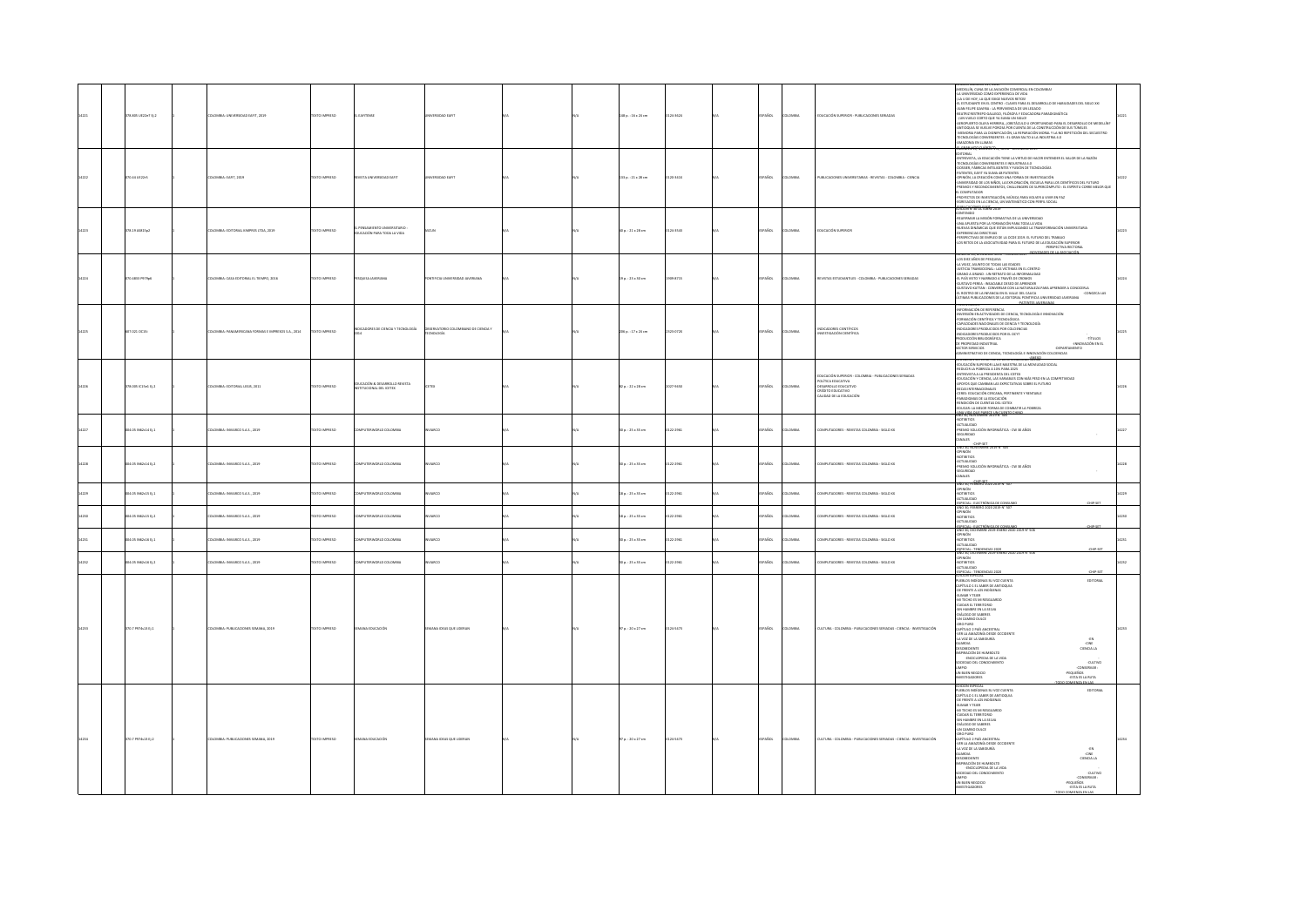| ra.aos urzzez tj. 2 | OMBIA: UNIVERSIDAD EAFIT, 2019                    | <b>CERRAN OTX</b>  | EAFTENSE                                                   |                                        |  | 148 p. : 16 x 24 cm    | 24-3624    | .<br>Viol<br><b>WEIA</b>       | UCACIÓN SUPERIOR - PUBLICACIONES SERIADAS                                                                                                             | IDIO CHINE IN 11, 2011<br>ARCHIVECHI I ANNO CHINE COMERCIA EN COLONIAL DE MARCHES EN 1610 AVIATO CHINE EN CARACTER<br>4.1 EUROPE DE LONG EST REVONS CHINE PARA EL COMERCIA DE MARCHES EN 1610 AVIATO CHINE EN CARACTER DE LONG ANNO<br>CRAENSPOCKABIO 274. JULIU - UK KANNE 2                                                                                                                                                                                                                                                                                                                                                                                                                      |  |
|---------------------|---------------------------------------------------|--------------------|------------------------------------------------------------|----------------------------------------|--|------------------------|------------|--------------------------------|-------------------------------------------------------------------------------------------------------------------------------------------------------|----------------------------------------------------------------------------------------------------------------------------------------------------------------------------------------------------------------------------------------------------------------------------------------------------------------------------------------------------------------------------------------------------------------------------------------------------------------------------------------------------------------------------------------------------------------------------------------------------------------------------------------------------------------------------------------------------|--|
| 0.44 UE22r5         | DLOMBIA: EAFIT, 2019                              | OZSRRNI OTX        | TIRA3 GAGIZININU ATZVJ                                     | PUDAD FAET                             |  | 133 p.: 21 x 28 cm     | 120-341X   | PAÑOL<br><b>AIRMOJ</b>         | PUBLICACIONES UNIVERSITARIAS - REVISTAS - COLOMBIA - CIENCIA                                                                                          | <b>DITORIAL</b><br>EDITURNA<br>-ENTREVISTA, LA EDUCACIÓN TIENE LA VIRTUD DE HACER ENTENDER EL VALOR DE LA RAZÓN<br>-TECNOLOGÍAS CONVERGENTES E INDUSTRAS 4.0<br>-DATENTES, EART YA SUMA 48 PATENTES<br>-PATENTES, EART YA SUMA 48 PATENTES<br>DPINIÓN, LA CREACIÓN COMO UNA FORMA DE INVESTIGACIÓN<br>.<br>INIVERSIDAD DE LOS NIÑOS, LA EXPLORACIÓN, ESCUELA PARA LOS CIENTÍFICOS DEL FUTURO<br>PRIMIOS Y RECONDCIMIENTOS, CHALLENGERS DE SUPERCÓMPUTO : EL ESPÍRITU CORRE MEJOR QUE<br>COMPUTADOR<br>PROVECTOS DE INVESTIGACIÓN, MÚSICA PARA VOLVER A VIVIR EN PAZ<br>IGRESADOS EN LA CIENCIA, UN MATEMÁTICO CON PERFIL SOCIAL<br>BURNERMENT AUTO                                                 |  |
| 378.19 AS\$15p2     | DLOMBIA: EDITORIAL KIMPRES LTDA, 2019             | OZSRRNI OTX3       | PENSAMIENTO UNIVERSITARIO<br>AGIV AJ ADDT ARA TODA LA VIDA | CUN                                    |  | $40a.:21 \times 28 cm$ | 124-1541   | PAÑOL<br>AIRMOJO               | EDUCACIÓN SUPERIOR                                                                                                                                    | ONTENIDO<br>REAFIRMAR LA MISIÓN FORMATIVA DE LA UNIVERSIDAD<br>UNA APUESTA POR LA FORMACIÓN PARA TODA LA VIDA<br>NUEVAS DINÁMICAS QUE ESTÁN IMPULSANDO LA TRANSFO<br>MACIÓN I NEVERSTABIA<br><b>EXPERIENCIAS DIRECTIVAS</b><br>PERSPECTIVAS DE EMPLEO DE LA OCDE 2019, EL FUTURO DEL TRABAJO<br>I OS RETOS DE LA ASOCIATIVIDAD PARA EL FUTURO DE LA EDUCACIÓN SUPERIOR.<br>PERSPECTIVA RECTORAL<br>NOVEDADES DE LA ASOCIACIÓN<br>ERU 38. UNUEAVERE 2016 - FE                                                                                                                                                                                                                                       |  |
| 70.4811 PS79c6      | DLOMBIA: CASA EDITORIAL EL TIEMPO, 2016           | <b>DZERNI OTXE</b> | PESQUISA JAVERIANA                                         | <b>INTIFICIA UNIVERSIDAD JAVERIANA</b> |  | 19 p.: 23 x 30 cm      | 009-8715   | <b>PAROL</b><br><b>AIRMOJO</b> | REVISTAS ESTUDIANTILES - COLOMBIA - PUBLICACIONES SERIADAS                                                                                            | NUMERO 38, DULEMBRE 2016 - FEBRERO 2017<br>4.05 DIEZ AÑOS DE PESQUISA<br>4.A VEJEZ, ASUNTO DE TODAS LAS EDADES<br>-JUSTICIA TRANSICIONAL : LAS VÍCTIMAS EN EL CENTRO<br>.<br>SRANO A GRANO : UN RETRATO DE LA INFORMALIDAD<br>EL PAÍS VISTO Y NARRADO A TRAVÉS DE CROMOS<br><b>USTAVO PEREA : INSACIABLE DESEO DE APRENDER</b><br><br>GUSTAVO KATTAN : CONVERSAR CON LA NATURALEZA PARA APRENDER A CONOCERLA<br>EL ROSTRO DE LA INFANCIA EN EL VALLE DEL CAUCA<br>ILTIMAS PUBLICACIONES DE LA EDITORIAL PONTIFICIA UNIVERSIDAD JAVERIANA<br>-CONOZEA LAS<br><b>SENTACION</b>                                                                                                                       |  |
| 17.021 OC15         | LOMBIA: PANAMERICANA FORMAS E IMPRESOS S.A., 2014 | O23RWI OTX         | CADORES DE OENCIA Y TECNOLOGÍA                             | OMBIANO DE CIENCIA Y<br>NOLOGÍA        |  | 206 p.: 17 x 24 cm     | 23-0720    | PAÑOL<br>LOMBIA                | DICADORES CIENTÍFICOS<br><b>VESTIGACIÓN CIENTÍFICA</b>                                                                                                | INFORMACIÓN DE REFERENCIA<br>INVERSIÓN EN ACTIVIDADES DE CIENCIA, TECNOLOGÍA E INNOVACIÓN<br>ORMACIÓN CIENTÍFICA Y TECNOLÓGICA<br>CAPACIDADES NACIONALES DE CIENCIA Y TECNOLOGÍA<br>INDICADORES PRODUCIDOS POR COLOENCIAS<br>INDICADORES PRODUCIDOS POR EL OCYT<br>RODUCCIÓN BIBLIOGRÁFICA<br>-TítuLos<br>DE PROPIEDAD INDUSTRIAL<br>-INNOVACIÓN EN EL<br>-<br>Departa<br>DMINISTRATIVO DE CIENCIA, TECNOLOGÍA E INNOVACIÓN COLCIENCIAS<br>-DEPARTAMENTO                                                                                                                                                                                                                                           |  |
| 378.005 (C15e1 E) 2 | KOMBIA: EDITORIAL LEGIS, 2011                     | DZERRIO INTE       | DUCACIÓN & DESARROLLO REVISTA<br>TITUCIONAL DEL ICETEX     |                                        |  | 82 p.: 22 x 28 cm      | 027-9450   | <b>ACC</b><br><b>AIRMOJ</b>    | DUCACIÓN SUPERIOR - COLOMBIA - PUBLICACIONES SERIADAS<br><b>JUTICA EDUCATIVA</b><br>DESARROLLO EDUCATIVO<br>OVITADUCA OTICIA<br>LIDAD DE LA EDUCACIÓN | dulaliun superiur eie de la rentabliliau \$0000.<br>Educación superior llave maestra de la movilidad social<br>REDUCIR LA POBREZA A 10% PARA 2025<br>ENTREVISTA A LA PRESIDENTA DEL ICETEX<br>EDUCACIÓN Y CIENCIA, LAS VARIABLES CON MÁS PESO EN LA COMPETIVIDAD<br>APOYOS QUE CAMBIAN LAS EXPECTATIVAS SOBRE EL FUTURO<br>GECAS INTERNACIONALES<br>CERES: EDUCACIÓN CERCANA, PERTINENTE Y RENTABLE<br>PARADIGMAS DE LA EDUCACIÓN<br>RENDICIÓN DE CUENTAS DEL ICETEX<br>EDUCAR: LA MEJOR FORMA DE COMBATIR LA POBREZA<br><b>BISTINGWENEETS</b>                                                                                                                                                     |  |
| 004.05 IN62c14 tj.1 | LOMBA: INVARCO S.A.S., 2019                       | O23R9001 OTX       | PUTERWORLD COLOMBIA                                        | uxo                                    |  | 30 p.: 25 x 35 cm      | 22-2961    | AÑOL<br>AIGMOJ                 | MPUTADORES - REVISTAS COLOMBIA - SIGLO XX                                                                                                             | <b>contemps</b><br>ACTUALIDAD<br>PREMIO SOLUCIÓN INFORMÁTICA - CW 30 AÑOS<br><b>SEGURIDAD</b><br>ANALES                                                                                                                                                                                                                                                                                                                                                                                                                                                                                                                                                                                            |  |
| 04.05 IN62c14 EL2   | DLOMBIA: INVIARCO S.A.S., 2019                    | OZSRRNI OTX        | <b>IPUTERWORLD COLOMBIA</b>                                | uco                                    |  | 30 p.: 25 x 35 cm      | 22-2961    | <b>AROL</b><br>LOMBIA          | IPUTADORES - REVISTAS COLOMBIA - SIGLO XX                                                                                                             | -CHIP-SET<br>AND 30, NOVIEMBRE 2019 N' 505<br>OPINION<br>NOTIBITIOS<br>-NU (HINTAG)<br>-ACTUALIDAD<br>-PREMIO SOLUCIÓN INFORMÁTICA - CW 30 AÑOS<br>-SEGURIDAD<br>WALES<br>AÑO 30, FEBRERO 2020 2019 Nº 50                                                                                                                                                                                                                                                                                                                                                                                                                                                                                          |  |
| 4.05 N62c15 Ej.1    | MBIA: INVIARCO S.A.S., 2019                       | XTO IMPRESO        | JTERWORLD COLOMBIA                                         | uxo                                    |  | 8 p. : 25 x 35 cm      | 2-2961     | AÑOL                           | UTADORES - REVISTAS COLOMBIA - SIGLO XX                                                                                                               | -<br>OPINIÓN<br>ACTUALIDAD<br>ESPECIAL - ELECTRÓNICA DE CONS<br>HP-SET                                                                                                                                                                                                                                                                                                                                                                                                                                                                                                                                                                                                                             |  |
| 04.05 IN62-15 EL2   | LOMBIA: INVIARCO S.A.S., 2019                     | OZSRRNI OTX        | PUTERWORLD COLOMBIA                                        | <b>ARCO</b>                            |  | 18 p.: 25 x 35 cm      | 22-2961    | <b>AROL</b><br><b>OMBIA</b>    | PUTADORES - REVISTAS COLOMBIA - SIGLO XX                                                                                                              | -OPINIÓN<br>-NOTIBITIOS<br><b>COLLAGE</b>                                                                                                                                                                                                                                                                                                                                                                                                                                                                                                                                                                                                                                                          |  |
| 4.05 N62c16 Ej.1    | MBIA: INVIARCO S.A.S., 2019                       | TO IMPRESO         | TENNORIO COLOMBIA                                          | usco                                   |  | 0 p. : 25 x 35 cm      | $2 - 2961$ | vio                            | CRES - REVISTAS COLOMBIA - SIGLO XX                                                                                                                   | 45PECIAL - ELECTRÓNICA DE CONSUMO<br>AÑO 30, DICIEMBRE 2019-ENERO 2020 2019 Nº 1<br>WÓBING<br>NOTIBITIOS<br>CTUALIDAD<br>OIR:                                                                                                                                                                                                                                                                                                                                                                                                                                                                                                                                                                      |  |
| 105 N62:16 E12      | CONTA-MARGARETTY & STRACT                         | CONSIGN CITY       | <b>IN ITEMPER DI COLOMBIA</b>                              | ARCO                                   |  | 10 p.: 25 x 35 cm      | 23,2051    | PAÑOL<br>numa                  | MELITARIORES - BEVISTAS COLOMBIA - SIGLO XX                                                                                                           | 45PECIAL - TENDENCIAS 2020<br>AÑO 30, DICIEMBRE 2029-ENERO 2020 2019 Nº 506<br>-OPINIÓN<br>-NOTIBITIOS<br>-ACTUALIDAD                                                                                                                                                                                                                                                                                                                                                                                                                                                                                                                                                                              |  |
| 0.7 P974s13 Ej.1    | MILA: PUBLICACIONES SEMANA, 2019                  | O23R9001 OTX       | <b>DUCACIÓN</b>                                            | ANA IDEAS QUE LIDERAN                  |  | 97 p.: 20 x 27 cm      | 24-5473    | AÑOL<br>LOMBIA                 | JATURA - COLOMBIA - PUBLICACIONES SERIADAS - CIENCIA - INVESTIGACIÓN                                                                                  | -ESPECIAL - TENDE<br>EDICIÓN ESPECIAL<br>PUEBLOS INDÍGENAS SU VOZ CUENTA<br>CAPÍTULO 1 EL SABER DE ANTIOQUIA<br>EDITORIAL<br>OE FRENTE A LOS INDÍGENAS<br>-SUMAR Y TEJER<br>-MI TECHO ES MI RESGUARDO<br><b>CUIDAR EL TERRITORIO</b><br>SIN HAMBRE EN LA SELVA<br>-DIÁLOGO DE SABERES<br>UN CAMBIO DULCE<br>ORO PURO<br>CAPÍTULO 2 PAÍS ANCESTRAL<br>VER LA AMAZONÍA DESDE OCCIDENTE<br>LA VOZ DE LA SABIDURÍA<br><b>AXXAUG</b><br>-cite<br><b>DESOBEDIENTE</b><br>CIENCIA LA<br><b>ISPRACIÓN DE HUMBOLTD</b><br>-ENGICLOPEDIA DE LA VIDA<br>SOCIEDAD DEL CONOCIMIENTO<br>-cuttwo<br>LIMPIO<br>UN BUEN NEGOCIO<br>-CONSERVAR :<br>-PEQUEÑOS<br>-ESTA ES LA RUTA<br>VESTIGADORES<br>COMIENZA EN LAS |  |
| $0.7$ P974s13 Ej.2  | OMBIA: PUBLICACIONES SEMANA, 2019                 | DZERNI OTX3        | <b>ANA EDUCACIÓN</b>                                       | ANA IDEAS QUE LIDERA                   |  | 7 p.: 20 x 27 cm       | 24-5473    | PAÑOL<br>AIGMOJ                | CULTURA - COLOMBIA - PUBLICACIONES SERIADAS - CIENCIA - INVEST<br><b>DGACIÓN</b>                                                                      | INVESTIGADORES<br>INCIDENTES<br>PORTUGAL EN CARRE DE ANTIOQUA<br>CAPÍTULO : EL SABER DE ANTIOQUA<br>CAPÍTULO : EL SABER DE ANTIOQUA<br>GALINAN TITER<br>CAPITULO :<br>CARRE EN AL TRESIDADO<br>CARRE EN AL TRESIDADORES<br>CAPÍTULO : EL SABER D<br>EDITORIAL<br><b>AXXAUG</b><br>$\frac{\text{CME}}{\text{CEMGIA LA}}$<br>DESOBEDIENTE<br>INSPIRACIÓN DE HUMBOLTD<br>-ENCICLOPEDIA DE LA VIDA<br>OCIEDAD DEL CONOCIMIENTO<br>-cutwo<br>LIMPIO<br>UN BUEN NEGOCIO<br>-CONSERVAR :<br>$-$ PEQUEÑOS<br>-ESTA ES LA RUTA<br><b>WESTIGADORES</b>                                                                                                                                                       |  |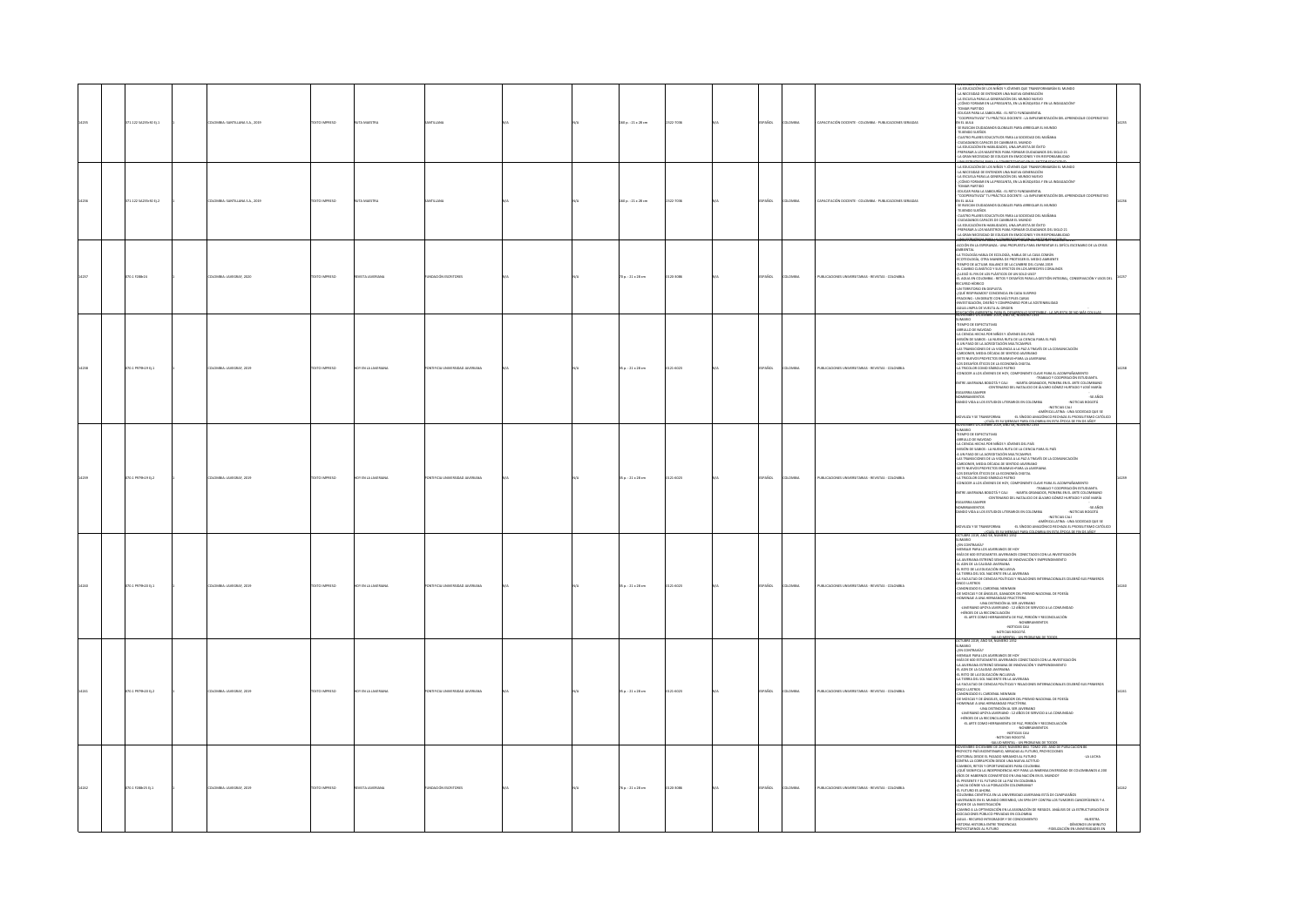| 71.122 SA235r30 tj.1 | <b>ILOMBIA: SANTILLANA S.A., 2015</b> | <b>XTO IMPRESO</b> |                        |                                      |  | 60 p. : 21 x 28 cm     | 22-7036 |             | OMBI         | PACITACIÓN DOCENTE - COLOMBIA - PUBLICACIONES SERIADAS | A EDUCACIÓN DE LOS NIÑOS Y JÓVENES QUE TRANSFORMARÁN EL MUNDO<br>A NECESIDAD DE ENTENDER UNA NUEVA GENERACIÓN<br>A ESCUELA PARA LA GENERACIÓN DEL MUNDO NUEVO<br>CÓMO FORMAR EN LA PREGUNTA, EN LA BÚSQUEDA Y EN LA INDAGACIÓN?<br>OMAR PARTIDO<br>DUCAR PARA LA SABIDURÍA : EL RETO FUNDAMENTAL<br>EDUCAR PARA AS AMBIDINA (I. RETO UNIDAMENTA<br>"COOPERATIVAN" TU PRÁCTICA EDCENTE : LA IMPLEMENTACIÓN DEL APRENDIZAE COOPERATIVO<br>YE RUSCAN CUENDAMING GEOMALES PRIVA ARREGIAR EL MUNDO<br>TELIRIDO SHÁNSS<br>CONSIDANTO CUARES E CAUSAN                                                                                                                                                                                                                                                                                                                                                                                                                                               |  |
|----------------------|---------------------------------------|--------------------|------------------------|--------------------------------------|--|------------------------|---------|-------------|--------------|--------------------------------------------------------|----------------------------------------------------------------------------------------------------------------------------------------------------------------------------------------------------------------------------------------------------------------------------------------------------------------------------------------------------------------------------------------------------------------------------------------------------------------------------------------------------------------------------------------------------------------------------------------------------------------------------------------------------------------------------------------------------------------------------------------------------------------------------------------------------------------------------------------------------------------------------------------------------------------------------------------------------------------------------------------------|--|
| 71.122 SA235r30 tj.2 | MBIA: SANTILLANA S.A., 2019           | <b>CTO IMPRESO</b> |                        |                                      |  | 0 p. : 21 x 28 cm      | 2-7036  |             |              | ACITACIÓN DOCENTE - COLOMBIA - PUBLICACIONES SERIADAS  | REPARAR A LOS MAESTROS PARA FORMAR CIUDADANOS DEL SIGLO 21<br>LA GRAN NECESIDAD DE EDUCAR EN EMOCIONES Y EN RESPONSABILIDAD<br>VA MORETAGIA DORAJA COMM<br>LA EDUCACIÓN DE LOS NIÑOS Y JÓVENES QUE TRANSFORMARÁN EL MUNDO<br>A NECESIDAD DE ENTENDER UNA NUEVA GENERACIÓN<br>LA ESCUELA PARA LA GENERACIÓN DEL MUNDO NUEVO<br>CÓMO FORMAR EN LA PREGUNTA, EN LA BÚSQUEDA Y EN LA INDAGACIÓN?<br>OMAR PARTIDO<br>DUCAR PARA LA SABIDURÍA : EL RETO FUNDAMENTAL<br>EDGAR PARA IA AMBURAN EL RETO UNIGAMENTAL<br>CONTENENTAL PER EL RESOLUCIÓN EL ARMENIENTACIÓN DEL APRINDIDAR CODEFINITION<br>"CONTENENTAL "IU PROCESA DOCENTAL" IA MULHAR IA MUNDO<br>CHARACHA IDENSA CORANDES DE ARMENIA EL MUNDO<br>CULTA<br>A GRAN NECESIDAD DE EDUCAR EN EMOCIONES Y EN RESPONSABILIDAD                                                                                                                                                                                                                  |  |
| 070.1 F288r24        | ILOMBIA: JAVEGRAF, 2020               | EXTO IMPRESO       | VISTA JAVERIAN         | NDACIÓN ESCRITORES                   |  | 0 p.: 21 x 28 cm       | 20-3086 | Acc         | OMBI         | UBLICACIONES UNIVERSITABIAS - REVISTAS - COLOMBIA      | E <del>NCTEBAENO DE 2021, NORMAD 1851 TOINU 1951 NINTOE POBOCAZION 87</del><br>COÓN EN LA ESPERANZA : UNA PROPUESTA PARA ENFRENTAR EL DIFÍCIL ESCENARIO DE LA CRISIS<br><b>BENTA</b><br>A TEOLOGÍA HABLA DE ECOLOGÍA. HABLA DE LA CASA COMÚN<br>HI INNANIM IMMA MANERA DE PROTEGER EL MEDIO AMBIENTE<br>EDITOLOGÍA, OTRA MANERA DE PROTEGER EL MEDIO AMBIENTE<br>EMPO DE ACTUAR, BALANCE DE LA CUMBRE DEL CLIMA 2019<br>L'CAMBIO CLIMÁTICO Y SUS EFECTOS EN LOS ARREGIFES CORALINOS<br>LLEGÓ EL FIN DE LOS PLÁSTICOS DE UN SOLO USO?<br>LAGUA EN COLOMBIA : RETOS Y DESAFÍOS PARA LA GESTIÓN INTEGRAL, CONSERVACIÓN Y USOS DEI<br>L'HADINA INDIA<br>DE L'ESTATO DE DE DESIGNA DE L'ANNIS ANNO LA GALINAR RIVER<br>JR L'ESTATO DE DE DESIGNA DE L'ANNIS ANNIS<br>RACORG : UN DEBATE CON MÚLTIPLES CARAS<br>RACORG : UN DEBATE CON MÚLTIPLES CARAS<br>NUA L'ARPIA DE VUELTA AL OR<br>.<br>WEMBEE-DICIEMBEE 2019, AÑO 58, NÚMERO 135                                                            |  |
| 070.1 P979h19 D.1    | DLOMBIA: JAVEGRAF, 2019               | OZERNI OTXT        | <b>TEN LA JAVERIAN</b> | <b>TIFICIA UNIVERSIDAD JAVERIANA</b> |  | $50.121 \times 28$ cm. | 21-6023 | <b>AROL</b> | LOMBIA       | PUBLICACIONES UNIVERSITARIAS - REVISTAS - COLOMBIA     | <b>DIRAMI</b><br><b>IEMPO DE EXPECTATIVAS</b><br>RULLO DE NAVIOAD<br>-ARMINDO EN MAYORO<br>4 ACCIDENTAL PRODUCTO DE VIDEO E DE PÁS<br>4 ACCIDENTAL EN ENGUESTA DE MARCA EL PAÍS<br>4 ACCIDENTAL EN ARCADE DE MARCA EL EN ENTRE EN EL PARTE DE LA COMUNICACIÓN<br>4 AC PROPOSICIONATS EL LA VOLTICIA MARCA EL PA<br>US DE POSSO E DINO SÍMBOLO PRATIVO UNITIRE.<br>4 TRICOLOR CONO SÍMBOLO PATRIO<br>ONOCER A LOS JÓVENES DE HOY, COMPONENTE CLAVE PARA EL ACOMPAÑAMIENTO<br>-CONVOLUTION IN THE SAME COOPERATION INTO A CONTRACT MANAGEMENT COOPERATION IN THE SAME AND THE SAME AND THE SAME AND THE SAME AND THE SAME AND THE SAME AND THE SAME AND THE SAME AND THE SAME AND THE SAME AND THE SAME AND<br><b>SGUERRA SAMPER</b><br>SOMETIME ARRANGEMENT IN CHARGE THE MAIL AND THE MAIL AND A SOLUTION ASSOCIATES AND A MOTION SOCIAL ARRANGEMENT<br>CAMBRO VIOLA ALOS ESTUDIOS LITERARIOS EN COLOMBIA<br>ARCHOLOGICA ALOS ESTUDIOS ALES ARRANGEMENTAL LATINA - UNA SOC                   |  |
| 070.1 P979h19 D.2    | DLOMBIA: JAVEGRAF, 2019               | OZERNI OTXT        | <b>TEN LA JAVERIAN</b> | TIFICIA UNIVERSIDAD JAVERIANA        |  | $50.121 \times 28$ cm. | 21-6023 | asm         | <b>OMBA</b>  | PUBLICACIONES UNIVERSITARIAS - REVISTAS - COLOMBIA     | <b>DIRAM</b><br><b>EMPO DE EXPECTATIVAS</b><br>TEINFO DE EDECENTIVAS<br>ARRULLO DE NAVIDAD<br>ARRULLO DE NAVIDAD<br>ARRULLO DE NAVIDAD<br>ARRULLO DE NAVIDA DE SARCIONE NAVITADARIO DE SARCIO :<br>A UN TRADO DE LA ARRUCHICADA NAVITADARIO<br>CARDONIER, NEUNA DECADA DE SERVIDO JAVIDARIO<br>CAR<br>OS DESAFÍOS ÉTICOS DE LA ECONOMÍA DIGITAL<br>A TRICOLOR COMO SÍMBOLO PATRIO<br>GUERRA SAMPER<br>$\begin{array}{c} 50\,\text{A}\text{R}\text{C}\text{S}\\ -\text{NOT} \text{A}\text{C}\text{TC} \text{L}\text{S}\text{B}\text{C}\text{G}\text{O}\text{T}\text{\AA}\\ \text{A}\text{C}\text{TC} \text{L}\text{S}\text{B}\text{C}\text{G}\text{O}\text{T}\text{\AA} \end{array}$<br>MBRAMIENTOS<br>NDO VIDA A LOS ESTUDIOS LITERARIOS EN COLOMBIA<br>NOTICIAS BOGOTÁ (NECESSADA EL CONTRADO DE CARDINA EL CONTRADO DE EN ENTRE EL CONTRADO DE ENTRE EL CONTRADO DE<br>AMÓVILLON Y SE TRANSFORMA - 41. SÍNICO AMANÓMICO REONAURA EN CONTRADO DE ENTRE EL CONTRADO DE ENTRE EN ENTRE E<br>C |  |
| 00.1 P979h20 Ej.1    | DLOMBIA: JAVEGRAF, 2019               | TO IMPERSO         |                        |                                      |  | $5p.:21 \times 28$ cm  | 21-6023 | <b>Sm</b>   | <b>DMBIA</b> | PUBLICACIONES UNIVERSITARIAS - REVISTAS - COLOMBIA     | OCTUBIE 2029, ANO 38, NUMERO 1352<br>2010ARD - MARINARY DE MARINARCO DE HOT<br>- ARDEAR PARA LOS JAVEBANCOS DE HOT<br>- ARDEAR PARA LOS JAVEBANCOS DE HOT<br>- A ARVIBIANA ESTRENÓ ZEMANA DE INBOUACIÓN Y EMPRENDIMENTO<br>- A ARVIBIANA ESTR<br>EL RETO DE LA EDUCACION INCLUSIVA<br>LA TRIPRA DEL SOL NACIENTE EN LA JAVERIANA<br>LA FACULTAD DE CIENCIAS POLÍTICAS Y RELACIONES INTERNACIONALES CELEBRÓ SUS PRIMEROS<br>JNCO LUSTROS<br>ANONIZADO EL CARDENAL NEWMAN<br>OE MOSCAS Y DE ÁNGELES, GANADOR DEL PREMIO NACIONAL DE POESÍA<br>OMENAJE A UNA HERMANDAD FRUCTÍFERA<br>-UNA DISTRICIÓN AL SER JAVERIANO<br>-JAVERIANO APOYA JAVERIANO<br>-HÉROES DE LA RECONCILIACIÓN<br>-HÉROES DE LA RECONCILIACIÓN<br>-EL ARTE COMO HERRAMIENTA DE PAZ, PERDÓN Y RECONCILIACIÓN<br>-NOMERAMIENTOS<br>-NOTICIAS CALI<br>-NOTICIAS BOGOTÁ<br>-<br>SALUD MENTAL : UN PROJ<br>CTUBRE 2019, AÑO 58, NÚMERO 1352                                                                                     |  |
| 00.1 P979620 EL2     | <b>ILOMBIA: JAVEGRAF, 2019</b>        | OZERNI OTX         | Y FN I A IAVFEIAN      | FICIA LINIVERSITAD IAMERIANA         |  | $n: 21 \times 28$ cm   | 14021   |             | <b>DMBA</b>  | PUBLICACIONES UNIVERSITARIAS - REVISTAS - COLOMBIA     | CYLIMIEN 2003, AND 25, NOMENDO 1323<br>- JOHN CHARLES MARINARY STATISTIC STATISTICS CON LA INVESTIGACIÓN<br>- ANA CONTRANAIS<br>- ANA CONTRA CHARLES MARINARY CONTCITION CON 1 A INVESTIGACIÓN<br>- A MICHAEL DE LA ISLACACIÓN INCLUINA<br>-<br>VCO LUSTROS<br>NNONIZADO EL CARDENAL NEWMAN<br>TE MOSCAS Y DE ÁNGELES, GANADOR DEL PREMIO NACIONAL DE POESÍA<br>OMENAJE A UNA HERMANDAD FRUCTÍFERA<br>UNIDINAL A UNA RISTINGUÃO ARAS EN JAVERANO<br>- HAVERARIO APOYA JAVERRANO : 12 AÑOS DE SERVICID A LA COMUNIDAD<br>-HÉROES DE LA RECONCILIACIÓN<br>-EL ARTE COMO HERRAMENTA DE PAZ, PERDÓN Y RECONCILIACIÓN<br>-EL ARTE COMO HERRAMENTA DE                                                                                                                                                                                                                                                                                                                                              |  |
| $0.1$ F288-25 Ej.1   | OMBIA: JAVEGRAF, 2019                 |                    |                        | MCIÓN ESCI                           |  | $p. : 21 \times 28$ cm |         |             |              | UBLICACIONES UNIVERSE<br>- REVISTAS - COLOMBIA         | OYECTO PAÍS BICENTENARIO, MIRADAS AL FUTURO, PROFECCIONES<br>XTORIAL DESDE EL PASADO MIRAMOS AL FUTURO<br>-LA LUCHA<br>INTRA LA CORRUPCIÓN DESDE UNA NUEVA ACTITUD<br>AMBIOS, RETOS Y OPORTUNIDADES PARA COLOMBIA<br>QUÉ SIGNIFICA LA INDEPENDENCIA HOY PARA LA INMENSA<br>DIVERSIDAD DE COLOMBIANOS A 200<br>ROIS CRIMINAL CONVERTION IN INVESTIGATION INTO A COMPROMING A COMPROMING A COMPROMING INTO A COMPROMING IN THE<br>LITERATURE VE EL FUTURO DE LA PAC EN COLONIEM ARMÍTICO (PORTUGAL)<br>JAMEN DONDER VA LA TORIA FACÍN COLONIEMANA<br>CI<br>NOR DE LA INVESTIGACIÓN<br>NAINO A LA OPTIMIZACIÓN EN LA ASIGNACIÓN DE RIESGOS. ANÁLISIS DE LA ESTRUCTURACIÓN DE<br>OCIACIONES PÚBLICO-PRIVADAS EN COLOMBIA<br>GUA : RECURSO INTEGRADOR Y DE CONOCIMIENTO<br>STORIA HISTORIA ENTRE TENDENCIAS<br>NUESTRA<br>-DÉMONOS UN MINUTO<br><b>OYECTARNOS AL FUTURO</b><br>-FIDELIZACIÓN EN UNIVERSIDADES EN                                                                                  |  |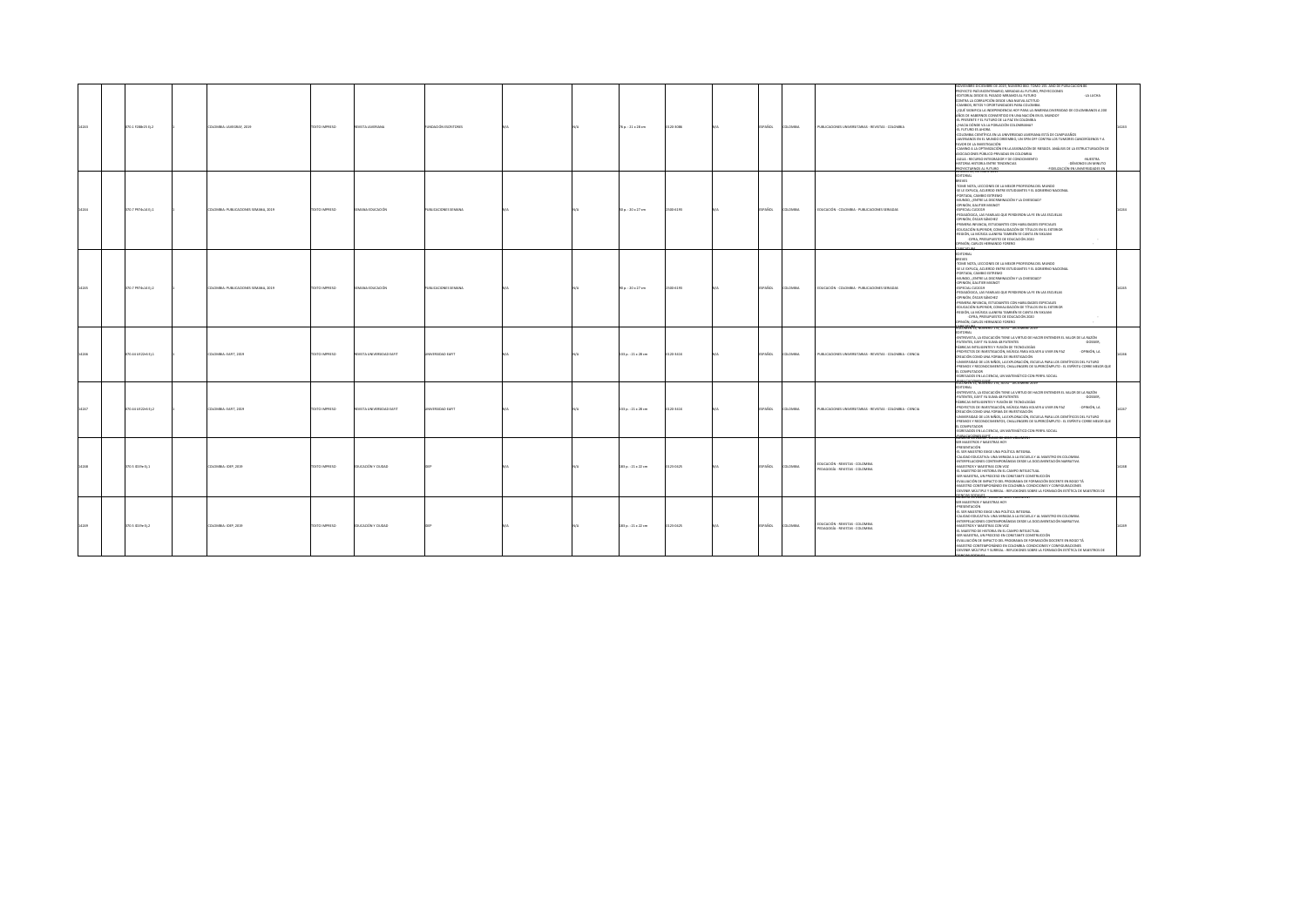|       | 070.1 F288r25 Ej.2 | COLOMBIA: JAVEGRAF, 2019             | TEXTO IMPRESO | REVISTA JAVERIANA         | UNDACIÓN ESCRITORES     |  | 76 p. : 21 x 28 cm  | 0120-3086 | SPAÑOL         | <b>COLOMBIA</b> | PUBLICACIONES UNIVERSITARIAS - REVISTAS - COLOMBIA                 | CVIEMBRE-DICIEMBRE DE 2019, NÚMERO 860. TOMO 155. AÑO DE PUBLICACIÓN 86<br>ROYECTO PAÍS BICENTENARIO, MIRADAS AL FUTURO, PROYECCIONES<br>CRITORIAL DESDE EL PASADO MIRAMOS AL FUTURO<br>-LA LUCHA<br>CONTRA LA CORRUPCIÓN DESDE UNA NUEVA ACTITUD<br>CAMBIOS, RETOS Y OPORTUNIDADES PARA COLOMBIA<br>QUÉ SIGNIFICA LA INDEPENDENCIA HOY PARA LA INMENSA DIVERSIDAD DE COLOMBIANOS A 200<br>100MJM TE HARD AND ARRESTED FOR THE MARKED FOR ARREST AND A 200<br>EL PRESENTE Y EL FUTURO DE LA PAZ EN COLOMBIA<br>HACIA DÓNDE VA LA POBLACIÓN COLOMBIANA?<br>EL FUTURO ES AHORA<br>COLOMBIA CIENTÍFICA EN LA UNIVERSIDAD JAVERIANA ESTÁ DE CUMPLEAÑOS<br>IAVERIANOS EN EL MUNDO DREEMBIO, UN SPIN OFF CONTRA LOS TUMORES CANCERÍGENOS Y A<br>MODARES WAS A 190 BOARD<br>CAMBO A LA OPTRACIACIÓN EN LA ASIGNACIÓN DE BIFSCOS, ANÁLISIS DE LA ESTBLICTURACIÓN DE<br>ASOCIACIONES DÚBLICO-DEIVADAS EN COLOMBIA<br>AGUA : RECURSO INTEGRADOR Y DE CONOCIMIENTO<br>AUTORAL<br>HISTORIA HISTORIA ENTRE TENDENCIAS<br>-DÉMONOS UN MINUTO<br>JUDITI CACLON EN UNIVERSIDADES EN<br>ORIGINAL APPARTMENT |  |
|-------|--------------------|--------------------------------------|---------------|---------------------------|-------------------------|--|---------------------|-----------|----------------|-----------------|--------------------------------------------------------------------|--------------------------------------------------------------------------------------------------------------------------------------------------------------------------------------------------------------------------------------------------------------------------------------------------------------------------------------------------------------------------------------------------------------------------------------------------------------------------------------------------------------------------------------------------------------------------------------------------------------------------------------------------------------------------------------------------------------------------------------------------------------------------------------------------------------------------------------------------------------------------------------------------------------------------------------------------------------------------------------------------------------------------------------------------------------------------------------------|--|
| 14244 | 370.7 P974s14 EL1  | COLOMBIA: PUBLICACIONES SEMANA, 2019 | DZERRA OTXIT  | SEMANA EDUCACIÓN          | PUBLICACIONES SEMANA    |  | 50 p. : 20 x 27 cm  | 2500-6193 | <b>ESPAÑOL</b> | COLOMBIA        | EDUCACIÓN - COLOMBIA - PUBLICACIONES SERIADAS                      | DITORIAL<br><b>PRIVER</b><br>TOME NOTA, LECCIONES DE LA MEJOR PROFESORA DEL MUNDO<br>5E LE EXPLICA, ACUERDO ENTRE ESTUDIANTES Y EL GOBIERNO NACIONAL<br><b>PORTADA, CAMBIO EXTREMO</b><br>MUNDO, ¿ENTRE LA DISCRIMINACIÓN Y LA DIVESIDAD?<br>-OPINIÓN, GAUTIER MIGNOT<br>ESPECIAL CLE2019<br>PEDAGÓGICA, LAS FAMILIAS QUE PERDIERON LA FE EN LAS ESCUELAS<br>OPINIÓN, ÓSCAR SÁNCHEZ<br>PRIMERA INFANCIA, ESTUDIANTES CON HABILIDADES ESPECIALES<br>DUCACIÓN SUPERIOR, CONVALIDACIÓN DE TÍTULOS EN EL EXTERIOR<br>REGIÓN, LA MÚSICA LLANERA TAMBIÉN SE CANTA EN SIKUANI<br>-CIFRA, PRESUPUESTO DE EDUCACIÓN 2020<br>PINIÓN, CARLOS HERNANDO FORERO                                                                                                                                                                                                                                                                                                                                                                                                                                          |  |
|       | 370.7 P974s14 Ej.2 | COLOMBIA: PUBLICACIONES SEMANA, 2019 | DZERRI OTXIT  | SEMANA EDUCACIÓN          | UBLICACIONES SEMANA     |  | 90 p.: 20 x 27 cm   | 2500-6193 | SPAÑOL         | COLOMBIA        | EDUCACIÓN - COLOMBIA - PUBLICACIONES SERIADAS                      | <b>ITORIAL</b><br>TOME NOTA, LECCIONES DE LA MEJOR PROFESORA DEL MUNDO<br>5E LE EXPLICA, ACUERDO ENTRE ESTUDIANTES Y EL GOBIERNO NACIONAL<br><b>PORTADA, CAMBIO EXTREMO</b><br>MUNDO, ¿ENTRE LA DISCRIMINACIÓN Y LA DIVESIDAD?<br>-OPINIÓN, GAUTIER MIGNOT<br>ESPECIAL CLE2019<br>EDAGÓGICA, LAS FAMILIAS QUE PERDIERON LA FE EN LAS ESCUELAS<br>OPINIÓN, ÓSCAR SÁNCHEZ<br>RIMERA INFANCIA, ESTUDIANTES CON HABILIDADES ESPECIALES<br>EDUCACIÓN SUPERIOR, CONVALIDACIÓN DE TÍTULOS EN EL EXTERIOR<br>EGIÓN, LA MÚSICA LLANERA TAMBIÉN SE CANTA EN SIKUANI<br>-CIFRA, PRESUPUESTO DE EDUCACIÓN 2020<br>PINIÓN, CARLOS HERNANDO FORERO                                                                                                                                                                                                                                                                                                                                                                                                                                                       |  |
|       | 070.44 UE22r6 Ej.1 | COLOMBIA: EARTT, 2019                | DZERNI OTXIT  | REVISTA UNIVERSIDAD EARIT | <b>INVERSIDAD EAFIT</b> |  | 133 p.: 21 x 28 cm  | 0120-341X | SPAÑOL         | COLOMBIA        | PUBLICACIONES UNIVERSITARIAS - REVISTAS - COLOMBIA - CIENCIA       | <b>STORIAL</b><br>ENTREVISTA, LA EDUCACIÓN TIENE LA VIRTUD DE HACER ENTENDER EL VALOR DE LA RAZÓN<br>PATENTES, EAFIT YA SUMA 48 PATENTES<br>-DOSSIER.<br>ABRICAS INTELIGENTES Y FUSIÓN DE TECNOLOGÍAS<br>PROYECTOS DE INVESTIGACIÓN, MÚSICA PARA VOLVER A VIVIR EN PAZ<br>-OPINON, LA<br>REACIÓN COMO UNA FORMA DE INVESTIGACIÓN<br>UNIVERSIDAD DE LOS NIÑOS, LA EXPLORACIÓN, ESCUELA PARA LOS CIENTÍFICOS DEL FUTURO<br>PREMIOS Y RECONOCIMIENTOS, CHALLENGERS DE SUPERCÓMPUTO : EL ESPÍRITU CORRE MEJOR QUE<br>EL COMPUTADOR<br>EGRESADOS EN LA CIENCIA, UN MATEMÁTICO CON PERFIL SOCIAL<br><b>ITURN ST, MANHO 174, JULIO - DICEMBRE 2019</b>                                                                                                                                                                                                                                                                                                                                                                                                                                            |  |
|       | 070.44 UE22r6 Ej.2 | COLOMBIA: EAFIT, 2019                | DZERNI OTXIT  | REVISTA UNIVERSIDAD EART  | <b>INVERSIDAD EAFIT</b> |  | 133 p. : 21 x 28 cm | 0120-341X | <b>ESPAÑOL</b> | <b>COLOMBIA</b> | PUBLICACIONES UNIVERSITABLAS - REVISTAS - COLOMBIA - CIENCIA       | <b>ICTORIAL</b><br>ENTREVISTA, LA EDUCACIÓN TIENE LA VIRTUD DE HACER ENTENDER EL VALOR DE LA RAZÓN<br>PATENTES, EAFIT YA SUMA 48 PATENTES<br>-DOSSIER,<br>ABRICAS INTELIGENTES Y FUSIÓN DE TECNOLOGÍAS<br>PROYECTOS DE INVESTIGACIÓN, MÚSICA PARA VOLVER A VIVIR EN PAZ<br>-OPINIÓN, LA<br>CREACIÓN COMO UNA FORMA DE INVESTIGACIÓN<br>UNIVERSIDAD DE LOS NIÑOS, LA EXPLORACIÓN, ESCUELA PARA LOS CIENTÍFICOS DEL FUTURO<br>PREMIOS Y RECONOCIMIENTOS, CHALLENGERS DE SUPERCÓMPUTO : EL ESPÍRITU CORRE MEJOR QUE<br>L COMPUTADOR<br>EGRESADOS EN LA CIENCIA, UN MATEMÁTICO CON PERFIL SOCIAL<br><b>GRUGO'SEVALA!! Tunno de 2019 vocumen</b>                                                                                                                                                                                                                                                                                                                                                                                                                                                |  |
|       | 370.5 (019e BL1)   | COLOMBIA: IDEP, 2019                 | DZERNAI OTXIT | EDUCACIÓN Y CIUDAD        |                         |  | 183 p. : 21 x 22 cm | 123-0425  | SPAÑOL         | <b>COLOMBIA</b> | EDUCACIÓN - REVISTAS - COLOMBIA<br>EDAGOGÍA - REVISTAS - COLOMBIA  | ER MAESTROS Y MAESTRAS HOY<br><b>PRESENTACIÓN</b><br>EL SER MAESTRO EXIGE UNA POLÍTICA INTEGRAL<br>CALIDAD EDUCATIVA: UNA MIRADA A LA ESCUELA Y AL MAESTRO EN COLOMBIA<br>INTERPELACIONES CONTEMPORÁNEAS DESDE LA DOCUMENTACIÓN NARRATIVA<br>-MAESTROS Y MAESTRAS CON VOZ<br>FLAMATODO DE HISTORIA EN EL CAMBO INTELECTUAL<br>-SER MAESTRA, UN PROCESO EN CONSTANTE CONSTRUCCIÓN<br>EVALUACIÓN DE IMPACTO DEL PROGRAMA DE FORMACIÓN DOCENTE EN BOGO TÁ<br>MAESTRO CONTEMPORÁNEO EN COLOMBIA: CONDICIONES Y CONFIGURACIONES<br>DEVENIR MÚLTIPLE Y SURREAL : REFLEXIONES SOBRE LA FORMACIÓN ESTÉTICA DE MAESTROS DE                                                                                                                                                                                                                                                                                                                                                                                                                                                                          |  |
|       | 370.5 ID19e Ej.2   | COLOMBIA: IDEP, 2019                 | DZSRRMI OTX3T | EDUCACIÓN Y CIUDAD        |                         |  | 183 p.: 21 x 22 cm  | 123-0425  | SPAÑOL         | COLOMBIA        | EDUCACIÓN - REVISTAS - COLOMBIA<br>PEDAGOGÍA - REVISTAS - COLOMBIA | <b>CALIFORNIA</b><br>SER MAESTROS Y MAESTRAS HOY<br>PRESENTACIÓN<br>-EL SER MAESTRO EXIGE UNA POLÍTICA INTEGRAL<br>CALIDAD EDUCATIVA: UNA MIRADA A LA ESCUELA Y AL MAESTRO EN COLOMBIA<br>INTERPELACIONES CONTEMPORÁNEAS DESDE LA DOCUMENTACIÓN NARRATIVA<br>-MAESTROS Y MAESTRAS CON VOZ<br>EL MAESTRO DE HISTORIA EN EL CAMPO INTELECTUAL<br>SER MAESTRA, UN PROCESO EN CONSTANTE CONSTRUCCIÓN<br>VALUACIÓN DE IMPACTO DEL PROGRAMA DE FORMACIÓN DOCENTE EN BOGO TÁ<br>MAESTRO CONTEMPORÁNEO EN COLOMBIA: CONDICIONES Y CONFIGURACIONES<br>OEVENIR MÚLTIPLE Y SURREAL : REFLEXIONES SOBRE LA FORMACIÓN ESTÉTICA DE MAESTROS DE                                                                                                                                                                                                                                                                                                                                                                                                                                                           |  |